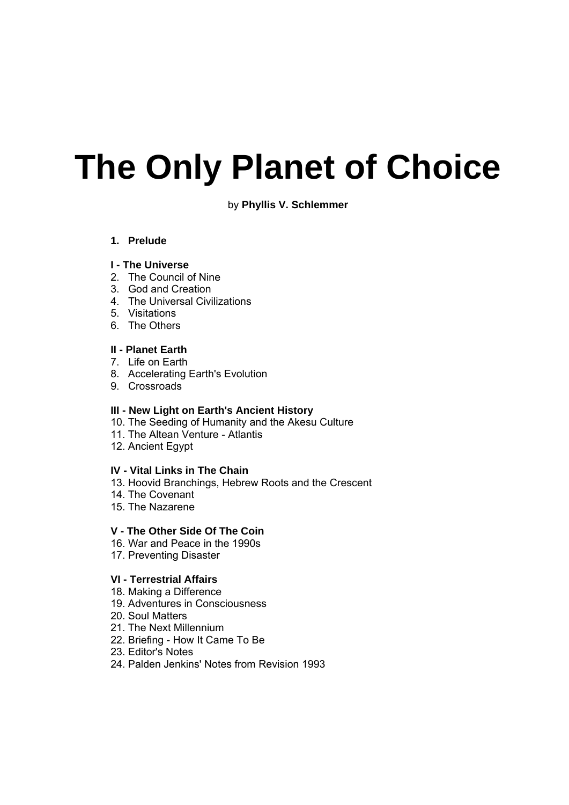# **[The Only Planet of Choice](http://www.geocities.com/the931/opclist.html)**

# by **Phyllis V. Schlemmer**

# **1. Prelude**

## **I - The Universe**

- 2. The Council of Nine
- 3. God and Creation
- 4. The Universal Civilizations
- 5. Visitations
- 6. The Others

## **II - Planet Earth**

- 7. Life on Earth
- 8. Accelerating Earth's Evolution
- 9. Crossroads

#### **III - New Light on Earth's Ancient History**

- 10. The Seeding of Humanity and the Akesu Culture
- 11. The Altean Venture Atlantis
- 12. Ancient Egypt

# **IV - Vital Links in The Chain**

- 13. Hoovid Branchings, Hebrew Roots and the Crescent
- 14. The Covenant
- 15. The Nazarene

# **V - The Other Side Of The Coin**

- 16. War and Peace in the 1990s
- 17. Preventing Disaster

# **VI - Terrestrial Affairs**

- 18. Making a Difference
- 19. Adventures in Consciousness
- 20. Soul Matters
- 21. The Next Millennium
- 22. Briefing How It Came To Be
- 23. Editor's Notes
- 24. Palden Jenkins' Notes from Revision 1993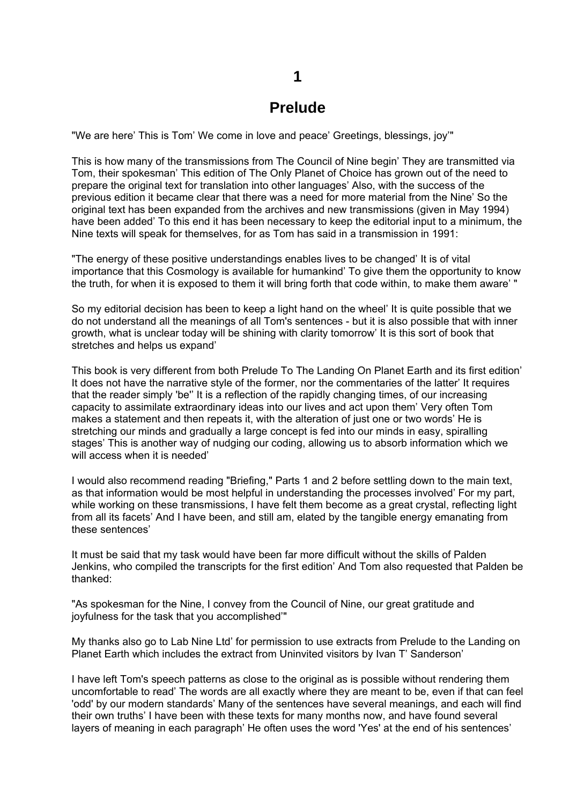# **Prelude**

"We are here' This is Tom' We come in love and peace' Greetings, blessings, joy'"

This is how many of the transmissions from The Council of Nine begin' They are transmitted via Tom, their spokesman' This edition of The Only Planet of Choice has grown out of the need to prepare the original text for translation into other languages' Also, with the success of the previous edition it became clear that there was a need for more material from the Nine' So the original text has been expanded from the archives and new transmissions (given in May 1994) have been added' To this end it has been necessary to keep the editorial input to a minimum, the Nine texts will speak for themselves, for as Tom has said in a transmission in 1991:

"The energy of these positive understandings enables lives to be changed' It is of vital importance that this Cosmology is available for humankind' To give them the opportunity to know the truth, for when it is exposed to them it will bring forth that code within, to make them aware' "

So my editorial decision has been to keep a light hand on the wheel' It is quite possible that we do not understand all the meanings of all Tom's sentences - but it is also possible that with inner growth, what is unclear today will be shining with clarity tomorrow' It is this sort of book that stretches and helps us expand'

This book is very different from both Prelude To The Landing On Planet Earth and its first edition' It does not have the narrative style of the former, nor the commentaries of the latter' It requires that the reader simply 'be'' It is a reflection of the rapidly changing times, of our increasing capacity to assimilate extraordinary ideas into our lives and act upon them' Very often Tom makes a statement and then repeats it, with the alteration of just one or two words' He is stretching our minds and gradually a large concept is fed into our minds in easy, spiralling stages' This is another way of nudging our coding, allowing us to absorb information which we will access when it is needed'

I would also recommend reading "Briefing," Parts 1 and 2 before settling down to the main text, as that information would be most helpful in understanding the processes involved' For my part, while working on these transmissions, I have felt them become as a great crystal, reflecting light from all its facets' And I have been, and still am, elated by the tangible energy emanating from these sentences'

It must be said that my task would have been far more difficult without the skills of Palden Jenkins, who compiled the transcripts for the first edition' And Tom also requested that Palden be thanked:

"As spokesman for the Nine, I convey from the Council of Nine, our great gratitude and joyfulness for the task that you accomplished'"

My thanks also go to Lab Nine Ltd' for permission to use extracts from Prelude to the Landing on Planet Earth which includes the extract from Uninvited visitors by Ivan T' Sanderson'

I have left Tom's speech patterns as close to the original as is possible without rendering them uncomfortable to read' The words are all exactly where they are meant to be, even if that can feel 'odd' by our modern standards' Many of the sentences have several meanings, and each will find their own truths' I have been with these texts for many months now, and have found several layers of meaning in each paragraph' He often uses the word 'Yes' at the end of his sentences'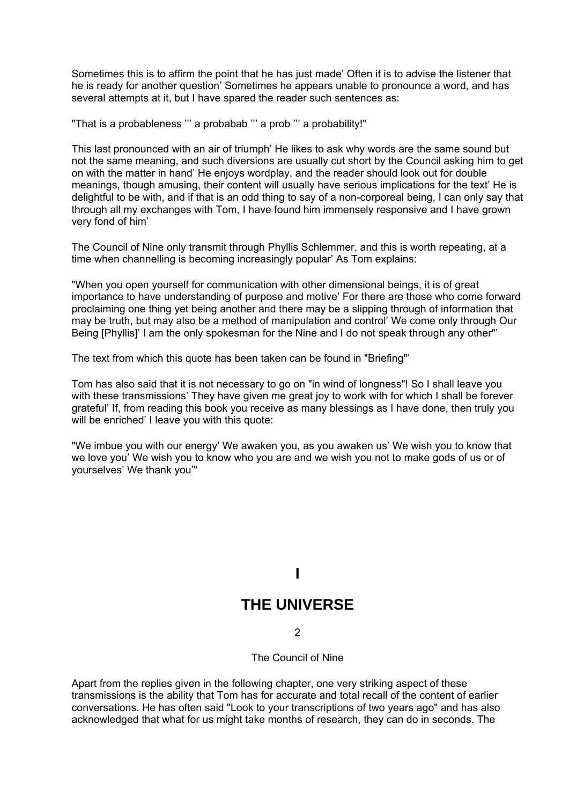Sometimes this is to affirm the point that he has just made' Often it is to advise the listener that he is ready for another question' Sometimes he appears unable to pronounce a word, and has several attempts at it, but I have spared the reader such sentences as:

"That is a probableness "' a probabab "' a prob "' a probability!"

This last pronounced with an air of triumph' He likes to ask why words are the same sound but not the same meaning, and such diversions are usually cut short by the Council asking him to get on with the matter in hand' He enjoys wordplay, and the reader should look out for double meanings, though amusing, their content will usually have serious implications for the text' He is delightful to be with, and if that is an odd thing to say of a non-corporeal being, I can only say that through all my exchanges with Tom, I have found him immensely responsive and I have grown very fond of him'

The Council of Nine only transmit through Phyllis Schlemmer, and this is worth repeating, at a time when channelling is becoming increasingly popular' As Tom explains:

"When you open yourself for communication with other dimensional beings, it is of great importance to have understanding of purpose and motive' For there are those who come forward proclaiming one thing yet being another and there may be a slipping through of information that may be truth, but may also be a method of manipulation and control' We come only through Our Being [Phyllis]' I am the only spokesman for the Nine and I do not speak through any other"

The text from which this quote has been taken can be found in "Briefing"'

Tom has also said that it is not necessary to go on "in wind of longness"! So I shall leave you with these transmissions' They have given me great joy to work with for which I shall be forever grateful' If, from reading this book you receive as many blessings as I have done, then truly you will be enriched' I leave you with this quote:

"We imbue you with our energy' We awaken you, as you awaken us' We wish you to know that we love you' We wish you to know who you are and we wish you not to make gods of us or of yourselves' We thank you'"

# **I THE UNIVERSE**

 $\mathfrak{p}$ 

The Council of Nine

Apart from the replies given in the following chapter, one very striking aspect of these transmissions is the ability that Tom has for accurate and total recall of the content of earlier conversations. He has often said "Look to your transcriptions of two years ago" and has also acknowledged that what for us might take months of research, they can do in seconds. The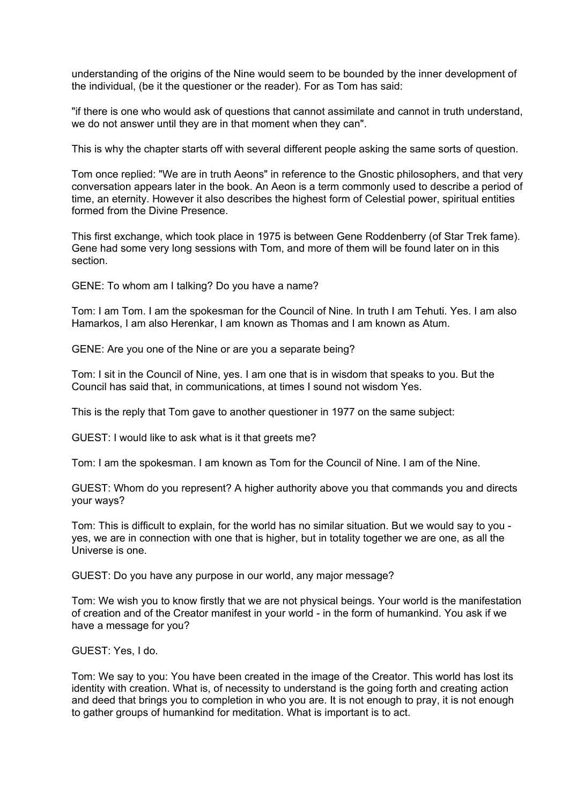understanding of the origins of the Nine would seem to be bounded by the inner development of the individual, (be it the questioner or the reader). For as Tom has said:

"if there is one who would ask of questions that cannot assimilate and cannot in truth understand, we do not answer until they are in that moment when they can".

This is why the chapter starts off with several different people asking the same sorts of question.

Tom once replied: "We are in truth Aeons" in reference to the Gnostic philosophers, and that very conversation appears later in the book. An Aeon is a term commonly used to describe a period of time, an eternity. However it also describes the highest form of Celestial power, spiritual entities formed from the Divine Presence.

This first exchange, which took place in 1975 is between Gene Roddenberry (of Star Trek fame). Gene had some very long sessions with Tom, and more of them will be found later on in this section.

GENE: To whom am I talking? Do you have a name?

Tom: I am Tom. I am the spokesman for the Council of Nine. In truth I am Tehuti. Yes. I am also Hamarkos, I am also Herenkar, I am known as Thomas and I am known as Atum.

GENE: Are you one of the Nine or are you a separate being?

Tom: I sit in the Council of Nine, yes. I am one that is in wisdom that speaks to you. But the Council has said that, in communications, at times I sound not wisdom Yes.

This is the reply that Tom gave to another questioner in 1977 on the same subject:

GUEST: I would like to ask what is it that greets me?

Tom: I am the spokesman. I am known as Tom for the Council of Nine. I am of the Nine.

GUEST: Whom do you represent? A higher authority above you that commands you and directs your ways?

Tom: This is difficult to explain, for the world has no similar situation. But we would say to you yes, we are in connection with one that is higher, but in totality together we are one, as all the Universe is one.

GUEST: Do you have any purpose in our world, any major message?

Tom: We wish you to know firstly that we are not physical beings. Your world is the manifestation of creation and of the Creator manifest in your world - in the form of humankind. You ask if we have a message for you?

GUEST: Yes, I do.

Tom: We say to you: You have been created in the image of the Creator. This world has lost its identity with creation. What is, of necessity to understand is the going forth and creating action and deed that brings you to completion in who you are. It is not enough to pray, it is not enough to gather groups of humankind for meditation. What is important is to act.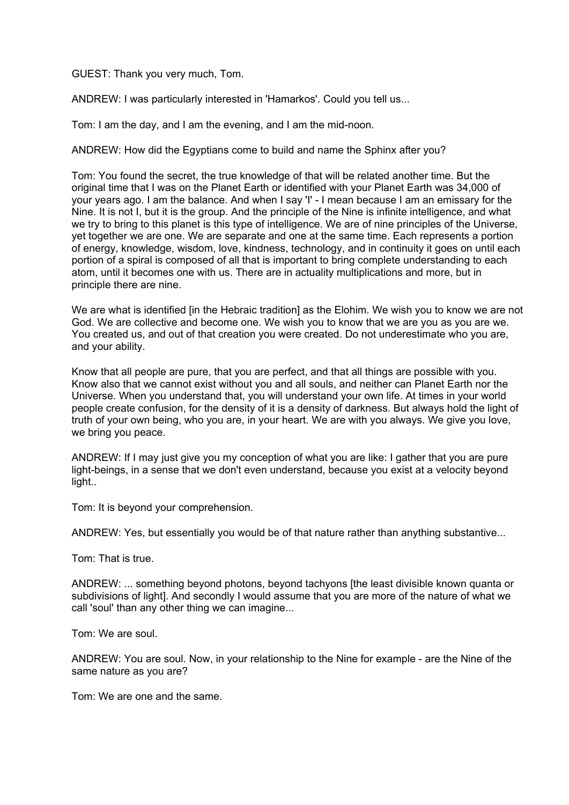GUEST: Thank you very much, Tom.

ANDREW: I was particularly interested in 'Hamarkos'. Could you tell us...

Tom: I am the day, and I am the evening, and I am the mid-noon.

ANDREW: How did the Egyptians come to build and name the Sphinx after you?

Tom: You found the secret, the true knowledge of that will be related another time. But the original time that I was on the Planet Earth or identified with your Planet Earth was 34,000 of your years ago. I am the balance. And when I say 'I' - I mean because I am an emissary for the Nine. It is not I, but it is the group. And the principle of the Nine is infinite intelligence, and what we try to bring to this planet is this type of intelligence. We are of nine principles of the Universe, yet together we are one. We are separate and one at the same time. Each represents a portion of energy, knowledge, wisdom, love, kindness, technology, and in continuity it goes on until each portion of a spiral is composed of all that is important to bring complete understanding to each atom, until it becomes one with us. There are in actuality multiplications and more, but in principle there are nine.

We are what is identified [in the Hebraic tradition] as the Elohim. We wish you to know we are not God. We are collective and become one. We wish you to know that we are you as you are we. You created us, and out of that creation you were created. Do not underestimate who you are, and your ability.

Know that all people are pure, that you are perfect, and that all things are possible with you. Know also that we cannot exist without you and all souls, and neither can Planet Earth nor the Universe. When you understand that, you will understand your own life. At times in your world people create confusion, for the density of it is a density of darkness. But always hold the light of truth of your own being, who you are, in your heart. We are with you always. We give you love, we bring you peace.

ANDREW: If I may just give you my conception of what you are like: I gather that you are pure light-beings, in a sense that we don't even understand, because you exist at a velocity beyond light..

Tom: It is beyond your comprehension.

ANDREW: Yes, but essentially you would be of that nature rather than anything substantive...

Tom: That is true.

ANDREW: ... something beyond photons, beyond tachyons [the least divisible known quanta or subdivisions of light]. And secondly I would assume that you are more of the nature of what we call 'soul' than any other thing we can imagine...

Tom: We are soul.

ANDREW: You are soul. Now, in your relationship to the Nine for example - are the Nine of the same nature as you are?

Tom: We are one and the same.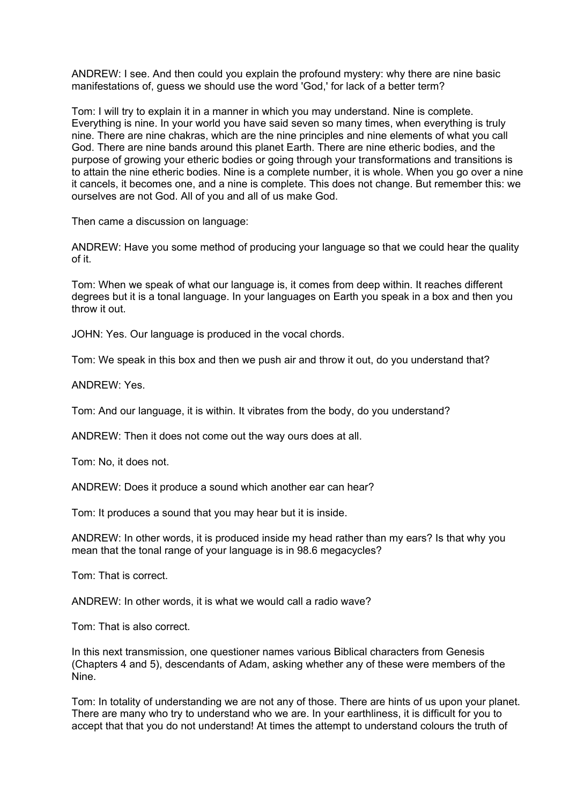ANDREW: I see. And then could you explain the profound mystery: why there are nine basic manifestations of, guess we should use the word 'God,' for lack of a better term?

Tom: I will try to explain it in a manner in which you may understand. Nine is complete. Everything is nine. In your world you have said seven so many times, when everything is truly nine. There are nine chakras, which are the nine principles and nine elements of what you call God. There are nine bands around this planet Earth. There are nine etheric bodies, and the purpose of growing your etheric bodies or going through your transformations and transitions is to attain the nine etheric bodies. Nine is a complete number, it is whole. When you go over a nine it cancels, it becomes one, and a nine is complete. This does not change. But remember this: we ourselves are not God. All of you and all of us make God.

Then came a discussion on language:

ANDREW: Have you some method of producing your language so that we could hear the quality of it.

Tom: When we speak of what our language is, it comes from deep within. It reaches different degrees but it is a tonal language. In your languages on Earth you speak in a box and then you throw it out.

JOHN: Yes. Our language is produced in the vocal chords.

Tom: We speak in this box and then we push air and throw it out, do you understand that?

ANDREW: Yes.

Tom: And our language, it is within. It vibrates from the body, do you understand?

ANDREW: Then it does not come out the way ours does at all.

Tom: No, it does not.

ANDREW: Does it produce a sound which another ear can hear?

Tom: It produces a sound that you may hear but it is inside.

ANDREW: In other words, it is produced inside my head rather than my ears? Is that why you mean that the tonal range of your language is in 98.6 megacycles?

Tom: That is correct.

ANDREW: In other words, it is what we would call a radio wave?

Tom: That is also correct.

In this next transmission, one questioner names various Biblical characters from Genesis (Chapters 4 and 5), descendants of Adam, asking whether any of these were members of the Nine.

Tom: In totality of understanding we are not any of those. There are hints of us upon your planet. There are many who try to understand who we are. In your earthliness, it is difficult for you to accept that that you do not understand! At times the attempt to understand colours the truth of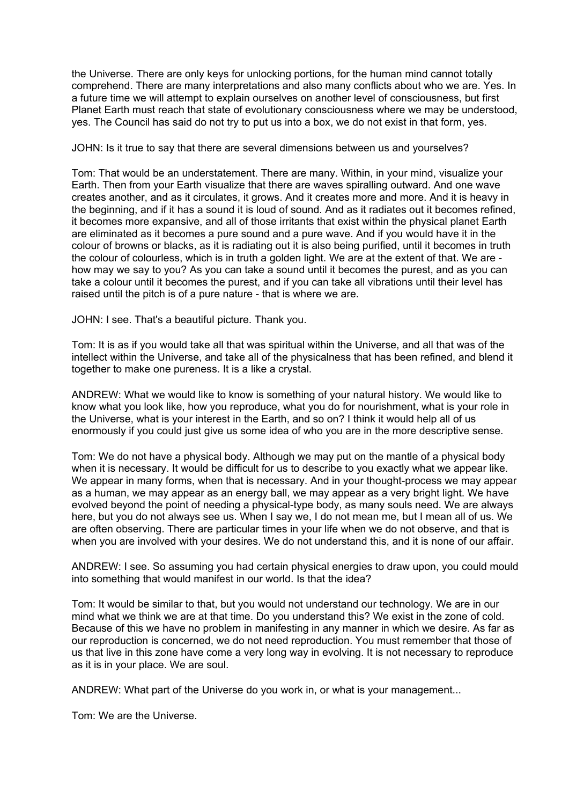the Universe. There are only keys for unlocking portions, for the human mind cannot totally comprehend. There are many interpretations and also many conflicts about who we are. Yes. In a future time we will attempt to explain ourselves on another level of consciousness, but first Planet Earth must reach that state of evolutionary consciousness where we may be understood, yes. The Council has said do not try to put us into a box, we do not exist in that form, yes.

JOHN: Is it true to say that there are several dimensions between us and yourselves?

Tom: That would be an understatement. There are many. Within, in your mind, visualize your Earth. Then from your Earth visualize that there are waves spiralling outward. And one wave creates another, and as it circulates, it grows. And it creates more and more. And it is heavy in the beginning, and if it has a sound it is loud of sound. And as it radiates out it becomes refined, it becomes more expansive, and all of those irritants that exist within the physical planet Earth are eliminated as it becomes a pure sound and a pure wave. And if you would have it in the colour of browns or blacks, as it is radiating out it is also being purified, until it becomes in truth the colour of colourless, which is in truth a golden light. We are at the extent of that. We are how may we say to you? As you can take a sound until it becomes the purest, and as you can take a colour until it becomes the purest, and if you can take all vibrations until their level has raised until the pitch is of a pure nature - that is where we are.

JOHN: I see. That's a beautiful picture. Thank you.

Tom: It is as if you would take all that was spiritual within the Universe, and all that was of the intellect within the Universe, and take all of the physicalness that has been refined, and blend it together to make one pureness. It is a like a crystal.

ANDREW: What we would like to know is something of your natural history. We would like to know what you look like, how you reproduce, what you do for nourishment, what is your role in the Universe, what is your interest in the Earth, and so on? I think it would help all of us enormously if you could just give us some idea of who you are in the more descriptive sense.

Tom: We do not have a physical body. Although we may put on the mantle of a physical body when it is necessary. It would be difficult for us to describe to you exactly what we appear like. We appear in many forms, when that is necessary. And in your thought-process we may appear as a human, we may appear as an energy ball, we may appear as a very bright light. We have evolved beyond the point of needing a physical-type body, as many souls need. We are always here, but you do not always see us. When I say we, I do not mean me, but I mean all of us. We are often observing. There are particular times in your life when we do not observe, and that is when you are involved with your desires. We do not understand this, and it is none of our affair.

ANDREW: I see. So assuming you had certain physical energies to draw upon, you could mould into something that would manifest in our world. Is that the idea?

Tom: It would be similar to that, but you would not understand our technology. We are in our mind what we think we are at that time. Do you understand this? We exist in the zone of cold. Because of this we have no problem in manifesting in any manner in which we desire. As far as our reproduction is concerned, we do not need reproduction. You must remember that those of us that live in this zone have come a very long way in evolving. It is not necessary to reproduce as it is in your place. We are soul.

ANDREW: What part of the Universe do you work in, or what is your management...

Tom: We are the Universe.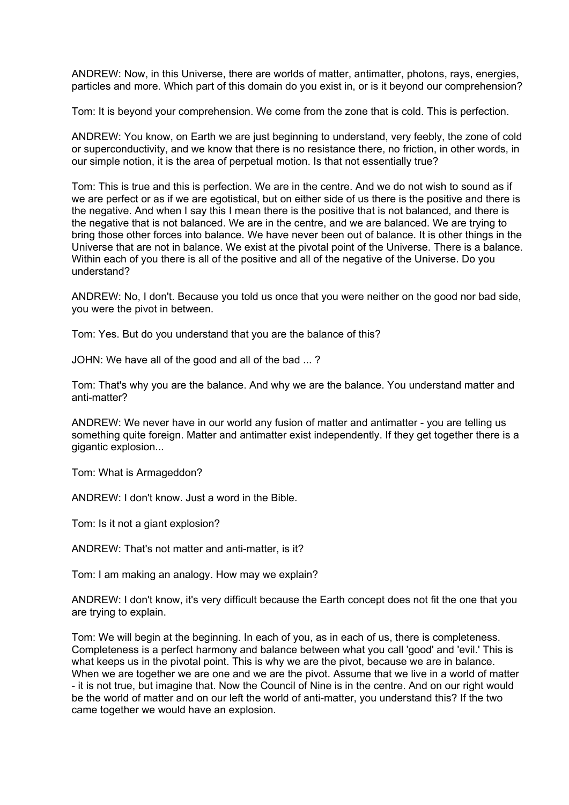ANDREW: Now, in this Universe, there are worlds of matter, antimatter, photons, rays, energies, particles and more. Which part of this domain do you exist in, or is it beyond our comprehension?

Tom: It is beyond your comprehension. We come from the zone that is cold. This is perfection.

ANDREW: You know, on Earth we are just beginning to understand, very feebly, the zone of cold or superconductivity, and we know that there is no resistance there, no friction, in other words, in our simple notion, it is the area of perpetual motion. Is that not essentially true?

Tom: This is true and this is perfection. We are in the centre. And we do not wish to sound as if we are perfect or as if we are egotistical, but on either side of us there is the positive and there is the negative. And when I say this I mean there is the positive that is not balanced, and there is the negative that is not balanced. We are in the centre, and we are balanced. We are trying to bring those other forces into balance. We have never been out of balance. It is other things in the Universe that are not in balance. We exist at the pivotal point of the Universe. There is a balance. Within each of you there is all of the positive and all of the negative of the Universe. Do you understand?

ANDREW: No, I don't. Because you told us once that you were neither on the good nor bad side, you were the pivot in between.

Tom: Yes. But do you understand that you are the balance of this?

JOHN: We have all of the good and all of the bad ... ?

Tom: That's why you are the balance. And why we are the balance. You understand matter and anti-matter?

ANDREW: We never have in our world any fusion of matter and antimatter - you are telling us something quite foreign. Matter and antimatter exist independently. If they get together there is a gigantic explosion...

Tom: What is Armageddon?

ANDREW: I don't know. Just a word in the Bible.

Tom: Is it not a giant explosion?

ANDREW: That's not matter and anti-matter, is it?

Tom: I am making an analogy. How may we explain?

ANDREW: I don't know, it's very difficult because the Earth concept does not fit the one that you are trying to explain.

Tom: We will begin at the beginning. In each of you, as in each of us, there is completeness. Completeness is a perfect harmony and balance between what you call 'good' and 'evil.' This is what keeps us in the pivotal point. This is why we are the pivot, because we are in balance. When we are together we are one and we are the pivot. Assume that we live in a world of matter - it is not true, but imagine that. Now the Council of Nine is in the centre. And on our right would be the world of matter and on our left the world of anti-matter, you understand this? If the two came together we would have an explosion.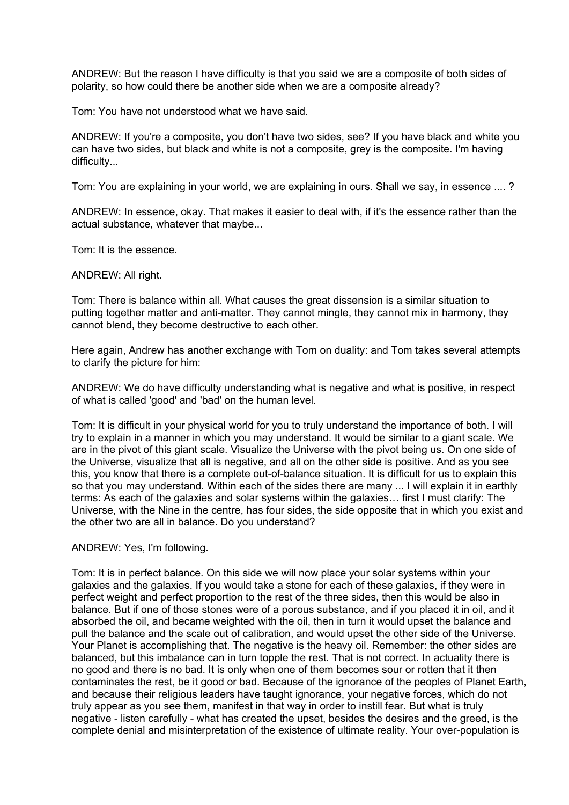ANDREW: But the reason I have difficulty is that you said we are a composite of both sides of polarity, so how could there be another side when we are a composite already?

Tom: You have not understood what we have said.

ANDREW: If you're a composite, you don't have two sides, see? If you have black and white you can have two sides, but black and white is not a composite, grey is the composite. I'm having difficulty...

Tom: You are explaining in your world, we are explaining in ours. Shall we say, in essence .... ?

ANDREW: In essence, okay. That makes it easier to deal with, if it's the essence rather than the actual substance, whatever that maybe...

Tom: It is the essence.

ANDREW: All right.

Tom: There is balance within all. What causes the great dissension is a similar situation to putting together matter and anti-matter. They cannot mingle, they cannot mix in harmony, they cannot blend, they become destructive to each other.

Here again, Andrew has another exchange with Tom on duality: and Tom takes several attempts to clarify the picture for him:

ANDREW: We do have difficulty understanding what is negative and what is positive, in respect of what is called 'good' and 'bad' on the human level.

Tom: It is difficult in your physical world for you to truly understand the importance of both. I will try to explain in a manner in which you may understand. It would be similar to a giant scale. We are in the pivot of this giant scale. Visualize the Universe with the pivot being us. On one side of the Universe, visualize that all is negative, and all on the other side is positive. And as you see this, you know that there is a complete out-of-balance situation. It is difficult for us to explain this so that you may understand. Within each of the sides there are many ... I will explain it in earthly terms: As each of the galaxies and solar systems within the galaxies… first I must clarify: The Universe, with the Nine in the centre, has four sides, the side opposite that in which you exist and the other two are all in balance. Do you understand?

ANDREW: Yes, I'm following.

Tom: It is in perfect balance. On this side we will now place your solar systems within your galaxies and the galaxies. If you would take a stone for each of these galaxies, if they were in perfect weight and perfect proportion to the rest of the three sides, then this would be also in balance. But if one of those stones were of a porous substance, and if you placed it in oil, and it absorbed the oil, and became weighted with the oil, then in turn it would upset the balance and pull the balance and the scale out of calibration, and would upset the other side of the Universe. Your Planet is accomplishing that. The negative is the heavy oil. Remember: the other sides are balanced, but this imbalance can in turn topple the rest. That is not correct. In actuality there is no good and there is no bad. It is only when one of them becomes sour or rotten that it then contaminates the rest, be it good or bad. Because of the ignorance of the peoples of Planet Earth, and because their religious leaders have taught ignorance, your negative forces, which do not truly appear as you see them, manifest in that way in order to instill fear. But what is truly negative - listen carefully - what has created the upset, besides the desires and the greed, is the complete denial and misinterpretation of the existence of ultimate reality. Your over-population is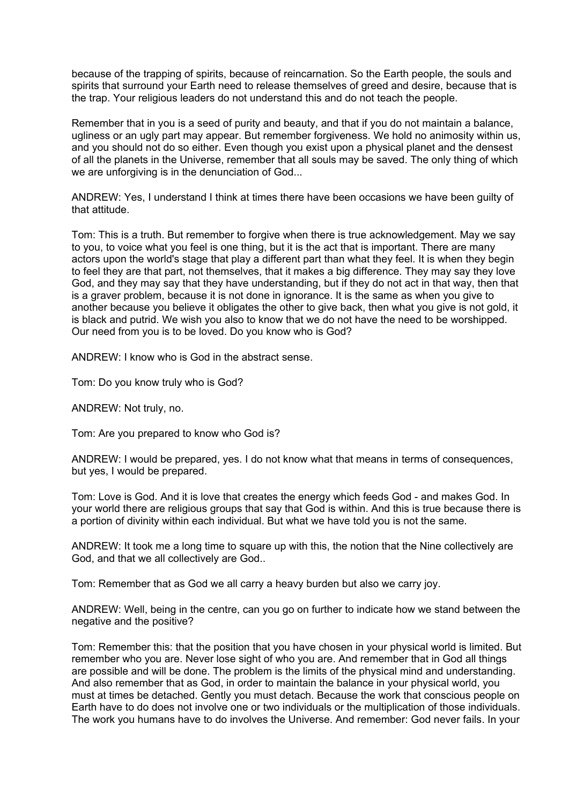because of the trapping of spirits, because of reincarnation. So the Earth people, the souls and spirits that surround your Earth need to release themselves of greed and desire, because that is the trap. Your religious leaders do not understand this and do not teach the people.

Remember that in you is a seed of purity and beauty, and that if you do not maintain a balance, ugliness or an ugly part may appear. But remember forgiveness. We hold no animosity within us, and you should not do so either. Even though you exist upon a physical planet and the densest of all the planets in the Universe, remember that all souls may be saved. The only thing of which we are unforgiving is in the denunciation of God...

ANDREW: Yes, I understand I think at times there have been occasions we have been guilty of that attitude.

Tom: This is a truth. But remember to forgive when there is true acknowledgement. May we say to you, to voice what you feel is one thing, but it is the act that is important. There are many actors upon the world's stage that play a different part than what they feel. It is when they begin to feel they are that part, not themselves, that it makes a big difference. They may say they love God, and they may say that they have understanding, but if they do not act in that way, then that is a graver problem, because it is not done in ignorance. It is the same as when you give to another because you believe it obligates the other to give back, then what you give is not gold, it is black and putrid. We wish you also to know that we do not have the need to be worshipped. Our need from you is to be loved. Do you know who is God?

ANDREW: I know who is God in the abstract sense.

Tom: Do you know truly who is God?

ANDREW: Not truly, no.

Tom: Are you prepared to know who God is?

ANDREW: I would be prepared, yes. I do not know what that means in terms of consequences, but yes, I would be prepared.

Tom: Love is God. And it is love that creates the energy which feeds God - and makes God. In your world there are religious groups that say that God is within. And this is true because there is a portion of divinity within each individual. But what we have told you is not the same.

ANDREW: It took me a long time to square up with this, the notion that the Nine collectively are God, and that we all collectively are God..

Tom: Remember that as God we all carry a heavy burden but also we carry joy.

ANDREW: Well, being in the centre, can you go on further to indicate how we stand between the negative and the positive?

Tom: Remember this: that the position that you have chosen in your physical world is limited. But remember who you are. Never lose sight of who you are. And remember that in God all things are possible and will be done. The problem is the limits of the physical mind and understanding. And also remember that as God, in order to maintain the balance in your physical world, you must at times be detached. Gently you must detach. Because the work that conscious people on Earth have to do does not involve one or two individuals or the multiplication of those individuals. The work you humans have to do involves the Universe. And remember: God never fails. In your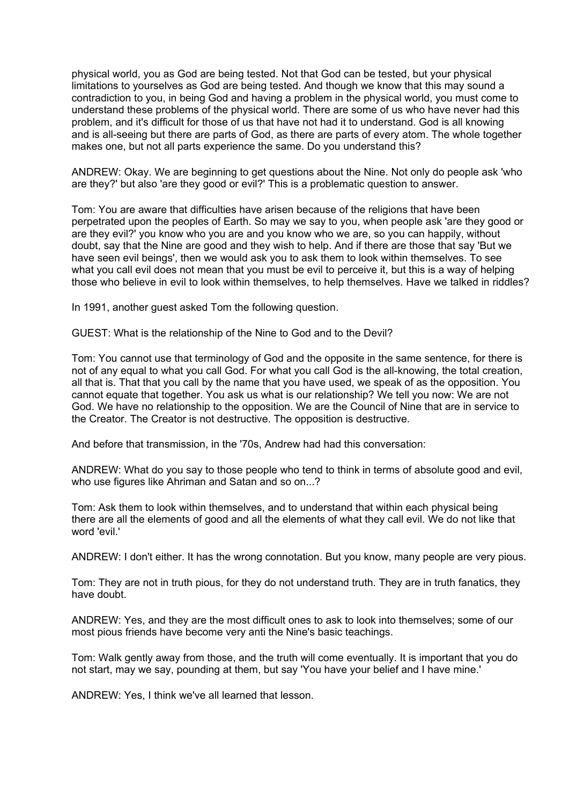physical world, you as God are being tested. Not that God can be tested, but your physical limitations to yourselves as God are being tested. And though we know that this may sound a contradiction to you, in being God and having a problem in the physical world, you must come to understand these problems of the physical world. There are some of us who have never had this problem, and it's difficult for those of us that have not had it to understand. God is all knowing and is all-seeing but there are parts of God, as there are parts of every atom. The whole together makes one, but not all parts experience the same. Do you understand this?

ANDREW: Okay. We are beginning to get questions about the Nine. Not only do people ask 'who are they?' but also 'are they good or evil?' This is a problematic question to answer.

Tom: You are aware that difficulties have arisen because of the religions that have been perpetrated upon the peoples of Earth. So may we say to you, when people ask 'are they good or are they evil?' you know who you are and you know who we are, so you can happily, without doubt, say that the Nine are good and they wish to help. And if there are those that say 'But we have seen evil beings', then we would ask you to ask them to look within themselves. To see what you call evil does not mean that you must be evil to perceive it, but this is a way of helping those who believe in evil to look within themselves, to help themselves. Have we talked in riddles?

In 1991, another guest asked Tom the following question.

GUEST: What is the relationship of the Nine to God and to the Devil?

Tom: You cannot use that terminology of God and the opposite in the same sentence, for there is not of any equal to what you call God. For what you call God is the all-knowing, the total creation, all that is. That that you call by the name that you have used, we speak of as the opposition. You cannot equate that together. You ask us what is our relationship? We tell you now: We are not God. We have no relationship to the opposition. We are the Council of Nine that are in service to the Creator. The Creator is not destructive. The opposition is destructive.

And before that transmission, in the '70s, Andrew had had this conversation:

ANDREW: What do you say to those people who tend to think in terms of absolute good and evil, who use figures like Ahriman and Satan and so on...?

Tom: Ask them to look within themselves, and to understand that within each physical being there are all the elements of good and all the elements of what they call evil. We do not like that word 'evil.'

ANDREW: I don't either. It has the wrong connotation. But you know, many people are very pious.

Tom: They are not in truth pious, for they do not understand truth. They are in truth fanatics, they have doubt.

ANDREW: Yes, and they are the most difficult ones to ask to look into themselves; some of our most pious friends have become very anti the Nine's basic teachings.

Tom: Walk gently away from those, and the truth will come eventually. It is important that you do not start, may we say, pounding at them, but say 'You have your belief and I have mine.'

ANDREW: Yes, I think we've all learned that lesson.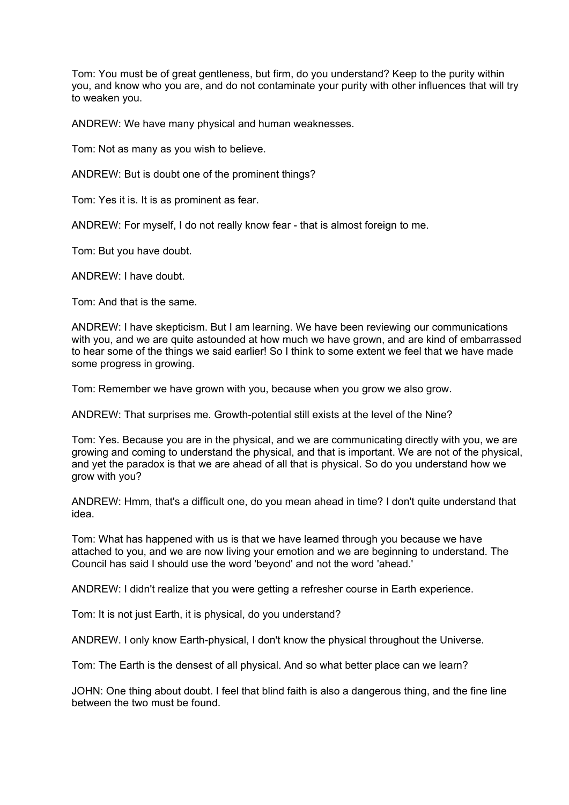Tom: You must be of great gentleness, but firm, do you understand? Keep to the purity within you, and know who you are, and do not contaminate your purity with other influences that will try to weaken you.

ANDREW: We have many physical and human weaknesses.

Tom: Not as many as you wish to believe.

ANDREW: But is doubt one of the prominent things?

Tom: Yes it is. It is as prominent as fear.

ANDREW: For myself, I do not really know fear - that is almost foreign to me.

Tom: But you have doubt.

ANDREW: I have doubt.

Tom: And that is the same.

ANDREW: I have skepticism. But I am learning. We have been reviewing our communications with you, and we are quite astounded at how much we have grown, and are kind of embarrassed to hear some of the things we said earlier! So I think to some extent we feel that we have made some progress in growing.

Tom: Remember we have grown with you, because when you grow we also grow.

ANDREW: That surprises me. Growth-potential still exists at the level of the Nine?

Tom: Yes. Because you are in the physical, and we are communicating directly with you, we are growing and coming to understand the physical, and that is important. We are not of the physical, and yet the paradox is that we are ahead of all that is physical. So do you understand how we grow with you?

ANDREW: Hmm, that's a difficult one, do you mean ahead in time? I don't quite understand that idea.

Tom: What has happened with us is that we have learned through you because we have attached to you, and we are now living your emotion and we are beginning to understand. The Council has said I should use the word 'beyond' and not the word 'ahead.'

ANDREW: I didn't realize that you were getting a refresher course in Earth experience.

Tom: It is not just Earth, it is physical, do you understand?

ANDREW. I only know Earth-physical, I don't know the physical throughout the Universe.

Tom: The Earth is the densest of all physical. And so what better place can we learn?

JOHN: One thing about doubt. I feel that blind faith is also a dangerous thing, and the fine line between the two must be found.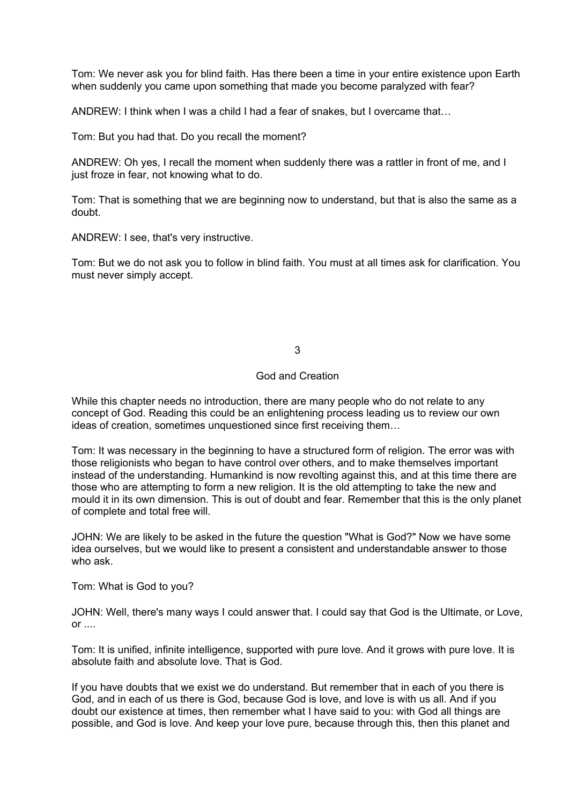Tom: We never ask you for blind faith. Has there been a time in your entire existence upon Earth when suddenly you came upon something that made you become paralyzed with fear?

ANDREW: I think when I was a child I had a fear of snakes, but I overcame that…

Tom: But you had that. Do you recall the moment?

ANDREW: Oh yes, I recall the moment when suddenly there was a rattler in front of me, and I just froze in fear, not knowing what to do.

Tom: That is something that we are beginning now to understand, but that is also the same as a doubt.

ANDREW: I see, that's very instructive.

Tom: But we do not ask you to follow in blind faith. You must at all times ask for clarification. You must never simply accept.

3

# God and Creation

While this chapter needs no introduction, there are many people who do not relate to any concept of God. Reading this could be an enlightening process leading us to review our own ideas of creation, sometimes unquestioned since first receiving them…

Tom: It was necessary in the beginning to have a structured form of religion. The error was with those religionists who began to have control over others, and to make themselves important instead of the understanding. Humankind is now revolting against this, and at this time there are those who are attempting to form a new religion. It is the old attempting to take the new and mould it in its own dimension. This is out of doubt and fear. Remember that this is the only planet of complete and total free will.

JOHN: We are likely to be asked in the future the question "What is God?" Now we have some idea ourselves, but we would like to present a consistent and understandable answer to those who ask.

Tom: What is God to you?

JOHN: Well, there's many ways I could answer that. I could say that God is the Ultimate, or Love, or ....

Tom: It is unified, infinite intelligence, supported with pure love. And it grows with pure love. It is absolute faith and absolute love. That is God.

If you have doubts that we exist we do understand. But remember that in each of you there is God, and in each of us there is God, because God is love, and love is with us all. And if you doubt our existence at times, then remember what I have said to you: with God all things are possible, and God is love. And keep your love pure, because through this, then this planet and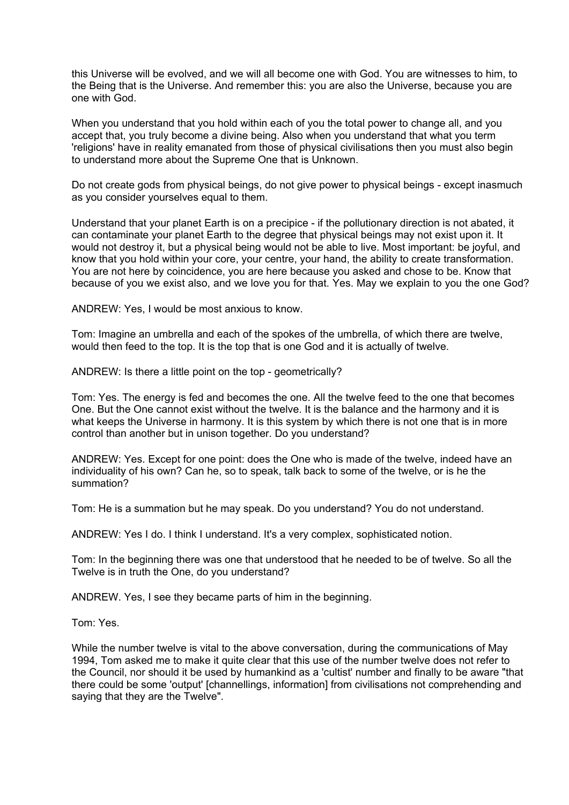this Universe will be evolved, and we will all become one with God. You are witnesses to him, to the Being that is the Universe. And remember this: you are also the Universe, because you are one with God.

When you understand that you hold within each of you the total power to change all, and you accept that, you truly become a divine being. Also when you understand that what you term 'religions' have in reality emanated from those of physical civilisations then you must also begin to understand more about the Supreme One that is Unknown.

Do not create gods from physical beings, do not give power to physical beings - except inasmuch as you consider yourselves equal to them.

Understand that your planet Earth is on a precipice - if the pollutionary direction is not abated, it can contaminate your planet Earth to the degree that physical beings may not exist upon it. It would not destroy it, but a physical being would not be able to live. Most important: be joyful, and know that you hold within your core, your centre, your hand, the ability to create transformation. You are not here by coincidence, you are here because you asked and chose to be. Know that because of you we exist also, and we love you for that. Yes. May we explain to you the one God?

ANDREW: Yes, I would be most anxious to know.

Tom: Imagine an umbrella and each of the spokes of the umbrella, of which there are twelve, would then feed to the top. It is the top that is one God and it is actually of twelve.

ANDREW: Is there a little point on the top - geometrically?

Tom: Yes. The energy is fed and becomes the one. All the twelve feed to the one that becomes One. But the One cannot exist without the twelve. It is the balance and the harmony and it is what keeps the Universe in harmony. It is this system by which there is not one that is in more control than another but in unison together. Do you understand?

ANDREW: Yes. Except for one point: does the One who is made of the twelve, indeed have an individuality of his own? Can he, so to speak, talk back to some of the twelve, or is he the summation?

Tom: He is a summation but he may speak. Do you understand? You do not understand.

ANDREW: Yes I do. I think I understand. It's a very complex, sophisticated notion.

Tom: In the beginning there was one that understood that he needed to be of twelve. So all the Twelve is in truth the One, do you understand?

ANDREW. Yes, I see they became parts of him in the beginning.

Tom: Yes.

While the number twelve is vital to the above conversation, during the communications of May 1994, Tom asked me to make it quite clear that this use of the number twelve does not refer to the Council, nor should it be used by humankind as a 'cultist' number and finally to be aware "that there could be some 'output' [channellings, information] from civilisations not comprehending and saying that they are the Twelve".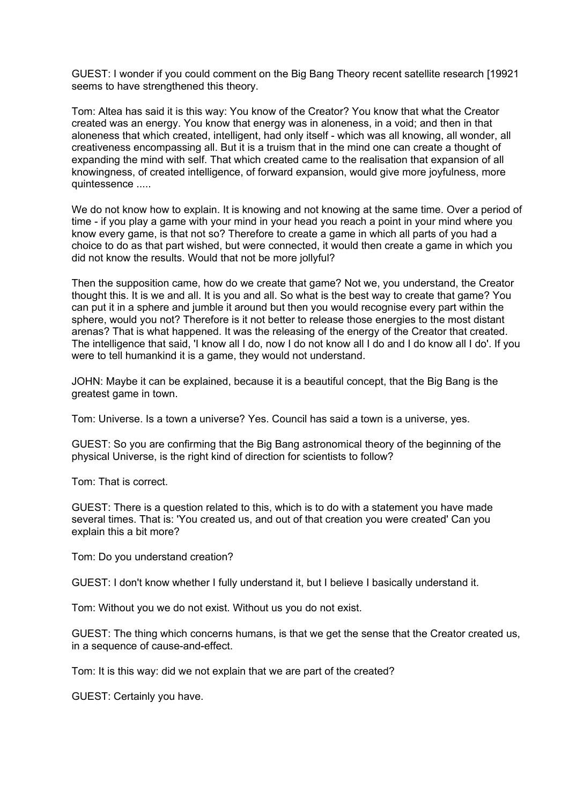GUEST: I wonder if you could comment on the Big Bang Theory recent satellite research [19921 seems to have strengthened this theory.

Tom: Altea has said it is this way: You know of the Creator? You know that what the Creator created was an energy. You know that energy was in aloneness, in a void; and then in that aloneness that which created, intelligent, had only itself - which was all knowing, all wonder, all creativeness encompassing all. But it is a truism that in the mind one can create a thought of expanding the mind with self. That which created came to the realisation that expansion of all knowingness, of created intelligence, of forward expansion, would give more joyfulness, more quintessence .....

We do not know how to explain. It is knowing and not knowing at the same time. Over a period of time - if you play a game with your mind in your head you reach a point in your mind where you know every game, is that not so? Therefore to create a game in which all parts of you had a choice to do as that part wished, but were connected, it would then create a game in which you did not know the results. Would that not be more jollyful?

Then the supposition came, how do we create that game? Not we, you understand, the Creator thought this. It is we and all. It is you and all. So what is the best way to create that game? You can put it in a sphere and jumble it around but then you would recognise every part within the sphere, would you not? Therefore is it not better to release those energies to the most distant arenas? That is what happened. It was the releasing of the energy of the Creator that created. The intelligence that said, 'I know all I do, now I do not know all I do and I do know all I do'. If you were to tell humankind it is a game, they would not understand.

JOHN: Maybe it can be explained, because it is a beautiful concept, that the Big Bang is the greatest game in town.

Tom: Universe. Is a town a universe? Yes. Council has said a town is a universe, yes.

GUEST: So you are confirming that the Big Bang astronomical theory of the beginning of the physical Universe, is the right kind of direction for scientists to follow?

Tom: That is correct.

GUEST: There is a question related to this, which is to do with a statement you have made several times. That is: 'You created us, and out of that creation you were created' Can you explain this a bit more?

Tom: Do you understand creation?

GUEST: I don't know whether I fully understand it, but I believe I basically understand it.

Tom: Without you we do not exist. Without us you do not exist.

GUEST: The thing which concerns humans, is that we get the sense that the Creator created us, in a sequence of cause-and-effect.

Tom: It is this way: did we not explain that we are part of the created?

GUEST: Certainly you have.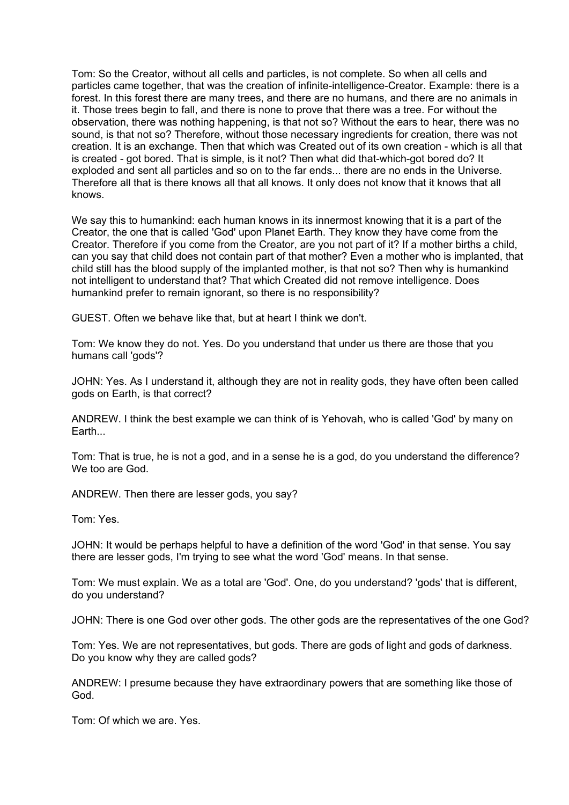Tom: So the Creator, without all cells and particles, is not complete. So when all cells and particles came together, that was the creation of infinite-intelligence-Creator. Example: there is a forest. In this forest there are many trees, and there are no humans, and there are no animals in it. Those trees begin to fall, and there is none to prove that there was a tree. For without the observation, there was nothing happening, is that not so? Without the ears to hear, there was no sound, is that not so? Therefore, without those necessary ingredients for creation, there was not creation. It is an exchange. Then that which was Created out of its own creation - which is all that is created - got bored. That is simple, is it not? Then what did that-which-got bored do? It exploded and sent all particles and so on to the far ends... there are no ends in the Universe. Therefore all that is there knows all that all knows. It only does not know that it knows that all knows.

We say this to humankind: each human knows in its innermost knowing that it is a part of the Creator, the one that is called 'God' upon Planet Earth. They know they have come from the Creator. Therefore if you come from the Creator, are you not part of it? If a mother births a child, can you say that child does not contain part of that mother? Even a mother who is implanted, that child still has the blood supply of the implanted mother, is that not so? Then why is humankind not intelligent to understand that? That which Created did not remove intelligence. Does humankind prefer to remain ignorant, so there is no responsibility?

GUEST. Often we behave like that, but at heart I think we don't.

Tom: We know they do not. Yes. Do you understand that under us there are those that you humans call 'gods'?

JOHN: Yes. As I understand it, although they are not in reality gods, they have often been called gods on Earth, is that correct?

ANDREW. I think the best example we can think of is Yehovah, who is called 'God' by many on Earth...

Tom: That is true, he is not a god, and in a sense he is a god, do you understand the difference? We too are God.

ANDREW. Then there are lesser gods, you say?

Tom: Yes.

JOHN: It would be perhaps helpful to have a definition of the word 'God' in that sense. You say there are lesser gods, I'm trying to see what the word 'God' means. In that sense.

Tom: We must explain. We as a total are 'God'. One, do you understand? 'gods' that is different, do you understand?

JOHN: There is one God over other gods. The other gods are the representatives of the one God?

Tom: Yes. We are not representatives, but gods. There are gods of light and gods of darkness. Do you know why they are called gods?

ANDREW: I presume because they have extraordinary powers that are something like those of God.

Tom: Of which we are. Yes.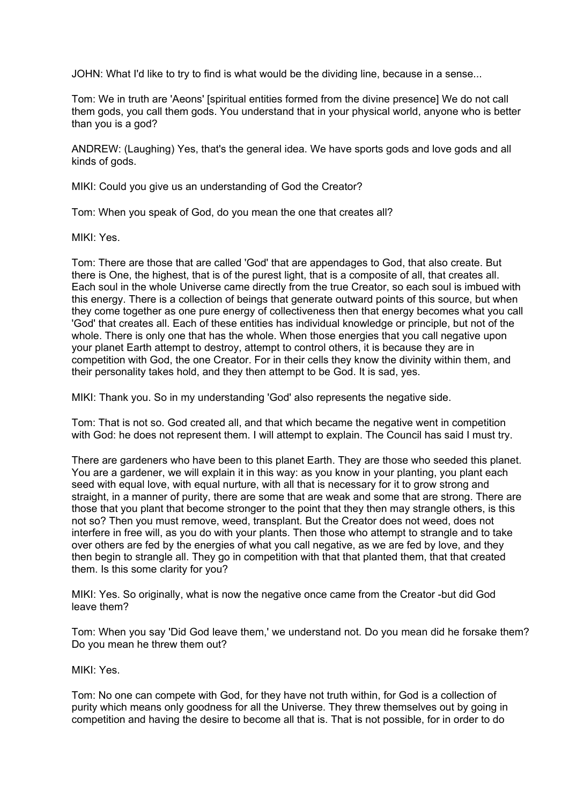JOHN: What I'd like to try to find is what would be the dividing line, because in a sense...

Tom: We in truth are 'Aeons' [spiritual entities formed from the divine presence] We do not call them gods, you call them gods. You understand that in your physical world, anyone who is better than you is a god?

ANDREW: (Laughing) Yes, that's the general idea. We have sports gods and love gods and all kinds of gods.

MIKI: Could you give us an understanding of God the Creator?

Tom: When you speak of God, do you mean the one that creates all?

MIKI: Yes.

Tom: There are those that are called 'God' that are appendages to God, that also create. But there is One, the highest, that is of the purest light, that is a composite of all, that creates all. Each soul in the whole Universe came directly from the true Creator, so each soul is imbued with this energy. There is a collection of beings that generate outward points of this source, but when they come together as one pure energy of collectiveness then that energy becomes what you call 'God' that creates all. Each of these entities has individual knowledge or principle, but not of the whole. There is only one that has the whole. When those energies that you call negative upon your planet Earth attempt to destroy, attempt to control others, it is because they are in competition with God, the one Creator. For in their cells they know the divinity within them, and their personality takes hold, and they then attempt to be God. It is sad, yes.

MIKI: Thank you. So in my understanding 'God' also represents the negative side.

Tom: That is not so. God created all, and that which became the negative went in competition with God: he does not represent them. I will attempt to explain. The Council has said I must try.

There are gardeners who have been to this planet Earth. They are those who seeded this planet. You are a gardener, we will explain it in this way: as you know in your planting, you plant each seed with equal love, with equal nurture, with all that is necessary for it to grow strong and straight, in a manner of purity, there are some that are weak and some that are strong. There are those that you plant that become stronger to the point that they then may strangle others, is this not so? Then you must remove, weed, transplant. But the Creator does not weed, does not interfere in free will, as you do with your plants. Then those who attempt to strangle and to take over others are fed by the energies of what you call negative, as we are fed by love, and they then begin to strangle all. They go in competition with that that planted them, that that created them. Is this some clarity for you?

MIKI: Yes. So originally, what is now the negative once came from the Creator -but did God leave them?

Tom: When you say 'Did God leave them,' we understand not. Do you mean did he forsake them? Do you mean he threw them out?

MIKI: Yes.

Tom: No one can compete with God, for they have not truth within, for God is a collection of purity which means only goodness for all the Universe. They threw themselves out by going in competition and having the desire to become all that is. That is not possible, for in order to do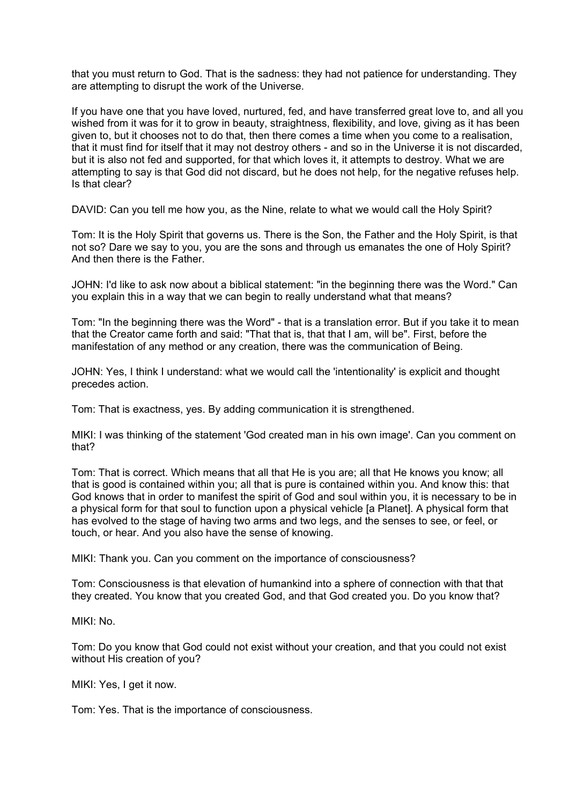that you must return to God. That is the sadness: they had not patience for understanding. They are attempting to disrupt the work of the Universe.

If you have one that you have loved, nurtured, fed, and have transferred great love to, and all you wished from it was for it to grow in beauty, straightness, flexibility, and love, giving as it has been given to, but it chooses not to do that, then there comes a time when you come to a realisation, that it must find for itself that it may not destroy others - and so in the Universe it is not discarded, but it is also not fed and supported, for that which loves it, it attempts to destroy. What we are attempting to say is that God did not discard, but he does not help, for the negative refuses help. Is that clear?

DAVID: Can you tell me how you, as the Nine, relate to what we would call the Holy Spirit?

Tom: It is the Holy Spirit that governs us. There is the Son, the Father and the Holy Spirit, is that not so? Dare we say to you, you are the sons and through us emanates the one of Holy Spirit? And then there is the Father.

JOHN: I'd like to ask now about a biblical statement: "in the beginning there was the Word." Can you explain this in a way that we can begin to really understand what that means?

Tom: "In the beginning there was the Word" - that is a translation error. But if you take it to mean that the Creator came forth and said: "That that is, that that I am, will be". First, before the manifestation of any method or any creation, there was the communication of Being.

JOHN: Yes, I think I understand: what we would call the 'intentionality' is explicit and thought precedes action.

Tom: That is exactness, yes. By adding communication it is strengthened.

MIKI: I was thinking of the statement 'God created man in his own image'. Can you comment on that?

Tom: That is correct. Which means that all that He is you are; all that He knows you know; all that is good is contained within you; all that is pure is contained within you. And know this: that God knows that in order to manifest the spirit of God and soul within you, it is necessary to be in a physical form for that soul to function upon a physical vehicle [a Planet]. A physical form that has evolved to the stage of having two arms and two legs, and the senses to see, or feel, or touch, or hear. And you also have the sense of knowing.

MIKI: Thank you. Can you comment on the importance of consciousness?

Tom: Consciousness is that elevation of humankind into a sphere of connection with that that they created. You know that you created God, and that God created you. Do you know that?

MIKI: No.

Tom: Do you know that God could not exist without your creation, and that you could not exist without His creation of you?

MIKI: Yes, I get it now.

Tom: Yes. That is the importance of consciousness.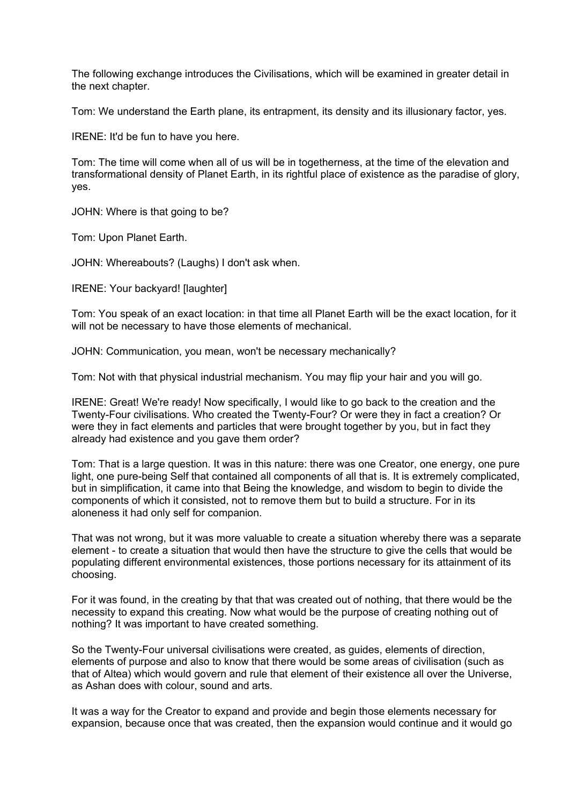The following exchange introduces the Civilisations, which will be examined in greater detail in the next chapter.

Tom: We understand the Earth plane, its entrapment, its density and its illusionary factor, yes.

IRENE: It'd be fun to have you here.

Tom: The time will come when all of us will be in togetherness, at the time of the elevation and transformational density of Planet Earth, in its rightful place of existence as the paradise of glory, yes.

JOHN: Where is that going to be?

Tom: Upon Planet Earth.

JOHN: Whereabouts? (Laughs) I don't ask when.

IRENE: Your backyard! [laughter]

Tom: You speak of an exact location: in that time all Planet Earth will be the exact location, for it will not be necessary to have those elements of mechanical.

JOHN: Communication, you mean, won't be necessary mechanically?

Tom: Not with that physical industrial mechanism. You may flip your hair and you will go.

IRENE: Great! We're ready! Now specifically, I would like to go back to the creation and the Twenty-Four civilisations. Who created the Twenty-Four? Or were they in fact a creation? Or were they in fact elements and particles that were brought together by you, but in fact they already had existence and you gave them order?

Tom: That is a large question. It was in this nature: there was one Creator, one energy, one pure light, one pure-being Self that contained all components of all that is. It is extremely complicated, but in simplification, it came into that Being the knowledge, and wisdom to begin to divide the components of which it consisted, not to remove them but to build a structure. For in its aloneness it had only self for companion.

That was not wrong, but it was more valuable to create a situation whereby there was a separate element - to create a situation that would then have the structure to give the cells that would be populating different environmental existences, those portions necessary for its attainment of its choosing.

For it was found, in the creating by that that was created out of nothing, that there would be the necessity to expand this creating. Now what would be the purpose of creating nothing out of nothing? It was important to have created something.

So the Twenty-Four universal civilisations were created, as guides, elements of direction, elements of purpose and also to know that there would be some areas of civilisation (such as that of Altea) which would govern and rule that element of their existence all over the Universe, as Ashan does with colour, sound and arts.

It was a way for the Creator to expand and provide and begin those elements necessary for expansion, because once that was created, then the expansion would continue and it would go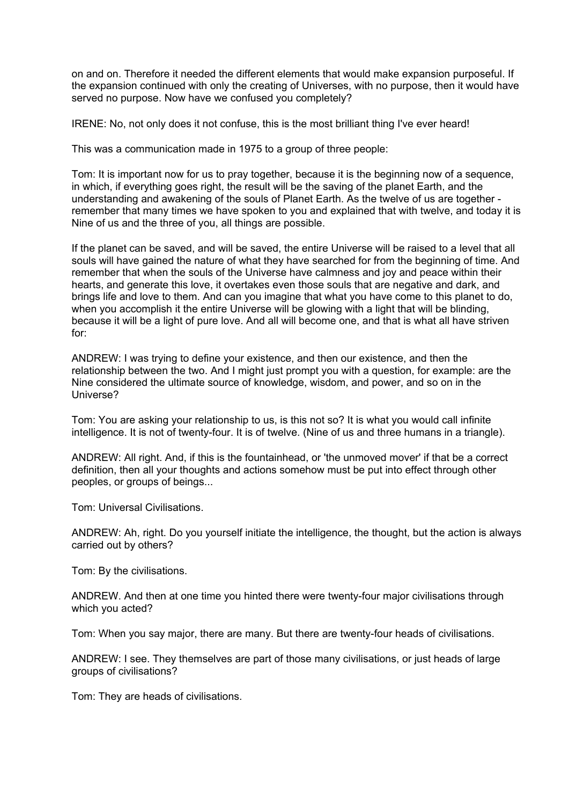on and on. Therefore it needed the different elements that would make expansion purposeful. If the expansion continued with only the creating of Universes, with no purpose, then it would have served no purpose. Now have we confused you completely?

IRENE: No, not only does it not confuse, this is the most brilliant thing I've ever heard!

This was a communication made in 1975 to a group of three people:

Tom: It is important now for us to pray together, because it is the beginning now of a sequence, in which, if everything goes right, the result will be the saving of the planet Earth, and the understanding and awakening of the souls of Planet Earth. As the twelve of us are together remember that many times we have spoken to you and explained that with twelve, and today it is Nine of us and the three of you, all things are possible.

If the planet can be saved, and will be saved, the entire Universe will be raised to a level that all souls will have gained the nature of what they have searched for from the beginning of time. And remember that when the souls of the Universe have calmness and joy and peace within their hearts, and generate this love, it overtakes even those souls that are negative and dark, and brings life and love to them. And can you imagine that what you have come to this planet to do, when you accomplish it the entire Universe will be glowing with a light that will be blinding, because it will be a light of pure love. And all will become one, and that is what all have striven for:

ANDREW: I was trying to define your existence, and then our existence, and then the relationship between the two. And I might just prompt you with a question, for example: are the Nine considered the ultimate source of knowledge, wisdom, and power, and so on in the Universe?

Tom: You are asking your relationship to us, is this not so? It is what you would call infinite intelligence. It is not of twenty-four. It is of twelve. (Nine of us and three humans in a triangle).

ANDREW: All right. And, if this is the fountainhead, or 'the unmoved mover' if that be a correct definition, then all your thoughts and actions somehow must be put into effect through other peoples, or groups of beings...

Tom: Universal Civilisations.

ANDREW: Ah, right. Do you yourself initiate the intelligence, the thought, but the action is always carried out by others?

Tom: By the civilisations.

ANDREW. And then at one time you hinted there were twenty-four major civilisations through which you acted?

Tom: When you say major, there are many. But there are twenty-four heads of civilisations.

ANDREW: I see. They themselves are part of those many civilisations, or just heads of large groups of civilisations?

Tom: They are heads of civilisations.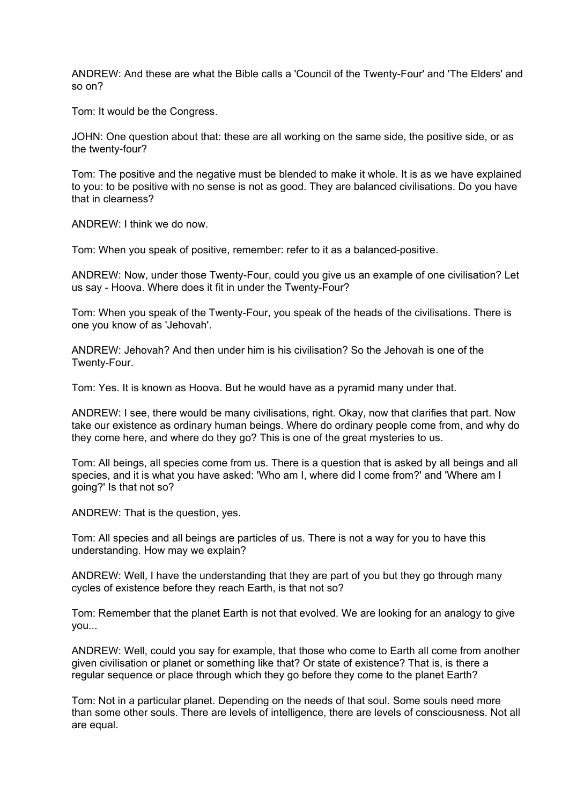ANDREW: And these are what the Bible calls a 'Council of the Twenty-Four' and 'The Elders' and so on?

Tom: It would be the Congress.

JOHN: One question about that: these are all working on the same side, the positive side, or as the twenty-four?

Tom: The positive and the negative must be blended to make it whole. It is as we have explained to you: to be positive with no sense is not as good. They are balanced civilisations. Do you have that in clearness?

ANDREW: I think we do now.

Tom: When you speak of positive, remember: refer to it as a balanced-positive.

ANDREW: Now, under those Twenty-Four, could you give us an example of one civilisation? Let us say - Hoova. Where does it fit in under the Twenty-Four?

Tom: When you speak of the Twenty-Four, you speak of the heads of the civilisations. There is one you know of as 'Jehovah'.

ANDREW: Jehovah? And then under him is his civilisation? So the Jehovah is one of the Twenty-Four.

Tom: Yes. It is known as Hoova. But he would have as a pyramid many under that.

ANDREW: I see, there would be many civilisations, right. Okay, now that clarifies that part. Now take our existence as ordinary human beings. Where do ordinary people come from, and why do they come here, and where do they go? This is one of the great mysteries to us.

Tom: All beings, all species come from us. There is a question that is asked by all beings and all species, and it is what you have asked: 'Who am I, where did I come from?' and 'Where am I going?' Is that not so?

ANDREW: That is the question, yes.

Tom: All species and all beings are particles of us. There is not a way for you to have this understanding. How may we explain?

ANDREW: Well, I have the understanding that they are part of you but they go through many cycles of existence before they reach Earth, is that not so?

Tom: Remember that the planet Earth is not that evolved. We are looking for an analogy to give you...

ANDREW: Well, could you say for example, that those who come to Earth all come from another given civilisation or planet or something like that? Or state of existence? That is, is there a regular sequence or place through which they go before they come to the planet Earth?

Tom: Not in a particular planet. Depending on the needs of that soul. Some souls need more than some other souls. There are levels of intelligence, there are levels of consciousness. Not all are equal.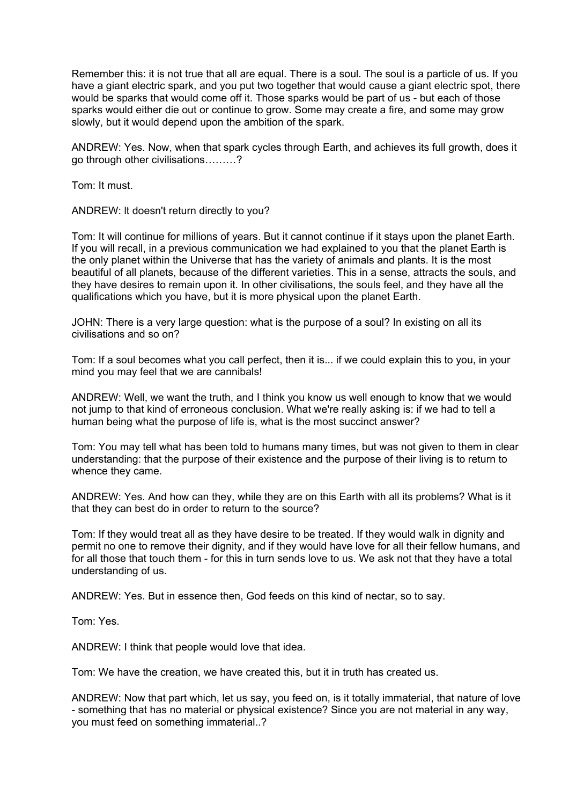Remember this: it is not true that all are equal. There is a soul. The soul is a particle of us. If you have a giant electric spark, and you put two together that would cause a giant electric spot, there would be sparks that would come off it. Those sparks would be part of us - but each of those sparks would either die out or continue to grow. Some may create a fire, and some may grow slowly, but it would depend upon the ambition of the spark.

ANDREW: Yes. Now, when that spark cycles through Earth, and achieves its full growth, does it go through other civilisations………?

Tom: It must.

ANDREW: lt doesn't return directly to you?

Tom: It will continue for millions of years. But it cannot continue if it stays upon the planet Earth. If you will recall, in a previous communication we had explained to you that the planet Earth is the only planet within the Universe that has the variety of animals and plants. It is the most beautiful of all planets, because of the different varieties. This in a sense, attracts the souls, and they have desires to remain upon it. In other civilisations, the souls feel, and they have all the qualifications which you have, but it is more physical upon the planet Earth.

JOHN: There is a very large question: what is the purpose of a soul? In existing on all its civilisations and so on?

Tom: If a soul becomes what you call perfect, then it is... if we could explain this to you, in your mind you may feel that we are cannibals!

ANDREW: Well, we want the truth, and I think you know us well enough to know that we would not jump to that kind of erroneous conclusion. What we're really asking is: if we had to tell a human being what the purpose of life is, what is the most succinct answer?

Tom: You may tell what has been told to humans many times, but was not given to them in clear understanding: that the purpose of their existence and the purpose of their living is to return to whence they came.

ANDREW: Yes. And how can they, while they are on this Earth with all its problems? What is it that they can best do in order to return to the source?

Tom: If they would treat all as they have desire to be treated. If they would walk in dignity and permit no one to remove their dignity, and if they would have love for all their fellow humans, and for all those that touch them - for this in turn sends love to us. We ask not that they have a total understanding of us.

ANDREW: Yes. But in essence then, God feeds on this kind of nectar, so to say.

Tom: Yes.

ANDREW: I think that people would love that idea.

Tom: We have the creation, we have created this, but it in truth has created us.

ANDREW: Now that part which, let us say, you feed on, is it totally immaterial, that nature of love - something that has no material or physical existence? Since you are not material in any way, you must feed on something immaterial..?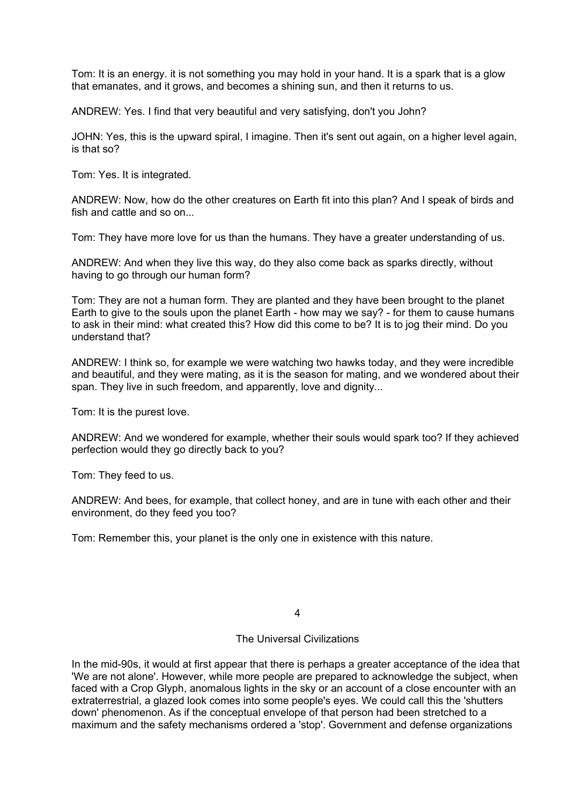Tom: It is an energy. it is not something you may hold in your hand. It is a spark that is a glow that emanates, and it grows, and becomes a shining sun, and then it returns to us.

ANDREW: Yes. I find that very beautiful and very satisfying, don't you John?

JOHN: Yes, this is the upward spiral, I imagine. Then it's sent out again, on a higher level again, is that so?

Tom: Yes. It is integrated.

ANDREW: Now, how do the other creatures on Earth fit into this plan? And I speak of birds and fish and cattle and so on...

Tom: They have more love for us than the humans. They have a greater understanding of us.

ANDREW: And when they live this way, do they also come back as sparks directly, without having to go through our human form?

Tom: They are not a human form. They are planted and they have been brought to the planet Earth to give to the souls upon the planet Earth - how may we say? - for them to cause humans to ask in their mind: what created this? How did this come to be? It is to jog their mind. Do you understand that?

ANDREW: I think so, for example we were watching two hawks today, and they were incredible and beautiful, and they were mating, as it is the season for mating, and we wondered about their span. They live in such freedom, and apparently, love and dignity...

Tom: It is the purest love.

ANDREW: And we wondered for example, whether their souls would spark too? If they achieved perfection would they go directly back to you?

Tom: They feed to us.

ANDREW: And bees, for example, that collect honey, and are in tune with each other and their environment, do they feed you too?

Tom: Remember this, your planet is the only one in existence with this nature.

4

#### The Universal Civilizations

In the mid-90s, it would at first appear that there is perhaps a greater acceptance of the idea that 'We are not alone'. However, while more people are prepared to acknowledge the subject, when faced with a Crop Glyph, anomalous lights in the sky or an account of a close encounter with an extraterrestrial, a glazed look comes into some people's eyes. We could call this the 'shutters down' phenomenon. As if the conceptual envelope of that person had been stretched to a maximum and the safety mechanisms ordered a 'stop'. Government and defense organizations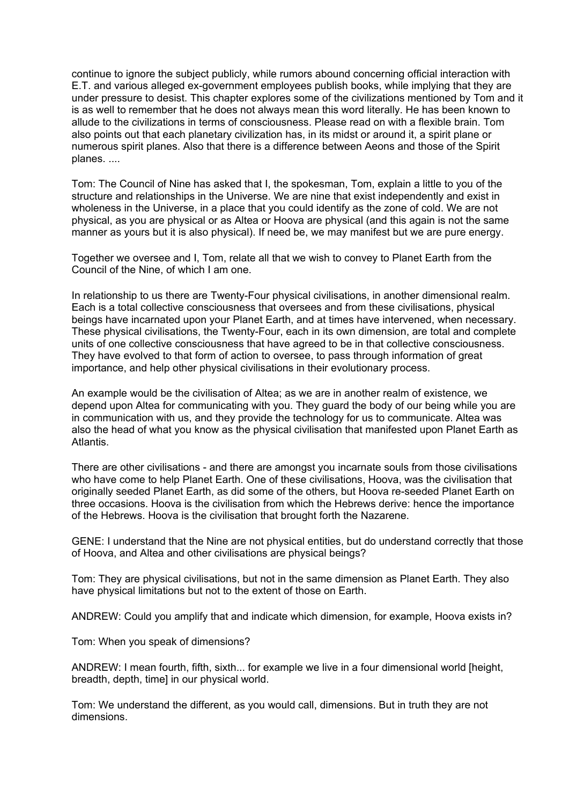continue to ignore the subject publicly, while rumors abound concerning official interaction with E.T. and various alleged ex-government employees publish books, while implying that they are under pressure to desist. This chapter explores some of the civilizations mentioned by Tom and it is as well to remember that he does not always mean this word literally. He has been known to allude to the civilizations in terms of consciousness. Please read on with a flexible brain. Tom also points out that each planetary civilization has, in its midst or around it, a spirit plane or numerous spirit planes. Also that there is a difference between Aeons and those of the Spirit planes. ....

Tom: The Council of Nine has asked that I, the spokesman, Tom, explain a little to you of the structure and relationships in the Universe. We are nine that exist independently and exist in wholeness in the Universe, in a place that you could identify as the zone of cold. We are not physical, as you are physical or as Altea or Hoova are physical (and this again is not the same manner as yours but it is also physical). If need be, we may manifest but we are pure energy.

Together we oversee and I, Tom, relate all that we wish to convey to Planet Earth from the Council of the Nine, of which I am one.

In relationship to us there are Twenty-Four physical civilisations, in another dimensional realm. Each is a total collective consciousness that oversees and from these civilisations, physical beings have incarnated upon your Planet Earth, and at times have intervened, when necessary. These physical civilisations, the Twenty-Four, each in its own dimension, are total and complete units of one collective consciousness that have agreed to be in that collective consciousness. They have evolved to that form of action to oversee, to pass through information of great importance, and help other physical civilisations in their evolutionary process.

An example would be the civilisation of Altea; as we are in another realm of existence, we depend upon Altea for communicating with you. They guard the body of our being while you are in communication with us, and they provide the technology for us to communicate. Altea was also the head of what you know as the physical civilisation that manifested upon Planet Earth as Atlantis.

There are other civilisations - and there are amongst you incarnate souls from those civilisations who have come to help Planet Earth. One of these civilisations, Hoova, was the civilisation that originally seeded Planet Earth, as did some of the others, but Hoova re-seeded Planet Earth on three occasions. Hoova is the civilisation from which the Hebrews derive: hence the importance of the Hebrews. Hoova is the civilisation that brought forth the Nazarene.

GENE: I understand that the Nine are not physical entities, but do understand correctly that those of Hoova, and Altea and other civilisations are physical beings?

Tom: They are physical civilisations, but not in the same dimension as Planet Earth. They also have physical limitations but not to the extent of those on Earth.

ANDREW: Could you amplify that and indicate which dimension, for example, Hoova exists in?

Tom: When you speak of dimensions?

ANDREW: I mean fourth, fifth, sixth... for example we live in a four dimensional world [height, breadth, depth, time] in our physical world.

Tom: We understand the different, as you would call, dimensions. But in truth they are not dimensions.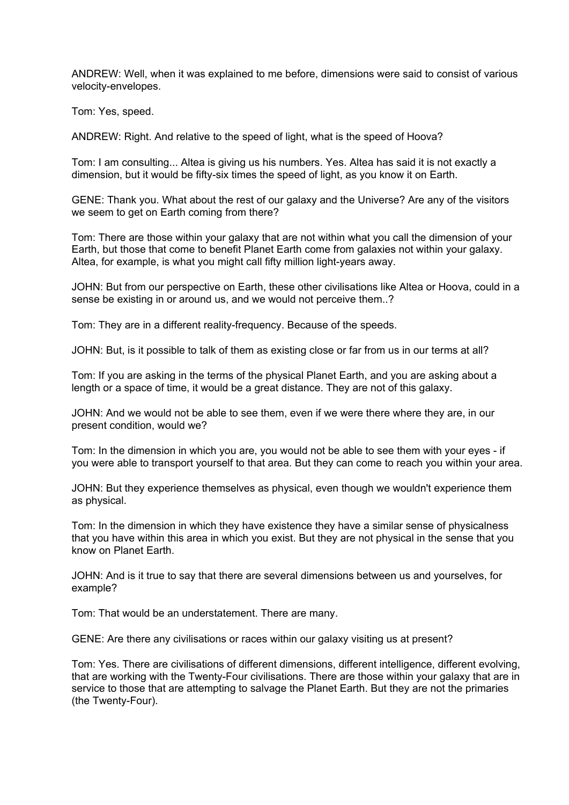ANDREW: Well, when it was explained to me before, dimensions were said to consist of various velocity-envelopes.

Tom: Yes, speed.

ANDREW: Right. And relative to the speed of light, what is the speed of Hoova?

Tom: I am consulting... Altea is giving us his numbers. Yes. Altea has said it is not exactly a dimension, but it would be fifty-six times the speed of light, as you know it on Earth.

GENE: Thank you. What about the rest of our galaxy and the Universe? Are any of the visitors we seem to get on Earth coming from there?

Tom: There are those within your galaxy that are not within what you call the dimension of your Earth, but those that come to benefit Planet Earth come from galaxies not within your galaxy. Altea, for example, is what you might call fifty million light-years away.

JOHN: But from our perspective on Earth, these other civilisations like Altea or Hoova, could in a sense be existing in or around us, and we would not perceive them..?

Tom: They are in a different reality-frequency. Because of the speeds.

JOHN: But, is it possible to talk of them as existing close or far from us in our terms at all?

Tom: If you are asking in the terms of the physical Planet Earth, and you are asking about a length or a space of time, it would be a great distance. They are not of this galaxy.

JOHN: And we would not be able to see them, even if we were there where they are, in our present condition, would we?

Tom: In the dimension in which you are, you would not be able to see them with your eyes - if you were able to transport yourself to that area. But they can come to reach you within your area.

JOHN: But they experience themselves as physical, even though we wouldn't experience them as physical.

Tom: In the dimension in which they have existence they have a similar sense of physicalness that you have within this area in which you exist. But they are not physical in the sense that you know on Planet Earth.

JOHN: And is it true to say that there are several dimensions between us and yourselves, for example?

Tom: That would be an understatement. There are many.

GENE: Are there any civilisations or races within our galaxy visiting us at present?

Tom: Yes. There are civilisations of different dimensions, different intelligence, different evolving, that are working with the Twenty-Four civilisations. There are those within your galaxy that are in service to those that are attempting to salvage the Planet Earth. But they are not the primaries (the Twenty-Four).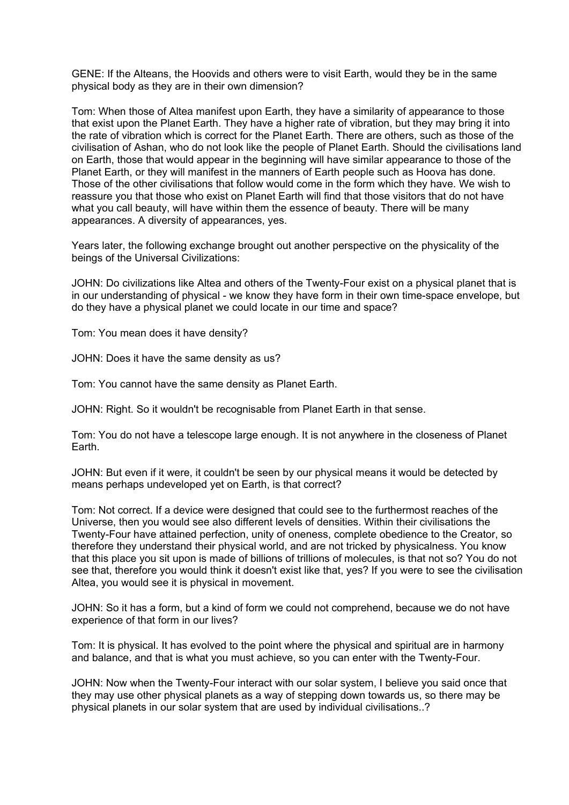GENE: If the Alteans, the Hoovids and others were to visit Earth, would they be in the same physical body as they are in their own dimension?

Tom: When those of Altea manifest upon Earth, they have a similarity of appearance to those that exist upon the Planet Earth. They have a higher rate of vibration, but they may bring it into the rate of vibration which is correct for the Planet Earth. There are others, such as those of the civilisation of Ashan, who do not look like the people of Planet Earth. Should the civilisations land on Earth, those that would appear in the beginning will have similar appearance to those of the Planet Earth, or they will manifest in the manners of Earth people such as Hoova has done. Those of the other civilisations that follow would come in the form which they have. We wish to reassure you that those who exist on Planet Earth will find that those visitors that do not have what you call beauty, will have within them the essence of beauty. There will be many appearances. A diversity of appearances, yes.

Years later, the following exchange brought out another perspective on the physicality of the beings of the Universal Civilizations:

JOHN: Do civilizations like Altea and others of the Twenty-Four exist on a physical planet that is in our understanding of physical - we know they have form in their own time-space envelope, but do they have a physical planet we could locate in our time and space?

Tom: You mean does it have density?

JOHN: Does it have the same density as us?

Tom: You cannot have the same density as Planet Earth.

JOHN: Right. So it wouldn't be recognisable from Planet Earth in that sense.

Tom: You do not have a telescope large enough. It is not anywhere in the closeness of Planet Earth.

JOHN: But even if it were, it couldn't be seen by our physical means it would be detected by means perhaps undeveloped yet on Earth, is that correct?

Tom: Not correct. If a device were designed that could see to the furthermost reaches of the Universe, then you would see also different levels of densities. Within their civilisations the Twenty-Four have attained perfection, unity of oneness, complete obedience to the Creator, so therefore they understand their physical world, and are not tricked by physicalness. You know that this place you sit upon is made of billions of trillions of molecules, is that not so? You do not see that, therefore you would think it doesn't exist like that, yes? If you were to see the civilisation Altea, you would see it is physical in movement.

JOHN: So it has a form, but a kind of form we could not comprehend, because we do not have experience of that form in our lives?

Tom: It is physical. It has evolved to the point where the physical and spiritual are in harmony and balance, and that is what you must achieve, so you can enter with the Twenty-Four.

JOHN: Now when the Twenty-Four interact with our solar system, I believe you said once that they may use other physical planets as a way of stepping down towards us, so there may be physical planets in our solar system that are used by individual civilisations..?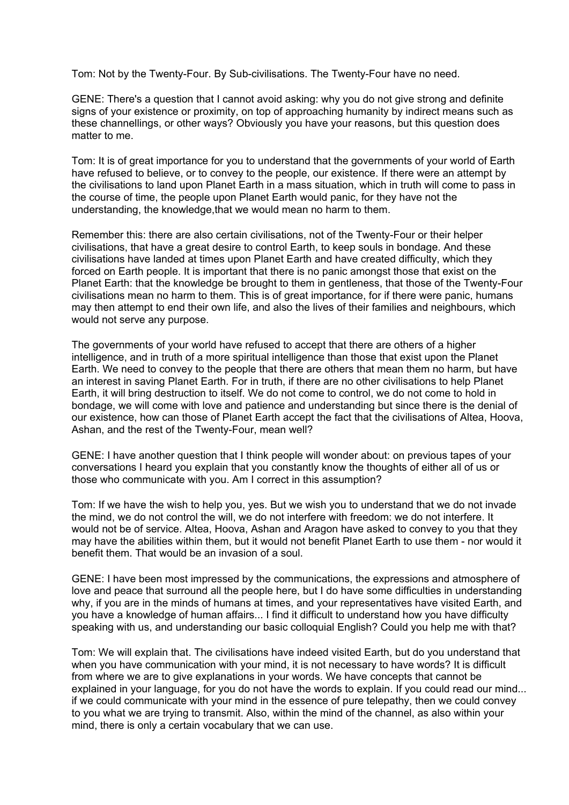Tom: Not by the Twenty-Four. By Sub-civilisations. The Twenty-Four have no need.

GENE: There's a question that I cannot avoid asking: why you do not give strong and definite signs of your existence or proximity, on top of approaching humanity by indirect means such as these channellings, or other ways? Obviously you have your reasons, but this question does matter to me.

Tom: It is of great importance for you to understand that the governments of your world of Earth have refused to believe, or to convey to the people, our existence. If there were an attempt by the civilisations to land upon Planet Earth in a mass situation, which in truth will come to pass in the course of time, the people upon Planet Earth would panic, for they have not the understanding, the knowledge,that we would mean no harm to them.

Remember this: there are also certain civilisations, not of the Twenty-Four or their helper civilisations, that have a great desire to control Earth, to keep souls in bondage. And these civilisations have landed at times upon Planet Earth and have created difficulty, which they forced on Earth people. It is important that there is no panic amongst those that exist on the Planet Earth: that the knowledge be brought to them in gentleness, that those of the Twenty-Four civilisations mean no harm to them. This is of great importance, for if there were panic, humans may then attempt to end their own life, and also the lives of their families and neighbours, which would not serve any purpose.

The governments of your world have refused to accept that there are others of a higher intelligence, and in truth of a more spiritual intelligence than those that exist upon the Planet Earth. We need to convey to the people that there are others that mean them no harm, but have an interest in saving Planet Earth. For in truth, if there are no other civilisations to help Planet Earth, it will bring destruction to itself. We do not come to control, we do not come to hold in bondage, we will come with love and patience and understanding but since there is the denial of our existence, how can those of Planet Earth accept the fact that the civilisations of Altea, Hoova, Ashan, and the rest of the Twenty-Four, mean well?

GENE: I have another question that I think people will wonder about: on previous tapes of your conversations I heard you explain that you constantly know the thoughts of either all of us or those who communicate with you. Am I correct in this assumption?

Tom: If we have the wish to help you, yes. But we wish you to understand that we do not invade the mind, we do not control the will, we do not interfere with freedom: we do not interfere. It would not be of service. Altea, Hoova, Ashan and Aragon have asked to convey to you that they may have the abilities within them, but it would not benefit Planet Earth to use them - nor would it benefit them. That would be an invasion of a soul.

GENE: I have been most impressed by the communications, the expressions and atmosphere of love and peace that surround all the people here, but I do have some difficulties in understanding why, if you are in the minds of humans at times, and your representatives have visited Earth, and you have a knowledge of human affairs... I find it difficult to understand how you have difficulty speaking with us, and understanding our basic colloquial English? Could you help me with that?

Tom: We will explain that. The civilisations have indeed visited Earth, but do you understand that when you have communication with your mind, it is not necessary to have words? It is difficult from where we are to give explanations in your words. We have concepts that cannot be explained in your language, for you do not have the words to explain. If you could read our mind... if we could communicate with your mind in the essence of pure telepathy, then we could convey to you what we are trying to transmit. Also, within the mind of the channel, as also within your mind, there is only a certain vocabulary that we can use.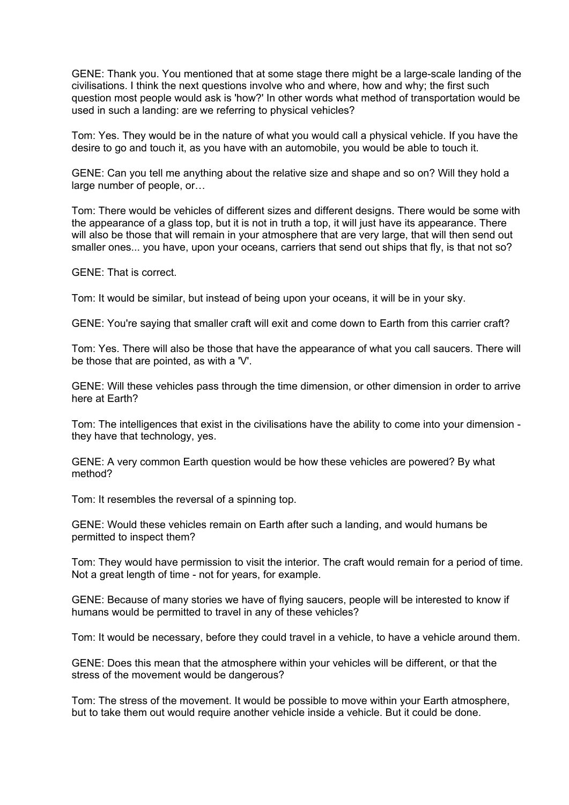GENE: Thank you. You mentioned that at some stage there might be a large-scale landing of the civilisations. I think the next questions involve who and where, how and why; the first such question most people would ask is 'how?' In other words what method of transportation would be used in such a landing: are we referring to physical vehicles?

Tom: Yes. They would be in the nature of what you would call a physical vehicle. If you have the desire to go and touch it, as you have with an automobile, you would be able to touch it.

GENE: Can you tell me anything about the relative size and shape and so on? Will they hold a large number of people, or…

Tom: There would be vehicles of different sizes and different designs. There would be some with the appearance of a glass top, but it is not in truth a top, it will just have its appearance. There will also be those that will remain in your atmosphere that are very large, that will then send out smaller ones... you have, upon your oceans, carriers that send out ships that fly, is that not so?

GENE: That is correct.

Tom: It would be similar, but instead of being upon your oceans, it will be in your sky.

GENE: You're saying that smaller craft will exit and come down to Earth from this carrier craft?

Tom: Yes. There will also be those that have the appearance of what you call saucers. There will be those that are pointed, as with a 'V'.

GENE: Will these vehicles pass through the time dimension, or other dimension in order to arrive here at Earth?

Tom: The intelligences that exist in the civilisations have the ability to come into your dimension they have that technology, yes.

GENE: A very common Earth question would be how these vehicles are powered? By what method?

Tom: It resembles the reversal of a spinning top.

GENE: Would these vehicles remain on Earth after such a landing, and would humans be permitted to inspect them?

Tom: They would have permission to visit the interior. The craft would remain for a period of time. Not a great length of time - not for years, for example.

GENE: Because of many stories we have of flying saucers, people will be interested to know if humans would be permitted to travel in any of these vehicles?

Tom: It would be necessary, before they could travel in a vehicle, to have a vehicle around them.

GENE: Does this mean that the atmosphere within your vehicles will be different, or that the stress of the movement would be dangerous?

Tom: The stress of the movement. It would be possible to move within your Earth atmosphere, but to take them out would require another vehicle inside a vehicle. But it could be done.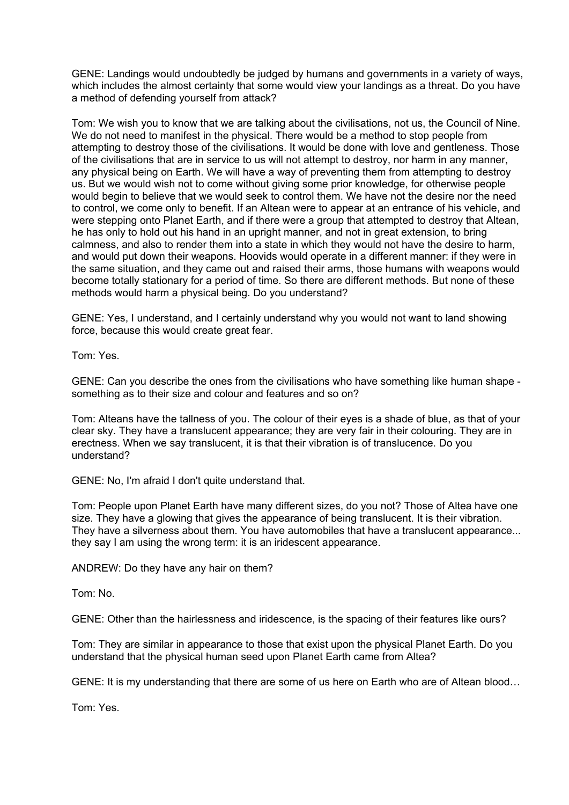GENE: Landings would undoubtedly be judged by humans and governments in a variety of ways, which includes the almost certainty that some would view your landings as a threat. Do you have a method of defending yourself from attack?

Tom: We wish you to know that we are talking about the civilisations, not us, the Council of Nine. We do not need to manifest in the physical. There would be a method to stop people from attempting to destroy those of the civilisations. It would be done with love and gentleness. Those of the civilisations that are in service to us will not attempt to destroy, nor harm in any manner, any physical being on Earth. We will have a way of preventing them from attempting to destroy us. But we would wish not to come without giving some prior knowledge, for otherwise people would begin to believe that we would seek to control them. We have not the desire nor the need to control, we come only to benefit. If an Altean were to appear at an entrance of his vehicle, and were stepping onto Planet Earth, and if there were a group that attempted to destroy that Altean, he has only to hold out his hand in an upright manner, and not in great extension, to bring calmness, and also to render them into a state in which they would not have the desire to harm, and would put down their weapons. Hoovids would operate in a different manner: if they were in the same situation, and they came out and raised their arms, those humans with weapons would become totally stationary for a period of time. So there are different methods. But none of these methods would harm a physical being. Do you understand?

GENE: Yes, I understand, and I certainly understand why you would not want to land showing force, because this would create great fear.

Tom: Yes.

GENE: Can you describe the ones from the civilisations who have something like human shape something as to their size and colour and features and so on?

Tom: Alteans have the tallness of you. The colour of their eyes is a shade of blue, as that of your clear sky. They have a translucent appearance; they are very fair in their colouring. They are in erectness. When we say translucent, it is that their vibration is of translucence. Do you understand?

GENE: No, I'm afraid I don't quite understand that.

Tom: People upon Planet Earth have many different sizes, do you not? Those of Altea have one size. They have a glowing that gives the appearance of being translucent. It is their vibration. They have a silverness about them. You have automobiles that have a translucent appearance... they say I am using the wrong term: it is an iridescent appearance.

ANDREW: Do they have any hair on them?

Tom: No.

GENE: Other than the hairlessness and iridescence, is the spacing of their features like ours?

Tom: They are similar in appearance to those that exist upon the physical Planet Earth. Do you understand that the physical human seed upon Planet Earth came from Altea?

GENE: It is my understanding that there are some of us here on Earth who are of Altean blood…

Tom: Yes.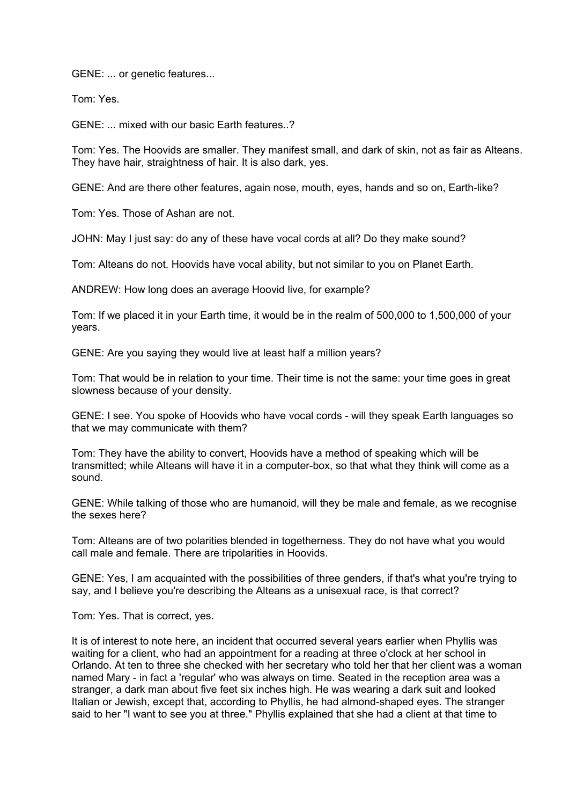GENE: ... or genetic features...

Tom: Yes.

GENE: ... mixed with our basic Earth features..?

Tom: Yes. The Hoovids are smaller. They manifest small, and dark of skin, not as fair as Alteans. They have hair, straightness of hair. It is also dark, yes.

GENE: And are there other features, again nose, mouth, eyes, hands and so on, Earth-like?

Tom: Yes. Those of Ashan are not.

JOHN: May I just say: do any of these have vocal cords at all? Do they make sound?

Tom: Alteans do not. Hoovids have vocal ability, but not similar to you on Planet Earth.

ANDREW: How long does an average Hoovid live, for example?

Tom: If we placed it in your Earth time, it would be in the realm of 500,000 to 1,500,000 of your years.

GENE: Are you saying they would live at least half a million years?

Tom: That would be in relation to your time. Their time is not the same: your time goes in great slowness because of your density.

GENE: I see. You spoke of Hoovids who have vocal cords - will they speak Earth languages so that we may communicate with them?

Tom: They have the ability to convert, Hoovids have a method of speaking which will be transmitted; while Alteans will have it in a computer-box, so that what they think will come as a sound.

GENE: While talking of those who are humanoid, will they be male and female, as we recognise the sexes here?

Tom: Alteans are of two polarities blended in togetherness. They do not have what you would call male and female. There are tripolarities in Hoovids.

GENE: Yes, I am acquainted with the possibilities of three genders, if that's what you're trying to say, and I believe you're describing the Alteans as a unisexual race, is that correct?

Tom: Yes. That is correct, yes.

It is of interest to note here, an incident that occurred several years earlier when Phyllis was waiting for a client, who had an appointment for a reading at three o'clock at her school in Orlando. At ten to three she checked with her secretary who told her that her client was a woman named Mary - in fact a 'regular' who was always on time. Seated in the reception area was a stranger, a dark man about five feet six inches high. He was wearing a dark suit and looked Italian or Jewish, except that, according to Phyllis, he had almond-shaped eyes. The stranger said to her "I want to see you at three." Phyllis explained that she had a client at that time to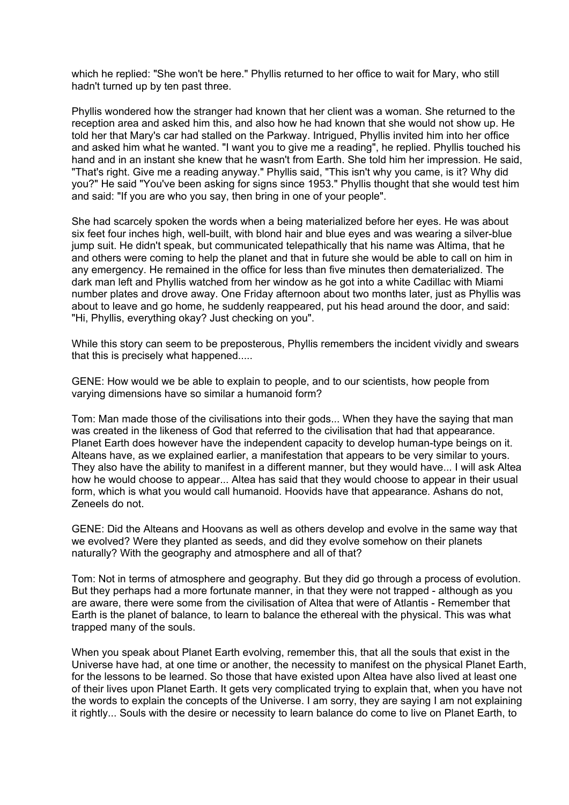which he replied: "She won't be here." Phyllis returned to her office to wait for Mary, who still hadn't turned up by ten past three.

Phyllis wondered how the stranger had known that her client was a woman. She returned to the reception area and asked him this, and also how he had known that she would not show up. He told her that Mary's car had stalled on the Parkway. Intrigued, Phyllis invited him into her office and asked him what he wanted. "I want you to give me a reading", he replied. Phyllis touched his hand and in an instant she knew that he wasn't from Earth. She told him her impression. He said, "That's right. Give me a reading anyway." Phyllis said, "This isn't why you came, is it? Why did you?" He said "You've been asking for signs since 1953." Phyllis thought that she would test him and said: "If you are who you say, then bring in one of your people".

She had scarcely spoken the words when a being materialized before her eyes. He was about six feet four inches high, well-built, with blond hair and blue eyes and was wearing a silver-blue jump suit. He didn't speak, but communicated telepathically that his name was Altima, that he and others were coming to help the planet and that in future she would be able to call on him in any emergency. He remained in the office for less than five minutes then dematerialized. The dark man left and Phyllis watched from her window as he got into a white Cadillac with Miami number plates and drove away. One Friday afternoon about two months later, just as Phyllis was about to leave and go home, he suddenly reappeared, put his head around the door, and said: "Hi, Phyllis, everything okay? Just checking on you".

While this story can seem to be preposterous, Phyllis remembers the incident vividly and swears that this is precisely what happened.....

GENE: How would we be able to explain to people, and to our scientists, how people from varying dimensions have so similar a humanoid form?

Tom: Man made those of the civilisations into their gods... When they have the saying that man was created in the likeness of God that referred to the civilisation that had that appearance. Planet Earth does however have the independent capacity to develop human-type beings on it. Alteans have, as we explained earlier, a manifestation that appears to be very similar to yours. They also have the ability to manifest in a different manner, but they would have... I will ask Altea how he would choose to appear... Altea has said that they would choose to appear in their usual form, which is what you would call humanoid. Hoovids have that appearance. Ashans do not, Zeneels do not.

GENE: Did the Alteans and Hoovans as well as others develop and evolve in the same way that we evolved? Were they planted as seeds, and did they evolve somehow on their planets naturally? With the geography and atmosphere and all of that?

Tom: Not in terms of atmosphere and geography. But they did go through a process of evolution. But they perhaps had a more fortunate manner, in that they were not trapped - although as you are aware, there were some from the civilisation of Altea that were of Atlantis - Remember that Earth is the planet of balance, to learn to balance the ethereal with the physical. This was what trapped many of the souls.

When you speak about Planet Earth evolving, remember this, that all the souls that exist in the Universe have had, at one time or another, the necessity to manifest on the physical Planet Earth, for the lessons to be learned. So those that have existed upon Altea have also lived at least one of their lives upon Planet Earth. It gets very complicated trying to explain that, when you have not the words to explain the concepts of the Universe. I am sorry, they are saying I am not explaining it rightly... Souls with the desire or necessity to learn balance do come to live on Planet Earth, to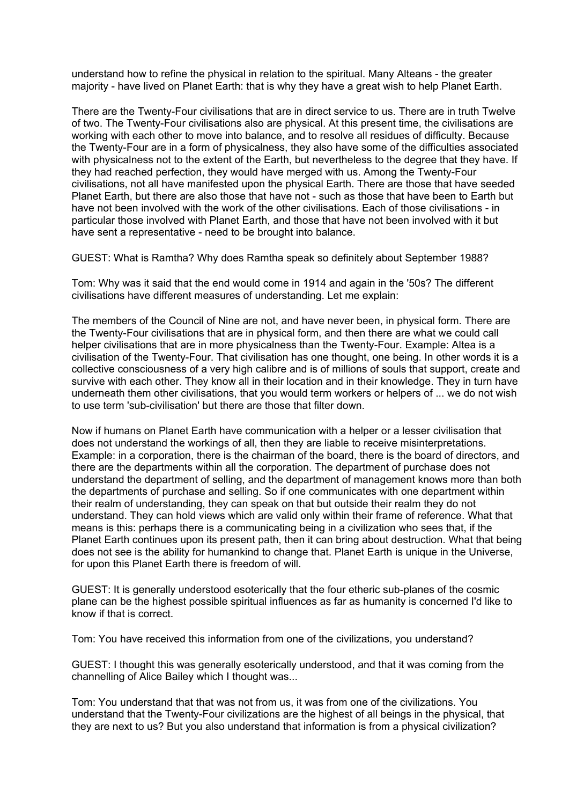understand how to refine the physical in relation to the spiritual. Many Alteans - the greater majority - have lived on Planet Earth: that is why they have a great wish to help Planet Earth.

There are the Twenty-Four civilisations that are in direct service to us. There are in truth Twelve of two. The Twenty-Four civilisations also are physical. At this present time, the civilisations are working with each other to move into balance, and to resolve all residues of difficulty. Because the Twenty-Four are in a form of physicalness, they also have some of the difficulties associated with physicalness not to the extent of the Earth, but nevertheless to the degree that they have. If they had reached perfection, they would have merged with us. Among the Twenty-Four civilisations, not all have manifested upon the physical Earth. There are those that have seeded Planet Earth, but there are also those that have not - such as those that have been to Earth but have not been involved with the work of the other civilisations. Each of those civilisations - in particular those involved with Planet Earth, and those that have not been involved with it but have sent a representative - need to be brought into balance.

GUEST: What is Ramtha? Why does Ramtha speak so definitely about September 1988?

Tom: Why was it said that the end would come in 1914 and again in the '50s? The different civilisations have different measures of understanding. Let me explain:

The members of the Council of Nine are not, and have never been, in physical form. There are the Twenty-Four civilisations that are in physical form, and then there are what we could call helper civilisations that are in more physicalness than the Twenty-Four. Example: Altea is a civilisation of the Twenty-Four. That civilisation has one thought, one being. In other words it is a collective consciousness of a very high calibre and is of millions of souls that support, create and survive with each other. They know all in their location and in their knowledge. They in turn have underneath them other civilisations, that you would term workers or helpers of ... we do not wish to use term 'sub-civilisation' but there are those that filter down.

Now if humans on Planet Earth have communication with a helper or a lesser civilisation that does not understand the workings of all, then they are liable to receive misinterpretations. Example: in a corporation, there is the chairman of the board, there is the board of directors, and there are the departments within all the corporation. The department of purchase does not understand the department of selling, and the department of management knows more than both the departments of purchase and selling. So if one communicates with one department within their realm of understanding, they can speak on that but outside their realm they do not understand. They can hold views which are valid only within their frame of reference. What that means is this: perhaps there is a communicating being in a civilization who sees that, if the Planet Earth continues upon its present path, then it can bring about destruction. What that being does not see is the ability for humankind to change that. Planet Earth is unique in the Universe, for upon this Planet Earth there is freedom of will.

GUEST: It is generally understood esoterically that the four etheric sub-planes of the cosmic plane can be the highest possible spiritual influences as far as humanity is concerned I'd like to know if that is correct.

Tom: You have received this information from one of the civilizations, you understand?

GUEST: I thought this was generally esoterically understood, and that it was coming from the channelling of Alice Bailey which I thought was...

Tom: You understand that that was not from us, it was from one of the civilizations. You understand that the Twenty-Four civilizations are the highest of all beings in the physical, that they are next to us? But you also understand that information is from a physical civilization?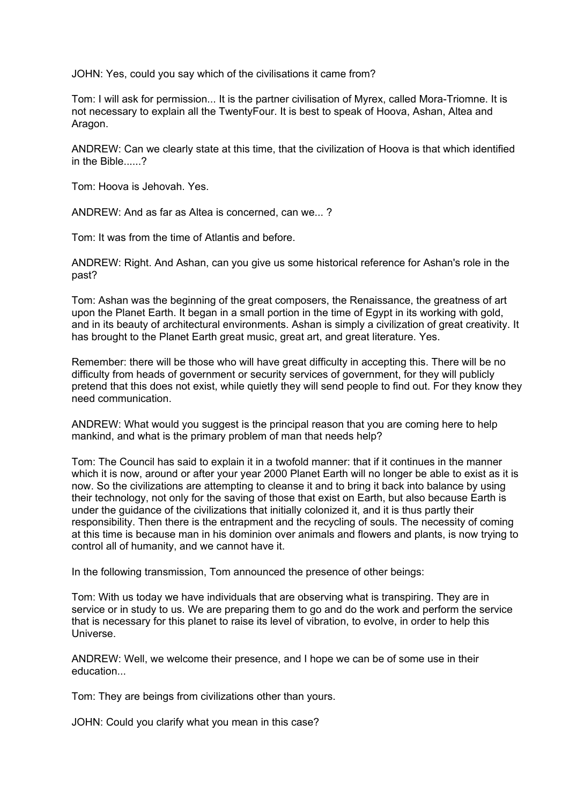JOHN: Yes, could you say which of the civilisations it came from?

Tom: I will ask for permission... It is the partner civilisation of Myrex, called Mora-Triomne. It is not necessary to explain all the TwentyFour. It is best to speak of Hoova, Ashan, Altea and Aragon.

ANDREW: Can we clearly state at this time, that the civilization of Hoova is that which identified in the Bible......?

Tom: Hoova is Jehovah. Yes.

ANDREW: And as far as Altea is concerned, can we... ?

Tom: It was from the time of Atlantis and before.

ANDREW: Right. And Ashan, can you give us some historical reference for Ashan's role in the past?

Tom: Ashan was the beginning of the great composers, the Renaissance, the greatness of art upon the Planet Earth. It began in a small portion in the time of Egypt in its working with gold, and in its beauty of architectural environments. Ashan is simply a civilization of great creativity. It has brought to the Planet Earth great music, great art, and great literature. Yes.

Remember: there will be those who will have great difficulty in accepting this. There will be no difficulty from heads of government or security services of government, for they will publicly pretend that this does not exist, while quietly they will send people to find out. For they know they need communication.

ANDREW: What would you suggest is the principal reason that you are coming here to help mankind, and what is the primary problem of man that needs help?

Tom: The Council has said to explain it in a twofold manner: that if it continues in the manner which it is now, around or after your year 2000 Planet Earth will no longer be able to exist as it is now. So the civilizations are attempting to cleanse it and to bring it back into balance by using their technology, not only for the saving of those that exist on Earth, but also because Earth is under the guidance of the civilizations that initially colonized it, and it is thus partly their responsibility. Then there is the entrapment and the recycling of souls. The necessity of coming at this time is because man in his dominion over animals and flowers and plants, is now trying to control all of humanity, and we cannot have it.

In the following transmission, Tom announced the presence of other beings:

Tom: With us today we have individuals that are observing what is transpiring. They are in service or in study to us. We are preparing them to go and do the work and perform the service that is necessary for this planet to raise its level of vibration, to evolve, in order to help this Universe.

ANDREW: Well, we welcome their presence, and I hope we can be of some use in their education...

Tom: They are beings from civilizations other than yours.

JOHN: Could you clarify what you mean in this case?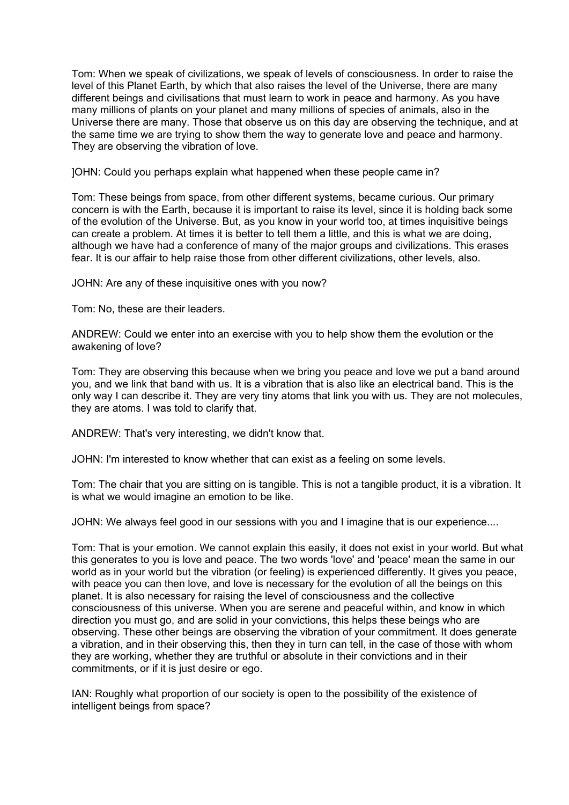Tom: When we speak of civilizations, we speak of levels of consciousness. In order to raise the level of this Planet Earth, by which that also raises the level of the Universe, there are many different beings and civilisations that must learn to work in peace and harmony. As you have many millions of plants on your planet and many millions of species of animals, also in the Universe there are many. Those that observe us on this day are observing the technique, and at the same time we are trying to show them the way to generate love and peace and harmony. They are observing the vibration of love.

]OHN: Could you perhaps explain what happened when these people came in?

Tom: These beings from space, from other different systems, became curious. Our primary concern is with the Earth, because it is important to raise its level, since it is holding back some of the evolution of the Universe. But, as you know in your world too, at times inquisitive beings can create a problem. At times it is better to tell them a little, and this is what we are doing, although we have had a conference of many of the major groups and civilizations. This erases fear. It is our affair to help raise those from other different civilizations, other levels, also.

JOHN: Are any of these inquisitive ones with you now?

Tom: No, these are their leaders.

ANDREW: Could we enter into an exercise with you to help show them the evolution or the awakening of love?

Tom: They are observing this because when we bring you peace and love we put a band around you, and we link that band with us. It is a vibration that is also like an electrical band. This is the only way I can describe it. They are very tiny atoms that link you with us. They are not molecules, they are atoms. I was told to clarify that.

ANDREW: That's very interesting, we didn't know that.

JOHN: I'm interested to know whether that can exist as a feeling on some levels.

Tom: The chair that you are sitting on is tangible. This is not a tangible product, it is a vibration. It is what we would imagine an emotion to be like.

JOHN: We always feel good in our sessions with you and I imagine that is our experience....

Tom: That is your emotion. We cannot explain this easily, it does not exist in your world. But what this generates to you is love and peace. The two words 'love' and 'peace' mean the same in our world as in your world but the vibration (or feeling) is experienced differently. It gives you peace, with peace you can then love, and love is necessary for the evolution of all the beings on this planet. It is also necessary for raising the level of consciousness and the collective consciousness of this universe. When you are serene and peaceful within, and know in which direction you must go, and are solid in your convictions, this helps these beings who are observing. These other beings are observing the vibration of your commitment. It does generate a vibration, and in their observing this, then they in turn can tell, in the case of those with whom they are working, whether they are truthful or absolute in their convictions and in their commitments, or if it is just desire or ego.

IAN: Roughly what proportion of our society is open to the possibility of the existence of intelligent beings from space?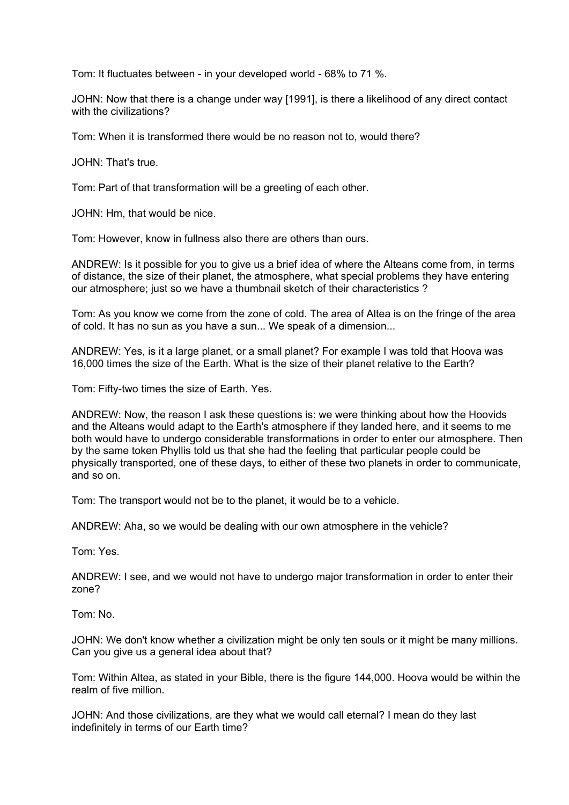Tom: It fluctuates between - in your developed world - 68% to 71 %.

JOHN: Now that there is a change under way [1991], is there a likelihood of any direct contact with the civilizations?

Tom: When it is transformed there would be no reason not to, would there?

JOHN: That's true.

Tom: Part of that transformation will be a greeting of each other.

JOHN: Hm, that would be nice.

Tom: However, know in fullness also there are others than ours.

ANDREW: Is it possible for you to give us a brief idea of where the Alteans come from, in terms of distance, the size of their planet, the atmosphere, what special problems they have entering our atmosphere; just so we have a thumbnail sketch of their characteristics ?

Tom: As you know we come from the zone of cold. The area of Altea is on the fringe of the area of cold. It has no sun as you have a sun... We speak of a dimension...

ANDREW: Yes, is it a large planet, or a small planet? For example I was told that Hoova was 16,000 times the size of the Earth. What is the size of their planet relative to the Earth?

Tom: Fifty-two times the size of Earth. Yes.

ANDREW: Now, the reason I ask these questions is: we were thinking about how the Hoovids and the Alteans would adapt to the Earth's atmosphere if they landed here, and it seems to me both would have to undergo considerable transformations in order to enter our atmosphere. Then by the same token Phyllis told us that she had the feeling that particular people could be physically transported, one of these days, to either of these two planets in order to communicate, and so on.

Tom: The transport would not be to the planet, it would be to a vehicle.

ANDREW: Aha, so we would be dealing with our own atmosphere in the vehicle?

Tom: Yes.

ANDREW: I see, and we would not have to undergo major transformation in order to enter their zone?

Tom: No.

JOHN: We don't know whether a civilization might be only ten souls or it might be many millions. Can you give us a general idea about that?

Tom: Within Altea, as stated in your Bible, there is the figure 144,000. Hoova would be within the realm of five million.

JOHN: And those civilizations, are they what we would call eternal? I mean do they last indefinitely in terms of our Earth time?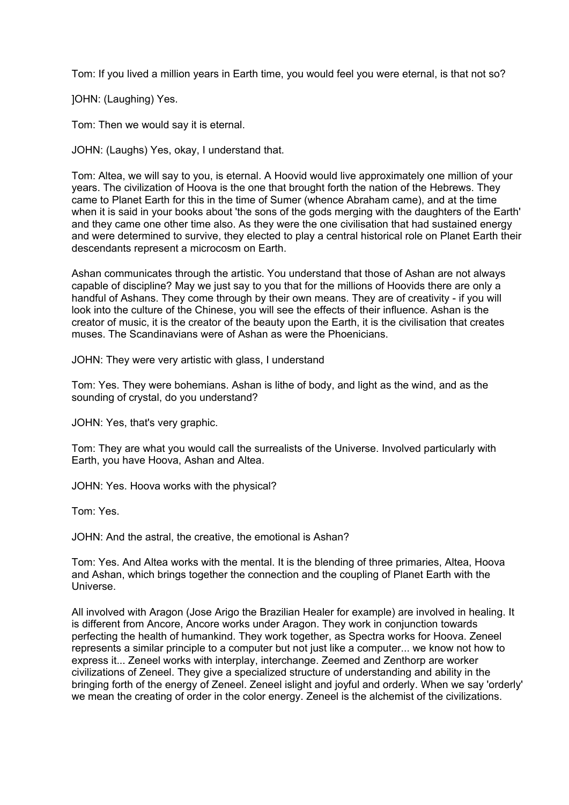Tom: If you lived a million years in Earth time, you would feel you were eternal, is that not so?

]OHN: (Laughing) Yes.

Tom: Then we would say it is eternal.

JOHN: (Laughs) Yes, okay, I understand that.

Tom: Altea, we will say to you, is eternal. A Hoovid would live approximately one million of your years. The civilization of Hoova is the one that brought forth the nation of the Hebrews. They came to Planet Earth for this in the time of Sumer (whence Abraham came), and at the time when it is said in your books about 'the sons of the gods merging with the daughters of the Earth' and they came one other time also. As they were the one civilisation that had sustained energy and were determined to survive, they elected to play a central historical role on Planet Earth their descendants represent a microcosm on Earth.

Ashan communicates through the artistic. You understand that those of Ashan are not always capable of discipline? May we just say to you that for the millions of Hoovids there are only a handful of Ashans. They come through by their own means. They are of creativity - if you will look into the culture of the Chinese, you will see the effects of their influence. Ashan is the creator of music, it is the creator of the beauty upon the Earth, it is the civilisation that creates muses. The Scandinavians were of Ashan as were the Phoenicians.

JOHN: They were very artistic with glass, I understand

Tom: Yes. They were bohemians. Ashan is lithe of body, and light as the wind, and as the sounding of crystal, do you understand?

JOHN: Yes, that's very graphic.

Tom: They are what you would call the surrealists of the Universe. Involved particularly with Earth, you have Hoova, Ashan and Altea.

JOHN: Yes. Hoova works with the physical?

Tom: Yes.

JOHN: And the astral, the creative, the emotional is Ashan?

Tom: Yes. And Altea works with the mental. It is the blending of three primaries, Altea, Hoova and Ashan, which brings together the connection and the coupling of Planet Earth with the Universe.

All involved with Aragon (Jose Arigo the Brazilian Healer for example) are involved in healing. It is different from Ancore, Ancore works under Aragon. They work in conjunction towards perfecting the health of humankind. They work together, as Spectra works for Hoova. Zeneel represents a similar principle to a computer but not just like a computer... we know not how to express it... Zeneel works with interplay, interchange. Zeemed and Zenthorp are worker civilizations of Zeneel. They give a specialized structure of understanding and ability in the bringing forth of the energy of Zeneel. Zeneel islight and joyful and orderly. When we say 'orderly' we mean the creating of order in the color energy. Zeneel is the alchemist of the civilizations.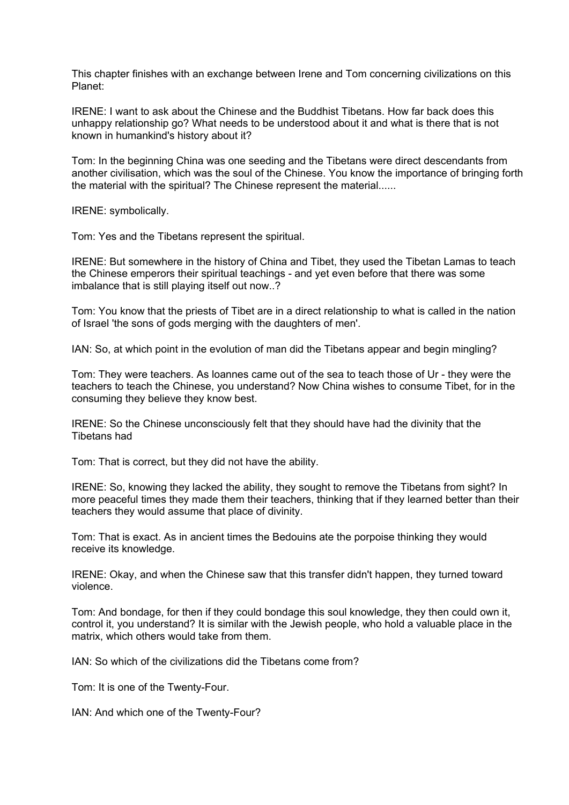This chapter finishes with an exchange between Irene and Tom concerning civilizations on this Planet:

IRENE: I want to ask about the Chinese and the Buddhist Tibetans. How far back does this unhappy relationship go? What needs to be understood about it and what is there that is not known in humankind's history about it?

Tom: In the beginning China was one seeding and the Tibetans were direct descendants from another civilisation, which was the soul of the Chinese. You know the importance of bringing forth the material with the spiritual? The Chinese represent the material......

IRENE: symbolically.

Tom: Yes and the Tibetans represent the spiritual.

IRENE: But somewhere in the history of China and Tibet, they used the Tibetan Lamas to teach the Chinese emperors their spiritual teachings - and yet even before that there was some imbalance that is still playing itself out now..?

Tom: You know that the priests of Tibet are in a direct relationship to what is called in the nation of Israel 'the sons of gods merging with the daughters of men'.

IAN: So, at which point in the evolution of man did the Tibetans appear and begin mingling?

Tom: They were teachers. As loannes came out of the sea to teach those of Ur - they were the teachers to teach the Chinese, you understand? Now China wishes to consume Tibet, for in the consuming they believe they know best.

IRENE: So the Chinese unconsciously felt that they should have had the divinity that the Tibetans had

Tom: That is correct, but they did not have the ability.

IRENE: So, knowing they lacked the ability, they sought to remove the Tibetans from sight? In more peaceful times they made them their teachers, thinking that if they learned better than their teachers they would assume that place of divinity.

Tom: That is exact. As in ancient times the Bedouins ate the porpoise thinking they would receive its knowledge.

IRENE: Okay, and when the Chinese saw that this transfer didn't happen, they turned toward violence.

Tom: And bondage, for then if they could bondage this soul knowledge, they then could own it, control it, you understand? It is similar with the Jewish people, who hold a valuable place in the matrix, which others would take from them.

IAN: So which of the civilizations did the Tibetans come from?

Tom: It is one of the Twenty-Four.

IAN: And which one of the Twenty-Four?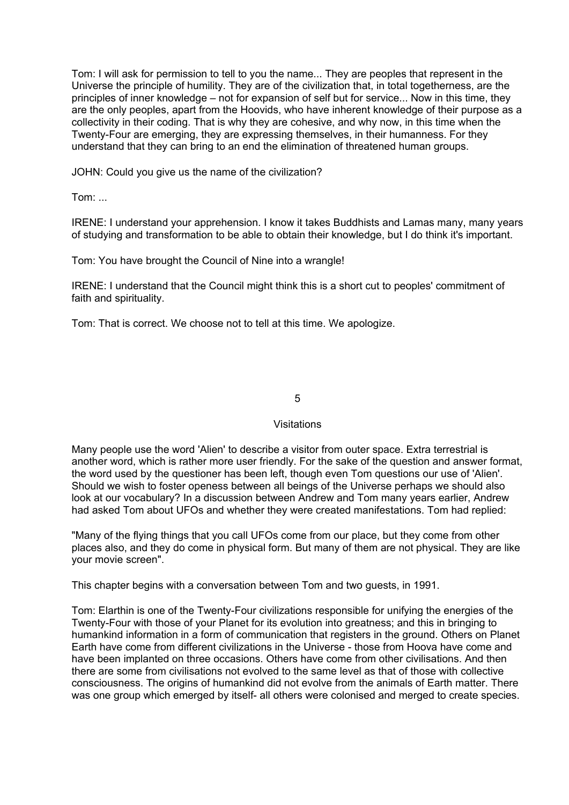Tom: I will ask for permission to tell to you the name... They are peoples that represent in the Universe the principle of humility. They are of the civilization that, in total togetherness, are the principles of inner knowledge – not for expansion of self but for service... Now in this time, they are the only peoples, apart from the Hoovids, who have inherent knowledge of their purpose as a collectivity in their coding. That is why they are cohesive, and why now, in this time when the Twenty-Four are emerging, they are expressing themselves, in their humanness. For they understand that they can bring to an end the elimination of threatened human groups.

JOHN: Could you give us the name of the civilization?

Tom: ...

IRENE: I understand your apprehension. I know it takes Buddhists and Lamas many, many years of studying and transformation to be able to obtain their knowledge, but I do think it's important.

Tom: You have brought the Council of Nine into a wrangle!

IRENE: I understand that the Council might think this is a short cut to peoples' commitment of faith and spirituality.

Tom: That is correct. We choose not to tell at this time. We apologize.

5

### Visitations

Many people use the word 'Alien' to describe a visitor from outer space. Extra terrestrial is another word, which is rather more user friendly. For the sake of the question and answer format, the word used by the questioner has been left, though even Tom questions our use of 'Alien'. Should we wish to foster openess between all beings of the Universe perhaps we should also look at our vocabulary? In a discussion between Andrew and Tom many years earlier, Andrew had asked Tom about UFOs and whether they were created manifestations. Tom had replied:

"Many of the flying things that you call UFOs come from our place, but they come from other places also, and they do come in physical form. But many of them are not physical. They are like your movie screen".

This chapter begins with a conversation between Tom and two guests, in 1991.

Tom: Elarthin is one of the Twenty-Four civilizations responsible for unifying the energies of the Twenty-Four with those of your Planet for its evolution into greatness; and this in bringing to humankind information in a form of communication that registers in the ground. Others on Planet Earth have come from different civilizations in the Universe - those from Hoova have come and have been implanted on three occasions. Others have come from other civilisations. And then there are some from civilisations not evolved to the same level as that of those with collective consciousness. The origins of humankind did not evolve from the animals of Earth matter. There was one group which emerged by itself- all others were colonised and merged to create species.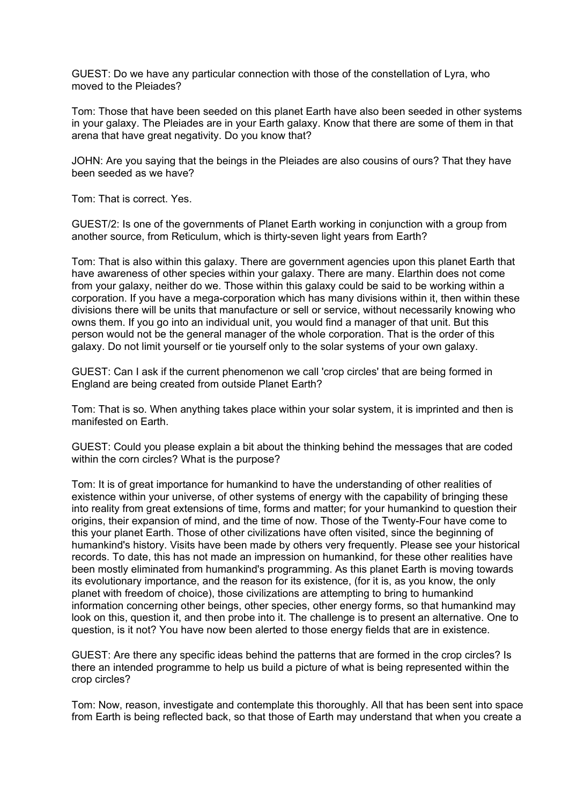GUEST: Do we have any particular connection with those of the constellation of Lyra, who moved to the Pleiades?

Tom: Those that have been seeded on this planet Earth have also been seeded in other systems in your galaxy. The Pleiades are in your Earth galaxy. Know that there are some of them in that arena that have great negativity. Do you know that?

JOHN: Are you saying that the beings in the Pleiades are also cousins of ours? That they have been seeded as we have?

Tom: That is correct. Yes.

GUEST/2: Is one of the governments of Planet Earth working in conjunction with a group from another source, from Reticulum, which is thirty-seven light years from Earth?

Tom: That is also within this galaxy. There are government agencies upon this planet Earth that have awareness of other species within your galaxy. There are many. Elarthin does not come from your galaxy, neither do we. Those within this galaxy could be said to be working within a corporation. If you have a mega-corporation which has many divisions within it, then within these divisions there will be units that manufacture or sell or service, without necessarily knowing who owns them. If you go into an individual unit, you would find a manager of that unit. But this person would not be the general manager of the whole corporation. That is the order of this galaxy. Do not limit yourself or tie yourself only to the solar systems of your own galaxy.

GUEST: Can I ask if the current phenomenon we call 'crop circles' that are being formed in England are being created from outside Planet Earth?

Tom: That is so. When anything takes place within your solar system, it is imprinted and then is manifested on Earth.

GUEST: Could you please explain a bit about the thinking behind the messages that are coded within the corn circles? What is the purpose?

Tom: It is of great importance for humankind to have the understanding of other realities of existence within your universe, of other systems of energy with the capability of bringing these into reality from great extensions of time, forms and matter; for your humankind to question their origins, their expansion of mind, and the time of now. Those of the Twenty-Four have come to this your planet Earth. Those of other civilizations have often visited, since the beginning of humankind's history. Visits have been made by others very frequently. Please see your historical records. To date, this has not made an impression on humankind, for these other realities have been mostly eliminated from humankind's programming. As this planet Earth is moving towards its evolutionary importance, and the reason for its existence, (for it is, as you know, the only planet with freedom of choice), those civilizations are attempting to bring to humankind information concerning other beings, other species, other energy forms, so that humankind may look on this, question it, and then probe into it. The challenge is to present an alternative. One to question, is it not? You have now been alerted to those energy fields that are in existence.

GUEST: Are there any specific ideas behind the patterns that are formed in the crop circles? Is there an intended programme to help us build a picture of what is being represented within the crop circles?

Tom: Now, reason, investigate and contemplate this thoroughly. All that has been sent into space from Earth is being reflected back, so that those of Earth may understand that when you create a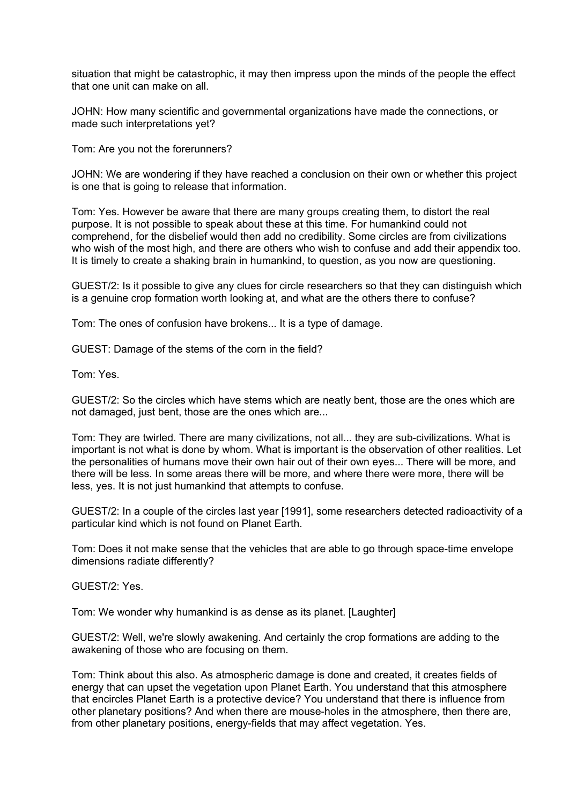situation that might be catastrophic, it may then impress upon the minds of the people the effect that one unit can make on all.

JOHN: How many scientific and governmental organizations have made the connections, or made such interpretations yet?

Tom: Are you not the forerunners?

JOHN: We are wondering if they have reached a conclusion on their own or whether this project is one that is going to release that information.

Tom: Yes. However be aware that there are many groups creating them, to distort the real purpose. It is not possible to speak about these at this time. For humankind could not comprehend, for the disbelief would then add no credibility. Some circles are from civilizations who wish of the most high, and there are others who wish to confuse and add their appendix too. It is timely to create a shaking brain in humankind, to question, as you now are questioning.

GUEST/2: Is it possible to give any clues for circle researchers so that they can distinguish which is a genuine crop formation worth looking at, and what are the others there to confuse?

Tom: The ones of confusion have brokens... It is a type of damage.

GUEST: Damage of the stems of the corn in the field?

Tom: Yes.

GUEST/2: So the circles which have stems which are neatly bent, those are the ones which are not damaged, just bent, those are the ones which are...

Tom: They are twirled. There are many civilizations, not all... they are sub-civilizations. What is important is not what is done by whom. What is important is the observation of other realities. Let the personalities of humans move their own hair out of their own eyes... There will be more, and there will be less. In some areas there will be more, and where there were more, there will be less, yes. It is not just humankind that attempts to confuse.

GUEST/2: In a couple of the circles last year [1991], some researchers detected radioactivity of a particular kind which is not found on Planet Earth.

Tom: Does it not make sense that the vehicles that are able to go through space-time envelope dimensions radiate differently?

GUEST/2: Yes.

Tom: We wonder why humankind is as dense as its planet. [Laughter]

GUEST/2: Well, we're slowly awakening. And certainly the crop formations are adding to the awakening of those who are focusing on them.

Tom: Think about this also. As atmospheric damage is done and created, it creates fields of energy that can upset the vegetation upon Planet Earth. You understand that this atmosphere that encircles Planet Earth is a protective device? You understand that there is influence from other planetary positions? And when there are mouse-holes in the atmosphere, then there are, from other planetary positions, energy-fields that may affect vegetation. Yes.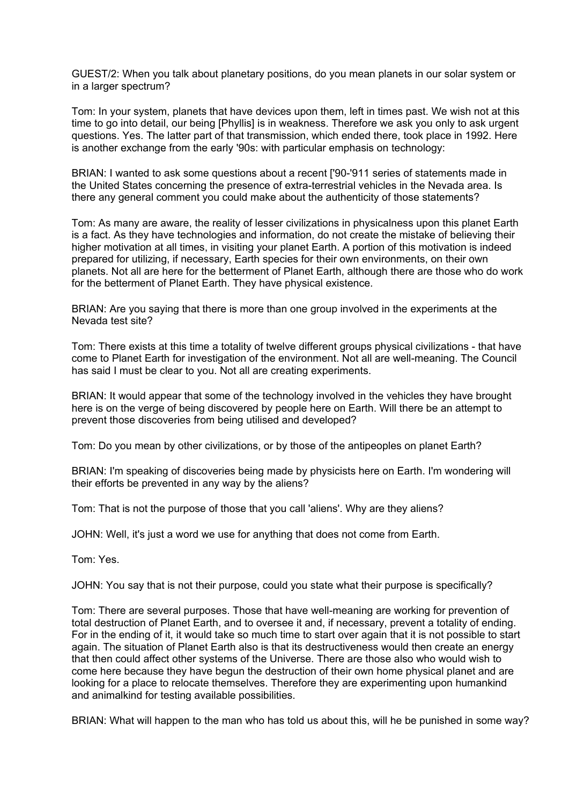GUEST/2: When you talk about planetary positions, do you mean planets in our solar system or in a larger spectrum?

Tom: In your system, planets that have devices upon them, left in times past. We wish not at this time to go into detail, our being [Phyllis] is in weakness. Therefore we ask you only to ask urgent questions. Yes. The latter part of that transmission, which ended there, took place in 1992. Here is another exchange from the early '90s: with particular emphasis on technology:

BRIAN: I wanted to ask some questions about a recent ['90-'911 series of statements made in the United States concerning the presence of extra-terrestrial vehicles in the Nevada area. Is there any general comment you could make about the authenticity of those statements?

Tom: As many are aware, the reality of lesser civilizations in physicalness upon this planet Earth is a fact. As they have technologies and information, do not create the mistake of believing their higher motivation at all times, in visiting your planet Earth. A portion of this motivation is indeed prepared for utilizing, if necessary, Earth species for their own environments, on their own planets. Not all are here for the betterment of Planet Earth, although there are those who do work for the betterment of Planet Earth. They have physical existence.

BRIAN: Are you saying that there is more than one group involved in the experiments at the Nevada test site?

Tom: There exists at this time a totality of twelve different groups physical civilizations - that have come to Planet Earth for investigation of the environment. Not all are well-meaning. The Council has said I must be clear to you. Not all are creating experiments.

BRIAN: It would appear that some of the technology involved in the vehicles they have brought here is on the verge of being discovered by people here on Earth. Will there be an attempt to prevent those discoveries from being utilised and developed?

Tom: Do you mean by other civilizations, or by those of the antipeoples on planet Earth?

BRIAN: I'm speaking of discoveries being made by physicists here on Earth. I'm wondering will their efforts be prevented in any way by the aliens?

Tom: That is not the purpose of those that you call 'aliens'. Why are they aliens?

JOHN: Well, it's just a word we use for anything that does not come from Earth.

Tom: Yes.

JOHN: You say that is not their purpose, could you state what their purpose is specifically?

Tom: There are several purposes. Those that have well-meaning are working for prevention of total destruction of Planet Earth, and to oversee it and, if necessary, prevent a totality of ending. For in the ending of it, it would take so much time to start over again that it is not possible to start again. The situation of Planet Earth also is that its destructiveness would then create an energy that then could affect other systems of the Universe. There are those also who would wish to come here because they have begun the destruction of their own home physical planet and are looking for a place to relocate themselves. Therefore they are experimenting upon humankind and animalkind for testing available possibilities.

BRIAN: What will happen to the man who has told us about this, will he be punished in some way?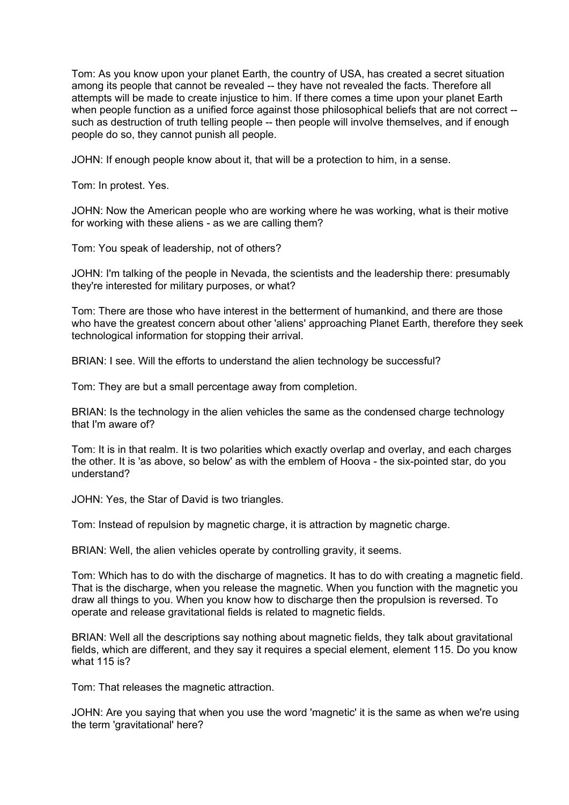Tom: As you know upon your planet Earth, the country of USA, has created a secret situation among its people that cannot be revealed -- they have not revealed the facts. Therefore all attempts will be made to create injustice to him. If there comes a time upon your planet Earth when people function as a unified force against those philosophical beliefs that are not correct -such as destruction of truth telling people -- then people will involve themselves, and if enough people do so, they cannot punish all people.

JOHN: If enough people know about it, that will be a protection to him, in a sense.

Tom: In protest. Yes.

JOHN: Now the American people who are working where he was working, what is their motive for working with these aliens - as we are calling them?

Tom: You speak of leadership, not of others?

JOHN: I'm talking of the people in Nevada, the scientists and the leadership there: presumably they're interested for military purposes, or what?

Tom: There are those who have interest in the betterment of humankind, and there are those who have the greatest concern about other 'aliens' approaching Planet Earth, therefore they seek technological information for stopping their arrival.

BRIAN: I see. Will the efforts to understand the alien technology be successful?

Tom: They are but a small percentage away from completion.

BRIAN: Is the technology in the alien vehicles the same as the condensed charge technology that I'm aware of?

Tom: It is in that realm. It is two polarities which exactly overlap and overlay, and each charges the other. It is 'as above, so below' as with the emblem of Hoova - the six-pointed star, do you understand?

JOHN: Yes, the Star of David is two triangles.

Tom: Instead of repulsion by magnetic charge, it is attraction by magnetic charge.

BRIAN: Well, the alien vehicles operate by controlling gravity, it seems.

Tom: Which has to do with the discharge of magnetics. It has to do with creating a magnetic field. That is the discharge, when you release the magnetic. When you function with the magnetic you draw all things to you. When you know how to discharge then the propulsion is reversed. To operate and release gravitational fields is related to magnetic fields.

BRIAN: Well all the descriptions say nothing about magnetic fields, they talk about gravitational fields, which are different, and they say it requires a special element, element 115. Do you know what 115 is?

Tom: That releases the magnetic attraction.

JOHN: Are you saying that when you use the word 'magnetic' it is the same as when we're using the term 'gravitational' here?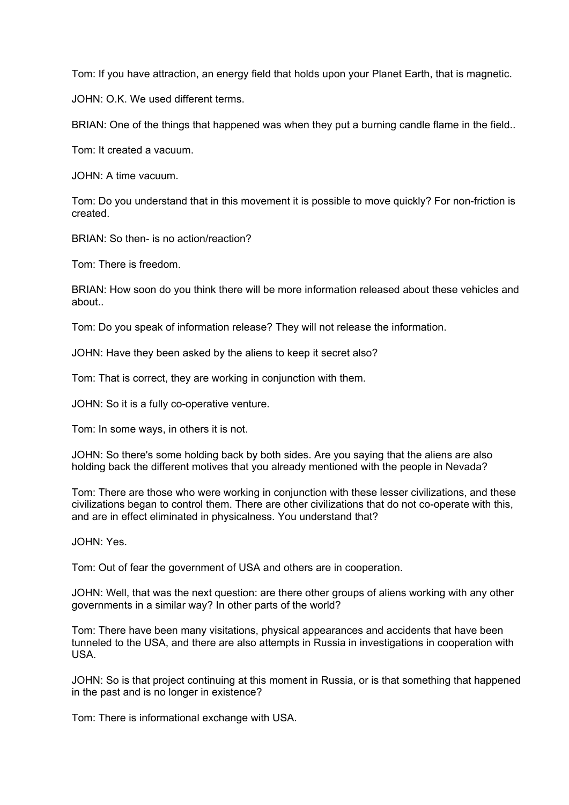Tom: If you have attraction, an energy field that holds upon your Planet Earth, that is magnetic.

JOHN: O.K. We used different terms.

BRIAN: One of the things that happened was when they put a burning candle flame in the field..

Tom: It created a vacuum.

JOHN: A time vacuum.

Tom: Do you understand that in this movement it is possible to move quickly? For non-friction is created.

BRIAN: So then- is no action/reaction?

Tom: There is freedom.

BRIAN: How soon do you think there will be more information released about these vehicles and about.

Tom: Do you speak of information release? They will not release the information.

JOHN: Have they been asked by the aliens to keep it secret also?

Tom: That is correct, they are working in conjunction with them.

JOHN: So it is a fully co-operative venture.

Tom: In some ways, in others it is not.

JOHN: So there's some holding back by both sides. Are you saying that the aliens are also holding back the different motives that you already mentioned with the people in Nevada?

Tom: There are those who were working in conjunction with these lesser civilizations, and these civilizations began to control them. There are other civilizations that do not co-operate with this, and are in effect eliminated in physicalness. You understand that?

JOHN: Yes.

Tom: Out of fear the government of USA and others are in cooperation.

JOHN: Well, that was the next question: are there other groups of aliens working with any other governments in a similar way? In other parts of the world?

Tom: There have been many visitations, physical appearances and accidents that have been tunneled to the USA, and there are also attempts in Russia in investigations in cooperation with USA.

JOHN: So is that project continuing at this moment in Russia, or is that something that happened in the past and is no longer in existence?

Tom: There is informational exchange with USA.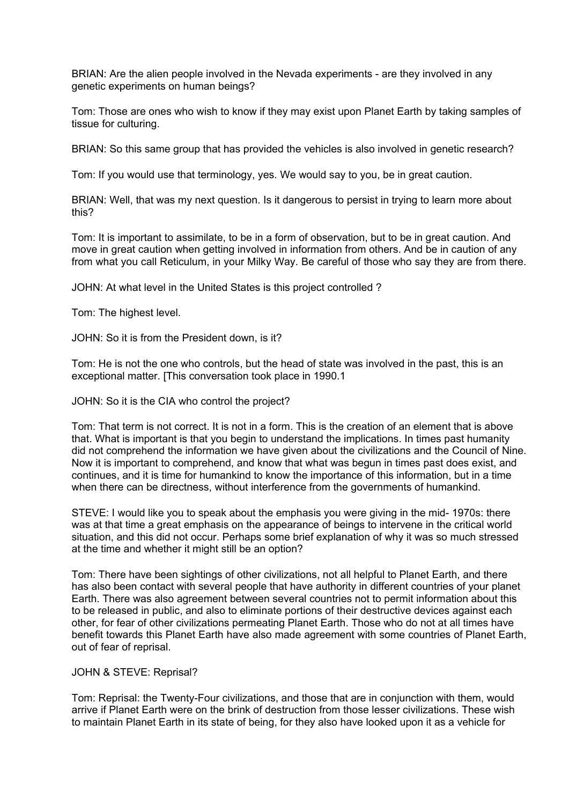BRIAN: Are the alien people involved in the Nevada experiments - are they involved in any genetic experiments on human beings?

Tom: Those are ones who wish to know if they may exist upon Planet Earth by taking samples of tissue for culturing.

BRIAN: So this same group that has provided the vehicles is also involved in genetic research?

Tom: If you would use that terminology, yes. We would say to you, be in great caution.

BRIAN: Well, that was my next question. Is it dangerous to persist in trying to learn more about this?

Tom: It is important to assimilate, to be in a form of observation, but to be in great caution. And move in great caution when getting involved in information from others. And be in caution of any from what you call Reticulum, in your Milky Way. Be careful of those who say they are from there.

JOHN: At what level in the United States is this project controlled ?

Tom: The highest level.

JOHN: So it is from the President down, is it?

Tom: He is not the one who controls, but the head of state was involved in the past, this is an exceptional matter. [This conversation took place in 1990.1

JOHN: So it is the CIA who control the project?

Tom: That term is not correct. It is not in a form. This is the creation of an element that is above that. What is important is that you begin to understand the implications. In times past humanity did not comprehend the information we have given about the civilizations and the Council of Nine. Now it is important to comprehend, and know that what was begun in times past does exist, and continues, and it is time for humankind to know the importance of this information, but in a time when there can be directness, without interference from the governments of humankind.

STEVE: I would like you to speak about the emphasis you were giving in the mid- 1970s: there was at that time a great emphasis on the appearance of beings to intervene in the critical world situation, and this did not occur. Perhaps some brief explanation of why it was so much stressed at the time and whether it might still be an option?

Tom: There have been sightings of other civilizations, not all helpful to Planet Earth, and there has also been contact with several people that have authority in different countries of your planet Earth. There was also agreement between several countries not to permit information about this to be released in public, and also to eliminate portions of their destructive devices against each other, for fear of other civilizations permeating Planet Earth. Those who do not at all times have benefit towards this Planet Earth have also made agreement with some countries of Planet Earth, out of fear of reprisal.

### JOHN & STEVE: Reprisal?

Tom: Reprisal: the Twenty-Four civilizations, and those that are in conjunction with them, would arrive if Planet Earth were on the brink of destruction from those lesser civilizations. These wish to maintain Planet Earth in its state of being, for they also have looked upon it as a vehicle for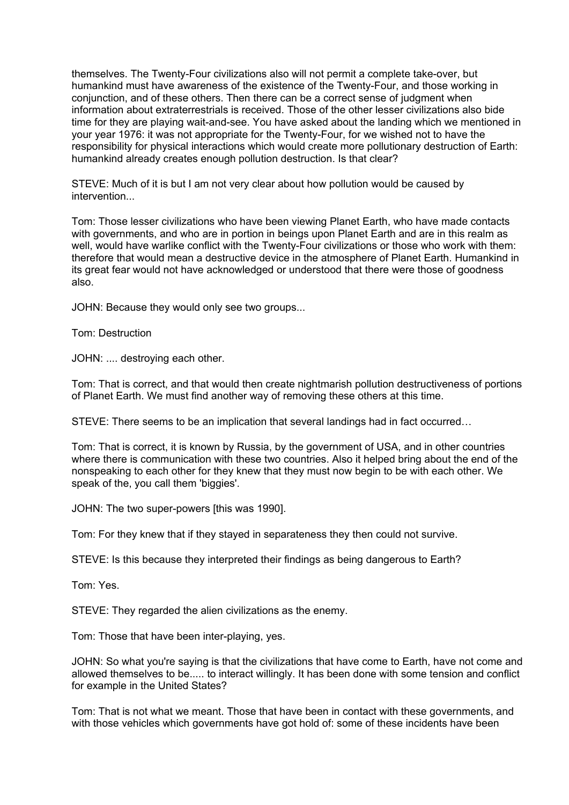themselves. The Twenty-Four civilizations also will not permit a complete take-over, but humankind must have awareness of the existence of the Twenty-Four, and those working in conjunction, and of these others. Then there can be a correct sense of judgment when information about extraterrestrials is received. Those of the other lesser civilizations also bide time for they are playing wait-and-see. You have asked about the landing which we mentioned in your year 1976: it was not appropriate for the Twenty-Four, for we wished not to have the responsibility for physical interactions which would create more pollutionary destruction of Earth: humankind already creates enough pollution destruction. Is that clear?

STEVE: Much of it is but I am not very clear about how pollution would be caused by intervention...

Tom: Those lesser civilizations who have been viewing Planet Earth, who have made contacts with governments, and who are in portion in beings upon Planet Earth and are in this realm as well, would have warlike conflict with the Twenty-Four civilizations or those who work with them: therefore that would mean a destructive device in the atmosphere of Planet Earth. Humankind in its great fear would not have acknowledged or understood that there were those of goodness also.

JOHN: Because they would only see two groups...

Tom: Destruction

JOHN: .... destroying each other.

Tom: That is correct, and that would then create nightmarish pollution destructiveness of portions of Planet Earth. We must find another way of removing these others at this time.

STEVE: There seems to be an implication that several landings had in fact occurred…

Tom: That is correct, it is known by Russia, by the government of USA, and in other countries where there is communication with these two countries. Also it helped bring about the end of the nonspeaking to each other for they knew that they must now begin to be with each other. We speak of the, you call them 'biggies'.

JOHN: The two super-powers [this was 1990].

Tom: For they knew that if they stayed in separateness they then could not survive.

STEVE: Is this because they interpreted their findings as being dangerous to Earth?

Tom: Yes.

STEVE: They regarded the alien civilizations as the enemy.

Tom: Those that have been inter-playing, yes.

JOHN: So what you're saying is that the civilizations that have come to Earth, have not come and allowed themselves to be..... to interact willingly. It has been done with some tension and conflict for example in the United States?

Tom: That is not what we meant. Those that have been in contact with these governments, and with those vehicles which governments have got hold of: some of these incidents have been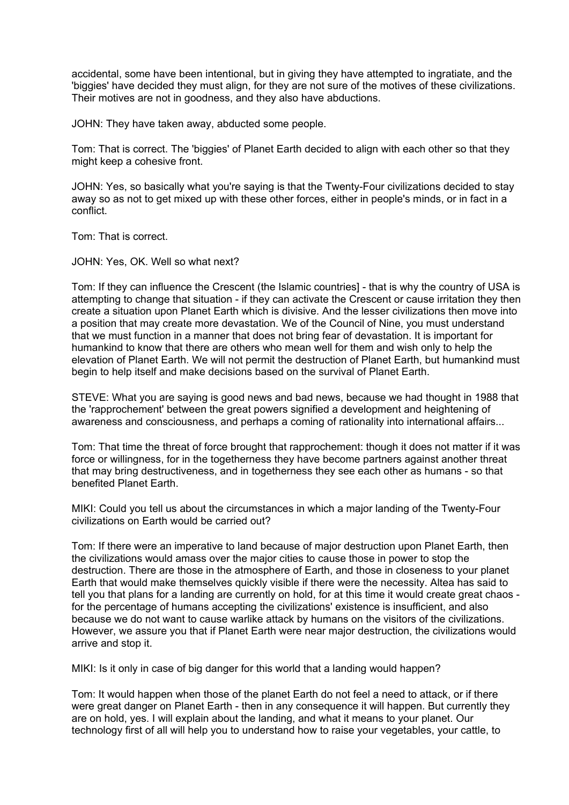accidental, some have been intentional, but in giving they have attempted to ingratiate, and the 'biggies' have decided they must align, for they are not sure of the motives of these civilizations. Their motives are not in goodness, and they also have abductions.

JOHN: They have taken away, abducted some people.

Tom: That is correct. The 'biggies' of Planet Earth decided to align with each other so that they might keep a cohesive front.

JOHN: Yes, so basically what you're saying is that the Twenty-Four civilizations decided to stay away so as not to get mixed up with these other forces, either in people's minds, or in fact in a conflict.

Tom: That is correct.

JOHN: Yes, OK. Well so what next?

Tom: If they can influence the Crescent (the Islamic countries] - that is why the country of USA is attempting to change that situation - if they can activate the Crescent or cause irritation they then create a situation upon Planet Earth which is divisive. And the lesser civilizations then move into a position that may create more devastation. We of the Council of Nine, you must understand that we must function in a manner that does not bring fear of devastation. It is important for humankind to know that there are others who mean well for them and wish only to help the elevation of Planet Earth. We will not permit the destruction of Planet Earth, but humankind must begin to help itself and make decisions based on the survival of Planet Earth.

STEVE: What you are saying is good news and bad news, because we had thought in 1988 that the 'rapprochement' between the great powers signified a development and heightening of awareness and consciousness, and perhaps a coming of rationality into international affairs...

Tom: That time the threat of force brought that rapprochement: though it does not matter if it was force or willingness, for in the togetherness they have become partners against another threat that may bring destructiveness, and in togetherness they see each other as humans - so that benefited Planet Earth.

MIKI: Could you tell us about the circumstances in which a major landing of the Twenty-Four civilizations on Earth would be carried out?

Tom: If there were an imperative to land because of major destruction upon Planet Earth, then the civilizations would amass over the major cities to cause those in power to stop the destruction. There are those in the atmosphere of Earth, and those in closeness to your planet Earth that would make themselves quickly visible if there were the necessity. Altea has said to tell you that plans for a landing are currently on hold, for at this time it would create great chaos for the percentage of humans accepting the civilizations' existence is insufficient, and also because we do not want to cause warlike attack by humans on the visitors of the civilizations. However, we assure you that if Planet Earth were near major destruction, the civilizations would arrive and stop it.

MIKI: Is it only in case of big danger for this world that a landing would happen?

Tom: It would happen when those of the planet Earth do not feel a need to attack, or if there were great danger on Planet Earth - then in any consequence it will happen. But currently they are on hold, yes. I will explain about the landing, and what it means to your planet. Our technology first of all will help you to understand how to raise your vegetables, your cattle, to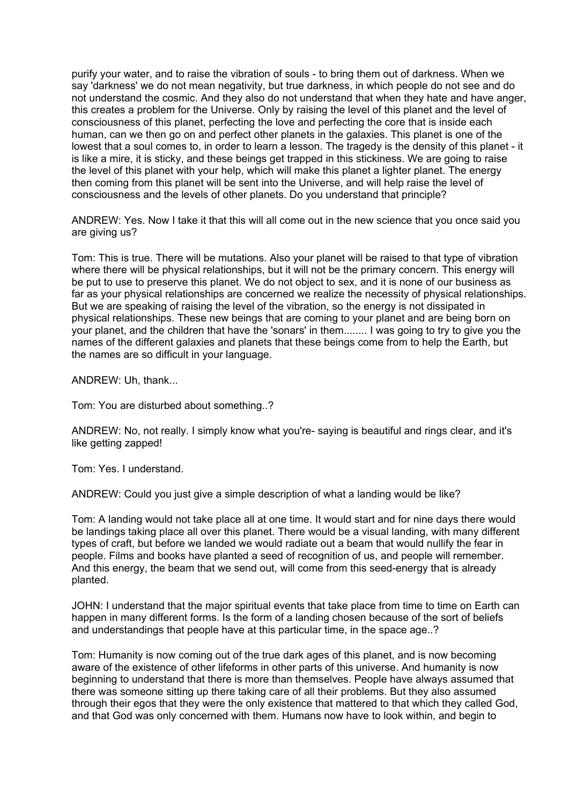purify your water, and to raise the vibration of souls - to bring them out of darkness. When we say 'darkness' we do not mean negativity, but true darkness, in which people do not see and do not understand the cosmic. And they also do not understand that when they hate and have anger, this creates a problem for the Universe. Only by raising the level of this planet and the level of consciousness of this planet, perfecting the love and perfecting the core that is inside each human, can we then go on and perfect other planets in the galaxies. This planet is one of the lowest that a soul comes to, in order to learn a lesson. The tragedy is the density of this planet - it is like a mire, it is sticky, and these beings get trapped in this stickiness. We are going to raise the level of this planet with your help, which will make this planet a lighter planet. The energy then coming from this planet will be sent into the Universe, and will help raise the level of consciousness and the levels of other planets. Do you understand that principle?

ANDREW: Yes. Now I take it that this will all come out in the new science that you once said you are giving us?

Tom: This is true. There will be mutations. Also your planet will be raised to that type of vibration where there will be physical relationships, but it will not be the primary concern. This energy will be put to use to preserve this planet. We do not object to sex, and it is none of our business as far as your physical relationships are concerned we realize the necessity of physical relationships. But we are speaking of raising the level of the vibration, so the energy is not dissipated in physical relationships. These new beings that are coming to your planet and are being born on your planet, and the children that have the 'sonars' in them........ I was going to try to give you the names of the different galaxies and planets that these beings come from to help the Earth, but the names are so difficult in your language.

ANDREW: Uh, thank...

Tom: You are disturbed about something..?

ANDREW: No, not really. I simply know what you're- saying is beautiful and rings clear, and it's like getting zapped!

Tom: Yes. I understand.

ANDREW: Could you just give a simple description of what a landing would be like?

Tom: A landing would not take place all at one time. It would start and for nine days there would be landings taking place all over this planet. There would be a visual landing, with many different types of craft, but before we landed we would radiate out a beam that would nullify the fear in people. Films and books have planted a seed of recognition of us, and people will remember. And this energy, the beam that we send out, will come from this seed-energy that is already planted.

JOHN: I understand that the major spiritual events that take place from time to time on Earth can happen in many different forms. Is the form of a landing chosen because of the sort of beliefs and understandings that people have at this particular time, in the space age..?

Tom: Humanity is now coming out of the true dark ages of this planet, and is now becoming aware of the existence of other lifeforms in other parts of this universe. And humanity is now beginning to understand that there is more than themselves. People have always assumed that there was someone sitting up there taking care of all their problems. But they also assumed through their egos that they were the only existence that mattered to that which they called God, and that God was only concerned with them. Humans now have to look within, and begin to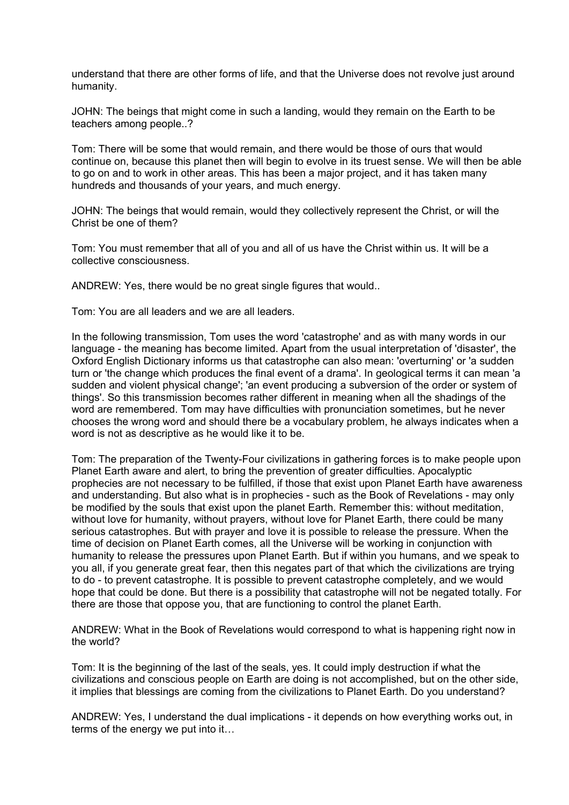understand that there are other forms of life, and that the Universe does not revolve just around humanity.

JOHN: The beings that might come in such a landing, would they remain on the Earth to be teachers among people..?

Tom: There will be some that would remain, and there would be those of ours that would continue on, because this planet then will begin to evolve in its truest sense. We will then be able to go on and to work in other areas. This has been a major project, and it has taken many hundreds and thousands of your years, and much energy.

JOHN: The beings that would remain, would they collectively represent the Christ, or will the Christ be one of them?

Tom: You must remember that all of you and all of us have the Christ within us. It will be a collective consciousness.

ANDREW: Yes, there would be no great single figures that would..

Tom: You are all leaders and we are all leaders.

In the following transmission, Tom uses the word 'catastrophe' and as with many words in our language - the meaning has become limited. Apart from the usual interpretation of 'disaster', the Oxford English Dictionary informs us that catastrophe can also mean: 'overturning' or 'a sudden turn or 'the change which produces the final event of a drama'. In geological terms it can mean 'a sudden and violent physical change'; 'an event producing a subversion of the order or system of things'. So this transmission becomes rather different in meaning when all the shadings of the word are remembered. Tom may have difficulties with pronunciation sometimes, but he never chooses the wrong word and should there be a vocabulary problem, he always indicates when a word is not as descriptive as he would like it to be.

Tom: The preparation of the Twenty-Four civilizations in gathering forces is to make people upon Planet Earth aware and alert, to bring the prevention of greater difficulties. Apocalyptic prophecies are not necessary to be fulfilled, if those that exist upon Planet Earth have awareness and understanding. But also what is in prophecies - such as the Book of Revelations - may only be modified by the souls that exist upon the planet Earth. Remember this: without meditation, without love for humanity, without prayers, without love for Planet Earth, there could be many serious catastrophes. But with prayer and love it is possible to release the pressure. When the time of decision on Planet Earth comes, all the Universe will be working in conjunction with humanity to release the pressures upon Planet Earth. But if within you humans, and we speak to you all, if you generate great fear, then this negates part of that which the civilizations are trying to do - to prevent catastrophe. It is possible to prevent catastrophe completely, and we would hope that could be done. But there is a possibility that catastrophe will not be negated totally. For there are those that oppose you, that are functioning to control the planet Earth.

ANDREW: What in the Book of Revelations would correspond to what is happening right now in the world?

Tom: It is the beginning of the last of the seals, yes. It could imply destruction if what the civilizations and conscious people on Earth are doing is not accomplished, but on the other side, it implies that blessings are coming from the civilizations to Planet Earth. Do you understand?

ANDREW: Yes, I understand the dual implications - it depends on how everything works out, in terms of the energy we put into it…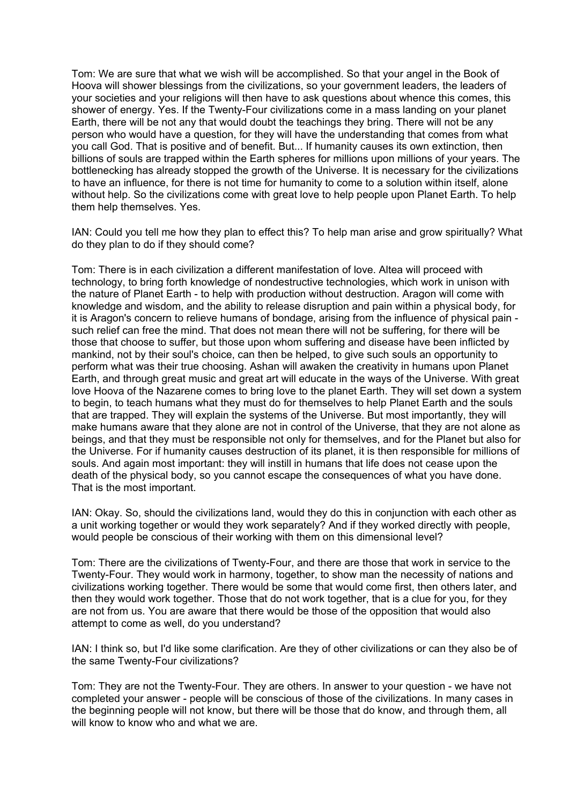Tom: We are sure that what we wish will be accomplished. So that your angel in the Book of Hoova will shower blessings from the civilizations, so your government leaders, the leaders of your societies and your religions will then have to ask questions about whence this comes, this shower of energy. Yes. If the Twenty-Four civilizations come in a mass landing on your planet Earth, there will be not any that would doubt the teachings they bring. There will not be any person who would have a question, for they will have the understanding that comes from what you call God. That is positive and of benefit. But... If humanity causes its own extinction, then billions of souls are trapped within the Earth spheres for millions upon millions of your years. The bottlenecking has already stopped the growth of the Universe. It is necessary for the civilizations to have an influence, for there is not time for humanity to come to a solution within itself, alone without help. So the civilizations come with great love to help people upon Planet Earth. To help them help themselves. Yes.

IAN: Could you tell me how they plan to effect this? To help man arise and grow spiritually? What do they plan to do if they should come?

Tom: There is in each civilization a different manifestation of love. Altea will proceed with technology, to bring forth knowledge of nondestructive technologies, which work in unison with the nature of Planet Earth - to help with production without destruction. Aragon will come with knowledge and wisdom, and the ability to release disruption and pain within a physical body, for it is Aragon's concern to relieve humans of bondage, arising from the influence of physical pain such relief can free the mind. That does not mean there will not be suffering, for there will be those that choose to suffer, but those upon whom suffering and disease have been inflicted by mankind, not by their soul's choice, can then be helped, to give such souls an opportunity to perform what was their true choosing. Ashan will awaken the creativity in humans upon Planet Earth, and through great music and great art will educate in the ways of the Universe. With great love Hoova of the Nazarene comes to bring love to the planet Earth. They will set down a system to begin, to teach humans what they must do for themselves to help Planet Earth and the souls that are trapped. They will explain the systems of the Universe. But most importantly, they will make humans aware that they alone are not in control of the Universe, that they are not alone as beings, and that they must be responsible not only for themselves, and for the Planet but also for the Universe. For if humanity causes destruction of its planet, it is then responsible for millions of souls. And again most important: they will instill in humans that life does not cease upon the death of the physical body, so you cannot escape the consequences of what you have done. That is the most important.

IAN: Okay. So, should the civilizations land, would they do this in conjunction with each other as a unit working together or would they work separately? And if they worked directly with people, would people be conscious of their working with them on this dimensional level?

Tom: There are the civilizations of Twenty-Four, and there are those that work in service to the Twenty-Four. They would work in harmony, together, to show man the necessity of nations and civilizations working together. There would be some that would come first, then others later, and then they would work together. Those that do not work together, that is a clue for you, for they are not from us. You are aware that there would be those of the opposition that would also attempt to come as well, do you understand?

IAN: I think so, but I'd like some clarification. Are they of other civilizations or can they also be of the same Twenty-Four civilizations?

Tom: They are not the Twenty-Four. They are others. In answer to your question - we have not completed your answer - people will be conscious of those of the civilizations. In many cases in the beginning people will not know, but there will be those that do know, and through them, all will know to know who and what we are.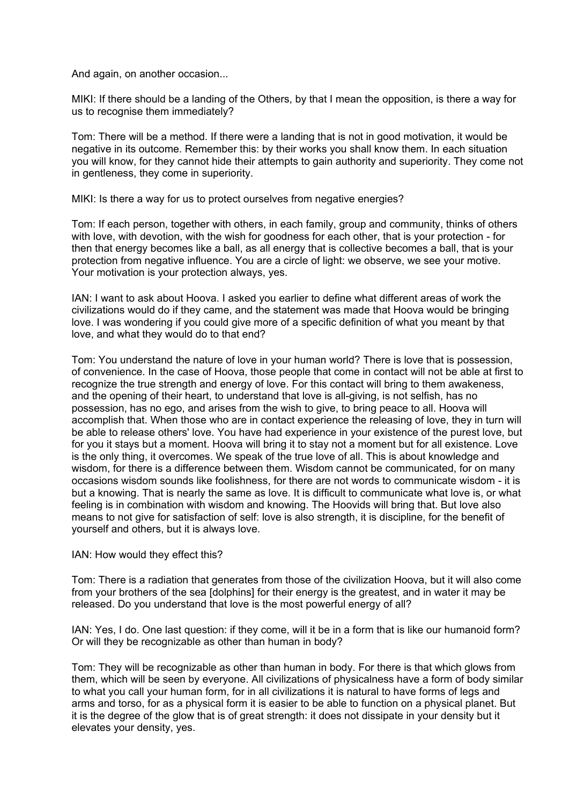And again, on another occasion...

MIKI: If there should be a landing of the Others, by that I mean the opposition, is there a way for us to recognise them immediately?

Tom: There will be a method. If there were a landing that is not in good motivation, it would be negative in its outcome. Remember this: by their works you shall know them. In each situation you will know, for they cannot hide their attempts to gain authority and superiority. They come not in gentleness, they come in superiority.

MIKI: Is there a way for us to protect ourselves from negative energies?

Tom: If each person, together with others, in each family, group and community, thinks of others with love, with devotion, with the wish for goodness for each other, that is your protection - for then that energy becomes like a ball, as all energy that is collective becomes a ball, that is your protection from negative influence. You are a circle of light: we observe, we see your motive. Your motivation is your protection always, yes.

IAN: I want to ask about Hoova. I asked you earlier to define what different areas of work the civilizations would do if they came, and the statement was made that Hoova would be bringing love. I was wondering if you could give more of a specific definition of what you meant by that love, and what they would do to that end?

Tom: You understand the nature of love in your human world? There is love that is possession, of convenience. In the case of Hoova, those people that come in contact will not be able at first to recognize the true strength and energy of love. For this contact will bring to them awakeness, and the opening of their heart, to understand that love is all-giving, is not selfish, has no possession, has no ego, and arises from the wish to give, to bring peace to all. Hoova will accomplish that. When those who are in contact experience the releasing of love, they in turn will be able to release others' love. You have had experience in your existence of the purest love, but for you it stays but a moment. Hoova will bring it to stay not a moment but for all existence. Love is the only thing, it overcomes. We speak of the true love of all. This is about knowledge and wisdom, for there is a difference between them. Wisdom cannot be communicated, for on many occasions wisdom sounds like foolishness, for there are not words to communicate wisdom - it is but a knowing. That is nearly the same as love. It is difficult to communicate what love is, or what feeling is in combination with wisdom and knowing. The Hoovids will bring that. But love also means to not give for satisfaction of self: love is also strength, it is discipline, for the benefit of yourself and others, but it is always love.

IAN: How would they effect this?

Tom: There is a radiation that generates from those of the civilization Hoova, but it will also come from your brothers of the sea [dolphins] for their energy is the greatest, and in water it may be released. Do you understand that love is the most powerful energy of all?

IAN: Yes, I do. One last question: if they come, will it be in a form that is like our humanoid form? Or will they be recognizable as other than human in body?

Tom: They will be recognizable as other than human in body. For there is that which glows from them, which will be seen by everyone. All civilizations of physicalness have a form of body similar to what you call your human form, for in all civilizations it is natural to have forms of legs and arms and torso, for as a physical form it is easier to be able to function on a physical planet. But it is the degree of the glow that is of great strength: it does not dissipate in your density but it elevates your density, yes.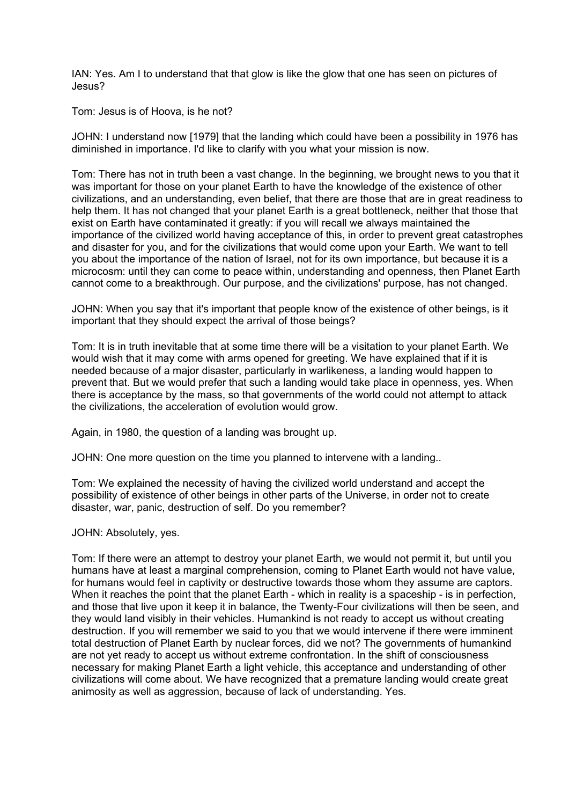IAN: Yes. Am I to understand that that glow is like the glow that one has seen on pictures of Jesus?

Tom: Jesus is of Hoova, is he not?

JOHN: I understand now [1979] that the landing which could have been a possibility in 1976 has diminished in importance. I'd like to clarify with you what your mission is now.

Tom: There has not in truth been a vast change. In the beginning, we brought news to you that it was important for those on your planet Earth to have the knowledge of the existence of other civilizations, and an understanding, even belief, that there are those that are in great readiness to help them. It has not changed that your planet Earth is a great bottleneck, neither that those that exist on Earth have contaminated it greatly: if you will recall we always maintained the importance of the civilized world having acceptance of this, in order to prevent great catastrophes and disaster for you, and for the civilizations that would come upon your Earth. We want to tell you about the importance of the nation of Israel, not for its own importance, but because it is a microcosm: until they can come to peace within, understanding and openness, then Planet Earth cannot come to a breakthrough. Our purpose, and the civilizations' purpose, has not changed.

JOHN: When you say that it's important that people know of the existence of other beings, is it important that they should expect the arrival of those beings?

Tom: It is in truth inevitable that at some time there will be a visitation to your planet Earth. We would wish that it may come with arms opened for greeting. We have explained that if it is needed because of a major disaster, particularly in warlikeness, a landing would happen to prevent that. But we would prefer that such a landing would take place in openness, yes. When there is acceptance by the mass, so that governments of the world could not attempt to attack the civilizations, the acceleration of evolution would grow.

Again, in 1980, the question of a landing was brought up.

JOHN: One more question on the time you planned to intervene with a landing..

Tom: We explained the necessity of having the civilized world understand and accept the possibility of existence of other beings in other parts of the Universe, in order not to create disaster, war, panic, destruction of self. Do you remember?

JOHN: Absolutely, yes.

Tom: If there were an attempt to destroy your planet Earth, we would not permit it, but until you humans have at least a marginal comprehension, coming to Planet Earth would not have value, for humans would feel in captivity or destructive towards those whom they assume are captors. When it reaches the point that the planet Earth - which in reality is a spaceship - is in perfection, and those that live upon it keep it in balance, the Twenty-Four civilizations will then be seen, and they would land visibly in their vehicles. Humankind is not ready to accept us without creating destruction. If you will remember we said to you that we would intervene if there were imminent total destruction of Planet Earth by nuclear forces, did we not? The governments of humankind are not yet ready to accept us without extreme confrontation. In the shift of consciousness necessary for making Planet Earth a light vehicle, this acceptance and understanding of other civilizations will come about. We have recognized that a premature landing would create great animosity as well as aggression, because of lack of understanding. Yes.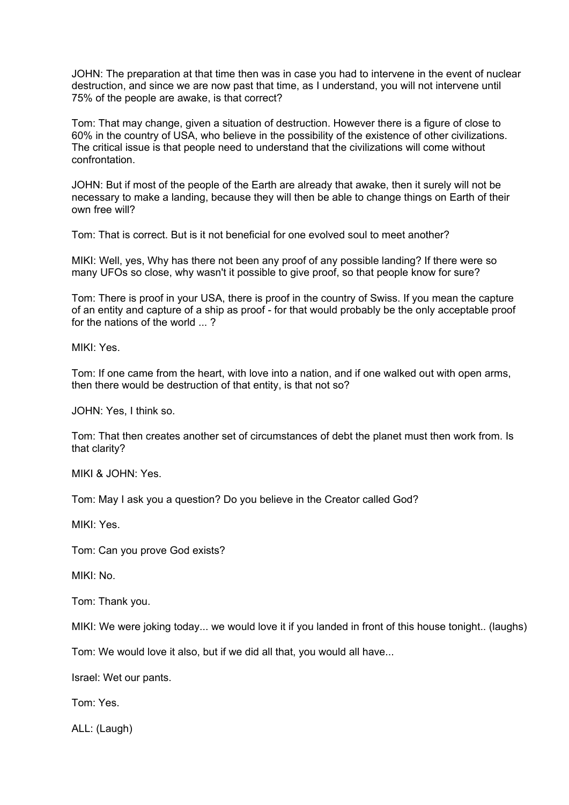JOHN: The preparation at that time then was in case you had to intervene in the event of nuclear destruction, and since we are now past that time, as I understand, you will not intervene until 75% of the people are awake, is that correct?

Tom: That may change, given a situation of destruction. However there is a figure of close to 60% in the country of USA, who believe in the possibility of the existence of other civilizations. The critical issue is that people need to understand that the civilizations will come without confrontation.

JOHN: But if most of the people of the Earth are already that awake, then it surely will not be necessary to make a landing, because they will then be able to change things on Earth of their own free will?

Tom: That is correct. But is it not beneficial for one evolved soul to meet another?

MIKI: Well, yes, Why has there not been any proof of any possible landing? If there were so many UFOs so close, why wasn't it possible to give proof, so that people know for sure?

Tom: There is proof in your USA, there is proof in the country of Swiss. If you mean the capture of an entity and capture of a ship as proof - for that would probably be the only acceptable proof for the nations of the world ... ?

MIKI: Yes.

Tom: If one came from the heart, with love into a nation, and if one walked out with open arms, then there would be destruction of that entity, is that not so?

JOHN: Yes, I think so.

Tom: That then creates another set of circumstances of debt the planet must then work from. Is that clarity?

MIKI & JOHN: Yes.

Tom: May I ask you a question? Do you believe in the Creator called God?

MIKI: Yes.

Tom: Can you prove God exists?

MIKI: No.

Tom: Thank you.

MIKI: We were joking today... we would love it if you landed in front of this house tonight.. (laughs)

Tom: We would love it also, but if we did all that, you would all have...

Israel: Wet our pants.

Tom: Yes.

ALL: (Laugh)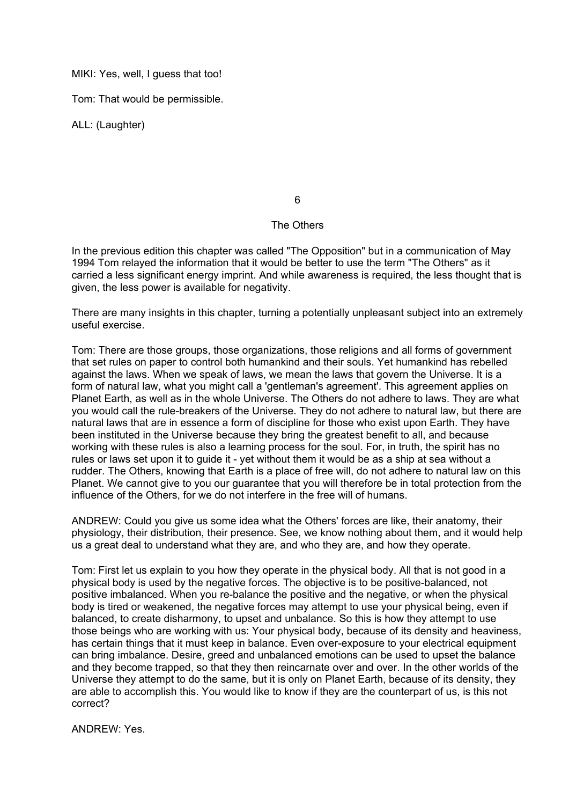MIKI: Yes, well, I guess that too!

Tom: That would be permissible.

ALL: (Laughter)

6

# The Others

In the previous edition this chapter was called "The Opposition" but in a communication of May 1994 Tom relayed the information that it would be better to use the term "The Others" as it carried a less significant energy imprint. And while awareness is required, the less thought that is given, the less power is available for negativity.

There are many insights in this chapter, turning a potentially unpleasant subject into an extremely useful exercise.

Tom: There are those groups, those organizations, those religions and all forms of government that set rules on paper to control both humankind and their souls. Yet humankind has rebelled against the laws. When we speak of laws, we mean the laws that govern the Universe. It is a form of natural law, what you might call a 'gentleman's agreement'. This agreement applies on Planet Earth, as well as in the whole Universe. The Others do not adhere to laws. They are what you would call the rule-breakers of the Universe. They do not adhere to natural law, but there are natural laws that are in essence a form of discipline for those who exist upon Earth. They have been instituted in the Universe because they bring the greatest benefit to all, and because working with these rules is also a learning process for the soul. For, in truth, the spirit has no rules or laws set upon it to guide it - yet without them it would be as a ship at sea without a rudder. The Others, knowing that Earth is a place of free will, do not adhere to natural law on this Planet. We cannot give to you our guarantee that you will therefore be in total protection from the influence of the Others, for we do not interfere in the free will of humans.

ANDREW: Could you give us some idea what the Others' forces are like, their anatomy, their physiology, their distribution, their presence. See, we know nothing about them, and it would help us a great deal to understand what they are, and who they are, and how they operate.

Tom: First let us explain to you how they operate in the physical body. All that is not good in a physical body is used by the negative forces. The objective is to be positive-balanced, not positive imbalanced. When you re-balance the positive and the negative, or when the physical body is tired or weakened, the negative forces may attempt to use your physical being, even if balanced, to create disharmony, to upset and unbalance. So this is how they attempt to use those beings who are working with us: Your physical body, because of its density and heaviness, has certain things that it must keep in balance. Even over-exposure to your electrical equipment can bring imbalance. Desire, greed and unbalanced emotions can be used to upset the balance and they become trapped, so that they then reincarnate over and over. In the other worlds of the Universe they attempt to do the same, but it is only on Planet Earth, because of its density, they are able to accomplish this. You would like to know if they are the counterpart of us, is this not correct?

ANDREW: Yes.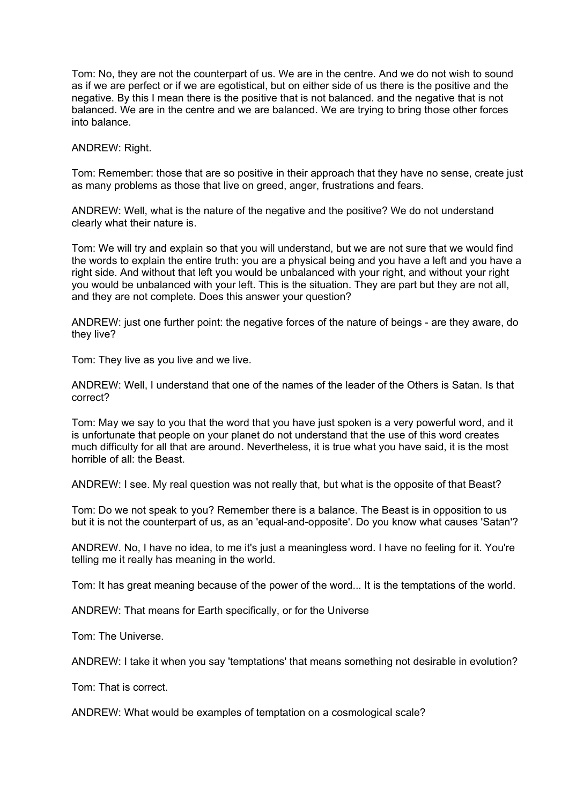Tom: No, they are not the counterpart of us. We are in the centre. And we do not wish to sound as if we are perfect or if we are egotistical, but on either side of us there is the positive and the negative. By this I mean there is the positive that is not balanced. and the negative that is not balanced. We are in the centre and we are balanced. We are trying to bring those other forces into balance.

ANDREW: Right.

Tom: Remember: those that are so positive in their approach that they have no sense, create just as many problems as those that live on greed, anger, frustrations and fears.

ANDREW: Well, what is the nature of the negative and the positive? We do not understand clearly what their nature is.

Tom: We will try and explain so that you will understand, but we are not sure that we would find the words to explain the entire truth: you are a physical being and you have a left and you have a right side. And without that left you would be unbalanced with your right, and without your right you would be unbalanced with your left. This is the situation. They are part but they are not all, and they are not complete. Does this answer your question?

ANDREW: just one further point: the negative forces of the nature of beings - are they aware, do they live?

Tom: They live as you live and we live.

ANDREW: Well, I understand that one of the names of the leader of the Others is Satan. Is that correct?

Tom: May we say to you that the word that you have just spoken is a very powerful word, and it is unfortunate that people on your planet do not understand that the use of this word creates much difficulty for all that are around. Nevertheless, it is true what you have said, it is the most horrible of all: the Beast.

ANDREW: I see. My real question was not really that, but what is the opposite of that Beast?

Tom: Do we not speak to you? Remember there is a balance. The Beast is in opposition to us but it is not the counterpart of us, as an 'equal-and-opposite'. Do you know what causes 'Satan'?

ANDREW. No, I have no idea, to me it's just a meaningless word. I have no feeling for it. You're telling me it really has meaning in the world.

Tom: It has great meaning because of the power of the word... It is the temptations of the world.

ANDREW: That means for Earth specifically, or for the Universe

Tom: The Universe.

ANDREW: I take it when you say 'temptations' that means something not desirable in evolution?

Tom: That is correct.

ANDREW: What would be examples of temptation on a cosmological scale?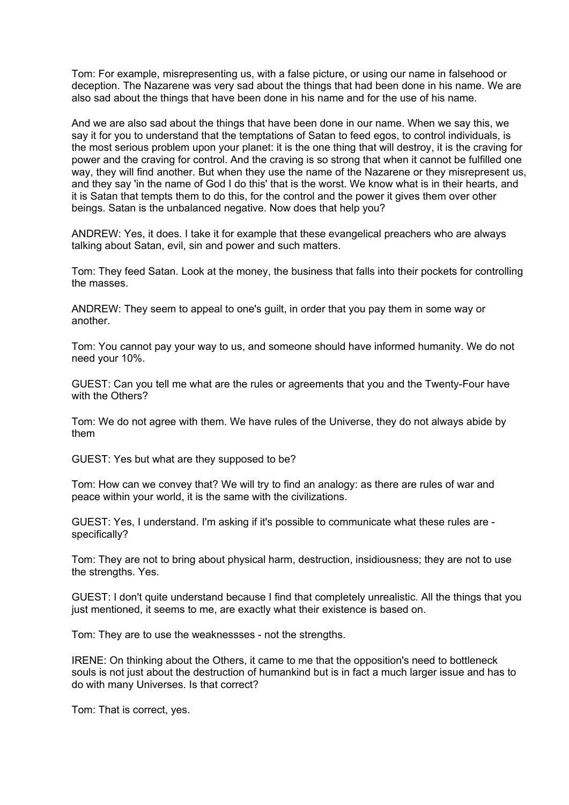Tom: For example, misrepresenting us, with a false picture, or using our name in falsehood or deception. The Nazarene was very sad about the things that had been done in his name. We are also sad about the things that have been done in his name and for the use of his name.

And we are also sad about the things that have been done in our name. When we say this, we say it for you to understand that the temptations of Satan to feed egos, to control individuals, is the most serious problem upon your planet: it is the one thing that will destroy, it is the craving for power and the craving for control. And the craving is so strong that when it cannot be fulfilled one way, they will find another. But when they use the name of the Nazarene or they misrepresent us, and they say 'in the name of God I do this' that is the worst. We know what is in their hearts, and it is Satan that tempts them to do this, for the control and the power it gives them over other beings. Satan is the unbalanced negative. Now does that help you?

ANDREW: Yes, it does. I take it for example that these evangelical preachers who are always talking about Satan, evil, sin and power and such matters.

Tom: They feed Satan. Look at the money, the business that falls into their pockets for controlling the masses.

ANDREW: They seem to appeal to one's guilt, in order that you pay them in some way or another.

Tom: You cannot pay your way to us, and someone should have informed humanity. We do not need your 10%.

GUEST: Can you tell me what are the rules or agreements that you and the Twenty-Four have with the Others?

Tom: We do not agree with them. We have rules of the Universe, they do not always abide by them

GUEST: Yes but what are they supposed to be?

Tom: How can we convey that? We will try to find an analogy: as there are rules of war and peace within your world, it is the same with the civilizations.

GUEST: Yes, I understand. I'm asking if it's possible to communicate what these rules are specifically?

Tom: They are not to bring about physical harm, destruction, insidiousness; they are not to use the strengths. Yes.

GUEST: I don't quite understand because I find that completely unrealistic. All the things that you just mentioned, it seems to me, are exactly what their existence is based on.

Tom: They are to use the weaknessses - not the strengths.

IRENE: On thinking about the Others, it came to me that the opposition's need to bottleneck souls is not just about the destruction of humankind but is in fact a much larger issue and has to do with many Universes. Is that correct?

Tom: That is correct, yes.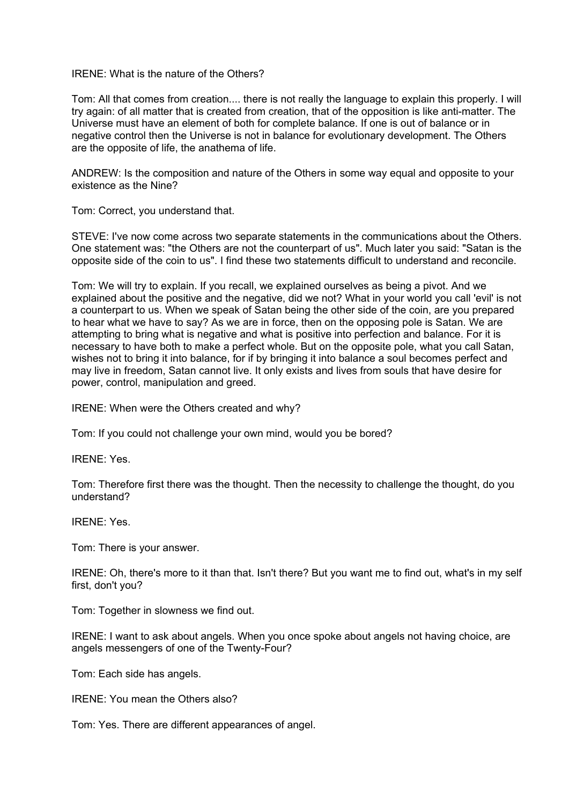### IRENE: What is the nature of the Others?

Tom: All that comes from creation.... there is not really the language to explain this properly. I will try again: of all matter that is created from creation, that of the opposition is like anti-matter. The Universe must have an element of both for complete balance. If one is out of balance or in negative control then the Universe is not in balance for evolutionary development. The Others are the opposite of life, the anathema of life.

ANDREW: Is the composition and nature of the Others in some way equal and opposite to your existence as the Nine?

Tom: Correct, you understand that.

STEVE: I've now come across two separate statements in the communications about the Others. One statement was: "the Others are not the counterpart of us". Much later you said: "Satan is the opposite side of the coin to us". I find these two statements difficult to understand and reconcile.

Tom: We will try to explain. If you recall, we explained ourselves as being a pivot. And we explained about the positive and the negative, did we not? What in your world you call 'evil' is not a counterpart to us. When we speak of Satan being the other side of the coin, are you prepared to hear what we have to say? As we are in force, then on the opposing pole is Satan. We are attempting to bring what is negative and what is positive into perfection and balance. For it is necessary to have both to make a perfect whole. But on the opposite pole, what you call Satan, wishes not to bring it into balance, for if by bringing it into balance a soul becomes perfect and may live in freedom, Satan cannot live. It only exists and lives from souls that have desire for power, control, manipulation and greed.

IRENE: When were the Others created and why?

Tom: If you could not challenge your own mind, would you be bored?

IRENE: Yes.

Tom: Therefore first there was the thought. Then the necessity to challenge the thought, do you understand?

IRENE: Yes.

Tom: There is your answer.

IRENE: Oh, there's more to it than that. Isn't there? But you want me to find out, what's in my self first, don't you?

Tom: Together in slowness we find out.

IRENE: I want to ask about angels. When you once spoke about angels not having choice, are angels messengers of one of the Twenty-Four?

Tom: Each side has angels.

IRENE: You mean the Others also?

Tom: Yes. There are different appearances of angel.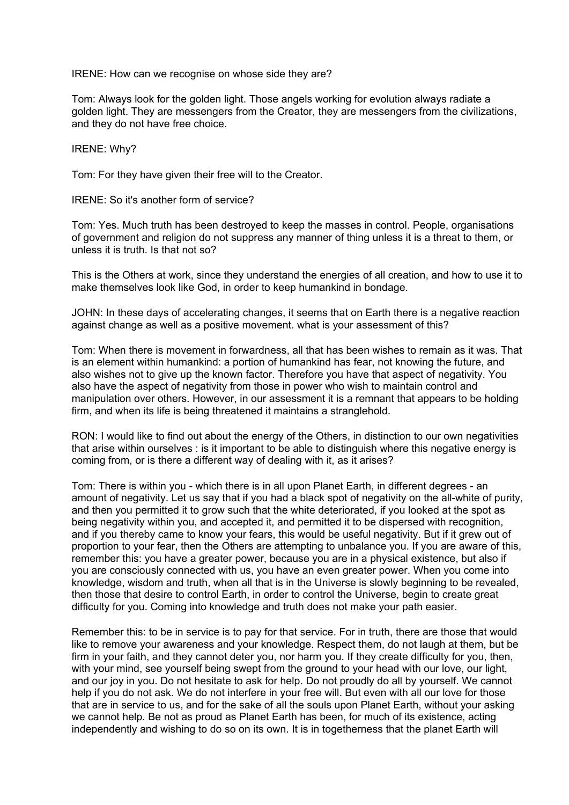IRENE: How can we recognise on whose side they are?

Tom: Always look for the golden light. Those angels working for evolution always radiate a golden light. They are messengers from the Creator, they are messengers from the civilizations, and they do not have free choice.

IRENE: Why?

Tom: For they have given their free will to the Creator.

IRENE: So it's another form of service?

Tom: Yes. Much truth has been destroyed to keep the masses in control. People, organisations of government and religion do not suppress any manner of thing unless it is a threat to them, or unless it is truth. Is that not so?

This is the Others at work, since they understand the energies of all creation, and how to use it to make themselves look like God, in order to keep humankind in bondage.

JOHN: In these days of accelerating changes, it seems that on Earth there is a negative reaction against change as well as a positive movement. what is your assessment of this?

Tom: When there is movement in forwardness, all that has been wishes to remain as it was. That is an element within humankind: a portion of humankind has fear, not knowing the future, and also wishes not to give up the known factor. Therefore you have that aspect of negativity. You also have the aspect of negativity from those in power who wish to maintain control and manipulation over others. However, in our assessment it is a remnant that appears to be holding firm, and when its life is being threatened it maintains a stranglehold.

RON: I would like to find out about the energy of the Others, in distinction to our own negativities that arise within ourselves : is it important to be able to distinguish where this negative energy is coming from, or is there a different way of dealing with it, as it arises?

Tom: There is within you - which there is in all upon Planet Earth, in different degrees - an amount of negativity. Let us say that if you had a black spot of negativity on the all-white of purity, and then you permitted it to grow such that the white deteriorated, if you looked at the spot as being negativity within you, and accepted it, and permitted it to be dispersed with recognition, and if you thereby came to know your fears, this would be useful negativity. But if it grew out of proportion to your fear, then the Others are attempting to unbalance you. If you are aware of this, remember this: you have a greater power, because you are in a physical existence, but also if you are consciously connected with us, you have an even greater power. When you come into knowledge, wisdom and truth, when all that is in the Universe is slowly beginning to be revealed, then those that desire to control Earth, in order to control the Universe, begin to create great difficulty for you. Coming into knowledge and truth does not make your path easier.

Remember this: to be in service is to pay for that service. For in truth, there are those that would like to remove your awareness and your knowledge. Respect them, do not laugh at them, but be firm in your faith, and they cannot deter you, nor harm you. If they create difficulty for you, then, with your mind, see yourself being swept from the ground to your head with our love, our light, and our joy in you. Do not hesitate to ask for help. Do not proudly do all by yourself. We cannot help if you do not ask. We do not interfere in your free will. But even with all our love for those that are in service to us, and for the sake of all the souls upon Planet Earth, without your asking we cannot help. Be not as proud as Planet Earth has been, for much of its existence, acting independently and wishing to do so on its own. It is in togetherness that the planet Earth will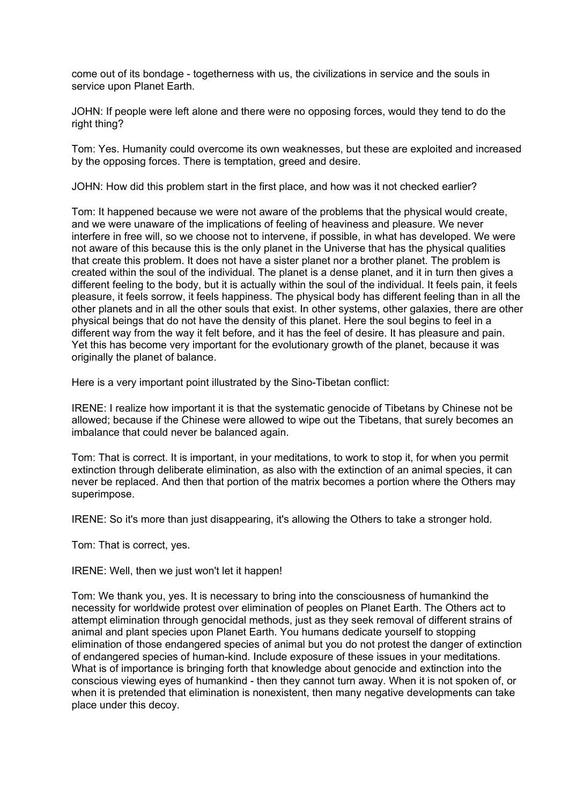come out of its bondage - togetherness with us, the civilizations in service and the souls in service upon Planet Earth.

JOHN: If people were left alone and there were no opposing forces, would they tend to do the right thing?

Tom: Yes. Humanity could overcome its own weaknesses, but these are exploited and increased by the opposing forces. There is temptation, greed and desire.

JOHN: How did this problem start in the first place, and how was it not checked earlier?

Tom: It happened because we were not aware of the problems that the physical would create, and we were unaware of the implications of feeling of heaviness and pleasure. We never interfere in free will, so we choose not to intervene, if possible, in what has developed. We were not aware of this because this is the only planet in the Universe that has the physical qualities that create this problem. It does not have a sister planet nor a brother planet. The problem is created within the soul of the individual. The planet is a dense planet, and it in turn then gives a different feeling to the body, but it is actually within the soul of the individual. It feels pain, it feels pleasure, it feels sorrow, it feels happiness. The physical body has different feeling than in all the other planets and in all the other souls that exist. In other systems, other galaxies, there are other physical beings that do not have the density of this planet. Here the soul begins to feel in a different way from the way it felt before, and it has the feel of desire. It has pleasure and pain. Yet this has become very important for the evolutionary growth of the planet, because it was originally the planet of balance.

Here is a very important point illustrated by the Sino-Tibetan conflict:

IRENE: I realize how important it is that the systematic genocide of Tibetans by Chinese not be allowed; because if the Chinese were allowed to wipe out the Tibetans, that surely becomes an imbalance that could never be balanced again.

Tom: That is correct. It is important, in your meditations, to work to stop it, for when you permit extinction through deliberate elimination, as also with the extinction of an animal species, it can never be replaced. And then that portion of the matrix becomes a portion where the Others may superimpose.

IRENE: So it's more than just disappearing, it's allowing the Others to take a stronger hold.

Tom: That is correct, yes.

IRENE: Well, then we just won't let it happen!

Tom: We thank you, yes. It is necessary to bring into the consciousness of humankind the necessity for worldwide protest over elimination of peoples on Planet Earth. The Others act to attempt elimination through genocidal methods, just as they seek removal of different strains of animal and plant species upon Planet Earth. You humans dedicate yourself to stopping elimination of those endangered species of animal but you do not protest the danger of extinction of endangered species of human-kind. Include exposure of these issues in your meditations. What is of importance is bringing forth that knowledge about genocide and extinction into the conscious viewing eyes of humankind - then they cannot turn away. When it is not spoken of, or when it is pretended that elimination is nonexistent, then many negative developments can take place under this decoy.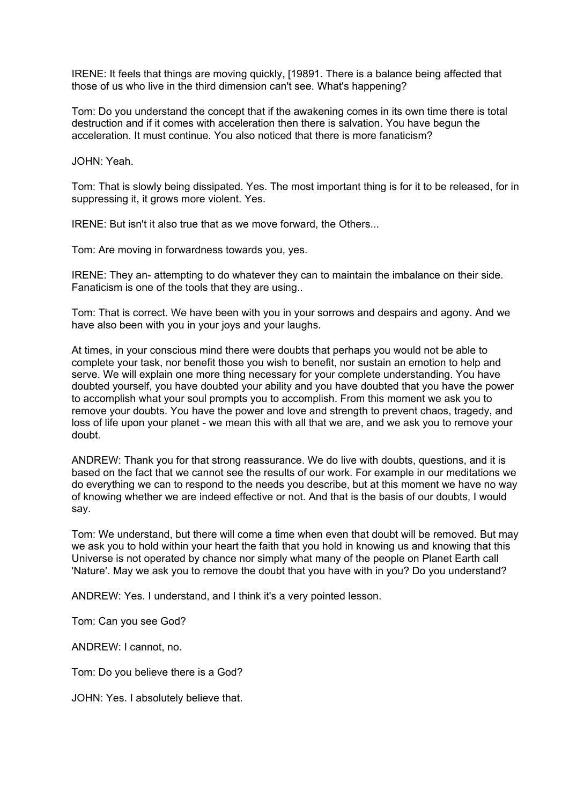IRENE: It feels that things are moving quickly, [19891. There is a balance being affected that those of us who live in the third dimension can't see. What's happening?

Tom: Do you understand the concept that if the awakening comes in its own time there is total destruction and if it comes with acceleration then there is salvation. You have begun the acceleration. It must continue. You also noticed that there is more fanaticism?

JOHN: Yeah.

Tom: That is slowly being dissipated. Yes. The most important thing is for it to be released, for in suppressing it, it grows more violent. Yes.

IRENE: But isn't it also true that as we move forward, the Others...

Tom: Are moving in forwardness towards you, yes.

IRENE: They an- attempting to do whatever they can to maintain the imbalance on their side. Fanaticism is one of the tools that they are using..

Tom: That is correct. We have been with you in your sorrows and despairs and agony. And we have also been with you in your joys and your laughs.

At times, in your conscious mind there were doubts that perhaps you would not be able to complete your task, nor benefit those you wish to benefit, nor sustain an emotion to help and serve. We will explain one more thing necessary for your complete understanding. You have doubted yourself, you have doubted your ability and you have doubted that you have the power to accomplish what your soul prompts you to accomplish. From this moment we ask you to remove your doubts. You have the power and love and strength to prevent chaos, tragedy, and loss of life upon your planet - we mean this with all that we are, and we ask you to remove your doubt.

ANDREW: Thank you for that strong reassurance. We do live with doubts, questions, and it is based on the fact that we cannot see the results of our work. For example in our meditations we do everything we can to respond to the needs you describe, but at this moment we have no way of knowing whether we are indeed effective or not. And that is the basis of our doubts, I would say.

Tom: We understand, but there will come a time when even that doubt will be removed. But may we ask you to hold within your heart the faith that you hold in knowing us and knowing that this Universe is not operated by chance nor simply what many of the people on Planet Earth call 'Nature'. May we ask you to remove the doubt that you have with in you? Do you understand?

ANDREW: Yes. I understand, and I think it's a very pointed lesson.

Tom: Can you see God?

ANDREW: I cannot, no.

Tom: Do you believe there is a God?

JOHN: Yes. I absolutely believe that.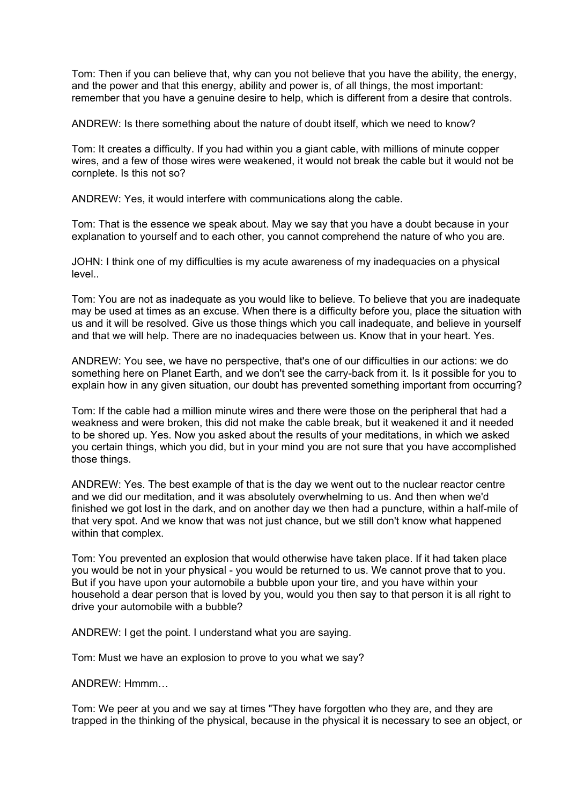Tom: Then if you can believe that, why can you not believe that you have the ability, the energy, and the power and that this energy, ability and power is, of all things, the most important: remember that you have a genuine desire to help, which is different from a desire that controls.

ANDREW: Is there something about the nature of doubt itself, which we need to know?

Tom: It creates a difficulty. If you had within you a giant cable, with millions of minute copper wires, and a few of those wires were weakened, it would not break the cable but it would not be cornplete. Is this not so?

ANDREW: Yes, it would interfere with communications along the cable.

Tom: That is the essence we speak about. May we say that you have a doubt because in your explanation to yourself and to each other, you cannot comprehend the nature of who you are.

JOHN: I think one of my difficulties is my acute awareness of my inadequacies on a physical level..

Tom: You are not as inadequate as you would like to believe. To believe that you are inadequate may be used at times as an excuse. When there is a difficulty before you, place the situation with us and it will be resolved. Give us those things which you call inadequate, and believe in yourself and that we will help. There are no inadequacies between us. Know that in your heart. Yes.

ANDREW: You see, we have no perspective, that's one of our difficulties in our actions: we do something here on Planet Earth, and we don't see the carry-back from it. Is it possible for you to explain how in any given situation, our doubt has prevented something important from occurring?

Tom: If the cable had a million minute wires and there were those on the peripheral that had a weakness and were broken, this did not make the cable break, but it weakened it and it needed to be shored up. Yes. Now you asked about the results of your meditations, in which we asked you certain things, which you did, but in your mind you are not sure that you have accomplished those things.

ANDREW: Yes. The best example of that is the day we went out to the nuclear reactor centre and we did our meditation, and it was absolutely overwhelming to us. And then when we'd finished we got lost in the dark, and on another day we then had a puncture, within a half-mile of that very spot. And we know that was not just chance, but we still don't know what happened within that complex.

Tom: You prevented an explosion that would otherwise have taken place. If it had taken place you would be not in your physical - you would be returned to us. We cannot prove that to you. But if you have upon your automobile a bubble upon your tire, and you have within your household a dear person that is loved by you, would you then say to that person it is all right to drive your automobile with a bubble?

ANDREW: I get the point. I understand what you are saying.

Tom: Must we have an explosion to prove to you what we say?

ANDREW: Hmmm…

Tom: We peer at you and we say at times "They have forgotten who they are, and they are trapped in the thinking of the physical, because in the physical it is necessary to see an object, or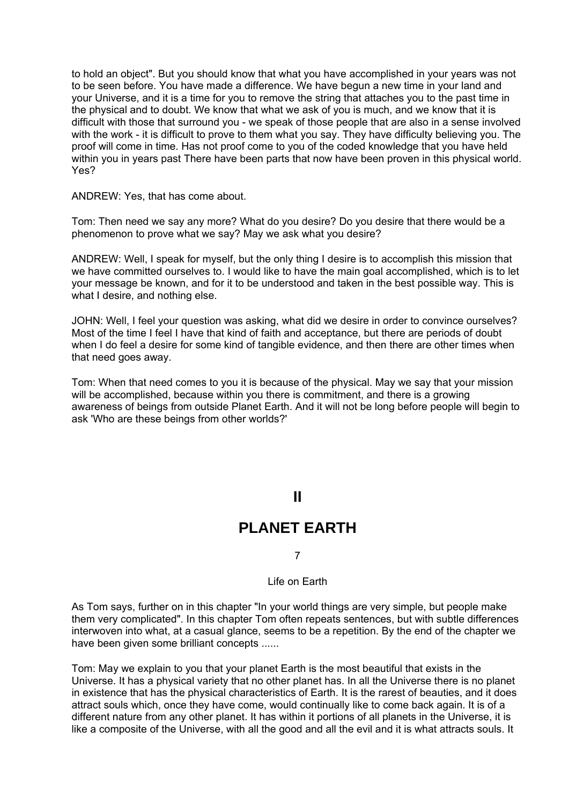to hold an object". But you should know that what you have accomplished in your years was not to be seen before. You have made a difference. We have begun a new time in your land and your Universe, and it is a time for you to remove the string that attaches you to the past time in the physical and to doubt. We know that what we ask of you is much, and we know that it is difficult with those that surround you - we speak of those people that are also in a sense involved with the work - it is difficult to prove to them what you say. They have difficulty believing you. The proof will come in time. Has not proof come to you of the coded knowledge that you have held within you in years past There have been parts that now have been proven in this physical world. Yes?

ANDREW: Yes, that has come about.

Tom: Then need we say any more? What do you desire? Do you desire that there would be a phenomenon to prove what we say? May we ask what you desire?

ANDREW: Well, I speak for myself, but the only thing I desire is to accomplish this mission that we have committed ourselves to. I would like to have the main goal accomplished, which is to let your message be known, and for it to be understood and taken in the best possible way. This is what I desire, and nothing else.

JOHN: Well, I feel your question was asking, what did we desire in order to convince ourselves? Most of the time I feel I have that kind of faith and acceptance, but there are periods of doubt when I do feel a desire for some kind of tangible evidence, and then there are other times when that need goes away.

Tom: When that need comes to you it is because of the physical. May we say that your mission will be accomplished, because within you there is commitment, and there is a growing awareness of beings from outside Planet Earth. And it will not be long before people will begin to ask 'Who are these beings from other worlds?'

# **II**

# **PLANET EARTH**

7

# Life on Earth

As Tom says, further on in this chapter "In your world things are very simple, but people make them very complicated". In this chapter Tom often repeats sentences, but with subtle differences interwoven into what, at a casual glance, seems to be a repetition. By the end of the chapter we have been given some brilliant concepts ......

Tom: May we explain to you that your planet Earth is the most beautiful that exists in the Universe. It has a physical variety that no other planet has. In all the Universe there is no planet in existence that has the physical characteristics of Earth. It is the rarest of beauties, and it does attract souls which, once they have come, would continually like to come back again. It is of a different nature from any other planet. It has within it portions of all planets in the Universe, it is like a composite of the Universe, with all the good and all the evil and it is what attracts souls. It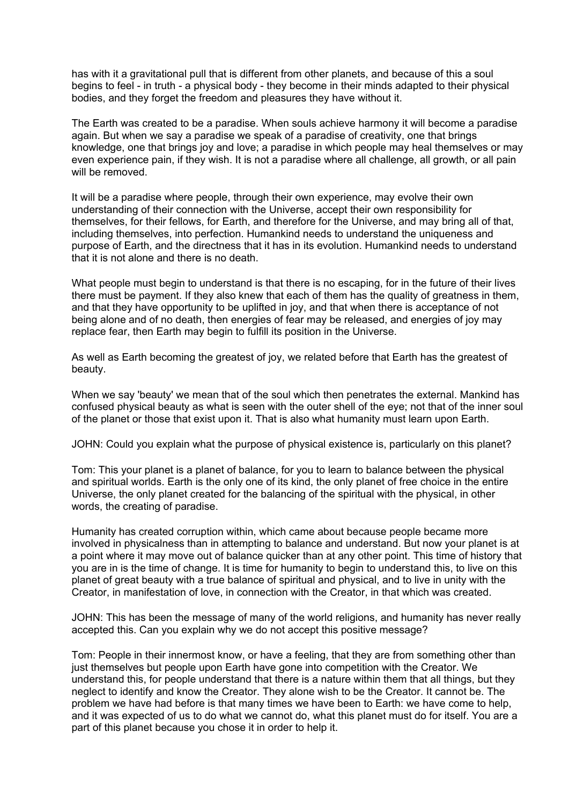has with it a gravitational pull that is different from other planets, and because of this a soul begins to feel - in truth - a physical body - they become in their minds adapted to their physical bodies, and they forget the freedom and pleasures they have without it.

The Earth was created to be a paradise. When souls achieve harmony it will become a paradise again. But when we say a paradise we speak of a paradise of creativity, one that brings knowledge, one that brings joy and love; a paradise in which people may heal themselves or may even experience pain, if they wish. It is not a paradise where all challenge, all growth, or all pain will be removed.

It will be a paradise where people, through their own experience, may evolve their own understanding of their connection with the Universe, accept their own responsibility for themselves, for their fellows, for Earth, and therefore for the Universe, and may bring all of that, including themselves, into perfection. Humankind needs to understand the uniqueness and purpose of Earth, and the directness that it has in its evolution. Humankind needs to understand that it is not alone and there is no death.

What people must begin to understand is that there is no escaping, for in the future of their lives there must be payment. If they also knew that each of them has the quality of greatness in them, and that they have opportunity to be uplifted in joy, and that when there is acceptance of not being alone and of no death, then energies of fear may be released, and energies of joy may replace fear, then Earth may begin to fulfill its position in the Universe.

As well as Earth becoming the greatest of joy, we related before that Earth has the greatest of beauty.

When we say 'beauty' we mean that of the soul which then penetrates the external. Mankind has confused physical beauty as what is seen with the outer shell of the eye; not that of the inner soul of the planet or those that exist upon it. That is also what humanity must learn upon Earth.

JOHN: Could you explain what the purpose of physical existence is, particularly on this planet?

Tom: This your planet is a planet of balance, for you to learn to balance between the physical and spiritual worlds. Earth is the only one of its kind, the only planet of free choice in the entire Universe, the only planet created for the balancing of the spiritual with the physical, in other words, the creating of paradise.

Humanity has created corruption within, which came about because people became more involved in physicalness than in attempting to balance and understand. But now your planet is at a point where it may move out of balance quicker than at any other point. This time of history that you are in is the time of change. It is time for humanity to begin to understand this, to live on this planet of great beauty with a true balance of spiritual and physical, and to live in unity with the Creator, in manifestation of love, in connection with the Creator, in that which was created.

JOHN: This has been the message of many of the world religions, and humanity has never really accepted this. Can you explain why we do not accept this positive message?

Tom: People in their innermost know, or have a feeling, that they are from something other than just themselves but people upon Earth have gone into competition with the Creator. We understand this, for people understand that there is a nature within them that all things, but they neglect to identify and know the Creator. They alone wish to be the Creator. It cannot be. The problem we have had before is that many times we have been to Earth: we have come to help, and it was expected of us to do what we cannot do, what this planet must do for itself. You are a part of this planet because you chose it in order to help it.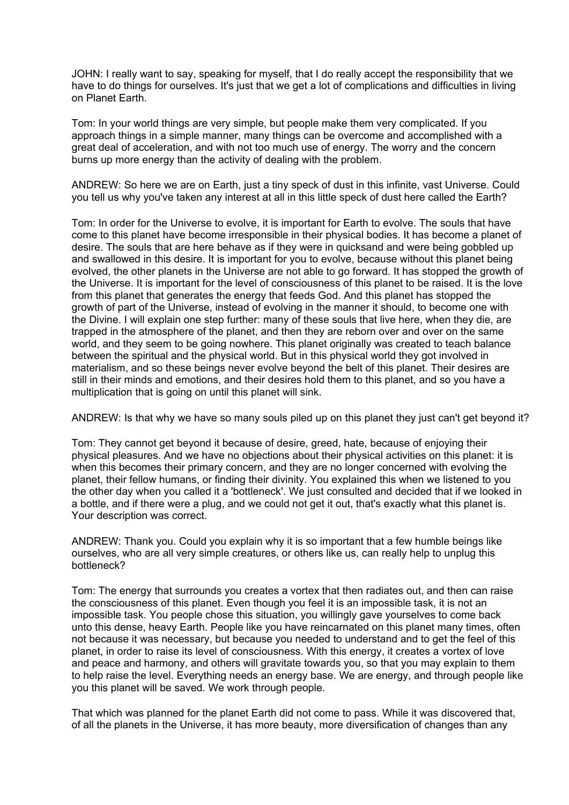JOHN: I really want to say, speaking for myself, that I do really accept the responsibility that we have to do things for ourselves. It's just that we get a lot of complications and difficulties in living on Planet Earth.

Tom: In your world things are very simple, but people make them very complicated. If you approach things in a simple manner, many things can be overcome and accomplished with a great deal of acceleration, and with not too much use of energy. The worry and the concern burns up more energy than the activity of dealing with the problem.

ANDREW: So here we are on Earth, just a tiny speck of dust in this infinite, vast Universe. Could you tell us why you've taken any interest at all in this little speck of dust here called the Earth?

Tom: In order for the Universe to evolve, it is important for Earth to evolve. The souls that have come to this planet have become irresponsible in their physical bodies. It has become a planet of desire. The souls that are here behave as if they were in quicksand and were being gobbled up and swallowed in this desire. It is important for you to evolve, because without this planet being evolved, the other planets in the Universe are not able to go forward. It has stopped the growth of the Universe. It is important for the level of consciousness of this planet to be raised. It is the love from this planet that generates the energy that feeds God. And this planet has stopped the growth of part of the Universe, instead of evolving in the manner it should, to become one with the Divine. I will explain one step further: many of these souls that live here, when they die, are trapped in the atmosphere of the planet, and then they are reborn over and over on the same world, and they seem to be going nowhere. This planet originally was created to teach balance between the spiritual and the physical world. But in this physical world they got involved in materialism, and so these beings never evolve beyond the belt of this planet. Their desires are still in their minds and emotions, and their desires hold them to this planet, and so you have a multiplication that is going on until this planet will sink.

ANDREW: Is that why we have so many souls piled up on this planet they just can't get beyond it?

Tom: They cannot get beyond it because of desire, greed, hate, because of enjoying their physical pleasures. And we have no objections about their physical activities on this planet: it is when this becomes their primary concern, and they are no longer concerned with evolving the planet, their fellow humans, or finding their divinity. You explained this when we listened to you the other day when you called it a 'bottleneck'. We just consulted and decided that if we looked in a bottle, and if there were a plug, and we could not get it out, that's exactly what this planet is. Your description was correct.

ANDREW: Thank you. Could you explain why it is so important that a few humble beings like ourselves, who are all very simple creatures, or others like us, can really help to unplug this bottleneck?

Tom: The energy that surrounds you creates a vortex that then radiates out, and then can raise the consciousness of this planet. Even though you feel it is an impossible task, it is not an impossible task. You people chose this situation, you willingly gave yourselves to come back unto this dense, heavy Earth. People like you have reincarnated on this planet many times, often not because it was necessary, but because you needed to understand and to get the feel of this planet, in order to raise its level of consciousness. With this energy, it creates a vortex of love and peace and harmony, and others will gravitate towards you, so that you may explain to them to help raise the level. Everything needs an energy base. We are energy, and through people like you this planet will be saved. We work through people.

That which was planned for the planet Earth did not come to pass. While it was discovered that, of all the planets in the Universe, it has more beauty, more diversification of changes than any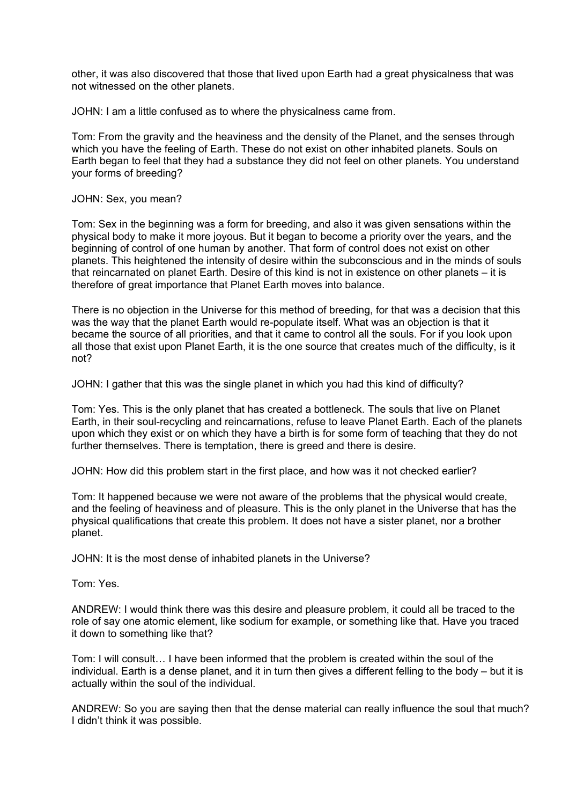other, it was also discovered that those that lived upon Earth had a great physicalness that was not witnessed on the other planets.

JOHN: I am a little confused as to where the physicalness came from.

Tom: From the gravity and the heaviness and the density of the Planet, and the senses through which you have the feeling of Earth. These do not exist on other inhabited planets. Souls on Earth began to feel that they had a substance they did not feel on other planets. You understand your forms of breeding?

JOHN: Sex, you mean?

Tom: Sex in the beginning was a form for breeding, and also it was given sensations within the physical body to make it more joyous. But it began to become a priority over the years, and the beginning of control of one human by another. That form of control does not exist on other planets. This heightened the intensity of desire within the subconscious and in the minds of souls that reincarnated on planet Earth. Desire of this kind is not in existence on other planets – it is therefore of great importance that Planet Earth moves into balance.

There is no objection in the Universe for this method of breeding, for that was a decision that this was the way that the planet Earth would re-populate itself. What was an objection is that it became the source of all priorities, and that it came to control all the souls. For if you look upon all those that exist upon Planet Earth, it is the one source that creates much of the difficulty, is it not?

JOHN: I gather that this was the single planet in which you had this kind of difficulty?

Tom: Yes. This is the only planet that has created a bottleneck. The souls that live on Planet Earth, in their soul-recycling and reincarnations, refuse to leave Planet Earth. Each of the planets upon which they exist or on which they have a birth is for some form of teaching that they do not further themselves. There is temptation, there is greed and there is desire.

JOHN: How did this problem start in the first place, and how was it not checked earlier?

Tom: It happened because we were not aware of the problems that the physical would create, and the feeling of heaviness and of pleasure. This is the only planet in the Universe that has the physical qualifications that create this problem. It does not have a sister planet, nor a brother planet.

JOHN: It is the most dense of inhabited planets in the Universe?

Tom: Yes.

ANDREW: I would think there was this desire and pleasure problem, it could all be traced to the role of say one atomic element, like sodium for example, or something like that. Have you traced it down to something like that?

Tom: I will consult… I have been informed that the problem is created within the soul of the individual. Earth is a dense planet, and it in turn then gives a different felling to the body – but it is actually within the soul of the individual.

ANDREW: So you are saying then that the dense material can really influence the soul that much? I didn't think it was possible.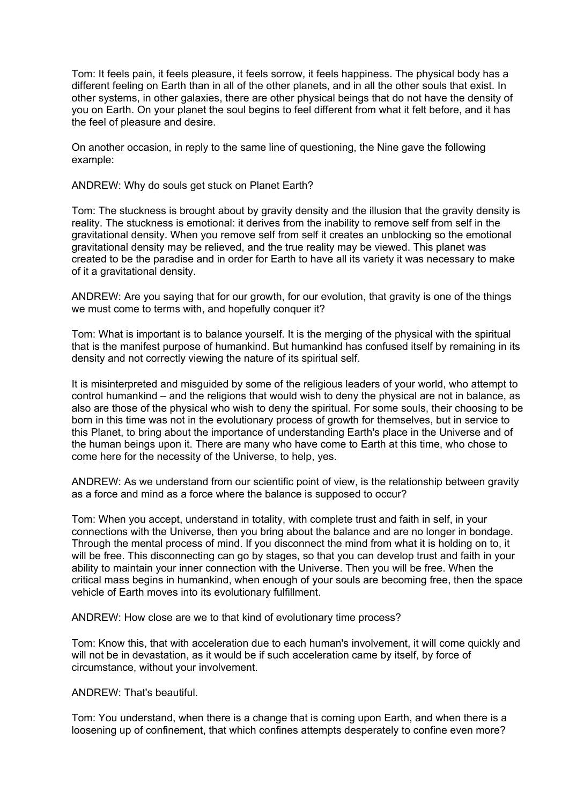Tom: It feels pain, it feels pleasure, it feels sorrow, it feels happiness. The physical body has a different feeling on Earth than in all of the other planets, and in all the other souls that exist. In other systems, in other galaxies, there are other physical beings that do not have the density of you on Earth. On your planet the soul begins to feel different from what it felt before, and it has the feel of pleasure and desire.

On another occasion, in reply to the same line of questioning, the Nine gave the following example:

ANDREW: Why do souls get stuck on Planet Earth?

Tom: The stuckness is brought about by gravity density and the illusion that the gravity density is reality. The stuckness is emotional: it derives from the inability to remove self from self in the gravitational density. When you remove self from self it creates an unblocking so the emotional gravitational density may be relieved, and the true reality may be viewed. This planet was created to be the paradise and in order for Earth to have all its variety it was necessary to make of it a gravitational density.

ANDREW: Are you saying that for our growth, for our evolution, that gravity is one of the things we must come to terms with, and hopefully conquer it?

Tom: What is important is to balance yourself. It is the merging of the physical with the spiritual that is the manifest purpose of humankind. But humankind has confused itself by remaining in its density and not correctly viewing the nature of its spiritual self.

It is misinterpreted and misguided by some of the religious leaders of your world, who attempt to control humankind – and the religions that would wish to deny the physical are not in balance, as also are those of the physical who wish to deny the spiritual. For some souls, their choosing to be born in this time was not in the evolutionary process of growth for themselves, but in service to this Planet, to bring about the importance of understanding Earth's place in the Universe and of the human beings upon it. There are many who have come to Earth at this time, who chose to come here for the necessity of the Universe, to help, yes.

ANDREW: As we understand from our scientific point of view, is the relationship between gravity as a force and mind as a force where the balance is supposed to occur?

Tom: When you accept, understand in totality, with complete trust and faith in self, in your connections with the Universe, then you bring about the balance and are no longer in bondage. Through the mental process of mind. If you disconnect the mind from what it is holding on to, it will be free. This disconnecting can go by stages, so that you can develop trust and faith in your ability to maintain your inner connection with the Universe. Then you will be free. When the critical mass begins in humankind, when enough of your souls are becoming free, then the space vehicle of Earth moves into its evolutionary fulfillment.

ANDREW: How close are we to that kind of evolutionary time process?

Tom: Know this, that with acceleration due to each human's involvement, it will come quickly and will not be in devastation, as it would be if such acceleration came by itself, by force of circumstance, without your involvement.

ANDREW: That's beautiful.

Tom: You understand, when there is a change that is coming upon Earth, and when there is a loosening up of confinement, that which confines attempts desperately to confine even more?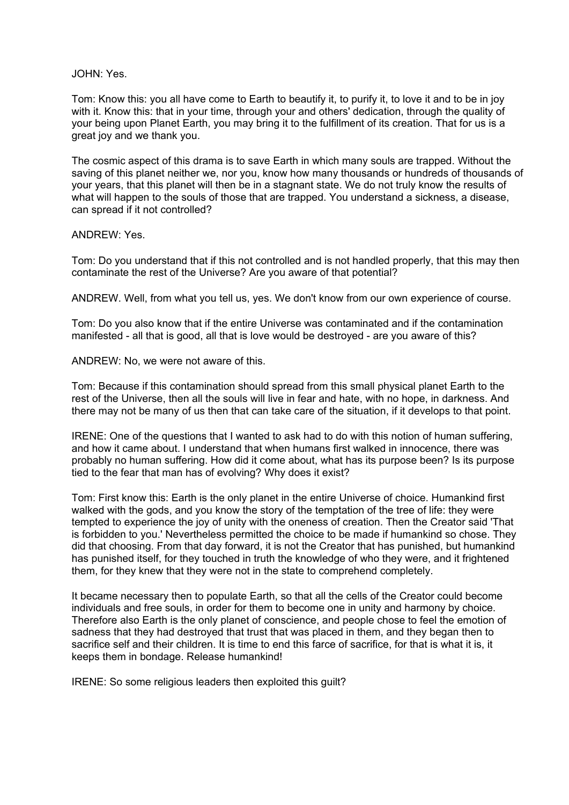JOHN: Yes.

Tom: Know this: you all have come to Earth to beautify it, to purify it, to love it and to be in joy with it. Know this: that in your time, through your and others' dedication, through the quality of your being upon Planet Earth, you may bring it to the fulfillment of its creation. That for us is a great joy and we thank you.

The cosmic aspect of this drama is to save Earth in which many souls are trapped. Without the saving of this planet neither we, nor you, know how many thousands or hundreds of thousands of your years, that this planet will then be in a stagnant state. We do not truly know the results of what will happen to the souls of those that are trapped. You understand a sickness, a disease, can spread if it not controlled?

# ANDREW: Yes.

Tom: Do you understand that if this not controlled and is not handled properly, that this may then contaminate the rest of the Universe? Are you aware of that potential?

ANDREW. Well, from what you tell us, yes. We don't know from our own experience of course.

Tom: Do you also know that if the entire Universe was contaminated and if the contamination manifested - all that is good, all that is love would be destroyed - are you aware of this?

ANDREW: No, we were not aware of this.

Tom: Because if this contamination should spread from this small physical planet Earth to the rest of the Universe, then all the souls will live in fear and hate, with no hope, in darkness. And there may not be many of us then that can take care of the situation, if it develops to that point.

IRENE: One of the questions that I wanted to ask had to do with this notion of human suffering, and how it came about. I understand that when humans first walked in innocence, there was probably no human suffering. How did it come about, what has its purpose been? Is its purpose tied to the fear that man has of evolving? Why does it exist?

Tom: First know this: Earth is the only planet in the entire Universe of choice. Humankind first walked with the gods, and you know the story of the temptation of the tree of life: they were tempted to experience the joy of unity with the oneness of creation. Then the Creator said 'That is forbidden to you.' Nevertheless permitted the choice to be made if humankind so chose. They did that choosing. From that day forward, it is not the Creator that has punished, but humankind has punished itself, for they touched in truth the knowledge of who they were, and it frightened them, for they knew that they were not in the state to comprehend completely.

It became necessary then to populate Earth, so that all the cells of the Creator could become individuals and free souls, in order for them to become one in unity and harmony by choice. Therefore also Earth is the only planet of conscience, and people chose to feel the emotion of sadness that they had destroyed that trust that was placed in them, and they began then to sacrifice self and their children. It is time to end this farce of sacrifice, for that is what it is, it keeps them in bondage. Release humankind!

IRENE: So some religious leaders then exploited this guilt?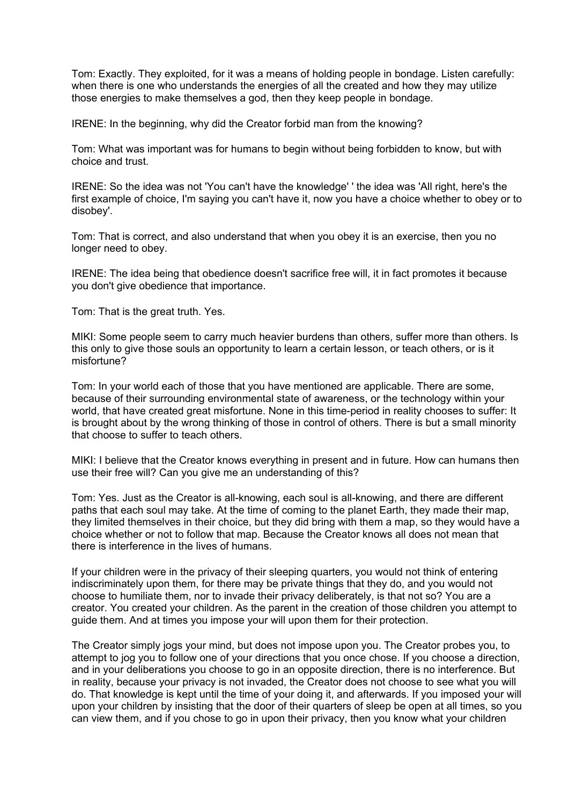Tom: Exactly. They exploited, for it was a means of holding people in bondage. Listen carefully: when there is one who understands the energies of all the created and how they may utilize those energies to make themselves a god, then they keep people in bondage.

IRENE: In the beginning, why did the Creator forbid man from the knowing?

Tom: What was important was for humans to begin without being forbidden to know, but with choice and trust.

IRENE: So the idea was not 'You can't have the knowledge' ' the idea was 'All right, here's the first example of choice, I'm saying you can't have it, now you have a choice whether to obey or to disobey'.

Tom: That is correct, and also understand that when you obey it is an exercise, then you no longer need to obey.

IRENE: The idea being that obedience doesn't sacrifice free will, it in fact promotes it because you don't give obedience that importance.

Tom: That is the great truth. Yes.

MIKI: Some people seem to carry much heavier burdens than others, suffer more than others. Is this only to give those souls an opportunity to learn a certain lesson, or teach others, or is it misfortune?

Tom: In your world each of those that you have mentioned are applicable. There are some, because of their surrounding environmental state of awareness, or the technology within your world, that have created great misfortune. None in this time-period in reality chooses to suffer: It is brought about by the wrong thinking of those in control of others. There is but a small minority that choose to suffer to teach others.

MIKI: I believe that the Creator knows everything in present and in future. How can humans then use their free will? Can you give me an understanding of this?

Tom: Yes. Just as the Creator is all-knowing, each soul is all-knowing, and there are different paths that each soul may take. At the time of coming to the planet Earth, they made their map, they limited themselves in their choice, but they did bring with them a map, so they would have a choice whether or not to follow that map. Because the Creator knows all does not mean that there is interference in the lives of humans.

If your children were in the privacy of their sleeping quarters, you would not think of entering indiscriminately upon them, for there may be private things that they do, and you would not choose to humiliate them, nor to invade their privacy deliberately, is that not so? You are a creator. You created your children. As the parent in the creation of those children you attempt to guide them. And at times you impose your will upon them for their protection.

The Creator simply jogs your mind, but does not impose upon you. The Creator probes you, to attempt to jog you to follow one of your directions that you once chose. If you choose a direction, and in your deliberations you choose to go in an opposite direction, there is no interference. But in reality, because your privacy is not invaded, the Creator does not choose to see what you will do. That knowledge is kept until the time of your doing it, and afterwards. If you imposed your will upon your children by insisting that the door of their quarters of sleep be open at all times, so you can view them, and if you chose to go in upon their privacy, then you know what your children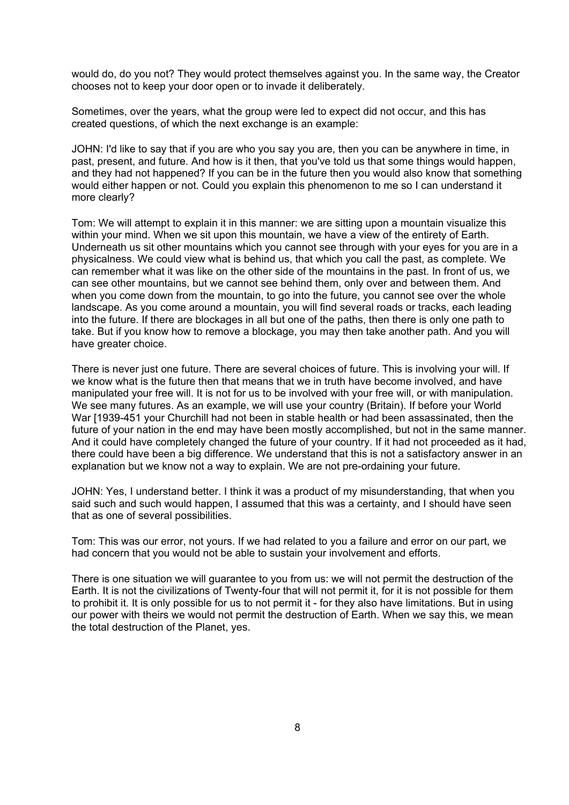would do, do you not? They would protect themselves against you. In the same way, the Creator chooses not to keep your door open or to invade it deliberately.

Sometimes, over the years, what the group were led to expect did not occur, and this has created questions, of which the next exchange is an example:

JOHN: I'd like to say that if you are who you say you are, then you can be anywhere in time, in past, present, and future. And how is it then, that you've told us that some things would happen, and they had not happened? If you can be in the future then you would also know that something would either happen or not. Could you explain this phenomenon to me so I can understand it more clearly?

Tom: We will attempt to explain it in this manner: we are sitting upon a mountain visualize this within your mind. When we sit upon this mountain, we have a view of the entirety of Earth. Underneath us sit other mountains which you cannot see through with your eyes for you are in a physicalness. We could view what is behind us, that which you call the past, as complete. We can remember what it was like on the other side of the mountains in the past. In front of us, we can see other mountains, but we cannot see behind them, only over and between them. And when you come down from the mountain, to go into the future, you cannot see over the whole landscape. As you come around a mountain, you will find several roads or tracks, each leading into the future. If there are blockages in all but one of the paths, then there is only one path to take. But if you know how to remove a blockage, you may then take another path. And you will have greater choice.

There is never just one future. There are several choices of future. This is involving your will. If we know what is the future then that means that we in truth have become involved, and have manipulated your free will. It is not for us to be involved with your free will, or with manipulation. We see many futures. As an example, we will use your country (Britain). If before your World War [1939-451 your Churchill had not been in stable health or had been assassinated, then the future of your nation in the end may have been mostly accomplished, but not in the same manner. And it could have completely changed the future of your country. If it had not proceeded as it had, there could have been a big difference. We understand that this is not a satisfactory answer in an explanation but we know not a way to explain. We are not pre-ordaining your future.

JOHN: Yes, I understand better. I think it was a product of my misunderstanding, that when you said such and such would happen, I assumed that this was a certainty, and I should have seen that as one of several possibilities.

Tom: This was our error, not yours. If we had related to you a failure and error on our part, we had concern that you would not be able to sustain your involvement and efforts.

There is one situation we will guarantee to you from us: we will not permit the destruction of the Earth. It is not the civilizations of Twenty-four that will not permit it, for it is not possible for them to prohibit it. It is only possible for us to not permit it - for they also have limitations. But in using our power with theirs we would not permit the destruction of Earth. When we say this, we mean the total destruction of the Planet, yes.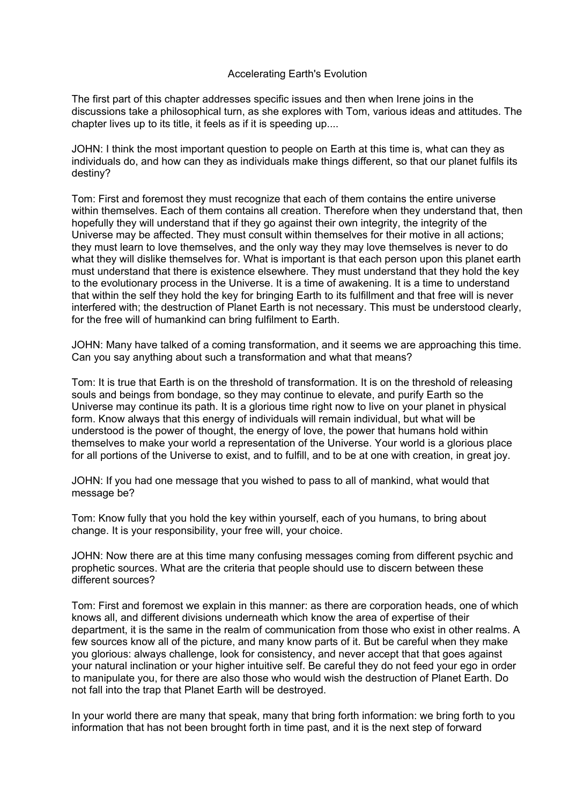# Accelerating Earth's Evolution

The first part of this chapter addresses specific issues and then when Irene joins in the discussions take a philosophical turn, as she explores with Tom, various ideas and attitudes. The chapter lives up to its title, it feels as if it is speeding up....

JOHN: I think the most important question to people on Earth at this time is, what can they as individuals do, and how can they as individuals make things different, so that our planet fulfils its destiny?

Tom: First and foremost they must recognize that each of them contains the entire universe within themselves. Each of them contains all creation. Therefore when they understand that, then hopefully they will understand that if they go against their own integrity, the integrity of the Universe may be affected. They must consult within themselves for their motive in all actions; they must learn to love themselves, and the only way they may love themselves is never to do what they will dislike themselves for. What is important is that each person upon this planet earth must understand that there is existence elsewhere. They must understand that they hold the key to the evolutionary process in the Universe. It is a time of awakening. It is a time to understand that within the self they hold the key for bringing Earth to its fulfillment and that free will is never interfered with; the destruction of Planet Earth is not necessary. This must be understood clearly, for the free will of humankind can bring fulfilment to Earth.

JOHN: Many have talked of a coming transformation, and it seems we are approaching this time. Can you say anything about such a transformation and what that means?

Tom: It is true that Earth is on the threshold of transformation. It is on the threshold of releasing souls and beings from bondage, so they may continue to elevate, and purify Earth so the Universe may continue its path. It is a glorious time right now to live on your planet in physical form. Know always that this energy of individuals will remain individual, but what will be understood is the power of thought, the energy of love, the power that humans hold within themselves to make your world a representation of the Universe. Your world is a glorious place for all portions of the Universe to exist, and to fulfill, and to be at one with creation, in great joy.

JOHN: If you had one message that you wished to pass to all of mankind, what would that message be?

Tom: Know fully that you hold the key within yourself, each of you humans, to bring about change. It is your responsibility, your free will, your choice.

JOHN: Now there are at this time many confusing messages coming from different psychic and prophetic sources. What are the criteria that people should use to discern between these different sources?

Tom: First and foremost we explain in this manner: as there are corporation heads, one of which knows all, and different divisions underneath which know the area of expertise of their department, it is the same in the realm of communication from those who exist in other realms. A few sources know all of the picture, and many know parts of it. But be careful when they make you glorious: always challenge, look for consistency, and never accept that that goes against your natural inclination or your higher intuitive self. Be careful they do not feed your ego in order to manipulate you, for there are also those who would wish the destruction of Planet Earth. Do not fall into the trap that Planet Earth will be destroyed.

In your world there are many that speak, many that bring forth information: we bring forth to you information that has not been brought forth in time past, and it is the next step of forward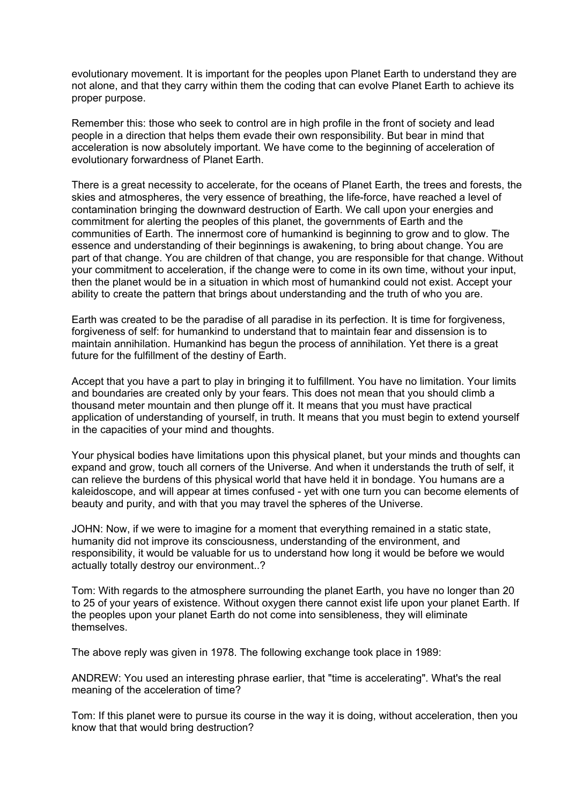evolutionary movement. It is important for the peoples upon Planet Earth to understand they are not alone, and that they carry within them the coding that can evolve Planet Earth to achieve its proper purpose.

Remember this: those who seek to control are in high profile in the front of society and lead people in a direction that helps them evade their own responsibility. But bear in mind that acceleration is now absolutely important. We have come to the beginning of acceleration of evolutionary forwardness of Planet Earth.

There is a great necessity to accelerate, for the oceans of Planet Earth, the trees and forests, the skies and atmospheres, the very essence of breathing, the life-force, have reached a level of contamination bringing the downward destruction of Earth. We call upon your energies and commitment for alerting the peoples of this planet, the governments of Earth and the communities of Earth. The innermost core of humankind is beginning to grow and to glow. The essence and understanding of their beginnings is awakening, to bring about change. You are part of that change. You are children of that change, you are responsible for that change. Without your commitment to acceleration, if the change were to come in its own time, without your input, then the planet would be in a situation in which most of humankind could not exist. Accept your ability to create the pattern that brings about understanding and the truth of who you are.

Earth was created to be the paradise of all paradise in its perfection. It is time for forgiveness, forgiveness of self: for humankind to understand that to maintain fear and dissension is to maintain annihilation. Humankind has begun the process of annihilation. Yet there is a great future for the fulfillment of the destiny of Earth.

Accept that you have a part to play in bringing it to fulfillment. You have no limitation. Your limits and boundaries are created only by your fears. This does not mean that you should climb a thousand meter mountain and then plunge off it. It means that you must have practical application of understanding of yourself, in truth. It means that you must begin to extend yourself in the capacities of your mind and thoughts.

Your physical bodies have limitations upon this physical planet, but your minds and thoughts can expand and grow, touch all corners of the Universe. And when it understands the truth of self, it can relieve the burdens of this physical world that have held it in bondage. You humans are a kaleidoscope, and will appear at times confused - yet with one turn you can become elements of beauty and purity, and with that you may travel the spheres of the Universe.

JOHN: Now, if we were to imagine for a moment that everything remained in a static state, humanity did not improve its consciousness, understanding of the environment, and responsibility, it would be valuable for us to understand how long it would be before we would actually totally destroy our environment..?

Tom: With regards to the atmosphere surrounding the planet Earth, you have no longer than 20 to 25 of your years of existence. Without oxygen there cannot exist life upon your planet Earth. If the peoples upon your planet Earth do not come into sensibleness, they will eliminate themselves.

The above reply was given in 1978. The following exchange took place in 1989:

ANDREW: You used an interesting phrase earlier, that "time is accelerating". What's the real meaning of the acceleration of time?

Tom: If this planet were to pursue its course in the way it is doing, without acceleration, then you know that that would bring destruction?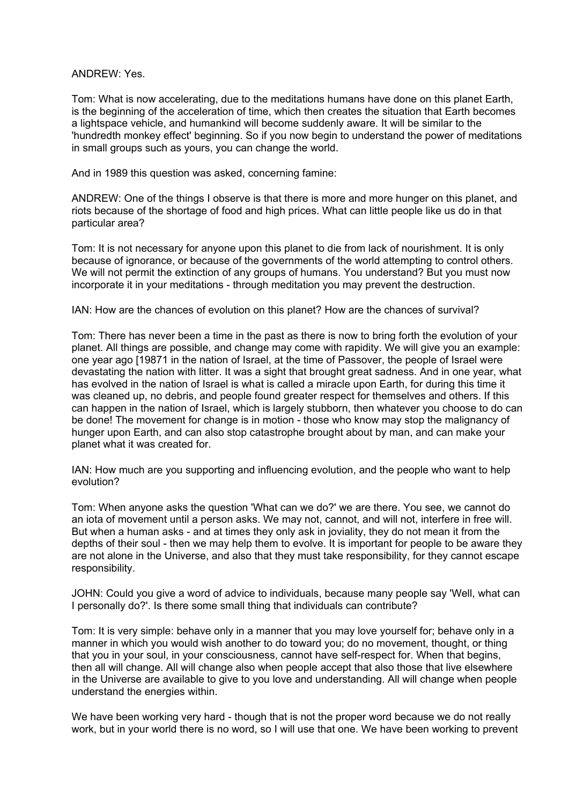### ANDREW: Yes.

Tom: What is now accelerating, due to the meditations humans have done on this planet Earth, is the beginning of the acceleration of time, which then creates the situation that Earth becomes a lightspace vehicle, and humankind will become suddenly aware. It will be similar to the 'hundredth monkey effect' beginning. So if you now begin to understand the power of meditations in small groups such as yours, you can change the world.

And in 1989 this question was asked, concerning famine:

ANDREW: One of the things I observe is that there is more and more hunger on this planet, and riots because of the shortage of food and high prices. What can little people like us do in that particular area?

Tom: It is not necessary for anyone upon this planet to die from lack of nourishment. It is only because of ignorance, or because of the governments of the world attempting to control others. We will not permit the extinction of any groups of humans. You understand? But you must now incorporate it in your meditations - through meditation you may prevent the destruction.

IAN: How are the chances of evolution on this planet? How are the chances of survival?

Tom: There has never been a time in the past as there is now to bring forth the evolution of your planet. All things are possible, and change may come with rapidity. We will give you an example: one year ago [19871 in the nation of Israel, at the time of Passover, the people of Israel were devastating the nation with litter. It was a sight that brought great sadness. And in one year, what has evolved in the nation of Israel is what is called a miracle upon Earth, for during this time it was cleaned up, no debris, and people found greater respect for themselves and others. If this can happen in the nation of Israel, which is largely stubborn, then whatever you choose to do can be done! The movement for change is in motion - those who know may stop the malignancy of hunger upon Earth, and can also stop catastrophe brought about by man, and can make your planet what it was created for.

IAN: How much are you supporting and influencing evolution, and the people who want to help evolution?

Tom: When anyone asks the question 'What can we do?' we are there. You see, we cannot do an iota of movement until a person asks. We may not, cannot, and will not, interfere in free will. But when a human asks - and at times they only ask in joviality, they do not mean it from the depths of their soul - then we may help them to evolve. It is important for people to be aware they are not alone in the Universe, and also that they must take responsibility, for they cannot escape responsibility.

JOHN: Could you give a word of advice to individuals, because many people say 'Well, what can I personally do?'. Is there some small thing that individuals can contribute?

Tom: It is very simple: behave only in a manner that you may love yourself for; behave only in a manner in which you would wish another to do toward you; do no movement, thought, or thing that you in your soul, in your consciousness, cannot have self-respect for. When that begins, then all will change. All will change also when people accept that also those that live elsewhere in the Universe are available to give to you love and understanding. All will change when people understand the energies within.

We have been working very hard - though that is not the proper word because we do not really work, but in your world there is no word, so I will use that one. We have been working to prevent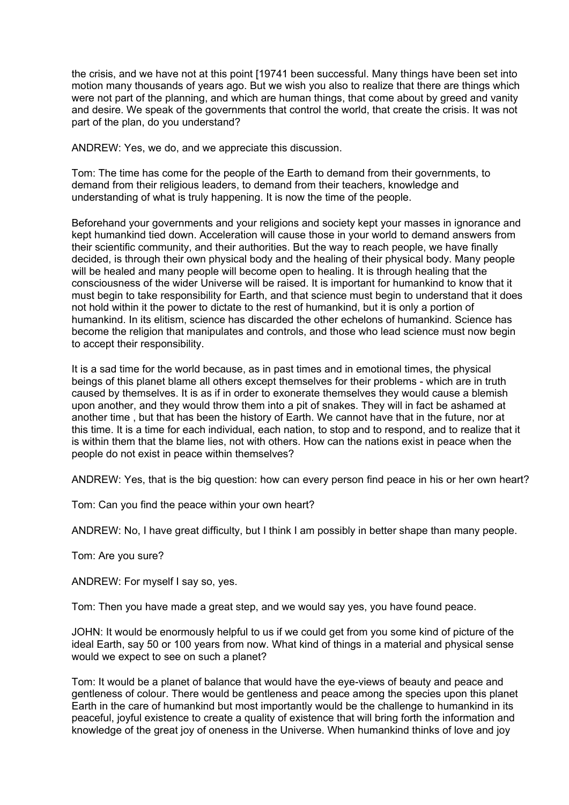the crisis, and we have not at this point [19741 been successful. Many things have been set into motion many thousands of years ago. But we wish you also to realize that there are things which were not part of the planning, and which are human things, that come about by greed and vanity and desire. We speak of the governments that control the world, that create the crisis. It was not part of the plan, do you understand?

ANDREW: Yes, we do, and we appreciate this discussion.

Tom: The time has come for the people of the Earth to demand from their governments, to demand from their religious leaders, to demand from their teachers, knowledge and understanding of what is truly happening. It is now the time of the people.

Beforehand your governments and your religions and society kept your masses in ignorance and kept humankind tied down. Acceleration will cause those in your world to demand answers from their scientific community, and their authorities. But the way to reach people, we have finally decided, is through their own physical body and the healing of their physical body. Many people will be healed and many people will become open to healing. It is through healing that the consciousness of the wider Universe will be raised. It is important for humankind to know that it must begin to take responsibility for Earth, and that science must begin to understand that it does not hold within it the power to dictate to the rest of humankind, but it is only a portion of humankind. In its elitism, science has discarded the other echelons of humankind. Science has become the religion that manipulates and controls, and those who lead science must now begin to accept their responsibility.

It is a sad time for the world because, as in past times and in emotional times, the physical beings of this planet blame all others except themselves for their problems - which are in truth caused by themselves. It is as if in order to exonerate themselves they would cause a blemish upon another, and they would throw them into a pit of snakes. They will in fact be ashamed at another time , but that has been the history of Earth. We cannot have that in the future, nor at this time. It is a time for each individual, each nation, to stop and to respond, and to realize that it is within them that the blame lies, not with others. How can the nations exist in peace when the people do not exist in peace within themselves?

ANDREW: Yes, that is the big question: how can every person find peace in his or her own heart?

Tom: Can you find the peace within your own heart?

ANDREW: No, I have great difficulty, but I think I am possibly in better shape than many people.

Tom: Are you sure?

ANDREW: For myself I say so, yes.

Tom: Then you have made a great step, and we would say yes, you have found peace.

JOHN: It would be enormously helpful to us if we could get from you some kind of picture of the ideal Earth, say 50 or 100 years from now. What kind of things in a material and physical sense would we expect to see on such a planet?

Tom: It would be a planet of balance that would have the eye-views of beauty and peace and gentleness of colour. There would be gentleness and peace among the species upon this planet Earth in the care of humankind but most importantly would be the challenge to humankind in its peaceful, joyful existence to create a quality of existence that will bring forth the information and knowledge of the great joy of oneness in the Universe. When humankind thinks of love and joy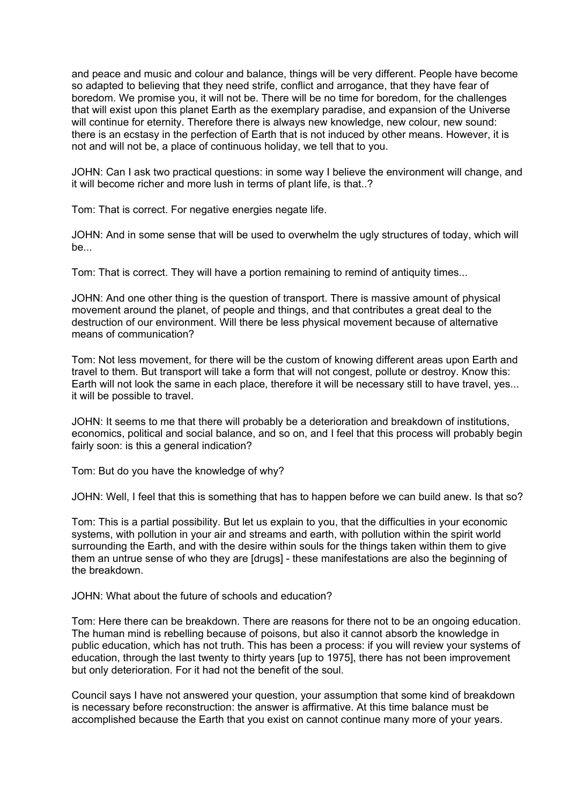and peace and music and colour and balance, things will be very different. People have become so adapted to believing that they need strife, conflict and arrogance, that they have fear of boredom. We promise you, it will not be. There will be no time for boredom, for the challenges that will exist upon this planet Earth as the exemplary paradise, and expansion of the Universe will continue for eternity. Therefore there is always new knowledge, new colour, new sound: there is an ecstasy in the perfection of Earth that is not induced by other means. However, it is not and will not be, a place of continuous holiday, we tell that to you.

JOHN: Can I ask two practical questions: in some way I believe the environment will change, and it will become richer and more lush in terms of plant life, is that..?

Tom: That is correct. For negative energies negate life.

JOHN: And in some sense that will be used to overwhelm the ugly structures of today, which will be...

Tom: That is correct. They will have a portion remaining to remind of antiquity times...

JOHN: And one other thing is the question of transport. There is massive amount of physical movement around the planet, of people and things, and that contributes a great deal to the destruction of our environment. Will there be less physical movement because of alternative means of communication?

Tom: Not less movement, for there will be the custom of knowing different areas upon Earth and travel to them. But transport will take a form that will not congest, pollute or destroy. Know this: Earth will not look the same in each place, therefore it will be necessary still to have travel, yes... it will be possible to travel.

JOHN: It seems to me that there will probably be a deterioration and breakdown of institutions, economics, political and social balance, and so on, and I feel that this process will probably begin fairly soon: is this a general indication?

Tom: But do you have the knowledge of why?

JOHN: Well, I feel that this is something that has to happen before we can build anew. Is that so?

Tom: This is a partial possibility. But let us explain to you, that the difficulties in your economic systems, with pollution in your air and streams and earth, with pollution within the spirit world surrounding the Earth, and with the desire within souls for the things taken within them to give them an untrue sense of who they are [drugs] - these manifestations are also the beginning of the breakdown.

JOHN: What about the future of schools and education?

Tom: Here there can be breakdown. There are reasons for there not to be an ongoing education. The human mind is rebelling because of poisons, but also it cannot absorb the knowledge in public education, which has not truth. This has been a process: if you will review your systems of education, through the last twenty to thirty years [up to 1975], there has not been improvement but only deterioration. For it had not the benefit of the soul.

Council says I have not answered your question, your assumption that some kind of breakdown is necessary before reconstruction: the answer is affirmative. At this time balance must be accomplished because the Earth that you exist on cannot continue many more of your years.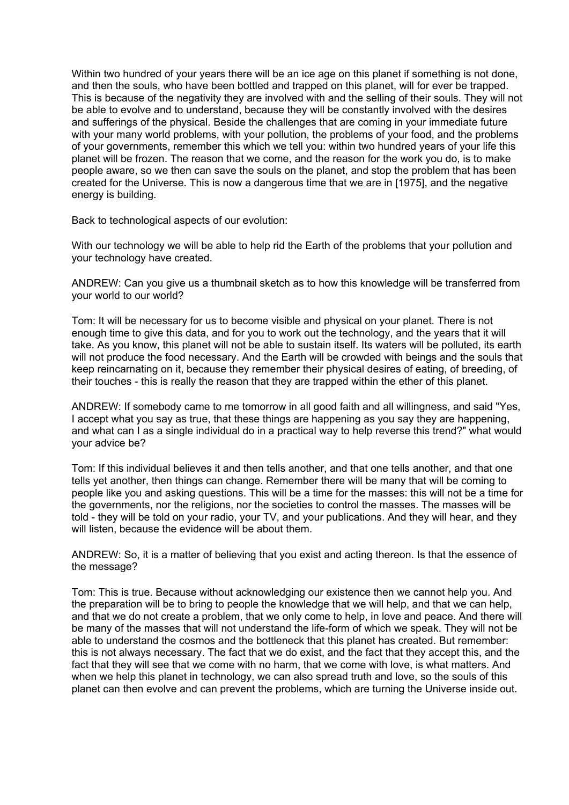Within two hundred of your years there will be an ice age on this planet if something is not done, and then the souls, who have been bottled and trapped on this planet, will for ever be trapped. This is because of the negativity they are involved with and the selling of their souls. They will not be able to evolve and to understand, because they will be constantly involved with the desires and sufferings of the physical. Beside the challenges that are coming in your immediate future with your many world problems, with your pollution, the problems of your food, and the problems of your governments, remember this which we tell you: within two hundred years of your life this planet will be frozen. The reason that we come, and the reason for the work you do, is to make people aware, so we then can save the souls on the planet, and stop the problem that has been created for the Universe. This is now a dangerous time that we are in [1975], and the negative energy is building.

Back to technological aspects of our evolution:

With our technology we will be able to help rid the Earth of the problems that your pollution and your technology have created.

ANDREW: Can you give us a thumbnail sketch as to how this knowledge will be transferred from your world to our world?

Tom: It will be necessary for us to become visible and physical on your planet. There is not enough time to give this data, and for you to work out the technology, and the years that it will take. As you know, this planet will not be able to sustain itself. Its waters will be polluted, its earth will not produce the food necessary. And the Earth will be crowded with beings and the souls that keep reincarnating on it, because they remember their physical desires of eating, of breeding, of their touches - this is really the reason that they are trapped within the ether of this planet.

ANDREW: If somebody came to me tomorrow in all good faith and all willingness, and said "Yes, I accept what you say as true, that these things are happening as you say they are happening, and what can I as a single individual do in a practical way to help reverse this trend?" what would your advice be?

Tom: If this individual believes it and then tells another, and that one tells another, and that one tells yet another, then things can change. Remember there will be many that will be coming to people like you and asking questions. This will be a time for the masses: this will not be a time for the governments, nor the religions, nor the societies to control the masses. The masses will be told - they will be told on your radio, your TV, and your publications. And they will hear, and they will listen, because the evidence will be about them.

ANDREW: So, it is a matter of believing that you exist and acting thereon. Is that the essence of the message?

Tom: This is true. Because without acknowledging our existence then we cannot help you. And the preparation will be to bring to people the knowledge that we will help, and that we can help, and that we do not create a problem, that we only come to help, in love and peace. And there will be many of the masses that will not understand the life-form of which we speak. They will not be able to understand the cosmos and the bottleneck that this planet has created. But remember: this is not always necessary. The fact that we do exist, and the fact that they accept this, and the fact that they will see that we come with no harm, that we come with love, is what matters. And when we help this planet in technology, we can also spread truth and love, so the souls of this planet can then evolve and can prevent the problems, which are turning the Universe inside out.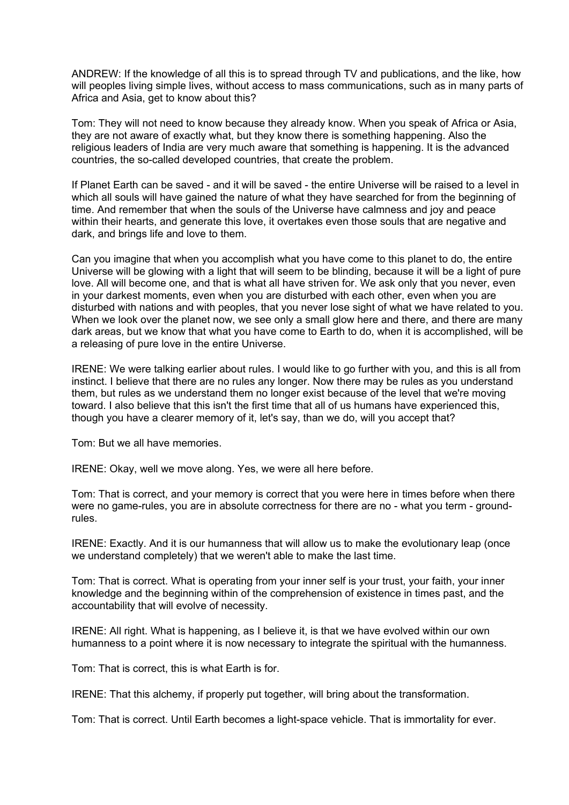ANDREW: If the knowledge of all this is to spread through TV and publications, and the like, how will peoples living simple lives, without access to mass communications, such as in many parts of Africa and Asia, get to know about this?

Tom: They will not need to know because they already know. When you speak of Africa or Asia, they are not aware of exactly what, but they know there is something happening. Also the religious leaders of India are very much aware that something is happening. It is the advanced countries, the so-called developed countries, that create the problem.

If Planet Earth can be saved - and it will be saved - the entire Universe will be raised to a level in which all souls will have gained the nature of what they have searched for from the beginning of time. And remember that when the souls of the Universe have calmness and joy and peace within their hearts, and generate this love, it overtakes even those souls that are negative and dark, and brings life and love to them.

Can you imagine that when you accomplish what you have come to this planet to do, the entire Universe will be glowing with a light that will seem to be blinding, because it will be a light of pure love. All will become one, and that is what all have striven for. We ask only that you never, even in your darkest moments, even when you are disturbed with each other, even when you are disturbed with nations and with peoples, that you never lose sight of what we have related to you. When we look over the planet now, we see only a small glow here and there, and there are many dark areas, but we know that what you have come to Earth to do, when it is accomplished, will be a releasing of pure love in the entire Universe.

IRENE: We were talking earlier about rules. I would like to go further with you, and this is all from instinct. I believe that there are no rules any longer. Now there may be rules as you understand them, but rules as we understand them no longer exist because of the level that we're moving toward. I also believe that this isn't the first time that all of us humans have experienced this, though you have a clearer memory of it, let's say, than we do, will you accept that?

Tom: But we all have memories.

IRENE: Okay, well we move along. Yes, we were all here before.

Tom: That is correct, and your memory is correct that you were here in times before when there were no game-rules, you are in absolute correctness for there are no - what you term - groundrules.

IRENE: Exactly. And it is our humanness that will allow us to make the evolutionary leap (once we understand completely) that we weren't able to make the last time.

Tom: That is correct. What is operating from your inner self is your trust, your faith, your inner knowledge and the beginning within of the comprehension of existence in times past, and the accountability that will evolve of necessity.

IRENE: All right. What is happening, as I believe it, is that we have evolved within our own humanness to a point where it is now necessary to integrate the spiritual with the humanness.

Tom: That is correct, this is what Earth is for.

IRENE: That this alchemy, if properly put together, will bring about the transformation.

Tom: That is correct. Until Earth becomes a light-space vehicle. That is immortality for ever.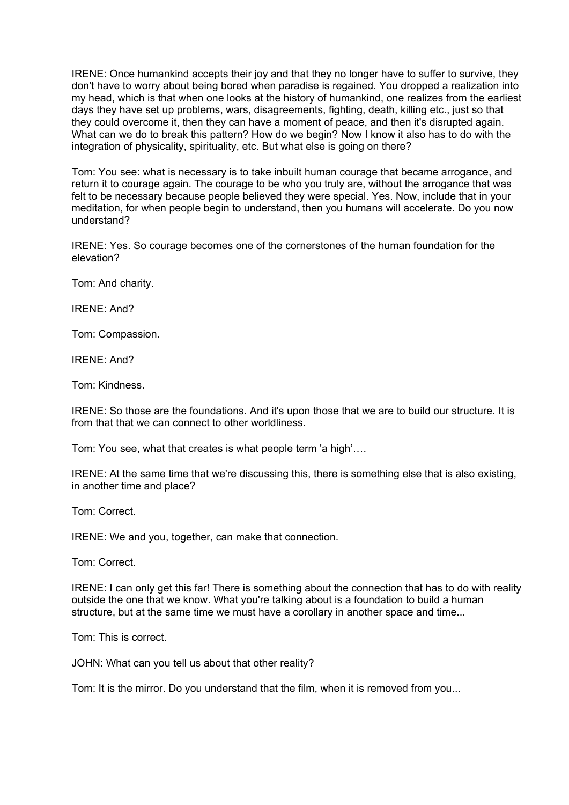IRENE: Once humankind accepts their joy and that they no longer have to suffer to survive, they don't have to worry about being bored when paradise is regained. You dropped a realization into my head, which is that when one looks at the history of humankind, one realizes from the earliest days they have set up problems, wars, disagreements, fighting, death, killing etc., just so that they could overcome it, then they can have a moment of peace, and then it's disrupted again. What can we do to break this pattern? How do we begin? Now I know it also has to do with the integration of physicality, spirituality, etc. But what else is going on there?

Tom: You see: what is necessary is to take inbuilt human courage that became arrogance, and return it to courage again. The courage to be who you truly are, without the arrogance that was felt to be necessary because people believed they were special. Yes. Now, include that in your meditation, for when people begin to understand, then you humans will accelerate. Do you now understand?

IRENE: Yes. So courage becomes one of the cornerstones of the human foundation for the elevation?

Tom: And charity.

IRENE: And?

Tom: Compassion.

IRENE: And?

Tom: Kindness.

IRENE: So those are the foundations. And it's upon those that we are to build our structure. It is from that that we can connect to other worldliness.

Tom: You see, what that creates is what people term 'a high'….

IRENE: At the same time that we're discussing this, there is something else that is also existing, in another time and place?

Tom: Correct.

IRENE: We and you, together, can make that connection.

Tom: Correct.

IRENE: I can only get this far! There is something about the connection that has to do with reality outside the one that we know. What you're talking about is a foundation to build a human structure, but at the same time we must have a corollary in another space and time...

Tom: This is correct.

JOHN: What can you tell us about that other reality?

Tom: It is the mirror. Do you understand that the film, when it is removed from you...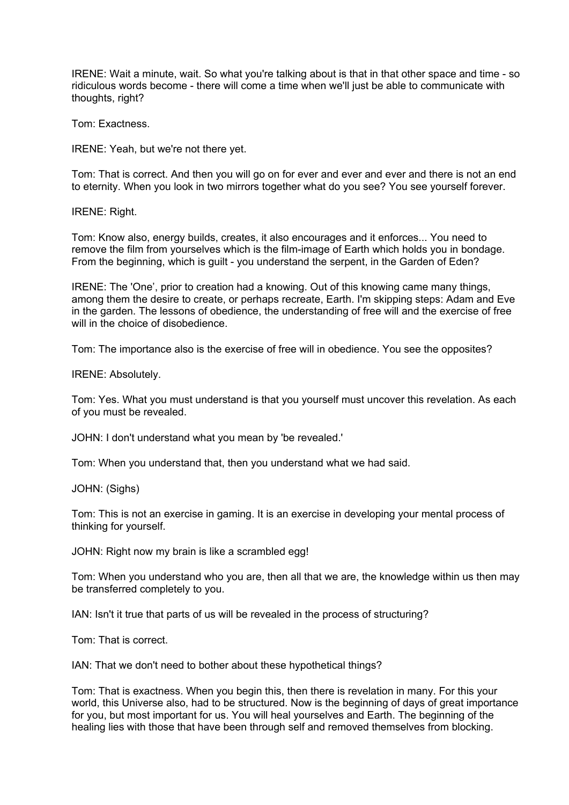IRENE: Wait a minute, wait. So what you're talking about is that in that other space and time - so ridiculous words become - there will come a time when we'll just be able to communicate with thoughts, right?

Tom: Exactness.

IRENE: Yeah, but we're not there yet.

Tom: That is correct. And then you will go on for ever and ever and ever and there is not an end to eternity. When you look in two mirrors together what do you see? You see yourself forever.

IRENE: Right.

Tom: Know also, energy builds, creates, it also encourages and it enforces... You need to remove the film from yourselves which is the film-image of Earth which holds you in bondage. From the beginning, which is guilt - you understand the serpent, in the Garden of Eden?

IRENE: The 'One', prior to creation had a knowing. Out of this knowing came many things, among them the desire to create, or perhaps recreate, Earth. I'm skipping steps: Adam and Eve in the garden. The lessons of obedience, the understanding of free will and the exercise of free will in the choice of disobedience

Tom: The importance also is the exercise of free will in obedience. You see the opposites?

IRENE: Absolutely.

Tom: Yes. What you must understand is that you yourself must uncover this revelation. As each of you must be revealed.

JOHN: I don't understand what you mean by 'be revealed.'

Tom: When you understand that, then you understand what we had said.

JOHN: (Sighs)

Tom: This is not an exercise in gaming. It is an exercise in developing your mental process of thinking for yourself.

JOHN: Right now my brain is like a scrambled egg!

Tom: When you understand who you are, then all that we are, the knowledge within us then may be transferred completely to you.

IAN: Isn't it true that parts of us will be revealed in the process of structuring?

Tom: That is correct.

IAN: That we don't need to bother about these hypothetical things?

Tom: That is exactness. When you begin this, then there is revelation in many. For this your world, this Universe also, had to be structured. Now is the beginning of days of great importance for you, but most important for us. You will heal yourselves and Earth. The beginning of the healing lies with those that have been through self and removed themselves from blocking.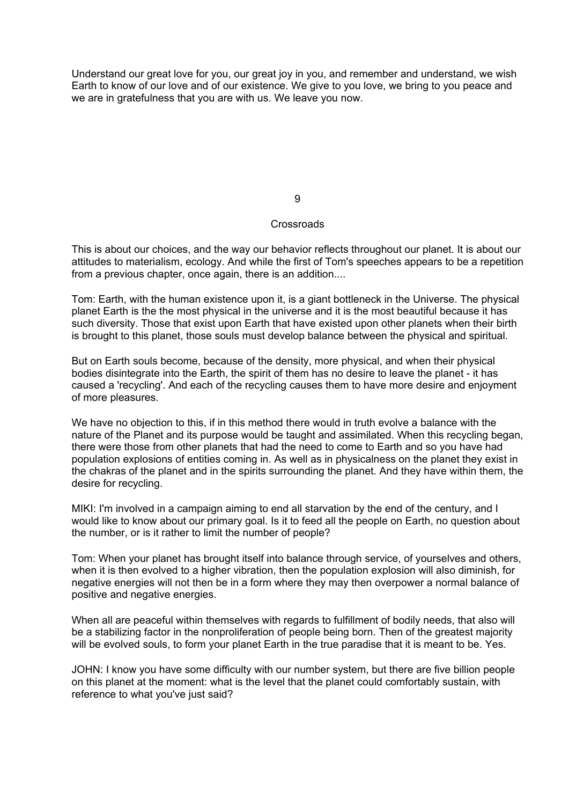Understand our great love for you, our great joy in you, and remember and understand, we wish Earth to know of our love and of our existence. We give to you love, we bring to you peace and we are in gratefulness that you are with us. We leave you now.

9

#### **Crossroads**

This is about our choices, and the way our behavior reflects throughout our planet. It is about our attitudes to materialism, ecology. And while the first of Tom's speeches appears to be a repetition from a previous chapter, once again, there is an addition....

Tom: Earth, with the human existence upon it, is a giant bottleneck in the Universe. The physical planet Earth is the the most physical in the universe and it is the most beautiful because it has such diversity. Those that exist upon Earth that have existed upon other planets when their birth is brought to this planet, those souls must develop balance between the physical and spiritual.

But on Earth souls become, because of the density, more physical, and when their physical bodies disintegrate into the Earth, the spirit of them has no desire to leave the planet - it has caused a 'recycling'. And each of the recycling causes them to have more desire and enjoyment of more pleasures.

We have no objection to this, if in this method there would in truth evolve a balance with the nature of the Planet and its purpose would be taught and assimilated. When this recycling began, there were those from other planets that had the need to come to Earth and so you have had population explosions of entities coming in. As well as in physicalness on the planet they exist in the chakras of the planet and in the spirits surrounding the planet. And they have within them, the desire for recycling.

MIKI: I'm involved in a campaign aiming to end all starvation by the end of the century, and I would like to know about our primary goal. Is it to feed all the people on Earth, no question about the number, or is it rather to limit the number of people?

Tom: When your planet has brought itself into balance through service, of yourselves and others, when it is then evolved to a higher vibration, then the population explosion will also diminish, for negative energies will not then be in a form where they may then overpower a normal balance of positive and negative energies.

When all are peaceful within themselves with regards to fulfillment of bodily needs, that also will be a stabilizing factor in the nonproliferation of people being born. Then of the greatest majority will be evolved souls, to form your planet Earth in the true paradise that it is meant to be. Yes.

JOHN: I know you have some difficulty with our number system, but there are five billion people on this planet at the moment: what is the level that the planet could comfortably sustain, with reference to what you've just said?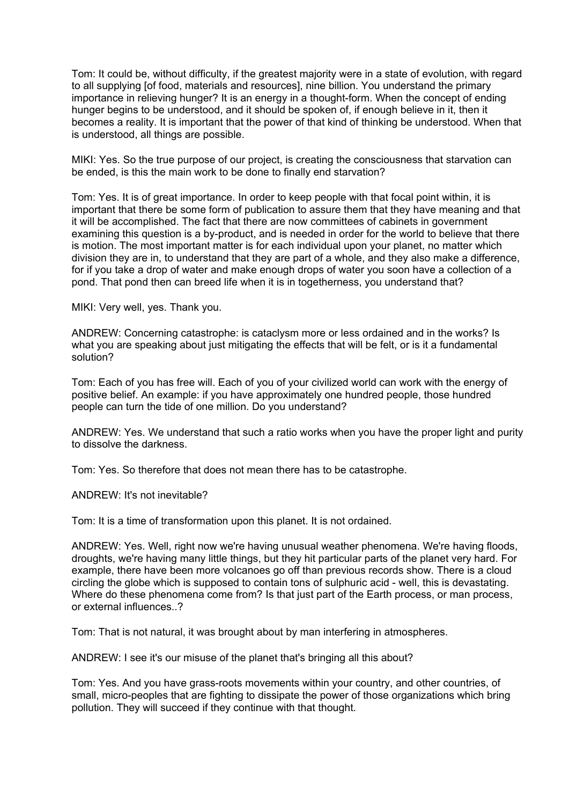Tom: It could be, without difficulty, if the greatest majority were in a state of evolution, with regard to all supplying [of food, materials and resources], nine billion. You understand the primary importance in relieving hunger? It is an energy in a thought-form. When the concept of ending hunger begins to be understood, and it should be spoken of, if enough believe in it, then it becomes a reality. It is important that the power of that kind of thinking be understood. When that is understood, all things are possible.

MIKI: Yes. So the true purpose of our project, is creating the consciousness that starvation can be ended, is this the main work to be done to finally end starvation?

Tom: Yes. It is of great importance. In order to keep people with that focal point within, it is important that there be some form of publication to assure them that they have meaning and that it will be accomplished. The fact that there are now committees of cabinets in government examining this question is a by-product, and is needed in order for the world to believe that there is motion. The most important matter is for each individual upon your planet, no matter which division they are in, to understand that they are part of a whole, and they also make a difference, for if you take a drop of water and make enough drops of water you soon have a collection of a pond. That pond then can breed life when it is in togetherness, you understand that?

MIKI: Very well, yes. Thank you.

ANDREW: Concerning catastrophe: is cataclysm more or less ordained and in the works? Is what you are speaking about just mitigating the effects that will be felt, or is it a fundamental solution?

Tom: Each of you has free will. Each of you of your civilized world can work with the energy of positive belief. An example: if you have approximately one hundred people, those hundred people can turn the tide of one million. Do you understand?

ANDREW: Yes. We understand that such a ratio works when you have the proper light and purity to dissolve the darkness.

Tom: Yes. So therefore that does not mean there has to be catastrophe.

ANDREW: It's not inevitable?

Tom: It is a time of transformation upon this planet. It is not ordained.

ANDREW: Yes. Well, right now we're having unusual weather phenomena. We're having floods, droughts, we're having many little things, but they hit particular parts of the planet very hard. For example, there have been more volcanoes go off than previous records show. There is a cloud circling the globe which is supposed to contain tons of sulphuric acid - well, this is devastating. Where do these phenomena come from? Is that just part of the Earth process, or man process, or external influences..?

Tom: That is not natural, it was brought about by man interfering in atmospheres.

ANDREW: I see it's our misuse of the planet that's bringing all this about?

Tom: Yes. And you have grass-roots movements within your country, and other countries, of small, micro-peoples that are fighting to dissipate the power of those organizations which bring pollution. They will succeed if they continue with that thought.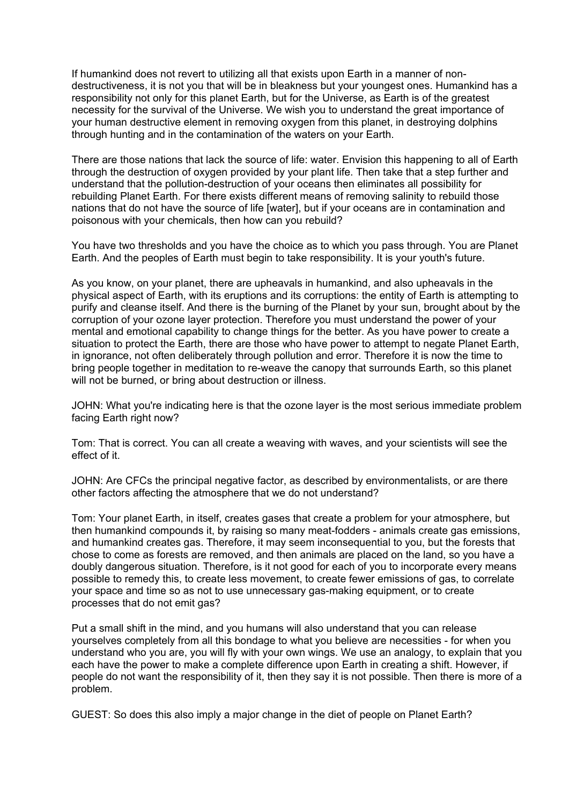If humankind does not revert to utilizing all that exists upon Earth in a manner of nondestructiveness, it is not you that will be in bleakness but your youngest ones. Humankind has a responsibility not only for this planet Earth, but for the Universe, as Earth is of the greatest necessity for the survival of the Universe. We wish you to understand the great importance of your human destructive element in removing oxygen from this planet, in destroying dolphins through hunting and in the contamination of the waters on your Earth.

There are those nations that lack the source of life: water. Envision this happening to all of Earth through the destruction of oxygen provided by your plant life. Then take that a step further and understand that the pollution-destruction of your oceans then eliminates all possibility for rebuilding Planet Earth. For there exists different means of removing salinity to rebuild those nations that do not have the source of life [water], but if your oceans are in contamination and poisonous with your chemicals, then how can you rebuild?

You have two thresholds and you have the choice as to which you pass through. You are Planet Earth. And the peoples of Earth must begin to take responsibility. It is your youth's future.

As you know, on your planet, there are upheavals in humankind, and also upheavals in the physical aspect of Earth, with its eruptions and its corruptions: the entity of Earth is attempting to purify and cleanse itself. And there is the burning of the Planet by your sun, brought about by the corruption of your ozone layer protection. Therefore you must understand the power of your mental and emotional capability to change things for the better. As you have power to create a situation to protect the Earth, there are those who have power to attempt to negate Planet Earth, in ignorance, not often deliberately through pollution and error. Therefore it is now the time to bring people together in meditation to re-weave the canopy that surrounds Earth, so this planet will not be burned, or bring about destruction or illness.

JOHN: What you're indicating here is that the ozone layer is the most serious immediate problem facing Earth right now?

Tom: That is correct. You can all create a weaving with waves, and your scientists will see the effect of it.

JOHN: Are CFCs the principal negative factor, as described by environmentalists, or are there other factors affecting the atmosphere that we do not understand?

Tom: Your planet Earth, in itself, creates gases that create a problem for your atmosphere, but then humankind compounds it, by raising so many meat-fodders - animals create gas emissions, and humankind creates gas. Therefore, it may seem inconsequential to you, but the forests that chose to come as forests are removed, and then animals are placed on the land, so you have a doubly dangerous situation. Therefore, is it not good for each of you to incorporate every means possible to remedy this, to create less movement, to create fewer emissions of gas, to correlate your space and time so as not to use unnecessary gas-making equipment, or to create processes that do not emit gas?

Put a small shift in the mind, and you humans will also understand that you can release yourselves completely from all this bondage to what you believe are necessities - for when you understand who you are, you will fly with your own wings. We use an analogy, to explain that you each have the power to make a complete difference upon Earth in creating a shift. However, if people do not want the responsibility of it, then they say it is not possible. Then there is more of a problem.

GUEST: So does this also imply a major change in the diet of people on Planet Earth?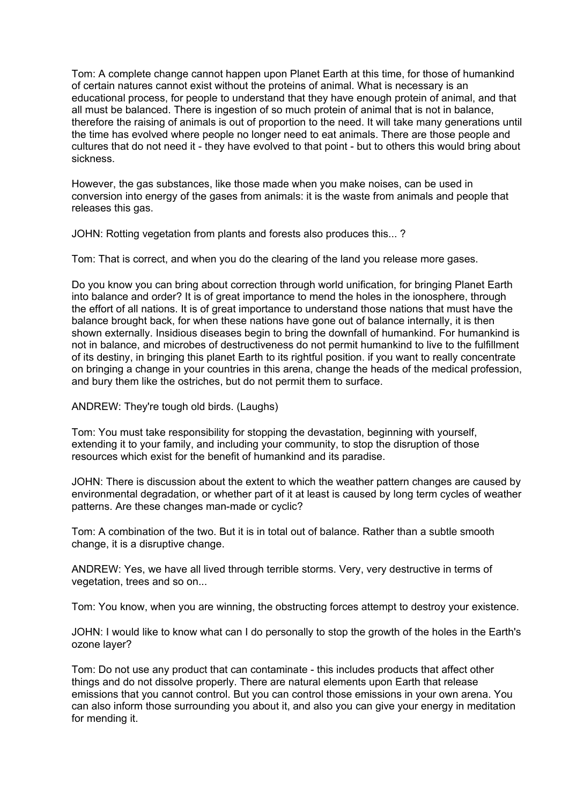Tom: A complete change cannot happen upon Planet Earth at this time, for those of humankind of certain natures cannot exist without the proteins of animal. What is necessary is an educational process, for people to understand that they have enough protein of animal, and that all must be balanced. There is ingestion of so much protein of animal that is not in balance, therefore the raising of animals is out of proportion to the need. It will take many generations until the time has evolved where people no longer need to eat animals. There are those people and cultures that do not need it - they have evolved to that point - but to others this would bring about sickness.

However, the gas substances, like those made when you make noises, can be used in conversion into energy of the gases from animals: it is the waste from animals and people that releases this gas.

JOHN: Rotting vegetation from plants and forests also produces this... ?

Tom: That is correct, and when you do the clearing of the land you release more gases.

Do you know you can bring about correction through world unification, for bringing Planet Earth into balance and order? It is of great importance to mend the holes in the ionosphere, through the effort of all nations. It is of great importance to understand those nations that must have the balance brought back, for when these nations have gone out of balance internally, it is then shown externally. Insidious diseases begin to bring the downfall of humankind. For humankind is not in balance, and microbes of destructiveness do not permit humankind to live to the fulfillment of its destiny, in bringing this planet Earth to its rightful position. if you want to really concentrate on bringing a change in your countries in this arena, change the heads of the medical profession, and bury them like the ostriches, but do not permit them to surface.

ANDREW: They're tough old birds. (Laughs)

Tom: You must take responsibility for stopping the devastation, beginning with yourself, extending it to your family, and including your community, to stop the disruption of those resources which exist for the benefit of humankind and its paradise.

JOHN: There is discussion about the extent to which the weather pattern changes are caused by environmental degradation, or whether part of it at least is caused by long term cycles of weather patterns. Are these changes man-made or cyclic?

Tom: A combination of the two. But it is in total out of balance. Rather than a subtle smooth change, it is a disruptive change.

ANDREW: Yes, we have all lived through terrible storms. Very, very destructive in terms of vegetation, trees and so on...

Tom: You know, when you are winning, the obstructing forces attempt to destroy your existence.

JOHN: I would like to know what can I do personally to stop the growth of the holes in the Earth's ozone layer?

Tom: Do not use any product that can contaminate - this includes products that affect other things and do not dissolve properly. There are natural elements upon Earth that release emissions that you cannot control. But you can control those emissions in your own arena. You can also inform those surrounding you about it, and also you can give your energy in meditation for mending it.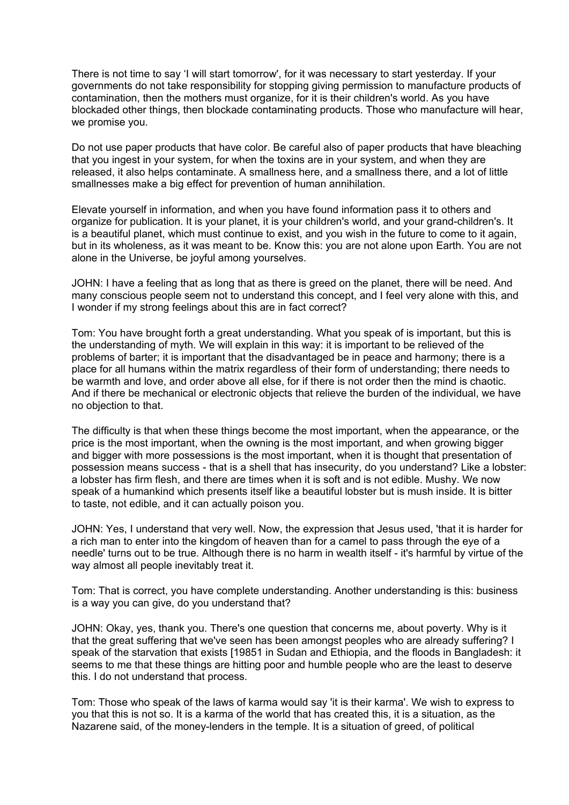There is not time to say 'I will start tomorrow', for it was necessary to start yesterday. If your governments do not take responsibility for stopping giving permission to manufacture products of contamination, then the mothers must organize, for it is their children's world. As you have blockaded other things, then blockade contaminating products. Those who manufacture will hear, we promise you.

Do not use paper products that have color. Be careful also of paper products that have bleaching that you ingest in your system, for when the toxins are in your system, and when they are released, it also helps contaminate. A smallness here, and a smallness there, and a lot of little smallnesses make a big effect for prevention of human annihilation.

Elevate yourself in information, and when you have found information pass it to others and organize for publication. It is your planet, it is your children's world, and your grand-children's. It is a beautiful planet, which must continue to exist, and you wish in the future to come to it again, but in its wholeness, as it was meant to be. Know this: you are not alone upon Earth. You are not alone in the Universe, be joyful among yourselves.

JOHN: I have a feeling that as long that as there is greed on the planet, there will be need. And many conscious people seem not to understand this concept, and I feel very alone with this, and I wonder if my strong feelings about this are in fact correct?

Tom: You have brought forth a great understanding. What you speak of is important, but this is the understanding of myth. We will explain in this way: it is important to be relieved of the problems of barter; it is important that the disadvantaged be in peace and harmony; there is a place for all humans within the matrix regardless of their form of understanding; there needs to be warmth and love, and order above all else, for if there is not order then the mind is chaotic. And if there be mechanical or electronic objects that relieve the burden of the individual, we have no objection to that.

The difficulty is that when these things become the most important, when the appearance, or the price is the most important, when the owning is the most important, and when growing bigger and bigger with more possessions is the most important, when it is thought that presentation of possession means success - that is a shell that has insecurity, do you understand? Like a lobster: a lobster has firm flesh, and there are times when it is soft and is not edible. Mushy. We now speak of a humankind which presents itself like a beautiful lobster but is mush inside. It is bitter to taste, not edible, and it can actually poison you.

JOHN: Yes, I understand that very well. Now, the expression that Jesus used, 'that it is harder for a rich man to enter into the kingdom of heaven than for a camel to pass through the eye of a needle' turns out to be true. Although there is no harm in wealth itself - it's harmful by virtue of the way almost all people inevitably treat it.

Tom: That is correct, you have complete understanding. Another understanding is this: business is a way you can give, do you understand that?

JOHN: Okay, yes, thank you. There's one question that concerns me, about poverty. Why is it that the great suffering that we've seen has been amongst peoples who are already suffering? I speak of the starvation that exists [19851 in Sudan and Ethiopia, and the floods in Bangladesh: it seems to me that these things are hitting poor and humble people who are the least to deserve this. I do not understand that process.

Tom: Those who speak of the laws of karma would say 'it is their karma'. We wish to express to you that this is not so. It is a karma of the world that has created this, it is a situation, as the Nazarene said, of the money-lenders in the temple. It is a situation of greed, of political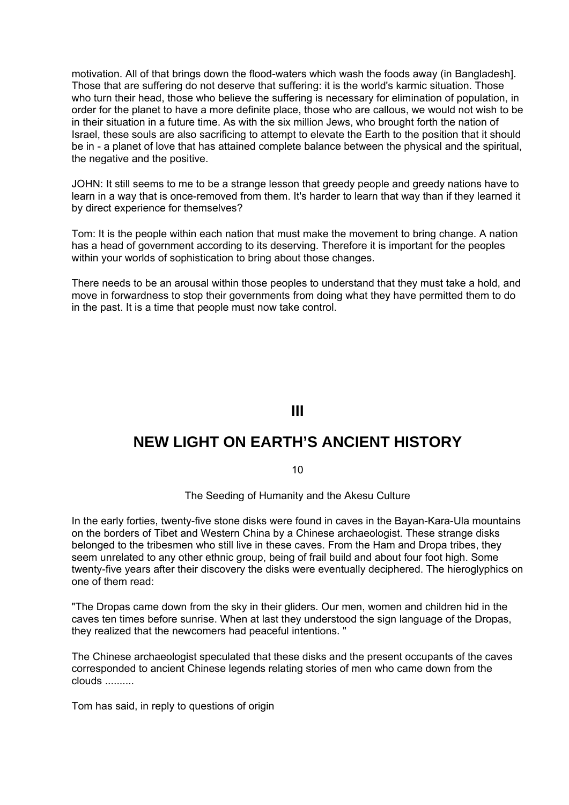motivation. All of that brings down the flood-waters which wash the foods away (in Bangladesh]. Those that are suffering do not deserve that suffering: it is the world's karmic situation. Those who turn their head, those who believe the suffering is necessary for elimination of population, in order for the planet to have a more definite place, those who are callous, we would not wish to be in their situation in a future time. As with the six million Jews, who brought forth the nation of Israel, these souls are also sacrificing to attempt to elevate the Earth to the position that it should be in - a planet of love that has attained complete balance between the physical and the spiritual, the negative and the positive.

JOHN: It still seems to me to be a strange lesson that greedy people and greedy nations have to learn in a way that is once-removed from them. It's harder to learn that way than if they learned it by direct experience for themselves?

Tom: It is the people within each nation that must make the movement to bring change. A nation has a head of government according to its deserving. Therefore it is important for the peoples within your worlds of sophistication to bring about those changes.

There needs to be an arousal within those peoples to understand that they must take a hold, and move in forwardness to stop their governments from doing what they have permitted them to do in the past. It is a time that people must now take control.

## **III**

# **NEW LIGHT ON EARTH'S ANCIENT HISTORY**

#### 10

The Seeding of Humanity and the Akesu Culture

In the early forties, twenty-five stone disks were found in caves in the Bayan-Kara-Ula mountains on the borders of Tibet and Western China by a Chinese archaeologist. These strange disks belonged to the tribesmen who still live in these caves. From the Ham and Dropa tribes, they seem unrelated to any other ethnic group, being of frail build and about four foot high. Some twenty-five years after their discovery the disks were eventually deciphered. The hieroglyphics on one of them read:

"The Dropas came down from the sky in their gliders. Our men, women and children hid in the caves ten times before sunrise. When at last they understood the sign language of the Dropas, they realized that the newcomers had peaceful intentions. "

The Chinese archaeologist speculated that these disks and the present occupants of the caves corresponded to ancient Chinese legends relating stories of men who came down from the clouds ..........

Tom has said, in reply to questions of origin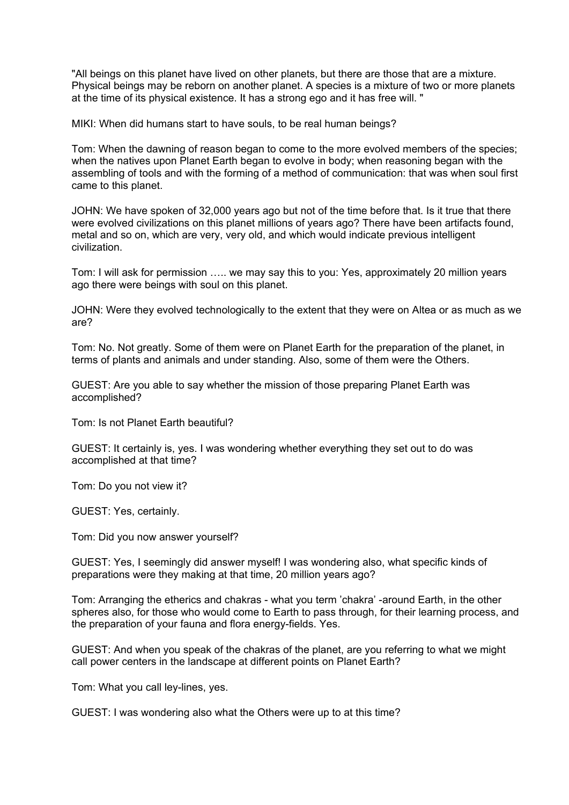"All beings on this planet have lived on other planets, but there are those that are a mixture. Physical beings may be reborn on another planet. A species is a mixture of two or more planets at the time of its physical existence. It has a strong ego and it has free will. "

MIKI: When did humans start to have souls, to be real human beings?

Tom: When the dawning of reason began to come to the more evolved members of the species; when the natives upon Planet Earth began to evolve in body; when reasoning began with the assembling of tools and with the forming of a method of communication: that was when soul first came to this planet.

JOHN: We have spoken of 32,000 years ago but not of the time before that. Is it true that there were evolved civilizations on this planet millions of years ago? There have been artifacts found, metal and so on, which are very, very old, and which would indicate previous intelligent civilization.

Tom: I will ask for permission ….. we may say this to you: Yes, approximately 20 million years ago there were beings with soul on this planet.

JOHN: Were they evolved technologically to the extent that they were on Altea or as much as we are?

Tom: No. Not greatly. Some of them were on Planet Earth for the preparation of the planet, in terms of plants and animals and under standing. Also, some of them were the Others.

GUEST: Are you able to say whether the mission of those preparing Planet Earth was accomplished?

Tom: Is not Planet Earth beautiful?

GUEST: It certainly is, yes. I was wondering whether everything they set out to do was accomplished at that time?

Tom: Do you not view it?

GUEST: Yes, certainly.

Tom: Did you now answer yourself?

GUEST: Yes, I seemingly did answer myself! I was wondering also, what specific kinds of preparations were they making at that time, 20 million years ago?

Tom: Arranging the etherics and chakras - what you term 'chakra' -around Earth, in the other spheres also, for those who would come to Earth to pass through, for their learning process, and the preparation of your fauna and flora energy-fields. Yes.

GUEST: And when you speak of the chakras of the planet, are you referring to what we might call power centers in the landscape at different points on Planet Earth?

Tom: What you call ley-lines, yes.

GUEST: I was wondering also what the Others were up to at this time?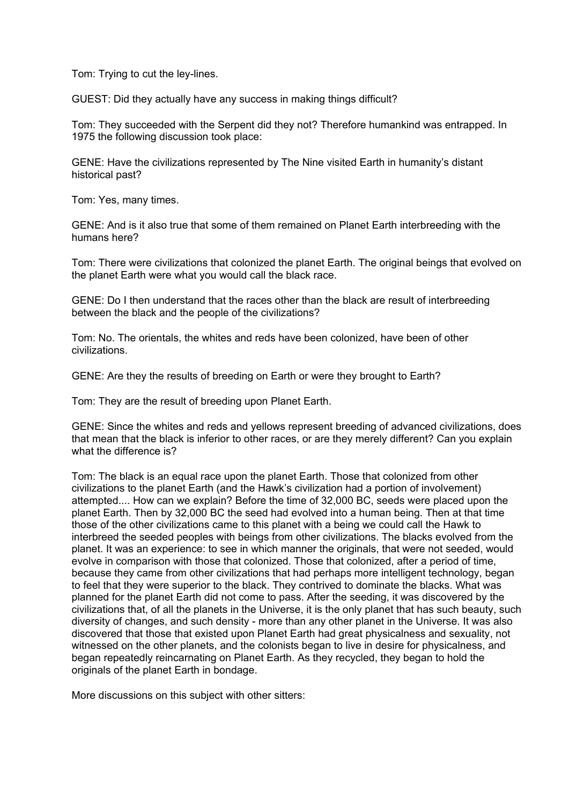Tom: Trying to cut the ley-lines.

GUEST: Did they actually have any success in making things difficult?

Tom: They succeeded with the Serpent did they not? Therefore humankind was entrapped. In 1975 the following discussion took place:

GENE: Have the civilizations represented by The Nine visited Earth in humanity's distant historical past?

Tom: Yes, many times.

GENE: And is it also true that some of them remained on Planet Earth interbreeding with the humans here?

Tom: There were civilizations that colonized the planet Earth. The original beings that evolved on the planet Earth were what you would call the black race.

GENE: Do I then understand that the races other than the black are result of interbreeding between the black and the people of the civilizations?

Tom: No. The orientals, the whites and reds have been colonized, have been of other civilizations.

GENE: Are they the results of breeding on Earth or were they brought to Earth?

Tom: They are the result of breeding upon Planet Earth.

GENE: Since the whites and reds and yellows represent breeding of advanced civilizations, does that mean that the black is inferior to other races, or are they merely different? Can you explain what the difference is?

Tom: The black is an equal race upon the planet Earth. Those that colonized from other civilizations to the planet Earth (and the Hawk's civilization had a portion of involvement) attempted.... How can we explain? Before the time of 32,000 BC, seeds were placed upon the planet Earth. Then by 32,000 BC the seed had evolved into a human being. Then at that time those of the other civilizations came to this planet with a being we could call the Hawk to interbreed the seeded peoples with beings from other civilizations. The blacks evolved from the planet. It was an experience: to see in which manner the originals, that were not seeded, would evolve in comparison with those that colonized. Those that colonized, after a period of time, because they came from other civilizations that had perhaps more intelligent technology, began to feel that they were superior to the black. They contrived to dominate the blacks. What was planned for the planet Earth did not come to pass. After the seeding, it was discovered by the civilizations that, of all the planets in the Universe, it is the only planet that has such beauty, such diversity of changes, and such density - more than any other planet in the Universe. It was also discovered that those that existed upon Planet Earth had great physicalness and sexuality, not witnessed on the other planets, and the colonists began to live in desire for physicalness, and began repeatedly reincarnating on Planet Earth. As they recycled, they began to hold the originals of the planet Earth in bondage.

More discussions on this subject with other sitters: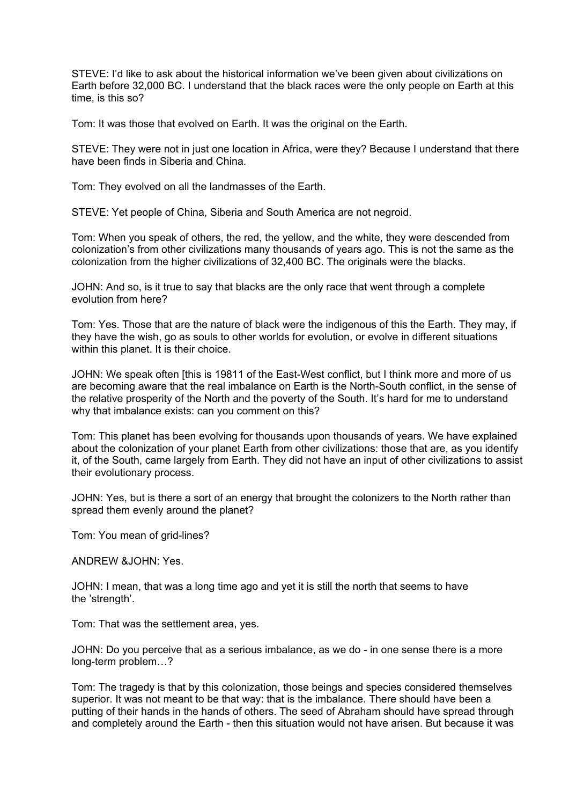STEVE: I'd like to ask about the historical information we've been given about civilizations on Earth before 32,000 BC. I understand that the black races were the only people on Earth at this time, is this so?

Tom: It was those that evolved on Earth. It was the original on the Earth.

STEVE: They were not in just one location in Africa, were they? Because I understand that there have been finds in Siberia and China.

Tom: They evolved on all the landmasses of the Earth.

STEVE: Yet people of China, Siberia and South America are not negroid.

Tom: When you speak of others, the red, the yellow, and the white, they were descended from colonization's from other civilizations many thousands of years ago. This is not the same as the colonization from the higher civilizations of 32,400 BC. The originals were the blacks.

JOHN: And so, is it true to say that blacks are the only race that went through a complete evolution from here?

Tom: Yes. Those that are the nature of black were the indigenous of this the Earth. They may, if they have the wish, go as souls to other worlds for evolution, or evolve in different situations within this planet. It is their choice.

JOHN: We speak often [this is 19811 of the East-West conflict, but I think more and more of us are becoming aware that the real imbalance on Earth is the North-South conflict, in the sense of the relative prosperity of the North and the poverty of the South. It's hard for me to understand why that imbalance exists: can you comment on this?

Tom: This planet has been evolving for thousands upon thousands of years. We have explained about the colonization of your planet Earth from other civilizations: those that are, as you identify it, of the South, came largely from Earth. They did not have an input of other civilizations to assist their evolutionary process.

JOHN: Yes, but is there a sort of an energy that brought the colonizers to the North rather than spread them evenly around the planet?

Tom: You mean of grid-lines?

ANDREW &JOHN: Yes.

JOHN: I mean, that was a long time ago and yet it is still the north that seems to have the 'strength'.

Tom: That was the settlement area, yes.

JOHN: Do you perceive that as a serious imbalance, as we do - in one sense there is a more long-term problem…?

Tom: The tragedy is that by this colonization, those beings and species considered themselves superior. It was not meant to be that way: that is the imbalance. There should have been a putting of their hands in the hands of others. The seed of Abraham should have spread through and completely around the Earth - then this situation would not have arisen. But because it was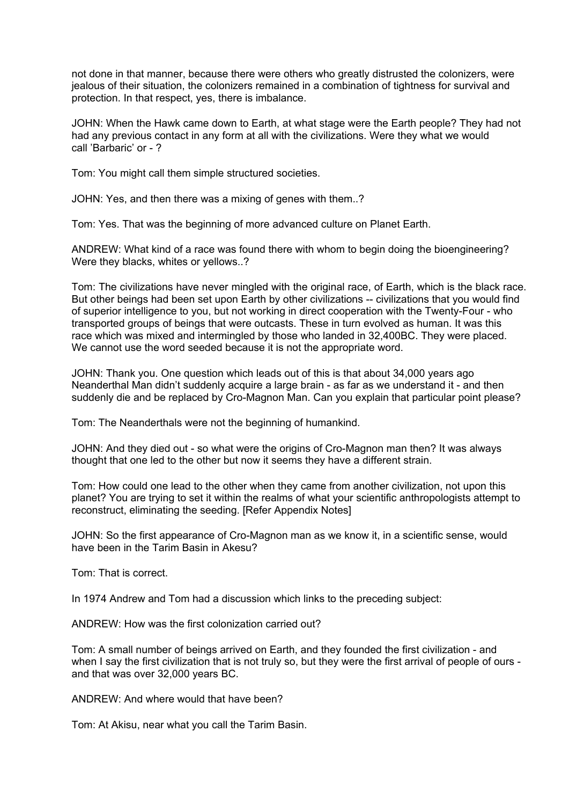not done in that manner, because there were others who greatly distrusted the colonizers, were jealous of their situation, the colonizers remained in a combination of tightness for survival and protection. In that respect, yes, there is imbalance.

JOHN: When the Hawk came down to Earth, at what stage were the Earth people? They had not had any previous contact in any form at all with the civilizations. Were they what we would call 'Barbaric' or - ?

Tom: You might call them simple structured societies.

JOHN: Yes, and then there was a mixing of genes with them..?

Tom: Yes. That was the beginning of more advanced culture on Planet Earth.

ANDREW: What kind of a race was found there with whom to begin doing the bioengineering? Were they blacks, whites or yellows..?

Tom: The civilizations have never mingled with the original race, of Earth, which is the black race. But other beings had been set upon Earth by other civilizations -- civilizations that you would find of superior intelligence to you, but not working in direct cooperation with the Twenty-Four - who transported groups of beings that were outcasts. These in turn evolved as human. It was this race which was mixed and intermingled by those who landed in 32,400BC. They were placed. We cannot use the word seeded because it is not the appropriate word.

JOHN: Thank you. One question which leads out of this is that about 34,000 years ago Neanderthal Man didn't suddenly acquire a large brain - as far as we understand it - and then suddenly die and be replaced by Cro-Magnon Man. Can you explain that particular point please?

Tom: The Neanderthals were not the beginning of humankind.

JOHN: And they died out - so what were the origins of Cro-Magnon man then? It was always thought that one led to the other but now it seems they have a different strain.

Tom: How could one lead to the other when they came from another civilization, not upon this planet? You are trying to set it within the realms of what your scientific anthropologists attempt to reconstruct, eliminating the seeding. [Refer Appendix Notes]

JOHN: So the first appearance of Cro-Magnon man as we know it, in a scientific sense, would have been in the Tarim Basin in Akesu?

Tom: That is correct.

In 1974 Andrew and Tom had a discussion which links to the preceding subject:

ANDREW: How was the first colonization carried out?

Tom: A small number of beings arrived on Earth, and they founded the first civilization - and when I say the first civilization that is not truly so, but they were the first arrival of people of ours and that was over 32,000 years BC.

ANDREW: And where would that have been?

Tom: At Akisu, near what you call the Tarim Basin.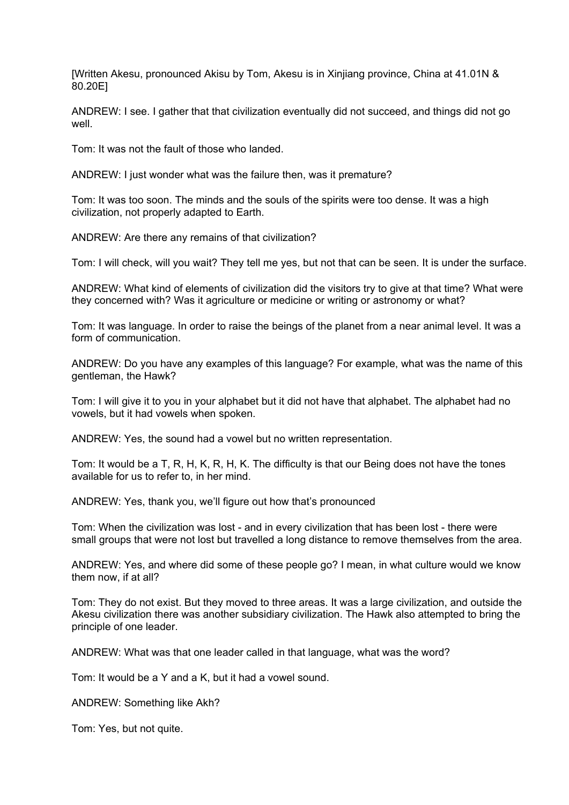[Written Akesu, pronounced Akisu by Tom, Akesu is in Xinjiang province, China at 41.01N & 80.20E]

ANDREW: I see. I gather that that civilization eventually did not succeed, and things did not go well.

Tom: It was not the fault of those who landed.

ANDREW: I just wonder what was the failure then, was it premature?

Tom: It was too soon. The minds and the souls of the spirits were too dense. It was a high civilization, not properly adapted to Earth.

ANDREW: Are there any remains of that civilization?

Tom: I will check, will you wait? They tell me yes, but not that can be seen. It is under the surface.

ANDREW: What kind of elements of civilization did the visitors try to give at that time? What were they concerned with? Was it agriculture or medicine or writing or astronomy or what?

Tom: It was language. In order to raise the beings of the planet from a near animal level. It was a form of communication.

ANDREW: Do you have any examples of this language? For example, what was the name of this gentleman, the Hawk?

Tom: I will give it to you in your alphabet but it did not have that alphabet. The alphabet had no vowels, but it had vowels when spoken.

ANDREW: Yes, the sound had a vowel but no written representation.

Tom: It would be a T, R, H, K, R, H, K. The difficulty is that our Being does not have the tones available for us to refer to, in her mind.

ANDREW: Yes, thank you, we'll figure out how that's pronounced

Tom: When the civilization was lost - and in every civilization that has been lost - there were small groups that were not lost but travelled a long distance to remove themselves from the area.

ANDREW: Yes, and where did some of these people go? I mean, in what culture would we know them now, if at all?

Tom: They do not exist. But they moved to three areas. It was a large civilization, and outside the Akesu civilization there was another subsidiary civilization. The Hawk also attempted to bring the principle of one leader.

ANDREW: What was that one leader called in that language, what was the word?

Tom: It would be a Y and a K, but it had a vowel sound.

ANDREW: Something like Akh?

Tom: Yes, but not quite.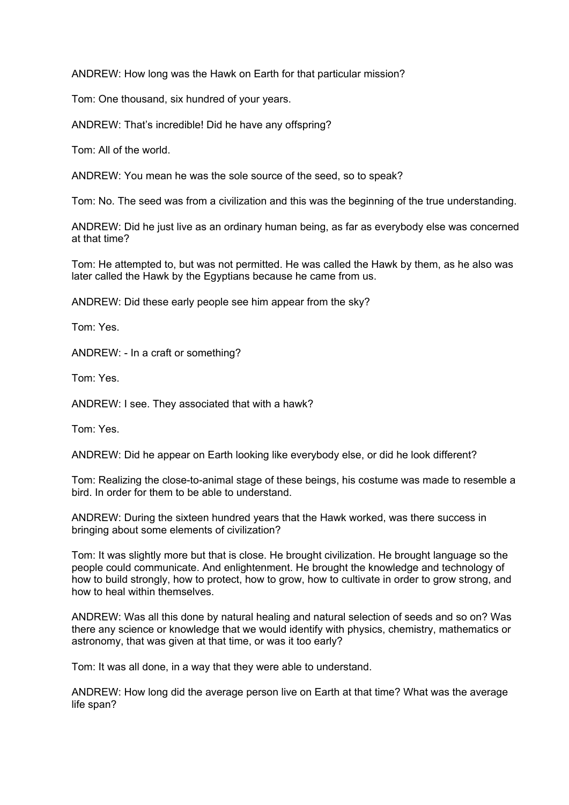ANDREW: How long was the Hawk on Earth for that particular mission?

Tom: One thousand, six hundred of your years.

ANDREW: That's incredible! Did he have any offspring?

Tom: All of the world.

ANDREW: You mean he was the sole source of the seed, so to speak?

Tom: No. The seed was from a civilization and this was the beginning of the true understanding.

ANDREW: Did he just live as an ordinary human being, as far as everybody else was concerned at that time?

Tom: He attempted to, but was not permitted. He was called the Hawk by them, as he also was later called the Hawk by the Egyptians because he came from us.

ANDREW: Did these early people see him appear from the sky?

Tom: Yes.

ANDREW: - In a craft or something?

Tom: Yes.

ANDREW: I see. They associated that with a hawk?

Tom: Yes.

ANDREW: Did he appear on Earth looking like everybody else, or did he look different?

Tom: Realizing the close-to-animal stage of these beings, his costume was made to resemble a bird. In order for them to be able to understand.

ANDREW: During the sixteen hundred years that the Hawk worked, was there success in bringing about some elements of civilization?

Tom: It was slightly more but that is close. He brought civilization. He brought language so the people could communicate. And enlightenment. He brought the knowledge and technology of how to build strongly, how to protect, how to grow, how to cultivate in order to grow strong, and how to heal within themselves.

ANDREW: Was all this done by natural healing and natural selection of seeds and so on? Was there any science or knowledge that we would identify with physics, chemistry, mathematics or astronomy, that was given at that time, or was it too early?

Tom: It was all done, in a way that they were able to understand.

ANDREW: How long did the average person live on Earth at that time? What was the average life span?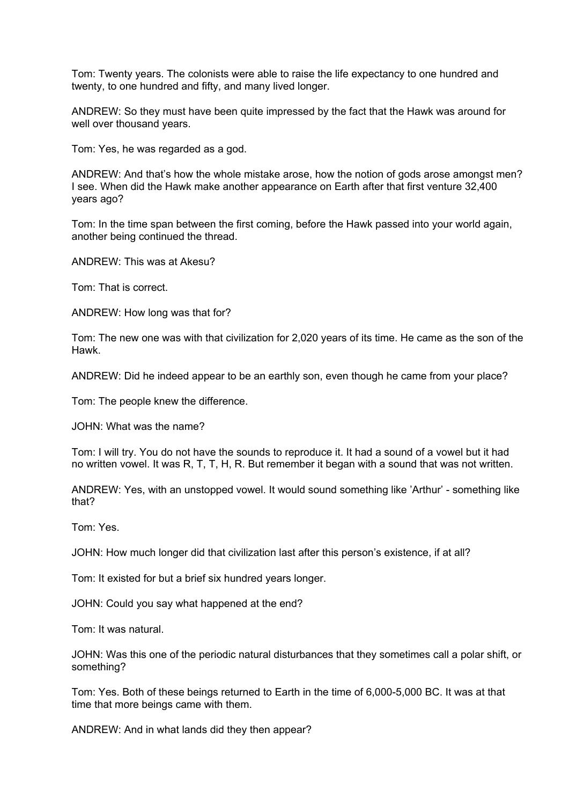Tom: Twenty years. The colonists were able to raise the life expectancy to one hundred and twenty, to one hundred and fifty, and many lived longer.

ANDREW: So they must have been quite impressed by the fact that the Hawk was around for well over thousand years.

Tom: Yes, he was regarded as a god.

ANDREW: And that's how the whole mistake arose, how the notion of gods arose amongst men? I see. When did the Hawk make another appearance on Earth after that first venture 32,400 years ago?

Tom: In the time span between the first coming, before the Hawk passed into your world again, another being continued the thread.

ANDREW: This was at Akesu?

Tom: That is correct.

ANDREW: How long was that for?

Tom: The new one was with that civilization for 2,020 years of its time. He came as the son of the Hawk.

ANDREW: Did he indeed appear to be an earthly son, even though he came from your place?

Tom: The people knew the difference.

JOHN: What was the name?

Tom: I will try. You do not have the sounds to reproduce it. It had a sound of a vowel but it had no written vowel. It was R, T, T, H, R. But remember it began with a sound that was not written.

ANDREW: Yes, with an unstopped vowel. It would sound something like 'Arthur' - something like that?

Tom: Yes.

JOHN: How much longer did that civilization last after this person's existence, if at all?

Tom: It existed for but a brief six hundred years longer.

JOHN: Could you say what happened at the end?

Tom: It was natural.

JOHN: Was this one of the periodic natural disturbances that they sometimes call a polar shift, or something?

Tom: Yes. Both of these beings returned to Earth in the time of 6,000-5,000 BC. It was at that time that more beings came with them.

ANDREW: And in what lands did they then appear?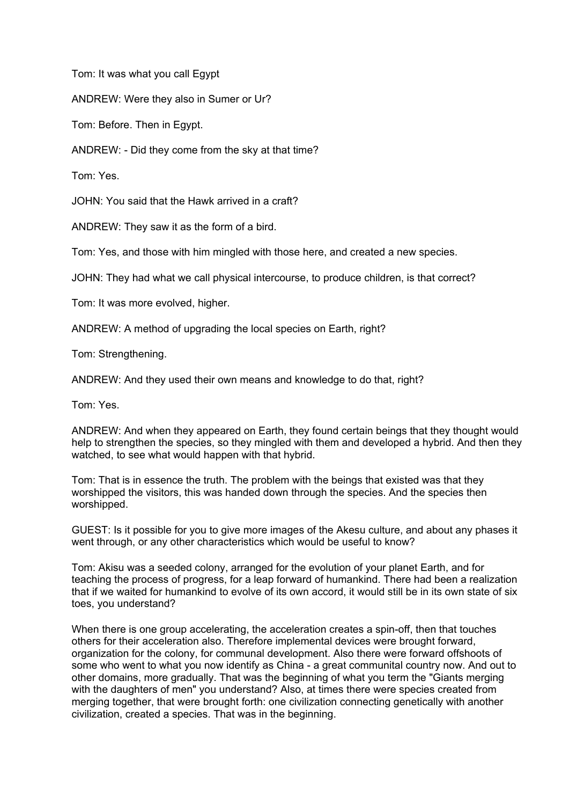Tom: It was what you call Egypt

ANDREW: Were they also in Sumer or Ur?

Tom: Before. Then in Egypt.

ANDREW: - Did they come from the sky at that time?

Tom: Yes.

JOHN: You said that the Hawk arrived in a craft?

ANDREW: They saw it as the form of a bird.

Tom: Yes, and those with him mingled with those here, and created a new species.

JOHN: They had what we call physical intercourse, to produce children, is that correct?

Tom: It was more evolved, higher.

ANDREW: A method of upgrading the local species on Earth, right?

Tom: Strengthening.

ANDREW: And they used their own means and knowledge to do that, right?

Tom: Yes.

ANDREW: And when they appeared on Earth, they found certain beings that they thought would help to strengthen the species, so they mingled with them and developed a hybrid. And then they watched, to see what would happen with that hybrid.

Tom: That is in essence the truth. The problem with the beings that existed was that they worshipped the visitors, this was handed down through the species. And the species then worshipped.

GUEST: Is it possible for you to give more images of the Akesu culture, and about any phases it went through, or any other characteristics which would be useful to know?

Tom: Akisu was a seeded colony, arranged for the evolution of your planet Earth, and for teaching the process of progress, for a leap forward of humankind. There had been a realization that if we waited for humankind to evolve of its own accord, it would still be in its own state of six toes, you understand?

When there is one group accelerating, the acceleration creates a spin-off, then that touches others for their acceleration also. Therefore implemental devices were brought forward, organization for the colony, for communal development. Also there were forward offshoots of some who went to what you now identify as China - a great communital country now. And out to other domains, more gradually. That was the beginning of what you term the "Giants merging with the daughters of men" you understand? Also, at times there were species created from merging together, that were brought forth: one civilization connecting genetically with another civilization, created a species. That was in the beginning.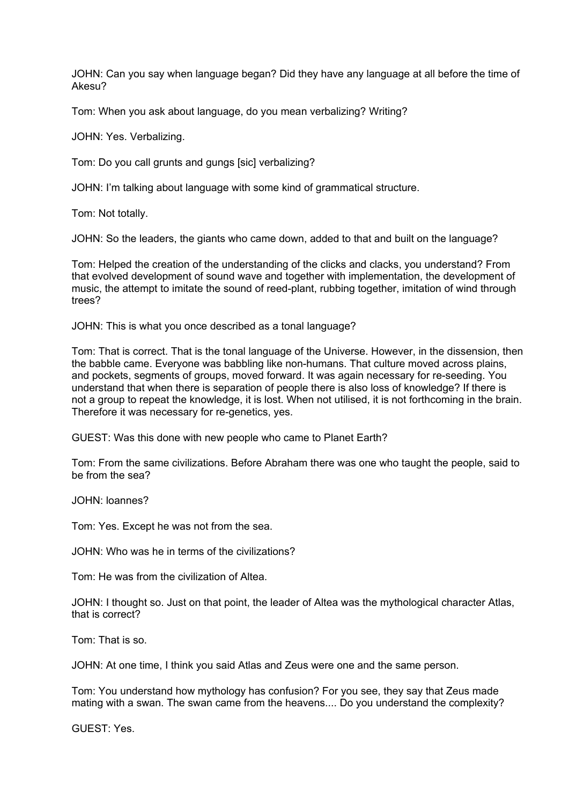JOHN: Can you say when language began? Did they have any language at all before the time of Akesu?

Tom: When you ask about language, do you mean verbalizing? Writing?

JOHN: Yes. Verbalizing.

Tom: Do you call grunts and gungs [sic] verbalizing?

JOHN: I'm talking about language with some kind of grammatical structure.

Tom: Not totally.

JOHN: So the leaders, the giants who came down, added to that and built on the language?

Tom: Helped the creation of the understanding of the clicks and clacks, you understand? From that evolved development of sound wave and together with implementation, the development of music, the attempt to imitate the sound of reed-plant, rubbing together, imitation of wind through trees?

JOHN: This is what you once described as a tonal language?

Tom: That is correct. That is the tonal language of the Universe. However, in the dissension, then the babble came. Everyone was babbling like non-humans. That culture moved across plains, and pockets, segments of groups, moved forward. It was again necessary for re-seeding. You understand that when there is separation of people there is also loss of knowledge? If there is not a group to repeat the knowledge, it is lost. When not utilised, it is not forthcoming in the brain. Therefore it was necessary for re-genetics, yes.

GUEST: Was this done with new people who came to Planet Earth?

Tom: From the same civilizations. Before Abraham there was one who taught the people, said to be from the sea?

JOHN: loannes?

Tom: Yes. Except he was not from the sea.

JOHN: Who was he in terms of the civilizations?

Tom: He was from the civilization of Altea.

JOHN: I thought so. Just on that point, the leader of Altea was the mythological character Atlas, that is correct?

Tom: That is so.

JOHN: At one time, I think you said Atlas and Zeus were one and the same person.

Tom: You understand how mythology has confusion? For you see, they say that Zeus made mating with a swan. The swan came from the heavens.... Do you understand the complexity?

GUEST: Yes.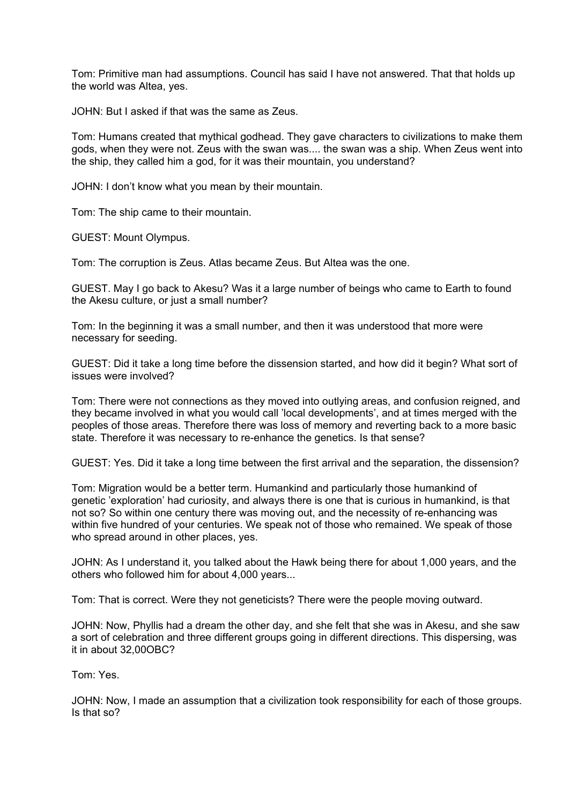Tom: Primitive man had assumptions. Council has said I have not answered. That that holds up the world was Altea, yes.

JOHN: But I asked if that was the same as Zeus.

Tom: Humans created that mythical godhead. They gave characters to civilizations to make them gods, when they were not. Zeus with the swan was.... the swan was a ship. When Zeus went into the ship, they called him a god, for it was their mountain, you understand?

JOHN: I don't know what you mean by their mountain.

Tom: The ship came to their mountain.

GUEST: Mount Olympus.

Tom: The corruption is Zeus. Atlas became Zeus. But Altea was the one.

GUEST. May I go back to Akesu? Was it a large number of beings who came to Earth to found the Akesu culture, or just a small number?

Tom: In the beginning it was a small number, and then it was understood that more were necessary for seeding.

GUEST: Did it take a long time before the dissension started, and how did it begin? What sort of issues were involved?

Tom: There were not connections as they moved into outlying areas, and confusion reigned, and they became involved in what you would call 'local developments', and at times merged with the peoples of those areas. Therefore there was loss of memory and reverting back to a more basic state. Therefore it was necessary to re-enhance the genetics. Is that sense?

GUEST: Yes. Did it take a long time between the first arrival and the separation, the dissension?

Tom: Migration would be a better term. Humankind and particularly those humankind of genetic 'exploration' had curiosity, and always there is one that is curious in humankind, is that not so? So within one century there was moving out, and the necessity of re-enhancing was within five hundred of your centuries. We speak not of those who remained. We speak of those who spread around in other places, yes.

JOHN: As I understand it, you talked about the Hawk being there for about 1,000 years, and the others who followed him for about 4,000 years...

Tom: That is correct. Were they not geneticists? There were the people moving outward.

JOHN: Now, Phyllis had a dream the other day, and she felt that she was in Akesu, and she saw a sort of celebration and three different groups going in different directions. This dispersing, was it in about 32,00OBC?

Tom: Yes.

JOHN: Now, I made an assumption that a civilization took responsibility for each of those groups. Is that so?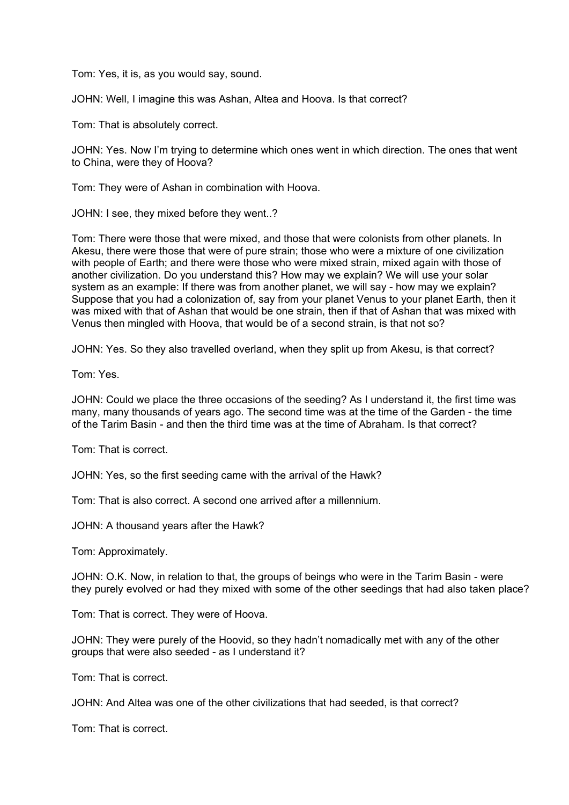Tom: Yes, it is, as you would say, sound.

JOHN: Well, I imagine this was Ashan, Altea and Hoova. Is that correct?

Tom: That is absolutely correct.

JOHN: Yes. Now I'm trying to determine which ones went in which direction. The ones that went to China, were they of Hoova?

Tom: They were of Ashan in combination with Hoova.

JOHN: I see, they mixed before they went..?

Tom: There were those that were mixed, and those that were colonists from other planets. In Akesu, there were those that were of pure strain; those who were a mixture of one civilization with people of Earth; and there were those who were mixed strain, mixed again with those of another civilization. Do you understand this? How may we explain? We will use your solar system as an example: If there was from another planet, we will say - how may we explain? Suppose that you had a colonization of, say from your planet Venus to your planet Earth, then it was mixed with that of Ashan that would be one strain, then if that of Ashan that was mixed with Venus then mingled with Hoova, that would be of a second strain, is that not so?

JOHN: Yes. So they also travelled overland, when they split up from Akesu, is that correct?

Tom: Yes.

JOHN: Could we place the three occasions of the seeding? As I understand it, the first time was many, many thousands of years ago. The second time was at the time of the Garden - the time of the Tarim Basin - and then the third time was at the time of Abraham. Is that correct?

Tom: That is correct.

JOHN: Yes, so the first seeding came with the arrival of the Hawk?

Tom: That is also correct. A second one arrived after a millennium.

JOHN: A thousand years after the Hawk?

Tom: Approximately.

JOHN: O.K. Now, in relation to that, the groups of beings who were in the Tarim Basin - were they purely evolved or had they mixed with some of the other seedings that had also taken place?

Tom: That is correct. They were of Hoova.

JOHN: They were purely of the Hoovid, so they hadn't nomadically met with any of the other groups that were also seeded - as I understand it?

Tom: That is correct.

JOHN: And Altea was one of the other civilizations that had seeded, is that correct?

Tom: That is correct.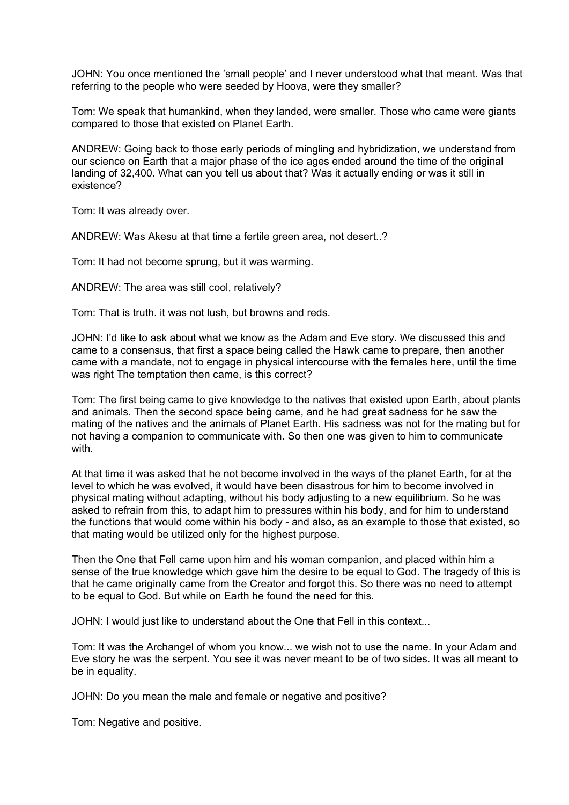JOHN: You once mentioned the 'small people' and I never understood what that meant. Was that referring to the people who were seeded by Hoova, were they smaller?

Tom: We speak that humankind, when they landed, were smaller. Those who came were giants compared to those that existed on Planet Earth.

ANDREW: Going back to those early periods of mingling and hybridization, we understand from our science on Earth that a major phase of the ice ages ended around the time of the original landing of 32,400. What can you tell us about that? Was it actually ending or was it still in existence?

Tom: It was already over.

ANDREW: Was Akesu at that time a fertile green area, not desert..?

Tom: It had not become sprung, but it was warming.

ANDREW: The area was still cool, relatively?

Tom: That is truth. it was not lush, but browns and reds.

JOHN: I'd like to ask about what we know as the Adam and Eve story. We discussed this and came to a consensus, that first a space being called the Hawk came to prepare, then another came with a mandate, not to engage in physical intercourse with the females here, until the time was right The temptation then came, is this correct?

Tom: The first being came to give knowledge to the natives that existed upon Earth, about plants and animals. Then the second space being came, and he had great sadness for he saw the mating of the natives and the animals of Planet Earth. His sadness was not for the mating but for not having a companion to communicate with. So then one was given to him to communicate with.

At that time it was asked that he not become involved in the ways of the planet Earth, for at the level to which he was evolved, it would have been disastrous for him to become involved in physical mating without adapting, without his body adjusting to a new equilibrium. So he was asked to refrain from this, to adapt him to pressures within his body, and for him to understand the functions that would come within his body - and also, as an example to those that existed, so that mating would be utilized only for the highest purpose.

Then the One that Fell came upon him and his woman companion, and placed within him a sense of the true knowledge which gave him the desire to be equal to God. The tragedy of this is that he came originally came from the Creator and forgot this. So there was no need to attempt to be equal to God. But while on Earth he found the need for this.

JOHN: I would just like to understand about the One that Fell in this context...

Tom: It was the Archangel of whom you know... we wish not to use the name. In your Adam and Eve story he was the serpent. You see it was never meant to be of two sides. It was all meant to be in equality.

JOHN: Do you mean the male and female or negative and positive?

Tom: Negative and positive.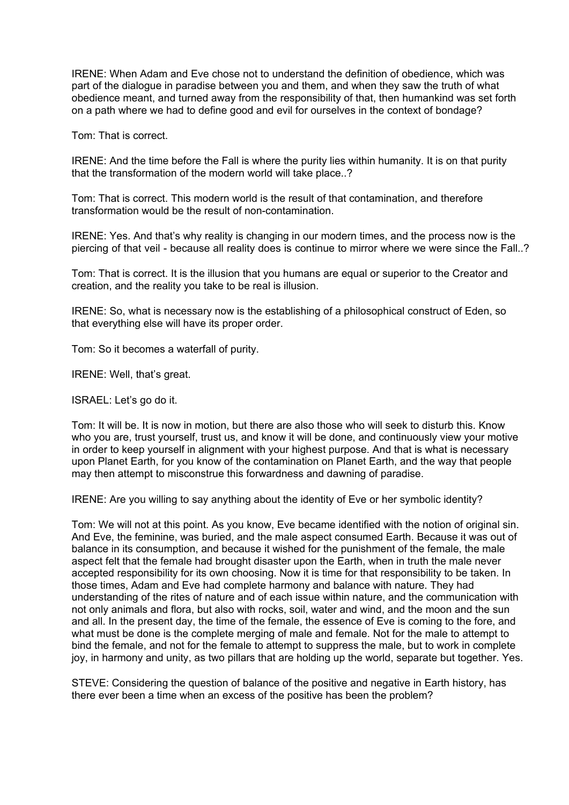IRENE: When Adam and Eve chose not to understand the definition of obedience, which was part of the dialogue in paradise between you and them, and when they saw the truth of what obedience meant, and turned away from the responsibility of that, then humankind was set forth on a path where we had to define good and evil for ourselves in the context of bondage?

Tom: That is correct.

IRENE: And the time before the Fall is where the purity lies within humanity. It is on that purity that the transformation of the modern world will take place..?

Tom: That is correct. This modern world is the result of that contamination, and therefore transformation would be the result of non-contamination.

IRENE: Yes. And that's why reality is changing in our modern times, and the process now is the piercing of that veil - because all reality does is continue to mirror where we were since the Fall..?

Tom: That is correct. It is the illusion that you humans are equal or superior to the Creator and creation, and the reality you take to be real is illusion.

IRENE: So, what is necessary now is the establishing of a philosophical construct of Eden, so that everything else will have its proper order.

Tom: So it becomes a waterfall of purity.

IRENE: Well, that's great.

ISRAEL: Let's go do it.

Tom: It will be. It is now in motion, but there are also those who will seek to disturb this. Know who you are, trust yourself, trust us, and know it will be done, and continuously view your motive in order to keep yourself in alignment with your highest purpose. And that is what is necessary upon Planet Earth, for you know of the contamination on Planet Earth, and the way that people may then attempt to misconstrue this forwardness and dawning of paradise.

IRENE: Are you willing to say anything about the identity of Eve or her symbolic identity?

Tom: We will not at this point. As you know, Eve became identified with the notion of original sin. And Eve, the feminine, was buried, and the male aspect consumed Earth. Because it was out of balance in its consumption, and because it wished for the punishment of the female, the male aspect felt that the female had brought disaster upon the Earth, when in truth the male never accepted responsibility for its own choosing. Now it is time for that responsibility to be taken. In those times, Adam and Eve had complete harmony and balance with nature. They had understanding of the rites of nature and of each issue within nature, and the communication with not only animals and flora, but also with rocks, soil, water and wind, and the moon and the sun and all. In the present day, the time of the female, the essence of Eve is coming to the fore, and what must be done is the complete merging of male and female. Not for the male to attempt to bind the female, and not for the female to attempt to suppress the male, but to work in complete joy, in harmony and unity, as two pillars that are holding up the world, separate but together. Yes.

STEVE: Considering the question of balance of the positive and negative in Earth history, has there ever been a time when an excess of the positive has been the problem?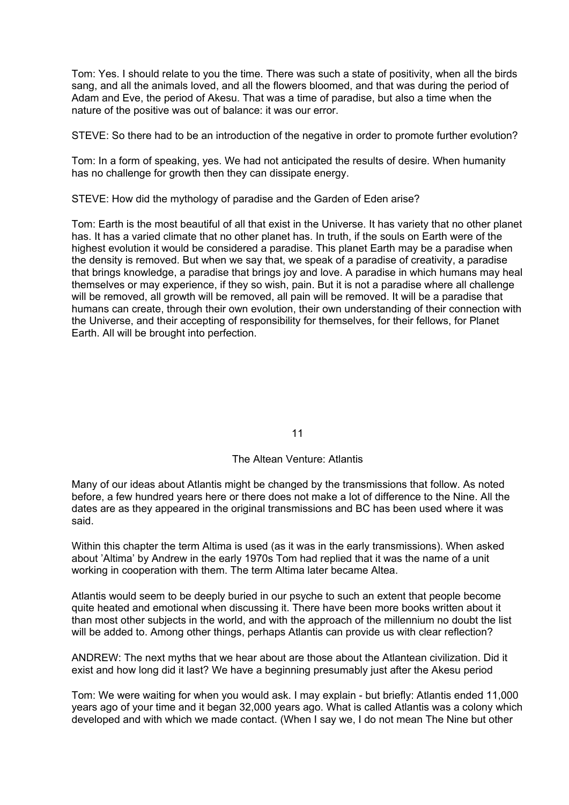Tom: Yes. I should relate to you the time. There was such a state of positivity, when all the birds sang, and all the animals loved, and all the flowers bloomed, and that was during the period of Adam and Eve, the period of Akesu. That was a time of paradise, but also a time when the nature of the positive was out of balance: it was our error.

STEVE: So there had to be an introduction of the negative in order to promote further evolution?

Tom: In a form of speaking, yes. We had not anticipated the results of desire. When humanity has no challenge for growth then they can dissipate energy.

STEVE: How did the mythology of paradise and the Garden of Eden arise?

Tom: Earth is the most beautiful of all that exist in the Universe. It has variety that no other planet has. It has a varied climate that no other planet has. In truth, if the souls on Earth were of the highest evolution it would be considered a paradise. This planet Earth may be a paradise when the density is removed. But when we say that, we speak of a paradise of creativity, a paradise that brings knowledge, a paradise that brings joy and love. A paradise in which humans may heal themselves or may experience, if they so wish, pain. But it is not a paradise where all challenge will be removed, all growth will be removed, all pain will be removed. It will be a paradise that humans can create, through their own evolution, their own understanding of their connection with the Universe, and their accepting of responsibility for themselves, for their fellows, for Planet Earth. All will be brought into perfection.

11

#### The Altean Venture: Atlantis

Many of our ideas about Atlantis might be changed by the transmissions that follow. As noted before, a few hundred years here or there does not make a lot of difference to the Nine. All the dates are as they appeared in the original transmissions and BC has been used where it was said.

Within this chapter the term Altima is used (as it was in the early transmissions). When asked about 'Altima' by Andrew in the early 1970s Tom had replied that it was the name of a unit working in cooperation with them. The term Altima later became Altea.

Atlantis would seem to be deeply buried in our psyche to such an extent that people become quite heated and emotional when discussing it. There have been more books written about it than most other subjects in the world, and with the approach of the millennium no doubt the list will be added to. Among other things, perhaps Atlantis can provide us with clear reflection?

ANDREW: The next myths that we hear about are those about the Atlantean civilization. Did it exist and how long did it last? We have a beginning presumably just after the Akesu period

Tom: We were waiting for when you would ask. I may explain - but briefly: Atlantis ended 11,000 years ago of your time and it began 32,000 years ago. What is called Atlantis was a colony which developed and with which we made contact. (When I say we, I do not mean The Nine but other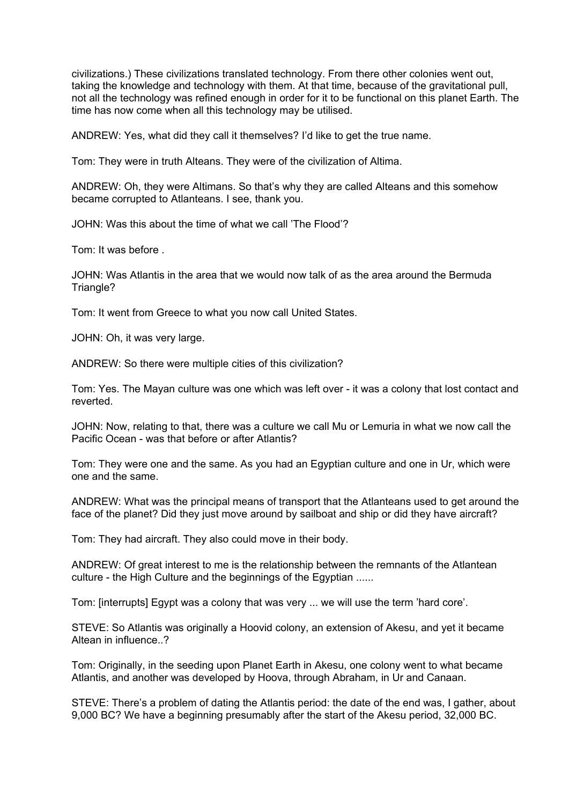civilizations.) These civilizations translated technology. From there other colonies went out, taking the knowledge and technology with them. At that time, because of the gravitational pull, not all the technology was refined enough in order for it to be functional on this planet Earth. The time has now come when all this technology may be utilised.

ANDREW: Yes, what did they call it themselves? I'd like to get the true name.

Tom: They were in truth Alteans. They were of the civilization of Altima.

ANDREW: Oh, they were Altimans. So that's why they are called Alteans and this somehow became corrupted to Atlanteans. I see, thank you.

JOHN: Was this about the time of what we call 'The Flood'?

Tom: It was before .

JOHN: Was Atlantis in the area that we would now talk of as the area around the Bermuda Triangle?

Tom: It went from Greece to what you now call United States.

JOHN: Oh, it was very large.

ANDREW: So there were multiple cities of this civilization?

Tom: Yes. The Mayan culture was one which was left over - it was a colony that lost contact and reverted.

JOHN: Now, relating to that, there was a culture we call Mu or Lemuria in what we now call the Pacific Ocean - was that before or after Atlantis?

Tom: They were one and the same. As you had an Egyptian culture and one in Ur, which were one and the same.

ANDREW: What was the principal means of transport that the Atlanteans used to get around the face of the planet? Did they just move around by sailboat and ship or did they have aircraft?

Tom: They had aircraft. They also could move in their body.

ANDREW: Of great interest to me is the relationship between the remnants of the Atlantean culture - the High Culture and the beginnings of the Egyptian ......

Tom: [interrupts] Egypt was a colony that was very ... we will use the term 'hard core'.

STEVE: So Atlantis was originally a Hoovid colony, an extension of Akesu, and yet it became Altean in influence..?

Tom: Originally, in the seeding upon Planet Earth in Akesu, one colony went to what became Atlantis, and another was developed by Hoova, through Abraham, in Ur and Canaan.

STEVE: There's a problem of dating the Atlantis period: the date of the end was, I gather, about 9,000 BC? We have a beginning presumably after the start of the Akesu period, 32,000 BC.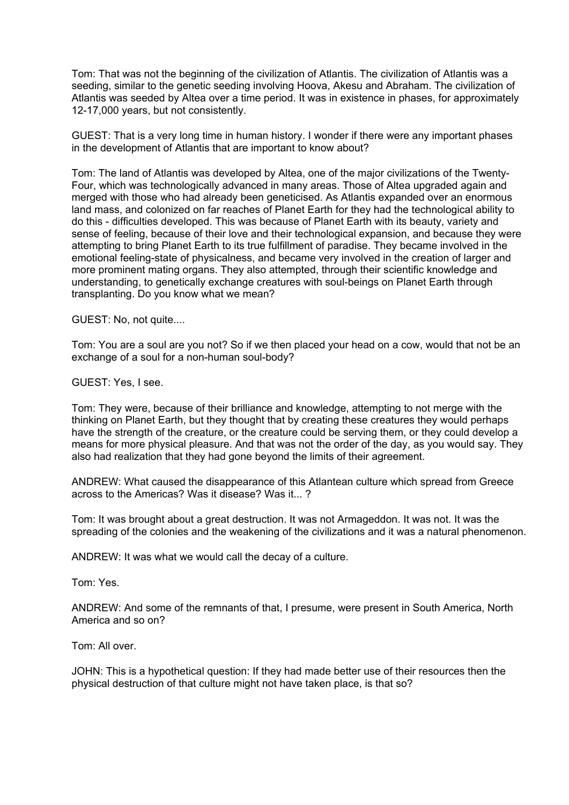Tom: That was not the beginning of the civilization of Atlantis. The civilization of Atlantis was a seeding, similar to the genetic seeding involving Hoova, Akesu and Abraham. The civilization of Atlantis was seeded by Altea over a time period. It was in existence in phases, for approximately 12-17,000 years, but not consistently.

GUEST: That is a very long time in human history. I wonder if there were any important phases in the development of Atlantis that are important to know about?

Tom: The land of Atlantis was developed by Altea, one of the major civilizations of the Twenty-Four, which was technologically advanced in many areas. Those of Altea upgraded again and merged with those who had already been geneticised. As Atlantis expanded over an enormous land mass, and colonized on far reaches of Planet Earth for they had the technological ability to do this - difficulties developed. This was because of Planet Earth with its beauty, variety and sense of feeling, because of their love and their technological expansion, and because they were attempting to bring Planet Earth to its true fulfillment of paradise. They became involved in the emotional feeling-state of physicalness, and became very involved in the creation of larger and more prominent mating organs. They also attempted, through their scientific knowledge and understanding, to genetically exchange creatures with soul-beings on Planet Earth through transplanting. Do you know what we mean?

GUEST: No, not quite....

Tom: You are a soul are you not? So if we then placed your head on a cow, would that not be an exchange of a soul for a non-human soul-body?

GUEST: Yes, I see.

Tom: They were, because of their brilliance and knowledge, attempting to not merge with the thinking on Planet Earth, but they thought that by creating these creatures they would perhaps have the strength of the creature, or the creature could be serving them, or they could develop a means for more physical pleasure. And that was not the order of the day, as you would say. They also had realization that they had gone beyond the limits of their agreement.

ANDREW: What caused the disappearance of this Atlantean culture which spread from Greece across to the Americas? Was it disease? Was it... ?

Tom: It was brought about a great destruction. It was not Armageddon. It was not. It was the spreading of the colonies and the weakening of the civilizations and it was a natural phenomenon.

ANDREW: It was what we would call the decay of a culture.

Tom: Yes.

ANDREW: And some of the remnants of that, I presume, were present in South America, North America and so on?

Tom: All over.

JOHN: This is a hypothetical question: If they had made better use of their resources then the physical destruction of that culture might not have taken place, is that so?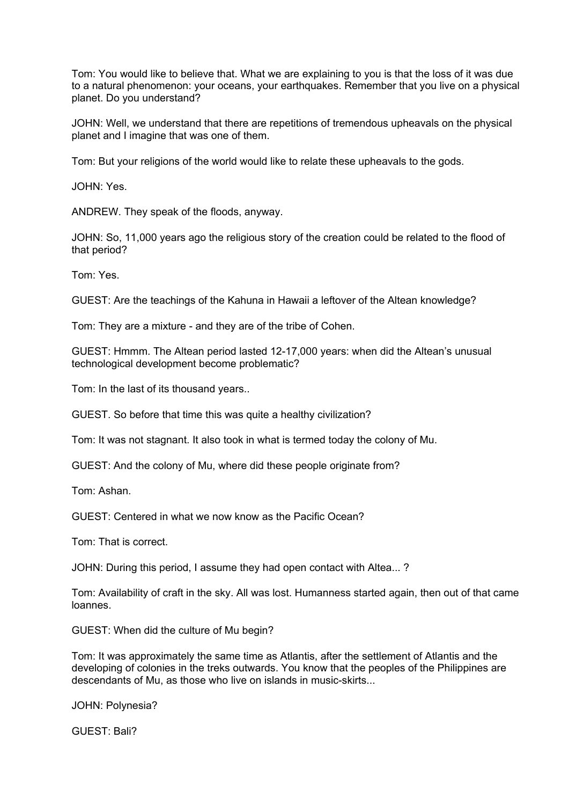Tom: You would like to believe that. What we are explaining to you is that the loss of it was due to a natural phenomenon: your oceans, your earthquakes. Remember that you live on a physical planet. Do you understand?

JOHN: Well, we understand that there are repetitions of tremendous upheavals on the physical planet and I imagine that was one of them.

Tom: But your religions of the world would like to relate these upheavals to the gods.

JOHN: Yes.

ANDREW. They speak of the floods, anyway.

JOHN: So, 11,000 years ago the religious story of the creation could be related to the flood of that period?

Tom: Yes.

GUEST: Are the teachings of the Kahuna in Hawaii a leftover of the Altean knowledge?

Tom: They are a mixture - and they are of the tribe of Cohen.

GUEST: Hmmm. The Altean period lasted 12-17,000 years: when did the Altean's unusual technological development become problematic?

Tom: In the last of its thousand years..

GUEST. So before that time this was quite a healthy civilization?

Tom: It was not stagnant. It also took in what is termed today the colony of Mu.

GUEST: And the colony of Mu, where did these people originate from?

Tom: Ashan.

GUEST: Centered in what we now know as the Pacific Ocean?

Tom: That is correct.

JOHN: During this period, I assume they had open contact with Altea... ?

Tom: Availability of craft in the sky. All was lost. Humanness started again, then out of that came loannes.

GUEST: When did the culture of Mu begin?

Tom: It was approximately the same time as Atlantis, after the settlement of Atlantis and the developing of colonies in the treks outwards. You know that the peoples of the Philippines are descendants of Mu, as those who live on islands in music-skirts...

JOHN: Polynesia?

GUEST: Bali?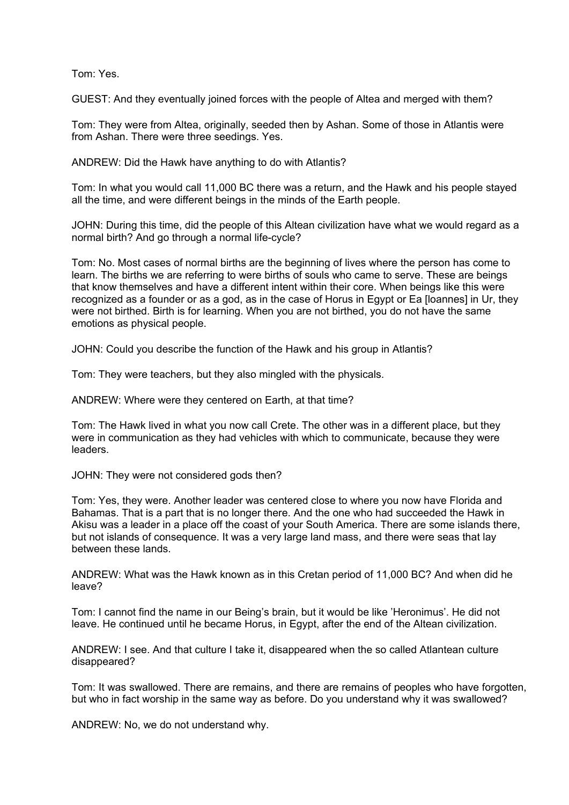Tom: Yes.

GUEST: And they eventually joined forces with the people of Altea and merged with them?

Tom: They were from Altea, originally, seeded then by Ashan. Some of those in Atlantis were from Ashan. There were three seedings. Yes.

ANDREW: Did the Hawk have anything to do with Atlantis?

Tom: In what you would call 11,000 BC there was a return, and the Hawk and his people stayed all the time, and were different beings in the minds of the Earth people.

JOHN: During this time, did the people of this Altean civilization have what we would regard as a normal birth? And go through a normal life-cycle?

Tom: No. Most cases of normal births are the beginning of lives where the person has come to learn. The births we are referring to were births of souls who came to serve. These are beings that know themselves and have a different intent within their core. When beings like this were recognized as a founder or as a god, as in the case of Horus in Egypt or Ea [loannes] in Ur, they were not birthed. Birth is for learning. When you are not birthed, you do not have the same emotions as physical people.

JOHN: Could you describe the function of the Hawk and his group in Atlantis?

Tom: They were teachers, but they also mingled with the physicals.

ANDREW: Where were they centered on Earth, at that time?

Tom: The Hawk lived in what you now call Crete. The other was in a different place, but they were in communication as they had vehicles with which to communicate, because they were leaders.

JOHN: They were not considered gods then?

Tom: Yes, they were. Another leader was centered close to where you now have Florida and Bahamas. That is a part that is no longer there. And the one who had succeeded the Hawk in Akisu was a leader in a place off the coast of your South America. There are some islands there, but not islands of consequence. It was a very large land mass, and there were seas that lay between these lands.

ANDREW: What was the Hawk known as in this Cretan period of 11,000 BC? And when did he leave?

Tom: I cannot find the name in our Being's brain, but it would be like 'Heronimus'. He did not leave. He continued until he became Horus, in Egypt, after the end of the Altean civilization.

ANDREW: I see. And that culture I take it, disappeared when the so called Atlantean culture disappeared?

Tom: It was swallowed. There are remains, and there are remains of peoples who have forgotten, but who in fact worship in the same way as before. Do you understand why it was swallowed?

ANDREW: No, we do not understand why.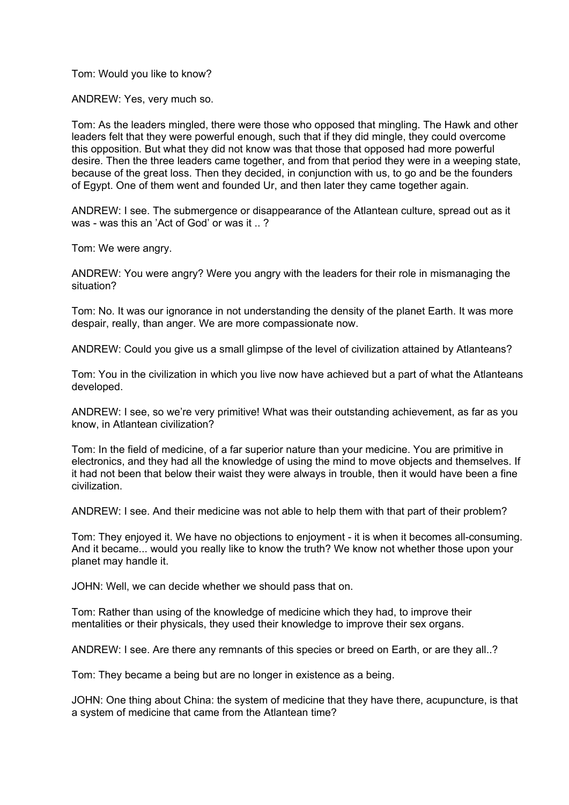Tom: Would you like to know?

ANDREW: Yes, very much so.

Tom: As the leaders mingled, there were those who opposed that mingling. The Hawk and other leaders felt that they were powerful enough, such that if they did mingle, they could overcome this opposition. But what they did not know was that those that opposed had more powerful desire. Then the three leaders came together, and from that period they were in a weeping state, because of the great loss. Then they decided, in conjunction with us, to go and be the founders of Egypt. One of them went and founded Ur, and then later they came together again.

ANDREW: I see. The submergence or disappearance of the Atlantean culture, spread out as it was - was this an 'Act of God' or was it ..?

Tom: We were angry.

ANDREW: You were angry? Were you angry with the leaders for their role in mismanaging the situation?

Tom: No. It was our ignorance in not understanding the density of the planet Earth. It was more despair, really, than anger. We are more compassionate now.

ANDREW: Could you give us a small glimpse of the level of civilization attained by Atlanteans?

Tom: You in the civilization in which you live now have achieved but a part of what the Atlanteans developed.

ANDREW: I see, so we're very primitive! What was their outstanding achievement, as far as you know, in Atlantean civilization?

Tom: In the field of medicine, of a far superior nature than your medicine. You are primitive in electronics, and they had all the knowledge of using the mind to move objects and themselves. If it had not been that below their waist they were always in trouble, then it would have been a fine civilization.

ANDREW: I see. And their medicine was not able to help them with that part of their problem?

Tom: They enjoyed it. We have no objections to enjoyment - it is when it becomes all-consuming. And it became... would you really like to know the truth? We know not whether those upon your planet may handle it.

JOHN: Well, we can decide whether we should pass that on.

Tom: Rather than using of the knowledge of medicine which they had, to improve their mentalities or their physicals, they used their knowledge to improve their sex organs.

ANDREW: I see. Are there any remnants of this species or breed on Earth, or are they all..?

Tom: They became a being but are no longer in existence as a being.

JOHN: One thing about China: the system of medicine that they have there, acupuncture, is that a system of medicine that came from the Atlantean time?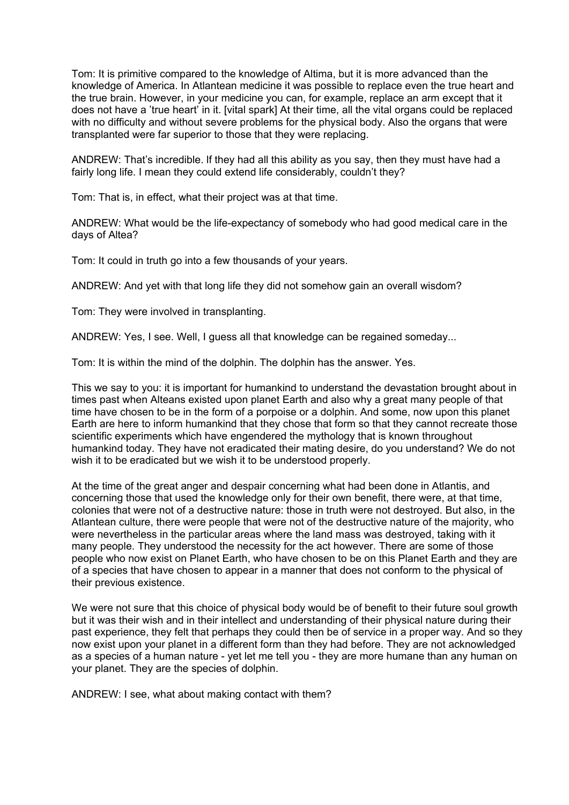Tom: It is primitive compared to the knowledge of Altima, but it is more advanced than the knowledge of America. In Atlantean medicine it was possible to replace even the true heart and the true brain. However, in your medicine you can, for example, replace an arm except that it does not have a 'true heart' in it. [vital spark] At their time, all the vital organs could be replaced with no difficulty and without severe problems for the physical body. Also the organs that were transplanted were far superior to those that they were replacing.

ANDREW: That's incredible. lf they had all this ability as you say, then they must have had a fairly long life. I mean they could extend life considerably, couldn't they?

Tom: That is, in effect, what their project was at that time.

ANDREW: What would be the life-expectancy of somebody who had good medical care in the days of Altea?

Tom: It could in truth go into a few thousands of your years.

ANDREW: And yet with that long life they did not somehow gain an overall wisdom?

Tom: They were involved in transplanting.

ANDREW: Yes, I see. Well, I guess all that knowledge can be regained someday...

Tom: It is within the mind of the dolphin. The dolphin has the answer. Yes.

This we say to you: it is important for humankind to understand the devastation brought about in times past when Alteans existed upon planet Earth and also why a great many people of that time have chosen to be in the form of a porpoise or a dolphin. And some, now upon this planet Earth are here to inform humankind that they chose that form so that they cannot recreate those scientific experiments which have engendered the mythology that is known throughout humankind today. They have not eradicated their mating desire, do you understand? We do not wish it to be eradicated but we wish it to be understood properly.

At the time of the great anger and despair concerning what had been done in Atlantis, and concerning those that used the knowledge only for their own benefit, there were, at that time, colonies that were not of a destructive nature: those in truth were not destroyed. But also, in the Atlantean culture, there were people that were not of the destructive nature of the majority, who were nevertheless in the particular areas where the land mass was destroyed, taking with it many people. They understood the necessity for the act however. There are some of those people who now exist on Planet Earth, who have chosen to be on this Planet Earth and they are of a species that have chosen to appear in a manner that does not conform to the physical of their previous existence.

We were not sure that this choice of physical body would be of benefit to their future soul growth but it was their wish and in their intellect and understanding of their physical nature during their past experience, they felt that perhaps they could then be of service in a proper way. And so they now exist upon your planet in a different form than they had before. They are not acknowledged as a species of a human nature - yet let me tell you - they are more humane than any human on your planet. They are the species of dolphin.

ANDREW: I see, what about making contact with them?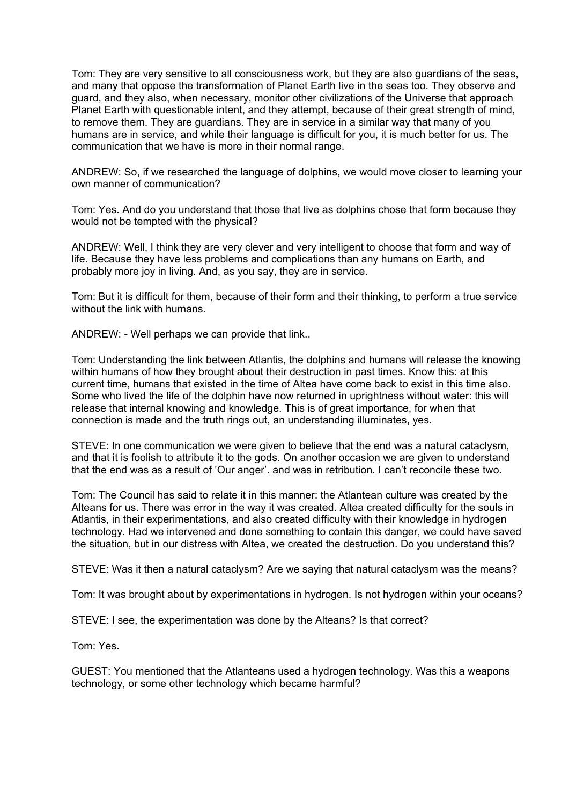Tom: They are very sensitive to all consciousness work, but they are also guardians of the seas, and many that oppose the transformation of Planet Earth live in the seas too. They observe and guard, and they also, when necessary, monitor other civilizations of the Universe that approach Planet Earth with questionable intent, and they attempt, because of their great strength of mind, to remove them. They are guardians. They are in service in a similar way that many of you humans are in service, and while their language is difficult for you, it is much better for us. The communication that we have is more in their normal range.

ANDREW: So, if we researched the language of dolphins, we would move closer to learning your own manner of communication?

Tom: Yes. And do you understand that those that live as dolphins chose that form because they would not be tempted with the physical?

ANDREW: Well, I think they are very clever and very intelligent to choose that form and way of life. Because they have less problems and complications than any humans on Earth, and probably more joy in living. And, as you say, they are in service.

Tom: But it is difficult for them, because of their form and their thinking, to perform a true service without the link with humans.

ANDREW: - Well perhaps we can provide that link..

Tom: Understanding the link between Atlantis, the dolphins and humans will release the knowing within humans of how they brought about their destruction in past times. Know this: at this current time, humans that existed in the time of Altea have come back to exist in this time also. Some who lived the life of the dolphin have now returned in uprightness without water: this will release that internal knowing and knowledge. This is of great importance, for when that connection is made and the truth rings out, an understanding illuminates, yes.

STEVE: In one communication we were given to believe that the end was a natural cataclysm, and that it is foolish to attribute it to the gods. On another occasion we are given to understand that the end was as a result of 'Our anger'. and was in retribution. I can't reconcile these two.

Tom: The Council has said to relate it in this manner: the Atlantean culture was created by the Alteans for us. There was error in the way it was created. Altea created difficulty for the souls in Atlantis, in their experimentations, and also created difficulty with their knowledge in hydrogen technology. Had we intervened and done something to contain this danger, we could have saved the situation, but in our distress with Altea, we created the destruction. Do you understand this?

STEVE: Was it then a natural cataclysm? Are we saying that natural cataclysm was the means?

Tom: It was brought about by experimentations in hydrogen. Is not hydrogen within your oceans?

STEVE: I see, the experimentation was done by the Alteans? Is that correct?

Tom: Yes.

GUEST: You mentioned that the Atlanteans used a hydrogen technology. Was this a weapons technology, or some other technology which became harmful?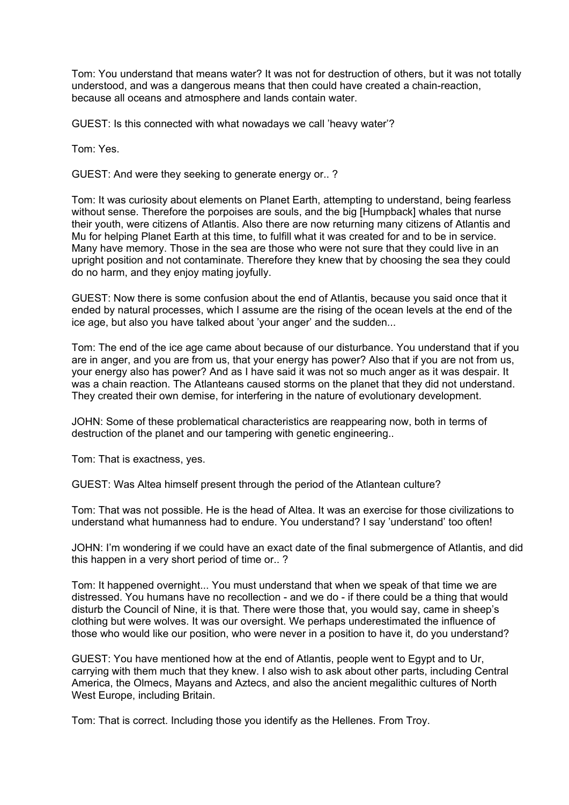Tom: You understand that means water? It was not for destruction of others, but it was not totally understood, and was a dangerous means that then could have created a chain-reaction, because all oceans and atmosphere and lands contain water.

GUEST: Is this connected with what nowadays we call 'heavy water'?

Tom: Yes.

GUEST: And were they seeking to generate energy or.. ?

Tom: It was curiosity about elements on Planet Earth, attempting to understand, being fearless without sense. Therefore the porpoises are souls, and the big [Humpback] whales that nurse their youth, were citizens of Atlantis. Also there are now returning many citizens of Atlantis and Mu for helping Planet Earth at this time, to fulfill what it was created for and to be in service. Many have memory. Those in the sea are those who were not sure that they could live in an upright position and not contaminate. Therefore they knew that by choosing the sea they could do no harm, and they enjoy mating joyfully.

GUEST: Now there is some confusion about the end of Atlantis, because you said once that it ended by natural processes, which I assume are the rising of the ocean levels at the end of the ice age, but also you have talked about 'your anger' and the sudden...

Tom: The end of the ice age came about because of our disturbance. You understand that if you are in anger, and you are from us, that your energy has power? Also that if you are not from us, your energy also has power? And as I have said it was not so much anger as it was despair. It was a chain reaction. The Atlanteans caused storms on the planet that they did not understand. They created their own demise, for interfering in the nature of evolutionary development.

JOHN: Some of these problematical characteristics are reappearing now, both in terms of destruction of the planet and our tampering with genetic engineering..

Tom: That is exactness, yes.

GUEST: Was Altea himself present through the period of the Atlantean culture?

Tom: That was not possible. He is the head of Altea. It was an exercise for those civilizations to understand what humanness had to endure. You understand? I say 'understand' too often!

JOHN: I'm wondering if we could have an exact date of the final submergence of Atlantis, and did this happen in a very short period of time or.. ?

Tom: It happened overnight... You must understand that when we speak of that time we are distressed. You humans have no recollection - and we do - if there could be a thing that would disturb the Council of Nine, it is that. There were those that, you would say, came in sheep's clothing but were wolves. It was our oversight. We perhaps underestimated the influence of those who would like our position, who were never in a position to have it, do you understand?

GUEST: You have mentioned how at the end of Atlantis, people went to Egypt and to Ur, carrying with them much that they knew. I also wish to ask about other parts, including Central America, the Olmecs, Mayans and Aztecs, and also the ancient megalithic cultures of North West Europe, including Britain.

Tom: That is correct. Including those you identify as the Hellenes. From Troy.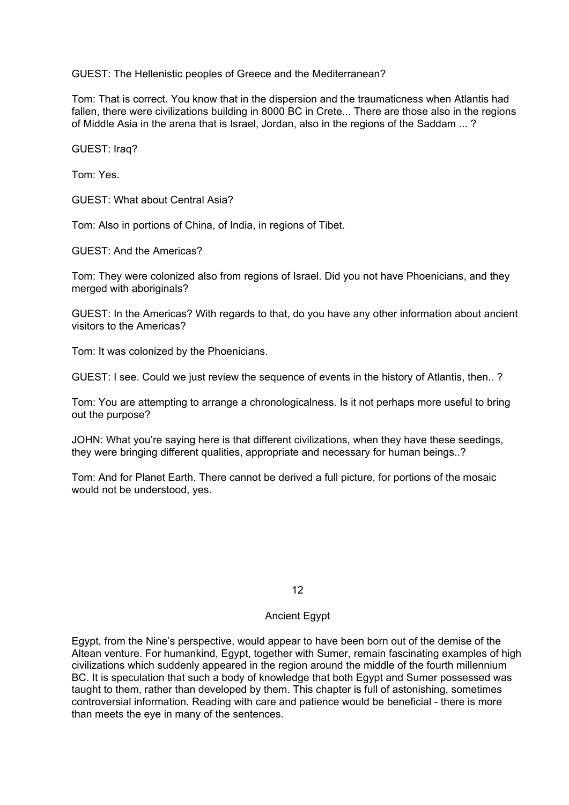GUEST: The Hellenistic peoples of Greece and the Mediterranean?

Tom: That is correct. You know that in the dispersion and the traumaticness when Atlantis had fallen, there were civilizations building in 8000 BC in Crete... There are those also in the regions of Middle Asia in the arena that is Israel, Jordan, also in the regions of the Saddam ... ?

GUEST: Iraq?

Tom: Yes.

GUEST: What about Central Asia?

Tom: Also in portions of China, of India, in regions of Tibet.

GUEST: And the Americas?

Tom: They were colonized also from regions of Israel. Did you not have Phoenicians, and they merged with aboriginals?

GUEST: In the Americas? With regards to that, do you have any other information about ancient visitors to the Americas?

Tom: It was colonized by the Phoenicians.

GUEST: I see. Could we just review the sequence of events in the history of Atlantis, then.. ?

Tom: You are attempting to arrange a chronologicalness. Is it not perhaps more useful to bring out the purpose?

JOHN: What you're saying here is that different civilizations, when they have these seedings, they were bringing different qualities, appropriate and necessary for human beings..?

Tom: And for Planet Earth. There cannot be derived a full picture, for portions of the mosaic would not be understood, yes.

### 12

#### Ancient Egypt

Egypt, from the Nine's perspective, would appear to have been born out of the demise of the Altean venture. For humankind, Egypt, together with Sumer, remain fascinating examples of high civilizations which suddenly appeared in the region around the middle of the fourth millennium BC. It is speculation that such a body of knowledge that both Egypt and Sumer possessed was taught to them, rather than developed by them. This chapter is full of astonishing, sometimes controversial information. Reading with care and patience would be beneficial - there is more than meets the eye in many of the sentences.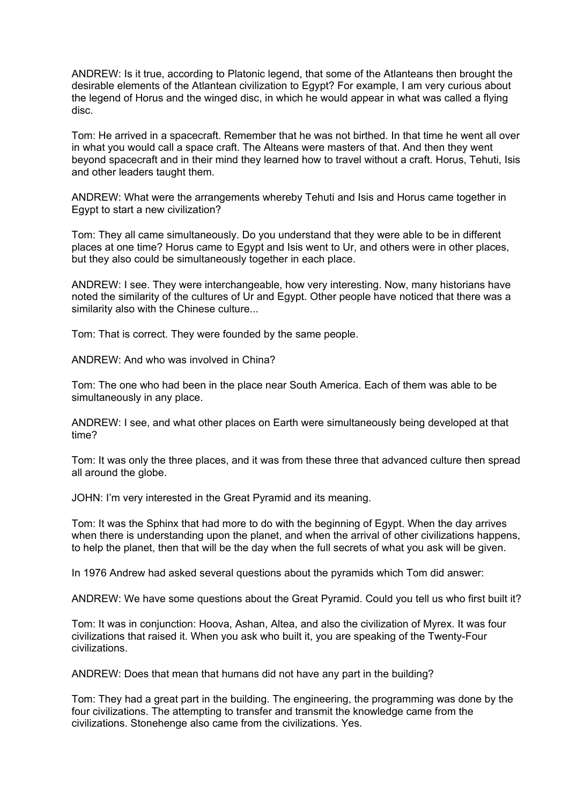ANDREW: Is it true, according to Platonic legend, that some of the Atlanteans then brought the desirable elements of the Atlantean civilization to Egypt? For example, I am very curious about the legend of Horus and the winged disc, in which he would appear in what was called a flying disc.

Tom: He arrived in a spacecraft. Remember that he was not birthed. In that time he went all over in what you would call a space craft. The Alteans were masters of that. And then they went beyond spacecraft and in their mind they learned how to travel without a craft. Horus, Tehuti, Isis and other leaders taught them.

ANDREW: What were the arrangements whereby Tehuti and Isis and Horus came together in Egypt to start a new civilization?

Tom: They all came simultaneously. Do you understand that they were able to be in different places at one time? Horus came to Egypt and Isis went to Ur, and others were in other places, but they also could be simultaneously together in each place.

ANDREW: I see. They were interchangeable, how very interesting. Now, many historians have noted the similarity of the cultures of Ur and Egypt. Other people have noticed that there was a similarity also with the Chinese culture...

Tom: That is correct. They were founded by the same people.

ANDREW: And who was involved in China?

Tom: The one who had been in the place near South America. Each of them was able to be simultaneously in any place.

ANDREW: I see, and what other places on Earth were simultaneously being developed at that time?

Tom: It was only the three places, and it was from these three that advanced culture then spread all around the globe.

JOHN: I'm very interested in the Great Pyramid and its meaning.

Tom: It was the Sphinx that had more to do with the beginning of Egypt. When the day arrives when there is understanding upon the planet, and when the arrival of other civilizations happens, to help the planet, then that will be the day when the full secrets of what you ask will be given.

In 1976 Andrew had asked several questions about the pyramids which Tom did answer:

ANDREW: We have some questions about the Great Pyramid. Could you tell us who first built it?

Tom: It was in conjunction: Hoova, Ashan, Altea, and also the civilization of Myrex. It was four civilizations that raised it. When you ask who built it, you are speaking of the Twenty-Four civilizations.

ANDREW: Does that mean that humans did not have any part in the building?

Tom: They had a great part in the building. The engineering, the programming was done by the four civilizations. The attempting to transfer and transmit the knowledge came from the civilizations. Stonehenge also came from the civilizations. Yes.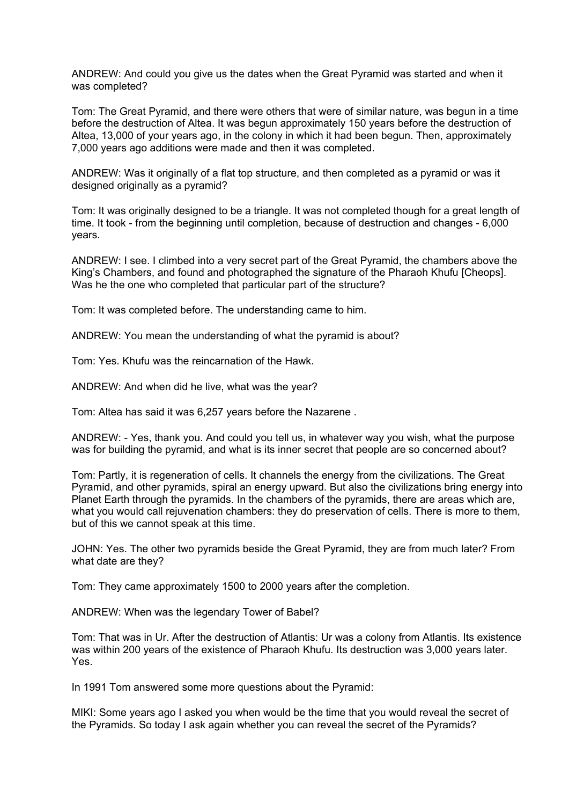ANDREW: And could you give us the dates when the Great Pyramid was started and when it was completed?

Tom: The Great Pyramid, and there were others that were of similar nature, was begun in a time before the destruction of Altea. It was begun approximately 150 years before the destruction of Altea, 13,000 of your years ago, in the colony in which it had been begun. Then, approximately 7,000 years ago additions were made and then it was completed.

ANDREW: Was it originally of a flat top structure, and then completed as a pyramid or was it designed originally as a pyramid?

Tom: It was originally designed to be a triangle. It was not completed though for a great length of time. It took - from the beginning until completion, because of destruction and changes - 6,000 years.

ANDREW: I see. I climbed into a very secret part of the Great Pyramid, the chambers above the King's Chambers, and found and photographed the signature of the Pharaoh Khufu [Cheops]. Was he the one who completed that particular part of the structure?

Tom: It was completed before. The understanding came to him.

ANDREW: You mean the understanding of what the pyramid is about?

Tom: Yes. Khufu was the reincarnation of the Hawk.

ANDREW: And when did he live, what was the year?

Tom: Altea has said it was 6,257 years before the Nazarene .

ANDREW: - Yes, thank you. And could you tell us, in whatever way you wish, what the purpose was for building the pyramid, and what is its inner secret that people are so concerned about?

Tom: Partly, it is regeneration of cells. It channels the energy from the civilizations. The Great Pyramid, and other pyramids, spiral an energy upward. But also the civilizations bring energy into Planet Earth through the pyramids. In the chambers of the pyramids, there are areas which are, what you would call rejuvenation chambers: they do preservation of cells. There is more to them, but of this we cannot speak at this time.

JOHN: Yes. The other two pyramids beside the Great Pyramid, they are from much later? From what date are they?

Tom: They came approximately 1500 to 2000 years after the completion.

ANDREW: When was the legendary Tower of Babel?

Tom: That was in Ur. After the destruction of Atlantis: Ur was a colony from Atlantis. Its existence was within 200 years of the existence of Pharaoh Khufu. Its destruction was 3,000 years later. Yes.

In 1991 Tom answered some more questions about the Pyramid:

MIKI: Some years ago I asked you when would be the time that you would reveal the secret of the Pyramids. So today I ask again whether you can reveal the secret of the Pyramids?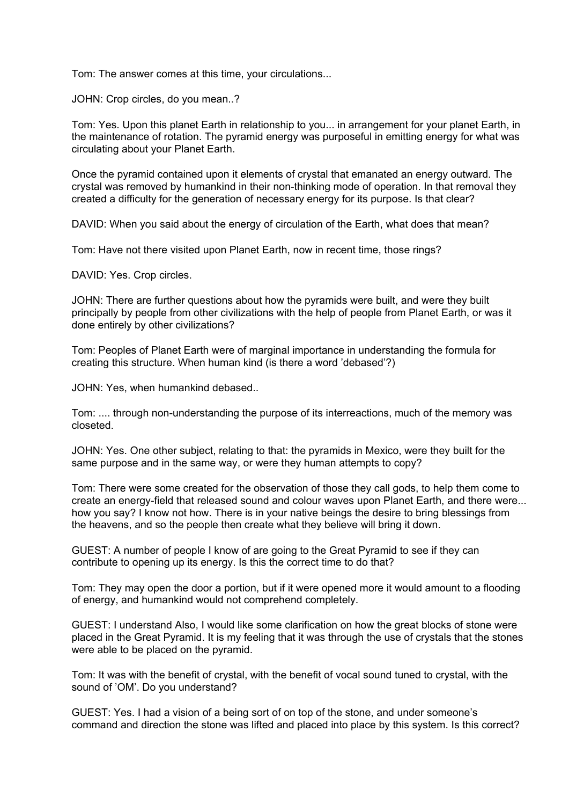Tom: The answer comes at this time, your circulations...

JOHN: Crop circles, do you mean..?

Tom: Yes. Upon this planet Earth in relationship to you... in arrangement for your planet Earth, in the maintenance of rotation. The pyramid energy was purposeful in emitting energy for what was circulating about your Planet Earth.

Once the pyramid contained upon it elements of crystal that emanated an energy outward. The crystal was removed by humankind in their non-thinking mode of operation. In that removal they created a difficulty for the generation of necessary energy for its purpose. Is that clear?

DAVID: When you said about the energy of circulation of the Earth, what does that mean?

Tom: Have not there visited upon Planet Earth, now in recent time, those rings?

DAVID: Yes. Crop circles.

JOHN: There are further questions about how the pyramids were built, and were they built principally by people from other civilizations with the help of people from Planet Earth, or was it done entirely by other civilizations?

Tom: Peoples of Planet Earth were of marginal importance in understanding the formula for creating this structure. When human kind (is there a word 'debased'?)

JOHN: Yes, when humankind debased..

Tom: .... through non-understanding the purpose of its interreactions, much of the memory was closeted.

JOHN: Yes. One other subject, relating to that: the pyramids in Mexico, were they built for the same purpose and in the same way, or were they human attempts to copy?

Tom: There were some created for the observation of those they call gods, to help them come to create an energy-field that released sound and colour waves upon Planet Earth, and there were... how you say? I know not how. There is in your native beings the desire to bring blessings from the heavens, and so the people then create what they believe will bring it down.

GUEST: A number of people I know of are going to the Great Pyramid to see if they can contribute to opening up its energy. Is this the correct time to do that?

Tom: They may open the door a portion, but if it were opened more it would amount to a flooding of energy, and humankind would not comprehend completely.

GUEST: I understand Also, I would like some clarification on how the great blocks of stone were placed in the Great Pyramid. It is my feeling that it was through the use of crystals that the stones were able to be placed on the pyramid.

Tom: It was with the benefit of crystal, with the benefit of vocal sound tuned to crystal, with the sound of 'OM'. Do you understand?

GUEST: Yes. I had a vision of a being sort of on top of the stone, and under someone's command and direction the stone was lifted and placed into place by this system. Is this correct?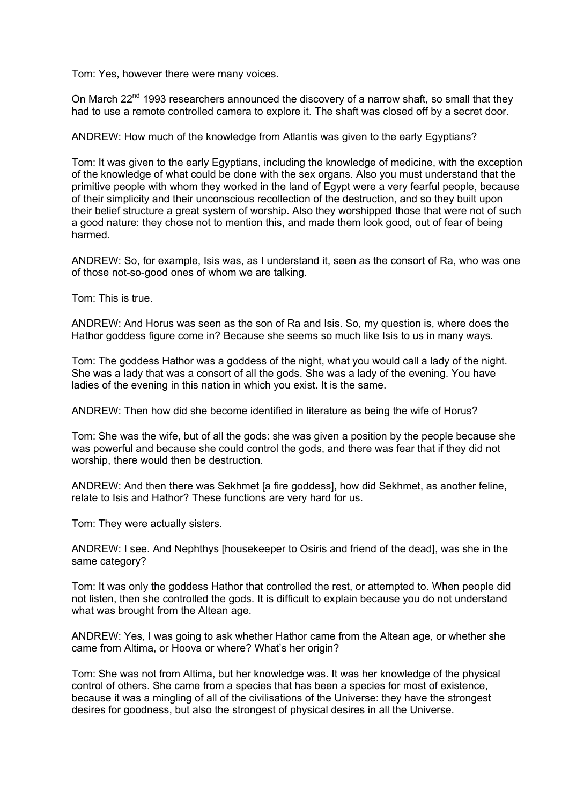Tom: Yes, however there were many voices.

On March 22<sup>nd</sup> 1993 researchers announced the discovery of a narrow shaft, so small that they had to use a remote controlled camera to explore it. The shaft was closed off by a secret door.

ANDREW: How much of the knowledge from Atlantis was given to the early Egyptians?

Tom: It was given to the early Egyptians, including the knowledge of medicine, with the exception of the knowledge of what could be done with the sex organs. Also you must understand that the primitive people with whom they worked in the land of Egypt were a very fearful people, because of their simplicity and their unconscious recollection of the destruction, and so they built upon their belief structure a great system of worship. Also they worshipped those that were not of such a good nature: they chose not to mention this, and made them look good, out of fear of being harmed.

ANDREW: So, for example, Isis was, as I understand it, seen as the consort of Ra, who was one of those not-so-good ones of whom we are talking.

Tom: This is true.

ANDREW: And Horus was seen as the son of Ra and Isis. So, my question is, where does the Hathor goddess figure come in? Because she seems so much like Isis to us in many ways.

Tom: The goddess Hathor was a goddess of the night, what you would call a lady of the night. She was a lady that was a consort of all the gods. She was a lady of the evening. You have ladies of the evening in this nation in which you exist. It is the same.

ANDREW: Then how did she become identified in literature as being the wife of Horus?

Tom: She was the wife, but of all the gods: she was given a position by the people because she was powerful and because she could control the gods, and there was fear that if they did not worship, there would then be destruction.

ANDREW: And then there was Sekhmet [a fire goddess], how did Sekhmet, as another feline, relate to Isis and Hathor? These functions are very hard for us.

Tom: They were actually sisters.

ANDREW: I see. And Nephthys [housekeeper to Osiris and friend of the dead], was she in the same category?

Tom: It was only the goddess Hathor that controlled the rest, or attempted to. When people did not listen, then she controlled the gods. It is difficult to explain because you do not understand what was brought from the Altean age.

ANDREW: Yes, I was going to ask whether Hathor came from the Altean age, or whether she came from Altima, or Hoova or where? What's her origin?

Tom: She was not from Altima, but her knowledge was. It was her knowledge of the physical control of others. She came from a species that has been a species for most of existence, because it was a mingling of all of the civilisations of the Universe: they have the strongest desires for goodness, but also the strongest of physical desires in all the Universe.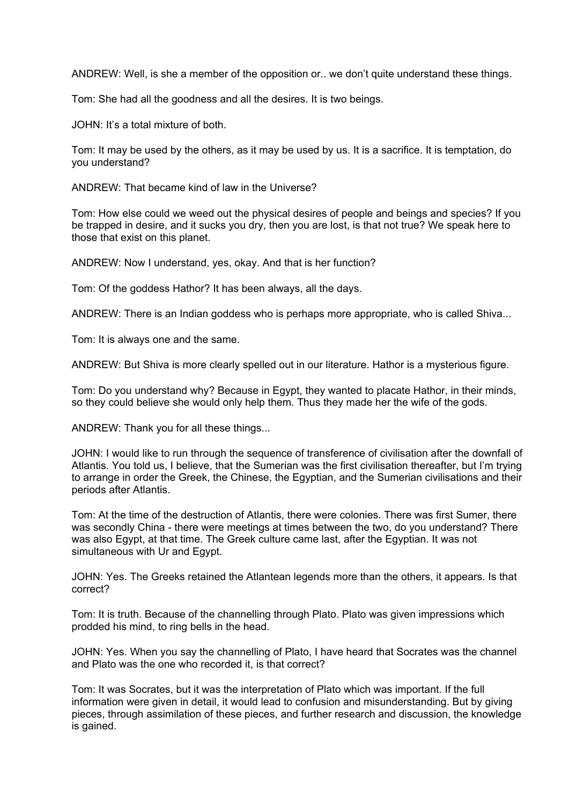ANDREW: Well, is she a member of the opposition or.. we don't quite understand these things.

Tom: She had all the goodness and all the desires. It is two beings.

JOHN: It's a total mixture of both.

Tom: It may be used by the others, as it may be used by us. It is a sacrifice. It is temptation, do you understand?

ANDREW: That became kind of law in the Universe?

Tom: How else could we weed out the physical desires of people and beings and species? If you be trapped in desire, and it sucks you dry, then you are lost, is that not true? We speak here to those that exist on this planet.

ANDREW: Now I understand, yes, okay. And that is her function?

Tom: Of the goddess Hathor? It has been always, all the days.

ANDREW: There is an Indian goddess who is perhaps more appropriate, who is called Shiva...

Tom: It is always one and the same.

ANDREW: But Shiva is more clearly spelled out in our literature. Hathor is a mysterious figure.

Tom: Do you understand why? Because in Egypt, they wanted to placate Hathor, in their minds, so they could believe she would only help them. Thus they made her the wife of the gods.

ANDREW: Thank you for all these things...

JOHN: I would like to run through the sequence of transference of civilisation after the downfall of Atlantis. You told us, I believe, that the Sumerian was the first civilisation thereafter, but I'm trying to arrange in order the Greek, the Chinese, the Egyptian, and the Sumerian civilisations and their periods after Atlantis.

Tom: At the time of the destruction of Atlantis, there were colonies. There was first Sumer, there was secondly China - there were meetings at times between the two, do you understand? There was also Egypt, at that time. The Greek culture came last, after the Egyptian. It was not simultaneous with Ur and Egypt.

JOHN: Yes. The Greeks retained the Atlantean legends more than the others, it appears. Is that correct?

Tom: It is truth. Because of the channelling through Plato. Plato was given impressions which prodded his mind, to ring bells in the head.

JOHN: Yes. When you say the channelling of Plato, I have heard that Socrates was the channel and Plato was the one who recorded it, is that correct?

Tom: It was Socrates, but it was the interpretation of Plato which was important. If the full information were given in detail, it would lead to confusion and misunderstanding. But by giving pieces, through assimilation of these pieces, and further research and discussion, the knowledge is gained.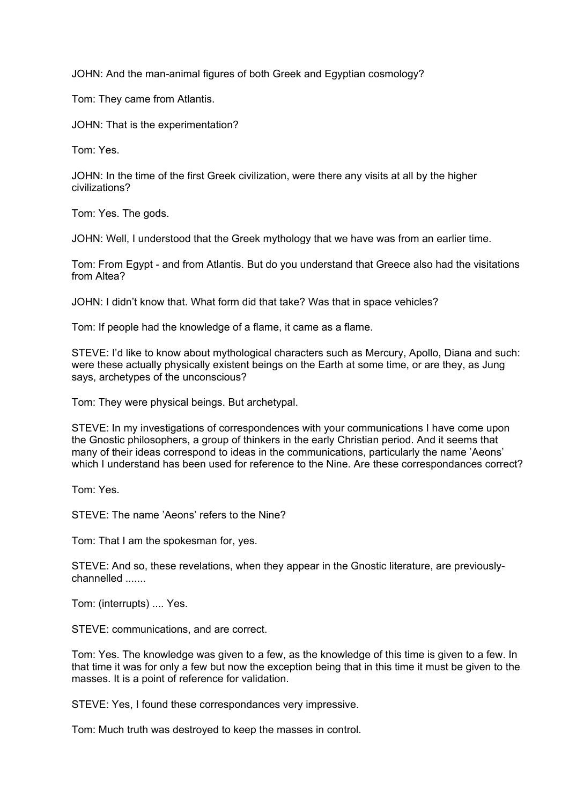JOHN: And the man-animal figures of both Greek and Egyptian cosmology?

Tom: They came from Atlantis.

JOHN: That is the experimentation?

Tom: Yes.

JOHN: In the time of the first Greek civilization, were there any visits at all by the higher civilizations?

Tom: Yes. The gods.

JOHN: Well, I understood that the Greek mythology that we have was from an earlier time.

Tom: From Egypt - and from Atlantis. But do you understand that Greece also had the visitations from Altea?

JOHN: I didn't know that. What form did that take? Was that in space vehicles?

Tom: If people had the knowledge of a flame, it came as a flame.

STEVE: I'd like to know about mythological characters such as Mercury, Apollo, Diana and such: were these actually physically existent beings on the Earth at some time, or are they, as Jung says, archetypes of the unconscious?

Tom: They were physical beings. But archetypal.

STEVE: In my investigations of correspondences with your communications I have come upon the Gnostic philosophers, a group of thinkers in the early Christian period. And it seems that many of their ideas correspond to ideas in the communications, particularly the name 'Aeons' which I understand has been used for reference to the Nine. Are these correspondances correct?

Tom: Yes.

STEVE: The name 'Aeons' refers to the Nine?

Tom: That I am the spokesman for, yes.

STEVE: And so, these revelations, when they appear in the Gnostic literature, are previouslychannelled .......

Tom: (interrupts) .... Yes.

STEVE: communications, and are correct.

Tom: Yes. The knowledge was given to a few, as the knowledge of this time is given to a few. In that time it was for only a few but now the exception being that in this time it must be given to the masses. It is a point of reference for validation.

STEVE: Yes, I found these correspondances very impressive.

Tom: Much truth was destroyed to keep the masses in control.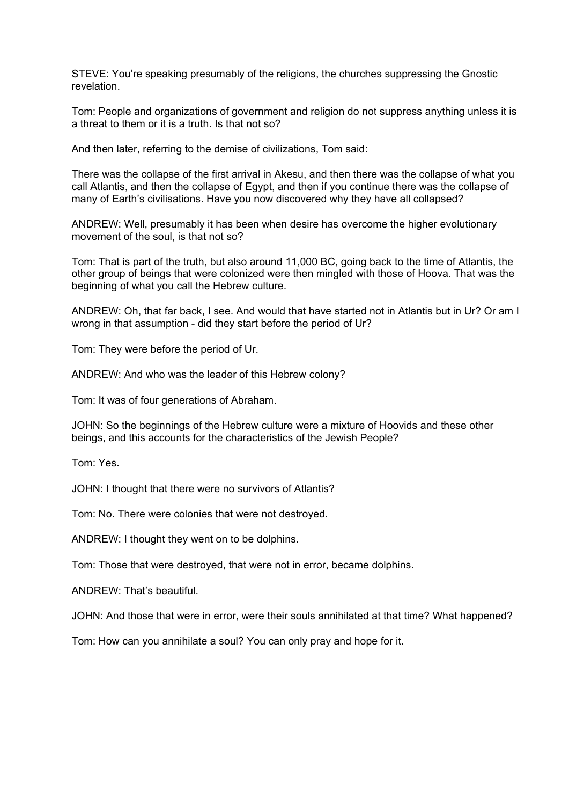STEVE: You're speaking presumably of the religions, the churches suppressing the Gnostic revelation.

Tom: People and organizations of government and religion do not suppress anything unless it is a threat to them or it is a truth. Is that not so?

And then later, referring to the demise of civilizations, Tom said:

There was the collapse of the first arrival in Akesu, and then there was the collapse of what you call Atlantis, and then the collapse of Egypt, and then if you continue there was the collapse of many of Earth's civilisations. Have you now discovered why they have all collapsed?

ANDREW: Well, presumably it has been when desire has overcome the higher evolutionary movement of the soul, is that not so?

Tom: That is part of the truth, but also around 11,000 BC, going back to the time of Atlantis, the other group of beings that were colonized were then mingled with those of Hoova. That was the beginning of what you call the Hebrew culture.

ANDREW: Oh, that far back, I see. And would that have started not in Atlantis but in Ur? Or am I wrong in that assumption - did they start before the period of Ur?

Tom: They were before the period of Ur.

ANDREW: And who was the leader of this Hebrew colony?

Tom: It was of four generations of Abraham.

JOHN: So the beginnings of the Hebrew culture were a mixture of Hoovids and these other beings, and this accounts for the characteristics of the Jewish People?

Tom: Yes.

JOHN: I thought that there were no survivors of Atlantis?

Tom: No. There were colonies that were not destroyed.

ANDREW: I thought they went on to be dolphins.

Tom: Those that were destroyed, that were not in error, became dolphins.

ANDREW: That's beautiful.

JOHN: And those that were in error, were their souls annihilated at that time? What happened?

Tom: How can you annihilate a soul? You can only pray and hope for it.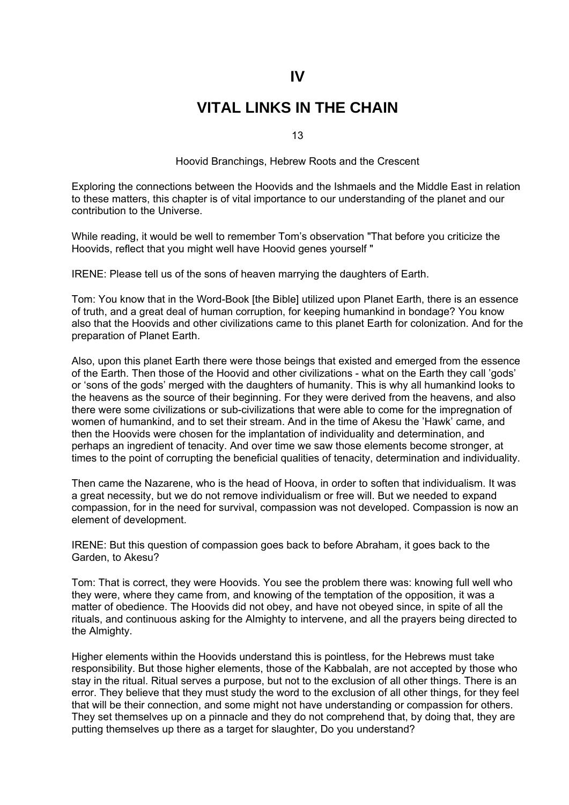# **VITAL LINKS IN THE CHAIN**

13

Hoovid Branchings, Hebrew Roots and the Crescent

Exploring the connections between the Hoovids and the Ishmaels and the Middle East in relation to these matters, this chapter is of vital importance to our understanding of the planet and our contribution to the Universe.

While reading, it would be well to remember Tom's observation "That before you criticize the Hoovids, reflect that you might well have Hoovid genes yourself "

IRENE: Please tell us of the sons of heaven marrying the daughters of Earth.

Tom: You know that in the Word-Book [the Bible] utilized upon Planet Earth, there is an essence of truth, and a great deal of human corruption, for keeping humankind in bondage? You know also that the Hoovids and other civilizations came to this planet Earth for colonization. And for the preparation of Planet Earth.

Also, upon this planet Earth there were those beings that existed and emerged from the essence of the Earth. Then those of the Hoovid and other civilizations - what on the Earth they call 'gods' or 'sons of the gods' merged with the daughters of humanity. This is why all humankind looks to the heavens as the source of their beginning. For they were derived from the heavens, and also there were some civilizations or sub-civilizations that were able to come for the impregnation of women of humankind, and to set their stream. And in the time of Akesu the 'Hawk' came, and then the Hoovids were chosen for the implantation of individuality and determination, and perhaps an ingredient of tenacity. And over time we saw those elements become stronger, at times to the point of corrupting the beneficial qualities of tenacity, determination and individuality.

Then came the Nazarene, who is the head of Hoova, in order to soften that individualism. It was a great necessity, but we do not remove individualism or free will. But we needed to expand compassion, for in the need for survival, compassion was not developed. Compassion is now an element of development.

IRENE: But this question of compassion goes back to before Abraham, it goes back to the Garden, to Akesu?

Tom: That is correct, they were Hoovids. You see the problem there was: knowing full well who they were, where they came from, and knowing of the temptation of the opposition, it was a matter of obedience. The Hoovids did not obey, and have not obeyed since, in spite of all the rituals, and continuous asking for the Almighty to intervene, and all the prayers being directed to the Almighty.

Higher elements within the Hoovids understand this is pointless, for the Hebrews must take responsibility. But those higher elements, those of the Kabbalah, are not accepted by those who stay in the ritual. Ritual serves a purpose, but not to the exclusion of all other things. There is an error. They believe that they must study the word to the exclusion of all other things, for they feel that will be their connection, and some might not have understanding or compassion for others. They set themselves up on a pinnacle and they do not comprehend that, by doing that, they are putting themselves up there as a target for slaughter, Do you understand?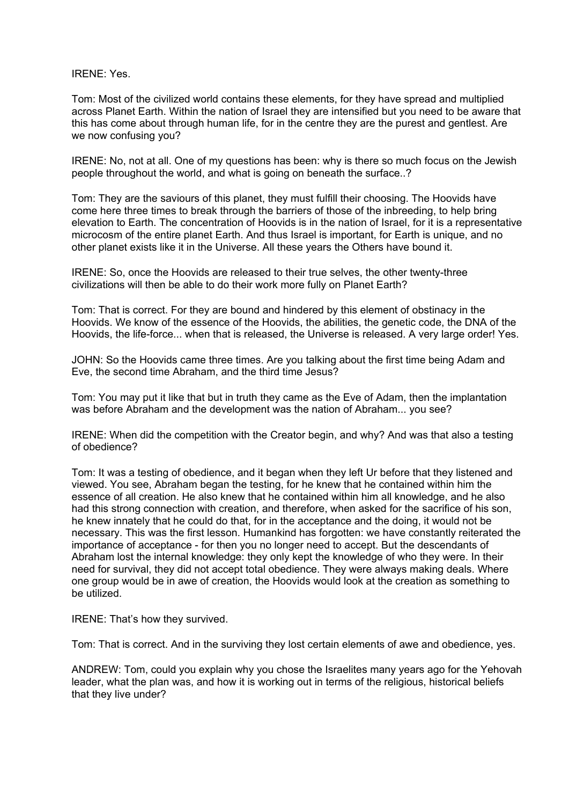### IRENE: Yes.

Tom: Most of the civilized world contains these elements, for they have spread and multiplied across Planet Earth. Within the nation of Israel they are intensified but you need to be aware that this has come about through human life, for in the centre they are the purest and gentlest. Are we now confusing you?

IRENE: No, not at all. One of my questions has been: why is there so much focus on the Jewish people throughout the world, and what is going on beneath the surface..?

Tom: They are the saviours of this planet, they must fulfill their choosing. The Hoovids have come here three times to break through the barriers of those of the inbreeding, to help bring elevation to Earth. The concentration of Hoovids is in the nation of Israel, for it is a representative microcosm of the entire planet Earth. And thus Israel is important, for Earth is unique, and no other planet exists like it in the Universe. All these years the Others have bound it.

IRENE: So, once the Hoovids are released to their true selves, the other twenty-three civilizations will then be able to do their work more fully on Planet Earth?

Tom: That is correct. For they are bound and hindered by this element of obstinacy in the Hoovids. We know of the essence of the Hoovids, the abilities, the genetic code, the DNA of the Hoovids, the life-force... when that is released, the Universe is released. A very large order! Yes.

JOHN: So the Hoovids came three times. Are you talking about the first time being Adam and Eve, the second time Abraham, and the third time Jesus?

Tom: You may put it like that but in truth they came as the Eve of Adam, then the implantation was before Abraham and the development was the nation of Abraham... you see?

IRENE: When did the competition with the Creator begin, and why? And was that also a testing of obedience?

Tom: It was a testing of obedience, and it began when they left Ur before that they listened and viewed. You see, Abraham began the testing, for he knew that he contained within him the essence of all creation. He also knew that he contained within him all knowledge, and he also had this strong connection with creation, and therefore, when asked for the sacrifice of his son, he knew innately that he could do that, for in the acceptance and the doing, it would not be necessary. This was the first lesson. Humankind has forgotten: we have constantly reiterated the importance of acceptance - for then you no longer need to accept. But the descendants of Abraham lost the internal knowledge: they only kept the knowledge of who they were. In their need for survival, they did not accept total obedience. They were always making deals. Where one group would be in awe of creation, the Hoovids would look at the creation as something to be utilized.

IRENE: That's how they survived.

Tom: That is correct. And in the surviving they lost certain elements of awe and obedience, yes.

ANDREW: Tom, could you explain why you chose the Israelites many years ago for the Yehovah leader, what the plan was, and how it is working out in terms of the religious, historical beliefs that they live under?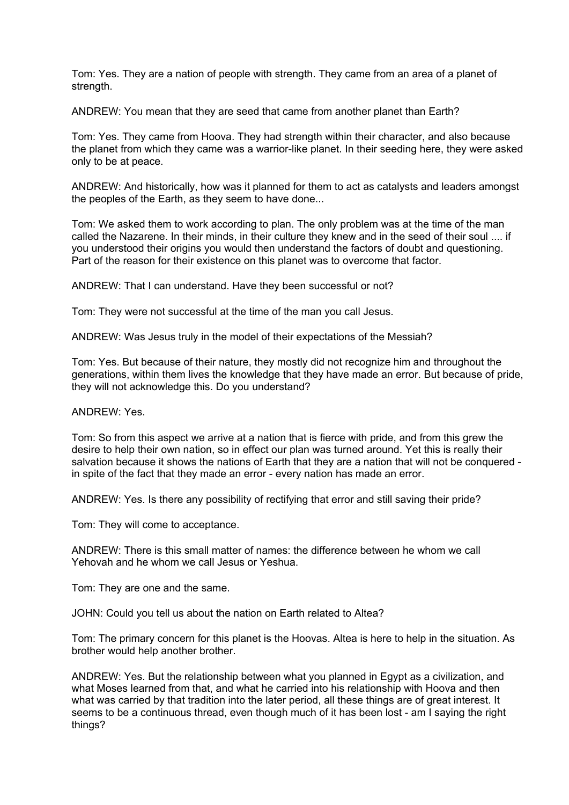Tom: Yes. They are a nation of people with strength. They came from an area of a planet of strength.

ANDREW: You mean that they are seed that came from another planet than Earth?

Tom: Yes. They came from Hoova. They had strength within their character, and also because the planet from which they came was a warrior-like planet. In their seeding here, they were asked only to be at peace.

ANDREW: And historically, how was it planned for them to act as catalysts and leaders amongst the peoples of the Earth, as they seem to have done...

Tom: We asked them to work according to plan. The only problem was at the time of the man called the Nazarene. In their minds, in their culture they knew and in the seed of their soul .... if you understood their origins you would then understand the factors of doubt and questioning. Part of the reason for their existence on this planet was to overcome that factor.

ANDREW: That I can understand. Have they been successful or not?

Tom: They were not successful at the time of the man you call Jesus.

ANDREW: Was Jesus truly in the model of their expectations of the Messiah?

Tom: Yes. But because of their nature, they mostly did not recognize him and throughout the generations, within them lives the knowledge that they have made an error. But because of pride, they will not acknowledge this. Do you understand?

#### ANDREW: Yes.

Tom: So from this aspect we arrive at a nation that is fierce with pride, and from this grew the desire to help their own nation, so in effect our plan was turned around. Yet this is really their salvation because it shows the nations of Earth that they are a nation that will not be conquered in spite of the fact that they made an error - every nation has made an error.

ANDREW: Yes. Is there any possibility of rectifying that error and still saving their pride?

Tom: They will come to acceptance.

ANDREW: There is this small matter of names: the difference between he whom we call Yehovah and he whom we call Jesus or Yeshua.

Tom: They are one and the same.

JOHN: Could you tell us about the nation on Earth related to Altea?

Tom: The primary concern for this planet is the Hoovas. Altea is here to help in the situation. As brother would help another brother.

ANDREW: Yes. But the relationship between what you planned in Egypt as a civilization, and what Moses learned from that, and what he carried into his relationship with Hoova and then what was carried by that tradition into the later period, all these things are of great interest. It seems to be a continuous thread, even though much of it has been lost - am I saying the right things?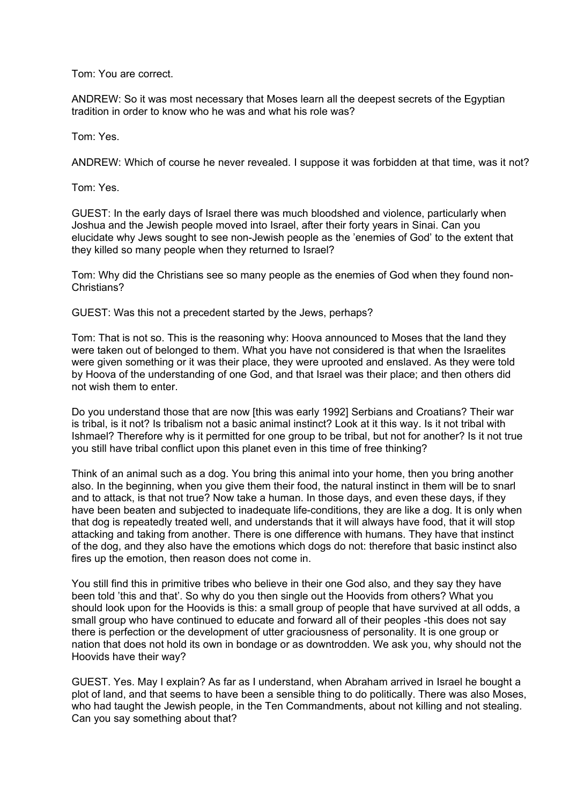Tom: You are correct.

ANDREW: So it was most necessary that Moses learn all the deepest secrets of the Egyptian tradition in order to know who he was and what his role was?

Tom: Yes.

ANDREW: Which of course he never revealed. I suppose it was forbidden at that time, was it not?

Tom: Yes.

GUEST: In the early days of Israel there was much bloodshed and violence, particularly when Joshua and the Jewish people moved into Israel, after their forty years in Sinai. Can you elucidate why Jews sought to see non-Jewish people as the 'enemies of God' to the extent that they killed so many people when they returned to Israel?

Tom: Why did the Christians see so many people as the enemies of God when they found non-Christians?

GUEST: Was this not a precedent started by the Jews, perhaps?

Tom: That is not so. This is the reasoning why: Hoova announced to Moses that the land they were taken out of belonged to them. What you have not considered is that when the Israelites were given something or it was their place, they were uprooted and enslaved. As they were told by Hoova of the understanding of one God, and that Israel was their place; and then others did not wish them to enter.

Do you understand those that are now [this was early 1992] Serbians and Croatians? Their war is tribal, is it not? Is tribalism not a basic animal instinct? Look at it this way. Is it not tribal with Ishmael? Therefore why is it permitted for one group to be tribal, but not for another? Is it not true you still have tribal conflict upon this planet even in this time of free thinking?

Think of an animal such as a dog. You bring this animal into your home, then you bring another also. In the beginning, when you give them their food, the natural instinct in them will be to snarl and to attack, is that not true? Now take a human. In those days, and even these days, if they have been beaten and subjected to inadequate life-conditions, they are like a dog. It is only when that dog is repeatedly treated well, and understands that it will always have food, that it will stop attacking and taking from another. There is one difference with humans. They have that instinct of the dog, and they also have the emotions which dogs do not: therefore that basic instinct also fires up the emotion, then reason does not come in.

You still find this in primitive tribes who believe in their one God also, and they say they have been told 'this and that'. So why do you then single out the Hoovids from others? What you should look upon for the Hoovids is this: a small group of people that have survived at all odds, a small group who have continued to educate and forward all of their peoples -this does not say there is perfection or the development of utter graciousness of personality. It is one group or nation that does not hold its own in bondage or as downtrodden. We ask you, why should not the Hoovids have their way?

GUEST. Yes. May I explain? As far as I understand, when Abraham arrived in Israel he bought a plot of land, and that seems to have been a sensible thing to do politically. There was also Moses, who had taught the Jewish people, in the Ten Commandments, about not killing and not stealing. Can you say something about that?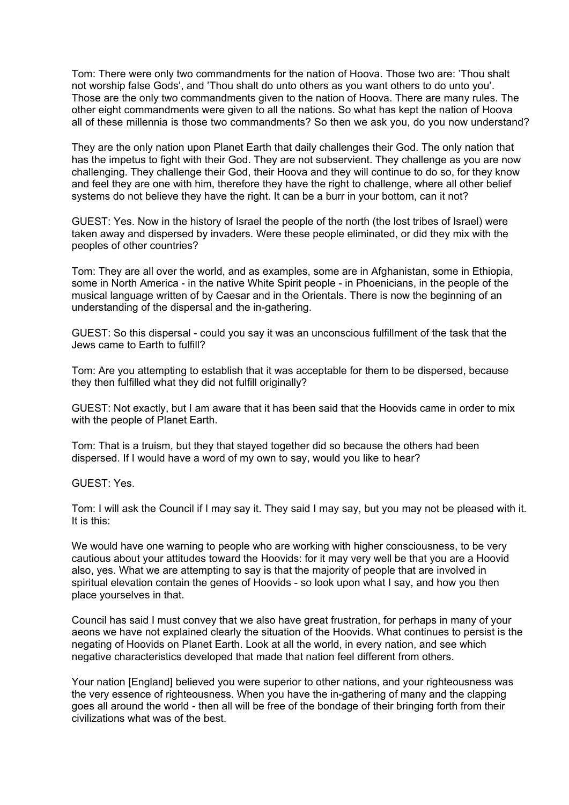Tom: There were only two commandments for the nation of Hoova. Those two are: 'Thou shalt not worship false Gods', and 'Thou shalt do unto others as you want others to do unto you'. Those are the only two commandments given to the nation of Hoova. There are many rules. The other eight commandments were given to all the nations. So what has kept the nation of Hoova all of these millennia is those two commandments? So then we ask you, do you now understand?

They are the only nation upon Planet Earth that daily challenges their God. The only nation that has the impetus to fight with their God. They are not subservient. They challenge as you are now challenging. They challenge their God, their Hoova and they will continue to do so, for they know and feel they are one with him, therefore they have the right to challenge, where all other belief systems do not believe they have the right. It can be a burr in your bottom, can it not?

GUEST: Yes. Now in the history of Israel the people of the north (the lost tribes of Israel) were taken away and dispersed by invaders. Were these people eliminated, or did they mix with the peoples of other countries?

Tom: They are all over the world, and as examples, some are in Afghanistan, some in Ethiopia, some in North America - in the native White Spirit people - in Phoenicians, in the people of the musical language written of by Caesar and in the Orientals. There is now the beginning of an understanding of the dispersal and the in-gathering.

GUEST: So this dispersal - could you say it was an unconscious fulfillment of the task that the Jews came to Earth to fulfill?

Tom: Are you attempting to establish that it was acceptable for them to be dispersed, because they then fulfilled what they did not fulfill originally?

GUEST: Not exactly, but I am aware that it has been said that the Hoovids came in order to mix with the people of Planet Earth.

Tom: That is a truism, but they that stayed together did so because the others had been dispersed. If I would have a word of my own to say, would you like to hear?

GUEST: Yes.

Tom: I will ask the Council if I may say it. They said I may say, but you may not be pleased with it. It is this:

We would have one warning to people who are working with higher consciousness, to be very cautious about your attitudes toward the Hoovids: for it may very well be that you are a Hoovid also, yes. What we are attempting to say is that the majority of people that are involved in spiritual elevation contain the genes of Hoovids - so look upon what I say, and how you then place yourselves in that.

Council has said I must convey that we also have great frustration, for perhaps in many of your aeons we have not explained clearly the situation of the Hoovids. What continues to persist is the negating of Hoovids on Planet Earth. Look at all the world, in every nation, and see which negative characteristics developed that made that nation feel different from others.

Your nation [England] believed you were superior to other nations, and your righteousness was the very essence of righteousness. When you have the in-gathering of many and the clapping goes all around the world - then all will be free of the bondage of their bringing forth from their civilizations what was of the best.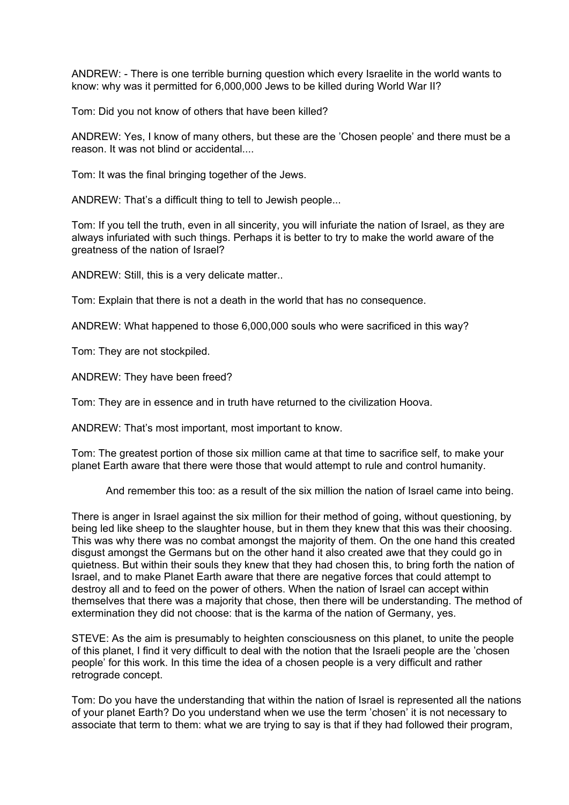ANDREW: - There is one terrible burning question which every Israelite in the world wants to know: why was it permitted for 6,000,000 Jews to be killed during World War II?

Tom: Did you not know of others that have been killed?

ANDREW: Yes, I know of many others, but these are the 'Chosen people' and there must be a reason. It was not blind or accidental....

Tom: It was the final bringing together of the Jews.

ANDREW: That's a difficult thing to tell to Jewish people...

Tom: If you tell the truth, even in all sincerity, you will infuriate the nation of Israel, as they are always infuriated with such things. Perhaps it is better to try to make the world aware of the greatness of the nation of Israel?

ANDREW: Still, this is a very delicate matter..

Tom: Explain that there is not a death in the world that has no consequence.

ANDREW: What happened to those 6,000,000 souls who were sacrificed in this way?

Tom: They are not stockpiled.

ANDREW: They have been freed?

Tom: They are in essence and in truth have returned to the civilization Hoova.

ANDREW: That's most important, most important to know.

Tom: The greatest portion of those six million came at that time to sacrifice self, to make your planet Earth aware that there were those that would attempt to rule and control humanity.

And remember this too: as a result of the six million the nation of Israel came into being.

There is anger in Israel against the six million for their method of going, without questioning, by being led like sheep to the slaughter house, but in them they knew that this was their choosing. This was why there was no combat amongst the majority of them. On the one hand this created disgust amongst the Germans but on the other hand it also created awe that they could go in quietness. But within their souls they knew that they had chosen this, to bring forth the nation of Israel, and to make Planet Earth aware that there are negative forces that could attempt to destroy all and to feed on the power of others. When the nation of Israel can accept within themselves that there was a majority that chose, then there will be understanding. The method of extermination they did not choose: that is the karma of the nation of Germany, yes.

STEVE: As the aim is presumably to heighten consciousness on this planet, to unite the people of this planet, I find it very difficult to deal with the notion that the Israeli people are the 'chosen people' for this work. In this time the idea of a chosen people is a very difficult and rather retrograde concept.

Tom: Do you have the understanding that within the nation of Israel is represented all the nations of your planet Earth? Do you understand when we use the term 'chosen' it is not necessary to associate that term to them: what we are trying to say is that if they had followed their program,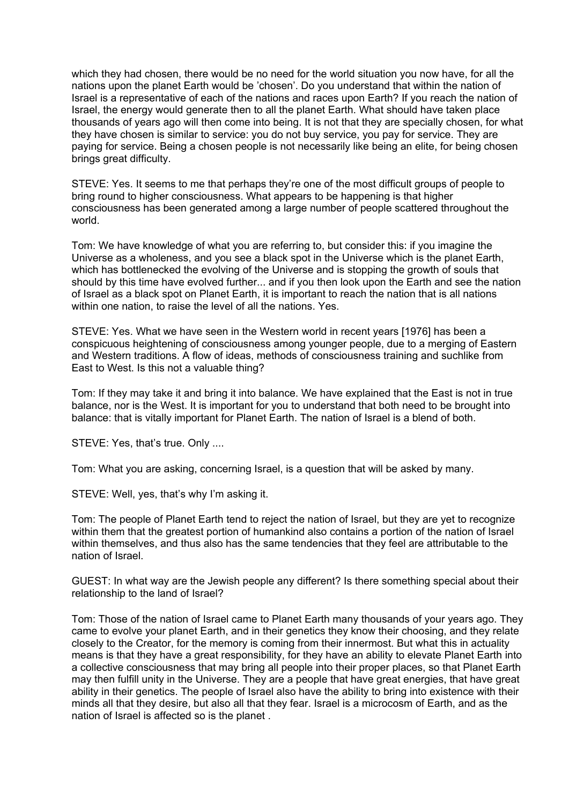which they had chosen, there would be no need for the world situation you now have, for all the nations upon the planet Earth would be 'chosen'. Do you understand that within the nation of Israel is a representative of each of the nations and races upon Earth? If you reach the nation of Israel, the energy would generate then to all the planet Earth. What should have taken place thousands of years ago will then come into being. It is not that they are specially chosen, for what they have chosen is similar to service: you do not buy service, you pay for service. They are paying for service. Being a chosen people is not necessarily like being an elite, for being chosen brings great difficulty.

STEVE: Yes. It seems to me that perhaps they're one of the most difficult groups of people to bring round to higher consciousness. What appears to be happening is that higher consciousness has been generated among a large number of people scattered throughout the world.

Tom: We have knowledge of what you are referring to, but consider this: if you imagine the Universe as a wholeness, and you see a black spot in the Universe which is the planet Earth, which has bottlenecked the evolving of the Universe and is stopping the growth of souls that should by this time have evolved further... and if you then look upon the Earth and see the nation of Israel as a black spot on Planet Earth, it is important to reach the nation that is all nations within one nation, to raise the level of all the nations. Yes.

STEVE: Yes. What we have seen in the Western world in recent years [1976] has been a conspicuous heightening of consciousness among younger people, due to a merging of Eastern and Western traditions. A flow of ideas, methods of consciousness training and suchlike from East to West. Is this not a valuable thing?

Tom: If they may take it and bring it into balance. We have explained that the East is not in true balance, nor is the West. It is important for you to understand that both need to be brought into balance: that is vitally important for Planet Earth. The nation of Israel is a blend of both.

STEVE: Yes, that's true. Only ....

Tom: What you are asking, concerning Israel, is a question that will be asked by many.

STEVE: Well, yes, that's why I'm asking it.

Tom: The people of Planet Earth tend to reject the nation of Israel, but they are yet to recognize within them that the greatest portion of humankind also contains a portion of the nation of Israel within themselves, and thus also has the same tendencies that they feel are attributable to the nation of Israel.

GUEST: In what way are the Jewish people any different? Is there something special about their relationship to the land of Israel?

Tom: Those of the nation of Israel came to Planet Earth many thousands of your years ago. They came to evolve your planet Earth, and in their genetics they know their choosing, and they relate closely to the Creator, for the memory is coming from their innermost. But what this in actuality means is that they have a great responsibility, for they have an ability to elevate Planet Earth into a collective consciousness that may bring all people into their proper places, so that Planet Earth may then fulfill unity in the Universe. They are a people that have great energies, that have great ability in their genetics. The people of Israel also have the ability to bring into existence with their minds all that they desire, but also all that they fear. Israel is a microcosm of Earth, and as the nation of Israel is affected so is the planet .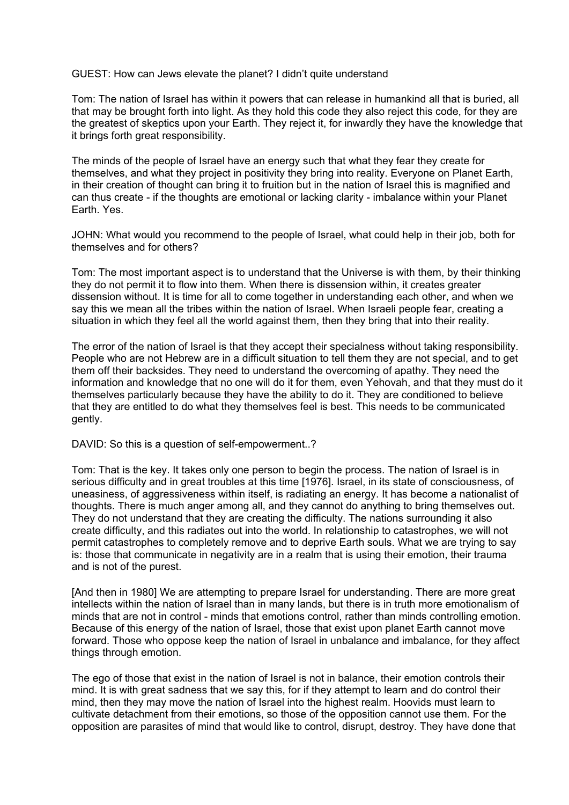GUEST: How can Jews elevate the planet? I didn't quite understand

Tom: The nation of Israel has within it powers that can release in humankind all that is buried, all that may be brought forth into light. As they hold this code they also reject this code, for they are the greatest of skeptics upon your Earth. They reject it, for inwardly they have the knowledge that it brings forth great responsibility.

The minds of the people of Israel have an energy such that what they fear they create for themselves, and what they project in positivity they bring into reality. Everyone on Planet Earth, in their creation of thought can bring it to fruition but in the nation of Israel this is magnified and can thus create - if the thoughts are emotional or lacking clarity - imbalance within your Planet Earth. Yes.

JOHN: What would you recommend to the people of Israel, what could help in their job, both for themselves and for others?

Tom: The most important aspect is to understand that the Universe is with them, by their thinking they do not permit it to flow into them. When there is dissension within, it creates greater dissension without. It is time for all to come together in understanding each other, and when we say this we mean all the tribes within the nation of Israel. When Israeli people fear, creating a situation in which they feel all the world against them, then they bring that into their reality.

The error of the nation of Israel is that they accept their specialness without taking responsibility. People who are not Hebrew are in a difficult situation to tell them they are not special, and to get them off their backsides. They need to understand the overcoming of apathy. They need the information and knowledge that no one will do it for them, even Yehovah, and that they must do it themselves particularly because they have the ability to do it. They are conditioned to believe that they are entitled to do what they themselves feel is best. This needs to be communicated gently.

DAVID: So this is a question of self-empowerment..?

Tom: That is the key. It takes only one person to begin the process. The nation of Israel is in serious difficulty and in great troubles at this time [1976]. Israel, in its state of consciousness, of uneasiness, of aggressiveness within itself, is radiating an energy. It has become a nationalist of thoughts. There is much anger among all, and they cannot do anything to bring themselves out. They do not understand that they are creating the difficulty. The nations surrounding it also create difficulty, and this radiates out into the world. In relationship to catastrophes, we will not permit catastrophes to completely remove and to deprive Earth souls. What we are trying to say is: those that communicate in negativity are in a realm that is using their emotion, their trauma and is not of the purest.

[And then in 1980] We are attempting to prepare Israel for understanding. There are more great intellects within the nation of Israel than in many lands, but there is in truth more emotionalism of minds that are not in control - minds that emotions control, rather than minds controlling emotion. Because of this energy of the nation of Israel, those that exist upon planet Earth cannot move forward. Those who oppose keep the nation of Israel in unbalance and imbalance, for they affect things through emotion.

The ego of those that exist in the nation of Israel is not in balance, their emotion controls their mind. It is with great sadness that we say this, for if they attempt to learn and do control their mind, then they may move the nation of Israel into the highest realm. Hoovids must learn to cultivate detachment from their emotions, so those of the opposition cannot use them. For the opposition are parasites of mind that would like to control, disrupt, destroy. They have done that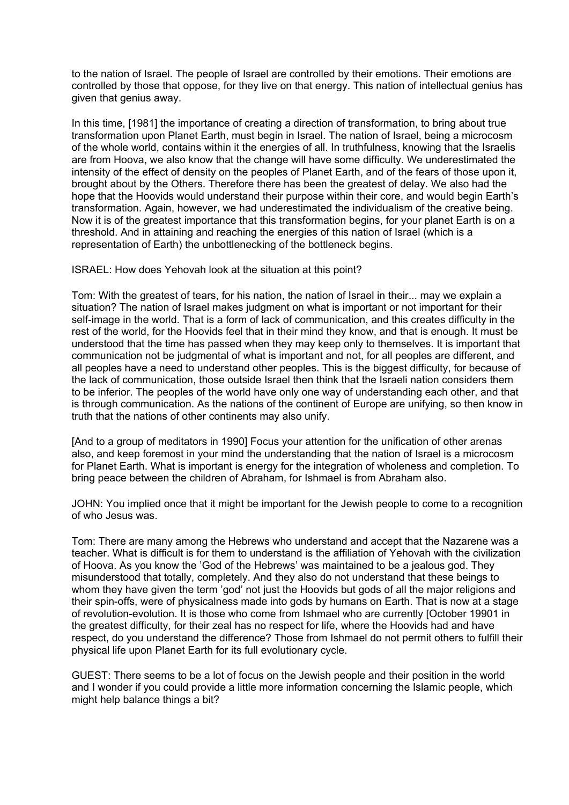to the nation of Israel. The people of Israel are controlled by their emotions. Their emotions are controlled by those that oppose, for they live on that energy. This nation of intellectual genius has given that genius away.

In this time, [1981] the importance of creating a direction of transformation, to bring about true transformation upon Planet Earth, must begin in Israel. The nation of Israel, being a microcosm of the whole world, contains within it the energies of all. In truthfulness, knowing that the Israelis are from Hoova, we also know that the change will have some difficulty. We underestimated the intensity of the effect of density on the peoples of Planet Earth, and of the fears of those upon it, brought about by the Others. Therefore there has been the greatest of delay. We also had the hope that the Hoovids would understand their purpose within their core, and would begin Earth's transformation. Again, however, we had underestimated the individualism of the creative being. Now it is of the greatest importance that this transformation begins, for your planet Earth is on a threshold. And in attaining and reaching the energies of this nation of Israel (which is a representation of Earth) the unbottlenecking of the bottleneck begins.

ISRAEL: How does Yehovah look at the situation at this point?

Tom: With the greatest of tears, for his nation, the nation of Israel in their... may we explain a situation? The nation of Israel makes judgment on what is important or not important for their self-image in the world. That is a form of lack of communication, and this creates difficulty in the rest of the world, for the Hoovids feel that in their mind they know, and that is enough. It must be understood that the time has passed when they may keep only to themselves. It is important that communication not be judgmental of what is important and not, for all peoples are different, and all peoples have a need to understand other peoples. This is the biggest difficulty, for because of the lack of communication, those outside Israel then think that the Israeli nation considers them to be inferior. The peoples of the world have only one way of understanding each other, and that is through communication. As the nations of the continent of Europe are unifying, so then know in truth that the nations of other continents may also unify.

[And to a group of meditators in 1990] Focus your attention for the unification of other arenas also, and keep foremost in your mind the understanding that the nation of Israel is a microcosm for Planet Earth. What is important is energy for the integration of wholeness and completion. To bring peace between the children of Abraham, for Ishmael is from Abraham also.

JOHN: You implied once that it might be important for the Jewish people to come to a recognition of who Jesus was.

Tom: There are many among the Hebrews who understand and accept that the Nazarene was a teacher. What is difficult is for them to understand is the affiliation of Yehovah with the civilization of Hoova. As you know the 'God of the Hebrews' was maintained to be a jealous god. They misunderstood that totally, completely. And they also do not understand that these beings to whom they have given the term 'god' not just the Hoovids but gods of all the major religions and their spin-offs, were of physicalness made into gods by humans on Earth. That is now at a stage of revolution-evolution. It is those who come from Ishmael who are currently [October 19901 in the greatest difficulty, for their zeal has no respect for life, where the Hoovids had and have respect, do you understand the difference? Those from Ishmael do not permit others to fulfill their physical life upon Planet Earth for its full evolutionary cycle.

GUEST: There seems to be a lot of focus on the Jewish people and their position in the world and I wonder if you could provide a little more information concerning the Islamic people, which might help balance things a bit?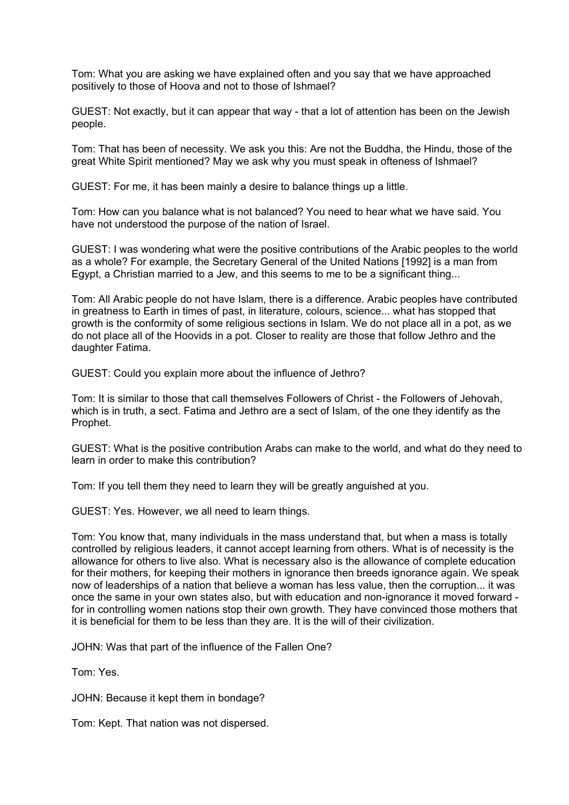Tom: What you are asking we have explained often and you say that we have approached positively to those of Hoova and not to those of Ishmael?

GUEST: Not exactly, but it can appear that way - that a lot of attention has been on the Jewish people.

Tom: That has been of necessity. We ask you this: Are not the Buddha, the Hindu, those of the great White Spirit mentioned? May we ask why you must speak in ofteness of Ishmael?

GUEST: For me, it has been mainly a desire to balance things up a little.

Tom: How can you balance what is not balanced? You need to hear what we have said. You have not understood the purpose of the nation of Israel.

GUEST: I was wondering what were the positive contributions of the Arabic peoples to the world as a whole? For example, the Secretary General of the United Nations [1992] is a man from Egypt, a Christian married to a Jew, and this seems to me to be a significant thing...

Tom: All Arabic people do not have Islam, there is a difference. Arabic peoples have contributed in greatness to Earth in times of past, in literature, colours, science... what has stopped that growth is the conformity of some religious sections in Islam. We do not place all in a pot, as we do not place all of the Hoovids in a pot. Closer to reality are those that follow Jethro and the daughter Fatima.

GUEST: Could you explain more about the influence of Jethro?

Tom: It is similar to those that call themselves Followers of Christ - the Followers of Jehovah, which is in truth, a sect. Fatima and Jethro are a sect of Islam, of the one they identify as the Prophet.

GUEST: What is the positive contribution Arabs can make to the world, and what do they need to learn in order to make this contribution?

Tom: If you tell them they need to learn they will be greatly anguished at you.

GUEST: Yes. However, we all need to learn things.

Tom: You know that, many individuals in the mass understand that, but when a mass is totally controlled by religious leaders, it cannot accept learning from others. What is of necessity is the allowance for others to live also. What is necessary also is the allowance of complete education for their mothers, for keeping their mothers in ignorance then breeds ignorance again. We speak now of leaderships of a nation that believe a woman has less value, then the corruption... it was once the same in your own states also, but with education and non-ignorance it moved forward for in controlling women nations stop their own growth. They have convinced those mothers that it is beneficial for them to be less than they are. It is the will of their civilization.

JOHN: Was that part of the influence of the Fallen One?

Tom: Yes.

JOHN: Because it kept them in bondage?

Tom: Kept. That nation was not dispersed.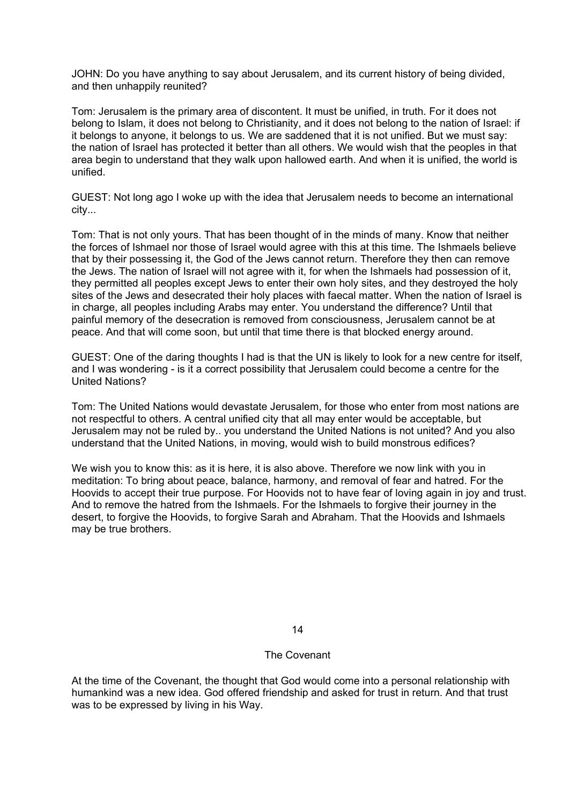JOHN: Do you have anything to say about Jerusalem, and its current history of being divided, and then unhappily reunited?

Tom: Jerusalem is the primary area of discontent. It must be unified, in truth. For it does not belong to Islam, it does not belong to Christianity, and it does not belong to the nation of Israel: if it belongs to anyone, it belongs to us. We are saddened that it is not unified. But we must say: the nation of Israel has protected it better than all others. We would wish that the peoples in that area begin to understand that they walk upon hallowed earth. And when it is unified, the world is unified.

GUEST: Not long ago I woke up with the idea that Jerusalem needs to become an international city...

Tom: That is not only yours. That has been thought of in the minds of many. Know that neither the forces of Ishmael nor those of Israel would agree with this at this time. The Ishmaels believe that by their possessing it, the God of the Jews cannot return. Therefore they then can remove the Jews. The nation of Israel will not agree with it, for when the Ishmaels had possession of it, they permitted all peoples except Jews to enter their own holy sites, and they destroyed the holy sites of the Jews and desecrated their holy places with faecal matter. When the nation of Israel is in charge, all peoples including Arabs may enter. You understand the difference? Until that painful memory of the desecration is removed from consciousness, Jerusalem cannot be at peace. And that will come soon, but until that time there is that blocked energy around.

GUEST: One of the daring thoughts I had is that the UN is likely to look for a new centre for itself, and I was wondering - is it a correct possibility that Jerusalem could become a centre for the United Nations?

Tom: The United Nations would devastate Jerusalem, for those who enter from most nations are not respectful to others. A central unified city that all may enter would be acceptable, but Jerusalem may not be ruled by.. you understand the United Nations is not united? And you also understand that the United Nations, in moving, would wish to build monstrous edifices?

We wish you to know this: as it is here, it is also above. Therefore we now link with you in meditation: To bring about peace, balance, harmony, and removal of fear and hatred. For the Hoovids to accept their true purpose. For Hoovids not to have fear of loving again in joy and trust. And to remove the hatred from the Ishmaels. For the Ishmaels to forgive their journey in the desert, to forgive the Hoovids, to forgive Sarah and Abraham. That the Hoovids and Ishmaels may be true brothers.

14

#### The Covenant

At the time of the Covenant, the thought that God would come into a personal relationship with humankind was a new idea. God offered friendship and asked for trust in return. And that trust was to be expressed by living in his Way.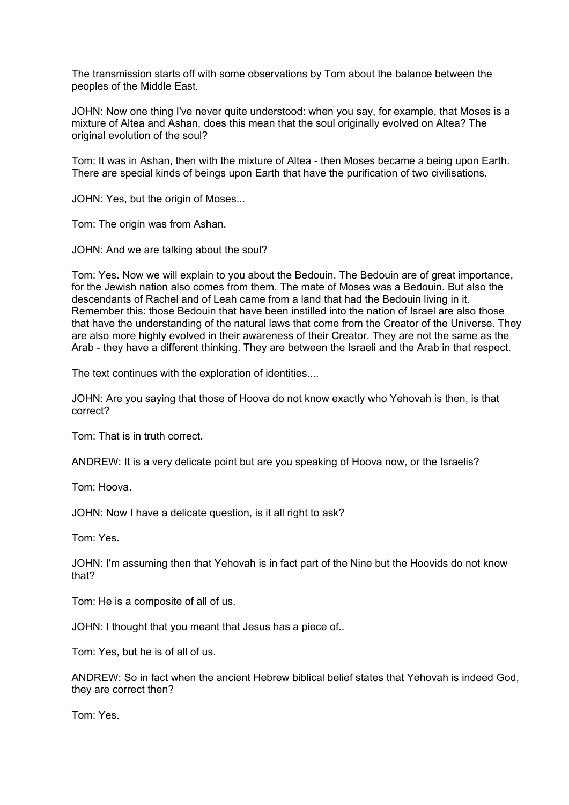The transmission starts off with some observations by Tom about the balance between the peoples of the Middle East.

JOHN: Now one thing I've never quite understood: when you say, for example, that Moses is a mixture of Altea and Ashan, does this mean that the soul originally evolved on Altea? The original evolution of the soul?

Tom: It was in Ashan, then with the mixture of Altea - then Moses became a being upon Earth. There are special kinds of beings upon Earth that have the purification of two civilisations.

JOHN: Yes, but the origin of Moses...

Tom: The origin was from Ashan.

JOHN: And we are talking about the soul?

Tom: Yes. Now we will explain to you about the Bedouin. The Bedouin are of great importance, for the Jewish nation also comes from them. The mate of Moses was a Bedouin. But also the descendants of Rachel and of Leah came from a land that had the Bedouin living in it. Remember this: those Bedouin that have been instilled into the nation of Israel are also those that have the understanding of the natural laws that come from the Creator of the Universe. They are also more highly evolved in their awareness of their Creator. They are not the same as the Arab - they have a different thinking. They are between the Israeli and the Arab in that respect.

The text continues with the exploration of identities....

JOHN: Are you saying that those of Hoova do not know exactly who Yehovah is then, is that correct?

Tom: That is in truth correct.

ANDREW: It is a very delicate point but are you speaking of Hoova now, or the Israelis?

Tom: Hoova.

JOHN: Now I have a delicate question, is it all right to ask?

Tom: Yes.

JOHN: I'm assuming then that Yehovah is in fact part of the Nine but the Hoovids do not know that?

Tom: He is a composite of all of us.

JOHN: I thought that you meant that Jesus has a piece of..

Tom: Yes, but he is of all of us.

| ANDREW: So in fact when the ancient Hebrew biblical belief states that Yehovah is indeed God, |  |  |
|-----------------------------------------------------------------------------------------------|--|--|
| they are correct then?                                                                        |  |  |

Tom: Yes.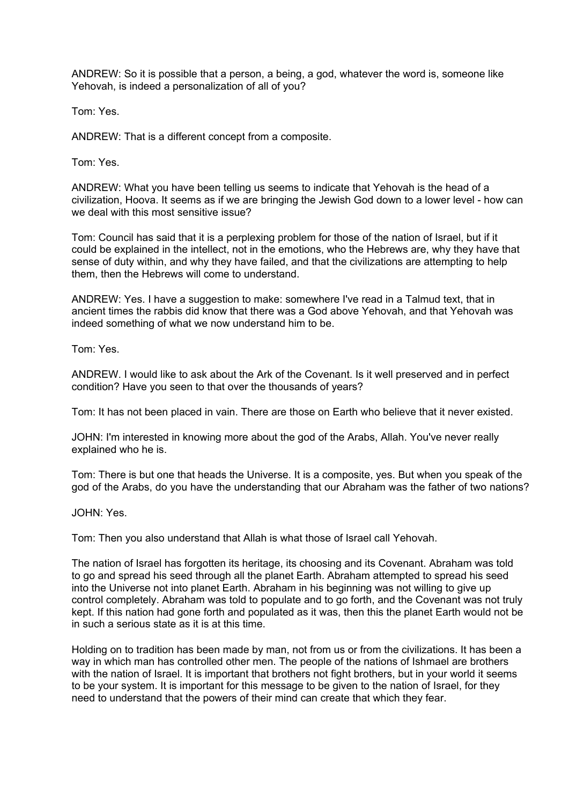ANDREW: So it is possible that a person, a being, a god, whatever the word is, someone like Yehovah, is indeed a personalization of all of you?

Tom: Yes.

ANDREW: That is a different concept from a composite.

Tom: Yes.

ANDREW: What you have been telling us seems to indicate that Yehovah is the head of a civilization, Hoova. It seems as if we are bringing the Jewish God down to a lower level - how can we deal with this most sensitive issue?

Tom: Council has said that it is a perplexing problem for those of the nation of Israel, but if it could be explained in the intellect, not in the emotions, who the Hebrews are, why they have that sense of duty within, and why they have failed, and that the civilizations are attempting to help them, then the Hebrews will come to understand.

ANDREW: Yes. I have a suggestion to make: somewhere I've read in a Talmud text, that in ancient times the rabbis did know that there was a God above Yehovah, and that Yehovah was indeed something of what we now understand him to be.

Tom: Yes.

ANDREW. I would like to ask about the Ark of the Covenant. Is it well preserved and in perfect condition? Have you seen to that over the thousands of years?

Tom: It has not been placed in vain. There are those on Earth who believe that it never existed.

JOHN: I'm interested in knowing more about the god of the Arabs, Allah. You've never really explained who he is.

Tom: There is but one that heads the Universe. It is a composite, yes. But when you speak of the god of the Arabs, do you have the understanding that our Abraham was the father of two nations?

JOHN: Yes.

Tom: Then you also understand that Allah is what those of Israel call Yehovah.

The nation of Israel has forgotten its heritage, its choosing and its Covenant. Abraham was told to go and spread his seed through all the planet Earth. Abraham attempted to spread his seed into the Universe not into planet Earth. Abraham in his beginning was not willing to give up control completely. Abraham was told to populate and to go forth, and the Covenant was not truly kept. If this nation had gone forth and populated as it was, then this the planet Earth would not be in such a serious state as it is at this time.

Holding on to tradition has been made by man, not from us or from the civilizations. It has been a way in which man has controlled other men. The people of the nations of Ishmael are brothers with the nation of Israel. It is important that brothers not fight brothers, but in your world it seems to be your system. It is important for this message to be given to the nation of Israel, for they need to understand that the powers of their mind can create that which they fear.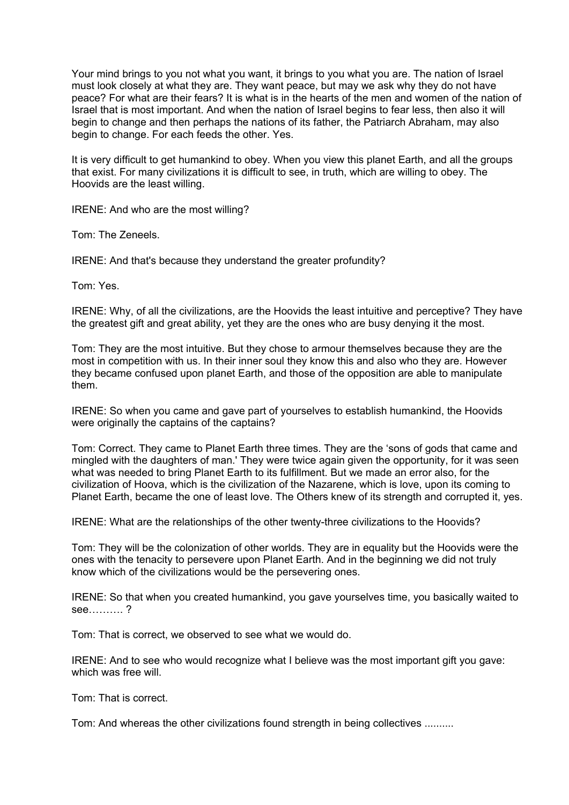Your mind brings to you not what you want, it brings to you what you are. The nation of Israel must look closely at what they are. They want peace, but may we ask why they do not have peace? For what are their fears? It is what is in the hearts of the men and women of the nation of Israel that is most important. And when the nation of Israel begins to fear less, then also it will begin to change and then perhaps the nations of its father, the Patriarch Abraham, may also begin to change. For each feeds the other. Yes.

It is very difficult to get humankind to obey. When you view this planet Earth, and all the groups that exist. For many civilizations it is difficult to see, in truth, which are willing to obey. The Hoovids are the least willing.

IRENE: And who are the most willing?

Tom: The Zeneels.

IRENE: And that's because they understand the greater profundity?

Tom: Yes.

IRENE: Why, of all the civilizations, are the Hoovids the least intuitive and perceptive? They have the greatest gift and great ability, yet they are the ones who are busy denying it the most.

Tom: They are the most intuitive. But they chose to armour themselves because they are the most in competition with us. In their inner soul they know this and also who they are. However they became confused upon planet Earth, and those of the opposition are able to manipulate them.

IRENE: So when you came and gave part of yourselves to establish humankind, the Hoovids were originally the captains of the captains?

Tom: Correct. They came to Planet Earth three times. They are the 'sons of gods that came and mingled with the daughters of man.' They were twice again given the opportunity, for it was seen what was needed to bring Planet Earth to its fulfillment. But we made an error also, for the civilization of Hoova, which is the civilization of the Nazarene, which is love, upon its coming to Planet Earth, became the one of least love. The Others knew of its strength and corrupted it, yes.

IRENE: What are the relationships of the other twenty-three civilizations to the Hoovids?

Tom: They will be the colonization of other worlds. They are in equality but the Hoovids were the ones with the tenacity to persevere upon Planet Earth. And in the beginning we did not truly know which of the civilizations would be the persevering ones.

IRENE: So that when you created humankind, you gave yourselves time, you basically waited to see………. ?

Tom: That is correct, we observed to see what we would do.

IRENE: And to see who would recognize what I believe was the most important gift you gave: which was free will.

Tom: That is correct.

Tom: And whereas the other civilizations found strength in being collectives ..........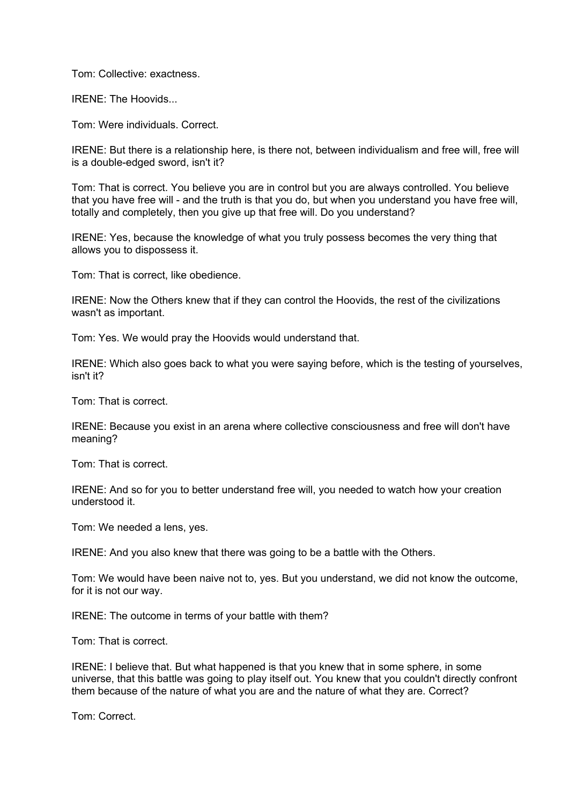Tom: Collective: exactness.

IRENE: The Hoovids...

Tom: Were individuals. Correct.

IRENE: But there is a relationship here, is there not, between individualism and free will, free will is a double-edged sword, isn't it?

Tom: That is correct. You believe you are in control but you are always controlled. You believe that you have free will - and the truth is that you do, but when you understand you have free will, totally and completely, then you give up that free will. Do you understand?

IRENE: Yes, because the knowledge of what you truly possess becomes the very thing that allows you to dispossess it.

Tom: That is correct, like obedience.

IRENE: Now the Others knew that if they can control the Hoovids, the rest of the civilizations wasn't as important.

Tom: Yes. We would pray the Hoovids would understand that.

IRENE: Which also goes back to what you were saying before, which is the testing of yourselves, isn't it?

Tom: That is correct.

IRENE: Because you exist in an arena where collective consciousness and free will don't have meaning?

Tom: That is correct.

IRENE: And so for you to better understand free will, you needed to watch how your creation understood it.

Tom: We needed a lens, yes.

IRENE: And you also knew that there was going to be a battle with the Others.

Tom: We would have been naive not to, yes. But you understand, we did not know the outcome, for it is not our way.

IRENE: The outcome in terms of your battle with them?

Tom: That is correct.

IRENE: I believe that. But what happened is that you knew that in some sphere, in some universe, that this battle was going to play itself out. You knew that you couldn't directly confront them because of the nature of what you are and the nature of what they are. Correct?

Tom: Correct.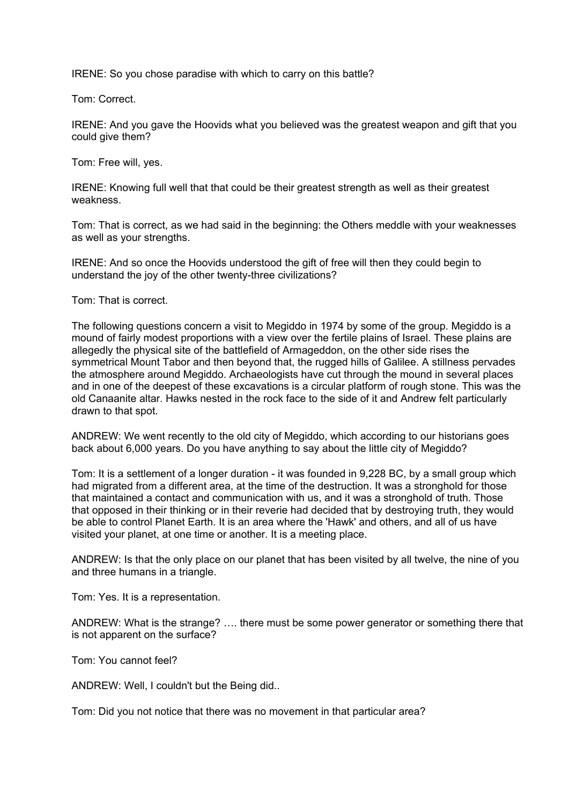IRENE: So you chose paradise with which to carry on this battle?

Tom: Correct.

IRENE: And you gave the Hoovids what you believed was the greatest weapon and gift that you could give them?

Tom: Free will, yes.

IRENE: Knowing full well that that could be their greatest strength as well as their greatest weakness.

Tom: That is correct, as we had said in the beginning: the Others meddle with your weaknesses as well as your strengths.

IRENE: And so once the Hoovids understood the gift of free will then they could begin to understand the joy of the other twenty-three civilizations?

Tom: That is correct.

The following questions concern a visit to Megiddo in 1974 by some of the group. Megiddo is a mound of fairly modest proportions with a view over the fertile plains of Israel. These plains are allegedly the physical site of the battlefield of Armageddon, on the other side rises the symmetrical Mount Tabor and then beyond that, the rugged hills of Galilee. A stillness pervades the atmosphere around Megiddo. Archaeologists have cut through the mound in several places and in one of the deepest of these excavations is a circular platform of rough stone. This was the old Canaanite altar. Hawks nested in the rock face to the side of it and Andrew felt particularly drawn to that spot.

ANDREW: We went recently to the old city of Megiddo, which according to our historians goes back about 6,000 years. Do you have anything to say about the little city of Megiddo?

Tom: It is a settlement of a longer duration - it was founded in 9,228 BC, by a small group which had migrated from a different area, at the time of the destruction. It was a stronghold for those that maintained a contact and communication with us, and it was a stronghold of truth. Those that opposed in their thinking or in their reverie had decided that by destroying truth, they would be able to control Planet Earth. It is an area where the 'Hawk' and others, and all of us have visited your planet, at one time or another. It is a meeting place.

ANDREW: Is that the only place on our planet that has been visited by all twelve, the nine of you and three humans in a triangle.

Tom: Yes. It is a representation.

ANDREW: What is the strange? …. there must be some power generator or something there that is not apparent on the surface?

Tom: You cannot feel?

ANDREW: Well, I couldn't but the Being did..

Tom: Did you not notice that there was no movement in that particular area?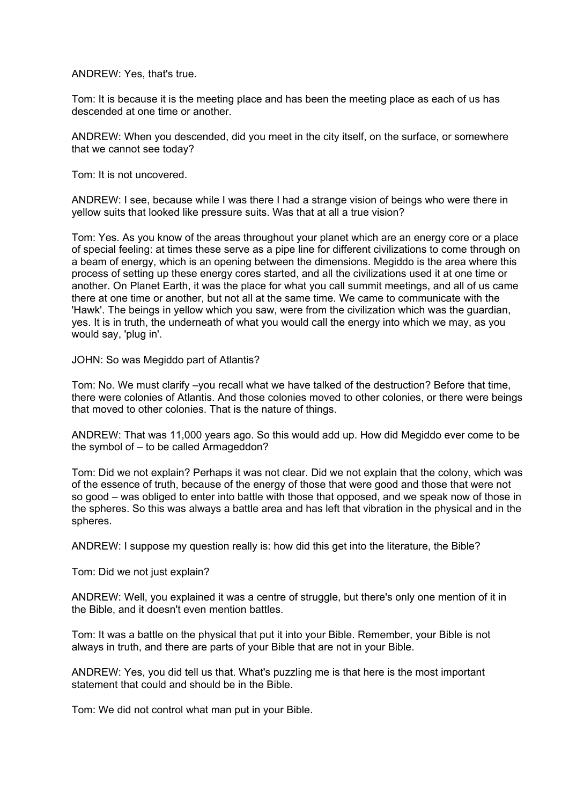ANDREW: Yes, that's true.

Tom: It is because it is the meeting place and has been the meeting place as each of us has descended at one time or another.

ANDREW: When you descended, did you meet in the city itself, on the surface, or somewhere that we cannot see today?

Tom: It is not uncovered.

ANDREW: I see, because while I was there I had a strange vision of beings who were there in yellow suits that looked like pressure suits. Was that at all a true vision?

Tom: Yes. As you know of the areas throughout your planet which are an energy core or a place of special feeling: at times these serve as a pipe line for different civilizations to come through on a beam of energy, which is an opening between the dimensions. Megiddo is the area where this process of setting up these energy cores started, and all the civilizations used it at one time or another. On Planet Earth, it was the place for what you call summit meetings, and all of us came there at one time or another, but not all at the same time. We came to communicate with the 'Hawk'. The beings in yellow which you saw, were from the civilization which was the guardian, yes. It is in truth, the underneath of what you would call the energy into which we may, as you would say, 'plug in'.

JOHN: So was Megiddo part of Atlantis?

Tom: No. We must clarify –you recall what we have talked of the destruction? Before that time, there were colonies of Atlantis. And those colonies moved to other colonies, or there were beings that moved to other colonies. That is the nature of things.

ANDREW: That was 11,000 years ago. So this would add up. How did Megiddo ever come to be the symbol of – to be called Armageddon?

Tom: Did we not explain? Perhaps it was not clear. Did we not explain that the colony, which was of the essence of truth, because of the energy of those that were good and those that were not so good – was obliged to enter into battle with those that opposed, and we speak now of those in the spheres. So this was always a battle area and has left that vibration in the physical and in the spheres.

ANDREW: I suppose my question really is: how did this get into the literature, the Bible?

Tom: Did we not just explain?

ANDREW: Well, you explained it was a centre of struggle, but there's only one mention of it in the Bible, and it doesn't even mention battles.

Tom: It was a battle on the physical that put it into your Bible. Remember, your Bible is not always in truth, and there are parts of your Bible that are not in your Bible.

ANDREW: Yes, you did tell us that. What's puzzling me is that here is the most important statement that could and should be in the Bible.

Tom: We did not control what man put in your Bible.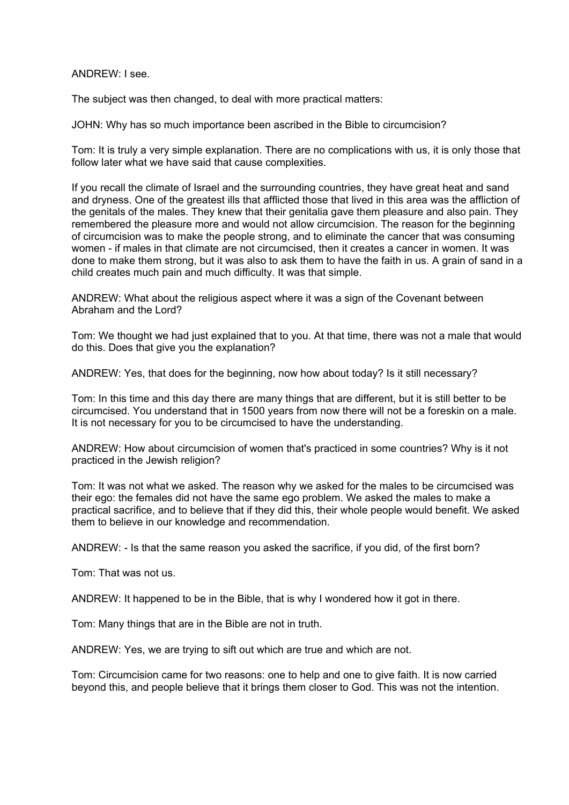#### ANDREW: I see.

The subject was then changed, to deal with more practical matters:

JOHN: Why has so much importance been ascribed in the Bible to circumcision?

Tom: It is truly a very simple explanation. There are no complications with us, it is only those that follow later what we have said that cause complexities.

If you recall the climate of Israel and the surrounding countries, they have great heat and sand and dryness. One of the greatest ills that afflicted those that lived in this area was the affliction of the genitals of the males. They knew that their genitalia gave them pleasure and also pain. They remembered the pleasure more and would not allow circumcision. The reason for the beginning of circumcision was to make the people strong, and to eliminate the cancer that was consuming women - if males in that climate are not circumcised, then it creates a cancer in women. It was done to make them strong, but it was also to ask them to have the faith in us. A grain of sand in a child creates much pain and much difficulty. It was that simple.

ANDREW: What about the religious aspect where it was a sign of the Covenant between Abraham and the Lord?

Tom: We thought we had just explained that to you. At that time, there was not a male that would do this. Does that give you the explanation?

ANDREW: Yes, that does for the beginning, now how about today? Is it still necessary?

Tom: In this time and this day there are many things that are different, but it is still better to be circumcised. You understand that in 1500 years from now there will not be a foreskin on a male. It is not necessary for you to be circumcised to have the understanding.

ANDREW: How about circumcision of women that's practiced in some countries? Why is it not practiced in the Jewish religion?

Tom: It was not what we asked. The reason why we asked for the males to be circumcised was their ego: the females did not have the same ego problem. We asked the males to make a practical sacrifice, and to believe that if they did this, their whole people would benefit. We asked them to believe in our knowledge and recommendation.

ANDREW: - Is that the same reason you asked the sacrifice, if you did, of the first born?

Tom: That was not us.

ANDREW: It happened to be in the Bible, that is why I wondered how it got in there.

Tom: Many things that are in the Bible are not in truth.

ANDREW: Yes, we are trying to sift out which are true and which are not.

Tom: Circumcision came for two reasons: one to help and one to give faith. It is now carried beyond this, and people believe that it brings them closer to God. This was not the intention.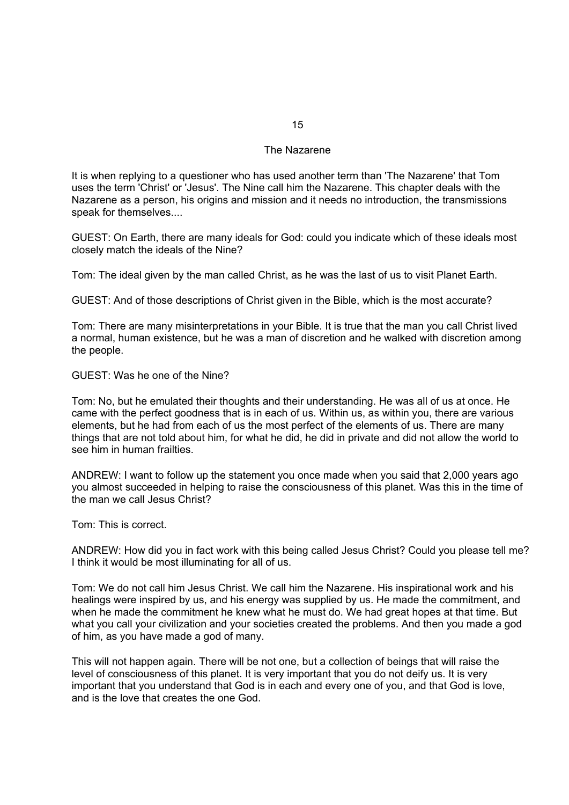#### The Nazarene

It is when replying to a questioner who has used another term than 'The Nazarene' that Tom uses the term 'Christ' or 'Jesus'. The Nine call him the Nazarene. This chapter deals with the Nazarene as a person, his origins and mission and it needs no introduction, the transmissions speak for themselves....

GUEST: On Earth, there are many ideals for God: could you indicate which of these ideals most closely match the ideals of the Nine?

Tom: The ideal given by the man called Christ, as he was the last of us to visit Planet Earth.

GUEST: And of those descriptions of Christ given in the Bible, which is the most accurate?

Tom: There are many misinterpretations in your Bible. It is true that the man you call Christ lived a normal, human existence, but he was a man of discretion and he walked with discretion among the people.

GUEST: Was he one of the Nine?

Tom: No, but he emulated their thoughts and their understanding. He was all of us at once. He came with the perfect goodness that is in each of us. Within us, as within you, there are various elements, but he had from each of us the most perfect of the elements of us. There are many things that are not told about him, for what he did, he did in private and did not allow the world to see him in human frailties.

ANDREW: I want to follow up the statement you once made when you said that 2,000 years ago you almost succeeded in helping to raise the consciousness of this planet. Was this in the time of the man we call Jesus Christ?

Tom: This is correct.

ANDREW: How did you in fact work with this being called Jesus Christ? Could you please tell me? I think it would be most illuminating for all of us.

Tom: We do not call him Jesus Christ. We call him the Nazarene. His inspirational work and his healings were inspired by us, and his energy was supplied by us. He made the commitment, and when he made the commitment he knew what he must do. We had great hopes at that time. But what you call your civilization and your societies created the problems. And then you made a god of him, as you have made a god of many.

This will not happen again. There will be not one, but a collection of beings that will raise the level of consciousness of this planet. It is very important that you do not deify us. It is very important that you understand that God is in each and every one of you, and that God is love, and is the love that creates the one God.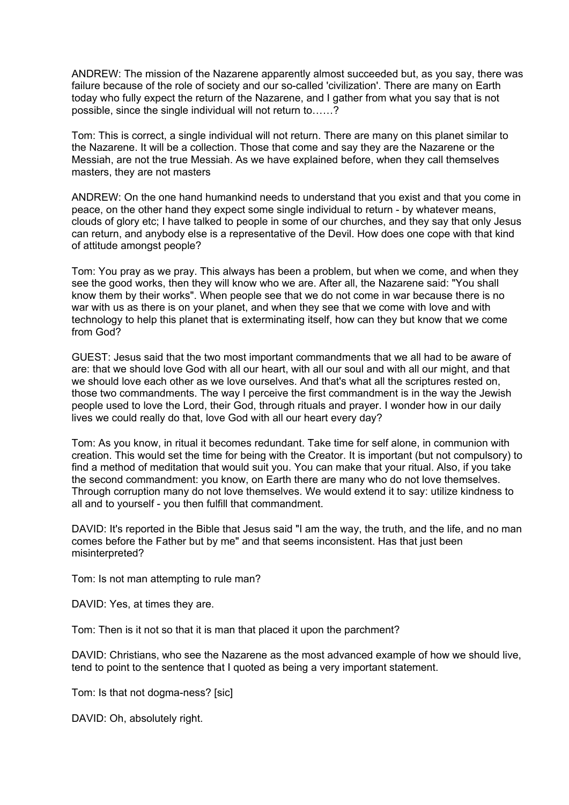ANDREW: The mission of the Nazarene apparently almost succeeded but, as you say, there was failure because of the role of society and our so-called 'civilization'. There are many on Earth today who fully expect the return of the Nazarene, and I gather from what you say that is not possible, since the single individual will not return to……?

Tom: This is correct, a single individual will not return. There are many on this planet similar to the Nazarene. It will be a collection. Those that come and say they are the Nazarene or the Messiah, are not the true Messiah. As we have explained before, when they call themselves masters, they are not masters

ANDREW: On the one hand humankind needs to understand that you exist and that you come in peace, on the other hand they expect some single individual to return - by whatever means, clouds of glory etc; I have talked to people in some of our churches, and they say that only Jesus can return, and anybody else is a representative of the Devil. How does one cope with that kind of attitude amongst people?

Tom: You pray as we pray. This always has been a problem, but when we come, and when they see the good works, then they will know who we are. After all, the Nazarene said: "You shall know them by their works". When people see that we do not come in war because there is no war with us as there is on your planet, and when they see that we come with love and with technology to help this planet that is exterminating itself, how can they but know that we come from God?

GUEST: Jesus said that the two most important commandments that we all had to be aware of are: that we should love God with all our heart, with all our soul and with all our might, and that we should love each other as we love ourselves. And that's what all the scriptures rested on, those two commandments. The way I perceive the first commandment is in the way the Jewish people used to love the Lord, their God, through rituals and prayer. I wonder how in our daily lives we could really do that, love God with all our heart every day?

Tom: As you know, in ritual it becomes redundant. Take time for self alone, in communion with creation. This would set the time for being with the Creator. It is important (but not compulsory) to find a method of meditation that would suit you. You can make that your ritual. Also, if you take the second commandment: you know, on Earth there are many who do not love themselves. Through corruption many do not love themselves. We would extend it to say: utilize kindness to all and to yourself - you then fulfill that commandment.

DAVID: It's reported in the Bible that Jesus said "I am the way, the truth, and the life, and no man comes before the Father but by me" and that seems inconsistent. Has that just been misinterpreted?

Tom: Is not man attempting to rule man?

DAVID: Yes, at times they are.

Tom: Then is it not so that it is man that placed it upon the parchment?

DAVID: Christians, who see the Nazarene as the most advanced example of how we should live, tend to point to the sentence that I quoted as being a very important statement.

Tom: Is that not dogma-ness? [sic]

DAVID: Oh, absolutely right.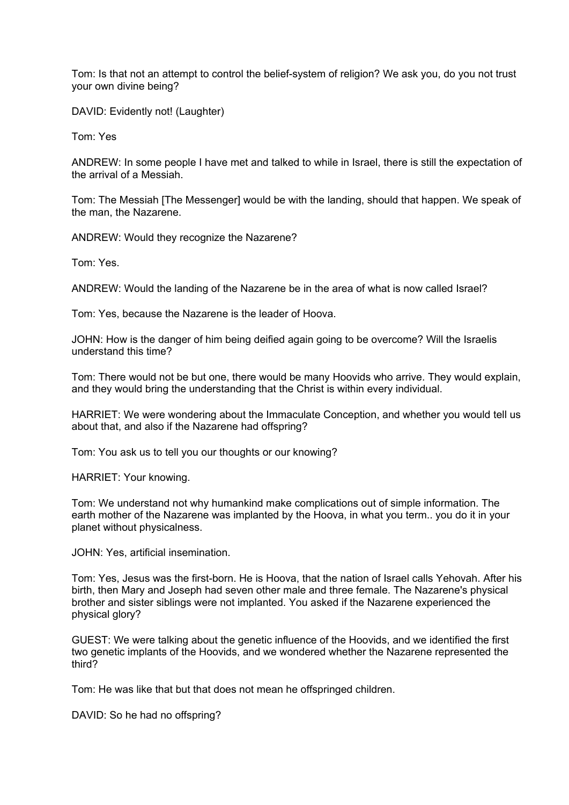Tom: Is that not an attempt to control the belief-system of religion? We ask you, do you not trust your own divine being?

DAVID: Evidently not! (Laughter)

Tom: Yes

ANDREW: In some people I have met and talked to while in Israel, there is still the expectation of the arrival of a Messiah.

Tom: The Messiah [The Messenger] would be with the landing, should that happen. We speak of the man, the Nazarene.

ANDREW: Would they recognize the Nazarene?

Tom: Yes.

ANDREW: Would the landing of the Nazarene be in the area of what is now called Israel?

Tom: Yes, because the Nazarene is the leader of Hoova.

JOHN: How is the danger of him being deified again going to be overcome? Will the Israelis understand this time?

Tom: There would not be but one, there would be many Hoovids who arrive. They would explain, and they would bring the understanding that the Christ is within every individual.

HARRIET: We were wondering about the Immaculate Conception, and whether you would tell us about that, and also if the Nazarene had offspring?

Tom: You ask us to tell you our thoughts or our knowing?

HARRIET: Your knowing.

Tom: We understand not why humankind make complications out of simple information. The earth mother of the Nazarene was implanted by the Hoova, in what you term.. you do it in your planet without physicalness.

JOHN: Yes, artificial insemination.

Tom: Yes, Jesus was the first-born. He is Hoova, that the nation of Israel calls Yehovah. After his birth, then Mary and Joseph had seven other male and three female. The Nazarene's physical brother and sister siblings were not implanted. You asked if the Nazarene experienced the physical glory?

GUEST: We were talking about the genetic influence of the Hoovids, and we identified the first two genetic implants of the Hoovids, and we wondered whether the Nazarene represented the third?

Tom: He was like that but that does not mean he offspringed children.

DAVID: So he had no offspring?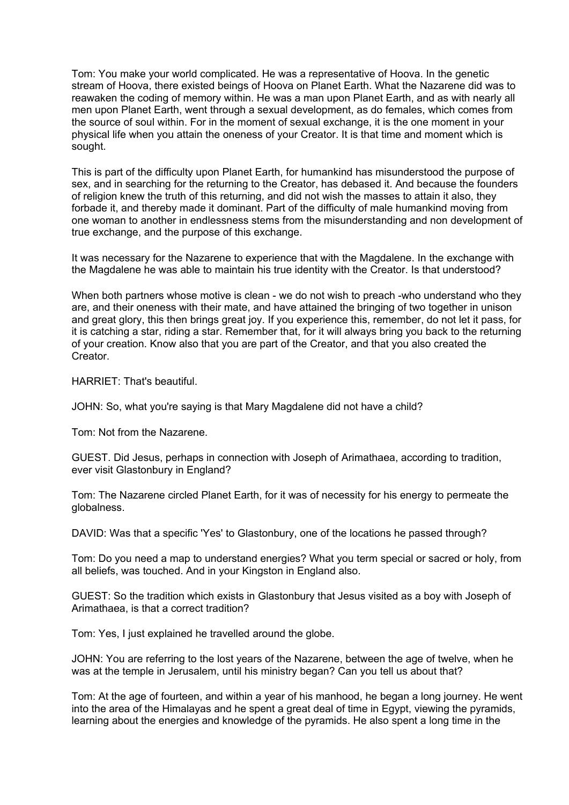Tom: You make your world complicated. He was a representative of Hoova. In the genetic stream of Hoova, there existed beings of Hoova on Planet Earth. What the Nazarene did was to reawaken the coding of memory within. He was a man upon Planet Earth, and as with nearly all men upon Planet Earth, went through a sexual development, as do females, which comes from the source of soul within. For in the moment of sexual exchange, it is the one moment in your physical life when you attain the oneness of your Creator. It is that time and moment which is sought.

This is part of the difficulty upon Planet Earth, for humankind has misunderstood the purpose of sex, and in searching for the returning to the Creator, has debased it. And because the founders of religion knew the truth of this returning, and did not wish the masses to attain it also, they forbade it, and thereby made it dominant. Part of the difficulty of male humankind moving from one woman to another in endlessness stems from the misunderstanding and non development of true exchange, and the purpose of this exchange.

It was necessary for the Nazarene to experience that with the Magdalene. In the exchange with the Magdalene he was able to maintain his true identity with the Creator. Is that understood?

When both partners whose motive is clean - we do not wish to preach -who understand who they are, and their oneness with their mate, and have attained the bringing of two together in unison and great glory, this then brings great joy. If you experience this, remember, do not let it pass, for it is catching a star, riding a star. Remember that, for it will always bring you back to the returning of your creation. Know also that you are part of the Creator, and that you also created the Creator.

HARRIET: That's beautiful.

JOHN: So, what you're saying is that Mary Magdalene did not have a child?

Tom: Not from the Nazarene.

GUEST. Did Jesus, perhaps in connection with Joseph of Arimathaea, according to tradition, ever visit Glastonbury in England?

Tom: The Nazarene circled Planet Earth, for it was of necessity for his energy to permeate the globalness.

DAVID: Was that a specific 'Yes' to Glastonbury, one of the locations he passed through?

Tom: Do you need a map to understand energies? What you term special or sacred or holy, from all beliefs, was touched. And in your Kingston in England also.

GUEST: So the tradition which exists in Glastonbury that Jesus visited as a boy with Joseph of Arimathaea, is that a correct tradition?

Tom: Yes, I just explained he travelled around the globe.

JOHN: You are referring to the lost years of the Nazarene, between the age of twelve, when he was at the temple in Jerusalem, until his ministry began? Can you tell us about that?

Tom: At the age of fourteen, and within a year of his manhood, he began a long journey. He went into the area of the Himalayas and he spent a great deal of time in Egypt, viewing the pyramids, learning about the energies and knowledge of the pyramids. He also spent a long time in the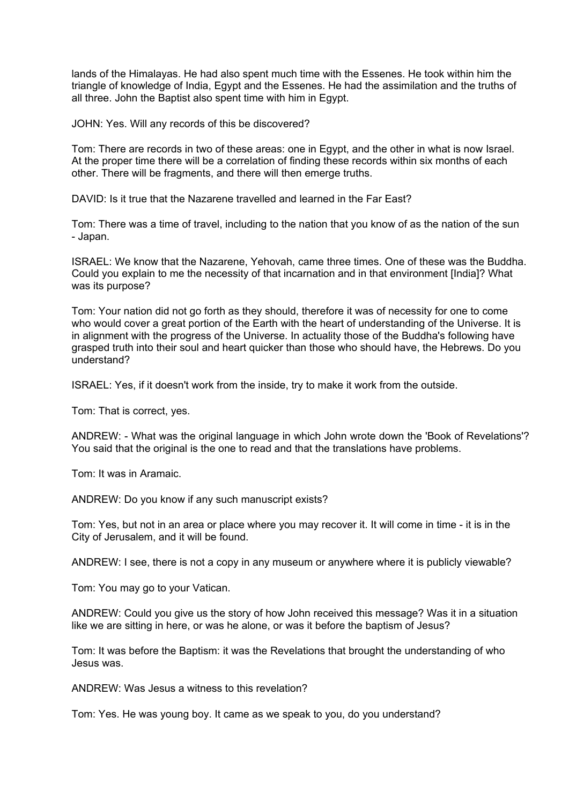lands of the Himalayas. He had also spent much time with the Essenes. He took within him the triangle of knowledge of India, Egypt and the Essenes. He had the assimilation and the truths of all three. John the Baptist also spent time with him in Egypt.

JOHN: Yes. Will any records of this be discovered?

Tom: There are records in two of these areas: one in Egypt, and the other in what is now Israel. At the proper time there will be a correlation of finding these records within six months of each other. There will be fragments, and there will then emerge truths.

DAVID: Is it true that the Nazarene travelled and learned in the Far East?

Tom: There was a time of travel, including to the nation that you know of as the nation of the sun - Japan.

ISRAEL: We know that the Nazarene, Yehovah, came three times. One of these was the Buddha. Could you explain to me the necessity of that incarnation and in that environment [India]? What was its purpose?

Tom: Your nation did not go forth as they should, therefore it was of necessity for one to come who would cover a great portion of the Earth with the heart of understanding of the Universe. It is in alignment with the progress of the Universe. In actuality those of the Buddha's following have grasped truth into their soul and heart quicker than those who should have, the Hebrews. Do you understand?

ISRAEL: Yes, if it doesn't work from the inside, try to make it work from the outside.

Tom: That is correct, yes.

ANDREW: - What was the original language in which John wrote down the 'Book of Revelations'? You said that the original is the one to read and that the translations have problems.

Tom: It was in Aramaic.

ANDREW: Do you know if any such manuscript exists?

Tom: Yes, but not in an area or place where you may recover it. It will come in time - it is in the City of Jerusalem, and it will be found.

ANDREW: I see, there is not a copy in any museum or anywhere where it is publicly viewable?

Tom: You may go to your Vatican.

ANDREW: Could you give us the story of how John received this message? Was it in a situation like we are sitting in here, or was he alone, or was it before the baptism of Jesus?

Tom: It was before the Baptism: it was the Revelations that brought the understanding of who Jesus was.

ANDREW: Was Jesus a witness to this revelation?

Tom: Yes. He was young boy. It came as we speak to you, do you understand?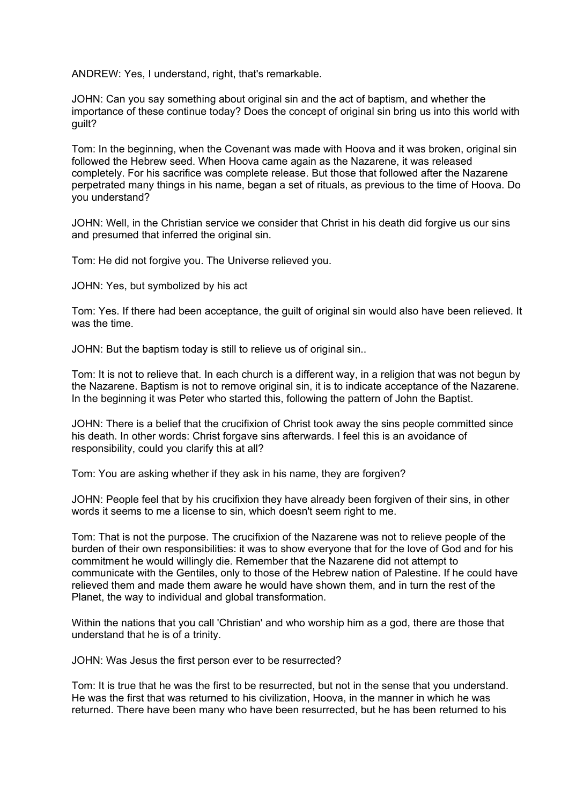ANDREW: Yes, I understand, right, that's remarkable.

JOHN: Can you say something about original sin and the act of baptism, and whether the importance of these continue today? Does the concept of original sin bring us into this world with guilt?

Tom: In the beginning, when the Covenant was made with Hoova and it was broken, original sin followed the Hebrew seed. When Hoova came again as the Nazarene, it was released completely. For his sacrifice was complete release. But those that followed after the Nazarene perpetrated many things in his name, began a set of rituals, as previous to the time of Hoova. Do you understand?

JOHN: Well, in the Christian service we consider that Christ in his death did forgive us our sins and presumed that inferred the original sin.

Tom: He did not forgive you. The Universe relieved you.

JOHN: Yes, but symbolized by his act

Tom: Yes. If there had been acceptance, the guilt of original sin would also have been relieved. It was the time.

JOHN: But the baptism today is still to relieve us of original sin..

Tom: It is not to relieve that. In each church is a different way, in a religion that was not begun by the Nazarene. Baptism is not to remove original sin, it is to indicate acceptance of the Nazarene. In the beginning it was Peter who started this, following the pattern of John the Baptist.

JOHN: There is a belief that the crucifixion of Christ took away the sins people committed since his death. In other words: Christ forgave sins afterwards. I feel this is an avoidance of responsibility, could you clarify this at all?

Tom: You are asking whether if they ask in his name, they are forgiven?

JOHN: People feel that by his crucifixion they have already been forgiven of their sins, in other words it seems to me a license to sin, which doesn't seem right to me.

Tom: That is not the purpose. The crucifixion of the Nazarene was not to relieve people of the burden of their own responsibilities: it was to show everyone that for the love of God and for his commitment he would willingly die. Remember that the Nazarene did not attempt to communicate with the Gentiles, only to those of the Hebrew nation of Palestine. If he could have relieved them and made them aware he would have shown them, and in turn the rest of the Planet, the way to individual and global transformation.

Within the nations that you call 'Christian' and who worship him as a god, there are those that understand that he is of a trinity.

JOHN: Was Jesus the first person ever to be resurrected?

Tom: It is true that he was the first to be resurrected, but not in the sense that you understand. He was the first that was returned to his civilization, Hoova, in the manner in which he was returned. There have been many who have been resurrected, but he has been returned to his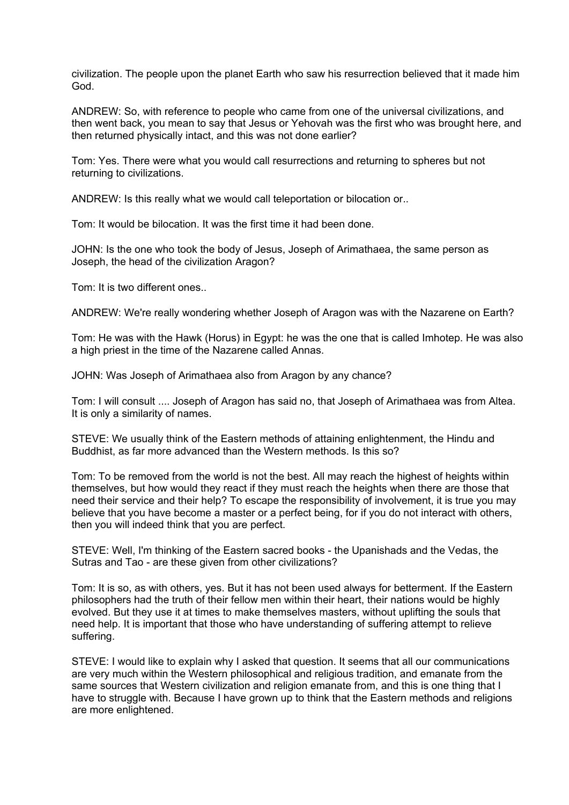civilization. The people upon the planet Earth who saw his resurrection believed that it made him God.

ANDREW: So, with reference to people who came from one of the universal civilizations, and then went back, you mean to say that Jesus or Yehovah was the first who was brought here, and then returned physically intact, and this was not done earlier?

Tom: Yes. There were what you would call resurrections and returning to spheres but not returning to civilizations.

ANDREW: Is this really what we would call teleportation or bilocation or..

Tom: It would be bilocation. It was the first time it had been done.

JOHN: Is the one who took the body of Jesus, Joseph of Arimathaea, the same person as Joseph, the head of the civilization Aragon?

Tom: It is two different ones..

ANDREW: We're really wondering whether Joseph of Aragon was with the Nazarene on Earth?

Tom: He was with the Hawk (Horus) in Egypt: he was the one that is called Imhotep. He was also a high priest in the time of the Nazarene called Annas.

JOHN: Was Joseph of Arimathaea also from Aragon by any chance?

Tom: I will consult .... Joseph of Aragon has said no, that Joseph of Arimathaea was from Altea. It is only a similarity of names.

STEVE: We usually think of the Eastern methods of attaining enlightenment, the Hindu and Buddhist, as far more advanced than the Western methods. Is this so?

Tom: To be removed from the world is not the best. All may reach the highest of heights within themselves, but how would they react if they must reach the heights when there are those that need their service and their help? To escape the responsibility of involvement, it is true you may believe that you have become a master or a perfect being, for if you do not interact with others, then you will indeed think that you are perfect.

STEVE: Well, I'm thinking of the Eastern sacred books - the Upanishads and the Vedas, the Sutras and Tao - are these given from other civilizations?

Tom: It is so, as with others, yes. But it has not been used always for betterment. If the Eastern philosophers had the truth of their fellow men within their heart, their nations would be highly evolved. But they use it at times to make themselves masters, without uplifting the souls that need help. It is important that those who have understanding of suffering attempt to relieve suffering.

STEVE: I would like to explain why I asked that question. It seems that all our communications are very much within the Western philosophical and religious tradition, and emanate from the same sources that Western civilization and religion emanate from, and this is one thing that I have to struggle with. Because I have grown up to think that the Eastern methods and religions are more enlightened.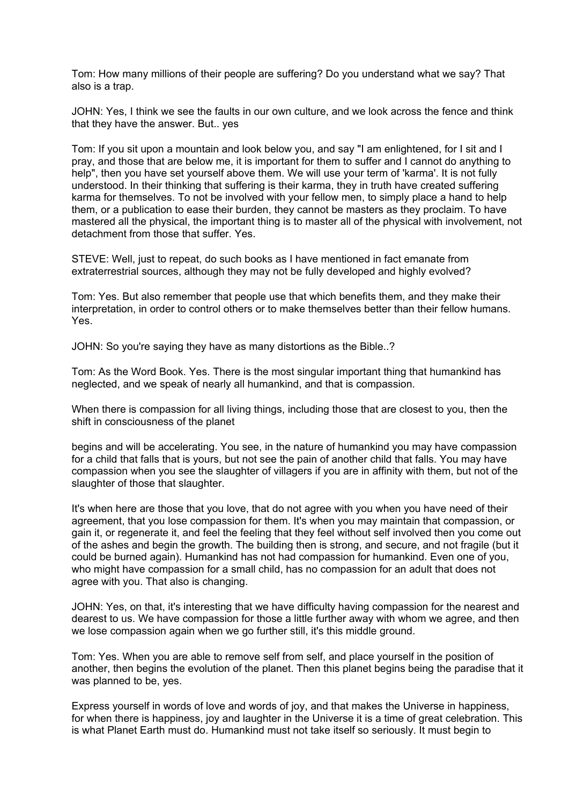Tom: How many millions of their people are suffering? Do you understand what we say? That also is a trap.

JOHN: Yes, I think we see the faults in our own culture, and we look across the fence and think that they have the answer. But.. yes

Tom: If you sit upon a mountain and look below you, and say "I am enlightened, for I sit and I pray, and those that are below me, it is important for them to suffer and I cannot do anything to help", then you have set yourself above them. We will use your term of 'karma'. It is not fully understood. In their thinking that suffering is their karma, they in truth have created suffering karma for themselves. To not be involved with your fellow men, to simply place a hand to help them, or a publication to ease their burden, they cannot be masters as they proclaim. To have mastered all the physical, the important thing is to master all of the physical with involvement, not detachment from those that suffer. Yes.

STEVE: Well, just to repeat, do such books as I have mentioned in fact emanate from extraterrestrial sources, although they may not be fully developed and highly evolved?

Tom: Yes. But also remember that people use that which benefits them, and they make their interpretation, in order to control others or to make themselves better than their fellow humans. Yes.

JOHN: So you're saying they have as many distortions as the Bible..?

Tom: As the Word Book. Yes. There is the most singular important thing that humankind has neglected, and we speak of nearly all humankind, and that is compassion.

When there is compassion for all living things, including those that are closest to you, then the shift in consciousness of the planet

begins and will be accelerating. You see, in the nature of humankind you may have compassion for a child that falls that is yours, but not see the pain of another child that falls. You may have compassion when you see the slaughter of villagers if you are in affinity with them, but not of the slaughter of those that slaughter.

It's when here are those that you love, that do not agree with you when you have need of their agreement, that you lose compassion for them. It's when you may maintain that compassion, or gain it, or regenerate it, and feel the feeling that they feel without self involved then you come out of the ashes and begin the growth. The building then is strong, and secure, and not fragile (but it could be burned again). Humankind has not had compassion for humankind. Even one of you, who might have compassion for a small child, has no compassion for an adult that does not agree with you. That also is changing.

JOHN: Yes, on that, it's interesting that we have difficulty having compassion for the nearest and dearest to us. We have compassion for those a little further away with whom we agree, and then we lose compassion again when we go further still, it's this middle ground.

Tom: Yes. When you are able to remove self from self, and place yourself in the position of another, then begins the evolution of the planet. Then this planet begins being the paradise that it was planned to be, yes.

Express yourself in words of love and words of joy, and that makes the Universe in happiness, for when there is happiness, joy and laughter in the Universe it is a time of great celebration. This is what Planet Earth must do. Humankind must not take itself so seriously. It must begin to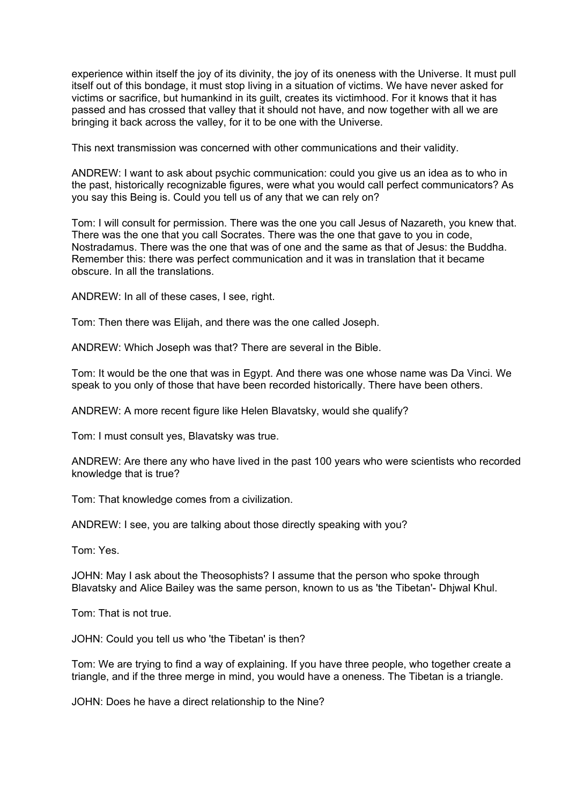experience within itself the joy of its divinity, the joy of its oneness with the Universe. It must pull itself out of this bondage, it must stop living in a situation of victims. We have never asked for victims or sacrifice, but humankind in its guilt, creates its victimhood. For it knows that it has passed and has crossed that valley that it should not have, and now together with all we are bringing it back across the valley, for it to be one with the Universe.

This next transmission was concerned with other communications and their validity.

ANDREW: I want to ask about psychic communication: could you give us an idea as to who in the past, historically recognizable figures, were what you would call perfect communicators? As you say this Being is. Could you tell us of any that we can rely on?

Tom: I will consult for permission. There was the one you call Jesus of Nazareth, you knew that. There was the one that you call Socrates. There was the one that gave to you in code, Nostradamus. There was the one that was of one and the same as that of Jesus: the Buddha. Remember this: there was perfect communication and it was in translation that it became obscure. In all the translations.

ANDREW: In all of these cases, I see, right.

Tom: Then there was Elijah, and there was the one called Joseph.

ANDREW: Which Joseph was that? There are several in the Bible.

Tom: It would be the one that was in Egypt. And there was one whose name was Da Vinci. We speak to you only of those that have been recorded historically. There have been others.

ANDREW: A more recent figure like Helen Blavatsky, would she qualify?

Tom: I must consult yes, Blavatsky was true.

ANDREW: Are there any who have lived in the past 100 years who were scientists who recorded knowledge that is true?

Tom: That knowledge comes from a civilization.

ANDREW: I see, you are talking about those directly speaking with you?

Tom: Yes.

JOHN: May I ask about the Theosophists? I assume that the person who spoke through Blavatsky and Alice Bailey was the same person, known to us as 'the Tibetan'- Dhjwal Khul.

Tom: That is not true.

JOHN: Could you tell us who 'the Tibetan' is then?

Tom: We are trying to find a way of explaining. If you have three people, who together create a triangle, and if the three merge in mind, you would have a oneness. The Tibetan is a triangle.

JOHN: Does he have a direct relationship to the Nine?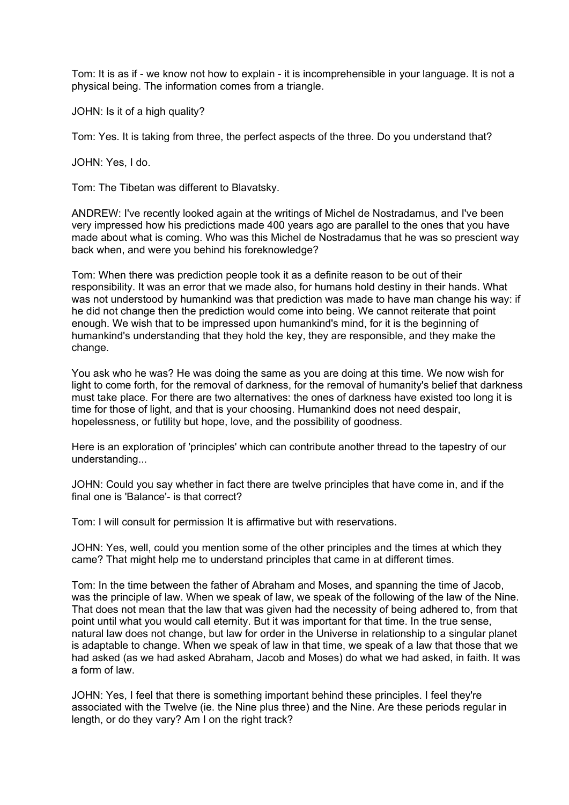Tom: It is as if - we know not how to explain - it is incomprehensible in your language. It is not a physical being. The information comes from a triangle.

JOHN: Is it of a high quality?

Tom: Yes. It is taking from three, the perfect aspects of the three. Do you understand that?

JOHN: Yes, I do.

Tom: The Tibetan was different to Blavatsky.

ANDREW: I've recently looked again at the writings of Michel de Nostradamus, and I've been very impressed how his predictions made 400 years ago are parallel to the ones that you have made about what is coming. Who was this Michel de Nostradamus that he was so prescient way back when, and were you behind his foreknowledge?

Tom: When there was prediction people took it as a definite reason to be out of their responsibility. It was an error that we made also, for humans hold destiny in their hands. What was not understood by humankind was that prediction was made to have man change his way: if he did not change then the prediction would come into being. We cannot reiterate that point enough. We wish that to be impressed upon humankind's mind, for it is the beginning of humankind's understanding that they hold the key, they are responsible, and they make the change.

You ask who he was? He was doing the same as you are doing at this time. We now wish for light to come forth, for the removal of darkness, for the removal of humanity's belief that darkness must take place. For there are two alternatives: the ones of darkness have existed too long it is time for those of light, and that is your choosing. Humankind does not need despair, hopelessness, or futility but hope, love, and the possibility of goodness.

Here is an exploration of 'principles' which can contribute another thread to the tapestry of our understanding...

JOHN: Could you say whether in fact there are twelve principles that have come in, and if the final one is 'Balance'- is that correct?

Tom: I will consult for permission It is affirmative but with reservations.

JOHN: Yes, well, could you mention some of the other principles and the times at which they came? That might help me to understand principles that came in at different times.

Tom: In the time between the father of Abraham and Moses, and spanning the time of Jacob, was the principle of law. When we speak of law, we speak of the following of the law of the Nine. That does not mean that the law that was given had the necessity of being adhered to, from that point until what you would call eternity. But it was important for that time. In the true sense, natural law does not change, but law for order in the Universe in relationship to a singular planet is adaptable to change. When we speak of law in that time, we speak of a law that those that we had asked (as we had asked Abraham, Jacob and Moses) do what we had asked, in faith. It was a form of law.

JOHN: Yes, I feel that there is something important behind these principles. I feel they're associated with the Twelve (ie. the Nine plus three) and the Nine. Are these periods regular in length, or do they vary? Am I on the right track?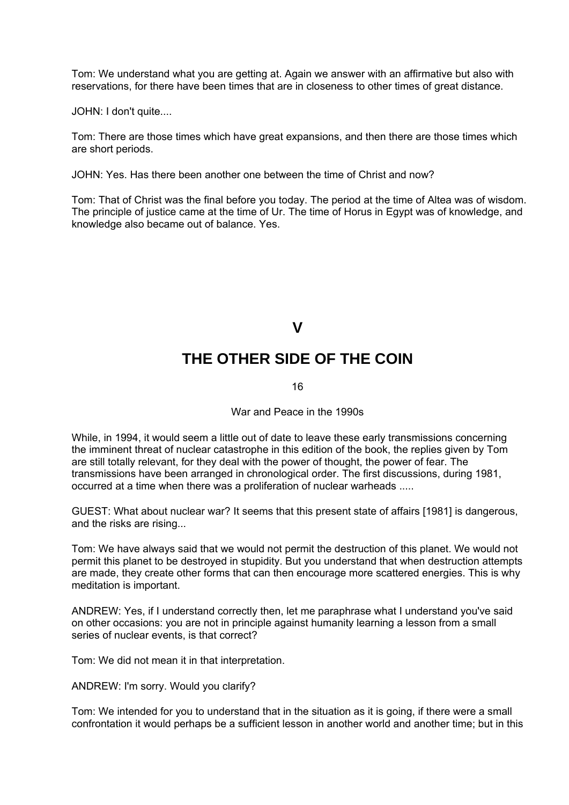Tom: We understand what you are getting at. Again we answer with an affirmative but also with reservations, for there have been times that are in closeness to other times of great distance.

JOHN: I don't quite....

Tom: There are those times which have great expansions, and then there are those times which are short periods.

JOHN: Yes. Has there been another one between the time of Christ and now?

Tom: That of Christ was the final before you today. The period at the time of Altea was of wisdom. The principle of justice came at the time of Ur. The time of Horus in Egypt was of knowledge, and knowledge also became out of balance. Yes.

## **V**

# **THE OTHER SIDE OF THE COIN**

16

### War and Peace in the 1990s

While, in 1994, it would seem a little out of date to leave these early transmissions concerning the imminent threat of nuclear catastrophe in this edition of the book, the replies given by Tom are still totally relevant, for they deal with the power of thought, the power of fear. The transmissions have been arranged in chronological order. The first discussions, during 1981, occurred at a time when there was a proliferation of nuclear warheads .....

GUEST: What about nuclear war? It seems that this present state of affairs [1981] is dangerous, and the risks are rising...

Tom: We have always said that we would not permit the destruction of this planet. We would not permit this planet to be destroyed in stupidity. But you understand that when destruction attempts are made, they create other forms that can then encourage more scattered energies. This is why meditation is important.

ANDREW: Yes, if I understand correctly then, let me paraphrase what I understand you've said on other occasions: you are not in principle against humanity learning a lesson from a small series of nuclear events, is that correct?

Tom: We did not mean it in that interpretation.

ANDREW: I'm sorry. Would you clarify?

Tom: We intended for you to understand that in the situation as it is going, if there were a small confrontation it would perhaps be a sufficient lesson in another world and another time; but in this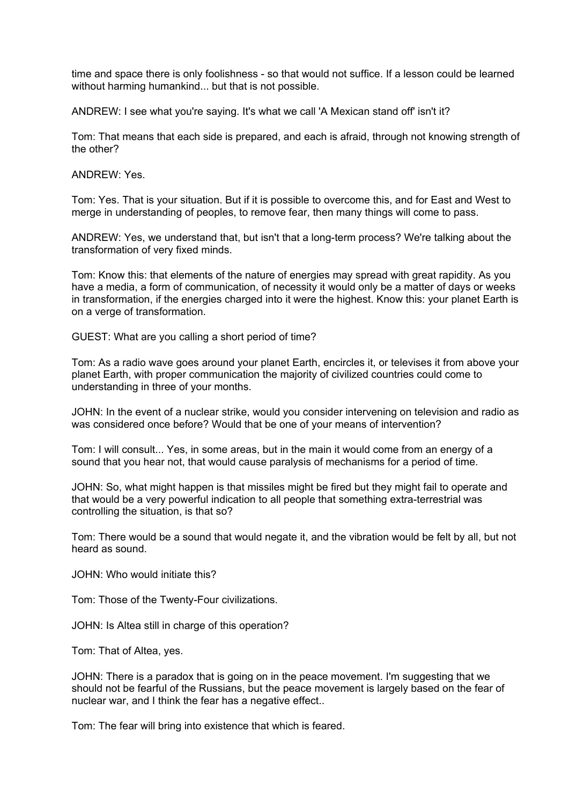time and space there is only foolishness - so that would not suffice. If a lesson could be learned without harming humankind... but that is not possible.

ANDREW: I see what you're saying. It's what we call 'A Mexican stand off' isn't it?

Tom: That means that each side is prepared, and each is afraid, through not knowing strength of the other?

ANDREW: Yes.

Tom: Yes. That is your situation. But if it is possible to overcome this, and for East and West to merge in understanding of peoples, to remove fear, then many things will come to pass.

ANDREW: Yes, we understand that, but isn't that a long-term process? We're talking about the transformation of very fixed minds.

Tom: Know this: that elements of the nature of energies may spread with great rapidity. As you have a media, a form of communication, of necessity it would only be a matter of days or weeks in transformation, if the energies charged into it were the highest. Know this: your planet Earth is on a verge of transformation.

GUEST: What are you calling a short period of time?

Tom: As a radio wave goes around your planet Earth, encircles it, or televises it from above your planet Earth, with proper communication the majority of civilized countries could come to understanding in three of your months.

JOHN: In the event of a nuclear strike, would you consider intervening on television and radio as was considered once before? Would that be one of your means of intervention?

Tom: I will consult... Yes, in some areas, but in the main it would come from an energy of a sound that you hear not, that would cause paralysis of mechanisms for a period of time.

JOHN: So, what might happen is that missiles might be fired but they might fail to operate and that would be a very powerful indication to all people that something extra-terrestrial was controlling the situation, is that so?

Tom: There would be a sound that would negate it, and the vibration would be felt by all, but not heard as sound.

JOHN: Who would initiate this?

Tom: Those of the Twenty-Four civilizations.

JOHN: Is Altea still in charge of this operation?

Tom: That of Altea, yes.

JOHN: There is a paradox that is going on in the peace movement. I'm suggesting that we should not be fearful of the Russians, but the peace movement is largely based on the fear of nuclear war, and I think the fear has a negative effect..

Tom: The fear will bring into existence that which is feared.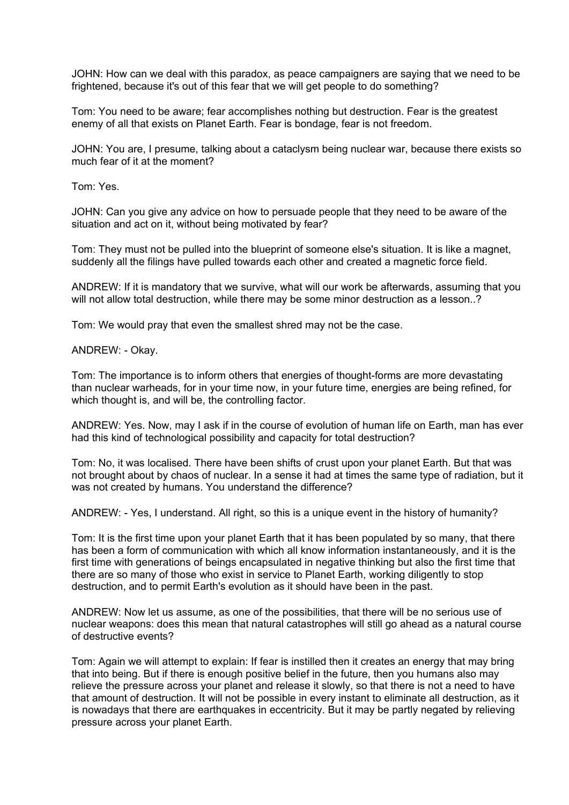JOHN: How can we deal with this paradox, as peace campaigners are saying that we need to be frightened, because it's out of this fear that we will get people to do something?

Tom: You need to be aware; fear accomplishes nothing but destruction. Fear is the greatest enemy of all that exists on Planet Earth. Fear is bondage, fear is not freedom.

JOHN: You are, I presume, talking about a cataclysm being nuclear war, because there exists so much fear of it at the moment?

Tom: Yes.

JOHN: Can you give any advice on how to persuade people that they need to be aware of the situation and act on it, without being motivated by fear?

Tom: They must not be pulled into the blueprint of someone else's situation. It is like a magnet, suddenly all the filings have pulled towards each other and created a magnetic force field.

ANDREW: If it is mandatory that we survive, what will our work be afterwards, assuming that you will not allow total destruction, while there may be some minor destruction as a lesson..?

Tom: We would pray that even the smallest shred may not be the case.

ANDREW: - Okay.

Tom: The importance is to inform others that energies of thought-forms are more devastating than nuclear warheads, for in your time now, in your future time, energies are being refined, for which thought is, and will be, the controlling factor.

ANDREW: Yes. Now, may I ask if in the course of evolution of human life on Earth, man has ever had this kind of technological possibility and capacity for total destruction?

Tom: No, it was localised. There have been shifts of crust upon your planet Earth. But that was not brought about by chaos of nuclear. In a sense it had at times the same type of radiation, but it was not created by humans. You understand the difference?

ANDREW: - Yes, I understand. All right, so this is a unique event in the history of humanity?

Tom: It is the first time upon your planet Earth that it has been populated by so many, that there has been a form of communication with which all know information instantaneously, and it is the first time with generations of beings encapsulated in negative thinking but also the first time that there are so many of those who exist in service to Planet Earth, working diligently to stop destruction, and to permit Earth's evolution as it should have been in the past.

ANDREW: Now let us assume, as one of the possibilities, that there will be no serious use of nuclear weapons: does this mean that natural catastrophes will still go ahead as a natural course of destructive events?

Tom: Again we will attempt to explain: If fear is instilled then it creates an energy that may bring that into being. But if there is enough positive belief in the future, then you humans also may relieve the pressure across your planet and release it slowly, so that there is not a need to have that amount of destruction. It will not be possible in every instant to eliminate all destruction, as it is nowadays that there are earthquakes in eccentricity. But it may be partly negated by relieving pressure across your planet Earth.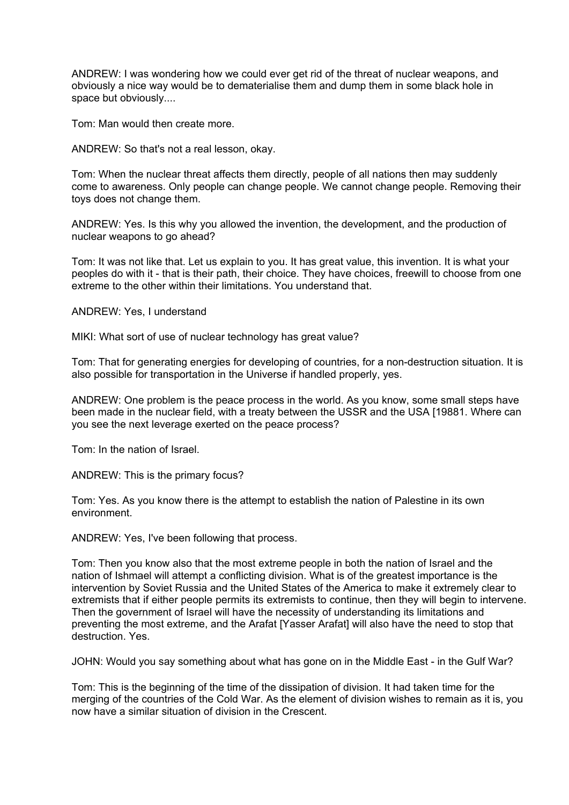ANDREW: I was wondering how we could ever get rid of the threat of nuclear weapons, and obviously a nice way would be to dematerialise them and dump them in some black hole in space but obviously....

Tom: Man would then create more.

ANDREW: So that's not a real lesson, okay.

Tom: When the nuclear threat affects them directly, people of all nations then may suddenly come to awareness. Only people can change people. We cannot change people. Removing their toys does not change them.

ANDREW: Yes. Is this why you allowed the invention, the development, and the production of nuclear weapons to go ahead?

Tom: It was not like that. Let us explain to you. It has great value, this invention. It is what your peoples do with it - that is their path, their choice. They have choices, freewill to choose from one extreme to the other within their limitations. You understand that.

ANDREW: Yes, I understand

MIKI: What sort of use of nuclear technology has great value?

Tom: That for generating energies for developing of countries, for a non-destruction situation. It is also possible for transportation in the Universe if handled properly, yes.

ANDREW: One problem is the peace process in the world. As you know, some small steps have been made in the nuclear field, with a treaty between the USSR and the USA [19881. Where can you see the next leverage exerted on the peace process?

Tom: In the nation of Israel.

ANDREW: This is the primary focus?

Tom: Yes. As you know there is the attempt to establish the nation of Palestine in its own environment.

ANDREW: Yes, I've been following that process.

Tom: Then you know also that the most extreme people in both the nation of Israel and the nation of Ishmael will attempt a conflicting division. What is of the greatest importance is the intervention by Soviet Russia and the United States of the America to make it extremely clear to extremists that if either people permits its extremists to continue, then they will begin to intervene. Then the government of Israel will have the necessity of understanding its limitations and preventing the most extreme, and the Arafat [Yasser Arafat] will also have the need to stop that destruction. Yes.

JOHN: Would you say something about what has gone on in the Middle East - in the Gulf War?

Tom: This is the beginning of the time of the dissipation of division. It had taken time for the merging of the countries of the Cold War. As the element of division wishes to remain as it is, you now have a similar situation of division in the Crescent.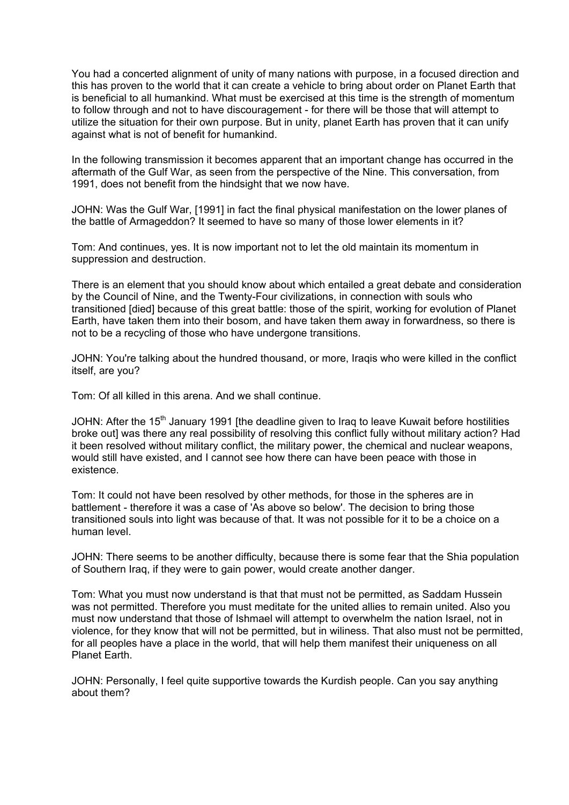You had a concerted alignment of unity of many nations with purpose, in a focused direction and this has proven to the world that it can create a vehicle to bring about order on Planet Earth that is beneficial to all humankind. What must be exercised at this time is the strength of momentum to follow through and not to have discouragement - for there will be those that will attempt to utilize the situation for their own purpose. But in unity, planet Earth has proven that it can unify against what is not of benefit for humankind.

In the following transmission it becomes apparent that an important change has occurred in the aftermath of the Gulf War, as seen from the perspective of the Nine. This conversation, from 1991, does not benefit from the hindsight that we now have.

JOHN: Was the Gulf War, [1991] in fact the final physical manifestation on the lower planes of the battle of Armageddon? It seemed to have so many of those lower elements in it?

Tom: And continues, yes. It is now important not to let the old maintain its momentum in suppression and destruction.

There is an element that you should know about which entailed a great debate and consideration by the Council of Nine, and the Twenty-Four civilizations, in connection with souls who transitioned [died] because of this great battle: those of the spirit, working for evolution of Planet Earth, have taken them into their bosom, and have taken them away in forwardness, so there is not to be a recycling of those who have undergone transitions.

JOHN: You're talking about the hundred thousand, or more, Iraqis who were killed in the conflict itself, are you?

Tom: Of all killed in this arena. And we shall continue.

JOHN: After the 15<sup>th</sup> January 1991 [the deadline given to Irag to leave Kuwait before hostilities broke out] was there any real possibility of resolving this conflict fully without military action? Had it been resolved without military conflict, the military power, the chemical and nuclear weapons, would still have existed, and I cannot see how there can have been peace with those in existence.

Tom: It could not have been resolved by other methods, for those in the spheres are in battlement - therefore it was a case of 'As above so below'. The decision to bring those transitioned souls into light was because of that. It was not possible for it to be a choice on a human level.

JOHN: There seems to be another difficulty, because there is some fear that the Shia population of Southern Iraq, if they were to gain power, would create another danger.

Tom: What you must now understand is that that must not be permitted, as Saddam Hussein was not permitted. Therefore you must meditate for the united allies to remain united. Also you must now understand that those of Ishmael will attempt to overwhelm the nation Israel, not in violence, for they know that will not be permitted, but in wiliness. That also must not be permitted, for all peoples have a place in the world, that will help them manifest their uniqueness on all Planet Earth.

JOHN: Personally, I feel quite supportive towards the Kurdish people. Can you say anything about them?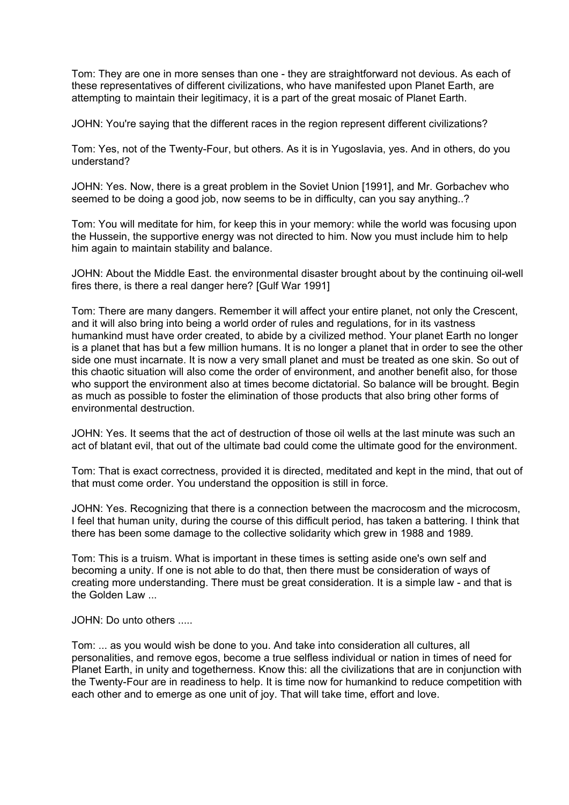Tom: They are one in more senses than one - they are straightforward not devious. As each of these representatives of different civilizations, who have manifested upon Planet Earth, are attempting to maintain their legitimacy, it is a part of the great mosaic of Planet Earth.

JOHN: You're saying that the different races in the region represent different civilizations?

Tom: Yes, not of the Twenty-Four, but others. As it is in Yugoslavia, yes. And in others, do you understand?

JOHN: Yes. Now, there is a great problem in the Soviet Union [1991], and Mr. Gorbachev who seemed to be doing a good job, now seems to be in difficulty, can you say anything..?

Tom: You will meditate for him, for keep this in your memory: while the world was focusing upon the Hussein, the supportive energy was not directed to him. Now you must include him to help him again to maintain stability and balance.

JOHN: About the Middle East. the environmental disaster brought about by the continuing oil-well fires there, is there a real danger here? [Gulf War 1991]

Tom: There are many dangers. Remember it will affect your entire planet, not only the Crescent, and it will also bring into being a world order of rules and regulations, for in its vastness humankind must have order created, to abide by a civilized method. Your planet Earth no longer is a planet that has but a few million humans. It is no longer a planet that in order to see the other side one must incarnate. It is now a very small planet and must be treated as one skin. So out of this chaotic situation will also come the order of environment, and another benefit also, for those who support the environment also at times become dictatorial. So balance will be brought. Begin as much as possible to foster the elimination of those products that also bring other forms of environmental destruction.

JOHN: Yes. It seems that the act of destruction of those oil wells at the last minute was such an act of blatant evil, that out of the ultimate bad could come the ultimate good for the environment.

Tom: That is exact correctness, provided it is directed, meditated and kept in the mind, that out of that must come order. You understand the opposition is still in force.

JOHN: Yes. Recognizing that there is a connection between the macrocosm and the microcosm, I feel that human unity, during the course of this difficult period, has taken a battering. I think that there has been some damage to the collective solidarity which grew in 1988 and 1989.

Tom: This is a truism. What is important in these times is setting aside one's own self and becoming a unity. If one is not able to do that, then there must be consideration of ways of creating more understanding. There must be great consideration. It is a simple law - and that is the Golden Law ...

JOHN: Do unto others .....

Tom: ... as you would wish be done to you. And take into consideration all cultures, all personalities, and remove egos, become a true selfless individual or nation in times of need for Planet Earth, in unity and togetherness. Know this: all the civilizations that are in conjunction with the Twenty-Four are in readiness to help. It is time now for humankind to reduce competition with each other and to emerge as one unit of joy. That will take time, effort and love.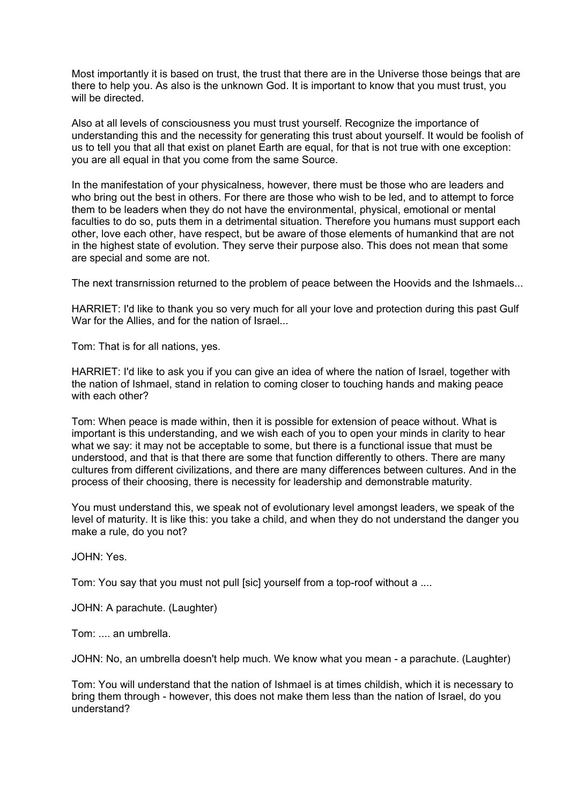Most importantly it is based on trust, the trust that there are in the Universe those beings that are there to help you. As also is the unknown God. It is important to know that you must trust, you will be directed.

Also at all levels of consciousness you must trust yourself. Recognize the importance of understanding this and the necessity for generating this trust about yourself. It would be foolish of us to tell you that all that exist on planet Earth are equal, for that is not true with one exception: you are all equal in that you come from the same Source.

In the manifestation of your physicalness, however, there must be those who are leaders and who bring out the best in others. For there are those who wish to be led, and to attempt to force them to be leaders when they do not have the environmental, physical, emotional or mental faculties to do so, puts them in a detrimental situation. Therefore you humans must support each other, love each other, have respect, but be aware of those elements of humankind that are not in the highest state of evolution. They serve their purpose also. This does not mean that some are special and some are not.

The next transrnission returned to the problem of peace between the Hoovids and the Ishmaels...

HARRIET: I'd like to thank you so very much for all your love and protection during this past Gulf War for the Allies, and for the nation of Israel...

Tom: That is for all nations, yes.

HARRIET: I'd like to ask you if you can give an idea of where the nation of Israel, together with the nation of Ishmael, stand in relation to coming closer to touching hands and making peace with each other?

Tom: When peace is made within, then it is possible for extension of peace without. What is important is this understanding, and we wish each of you to open your minds in clarity to hear what we say: it may not be acceptable to some, but there is a functional issue that must be understood, and that is that there are some that function differently to others. There are many cultures from different civilizations, and there are many differences between cultures. And in the process of their choosing, there is necessity for leadership and demonstrable maturity.

You must understand this, we speak not of evolutionary level amongst leaders, we speak of the level of maturity. It is like this: you take a child, and when they do not understand the danger you make a rule, do you not?

JOHN: Yes.

Tom: You say that you must not pull [sic] yourself from a top-roof without a ....

JOHN: A parachute. (Laughter)

Tom: .... an umbrella.

JOHN: No, an umbrella doesn't help much. We know what you mean - a parachute. (Laughter)

Tom: You will understand that the nation of Ishmael is at times childish, which it is necessary to bring them through - however, this does not make them less than the nation of Israel, do you understand?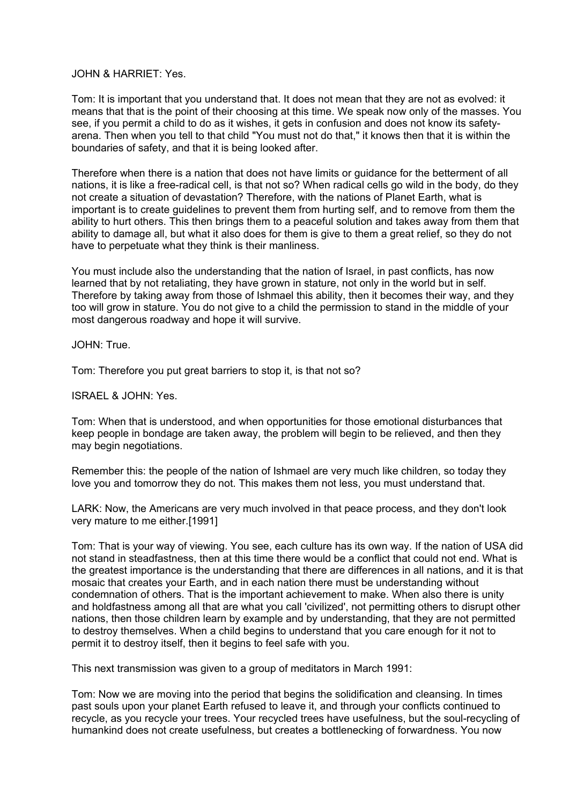### JOHN & HARRIET: Yes.

Tom: It is important that you understand that. It does not mean that they are not as evolved: it means that that is the point of their choosing at this time. We speak now only of the masses. You see, if you permit a child to do as it wishes, it gets in confusion and does not know its safetyarena. Then when you tell to that child "You must not do that," it knows then that it is within the boundaries of safety, and that it is being looked after.

Therefore when there is a nation that does not have limits or guidance for the betterment of all nations, it is like a free-radical cell, is that not so? When radical cells go wild in the body, do they not create a situation of devastation? Therefore, with the nations of Planet Earth, what is important is to create guidelines to prevent them from hurting self, and to remove from them the ability to hurt others. This then brings them to a peaceful solution and takes away from them that ability to damage all, but what it also does for them is give to them a great relief, so they do not have to perpetuate what they think is their manliness.

You must include also the understanding that the nation of Israel, in past conflicts, has now learned that by not retaliating, they have grown in stature, not only in the world but in self. Therefore by taking away from those of Ishmael this ability, then it becomes their way, and they too will grow in stature. You do not give to a child the permission to stand in the middle of your most dangerous roadway and hope it will survive.

JOHN: True.

Tom: Therefore you put great barriers to stop it, is that not so?

ISRAEL & JOHN: Yes.

Tom: When that is understood, and when opportunities for those emotional disturbances that keep people in bondage are taken away, the problem will begin to be relieved, and then they may begin negotiations.

Remember this: the people of the nation of Ishmael are very much like children, so today they love you and tomorrow they do not. This makes them not less, you must understand that.

LARK: Now, the Americans are very much involved in that peace process, and they don't look very mature to me either.[1991]

Tom: That is your way of viewing. You see, each culture has its own way. If the nation of USA did not stand in steadfastness, then at this time there would be a conflict that could not end. What is the greatest importance is the understanding that there are differences in all nations, and it is that mosaic that creates your Earth, and in each nation there must be understanding without condemnation of others. That is the important achievement to make. When also there is unity and holdfastness among all that are what you call 'civilized', not permitting others to disrupt other nations, then those children learn by example and by understanding, that they are not permitted to destroy themselves. When a child begins to understand that you care enough for it not to permit it to destroy itself, then it begins to feel safe with you.

This next transmission was given to a group of meditators in March 1991:

Tom: Now we are moving into the period that begins the solidification and cleansing. In times past souls upon your planet Earth refused to leave it, and through your conflicts continued to recycle, as you recycle your trees. Your recycled trees have usefulness, but the soul-recycling of humankind does not create usefulness, but creates a bottlenecking of forwardness. You now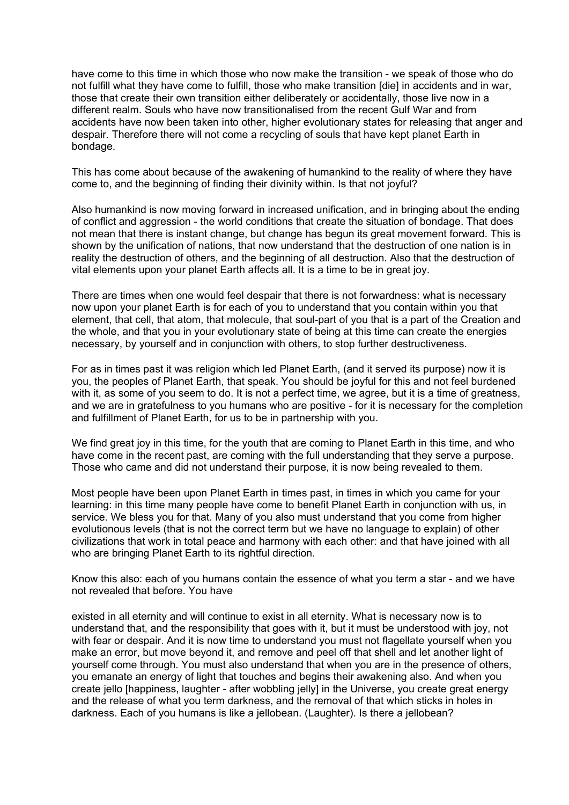have come to this time in which those who now make the transition - we speak of those who do not fulfill what they have come to fulfill, those who make transition [die] in accidents and in war, those that create their own transition either deliberately or accidentally, those live now in a different realm. Souls who have now transitionalised from the recent Gulf War and from accidents have now been taken into other, higher evolutionary states for releasing that anger and despair. Therefore there will not come a recycling of souls that have kept planet Earth in bondage.

This has come about because of the awakening of humankind to the reality of where they have come to, and the beginning of finding their divinity within. Is that not joyful?

Also humankind is now moving forward in increased unification, and in bringing about the ending of conflict and aggression - the world conditions that create the situation of bondage. That does not mean that there is instant change, but change has begun its great movement forward. This is shown by the unification of nations, that now understand that the destruction of one nation is in reality the destruction of others, and the beginning of all destruction. Also that the destruction of vital elements upon your planet Earth affects all. It is a time to be in great joy.

There are times when one would feel despair that there is not forwardness: what is necessary now upon your planet Earth is for each of you to understand that you contain within you that element, that cell, that atom, that molecule, that soul-part of you that is a part of the Creation and the whole, and that you in your evolutionary state of being at this time can create the energies necessary, by yourself and in conjunction with others, to stop further destructiveness.

For as in times past it was religion which led Planet Earth, (and it served its purpose) now it is you, the peoples of Planet Earth, that speak. You should be joyful for this and not feel burdened with it, as some of you seem to do. It is not a perfect time, we agree, but it is a time of greatness, and we are in gratefulness to you humans who are positive - for it is necessary for the completion and fulfillment of Planet Earth, for us to be in partnership with you.

We find great joy in this time, for the youth that are coming to Planet Earth in this time, and who have come in the recent past, are coming with the full understanding that they serve a purpose. Those who came and did not understand their purpose, it is now being revealed to them.

Most people have been upon Planet Earth in times past, in times in which you came for your learning: in this time many people have come to benefit Planet Earth in conjunction with us, in service. We bless you for that. Many of you also must understand that you come from higher evolutionous levels (that is not the correct term but we have no language to explain) of other civilizations that work in total peace and harmony with each other: and that have joined with all who are bringing Planet Earth to its rightful direction.

Know this also: each of you humans contain the essence of what you term a star - and we have not revealed that before. You have

existed in all eternity and will continue to exist in all eternity. What is necessary now is to understand that, and the responsibility that goes with it, but it must be understood with joy, not with fear or despair. And it is now time to understand you must not flagellate yourself when you make an error, but move beyond it, and remove and peel off that shell and let another light of yourself come through. You must also understand that when you are in the presence of others, you emanate an energy of light that touches and begins their awakening also. And when you create jello [happiness, laughter - after wobbling jelly] in the Universe, you create great energy and the release of what you term darkness, and the removal of that which sticks in holes in darkness. Each of you humans is like a jellobean. (Laughter). Is there a jellobean?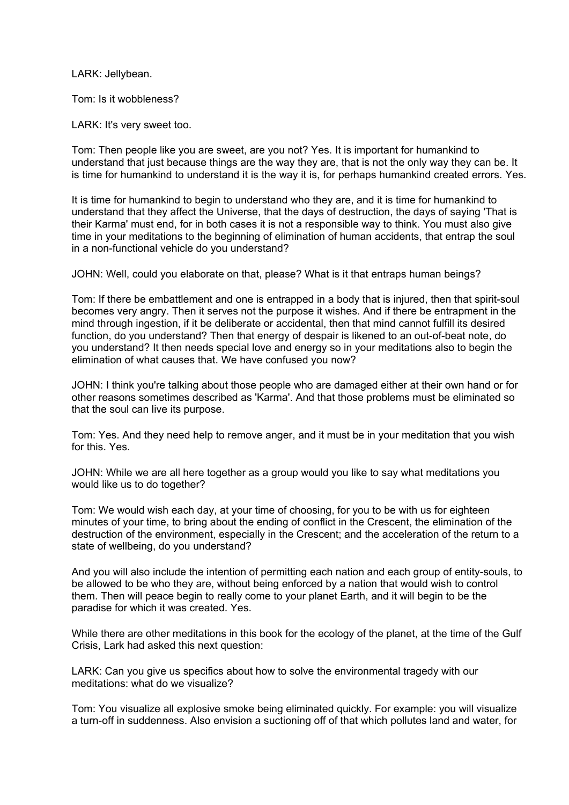LARK: Jellybean.

Tom: Is it wobbleness?

LARK: It's very sweet too.

Tom: Then people like you are sweet, are you not? Yes. It is important for humankind to understand that just because things are the way they are, that is not the only way they can be. It is time for humankind to understand it is the way it is, for perhaps humankind created errors. Yes.

It is time for humankind to begin to understand who they are, and it is time for humankind to understand that they affect the Universe, that the days of destruction, the days of saying 'That is their Karma' must end, for in both cases it is not a responsible way to think. You must also give time in your meditations to the beginning of elimination of human accidents, that entrap the soul in a non-functional vehicle do you understand?

JOHN: Well, could you elaborate on that, please? What is it that entraps human beings?

Tom: If there be embattlement and one is entrapped in a body that is injured, then that spirit-soul becomes very angry. Then it serves not the purpose it wishes. And if there be entrapment in the mind through ingestion, if it be deliberate or accidental, then that mind cannot fulfill its desired function, do you understand? Then that energy of despair is likened to an out-of-beat note, do you understand? It then needs special love and energy so in your meditations also to begin the elimination of what causes that. We have confused you now?

JOHN: I think you're talking about those people who are damaged either at their own hand or for other reasons sometimes described as 'Karma'. And that those problems must be eliminated so that the soul can live its purpose.

Tom: Yes. And they need help to remove anger, and it must be in your meditation that you wish for this. Yes.

JOHN: While we are all here together as a group would you like to say what meditations you would like us to do together?

Tom: We would wish each day, at your time of choosing, for you to be with us for eighteen minutes of your time, to bring about the ending of conflict in the Crescent, the elimination of the destruction of the environment, especially in the Crescent; and the acceleration of the return to a state of wellbeing, do you understand?

And you will also include the intention of permitting each nation and each group of entity-souls, to be allowed to be who they are, without being enforced by a nation that would wish to control them. Then will peace begin to really come to your planet Earth, and it will begin to be the paradise for which it was created. Yes.

While there are other meditations in this book for the ecology of the planet, at the time of the Gulf Crisis, Lark had asked this next question:

LARK: Can you give us specifics about how to solve the environmental tragedy with our meditations: what do we visualize?

Tom: You visualize all explosive smoke being eliminated quickly. For example: you will visualize a turn-off in suddenness. Also envision a suctioning off of that which pollutes land and water, for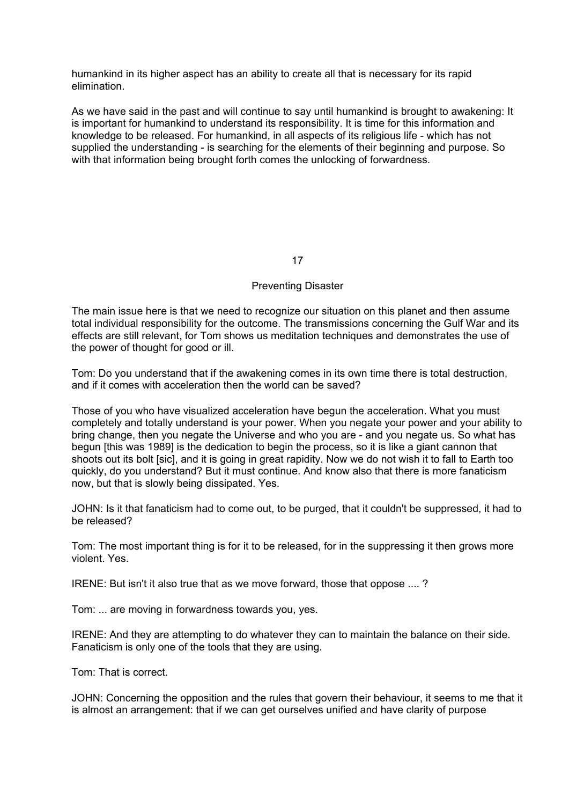humankind in its higher aspect has an ability to create all that is necessary for its rapid elimination.

As we have said in the past and will continue to say until humankind is brought to awakening: It is important for humankind to understand its responsibility. It is time for this information and knowledge to be released. For humankind, in all aspects of its religious life - which has not supplied the understanding - is searching for the elements of their beginning and purpose. So with that information being brought forth comes the unlocking of forwardness.

17

### Preventing Disaster

The main issue here is that we need to recognize our situation on this planet and then assume total individual responsibility for the outcome. The transmissions concerning the Gulf War and its effects are still relevant, for Tom shows us meditation techniques and demonstrates the use of the power of thought for good or ill.

Tom: Do you understand that if the awakening comes in its own time there is total destruction, and if it comes with acceleration then the world can be saved?

Those of you who have visualized acceleration have begun the acceleration. What you must completely and totally understand is your power. When you negate your power and your ability to bring change, then you negate the Universe and who you are - and you negate us. So what has begun [this was 1989] is the dedication to begin the process, so it is like a giant cannon that shoots out its bolt [sic], and it is going in great rapidity. Now we do not wish it to fall to Earth too quickly, do you understand? But it must continue. And know also that there is more fanaticism now, but that is slowly being dissipated. Yes.

JOHN: Is it that fanaticism had to come out, to be purged, that it couldn't be suppressed, it had to be released?

Tom: The most important thing is for it to be released, for in the suppressing it then grows more violent. Yes.

IRENE: But isn't it also true that as we move forward, those that oppose .... ?

Tom: ... are moving in forwardness towards you, yes.

IRENE: And they are attempting to do whatever they can to maintain the balance on their side. Fanaticism is only one of the tools that they are using.

Tom: That is correct.

JOHN: Concerning the opposition and the rules that govern their behaviour, it seems to me that it is almost an arrangement: that if we can get ourselves unified and have clarity of purpose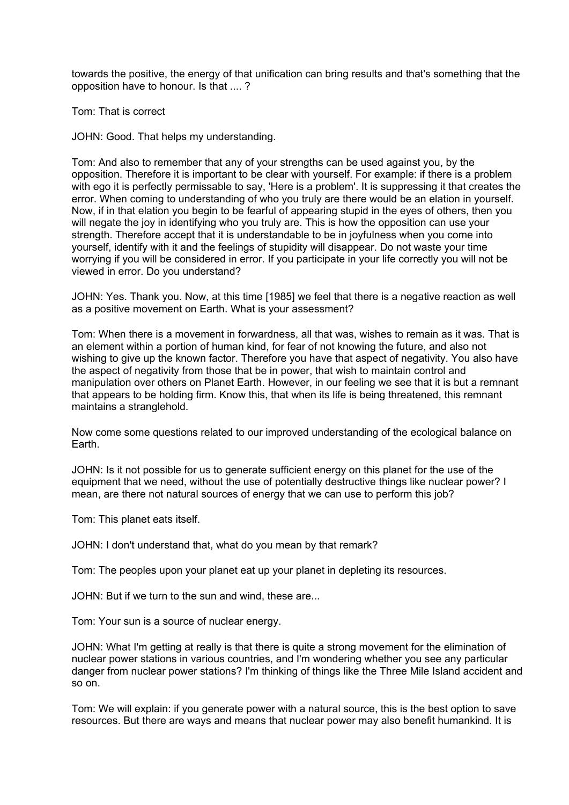towards the positive, the energy of that unification can bring results and that's something that the opposition have to honour. Is that .... ?

Tom: That is correct

JOHN: Good. That helps my understanding.

Tom: And also to remember that any of your strengths can be used against you, by the opposition. Therefore it is important to be clear with yourself. For example: if there is a problem with ego it is perfectly permissable to say, 'Here is a problem'. It is suppressing it that creates the error. When coming to understanding of who you truly are there would be an elation in yourself. Now, if in that elation you begin to be fearful of appearing stupid in the eyes of others, then you will negate the joy in identifying who you truly are. This is how the opposition can use your strength. Therefore accept that it is understandable to be in joyfulness when you come into yourself, identify with it and the feelings of stupidity will disappear. Do not waste your time worrying if you will be considered in error. If you participate in your life correctly you will not be viewed in error. Do you understand?

JOHN: Yes. Thank you. Now, at this time [1985] we feel that there is a negative reaction as well as a positive movement on Earth. What is your assessment?

Tom: When there is a movement in forwardness, all that was, wishes to remain as it was. That is an element within a portion of human kind, for fear of not knowing the future, and also not wishing to give up the known factor. Therefore you have that aspect of negativity. You also have the aspect of negativity from those that be in power, that wish to maintain control and manipulation over others on Planet Earth. However, in our feeling we see that it is but a remnant that appears to be holding firm. Know this, that when its life is being threatened, this remnant maintains a stranglehold.

Now come some questions related to our improved understanding of the ecological balance on Earth.

JOHN: Is it not possible for us to generate sufficient energy on this planet for the use of the equipment that we need, without the use of potentially destructive things like nuclear power? I mean, are there not natural sources of energy that we can use to perform this job?

Tom: This planet eats itself.

JOHN: I don't understand that, what do you mean by that remark?

Tom: The peoples upon your planet eat up your planet in depleting its resources.

JOHN: But if we turn to the sun and wind, these are...

Tom: Your sun is a source of nuclear energy.

JOHN: What I'm getting at really is that there is quite a strong movement for the elimination of nuclear power stations in various countries, and I'm wondering whether you see any particular danger from nuclear power stations? I'm thinking of things like the Three Mile Island accident and so on.

Tom: We will explain: if you generate power with a natural source, this is the best option to save resources. But there are ways and means that nuclear power may also benefit humankind. It is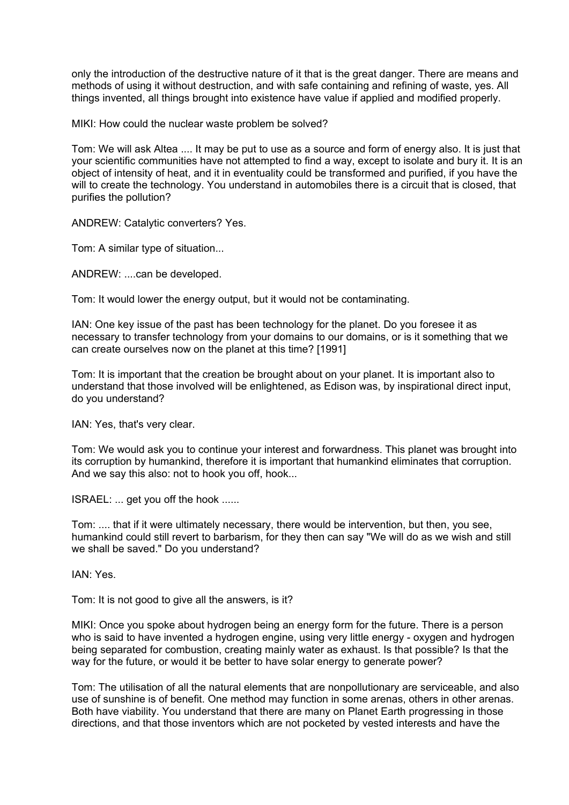only the introduction of the destructive nature of it that is the great danger. There are means and methods of using it without destruction, and with safe containing and refining of waste, yes. All things invented, all things brought into existence have value if applied and modified properly.

MIKI: How could the nuclear waste problem be solved?

Tom: We will ask Altea .... It may be put to use as a source and form of energy also. It is just that your scientific communities have not attempted to find a way, except to isolate and bury it. It is an object of intensity of heat, and it in eventuality could be transformed and purified, if you have the will to create the technology. You understand in automobiles there is a circuit that is closed, that purifies the pollution?

ANDREW: Catalytic converters? Yes.

Tom: A similar type of situation...

ANDREW: ....can be developed.

Tom: It would lower the energy output, but it would not be contaminating.

IAN: One key issue of the past has been technology for the planet. Do you foresee it as necessary to transfer technology from your domains to our domains, or is it something that we can create ourselves now on the planet at this time? [1991]

Tom: It is important that the creation be brought about on your planet. It is important also to understand that those involved will be enlightened, as Edison was, by inspirational direct input, do you understand?

IAN: Yes, that's very clear.

Tom: We would ask you to continue your interest and forwardness. This planet was brought into its corruption by humankind, therefore it is important that humankind eliminates that corruption. And we say this also: not to hook you off, hook...

ISRAEL: ... get you off the hook ......

Tom: .... that if it were ultimately necessary, there would be intervention, but then, you see, humankind could still revert to barbarism, for they then can say "We will do as we wish and still we shall be saved." Do you understand?

IAN: Yes.

Tom: It is not good to give all the answers, is it?

MIKI: Once you spoke about hydrogen being an energy form for the future. There is a person who is said to have invented a hydrogen engine, using very little energy - oxygen and hydrogen being separated for combustion, creating mainly water as exhaust. Is that possible? Is that the way for the future, or would it be better to have solar energy to generate power?

Tom: The utilisation of all the natural elements that are nonpollutionary are serviceable, and also use of sunshine is of benefit. One method may function in some arenas, others in other arenas. Both have viability. You understand that there are many on Planet Earth progressing in those directions, and that those inventors which are not pocketed by vested interests and have the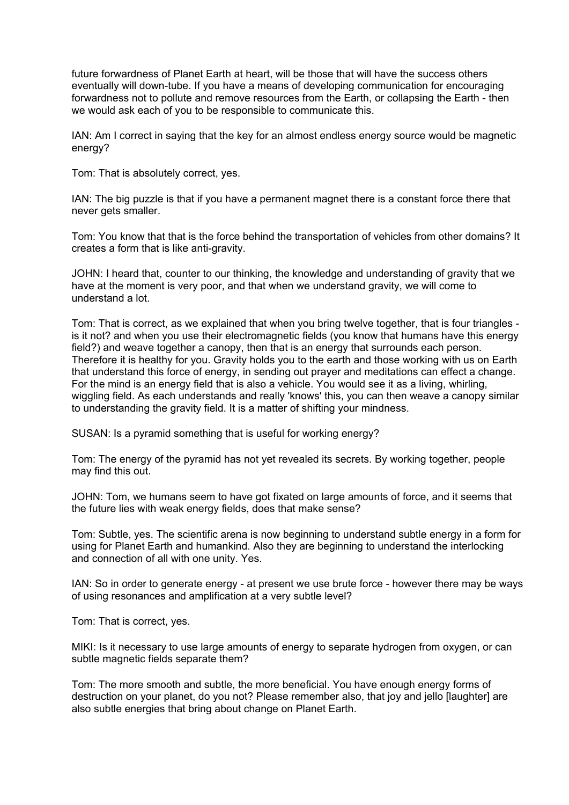future forwardness of Planet Earth at heart, will be those that will have the success others eventually will down-tube. If you have a means of developing communication for encouraging forwardness not to pollute and remove resources from the Earth, or collapsing the Earth - then we would ask each of you to be responsible to communicate this.

IAN: Am I correct in saying that the key for an almost endless energy source would be magnetic energy?

Tom: That is absolutely correct, yes.

IAN: The big puzzle is that if you have a permanent magnet there is a constant force there that never gets smaller.

Tom: You know that that is the force behind the transportation of vehicles from other domains? It creates a form that is like anti-gravity.

JOHN: I heard that, counter to our thinking, the knowledge and understanding of gravity that we have at the moment is very poor, and that when we understand gravity, we will come to understand a lot.

Tom: That is correct, as we explained that when you bring twelve together, that is four triangles is it not? and when you use their electromagnetic fields (you know that humans have this energy field?) and weave together a canopy, then that is an energy that surrounds each person. Therefore it is healthy for you. Gravity holds you to the earth and those working with us on Earth that understand this force of energy, in sending out prayer and meditations can effect a change. For the mind is an energy field that is also a vehicle. You would see it as a living, whirling, wiggling field. As each understands and really 'knows' this, you can then weave a canopy similar to understanding the gravity field. It is a matter of shifting your mindness.

SUSAN: Is a pyramid something that is useful for working energy?

Tom: The energy of the pyramid has not yet revealed its secrets. By working together, people may find this out.

JOHN: Tom, we humans seem to have got fixated on large amounts of force, and it seems that the future lies with weak energy fields, does that make sense?

Tom: Subtle, yes. The scientific arena is now beginning to understand subtle energy in a form for using for Planet Earth and humankind. Also they are beginning to understand the interlocking and connection of all with one unity. Yes.

IAN: So in order to generate energy - at present we use brute force - however there may be ways of using resonances and amplification at a very subtle level?

Tom: That is correct, yes.

MIKI: Is it necessary to use large amounts of energy to separate hydrogen from oxygen, or can subtle magnetic fields separate them?

Tom: The more smooth and subtle, the more beneficial. You have enough energy forms of destruction on your planet, do you not? Please remember also, that joy and jello [laughter] are also subtle energies that bring about change on Planet Earth.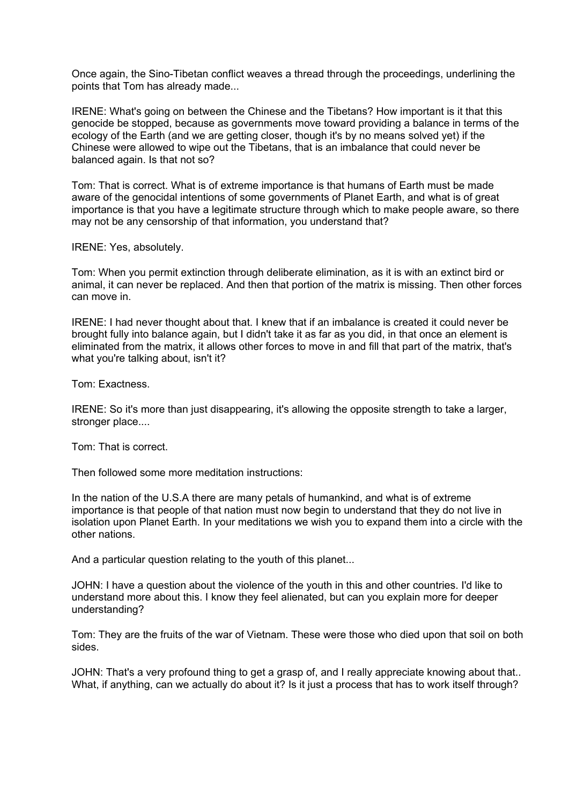Once again, the Sino-Tibetan conflict weaves a thread through the proceedings, underlining the points that Tom has already made...

IRENE: What's going on between the Chinese and the Tibetans? How important is it that this genocide be stopped, because as governments move toward providing a balance in terms of the ecology of the Earth (and we are getting closer, though it's by no means solved yet) if the Chinese were allowed to wipe out the Tibetans, that is an imbalance that could never be balanced again. Is that not so?

Tom: That is correct. What is of extreme importance is that humans of Earth must be made aware of the genocidal intentions of some governments of Planet Earth, and what is of great importance is that you have a legitimate structure through which to make people aware, so there may not be any censorship of that information, you understand that?

IRENE: Yes, absolutely.

Tom: When you permit extinction through deliberate elimination, as it is with an extinct bird or animal, it can never be replaced. And then that portion of the matrix is missing. Then other forces can move in.

IRENE: I had never thought about that. I knew that if an imbalance is created it could never be brought fully into balance again, but I didn't take it as far as you did, in that once an element is eliminated from the matrix, it allows other forces to move in and fill that part of the matrix, that's what you're talking about, isn't it?

Tom: Exactness.

IRENE: So it's more than just disappearing, it's allowing the opposite strength to take a larger, stronger place....

Tom: That is correct.

Then followed some more meditation instructions:

In the nation of the U.S.A there are many petals of humankind, and what is of extreme importance is that people of that nation must now begin to understand that they do not live in isolation upon Planet Earth. In your meditations we wish you to expand them into a circle with the other nations.

And a particular question relating to the youth of this planet...

JOHN: I have a question about the violence of the youth in this and other countries. I'd like to understand more about this. I know they feel alienated, but can you explain more for deeper understanding?

Tom: They are the fruits of the war of Vietnam. These were those who died upon that soil on both sides.

JOHN: That's a very profound thing to get a grasp of, and I really appreciate knowing about that.. What, if anything, can we actually do about it? Is it just a process that has to work itself through?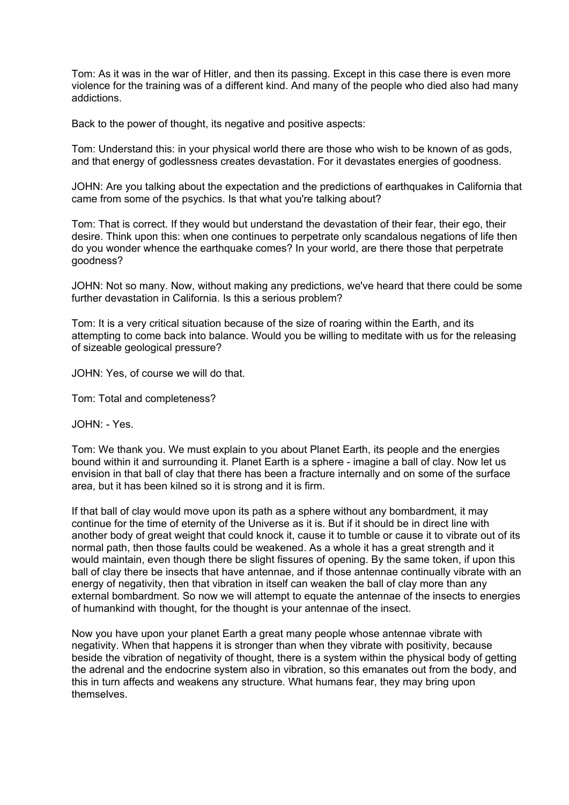Tom: As it was in the war of Hitler, and then its passing. Except in this case there is even more violence for the training was of a different kind. And many of the people who died also had many addictions.

Back to the power of thought, its negative and positive aspects:

Tom: Understand this: in your physical world there are those who wish to be known of as gods, and that energy of godlessness creates devastation. For it devastates energies of goodness.

JOHN: Are you talking about the expectation and the predictions of earthquakes in California that came from some of the psychics. Is that what you're talking about?

Tom: That is correct. If they would but understand the devastation of their fear, their ego, their desire. Think upon this: when one continues to perpetrate only scandalous negations of life then do you wonder whence the earthquake comes? In your world, are there those that perpetrate goodness?

JOHN: Not so many. Now, without making any predictions, we've heard that there could be some further devastation in California. Is this a serious problem?

Tom: It is a very critical situation because of the size of roaring within the Earth, and its attempting to come back into balance. Would you be willing to meditate with us for the releasing of sizeable geological pressure?

JOHN: Yes, of course we will do that.

Tom: Total and completeness?

JOHN: - Yes.

Tom: We thank you. We must explain to you about Planet Earth, its people and the energies bound within it and surrounding it. Planet Earth is a sphere - imagine a ball of clay. Now let us envision in that ball of clay that there has been a fracture internally and on some of the surface area, but it has been kilned so it is strong and it is firm.

If that ball of clay would move upon its path as a sphere without any bombardment, it may continue for the time of eternity of the Universe as it is. But if it should be in direct line with another body of great weight that could knock it, cause it to tumble or cause it to vibrate out of its normal path, then those faults could be weakened. As a whole it has a great strength and it would maintain, even though there be slight fissures of opening. By the same token, if upon this ball of clay there be insects that have antennae, and if those antennae continually vibrate with an energy of negativity, then that vibration in itself can weaken the ball of clay more than any external bombardment. So now we will attempt to equate the antennae of the insects to energies of humankind with thought, for the thought is your antennae of the insect.

Now you have upon your planet Earth a great many people whose antennae vibrate with negativity. When that happens it is stronger than when they vibrate with positivity, because beside the vibration of negativity of thought, there is a system within the physical body of getting the adrenal and the endocrine system also in vibration, so this emanates out from the body, and this in turn affects and weakens any structure. What humans fear, they may bring upon themselves.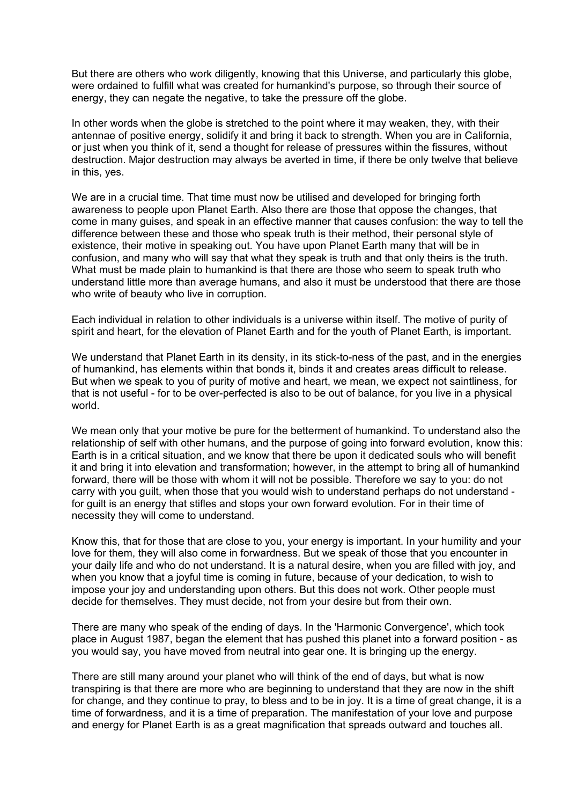But there are others who work diligently, knowing that this Universe, and particularly this globe, were ordained to fulfill what was created for humankind's purpose, so through their source of energy, they can negate the negative, to take the pressure off the globe.

In other words when the globe is stretched to the point where it may weaken, they, with their antennae of positive energy, solidify it and bring it back to strength. When you are in California, or just when you think of it, send a thought for release of pressures within the fissures, without destruction. Major destruction may always be averted in time, if there be only twelve that believe in this, yes.

We are in a crucial time. That time must now be utilised and developed for bringing forth awareness to people upon Planet Earth. Also there are those that oppose the changes, that come in many guises, and speak in an effective manner that causes confusion: the way to tell the difference between these and those who speak truth is their method, their personal style of existence, their motive in speaking out. You have upon Planet Earth many that will be in confusion, and many who will say that what they speak is truth and that only theirs is the truth. What must be made plain to humankind is that there are those who seem to speak truth who understand little more than average humans, and also it must be understood that there are those who write of beauty who live in corruption.

Each individual in relation to other individuals is a universe within itself. The motive of purity of spirit and heart, for the elevation of Planet Earth and for the youth of Planet Earth, is important.

We understand that Planet Earth in its density, in its stick-to-ness of the past, and in the energies of humankind, has elements within that bonds it, binds it and creates areas difficult to release. But when we speak to you of purity of motive and heart, we mean, we expect not saintliness, for that is not useful - for to be over-perfected is also to be out of balance, for you live in a physical world.

We mean only that your motive be pure for the betterment of humankind. To understand also the relationship of self with other humans, and the purpose of going into forward evolution, know this: Earth is in a critical situation, and we know that there be upon it dedicated souls who will benefit it and bring it into elevation and transformation; however, in the attempt to bring all of humankind forward, there will be those with whom it will not be possible. Therefore we say to you: do not carry with you guilt, when those that you would wish to understand perhaps do not understand for guilt is an energy that stifles and stops your own forward evolution. For in their time of necessity they will come to understand.

Know this, that for those that are close to you, your energy is important. In your humility and your love for them, they will also come in forwardness. But we speak of those that you encounter in your daily life and who do not understand. It is a natural desire, when you are filled with joy, and when you know that a joyful time is coming in future, because of your dedication, to wish to impose your joy and understanding upon others. But this does not work. Other people must decide for themselves. They must decide, not from your desire but from their own.

There are many who speak of the ending of days. In the 'Harmonic Convergence', which took place in August 1987, began the element that has pushed this planet into a forward position - as you would say, you have moved from neutral into gear one. It is bringing up the energy.

There are still many around your planet who will think of the end of days, but what is now transpiring is that there are more who are beginning to understand that they are now in the shift for change, and they continue to pray, to bless and to be in joy. It is a time of great change, it is a time of forwardness, and it is a time of preparation. The manifestation of your love and purpose and energy for Planet Earth is as a great magnification that spreads outward and touches all.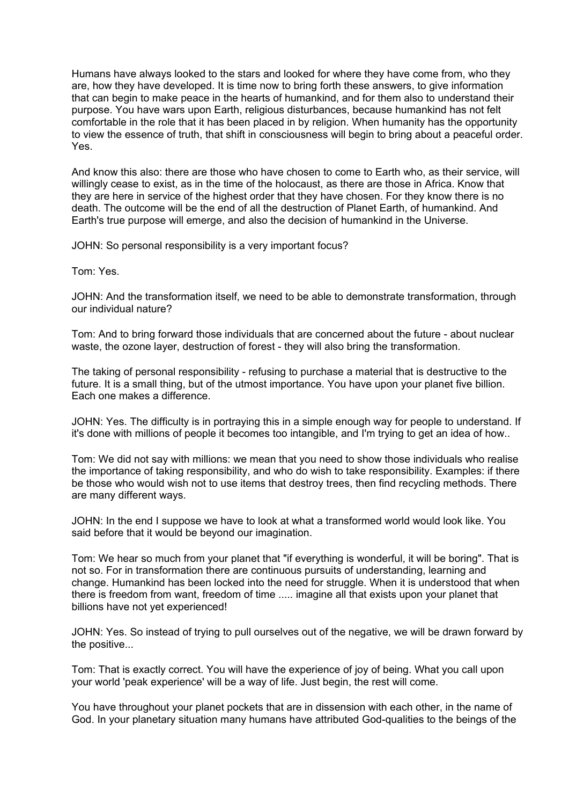Humans have always looked to the stars and looked for where they have come from, who they are, how they have developed. It is time now to bring forth these answers, to give information that can begin to make peace in the hearts of humankind, and for them also to understand their purpose. You have wars upon Earth, religious disturbances, because humankind has not felt comfortable in the role that it has been placed in by religion. When humanity has the opportunity to view the essence of truth, that shift in consciousness will begin to bring about a peaceful order. Yes.

And know this also: there are those who have chosen to come to Earth who, as their service, will willingly cease to exist, as in the time of the holocaust, as there are those in Africa. Know that they are here in service of the highest order that they have chosen. For they know there is no death. The outcome will be the end of all the destruction of Planet Earth, of humankind. And Earth's true purpose will emerge, and also the decision of humankind in the Universe.

JOHN: So personal responsibility is a very important focus?

Tom: Yes.

JOHN: And the transformation itself, we need to be able to demonstrate transformation, through our individual nature?

Tom: And to bring forward those individuals that are concerned about the future - about nuclear waste, the ozone layer, destruction of forest - they will also bring the transformation.

The taking of personal responsibility - refusing to purchase a material that is destructive to the future. It is a small thing, but of the utmost importance. You have upon your planet five billion. Each one makes a difference.

JOHN: Yes. The difficulty is in portraying this in a simple enough way for people to understand. If it's done with millions of people it becomes too intangible, and I'm trying to get an idea of how..

Tom: We did not say with millions: we mean that you need to show those individuals who realise the importance of taking responsibility, and who do wish to take responsibility. Examples: if there be those who would wish not to use items that destroy trees, then find recycling methods. There are many different ways.

JOHN: In the end I suppose we have to look at what a transformed world would look like. You said before that it would be beyond our imagination.

Tom: We hear so much from your planet that "if everything is wonderful, it will be boring". That is not so. For in transformation there are continuous pursuits of understanding, learning and change. Humankind has been locked into the need for struggle. When it is understood that when there is freedom from want, freedom of time ..... imagine all that exists upon your planet that billions have not yet experienced!

JOHN: Yes. So instead of trying to pull ourselves out of the negative, we will be drawn forward by the positive...

Tom: That is exactly correct. You will have the experience of joy of being. What you call upon your world 'peak experience' will be a way of life. Just begin, the rest will come.

You have throughout your planet pockets that are in dissension with each other, in the name of God. In your planetary situation many humans have attributed God-qualities to the beings of the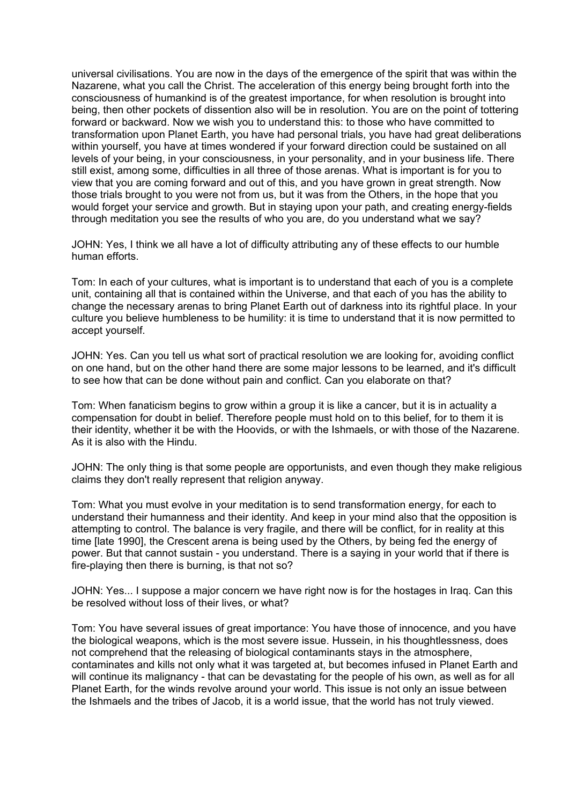universal civilisations. You are now in the days of the emergence of the spirit that was within the Nazarene, what you call the Christ. The acceleration of this energy being brought forth into the consciousness of humankind is of the greatest importance, for when resolution is brought into being, then other pockets of dissention also will be in resolution. You are on the point of tottering forward or backward. Now we wish you to understand this: to those who have committed to transformation upon Planet Earth, you have had personal trials, you have had great deliberations within yourself, you have at times wondered if your forward direction could be sustained on all levels of your being, in your consciousness, in your personality, and in your business life. There still exist, among some, difficulties in all three of those arenas. What is important is for you to view that you are coming forward and out of this, and you have grown in great strength. Now those trials brought to you were not from us, but it was from the Others, in the hope that you would forget your service and growth. But in staying upon your path, and creating energy-fields through meditation you see the results of who you are, do you understand what we say?

JOHN: Yes, I think we all have a lot of difficulty attributing any of these effects to our humble human efforts.

Tom: In each of your cultures, what is important is to understand that each of you is a complete unit, containing all that is contained within the Universe, and that each of you has the ability to change the necessary arenas to bring Planet Earth out of darkness into its rightful place. In your culture you believe humbleness to be humility: it is time to understand that it is now permitted to accept yourself.

JOHN: Yes. Can you tell us what sort of practical resolution we are looking for, avoiding conflict on one hand, but on the other hand there are some major lessons to be learned, and it's difficult to see how that can be done without pain and conflict. Can you elaborate on that?

Tom: When fanaticism begins to grow within a group it is like a cancer, but it is in actuality a compensation for doubt in belief. Therefore people must hold on to this belief, for to them it is their identity, whether it be with the Hoovids, or with the Ishmaels, or with those of the Nazarene. As it is also with the Hindu.

JOHN: The only thing is that some people are opportunists, and even though they make religious claims they don't really represent that religion anyway.

Tom: What you must evolve in your meditation is to send transformation energy, for each to understand their humanness and their identity. And keep in your mind also that the opposition is attempting to control. The balance is very fragile, and there will be conflict, for in reality at this time [late 1990], the Crescent arena is being used by the Others, by being fed the energy of power. But that cannot sustain - you understand. There is a saying in your world that if there is fire-playing then there is burning, is that not so?

JOHN: Yes... I suppose a major concern we have right now is for the hostages in Iraq. Can this be resolved without loss of their lives, or what?

Tom: You have several issues of great importance: You have those of innocence, and you have the biological weapons, which is the most severe issue. Hussein, in his thoughtlessness, does not comprehend that the releasing of biological contaminants stays in the atmosphere, contaminates and kills not only what it was targeted at, but becomes infused in Planet Earth and will continue its malignancy - that can be devastating for the people of his own, as well as for all Planet Earth, for the winds revolve around your world. This issue is not only an issue between the Ishmaels and the tribes of Jacob, it is a world issue, that the world has not truly viewed.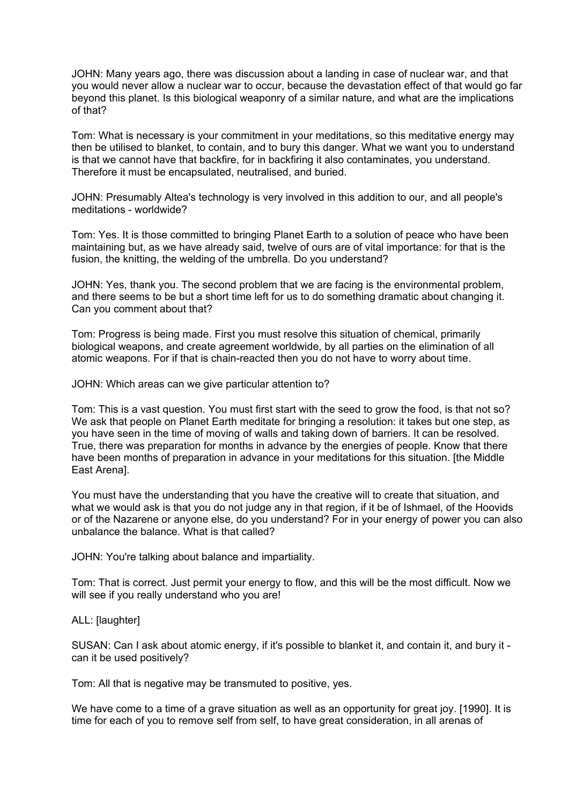JOHN: Many years ago, there was discussion about a landing in case of nuclear war, and that you would never allow a nuclear war to occur, because the devastation effect of that would go far beyond this planet. Is this biological weaponry of a similar nature, and what are the implications of that?

Tom: What is necessary is your commitment in your meditations, so this meditative energy may then be utilised to blanket, to contain, and to bury this danger. What we want you to understand is that we cannot have that backfire, for in backfiring it also contaminates, you understand. Therefore it must be encapsulated, neutralised, and buried.

JOHN: Presumably Altea's technology is very involved in this addition to our, and all people's meditations - worldwide?

Tom: Yes. It is those committed to bringing Planet Earth to a solution of peace who have been maintaining but, as we have already said, twelve of ours are of vital importance: for that is the fusion, the knitting, the welding of the umbrella. Do you understand?

JOHN: Yes, thank you. The second problem that we are facing is the environmental problem, and there seems to be but a short time left for us to do something dramatic about changing it. Can you comment about that?

Tom: Progress is being made. First you must resolve this situation of chemical, primarily biological weapons, and create agreement worldwide, by all parties on the elimination of all atomic weapons. For if that is chain-reacted then you do not have to worry about time.

JOHN: Which areas can we give particular attention to?

Tom: This is a vast question. You must first start with the seed to grow the food, is that not so? We ask that people on Planet Earth meditate for bringing a resolution: it takes but one step, as you have seen in the time of moving of walls and taking down of barriers. It can be resolved. True, there was preparation for months in advance by the energies of people. Know that there have been months of preparation in advance in your meditations for this situation. [the Middle East Arena].

You must have the understanding that you have the creative will to create that situation, and what we would ask is that you do not judge any in that region, if it be of Ishmael, of the Hoovids or of the Nazarene or anyone else, do you understand? For in your energy of power you can also unbalance the balance. What is that called?

JOHN: You're talking about balance and impartiality.

Tom: That is correct. Just permit your energy to flow, and this will be the most difficult. Now we will see if you really understand who you are!

ALL: [laughter]

SUSAN: Can I ask about atomic energy, if it's possible to blanket it, and contain it, and bury it can it be used positively?

Tom: All that is negative may be transmuted to positive, yes.

We have come to a time of a grave situation as well as an opportunity for great joy. [1990]. It is time for each of you to remove self from self, to have great consideration, in all arenas of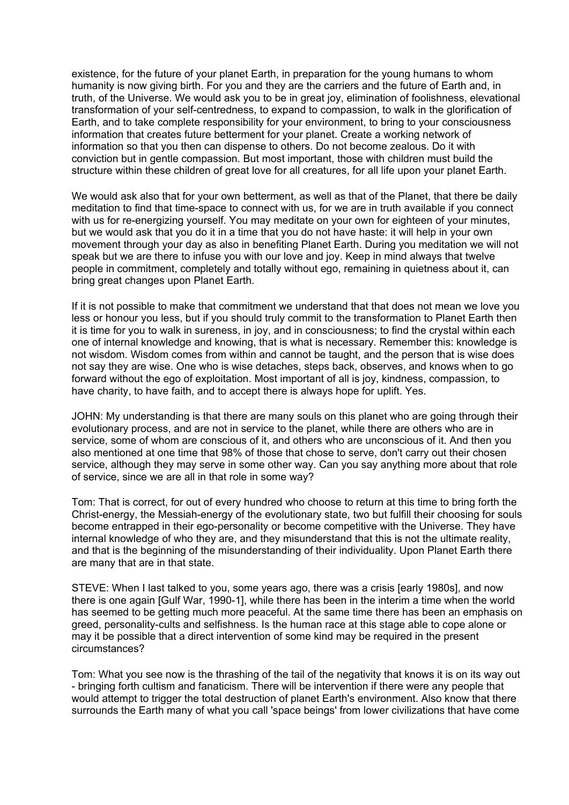existence, for the future of your planet Earth, in preparation for the young humans to whom humanity is now giving birth. For you and they are the carriers and the future of Earth and, in truth, of the Universe. We would ask you to be in great joy, elimination of foolishness, elevational transformation of your self-centredness, to expand to compassion, to walk in the glorification of Earth, and to take complete responsibility for your environment, to bring to your consciousness information that creates future betterment for your planet. Create a working network of information so that you then can dispense to others. Do not become zealous. Do it with conviction but in gentle compassion. But most important, those with children must build the structure within these children of great love for all creatures, for all life upon your planet Earth.

We would ask also that for your own betterment, as well as that of the Planet, that there be daily meditation to find that time-space to connect with us, for we are in truth available if you connect with us for re-energizing yourself. You may meditate on your own for eighteen of your minutes, but we would ask that you do it in a time that you do not have haste: it will help in your own movement through your day as also in benefiting Planet Earth. During you meditation we will not speak but we are there to infuse you with our love and joy. Keep in mind always that twelve people in commitment, completely and totally without ego, remaining in quietness about it, can bring great changes upon Planet Earth.

If it is not possible to make that commitment we understand that that does not mean we love you less or honour you less, but if you should truly commit to the transformation to Planet Earth then it is time for you to walk in sureness, in joy, and in consciousness; to find the crystal within each one of internal knowledge and knowing, that is what is necessary. Remember this: knowledge is not wisdom. Wisdom comes from within and cannot be taught, and the person that is wise does not say they are wise. One who is wise detaches, steps back, observes, and knows when to go forward without the ego of exploitation. Most important of all is joy, kindness, compassion, to have charity, to have faith, and to accept there is always hope for uplift. Yes.

JOHN: My understanding is that there are many souls on this planet who are going through their evolutionary process, and are not in service to the planet, while there are others who are in service, some of whom are conscious of it, and others who are unconscious of it. And then you also mentioned at one time that 98% of those that chose to serve, don't carry out their chosen service, although they may serve in some other way. Can you say anything more about that role of service, since we are all in that role in some way?

Tom: That is correct, for out of every hundred who choose to return at this time to bring forth the Christ-energy, the Messiah-energy of the evolutionary state, two but fulfill their choosing for souls become entrapped in their ego-personality or become competitive with the Universe. They have internal knowledge of who they are, and they misunderstand that this is not the ultimate reality, and that is the beginning of the misunderstanding of their individuality. Upon Planet Earth there are many that are in that state.

STEVE: When I last talked to you, some years ago, there was a crisis [early 1980s], and now there is one again [Gulf War, 1990-1], while there has been in the interim a time when the world has seemed to be getting much more peaceful. At the same time there has been an emphasis on greed, personality-cults and selfishness. Is the human race at this stage able to cope alone or may it be possible that a direct intervention of some kind may be required in the present circumstances?

Tom: What you see now is the thrashing of the tail of the negativity that knows it is on its way out - bringing forth cultism and fanaticism. There will be intervention if there were any people that would attempt to trigger the total destruction of planet Earth's environment. Also know that there surrounds the Earth many of what you call 'space beings' from lower civilizations that have come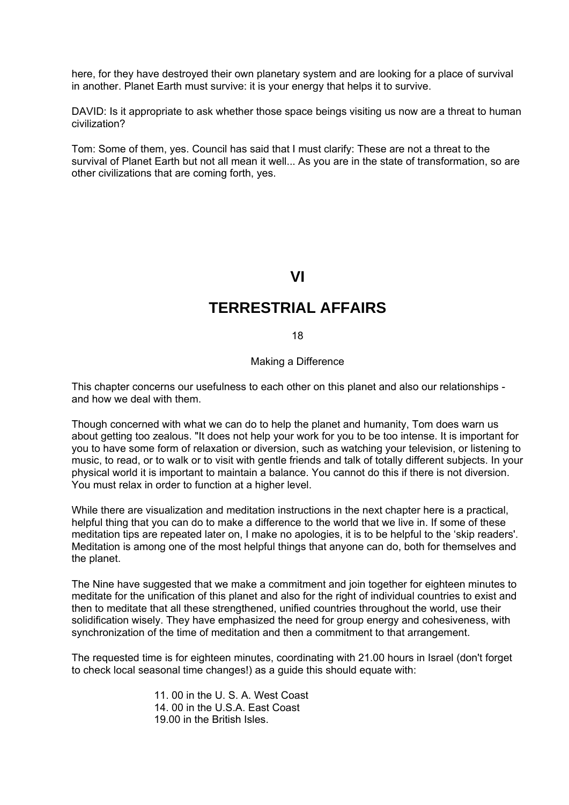here, for they have destroyed their own planetary system and are looking for a place of survival in another. Planet Earth must survive: it is your energy that helps it to survive.

DAVID: Is it appropriate to ask whether those space beings visiting us now are a threat to human civilization?

Tom: Some of them, yes. Council has said that I must clarify: These are not a threat to the survival of Planet Earth but not all mean it well... As you are in the state of transformation, so are other civilizations that are coming forth, yes.

## **VI**

# **TERRESTRIAL AFFAIRS**

## 18

## Making a Difference

This chapter concerns our usefulness to each other on this planet and also our relationships and how we deal with them.

Though concerned with what we can do to help the planet and humanity, Tom does warn us about getting too zealous. "It does not help your work for you to be too intense. It is important for you to have some form of relaxation or diversion, such as watching your television, or listening to music, to read, or to walk or to visit with gentle friends and talk of totally different subjects. In your physical world it is important to maintain a balance. You cannot do this if there is not diversion. You must relax in order to function at a higher level.

While there are visualization and meditation instructions in the next chapter here is a practical, helpful thing that you can do to make a difference to the world that we live in. If some of these meditation tips are repeated later on, I make no apologies, it is to be helpful to the 'skip readers'. Meditation is among one of the most helpful things that anyone can do, both for themselves and the planet.

The Nine have suggested that we make a commitment and join together for eighteen minutes to meditate for the unification of this planet and also for the right of individual countries to exist and then to meditate that all these strengthened, unified countries throughout the world, use their solidification wisely. They have emphasized the need for group energy and cohesiveness, with synchronization of the time of meditation and then a commitment to that arrangement.

The requested time is for eighteen minutes, coordinating with 21.00 hours in Israel (don't forget to check local seasonal time changes!) as a guide this should equate with:

> 11. 00 in the U. S. A. West Coast 14. 00 in the U.S.A. East Coast 19.00 in the British Isles.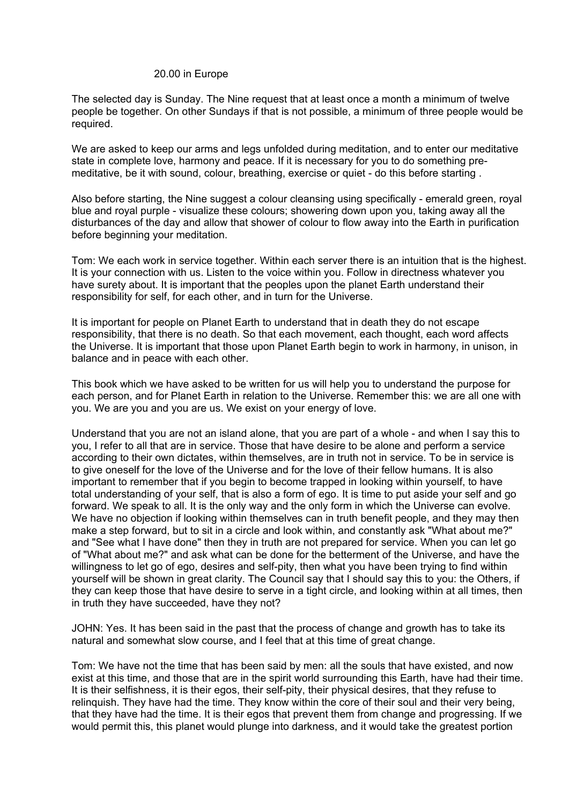#### 20.00 in Europe

The selected day is Sunday. The Nine request that at least once a month a minimum of twelve people be together. On other Sundays if that is not possible, a minimum of three people would be required.

We are asked to keep our arms and legs unfolded during meditation, and to enter our meditative state in complete love, harmony and peace. If it is necessary for you to do something premeditative, be it with sound, colour, breathing, exercise or quiet - do this before starting .

Also before starting, the Nine suggest a colour cleansing using specifically - emerald green, royal blue and royal purple - visualize these colours; showering down upon you, taking away all the disturbances of the day and allow that shower of colour to flow away into the Earth in purification before beginning your meditation.

Tom: We each work in service together. Within each server there is an intuition that is the highest. It is your connection with us. Listen to the voice within you. Follow in directness whatever you have surety about. It is important that the peoples upon the planet Earth understand their responsibility for self, for each other, and in turn for the Universe.

It is important for people on Planet Earth to understand that in death they do not escape responsibility, that there is no death. So that each movement, each thought, each word affects the Universe. It is important that those upon Planet Earth begin to work in harmony, in unison, in balance and in peace with each other.

This book which we have asked to be written for us will help you to understand the purpose for each person, and for Planet Earth in relation to the Universe. Remember this: we are all one with you. We are you and you are us. We exist on your energy of love.

Understand that you are not an island alone, that you are part of a whole - and when I say this to you, I refer to all that are in service. Those that have desire to be alone and perform a service according to their own dictates, within themselves, are in truth not in service. To be in service is to give oneself for the love of the Universe and for the love of their fellow humans. It is also important to remember that if you begin to become trapped in looking within yourself, to have total understanding of your self, that is also a form of ego. It is time to put aside your self and go forward. We speak to all. It is the only way and the only form in which the Universe can evolve. We have no objection if looking within themselves can in truth benefit people, and they may then make a step forward, but to sit in a circle and look within, and constantly ask "What about me?" and "See what I have done" then they in truth are not prepared for service. When you can let go of "What about me?" and ask what can be done for the betterment of the Universe, and have the willingness to let go of ego, desires and self-pity, then what you have been trying to find within yourself will be shown in great clarity. The Council say that I should say this to you: the Others, if they can keep those that have desire to serve in a tight circle, and looking within at all times, then in truth they have succeeded, have they not?

JOHN: Yes. It has been said in the past that the process of change and growth has to take its natural and somewhat slow course, and I feel that at this time of great change.

Tom: We have not the time that has been said by men: all the souls that have existed, and now exist at this time, and those that are in the spirit world surrounding this Earth, have had their time. It is their selfishness, it is their egos, their self-pity, their physical desires, that they refuse to relinquish. They have had the time. They know within the core of their soul and their very being, that they have had the time. It is their egos that prevent them from change and progressing. If we would permit this, this planet would plunge into darkness, and it would take the greatest portion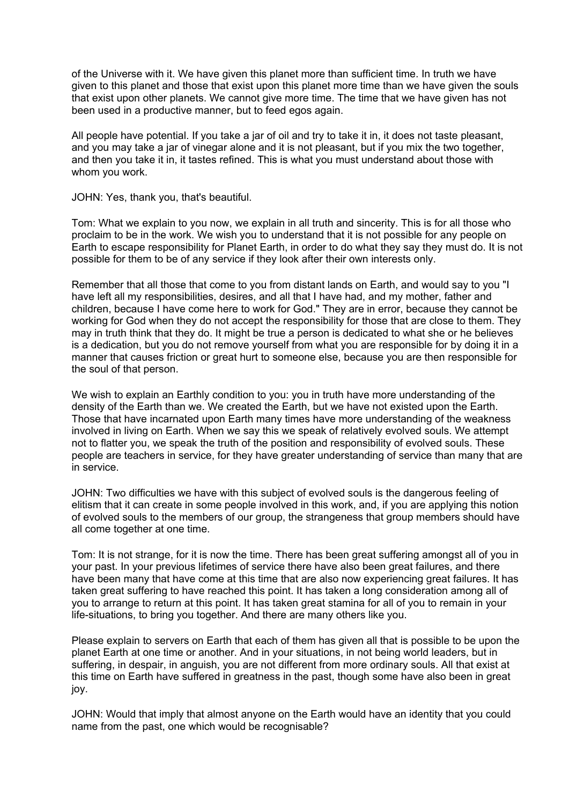of the Universe with it. We have given this planet more than sufficient time. In truth we have given to this planet and those that exist upon this planet more time than we have given the souls that exist upon other planets. We cannot give more time. The time that we have given has not been used in a productive manner, but to feed egos again.

All people have potential. If you take a jar of oil and try to take it in, it does not taste pleasant, and you may take a jar of vinegar alone and it is not pleasant, but if you mix the two together, and then you take it in, it tastes refined. This is what you must understand about those with whom you work.

JOHN: Yes, thank you, that's beautiful.

Tom: What we explain to you now, we explain in all truth and sincerity. This is for all those who proclaim to be in the work. We wish you to understand that it is not possible for any people on Earth to escape responsibility for Planet Earth, in order to do what they say they must do. It is not possible for them to be of any service if they look after their own interests only.

Remember that all those that come to you from distant lands on Earth, and would say to you "I have left all my responsibilities, desires, and all that I have had, and my mother, father and children, because I have come here to work for God." They are in error, because they cannot be working for God when they do not accept the responsibility for those that are close to them. They may in truth think that they do. It might be true a person is dedicated to what she or he believes is a dedication, but you do not remove yourself from what you are responsible for by doing it in a manner that causes friction or great hurt to someone else, because you are then responsible for the soul of that person.

We wish to explain an Earthly condition to you: you in truth have more understanding of the density of the Earth than we. We created the Earth, but we have not existed upon the Earth. Those that have incarnated upon Earth many times have more understanding of the weakness involved in living on Earth. When we say this we speak of relatively evolved souls. We attempt not to flatter you, we speak the truth of the position and responsibility of evolved souls. These people are teachers in service, for they have greater understanding of service than many that are in service.

JOHN: Two difficulties we have with this subject of evolved souls is the dangerous feeling of elitism that it can create in some people involved in this work, and, if you are applying this notion of evolved souls to the members of our group, the strangeness that group members should have all come together at one time.

Tom: It is not strange, for it is now the time. There has been great suffering amongst all of you in your past. In your previous lifetimes of service there have also been great failures, and there have been many that have come at this time that are also now experiencing great failures. It has taken great suffering to have reached this point. It has taken a long consideration among all of you to arrange to return at this point. It has taken great stamina for all of you to remain in your life-situations, to bring you together. And there are many others like you.

Please explain to servers on Earth that each of them has given all that is possible to be upon the planet Earth at one time or another. And in your situations, in not being world leaders, but in suffering, in despair, in anguish, you are not different from more ordinary souls. All that exist at this time on Earth have suffered in greatness in the past, though some have also been in great joy.

JOHN: Would that imply that almost anyone on the Earth would have an identity that you could name from the past, one which would be recognisable?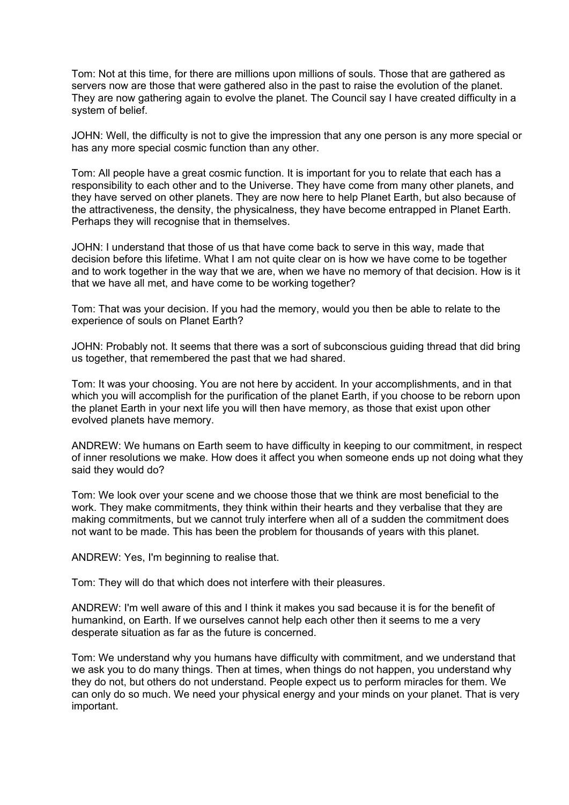Tom: Not at this time, for there are millions upon millions of souls. Those that are gathered as servers now are those that were gathered also in the past to raise the evolution of the planet. They are now gathering again to evolve the planet. The Council say I have created difficulty in a system of belief.

JOHN: Well, the difficulty is not to give the impression that any one person is any more special or has any more special cosmic function than any other.

Tom: All people have a great cosmic function. It is important for you to relate that each has a responsibility to each other and to the Universe. They have come from many other planets, and they have served on other planets. They are now here to help Planet Earth, but also because of the attractiveness, the density, the physicalness, they have become entrapped in Planet Earth. Perhaps they will recognise that in themselves.

JOHN: I understand that those of us that have come back to serve in this way, made that decision before this lifetime. What I am not quite clear on is how we have come to be together and to work together in the way that we are, when we have no memory of that decision. How is it that we have all met, and have come to be working together?

Tom: That was your decision. If you had the memory, would you then be able to relate to the experience of souls on Planet Earth?

JOHN: Probably not. It seems that there was a sort of subconscious guiding thread that did bring us together, that remembered the past that we had shared.

Tom: It was your choosing. You are not here by accident. In your accomplishments, and in that which you will accomplish for the purification of the planet Earth, if you choose to be reborn upon the planet Earth in your next life you will then have memory, as those that exist upon other evolved planets have memory.

ANDREW: We humans on Earth seem to have difficulty in keeping to our commitment, in respect of inner resolutions we make. How does it affect you when someone ends up not doing what they said they would do?

Tom: We look over your scene and we choose those that we think are most beneficial to the work. They make commitments, they think within their hearts and they verbalise that they are making commitments, but we cannot truly interfere when all of a sudden the commitment does not want to be made. This has been the problem for thousands of years with this planet.

ANDREW: Yes, I'm beginning to realise that.

Tom: They will do that which does not interfere with their pleasures.

ANDREW: I'm well aware of this and I think it makes you sad because it is for the benefit of humankind, on Earth. If we ourselves cannot help each other then it seems to me a very desperate situation as far as the future is concerned.

Tom: We understand why you humans have difficulty with commitment, and we understand that we ask you to do many things. Then at times, when things do not happen, you understand why they do not, but others do not understand. People expect us to perform miracles for them. We can only do so much. We need your physical energy and your minds on your planet. That is very important.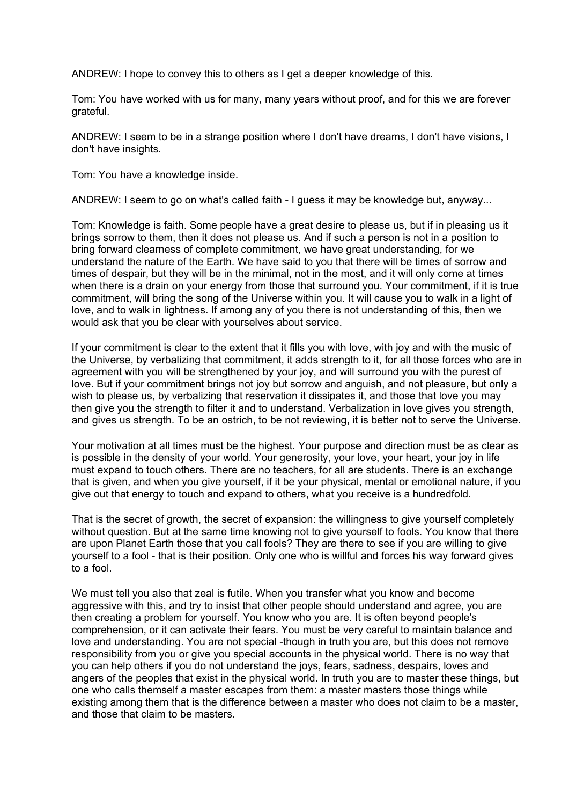ANDREW: I hope to convey this to others as I get a deeper knowledge of this.

Tom: You have worked with us for many, many years without proof, and for this we are forever grateful.

ANDREW: I seem to be in a strange position where I don't have dreams, I don't have visions, I don't have insights.

Tom: You have a knowledge inside.

ANDREW: I seem to go on what's called faith - I guess it may be knowledge but, anyway...

Tom: Knowledge is faith. Some people have a great desire to please us, but if in pleasing us it brings sorrow to them, then it does not please us. And if such a person is not in a position to bring forward clearness of complete commitment, we have great understanding, for we understand the nature of the Earth. We have said to you that there will be times of sorrow and times of despair, but they will be in the minimal, not in the most, and it will only come at times when there is a drain on your energy from those that surround you. Your commitment, if it is true commitment, will bring the song of the Universe within you. It will cause you to walk in a light of love, and to walk in lightness. If among any of you there is not understanding of this, then we would ask that you be clear with yourselves about service.

If your commitment is clear to the extent that it fills you with love, with joy and with the music of the Universe, by verbalizing that commitment, it adds strength to it, for all those forces who are in agreement with you will be strengthened by your joy, and will surround you with the purest of love. But if your commitment brings not joy but sorrow and anguish, and not pleasure, but only a wish to please us, by verbalizing that reservation it dissipates it, and those that love you may then give you the strength to filter it and to understand. Verbalization in love gives you strength, and gives us strength. To be an ostrich, to be not reviewing, it is better not to serve the Universe.

Your motivation at all times must be the highest. Your purpose and direction must be as clear as is possible in the density of your world. Your generosity, your love, your heart, your joy in life must expand to touch others. There are no teachers, for all are students. There is an exchange that is given, and when you give yourself, if it be your physical, mental or emotional nature, if you give out that energy to touch and expand to others, what you receive is a hundredfold.

That is the secret of growth, the secret of expansion: the willingness to give yourself completely without question. But at the same time knowing not to give yourself to fools. You know that there are upon Planet Earth those that you call fools? They are there to see if you are willing to give yourself to a fool - that is their position. Only one who is willful and forces his way forward gives to a fool.

We must tell you also that zeal is futile. When you transfer what you know and become aggressive with this, and try to insist that other people should understand and agree, you are then creating a problem for yourself. You know who you are. It is often beyond people's comprehension, or it can activate their fears. You must be very careful to maintain balance and love and understanding. You are not special -though in truth you are, but this does not remove responsibility from you or give you special accounts in the physical world. There is no way that you can help others if you do not understand the joys, fears, sadness, despairs, loves and angers of the peoples that exist in the physical world. In truth you are to master these things, but one who calls themself a master escapes from them: a master masters those things while existing among them that is the difference between a master who does not claim to be a master, and those that claim to be masters.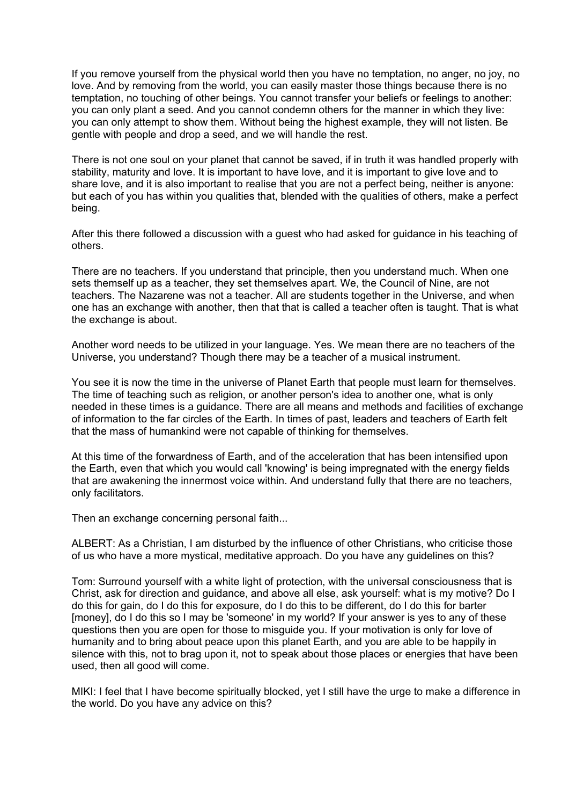If you remove yourself from the physical world then you have no temptation, no anger, no joy, no love. And by removing from the world, you can easily master those things because there is no temptation, no touching of other beings. You cannot transfer your beliefs or feelings to another: you can only plant a seed. And you cannot condemn others for the manner in which they live: you can only attempt to show them. Without being the highest example, they will not listen. Be gentle with people and drop a seed, and we will handle the rest.

There is not one soul on your planet that cannot be saved, if in truth it was handled properly with stability, maturity and love. It is important to have love, and it is important to give love and to share love, and it is also important to realise that you are not a perfect being, neither is anyone: but each of you has within you qualities that, blended with the qualities of others, make a perfect being.

After this there followed a discussion with a guest who had asked for guidance in his teaching of others.

There are no teachers. If you understand that principle, then you understand much. When one sets themself up as a teacher, they set themselves apart. We, the Council of Nine, are not teachers. The Nazarene was not a teacher. All are students together in the Universe, and when one has an exchange with another, then that that is called a teacher often is taught. That is what the exchange is about.

Another word needs to be utilized in your language. Yes. We mean there are no teachers of the Universe, you understand? Though there may be a teacher of a musical instrument.

You see it is now the time in the universe of Planet Earth that people must learn for themselves. The time of teaching such as religion, or another person's idea to another one, what is only needed in these times is a guidance. There are all means and methods and facilities of exchange of information to the far circles of the Earth. In times of past, leaders and teachers of Earth felt that the mass of humankind were not capable of thinking for themselves.

At this time of the forwardness of Earth, and of the acceleration that has been intensified upon the Earth, even that which you would call 'knowing' is being impregnated with the energy fields that are awakening the innermost voice within. And understand fully that there are no teachers, only facilitators.

Then an exchange concerning personal faith...

ALBERT: As a Christian, I am disturbed by the influence of other Christians, who criticise those of us who have a more mystical, meditative approach. Do you have any guidelines on this?

Tom: Surround yourself with a white light of protection, with the universal consciousness that is Christ, ask for direction and guidance, and above all else, ask yourself: what is my motive? Do I do this for gain, do I do this for exposure, do I do this to be different, do I do this for barter [money], do I do this so I may be 'someone' in my world? If your answer is yes to any of these questions then you are open for those to misguide you. If your motivation is only for love of humanity and to bring about peace upon this planet Earth, and you are able to be happily in silence with this, not to brag upon it, not to speak about those places or energies that have been used, then all good will come.

MIKI: I feel that I have become spiritually blocked, yet I still have the urge to make a difference in the world. Do you have any advice on this?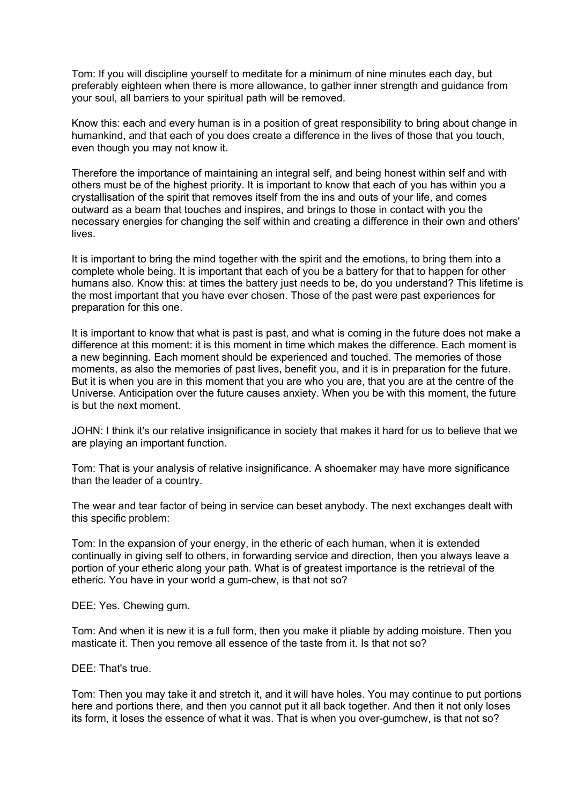Tom: If you will discipline yourself to meditate for a minimum of nine minutes each day, but preferably eighteen when there is more allowance, to gather inner strength and guidance from your soul, all barriers to your spiritual path will be removed.

Know this: each and every human is in a position of great responsibility to bring about change in humankind, and that each of you does create a difference in the lives of those that you touch, even though you may not know it.

Therefore the importance of maintaining an integral self, and being honest within self and with others must be of the highest priority. It is important to know that each of you has within you a crystallisation of the spirit that removes itself from the ins and outs of your life, and comes outward as a beam that touches and inspires, and brings to those in contact with you the necessary energies for changing the self within and creating a difference in their own and others' lives.

It is important to bring the mind together with the spirit and the emotions, to bring them into a complete whole being. It is important that each of you be a battery for that to happen for other humans also. Know this: at times the battery just needs to be, do you understand? This lifetime is the most important that you have ever chosen. Those of the past were past experiences for preparation for this one.

It is important to know that what is past is past, and what is coming in the future does not make a difference at this moment: it is this moment in time which makes the difference. Each moment is a new beginning. Each moment should be experienced and touched. The memories of those moments, as also the memories of past lives, benefit you, and it is in preparation for the future. But it is when you are in this moment that you are who you are, that you are at the centre of the Universe. Anticipation over the future causes anxiety. When you be with this moment, the future is but the next moment.

JOHN: I think it's our relative insignificance in society that makes it hard for us to believe that we are playing an important function.

Tom: That is your analysis of relative insignificance. A shoemaker may have more significance than the leader of a country.

The wear and tear factor of being in service can beset anybody. The next exchanges dealt with this specific problem:

Tom: In the expansion of your energy, in the etheric of each human, when it is extended continually in giving self to others, in forwarding service and direction, then you always leave a portion of your etheric along your path. What is of greatest importance is the retrieval of the etheric. You have in your world a gum-chew, is that not so?

DEE: Yes. Chewing gum.

Tom: And when it is new it is a full form, then you make it pliable by adding moisture. Then you masticate it. Then you remove all essence of the taste from it. Is that not so?

DEE: That's true.

Tom: Then you may take it and stretch it, and it will have holes. You may continue to put portions here and portions there, and then you cannot put it all back together. And then it not only loses its form, it loses the essence of what it was. That is when you over-gumchew, is that not so?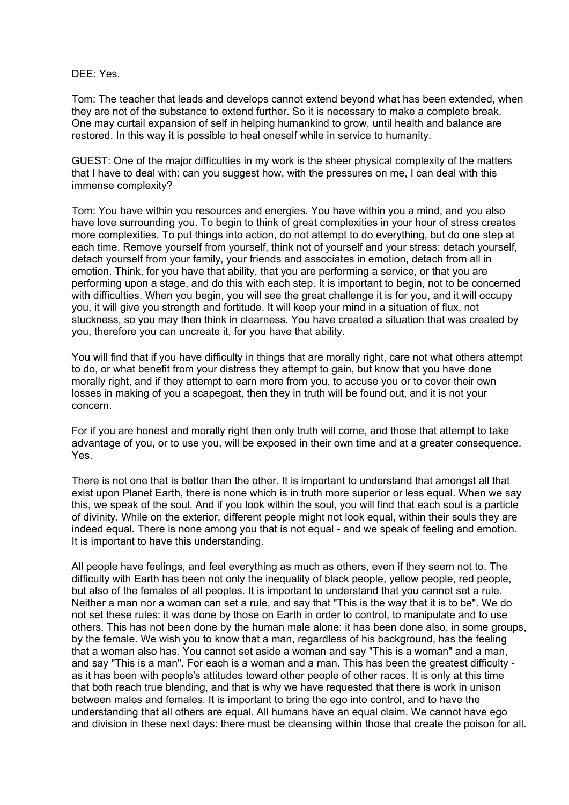DEE: Yes.

Tom: The teacher that leads and develops cannot extend beyond what has been extended, when they are not of the substance to extend further. So it is necessary to make a complete break. One may curtail expansion of self in helping humankind to grow, until health and balance are restored. In this way it is possible to heal oneself while in service to humanity.

GUEST: One of the major difficulties in my work is the sheer physical complexity of the matters that I have to deal with: can you suggest how, with the pressures on me, I can deal with this immense complexity?

Tom: You have within you resources and energies. You have within you a mind, and you also have love surrounding you. To begin to think of great complexities in your hour of stress creates more complexities. To put things into action, do not attempt to do everything, but do one step at each time. Remove yourself from yourself, think not of yourself and your stress: detach yourself, detach yourself from your family, your friends and associates in emotion, detach from all in emotion. Think, for you have that ability, that you are performing a service, or that you are performing upon a stage, and do this with each step. It is important to begin, not to be concerned with difficulties. When you begin, you will see the great challenge it is for you, and it will occupy you, it will give you strength and fortitude. It will keep your mind in a situation of flux, not stuckness, so you may then think in clearness. You have created a situation that was created by you, therefore you can uncreate it, for you have that ability.

You will find that if you have difficulty in things that are morally right, care not what others attempt to do, or what benefit from your distress they attempt to gain, but know that you have done morally right, and if they attempt to earn more from you, to accuse you or to cover their own losses in making of you a scapegoat, then they in truth will be found out, and it is not your concern.

For if you are honest and morally right then only truth will come, and those that attempt to take advantage of you, or to use you, will be exposed in their own time and at a greater consequence. Yes.

There is not one that is better than the other. It is important to understand that amongst all that exist upon Planet Earth, there is none which is in truth more superior or less equal. When we say this, we speak of the soul. And if you look within the soul, you will find that each soul is a particle of divinity. While on the exterior, different people might not look equal, within their souls they are indeed equal. There is none among you that is not equal - and we speak of feeling and emotion. It is important to have this understanding.

All people have feelings, and feel everything as much as others, even if they seem not to. The difficulty with Earth has been not only the inequality of black people, yellow people, red people, but also of the females of all peoples. It is important to understand that you cannot set a rule. Neither a man nor a woman can set a rule, and say that "This is the way that it is to be". We do not set these rules: it was done by those on Earth in order to control, to manipulate and to use others. This has not been done by the human male alone: it has been done also, in some groups, by the female. We wish you to know that a man, regardless of his background, has the feeling that a woman also has. You cannot set aside a woman and say "This is a woman" and a man, and say "This is a man". For each is a woman and a man. This has been the greatest difficulty as it has been with people's attitudes toward other people of other races. It is only at this time that both reach true blending, and that is why we have requested that there is work in unison between males and females. It is important to bring the ego into control, and to have the understanding that all others are equal. All humans have an equal claim. We cannot have ego and division in these next days: there must be cleansing within those that create the poison for all.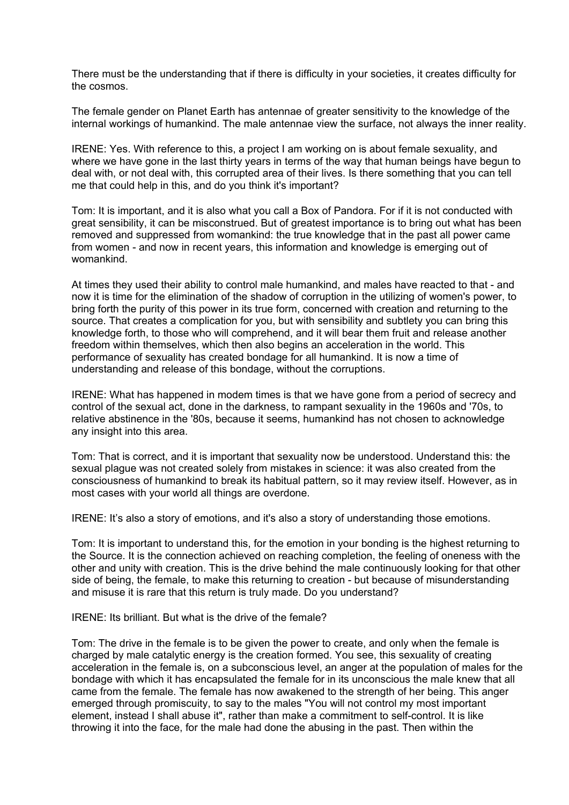There must be the understanding that if there is difficulty in your societies, it creates difficulty for the cosmos.

The female gender on Planet Earth has antennae of greater sensitivity to the knowledge of the internal workings of humankind. The male antennae view the surface, not always the inner reality.

IRENE: Yes. With reference to this, a project I am working on is about female sexuality, and where we have gone in the last thirty years in terms of the way that human beings have begun to deal with, or not deal with, this corrupted area of their lives. Is there something that you can tell me that could help in this, and do you think it's important?

Tom: It is important, and it is also what you call a Box of Pandora. For if it is not conducted with great sensibility, it can be misconstrued. But of greatest importance is to bring out what has been removed and suppressed from womankind: the true knowledge that in the past all power came from women - and now in recent years, this information and knowledge is emerging out of womankind.

At times they used their ability to control male humankind, and males have reacted to that - and now it is time for the elimination of the shadow of corruption in the utilizing of women's power, to bring forth the purity of this power in its true form, concerned with creation and returning to the source. That creates a complication for you, but with sensibility and subtlety you can bring this knowledge forth, to those who will comprehend, and it will bear them fruit and release another freedom within themselves, which then also begins an acceleration in the world. This performance of sexuality has created bondage for all humankind. It is now a time of understanding and release of this bondage, without the corruptions.

IRENE: What has happened in modem times is that we have gone from a period of secrecy and control of the sexual act, done in the darkness, to rampant sexuality in the 1960s and '70s, to relative abstinence in the '80s, because it seems, humankind has not chosen to acknowledge any insight into this area.

Tom: That is correct, and it is important that sexuality now be understood. Understand this: the sexual plague was not created solely from mistakes in science: it was also created from the consciousness of humankind to break its habitual pattern, so it may review itself. However, as in most cases with your world all things are overdone.

IRENE: It's also a story of emotions, and it's also a story of understanding those emotions.

Tom: It is important to understand this, for the emotion in your bonding is the highest returning to the Source. It is the connection achieved on reaching completion, the feeling of oneness with the other and unity with creation. This is the drive behind the male continuously looking for that other side of being, the female, to make this returning to creation - but because of misunderstanding and misuse it is rare that this return is truly made. Do you understand?

IRENE: Its brilliant. But what is the drive of the female?

Tom: The drive in the female is to be given the power to create, and only when the female is charged by male catalytic energy is the creation formed. You see, this sexuality of creating acceleration in the female is, on a subconscious level, an anger at the population of males for the bondage with which it has encapsulated the female for in its unconscious the male knew that all came from the female. The female has now awakened to the strength of her being. This anger emerged through promiscuity, to say to the males "You will not control my most important element, instead I shall abuse it", rather than make a commitment to self-control. It is like throwing it into the face, for the male had done the abusing in the past. Then within the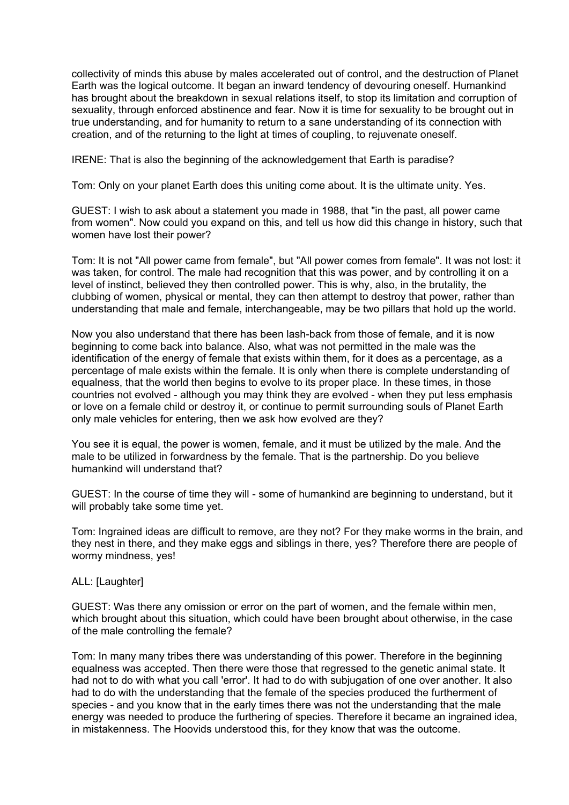collectivity of minds this abuse by males accelerated out of control, and the destruction of Planet Earth was the logical outcome. It began an inward tendency of devouring oneself. Humankind has brought about the breakdown in sexual relations itself, to stop its limitation and corruption of sexuality, through enforced abstinence and fear. Now it is time for sexuality to be brought out in true understanding, and for humanity to return to a sane understanding of its connection with creation, and of the returning to the light at times of coupling, to rejuvenate oneself.

IRENE: That is also the beginning of the acknowledgement that Earth is paradise?

Tom: Only on your planet Earth does this uniting come about. It is the ultimate unity. Yes.

GUEST: I wish to ask about a statement you made in 1988, that "in the past, all power came from women". Now could you expand on this, and tell us how did this change in history, such that women have lost their power?

Tom: It is not "All power came from female", but "All power comes from female". It was not lost: it was taken, for control. The male had recognition that this was power, and by controlling it on a level of instinct, believed they then controlled power. This is why, also, in the brutality, the clubbing of women, physical or mental, they can then attempt to destroy that power, rather than understanding that male and female, interchangeable, may be two pillars that hold up the world.

Now you also understand that there has been lash-back from those of female, and it is now beginning to come back into balance. Also, what was not permitted in the male was the identification of the energy of female that exists within them, for it does as a percentage, as a percentage of male exists within the female. It is only when there is complete understanding of equalness, that the world then begins to evolve to its proper place. In these times, in those countries not evolved - although you may think they are evolved - when they put less emphasis or love on a female child or destroy it, or continue to permit surrounding souls of Planet Earth only male vehicles for entering, then we ask how evolved are they?

You see it is equal, the power is women, female, and it must be utilized by the male. And the male to be utilized in forwardness by the female. That is the partnership. Do you believe humankind will understand that?

GUEST: In the course of time they will - some of humankind are beginning to understand, but it will probably take some time yet.

Tom: Ingrained ideas are difficult to remove, are they not? For they make worms in the brain, and they nest in there, and they make eggs and siblings in there, yes? Therefore there are people of wormy mindness, yes!

ALL: [Laughter]

GUEST: Was there any omission or error on the part of women, and the female within men, which brought about this situation, which could have been brought about otherwise, in the case of the male controlling the female?

Tom: In many many tribes there was understanding of this power. Therefore in the beginning equalness was accepted. Then there were those that regressed to the genetic animal state. It had not to do with what you call 'error'. It had to do with subjugation of one over another. It also had to do with the understanding that the female of the species produced the furtherment of species - and you know that in the early times there was not the understanding that the male energy was needed to produce the furthering of species. Therefore it became an ingrained idea, in mistakenness. The Hoovids understood this, for they know that was the outcome.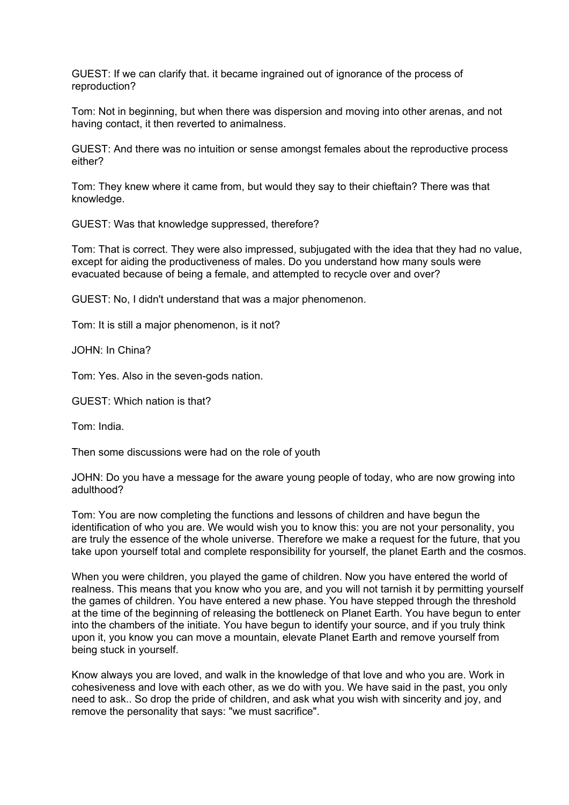GUEST: If we can clarify that. it became ingrained out of ignorance of the process of reproduction?

Tom: Not in beginning, but when there was dispersion and moving into other arenas, and not having contact, it then reverted to animalness.

GUEST: And there was no intuition or sense amongst females about the reproductive process either?

Tom: They knew where it came from, but would they say to their chieftain? There was that knowledge.

GUEST: Was that knowledge suppressed, therefore?

Tom: That is correct. They were also impressed, subjugated with the idea that they had no value, except for aiding the productiveness of males. Do you understand how many souls were evacuated because of being a female, and attempted to recycle over and over?

GUEST: No, I didn't understand that was a major phenomenon.

Tom: It is still a major phenomenon, is it not?

JOHN: In China?

Tom: Yes. Also in the seven-gods nation.

GUEST: Which nation is that?

Tom: India.

Then some discussions were had on the role of youth

JOHN: Do you have a message for the aware young people of today, who are now growing into adulthood?

Tom: You are now completing the functions and lessons of children and have begun the identification of who you are. We would wish you to know this: you are not your personality, you are truly the essence of the whole universe. Therefore we make a request for the future, that you take upon yourself total and complete responsibility for yourself, the planet Earth and the cosmos.

When you were children, you played the game of children. Now you have entered the world of realness. This means that you know who you are, and you will not tarnish it by permitting yourself the games of children. You have entered a new phase. You have stepped through the threshold at the time of the beginning of releasing the bottleneck on Planet Earth. You have begun to enter into the chambers of the initiate. You have begun to identify your source, and if you truly think upon it, you know you can move a mountain, elevate Planet Earth and remove yourself from being stuck in yourself.

Know always you are loved, and walk in the knowledge of that love and who you are. Work in cohesiveness and love with each other, as we do with you. We have said in the past, you only need to ask.. So drop the pride of children, and ask what you wish with sincerity and joy, and remove the personality that says: "we must sacrifice".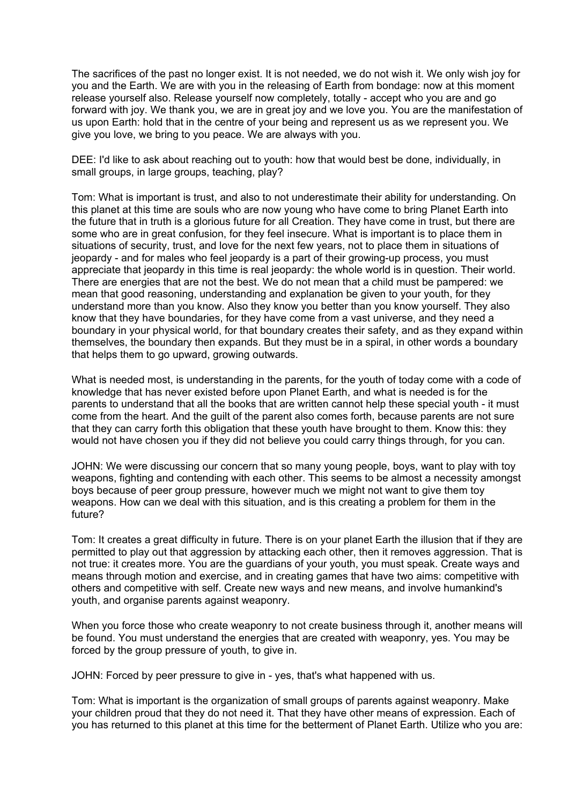The sacrifices of the past no longer exist. It is not needed, we do not wish it. We only wish joy for you and the Earth. We are with you in the releasing of Earth from bondage: now at this moment release yourself also. Release yourself now completely, totally - accept who you are and go forward with joy. We thank you, we are in great joy and we love you. You are the manifestation of us upon Earth: hold that in the centre of your being and represent us as we represent you. We give you love, we bring to you peace. We are always with you.

DEE: I'd like to ask about reaching out to youth: how that would best be done, individually, in small groups, in large groups, teaching, play?

Tom: What is important is trust, and also to not underestimate their ability for understanding. On this planet at this time are souls who are now young who have come to bring Planet Earth into the future that in truth is a glorious future for all Creation. They have come in trust, but there are some who are in great confusion, for they feel insecure. What is important is to place them in situations of security, trust, and love for the next few years, not to place them in situations of jeopardy - and for males who feel jeopardy is a part of their growing-up process, you must appreciate that jeopardy in this time is real jeopardy: the whole world is in question. Their world. There are energies that are not the best. We do not mean that a child must be pampered: we mean that good reasoning, understanding and explanation be given to your youth, for they understand more than you know. Also they know you better than you know yourself. They also know that they have boundaries, for they have come from a vast universe, and they need a boundary in your physical world, for that boundary creates their safety, and as they expand within themselves, the boundary then expands. But they must be in a spiral, in other words a boundary that helps them to go upward, growing outwards.

What is needed most, is understanding in the parents, for the youth of today come with a code of knowledge that has never existed before upon Planet Earth, and what is needed is for the parents to understand that all the books that are written cannot help these special youth - it must come from the heart. And the guilt of the parent also comes forth, because parents are not sure that they can carry forth this obligation that these youth have brought to them. Know this: they would not have chosen you if they did not believe you could carry things through, for you can.

JOHN: We were discussing our concern that so many young people, boys, want to play with toy weapons, fighting and contending with each other. This seems to be almost a necessity amongst boys because of peer group pressure, however much we might not want to give them toy weapons. How can we deal with this situation, and is this creating a problem for them in the future?

Tom: It creates a great difficulty in future. There is on your planet Earth the illusion that if they are permitted to play out that aggression by attacking each other, then it removes aggression. That is not true: it creates more. You are the guardians of your youth, you must speak. Create ways and means through motion and exercise, and in creating games that have two aims: competitive with others and competitive with self. Create new ways and new means, and involve humankind's youth, and organise parents against weaponry.

When you force those who create weaponry to not create business through it, another means will be found. You must understand the energies that are created with weaponry, yes. You may be forced by the group pressure of youth, to give in.

JOHN: Forced by peer pressure to give in - yes, that's what happened with us.

Tom: What is important is the organization of small groups of parents against weaponry. Make your children proud that they do not need it. That they have other means of expression. Each of you has returned to this planet at this time for the betterment of Planet Earth. Utilize who you are: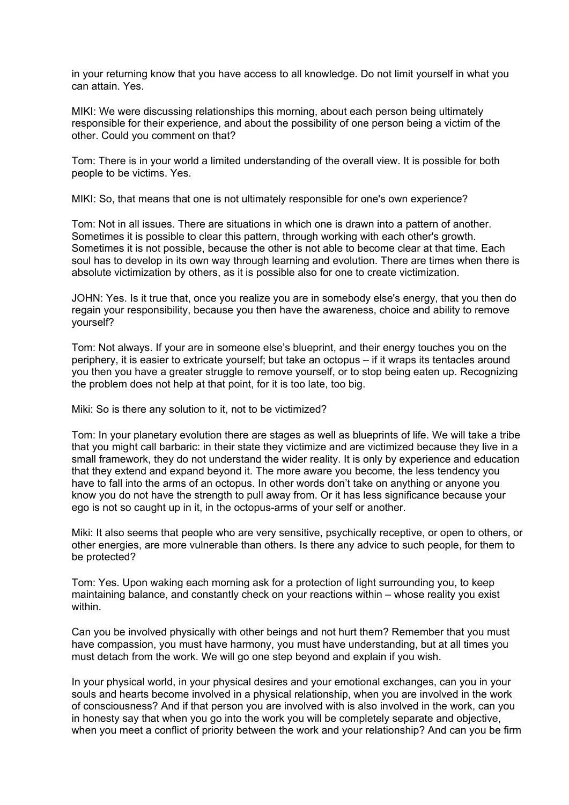in your returning know that you have access to all knowledge. Do not limit yourself in what you can attain. Yes.

MIKI: We were discussing relationships this morning, about each person being ultimately responsible for their experience, and about the possibility of one person being a victim of the other. Could you comment on that?

Tom: There is in your world a limited understanding of the overall view. It is possible for both people to be victims. Yes.

MIKI: So, that means that one is not ultimately responsible for one's own experience?

Tom: Not in all issues. There are situations in which one is drawn into a pattern of another. Sometimes it is possible to clear this pattern, through working with each other's growth. Sometimes it is not possible, because the other is not able to become clear at that time. Each soul has to develop in its own way through learning and evolution. There are times when there is absolute victimization by others, as it is possible also for one to create victimization.

JOHN: Yes. Is it true that, once you realize you are in somebody else's energy, that you then do regain your responsibility, because you then have the awareness, choice and ability to remove yourself?

Tom: Not always. If your are in someone else's blueprint, and their energy touches you on the periphery, it is easier to extricate yourself; but take an octopus – if it wraps its tentacles around you then you have a greater struggle to remove yourself, or to stop being eaten up. Recognizing the problem does not help at that point, for it is too late, too big.

Miki: So is there any solution to it, not to be victimized?

Tom: In your planetary evolution there are stages as well as blueprints of life. We will take a tribe that you might call barbaric: in their state they victimize and are victimized because they live in a small framework, they do not understand the wider reality. It is only by experience and education that they extend and expand beyond it. The more aware you become, the less tendency you have to fall into the arms of an octopus. In other words don't take on anything or anyone you know you do not have the strength to pull away from. Or it has less significance because your ego is not so caught up in it, in the octopus-arms of your self or another.

Miki: It also seems that people who are very sensitive, psychically receptive, or open to others, or other energies, are more vulnerable than others. Is there any advice to such people, for them to be protected?

Tom: Yes. Upon waking each morning ask for a protection of light surrounding you, to keep maintaining balance, and constantly check on your reactions within – whose reality you exist within.

Can you be involved physically with other beings and not hurt them? Remember that you must have compassion, you must have harmony, you must have understanding, but at all times you must detach from the work. We will go one step beyond and explain if you wish.

In your physical world, in your physical desires and your emotional exchanges, can you in your souls and hearts become involved in a physical relationship, when you are involved in the work of consciousness? And if that person you are involved with is also involved in the work, can you in honesty say that when you go into the work you will be completely separate and objective, when you meet a conflict of priority between the work and your relationship? And can you be firm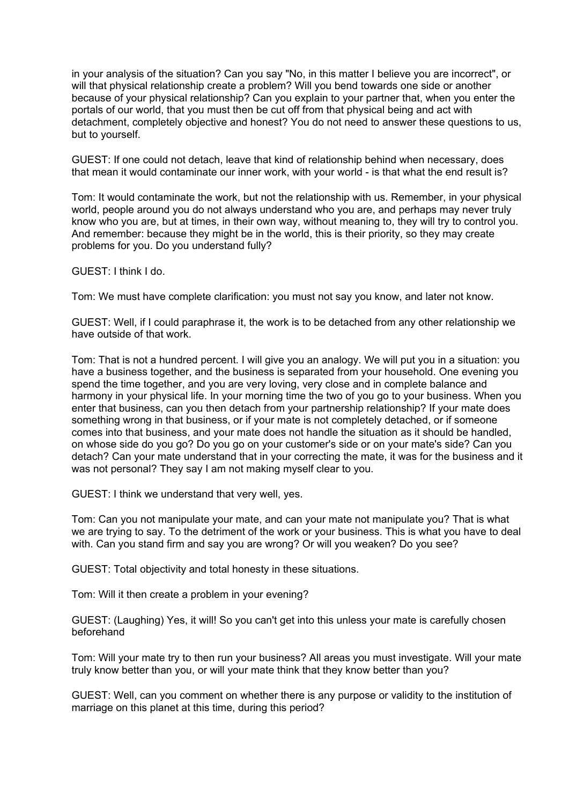in your analysis of the situation? Can you say "No, in this matter I believe you are incorrect", or will that physical relationship create a problem? Will you bend towards one side or another because of your physical relationship? Can you explain to your partner that, when you enter the portals of our world, that you must then be cut off from that physical being and act with detachment, completely objective and honest? You do not need to answer these questions to us, but to yourself.

GUEST: If one could not detach, leave that kind of relationship behind when necessary, does that mean it would contaminate our inner work, with your world - is that what the end result is?

Tom: It would contaminate the work, but not the relationship with us. Remember, in your physical world, people around you do not always understand who you are, and perhaps may never truly know who you are, but at times, in their own way, without meaning to, they will try to control you. And remember: because they might be in the world, this is their priority, so they may create problems for you. Do you understand fully?

GUEST: I think I do.

Tom: We must have complete clarification: you must not say you know, and later not know.

GUEST: Well, if I could paraphrase it, the work is to be detached from any other relationship we have outside of that work.

Tom: That is not a hundred percent. I will give you an analogy. We will put you in a situation: you have a business together, and the business is separated from your household. One evening you spend the time together, and you are very loving, very close and in complete balance and harmony in your physical life. In your morning time the two of you go to your business. When you enter that business, can you then detach from your partnership relationship? If your mate does something wrong in that business, or if your mate is not completely detached, or if someone comes into that business, and your mate does not handle the situation as it should be handled, on whose side do you go? Do you go on your customer's side or on your mate's side? Can you detach? Can your mate understand that in your correcting the mate, it was for the business and it was not personal? They say I am not making myself clear to you.

GUEST: I think we understand that very well, yes.

Tom: Can you not manipulate your mate, and can your mate not manipulate you? That is what we are trying to say. To the detriment of the work or your business. This is what you have to deal with. Can you stand firm and say you are wrong? Or will you weaken? Do you see?

GUEST: Total objectivity and total honesty in these situations.

Tom: Will it then create a problem in your evening?

GUEST: (Laughing) Yes, it will! So you can't get into this unless your mate is carefully chosen beforehand

Tom: Will your mate try to then run your business? All areas you must investigate. Will your mate truly know better than you, or will your mate think that they know better than you?

GUEST: Well, can you comment on whether there is any purpose or validity to the institution of marriage on this planet at this time, during this period?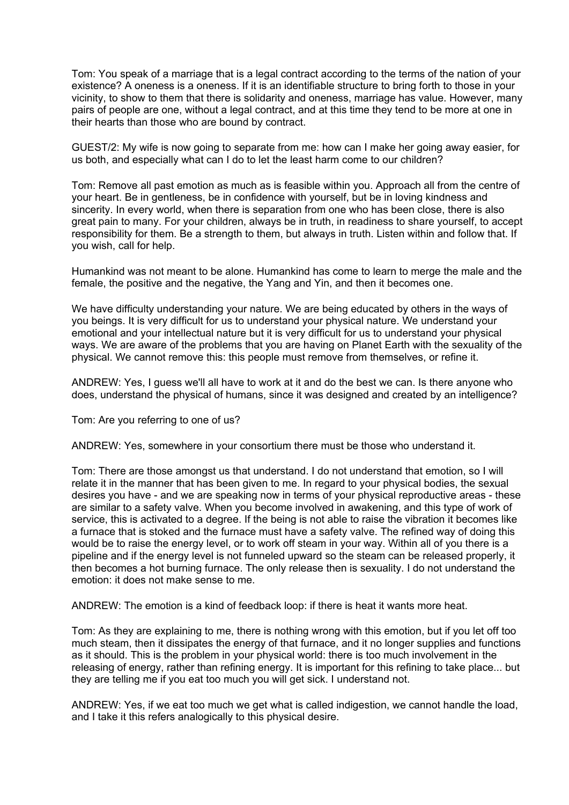Tom: You speak of a marriage that is a legal contract according to the terms of the nation of your existence? A oneness is a oneness. If it is an identifiable structure to bring forth to those in your vicinity, to show to them that there is solidarity and oneness, marriage has value. However, many pairs of people are one, without a legal contract, and at this time they tend to be more at one in their hearts than those who are bound by contract.

GUEST/2: My wife is now going to separate from me: how can I make her going away easier, for us both, and especially what can I do to let the least harm come to our children?

Tom: Remove all past emotion as much as is feasible within you. Approach all from the centre of your heart. Be in gentleness, be in confidence with yourself, but be in loving kindness and sincerity. In every world, when there is separation from one who has been close, there is also great pain to many. For your children, always be in truth, in readiness to share yourself, to accept responsibility for them. Be a strength to them, but always in truth. Listen within and follow that. If you wish, call for help.

Humankind was not meant to be alone. Humankind has come to learn to merge the male and the female, the positive and the negative, the Yang and Yin, and then it becomes one.

We have difficulty understanding your nature. We are being educated by others in the ways of you beings. It is very difficult for us to understand your physical nature. We understand your emotional and your intellectual nature but it is very difficult for us to understand your physical ways. We are aware of the problems that you are having on Planet Earth with the sexuality of the physical. We cannot remove this: this people must remove from themselves, or refine it.

ANDREW: Yes, I guess we'll all have to work at it and do the best we can. Is there anyone who does, understand the physical of humans, since it was designed and created by an intelligence?

Tom: Are you referring to one of us?

ANDREW: Yes, somewhere in your consortium there must be those who understand it.

Tom: There are those amongst us that understand. I do not understand that emotion, so I will relate it in the manner that has been given to me. In regard to your physical bodies, the sexual desires you have - and we are speaking now in terms of your physical reproductive areas - these are similar to a safety valve. When you become involved in awakening, and this type of work of service, this is activated to a degree. If the being is not able to raise the vibration it becomes like a furnace that is stoked and the furnace must have a safety valve. The refined way of doing this would be to raise the energy level, or to work off steam in your way. Within all of you there is a pipeline and if the energy level is not funneled upward so the steam can be released properly, it then becomes a hot burning furnace. The only release then is sexuality. I do not understand the emotion: it does not make sense to me.

ANDREW: The emotion is a kind of feedback loop: if there is heat it wants more heat.

Tom: As they are explaining to me, there is nothing wrong with this emotion, but if you let off too much steam, then it dissipates the energy of that furnace, and it no longer supplies and functions as it should. This is the problem in your physical world: there is too much involvement in the releasing of energy, rather than refining energy. It is important for this refining to take place... but they are telling me if you eat too much you will get sick. I understand not.

ANDREW: Yes, if we eat too much we get what is called indigestion, we cannot handle the load, and I take it this refers analogically to this physical desire.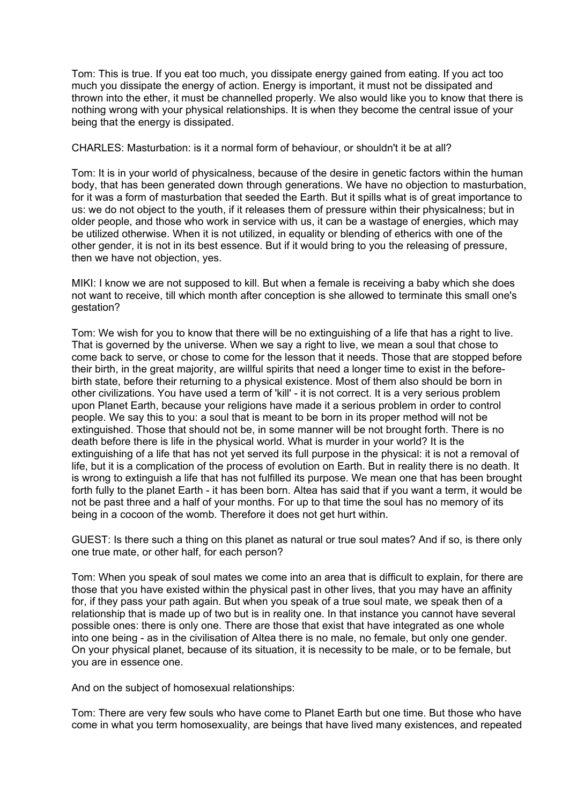Tom: This is true. If you eat too much, you dissipate energy gained from eating. If you act too much you dissipate the energy of action. Energy is important, it must not be dissipated and thrown into the ether, it must be channelled properly. We also would like you to know that there is nothing wrong with your physical relationships. It is when they become the central issue of your being that the energy is dissipated.

CHARLES: Masturbation: is it a normal form of behaviour, or shouldn't it be at all?

Tom: It is in your world of physicalness, because of the desire in genetic factors within the human body, that has been generated down through generations. We have no objection to masturbation, for it was a form of masturbation that seeded the Earth. But it spills what is of great importance to us: we do not object to the youth, if it releases them of pressure within their physicalness; but in older people, and those who work in service with us, it can be a wastage of energies, which may be utilized otherwise. When it is not utilized, in equality or blending of etherics with one of the other gender, it is not in its best essence. But if it would bring to you the releasing of pressure, then we have not objection, yes.

MIKI: I know we are not supposed to kill. But when a female is receiving a baby which she does not want to receive, till which month after conception is she allowed to terminate this small one's gestation?

Tom: We wish for you to know that there will be no extinguishing of a life that has a right to live. That is governed by the universe. When we say a right to live, we mean a soul that chose to come back to serve, or chose to come for the lesson that it needs. Those that are stopped before their birth, in the great majority, are willful spirits that need a longer time to exist in the beforebirth state, before their returning to a physical existence. Most of them also should be born in other civilizations. You have used a term of 'kill' - it is not correct. It is a very serious problem upon Planet Earth, because your religions have made it a serious problem in order to control people. We say this to you: a soul that is meant to be born in its proper method will not be extinguished. Those that should not be, in some manner will be not brought forth. There is no death before there is life in the physical world. What is murder in your world? It is the extinguishing of a life that has not yet served its full purpose in the physical: it is not a removal of life, but it is a complication of the process of evolution on Earth. But in reality there is no death. It is wrong to extinguish a life that has not fulfilled its purpose. We mean one that has been brought forth fully to the planet Earth - it has been born. Altea has said that if you want a term, it would be not be past three and a half of your months. For up to that time the soul has no memory of its being in a cocoon of the womb. Therefore it does not get hurt within.

GUEST: Is there such a thing on this planet as natural or true soul mates? And if so, is there only one true mate, or other half, for each person?

Tom: When you speak of soul mates we come into an area that is difficult to explain, for there are those that you have existed within the physical past in other lives, that you may have an affinity for, if they pass your path again. But when you speak of a true soul mate, we speak then of a relationship that is made up of two but is in reality one. In that instance you cannot have several possible ones: there is only one. There are those that exist that have integrated as one whole into one being - as in the civilisation of Altea there is no male, no female, but only one gender. On your physical planet, because of its situation, it is necessity to be male, or to be female, but you are in essence one.

And on the subject of homosexual relationships:

Tom: There are very few souls who have come to Planet Earth but one time. But those who have come in what you term homosexuality, are beings that have lived many existences, and repeated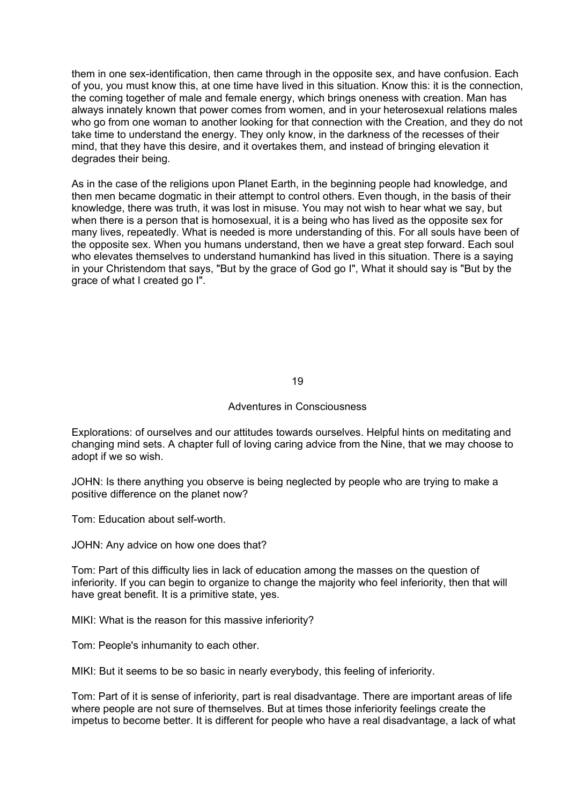them in one sex-identification, then came through in the opposite sex, and have confusion. Each of you, you must know this, at one time have lived in this situation. Know this: it is the connection, the coming together of male and female energy, which brings oneness with creation. Man has always innately known that power comes from women, and in your heterosexual relations males who go from one woman to another looking for that connection with the Creation, and they do not take time to understand the energy. They only know, in the darkness of the recesses of their mind, that they have this desire, and it overtakes them, and instead of bringing elevation it degrades their being.

As in the case of the religions upon Planet Earth, in the beginning people had knowledge, and then men became dogmatic in their attempt to control others. Even though, in the basis of their knowledge, there was truth, it was lost in misuse. You may not wish to hear what we say, but when there is a person that is homosexual, it is a being who has lived as the opposite sex for many lives, repeatedly. What is needed is more understanding of this. For all souls have been of the opposite sex. When you humans understand, then we have a great step forward. Each soul who elevates themselves to understand humankind has lived in this situation. There is a saying in your Christendom that says, "But by the grace of God go I", What it should say is "But by the grace of what I created go I".

#### 19

#### Adventures in Consciousness

Explorations: of ourselves and our attitudes towards ourselves. Helpful hints on meditating and changing mind sets. A chapter full of loving caring advice from the Nine, that we may choose to adopt if we so wish.

JOHN: Is there anything you observe is being neglected by people who are trying to make a positive difference on the planet now?

Tom: Education about self-worth.

JOHN: Any advice on how one does that?

Tom: Part of this difficulty lies in lack of education among the masses on the question of inferiority. If you can begin to organize to change the majority who feel inferiority, then that will have great benefit. It is a primitive state, yes.

MIKI: What is the reason for this massive inferiority?

Tom: People's inhumanity to each other.

MIKI: But it seems to be so basic in nearly everybody, this feeling of inferiority.

Tom: Part of it is sense of inferiority, part is real disadvantage. There are important areas of life where people are not sure of themselves. But at times those inferiority feelings create the impetus to become better. It is different for people who have a real disadvantage, a lack of what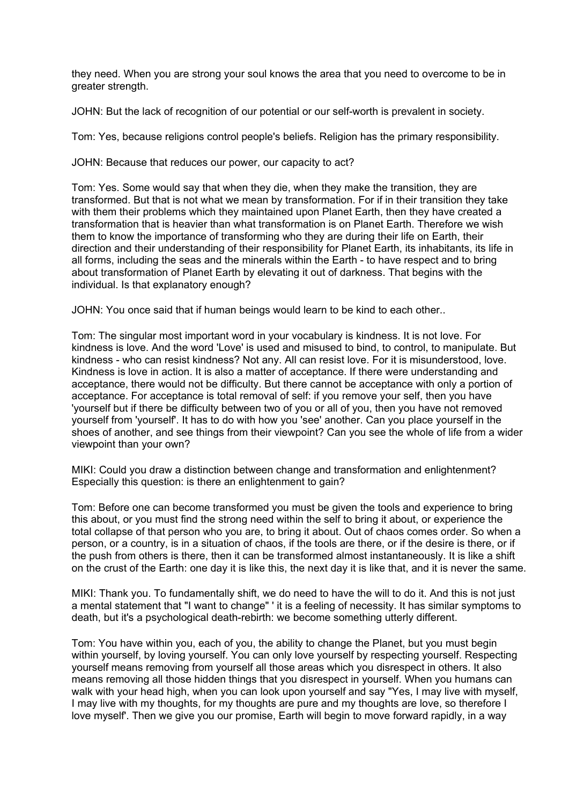they need. When you are strong your soul knows the area that you need to overcome to be in greater strength.

JOHN: But the lack of recognition of our potential or our self-worth is prevalent in society.

Tom: Yes, because religions control people's beliefs. Religion has the primary responsibility.

JOHN: Because that reduces our power, our capacity to act?

Tom: Yes. Some would say that when they die, when they make the transition, they are transformed. But that is not what we mean by transformation. For if in their transition they take with them their problems which they maintained upon Planet Earth, then they have created a transformation that is heavier than what transformation is on Planet Earth. Therefore we wish them to know the importance of transforming who they are during their life on Earth, their direction and their understanding of their responsibility for Planet Earth, its inhabitants, its life in all forms, including the seas and the minerals within the Earth - to have respect and to bring about transformation of Planet Earth by elevating it out of darkness. That begins with the individual. Is that explanatory enough?

JOHN: You once said that if human beings would learn to be kind to each other..

Tom: The singular most important word in your vocabulary is kindness. It is not love. For kindness is love. And the word 'Love' is used and misused to bind, to control, to manipulate. But kindness - who can resist kindness? Not any. All can resist love. For it is misunderstood, love. Kindness is love in action. It is also a matter of acceptance. If there were understanding and acceptance, there would not be difficulty. But there cannot be acceptance with only a portion of acceptance. For acceptance is total removal of self: if you remove your self, then you have 'yourself but if there be difficulty between two of you or all of you, then you have not removed yourself from 'yourself'. It has to do with how you 'see' another. Can you place yourself in the shoes of another, and see things from their viewpoint? Can you see the whole of life from a wider viewpoint than your own?

MIKI: Could you draw a distinction between change and transformation and enlightenment? Especially this question: is there an enlightenment to gain?

Tom: Before one can become transformed you must be given the tools and experience to bring this about, or you must find the strong need within the self to bring it about, or experience the total collapse of that person who you are, to bring it about. Out of chaos comes order. So when a person, or a country, is in a situation of chaos, if the tools are there, or if the desire is there, or if the push from others is there, then it can be transformed almost instantaneously. It is like a shift on the crust of the Earth: one day it is like this, the next day it is like that, and it is never the same.

MIKI: Thank you. To fundamentally shift, we do need to have the will to do it. And this is not just a mental statement that "I want to change" ' it is a feeling of necessity. It has similar symptoms to death, but it's a psychological death-rebirth: we become something utterly different.

Tom: You have within you, each of you, the ability to change the Planet, but you must begin within yourself, by loving yourself. You can only love yourself by respecting yourself. Respecting yourself means removing from yourself all those areas which you disrespect in others. It also means removing all those hidden things that you disrespect in yourself. When you humans can walk with your head high, when you can look upon yourself and say "Yes, I may live with myself, I may live with my thoughts, for my thoughts are pure and my thoughts are love, so therefore I love myself'. Then we give you our promise, Earth will begin to move forward rapidly, in a way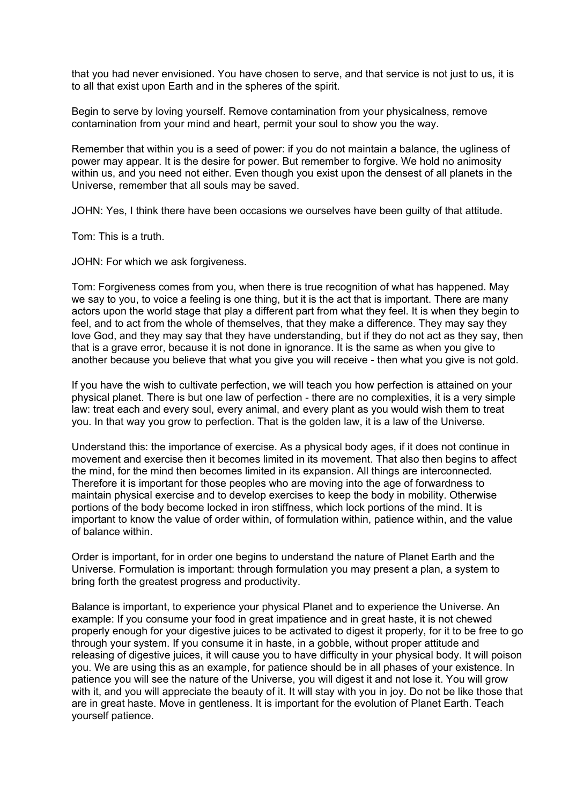that you had never envisioned. You have chosen to serve, and that service is not just to us, it is to all that exist upon Earth and in the spheres of the spirit.

Begin to serve by loving yourself. Remove contamination from your physicalness, remove contamination from your mind and heart, permit your soul to show you the way.

Remember that within you is a seed of power: if you do not maintain a balance, the ugliness of power may appear. It is the desire for power. But remember to forgive. We hold no animosity within us, and you need not either. Even though you exist upon the densest of all planets in the Universe, remember that all souls may be saved.

JOHN: Yes, I think there have been occasions we ourselves have been guilty of that attitude.

Tom: This is a truth.

JOHN: For which we ask forgiveness.

Tom: Forgiveness comes from you, when there is true recognition of what has happened. May we say to you, to voice a feeling is one thing, but it is the act that is important. There are many actors upon the world stage that play a different part from what they feel. It is when they begin to feel, and to act from the whole of themselves, that they make a difference. They may say they love God, and they may say that they have understanding, but if they do not act as they say, then that is a grave error, because it is not done in ignorance. It is the same as when you give to another because you believe that what you give you will receive - then what you give is not gold.

If you have the wish to cultivate perfection, we will teach you how perfection is attained on your physical planet. There is but one law of perfection - there are no complexities, it is a very simple law: treat each and every soul, every animal, and every plant as you would wish them to treat you. In that way you grow to perfection. That is the golden law, it is a law of the Universe.

Understand this: the importance of exercise. As a physical body ages, if it does not continue in movement and exercise then it becomes limited in its movement. That also then begins to affect the mind, for the mind then becomes limited in its expansion. All things are interconnected. Therefore it is important for those peoples who are moving into the age of forwardness to maintain physical exercise and to develop exercises to keep the body in mobility. Otherwise portions of the body become locked in iron stiffness, which lock portions of the mind. It is important to know the value of order within, of formulation within, patience within, and the value of balance within.

Order is important, for in order one begins to understand the nature of Planet Earth and the Universe. Formulation is important: through formulation you may present a plan, a system to bring forth the greatest progress and productivity.

Balance is important, to experience your physical Planet and to experience the Universe. An example: If you consume your food in great impatience and in great haste, it is not chewed properly enough for your digestive juices to be activated to digest it properly, for it to be free to go through your system. If you consume it in haste, in a gobble, without proper attitude and releasing of digestive juices, it will cause you to have difficulty in your physical body. It will poison you. We are using this as an example, for patience should be in all phases of your existence. In patience you will see the nature of the Universe, you will digest it and not lose it. You will grow with it, and you will appreciate the beauty of it. It will stay with you in joy. Do not be like those that are in great haste. Move in gentleness. It is important for the evolution of Planet Earth. Teach yourself patience.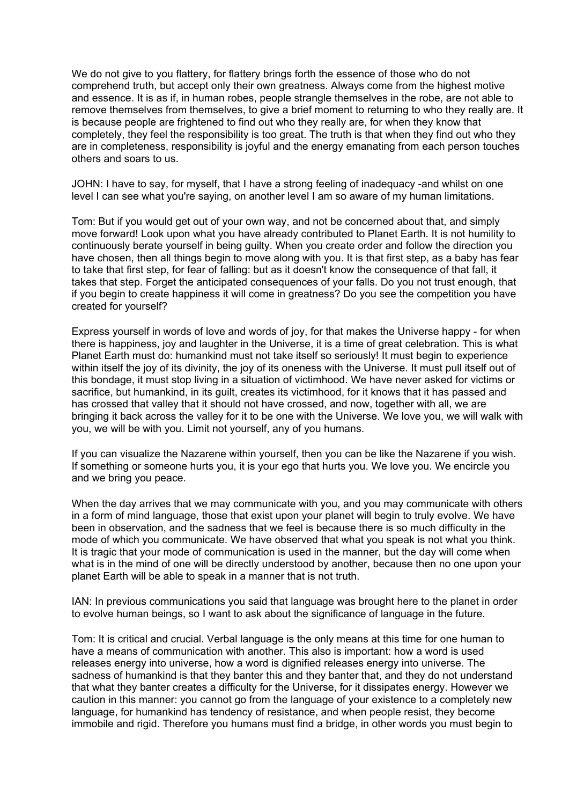We do not give to you flattery, for flattery brings forth the essence of those who do not comprehend truth, but accept only their own greatness. Always come from the highest motive and essence. It is as if, in human robes, people strangle themselves in the robe, are not able to remove themselves from themselves, to give a brief moment to returning to who they really are. It is because people are frightened to find out who they really are, for when they know that completely, they feel the responsibility is too great. The truth is that when they find out who they are in completeness, responsibility is joyful and the energy emanating from each person touches others and soars to us.

JOHN: I have to say, for myself, that I have a strong feeling of inadequacy -and whilst on one level I can see what you're saying, on another level I am so aware of my human limitations.

Tom: But if you would get out of your own way, and not be concerned about that, and simply move forward! Look upon what you have already contributed to Planet Earth. It is not humility to continuously berate yourself in being guilty. When you create order and follow the direction you have chosen, then all things begin to move along with you. It is that first step, as a baby has fear to take that first step, for fear of falling: but as it doesn't know the consequence of that fall, it takes that step. Forget the anticipated consequences of your falls. Do you not trust enough, that if you begin to create happiness it will come in greatness? Do you see the competition you have created for yourself?

Express yourself in words of love and words of joy, for that makes the Universe happy - for when there is happiness, joy and laughter in the Universe, it is a time of great celebration. This is what Planet Earth must do: humankind must not take itself so seriously! It must begin to experience within itself the joy of its divinity, the joy of its oneness with the Universe. It must pull itself out of this bondage, it must stop living in a situation of victimhood. We have never asked for victims or sacrifice, but humankind, in its guilt, creates its victimhood, for it knows that it has passed and has crossed that valley that it should not have crossed, and now, together with all, we are bringing it back across the valley for it to be one with the Universe. We love you, we will walk with you, we will be with you. Limit not yourself, any of you humans.

If you can visualize the Nazarene within yourself, then you can be like the Nazarene if you wish. If something or someone hurts you, it is your ego that hurts you. We love you. We encircle you and we bring you peace.

When the day arrives that we may communicate with you, and you may communicate with others in a form of mind language, those that exist upon your planet will begin to truly evolve. We have been in observation, and the sadness that we feel is because there is so much difficulty in the mode of which you communicate. We have observed that what you speak is not what you think. It is tragic that your mode of communication is used in the manner, but the day will come when what is in the mind of one will be directly understood by another, because then no one upon your planet Earth will be able to speak in a manner that is not truth.

IAN: In previous communications you said that language was brought here to the planet in order to evolve human beings, so I want to ask about the significance of language in the future.

Tom: It is critical and crucial. Verbal language is the only means at this time for one human to have a means of communication with another. This also is important: how a word is used releases energy into universe, how a word is dignified releases energy into universe. The sadness of humankind is that they banter this and they banter that, and they do not understand that what they banter creates a difficulty for the Universe, for it dissipates energy. However we caution in this manner: you cannot go from the language of your existence to a completely new language, for humankind has tendency of resistance, and when people resist, they become immobile and rigid. Therefore you humans must find a bridge, in other words you must begin to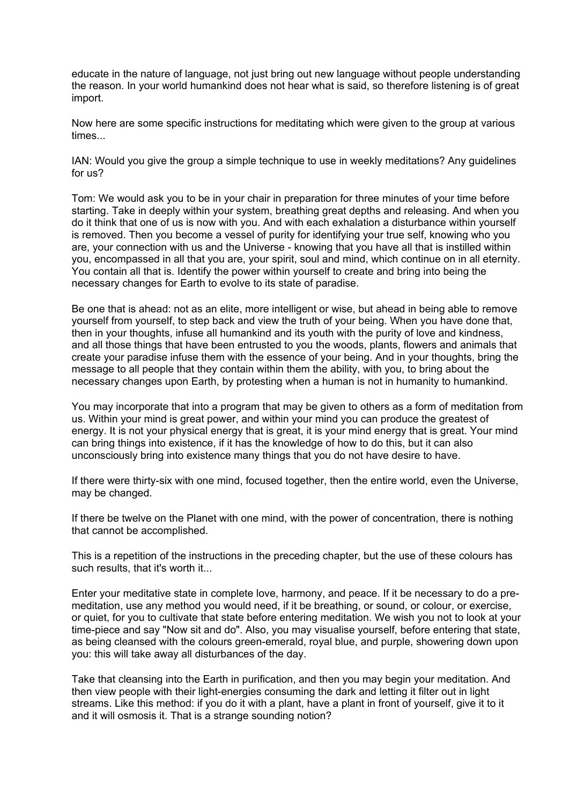educate in the nature of language, not just bring out new language without people understanding the reason. In your world humankind does not hear what is said, so therefore listening is of great import.

Now here are some specific instructions for meditating which were given to the group at various times...

IAN: Would you give the group a simple technique to use in weekly meditations? Any guidelines for us?

Tom: We would ask you to be in your chair in preparation for three minutes of your time before starting. Take in deeply within your system, breathing great depths and releasing. And when you do it think that one of us is now with you. And with each exhalation a disturbance within yourself is removed. Then you become a vessel of purity for identifying your true self, knowing who you are, your connection with us and the Universe - knowing that you have all that is instilled within you, encompassed in all that you are, your spirit, soul and mind, which continue on in all eternity. You contain all that is. Identify the power within yourself to create and bring into being the necessary changes for Earth to evolve to its state of paradise.

Be one that is ahead: not as an elite, more intelligent or wise, but ahead in being able to remove yourself from yourself, to step back and view the truth of your being. When you have done that, then in your thoughts, infuse all humankind and its youth with the purity of love and kindness, and all those things that have been entrusted to you the woods, plants, flowers and animals that create your paradise infuse them with the essence of your being. And in your thoughts, bring the message to all people that they contain within them the ability, with you, to bring about the necessary changes upon Earth, by protesting when a human is not in humanity to humankind.

You may incorporate that into a program that may be given to others as a form of meditation from us. Within your mind is great power, and within your mind you can produce the greatest of energy. It is not your physical energy that is great, it is your mind energy that is great. Your mind can bring things into existence, if it has the knowledge of how to do this, but it can also unconsciously bring into existence many things that you do not have desire to have.

If there were thirty-six with one mind, focused together, then the entire world, even the Universe, may be changed.

If there be twelve on the Planet with one mind, with the power of concentration, there is nothing that cannot be accomplished.

This is a repetition of the instructions in the preceding chapter, but the use of these colours has such results, that it's worth it...

Enter your meditative state in complete love, harmony, and peace. If it be necessary to do a premeditation, use any method you would need, if it be breathing, or sound, or colour, or exercise, or quiet, for you to cultivate that state before entering meditation. We wish you not to look at your time-piece and say "Now sit and do". Also, you may visualise yourself, before entering that state, as being cleansed with the colours green-emerald, royal blue, and purple, showering down upon you: this will take away all disturbances of the day.

Take that cleansing into the Earth in purification, and then you may begin your meditation. And then view people with their light-energies consuming the dark and letting it filter out in light streams. Like this method: if you do it with a plant, have a plant in front of yourself, give it to it and it will osmosis it. That is a strange sounding notion?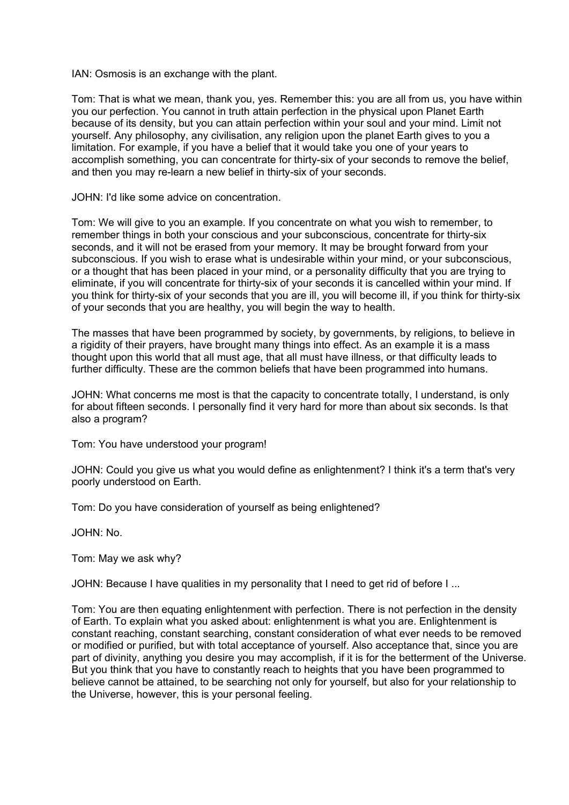IAN: Osmosis is an exchange with the plant.

Tom: That is what we mean, thank you, yes. Remember this: you are all from us, you have within you our perfection. You cannot in truth attain perfection in the physical upon Planet Earth because of its density, but you can attain perfection within your soul and your mind. Limit not yourself. Any philosophy, any civilisation, any religion upon the planet Earth gives to you a limitation. For example, if you have a belief that it would take you one of your years to accomplish something, you can concentrate for thirty-six of your seconds to remove the belief, and then you may re-learn a new belief in thirty-six of your seconds.

JOHN: I'd like some advice on concentration.

Tom: We will give to you an example. If you concentrate on what you wish to remember, to remember things in both your conscious and your subconscious, concentrate for thirty-six seconds, and it will not be erased from your memory. It may be brought forward from your subconscious. If you wish to erase what is undesirable within your mind, or your subconscious, or a thought that has been placed in your mind, or a personality difficulty that you are trying to eliminate, if you will concentrate for thirty-six of your seconds it is cancelled within your mind. If you think for thirty-six of your seconds that you are ill, you will become ill, if you think for thirty-six of your seconds that you are healthy, you will begin the way to health.

The masses that have been programmed by society, by governments, by religions, to believe in a rigidity of their prayers, have brought many things into effect. As an example it is a mass thought upon this world that all must age, that all must have illness, or that difficulty leads to further difficulty. These are the common beliefs that have been programmed into humans.

JOHN: What concerns me most is that the capacity to concentrate totally, I understand, is only for about fifteen seconds. I personally find it very hard for more than about six seconds. Is that also a program?

Tom: You have understood your program!

JOHN: Could you give us what you would define as enlightenment? I think it's a term that's very poorly understood on Earth.

Tom: Do you have consideration of yourself as being enlightened?

JOHN: No.

Tom: May we ask why?

JOHN: Because I have qualities in my personality that I need to get rid of before I ...

Tom: You are then equating enlightenment with perfection. There is not perfection in the density of Earth. To explain what you asked about: enlightenment is what you are. Enlightenment is constant reaching, constant searching, constant consideration of what ever needs to be removed or modified or purified, but with total acceptance of yourself. Also acceptance that, since you are part of divinity, anything you desire you may accomplish, if it is for the betterment of the Universe. But you think that you have to constantly reach to heights that you have been programmed to believe cannot be attained, to be searching not only for yourself, but also for your relationship to the Universe, however, this is your personal feeling.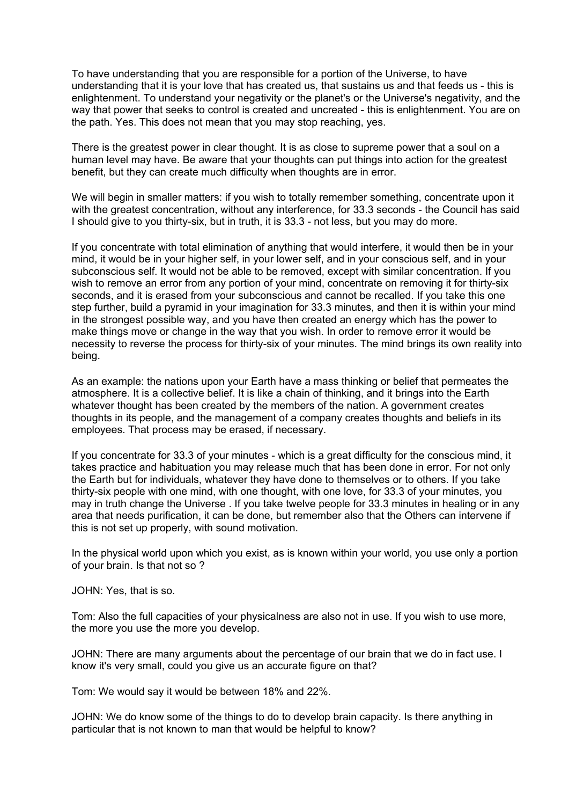To have understanding that you are responsible for a portion of the Universe, to have understanding that it is your love that has created us, that sustains us and that feeds us - this is enlightenment. To understand your negativity or the planet's or the Universe's negativity, and the way that power that seeks to control is created and uncreated - this is enlightenment. You are on the path. Yes. This does not mean that you may stop reaching, yes.

There is the greatest power in clear thought. It is as close to supreme power that a soul on a human level may have. Be aware that your thoughts can put things into action for the greatest benefit, but they can create much difficulty when thoughts are in error.

We will begin in smaller matters: if you wish to totally remember something, concentrate upon it with the greatest concentration, without any interference, for 33.3 seconds - the Council has said I should give to you thirty-six, but in truth, it is 33.3 - not less, but you may do more.

If you concentrate with total elimination of anything that would interfere, it would then be in your mind, it would be in your higher self, in your lower self, and in your conscious self, and in your subconscious self. It would not be able to be removed, except with similar concentration. If you wish to remove an error from any portion of your mind, concentrate on removing it for thirty-six seconds, and it is erased from your subconscious and cannot be recalled. If you take this one step further, build a pyramid in your imagination for 33.3 minutes, and then it is within your mind in the strongest possible way, and you have then created an energy which has the power to make things move or change in the way that you wish. In order to remove error it would be necessity to reverse the process for thirty-six of your minutes. The mind brings its own reality into being.

As an example: the nations upon your Earth have a mass thinking or belief that permeates the atmosphere. It is a collective belief. It is like a chain of thinking, and it brings into the Earth whatever thought has been created by the members of the nation. A government creates thoughts in its people, and the management of a company creates thoughts and beliefs in its employees. That process may be erased, if necessary.

If you concentrate for 33.3 of your minutes - which is a great difficulty for the conscious mind, it takes practice and habituation you may release much that has been done in error. For not only the Earth but for individuals, whatever they have done to themselves or to others. If you take thirty-six people with one mind, with one thought, with one love, for 33.3 of your minutes, you may in truth change the Universe . If you take twelve people for 33.3 minutes in healing or in any area that needs purification, it can be done, but remember also that the Others can intervene if this is not set up properly, with sound motivation.

In the physical world upon which you exist, as is known within your world, you use only a portion of your brain. Is that not so ?

JOHN: Yes, that is so.

Tom: Also the full capacities of your physicalness are also not in use. If you wish to use more, the more you use the more you develop.

JOHN: There are many arguments about the percentage of our brain that we do in fact use. I know it's very small, could you give us an accurate figure on that?

Tom: We would say it would be between 18% and 22%.

JOHN: We do know some of the things to do to develop brain capacity. Is there anything in particular that is not known to man that would be helpful to know?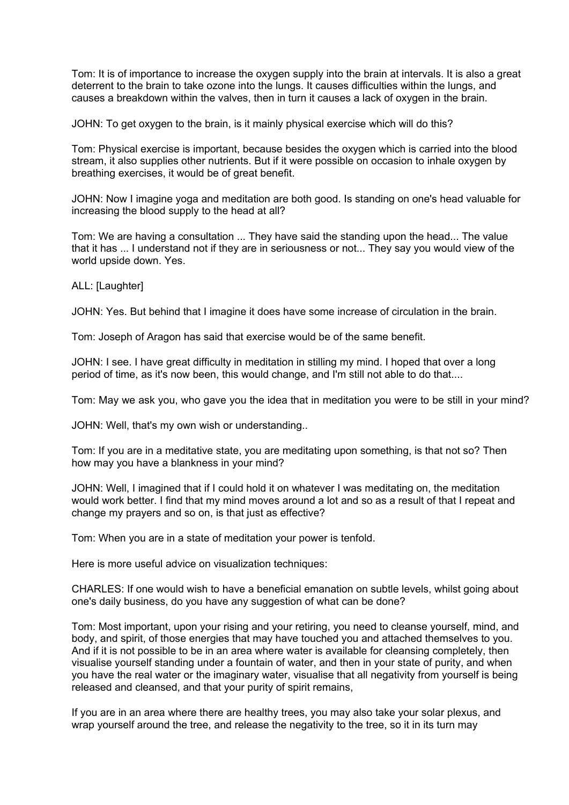Tom: It is of importance to increase the oxygen supply into the brain at intervals. It is also a great deterrent to the brain to take ozone into the lungs. It causes difficulties within the lungs, and causes a breakdown within the valves, then in turn it causes a lack of oxygen in the brain.

JOHN: To get oxygen to the brain, is it mainly physical exercise which will do this?

Tom: Physical exercise is important, because besides the oxygen which is carried into the blood stream, it also supplies other nutrients. But if it were possible on occasion to inhale oxygen by breathing exercises, it would be of great benefit.

JOHN: Now I imagine yoga and meditation are both good. Is standing on one's head valuable for increasing the blood supply to the head at all?

Tom: We are having a consultation ... They have said the standing upon the head... The value that it has ... I understand not if they are in seriousness or not... They say you would view of the world upside down. Yes.

ALL: [Laughter]

JOHN: Yes. But behind that I imagine it does have some increase of circulation in the brain.

Tom: Joseph of Aragon has said that exercise would be of the same benefit.

JOHN: I see. I have great difficulty in meditation in stilling my mind. I hoped that over a long period of time, as it's now been, this would change, and I'm still not able to do that....

Tom: May we ask you, who gave you the idea that in meditation you were to be still in your mind?

JOHN: Well, that's my own wish or understanding..

Tom: If you are in a meditative state, you are meditating upon something, is that not so? Then how may you have a blankness in your mind?

JOHN: Well, I imagined that if I could hold it on whatever I was meditating on, the meditation would work better. I find that my mind moves around a lot and so as a result of that I repeat and change my prayers and so on, is that just as effective?

Tom: When you are in a state of meditation your power is tenfold.

Here is more useful advice on visualization techniques:

CHARLES: If one would wish to have a beneficial emanation on subtle levels, whilst going about one's daily business, do you have any suggestion of what can be done?

Tom: Most important, upon your rising and your retiring, you need to cleanse yourself, mind, and body, and spirit, of those energies that may have touched you and attached themselves to you. And if it is not possible to be in an area where water is available for cleansing completely, then visualise yourself standing under a fountain of water, and then in your state of purity, and when you have the real water or the imaginary water, visualise that all negativity from yourself is being released and cleansed, and that your purity of spirit remains,

If you are in an area where there are healthy trees, you may also take your solar plexus, and wrap yourself around the tree, and release the negativity to the tree, so it in its turn may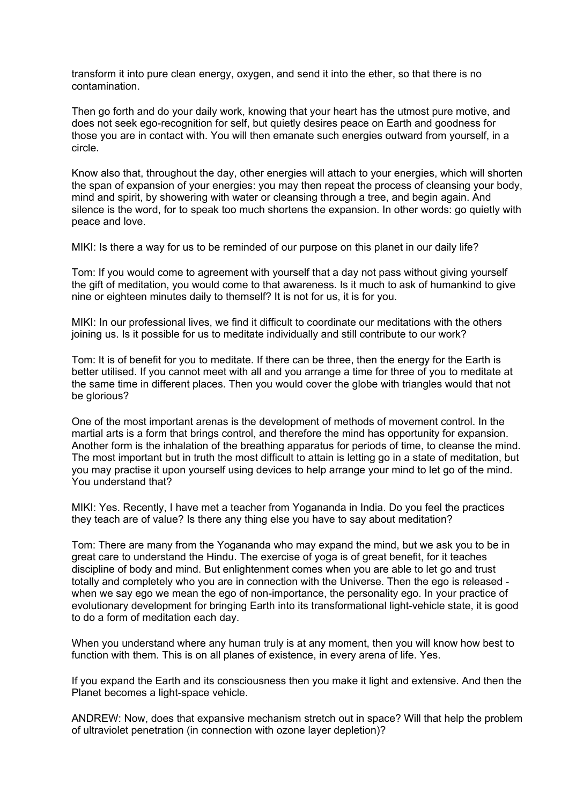transform it into pure clean energy, oxygen, and send it into the ether, so that there is no contamination.

Then go forth and do your daily work, knowing that your heart has the utmost pure motive, and does not seek ego-recognition for self, but quietly desires peace on Earth and goodness for those you are in contact with. You will then emanate such energies outward from yourself, in a circle.

Know also that, throughout the day, other energies will attach to your energies, which will shorten the span of expansion of your energies: you may then repeat the process of cleansing your body, mind and spirit, by showering with water or cleansing through a tree, and begin again. And silence is the word, for to speak too much shortens the expansion. In other words: go quietly with peace and love.

MIKI: Is there a way for us to be reminded of our purpose on this planet in our daily life?

Tom: If you would come to agreement with yourself that a day not pass without giving yourself the gift of meditation, you would come to that awareness. Is it much to ask of humankind to give nine or eighteen minutes daily to themself? It is not for us, it is for you.

MIKI: In our professional lives, we find it difficult to coordinate our meditations with the others joining us. Is it possible for us to meditate individually and still contribute to our work?

Tom: It is of benefit for you to meditate. If there can be three, then the energy for the Earth is better utilised. If you cannot meet with all and you arrange a time for three of you to meditate at the same time in different places. Then you would cover the globe with triangles would that not be glorious?

One of the most important arenas is the development of methods of movement control. In the martial arts is a form that brings control, and therefore the mind has opportunity for expansion. Another form is the inhalation of the breathing apparatus for periods of time, to cleanse the mind. The most important but in truth the most difficult to attain is letting go in a state of meditation, but you may practise it upon yourself using devices to help arrange your mind to let go of the mind. You understand that?

MIKI: Yes. Recently, I have met a teacher from Yogananda in India. Do you feel the practices they teach are of value? Is there any thing else you have to say about meditation?

Tom: There are many from the Yogananda who may expand the mind, but we ask you to be in great care to understand the Hindu. The exercise of yoga is of great benefit, for it teaches discipline of body and mind. But enlightenment comes when you are able to let go and trust totally and completely who you are in connection with the Universe. Then the ego is released when we say ego we mean the ego of non-importance, the personality ego. In your practice of evolutionary development for bringing Earth into its transformational light-vehicle state, it is good to do a form of meditation each day.

When you understand where any human truly is at any moment, then you will know how best to function with them. This is on all planes of existence, in every arena of life. Yes.

If you expand the Earth and its consciousness then you make it light and extensive. And then the Planet becomes a light-space vehicle.

ANDREW: Now, does that expansive mechanism stretch out in space? Will that help the problem of ultraviolet penetration (in connection with ozone layer depletion)?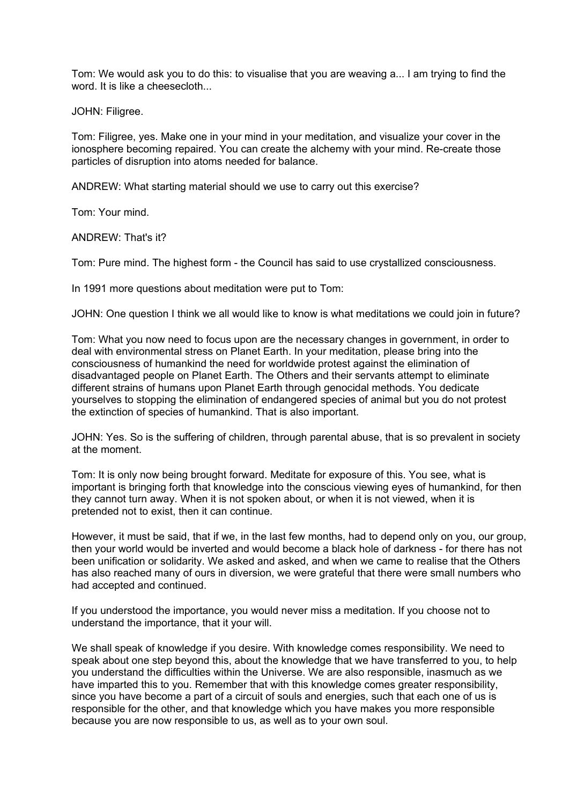Tom: We would ask you to do this: to visualise that you are weaving a... I am trying to find the word. It is like a cheesecloth...

JOHN: Filigree.

Tom: Filigree, yes. Make one in your mind in your meditation, and visualize your cover in the ionosphere becoming repaired. You can create the alchemy with your mind. Re-create those particles of disruption into atoms needed for balance.

ANDREW: What starting material should we use to carry out this exercise?

Tom: Your mind.

ANDREW: That's it?

Tom: Pure mind. The highest form - the Council has said to use crystallized consciousness.

In 1991 more questions about meditation were put to Tom:

JOHN: One question I think we all would like to know is what meditations we could join in future?

Tom: What you now need to focus upon are the necessary changes in government, in order to deal with environmental stress on Planet Earth. In your meditation, please bring into the consciousness of humankind the need for worldwide protest against the elimination of disadvantaged people on Planet Earth. The Others and their servants attempt to eliminate different strains of humans upon Planet Earth through genocidal methods. You dedicate yourselves to stopping the elimination of endangered species of animal but you do not protest the extinction of species of humankind. That is also important.

JOHN: Yes. So is the suffering of children, through parental abuse, that is so prevalent in society at the moment.

Tom: It is only now being brought forward. Meditate for exposure of this. You see, what is important is bringing forth that knowledge into the conscious viewing eyes of humankind, for then they cannot turn away. When it is not spoken about, or when it is not viewed, when it is pretended not to exist, then it can continue.

However, it must be said, that if we, in the last few months, had to depend only on you, our group, then your world would be inverted and would become a black hole of darkness - for there has not been unification or solidarity. We asked and asked, and when we came to realise that the Others has also reached many of ours in diversion, we were grateful that there were small numbers who had accepted and continued.

If you understood the importance, you would never miss a meditation. If you choose not to understand the importance, that it your will.

We shall speak of knowledge if you desire. With knowledge comes responsibility. We need to speak about one step beyond this, about the knowledge that we have transferred to you, to help you understand the difficulties within the Universe. We are also responsible, inasmuch as we have imparted this to you. Remember that with this knowledge comes greater responsibility, since you have become a part of a circuit of souls and energies, such that each one of us is responsible for the other, and that knowledge which you have makes you more responsible because you are now responsible to us, as well as to your own soul.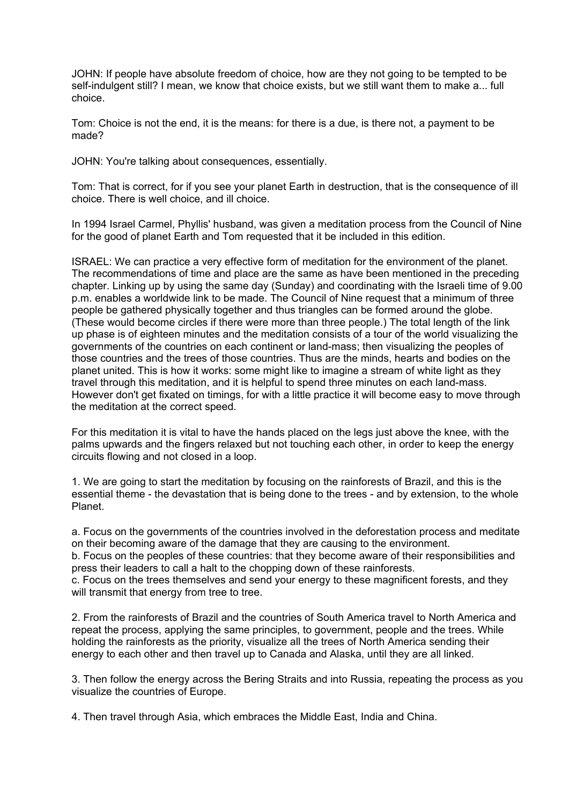JOHN: If people have absolute freedom of choice, how are they not going to be tempted to be self-indulgent still? I mean, we know that choice exists, but we still want them to make a... full choice.

Tom: Choice is not the end, it is the means: for there is a due, is there not, a payment to be made?

JOHN: You're talking about consequences, essentially.

Tom: That is correct, for if you see your planet Earth in destruction, that is the consequence of ill choice. There is well choice, and ill choice.

In 1994 Israel Carmel, Phyllis' husband, was given a meditation process from the Council of Nine for the good of planet Earth and Tom requested that it be included in this edition.

ISRAEL: We can practice a very effective form of meditation for the environment of the planet. The recommendations of time and place are the same as have been mentioned in the preceding chapter. Linking up by using the same day (Sunday) and coordinating with the Israeli time of 9.00 p.m. enables a worldwide link to be made. The Council of Nine request that a minimum of three people be gathered physically together and thus triangles can be formed around the globe. (These would become circles if there were more than three people.) The total length of the link up phase is of eighteen minutes and the meditation consists of a tour of the world visualizing the governments of the countries on each continent or land-mass; then visualizing the peoples of those countries and the trees of those countries. Thus are the minds, hearts and bodies on the planet united. This is how it works: some might like to imagine a stream of white light as they travel through this meditation, and it is helpful to spend three minutes on each land-mass. However don't get fixated on timings, for with a little practice it will become easy to move through the meditation at the correct speed.

For this meditation it is vital to have the hands placed on the legs just above the knee, with the palms upwards and the fingers relaxed but not touching each other, in order to keep the energy circuits flowing and not closed in a loop.

1. We are going to start the meditation by focusing on the rainforests of Brazil, and this is the essential theme - the devastation that is being done to the trees - and by extension, to the whole Planet.

a. Focus on the governments of the countries involved in the deforestation process and meditate on their becoming aware of the damage that they are causing to the environment. b. Focus on the peoples of these countries: that they become aware of their responsibilities and

press their leaders to call a halt to the chopping down of these rainforests. c. Focus on the trees themselves and send your energy to these magnificent forests, and they will transmit that energy from tree to tree.

2. From the rainforests of Brazil and the countries of South America travel to North America and repeat the process, applying the same principles, to government, people and the trees. While holding the rainforests as the priority, visualize all the trees of North America sending their energy to each other and then travel up to Canada and Alaska, until they are all linked.

3. Then follow the energy across the Bering Straits and into Russia, repeating the process as you visualize the countries of Europe.

4. Then travel through Asia, which embraces the Middle East, India and China.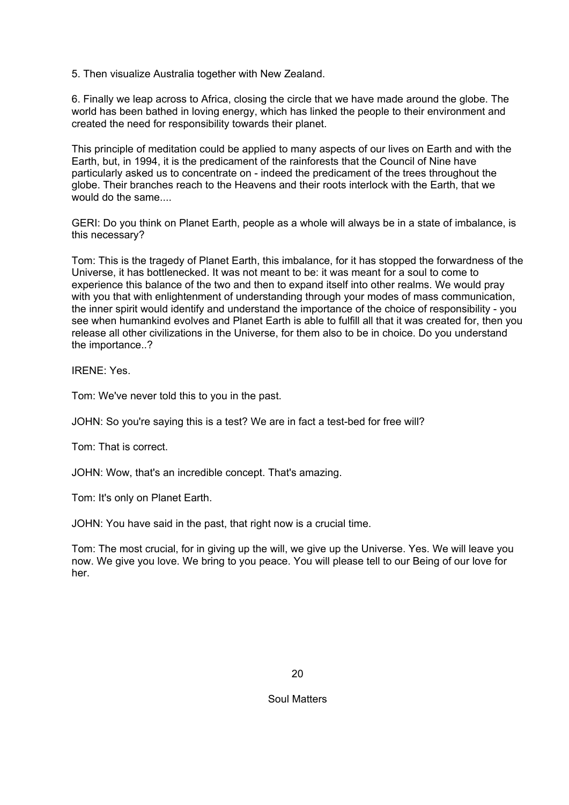5. Then visualize Australia together with New Zealand.

6. Finally we leap across to Africa, closing the circle that we have made around the globe. The world has been bathed in loving energy, which has linked the people to their environment and created the need for responsibility towards their planet.

This principle of meditation could be applied to many aspects of our lives on Earth and with the Earth, but, in 1994, it is the predicament of the rainforests that the Council of Nine have particularly asked us to concentrate on - indeed the predicament of the trees throughout the globe. Their branches reach to the Heavens and their roots interlock with the Earth, that we would do the same.

GERI: Do you think on Planet Earth, people as a whole will always be in a state of imbalance, is this necessary?

Tom: This is the tragedy of Planet Earth, this imbalance, for it has stopped the forwardness of the Universe, it has bottlenecked. It was not meant to be: it was meant for a soul to come to experience this balance of the two and then to expand itself into other realms. We would pray with you that with enlightenment of understanding through your modes of mass communication, the inner spirit would identify and understand the importance of the choice of responsibility - you see when humankind evolves and Planet Earth is able to fulfill all that it was created for, then you release all other civilizations in the Universe, for them also to be in choice. Do you understand the importance..?

IRENE: Yes.

Tom: We've never told this to you in the past.

JOHN: So you're saying this is a test? We are in fact a test-bed for free will?

Tom: That is correct.

JOHN: Wow, that's an incredible concept. That's amazing.

Tom: It's only on Planet Earth.

JOHN: You have said in the past, that right now is a crucial time.

Tom: The most crucial, for in giving up the will, we give up the Universe. Yes. We will leave you now. We give you love. We bring to you peace. You will please tell to our Being of our love for her.

Soul Matters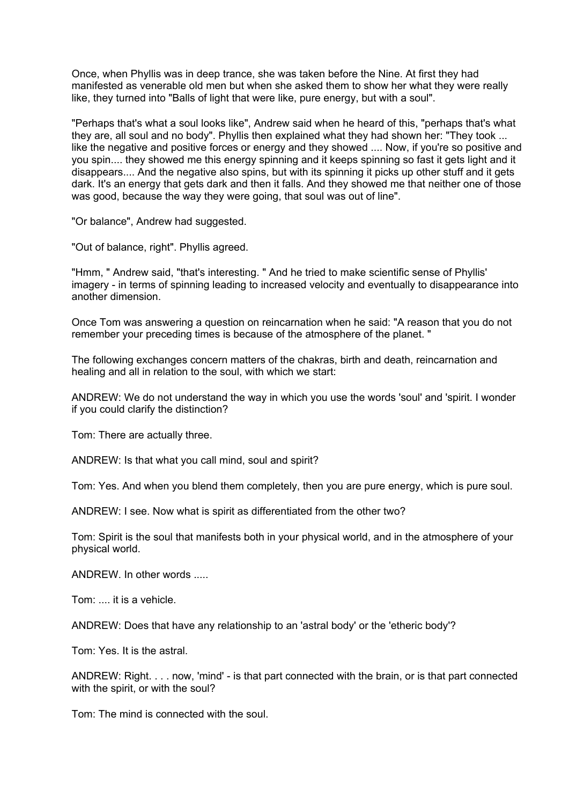Once, when Phyllis was in deep trance, she was taken before the Nine. At first they had manifested as venerable old men but when she asked them to show her what they were really like, they turned into "Balls of light that were like, pure energy, but with a soul".

"Perhaps that's what a soul looks like", Andrew said when he heard of this, "perhaps that's what they are, all soul and no body". Phyllis then explained what they had shown her: "They took ... like the negative and positive forces or energy and they showed .... Now, if you're so positive and you spin.... they showed me this energy spinning and it keeps spinning so fast it gets light and it disappears.... And the negative also spins, but with its spinning it picks up other stuff and it gets dark. It's an energy that gets dark and then it falls. And they showed me that neither one of those was good, because the way they were going, that soul was out of line".

"Or balance", Andrew had suggested.

"Out of balance, right". Phyllis agreed.

"Hmm, " Andrew said, "that's interesting. " And he tried to make scientific sense of Phyllis' imagery - in terms of spinning leading to increased velocity and eventually to disappearance into another dimension.

Once Tom was answering a question on reincarnation when he said: "A reason that you do not remember your preceding times is because of the atmosphere of the planet. "

The following exchanges concern matters of the chakras, birth and death, reincarnation and healing and all in relation to the soul, with which we start:

ANDREW: We do not understand the way in which you use the words 'soul' and 'spirit. I wonder if you could clarify the distinction?

Tom: There are actually three.

ANDREW: Is that what you call mind, soul and spirit?

Tom: Yes. And when you blend them completely, then you are pure energy, which is pure soul.

ANDREW: I see. Now what is spirit as differentiated from the other two?

Tom: Spirit is the soul that manifests both in your physical world, and in the atmosphere of your physical world.

ANDREW. In other words .....

Tom: .... it is a vehicle.

ANDREW: Does that have any relationship to an 'astral body' or the 'etheric body'?

Tom: Yes. It is the astral.

ANDREW: Right. . . . now, 'mind' - is that part connected with the brain, or is that part connected with the spirit, or with the soul?

Tom: The mind is connected with the soul.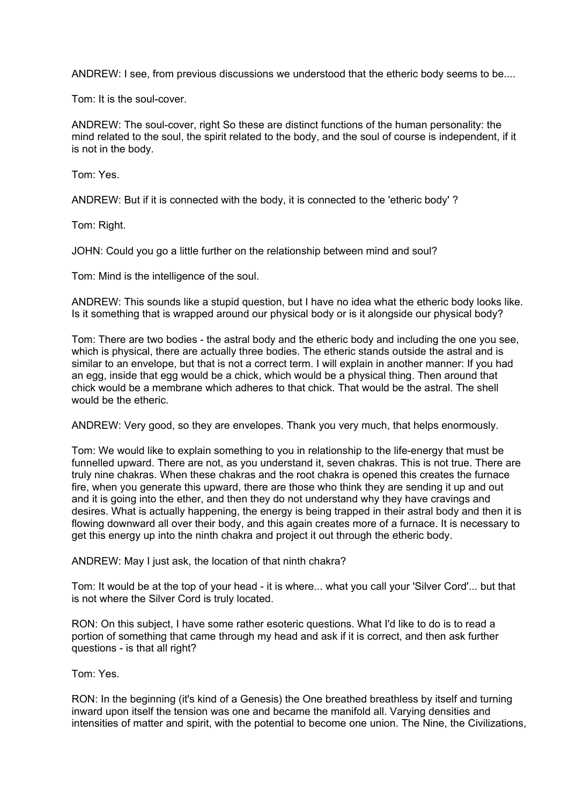ANDREW: I see, from previous discussions we understood that the etheric body seems to be....

Tom: It is the soul-cover.

ANDREW: The soul-cover, right So these are distinct functions of the human personality: the mind related to the soul, the spirit related to the body, and the soul of course is independent, if it is not in the body.

Tom: Yes.

ANDREW: But if it is connected with the body, it is connected to the 'etheric body' ?

Tom: Right.

JOHN: Could you go a little further on the relationship between mind and soul?

Tom: Mind is the intelligence of the soul.

ANDREW: This sounds like a stupid question, but I have no idea what the etheric body looks like. Is it something that is wrapped around our physical body or is it alongside our physical body?

Tom: There are two bodies - the astral body and the etheric body and including the one you see, which is physical, there are actually three bodies. The etheric stands outside the astral and is similar to an envelope, but that is not a correct term. I will explain in another manner: If you had an egg, inside that egg would be a chick, which would be a physical thing. Then around that chick would be a membrane which adheres to that chick. That would be the astral. The shell would be the etheric.

ANDREW: Very good, so they are envelopes. Thank you very much, that helps enormously.

Tom: We would like to explain something to you in relationship to the life-energy that must be funnelled upward. There are not, as you understand it, seven chakras. This is not true. There are truly nine chakras. When these chakras and the root chakra is opened this creates the furnace fire, when you generate this upward, there are those who think they are sending it up and out and it is going into the ether, and then they do not understand why they have cravings and desires. What is actually happening, the energy is being trapped in their astral body and then it is flowing downward all over their body, and this again creates more of a furnace. It is necessary to get this energy up into the ninth chakra and project it out through the etheric body.

ANDREW: May I just ask, the location of that ninth chakra?

Tom: It would be at the top of your head - it is where... what you call your 'Silver Cord'... but that is not where the Silver Cord is truly located.

RON: On this subject, I have some rather esoteric questions. What I'd like to do is to read a portion of something that came through my head and ask if it is correct, and then ask further questions - is that all right?

Tom: Yes.

RON: In the beginning (it's kind of a Genesis) the One breathed breathless by itself and turning inward upon itself the tension was one and became the manifold all. Varying densities and intensities of matter and spirit, with the potential to become one union. The Nine, the Civilizations,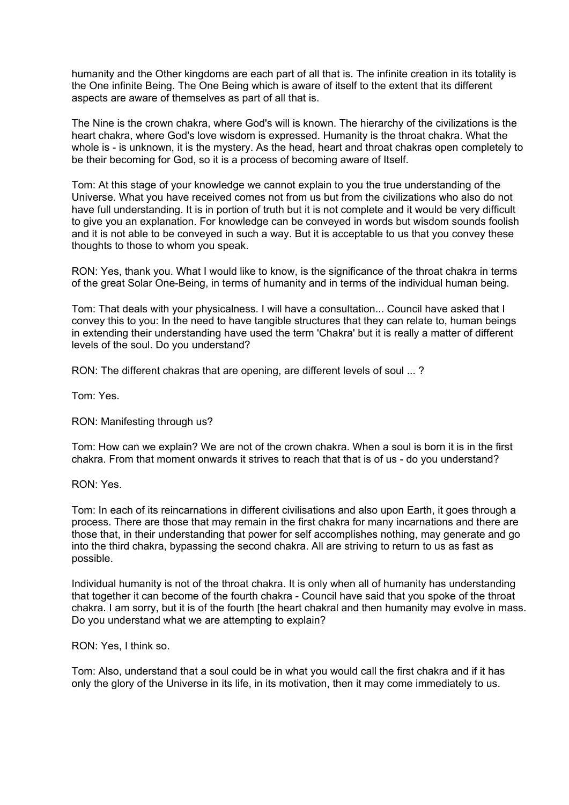humanity and the Other kingdoms are each part of all that is. The infinite creation in its totality is the One infinite Being. The One Being which is aware of itself to the extent that its different aspects are aware of themselves as part of all that is.

The Nine is the crown chakra, where God's will is known. The hierarchy of the civilizations is the heart chakra, where God's love wisdom is expressed. Humanity is the throat chakra. What the whole is - is unknown, it is the mystery. As the head, heart and throat chakras open completely to be their becoming for God, so it is a process of becoming aware of Itself.

Tom: At this stage of your knowledge we cannot explain to you the true understanding of the Universe. What you have received comes not from us but from the civilizations who also do not have full understanding. It is in portion of truth but it is not complete and it would be very difficult to give you an explanation. For knowledge can be conveyed in words but wisdom sounds foolish and it is not able to be conveyed in such a way. But it is acceptable to us that you convey these thoughts to those to whom you speak.

RON: Yes, thank you. What I would like to know, is the significance of the throat chakra in terms of the great Solar One-Being, in terms of humanity and in terms of the individual human being.

Tom: That deals with your physicalness. I will have a consultation... Council have asked that I convey this to you: In the need to have tangible structures that they can relate to, human beings in extending their understanding have used the term 'Chakra' but it is really a matter of different levels of the soul. Do you understand?

RON: The different chakras that are opening, are different levels of soul ... ?

Tom: Yes.

RON: Manifesting through us?

Tom: How can we explain? We are not of the crown chakra. When a soul is born it is in the first chakra. From that moment onwards it strives to reach that that is of us - do you understand?

RON: Yes.

Tom: In each of its reincarnations in different civilisations and also upon Earth, it goes through a process. There are those that may remain in the first chakra for many incarnations and there are those that, in their understanding that power for self accomplishes nothing, may generate and go into the third chakra, bypassing the second chakra. All are striving to return to us as fast as possible.

Individual humanity is not of the throat chakra. It is only when all of humanity has understanding that together it can become of the fourth chakra - Council have said that you spoke of the throat chakra. I am sorry, but it is of the fourth [the heart chakral and then humanity may evolve in mass. Do you understand what we are attempting to explain?

RON: Yes, I think so.

Tom: Also, understand that a soul could be in what you would call the first chakra and if it has only the glory of the Universe in its life, in its motivation, then it may come immediately to us.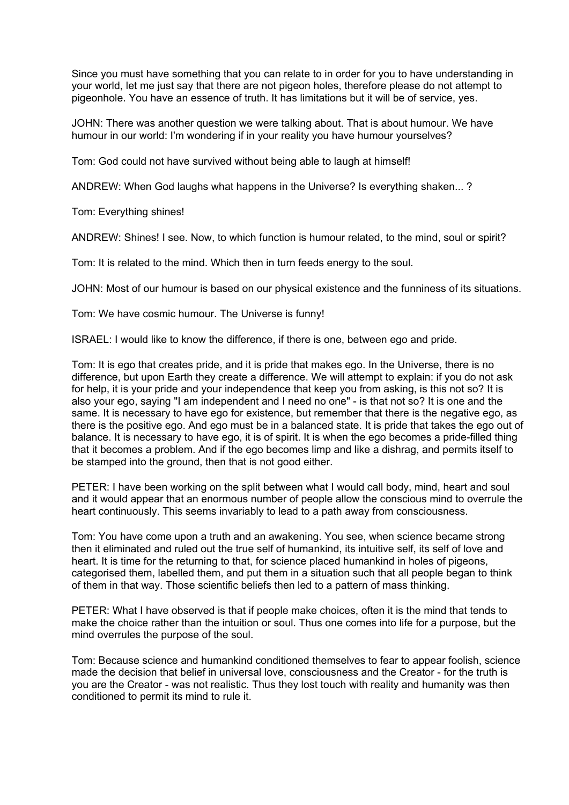Since you must have something that you can relate to in order for you to have understanding in your world, let me just say that there are not pigeon holes, therefore please do not attempt to pigeonhole. You have an essence of truth. It has limitations but it will be of service, yes.

JOHN: There was another question we were talking about. That is about humour. We have humour in our world: I'm wondering if in your reality you have humour yourselves?

Tom: God could not have survived without being able to laugh at himself!

ANDREW: When God laughs what happens in the Universe? Is everything shaken... ?

Tom: Everything shines!

ANDREW: Shines! I see. Now, to which function is humour related, to the mind, soul or spirit?

Tom: It is related to the mind. Which then in turn feeds energy to the soul.

JOHN: Most of our humour is based on our physical existence and the funniness of its situations.

Tom: We have cosmic humour. The Universe is funny!

ISRAEL: I would like to know the difference, if there is one, between ego and pride.

Tom: It is ego that creates pride, and it is pride that makes ego. In the Universe, there is no difference, but upon Earth they create a difference. We will attempt to explain: if you do not ask for help, it is your pride and your independence that keep you from asking, is this not so? It is also your ego, saying "I am independent and I need no one" - is that not so? It is one and the same. It is necessary to have ego for existence, but remember that there is the negative ego, as there is the positive ego. And ego must be in a balanced state. It is pride that takes the ego out of balance. It is necessary to have ego, it is of spirit. It is when the ego becomes a pride-filled thing that it becomes a problem. And if the ego becomes limp and like a dishrag, and permits itself to be stamped into the ground, then that is not good either.

PETER: I have been working on the split between what I would call body, mind, heart and soul and it would appear that an enormous number of people allow the conscious mind to overrule the heart continuously. This seems invariably to lead to a path away from consciousness.

Tom: You have come upon a truth and an awakening. You see, when science became strong then it eliminated and ruled out the true self of humankind, its intuitive self, its self of love and heart. It is time for the returning to that, for science placed humankind in holes of pigeons, categorised them, labelled them, and put them in a situation such that all people began to think of them in that way. Those scientific beliefs then led to a pattern of mass thinking.

PETER: What I have observed is that if people make choices, often it is the mind that tends to make the choice rather than the intuition or soul. Thus one comes into life for a purpose, but the mind overrules the purpose of the soul.

Tom: Because science and humankind conditioned themselves to fear to appear foolish, science made the decision that belief in universal love, consciousness and the Creator - for the truth is you are the Creator - was not realistic. Thus they lost touch with reality and humanity was then conditioned to permit its mind to rule it.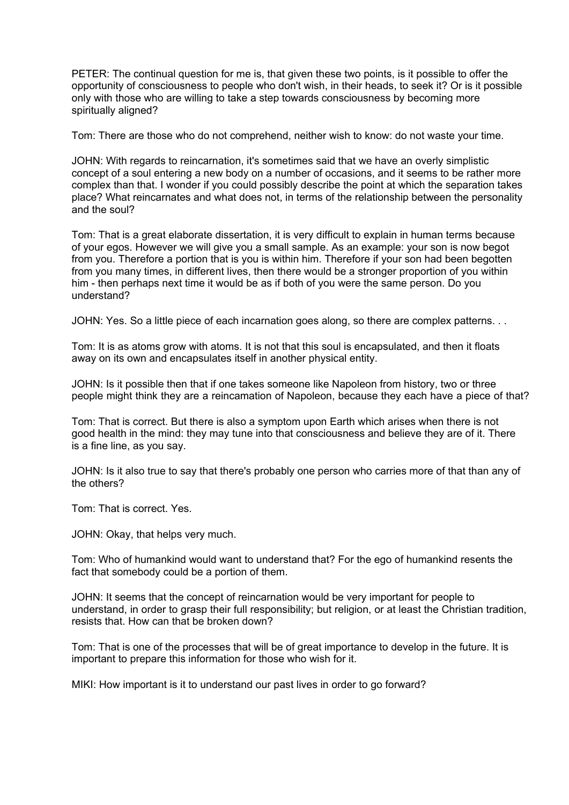PETER: The continual question for me is, that given these two points, is it possible to offer the opportunity of consciousness to people who don't wish, in their heads, to seek it? Or is it possible only with those who are willing to take a step towards consciousness by becoming more spiritually aligned?

Tom: There are those who do not comprehend, neither wish to know: do not waste your time.

JOHN: With regards to reincarnation, it's sometimes said that we have an overly simplistic concept of a soul entering a new body on a number of occasions, and it seems to be rather more complex than that. I wonder if you could possibly describe the point at which the separation takes place? What reincarnates and what does not, in terms of the relationship between the personality and the soul?

Tom: That is a great elaborate dissertation, it is very difficult to explain in human terms because of your egos. However we will give you a small sample. As an example: your son is now begot from you. Therefore a portion that is you is within him. Therefore if your son had been begotten from you many times, in different lives, then there would be a stronger proportion of you within him - then perhaps next time it would be as if both of you were the same person. Do you understand?

JOHN: Yes. So a little piece of each incarnation goes along, so there are complex patterns. . .

Tom: It is as atoms grow with atoms. It is not that this soul is encapsulated, and then it floats away on its own and encapsulates itself in another physical entity.

JOHN: Is it possible then that if one takes someone like Napoleon from history, two or three people might think they are a reincamation of Napoleon, because they each have a piece of that?

Tom: That is correct. But there is also a symptom upon Earth which arises when there is not good health in the mind: they may tune into that consciousness and believe they are of it. There is a fine line, as you say.

JOHN: Is it also true to say that there's probably one person who carries more of that than any of the others?

Tom: That is correct. Yes.

JOHN: Okay, that helps very much.

Tom: Who of humankind would want to understand that? For the ego of humankind resents the fact that somebody could be a portion of them.

JOHN: It seems that the concept of reincarnation would be very important for people to understand, in order to grasp their full responsibility; but religion, or at least the Christian tradition, resists that. How can that be broken down?

Tom: That is one of the processes that will be of great importance to develop in the future. It is important to prepare this information for those who wish for it.

MIKI: How important is it to understand our past lives in order to go forward?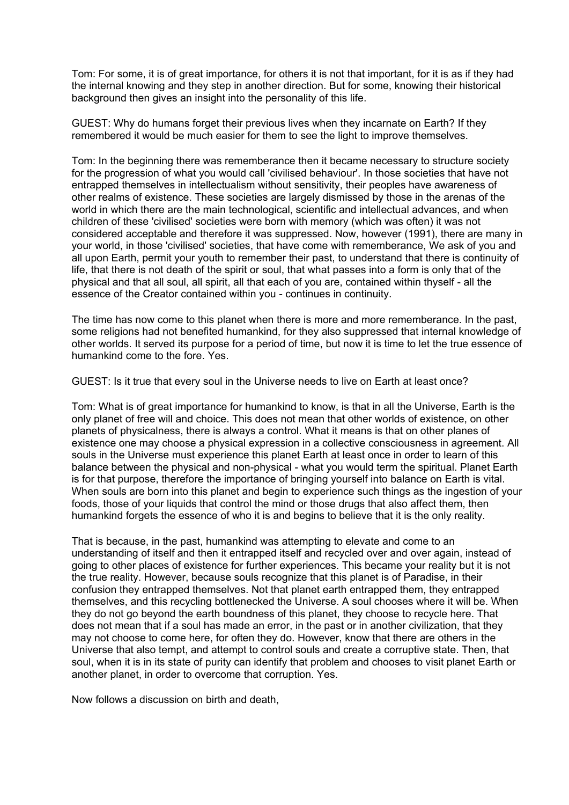Tom: For some, it is of great importance, for others it is not that important, for it is as if they had the internal knowing and they step in another direction. But for some, knowing their historical background then gives an insight into the personality of this life.

GUEST: Why do humans forget their previous lives when they incarnate on Earth? If they remembered it would be much easier for them to see the light to improve themselves.

Tom: In the beginning there was rememberance then it became necessary to structure society for the progression of what you would call 'civilised behaviour'. In those societies that have not entrapped themselves in intellectualism without sensitivity, their peoples have awareness of other realms of existence. These societies are largely dismissed by those in the arenas of the world in which there are the main technological, scientific and intellectual advances, and when children of these 'civilised' societies were born with memory (which was often) it was not considered acceptable and therefore it was suppressed. Now, however (1991), there are many in your world, in those 'civilised' societies, that have come with rememberance, We ask of you and all upon Earth, permit your youth to remember their past, to understand that there is continuity of life, that there is not death of the spirit or soul, that what passes into a form is only that of the physical and that all soul, all spirit, all that each of you are, contained within thyself - all the essence of the Creator contained within you - continues in continuity.

The time has now come to this planet when there is more and more rememberance. In the past, some religions had not benefited humankind, for they also suppressed that internal knowledge of other worlds. It served its purpose for a period of time, but now it is time to let the true essence of humankind come to the fore. Yes.

GUEST: Is it true that every soul in the Universe needs to live on Earth at least once?

Tom: What is of great importance for humankind to know, is that in all the Universe, Earth is the only planet of free will and choice. This does not mean that other worlds of existence, on other planets of physicalness, there is always a control. What it means is that on other planes of existence one may choose a physical expression in a collective consciousness in agreement. All souls in the Universe must experience this planet Earth at least once in order to learn of this balance between the physical and non-physical - what you would term the spiritual. Planet Earth is for that purpose, therefore the importance of bringing yourself into balance on Earth is vital. When souls are born into this planet and begin to experience such things as the ingestion of your foods, those of your liquids that control the mind or those drugs that also affect them, then humankind forgets the essence of who it is and begins to believe that it is the only reality.

That is because, in the past, humankind was attempting to elevate and come to an understanding of itself and then it entrapped itself and recycled over and over again, instead of going to other places of existence for further experiences. This became your reality but it is not the true reality. However, because souls recognize that this planet is of Paradise, in their confusion they entrapped themselves. Not that planet earth entrapped them, they entrapped themselves, and this recycling bottlenecked the Universe. A soul chooses where it will be. When they do not go beyond the earth boundness of this planet, they choose to recycle here. That does not mean that if a soul has made an error, in the past or in another civilization, that they may not choose to come here, for often they do. However, know that there are others in the Universe that also tempt, and attempt to control souls and create a corruptive state. Then, that soul, when it is in its state of purity can identify that problem and chooses to visit planet Earth or another planet, in order to overcome that corruption. Yes.

Now follows a discussion on birth and death,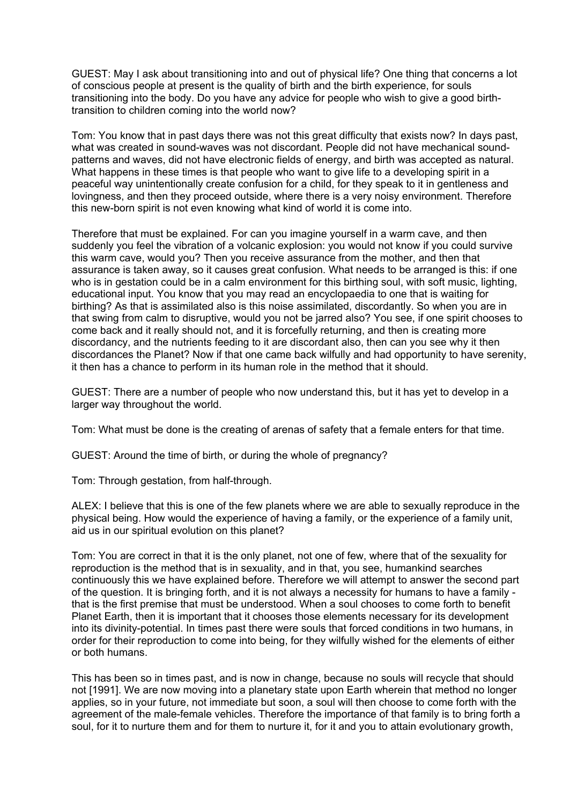GUEST: May I ask about transitioning into and out of physical life? One thing that concerns a lot of conscious people at present is the quality of birth and the birth experience, for souls transitioning into the body. Do you have any advice for people who wish to give a good birthtransition to children coming into the world now?

Tom: You know that in past days there was not this great difficulty that exists now? In days past, what was created in sound-waves was not discordant. People did not have mechanical soundpatterns and waves, did not have electronic fields of energy, and birth was accepted as natural. What happens in these times is that people who want to give life to a developing spirit in a peaceful way unintentionally create confusion for a child, for they speak to it in gentleness and lovingness, and then they proceed outside, where there is a very noisy environment. Therefore this new-born spirit is not even knowing what kind of world it is come into.

Therefore that must be explained. For can you imagine yourself in a warm cave, and then suddenly you feel the vibration of a volcanic explosion: you would not know if you could survive this warm cave, would you? Then you receive assurance from the mother, and then that assurance is taken away, so it causes great confusion. What needs to be arranged is this: if one who is in gestation could be in a calm environment for this birthing soul, with soft music, lighting, educational input. You know that you may read an encyclopaedia to one that is waiting for birthing? As that is assimilated also is this noise assimilated, discordantly. So when you are in that swing from calm to disruptive, would you not be jarred also? You see, if one spirit chooses to come back and it really should not, and it is forcefully returning, and then is creating more discordancy, and the nutrients feeding to it are discordant also, then can you see why it then discordances the Planet? Now if that one came back wilfully and had opportunity to have serenity, it then has a chance to perform in its human role in the method that it should.

GUEST: There are a number of people who now understand this, but it has yet to develop in a larger way throughout the world.

Tom: What must be done is the creating of arenas of safety that a female enters for that time.

GUEST: Around the time of birth, or during the whole of pregnancy?

Tom: Through gestation, from half-through.

ALEX: I believe that this is one of the few planets where we are able to sexually reproduce in the physical being. How would the experience of having a family, or the experience of a family unit, aid us in our spiritual evolution on this planet?

Tom: You are correct in that it is the only planet, not one of few, where that of the sexuality for reproduction is the method that is in sexuality, and in that, you see, humankind searches continuously this we have explained before. Therefore we will attempt to answer the second part of the question. It is bringing forth, and it is not always a necessity for humans to have a family that is the first premise that must be understood. When a soul chooses to come forth to benefit Planet Earth, then it is important that it chooses those elements necessary for its development into its divinity-potential. In times past there were souls that forced conditions in two humans, in order for their reproduction to come into being, for they wilfully wished for the elements of either or both humans.

This has been so in times past, and is now in change, because no souls will recycle that should not [1991]. We are now moving into a planetary state upon Earth wherein that method no longer applies, so in your future, not immediate but soon, a soul will then choose to come forth with the agreement of the male-female vehicles. Therefore the importance of that family is to bring forth a soul, for it to nurture them and for them to nurture it, for it and you to attain evolutionary growth,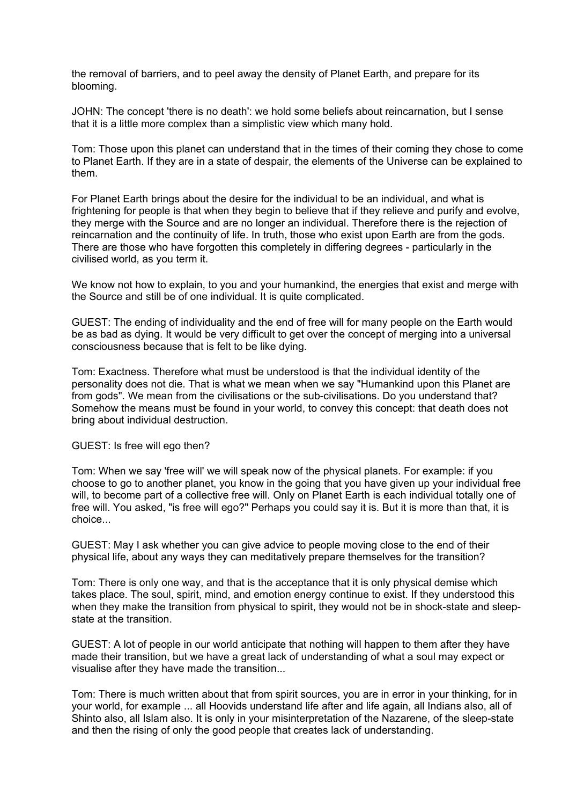the removal of barriers, and to peel away the density of Planet Earth, and prepare for its blooming.

JOHN: The concept 'there is no death': we hold some beliefs about reincarnation, but I sense that it is a little more complex than a simplistic view which many hold.

Tom: Those upon this planet can understand that in the times of their coming they chose to come to Planet Earth. If they are in a state of despair, the elements of the Universe can be explained to them.

For Planet Earth brings about the desire for the individual to be an individual, and what is frightening for people is that when they begin to believe that if they relieve and purify and evolve, they merge with the Source and are no longer an individual. Therefore there is the rejection of reincarnation and the continuity of life. In truth, those who exist upon Earth are from the gods. There are those who have forgotten this completely in differing degrees - particularly in the civilised world, as you term it.

We know not how to explain, to you and your humankind, the energies that exist and merge with the Source and still be of one individual. It is quite complicated.

GUEST: The ending of individuality and the end of free will for many people on the Earth would be as bad as dying. It would be very difficult to get over the concept of merging into a universal consciousness because that is felt to be like dying.

Tom: Exactness. Therefore what must be understood is that the individual identity of the personality does not die. That is what we mean when we say "Humankind upon this Planet are from gods". We mean from the civilisations or the sub-civilisations. Do you understand that? Somehow the means must be found in your world, to convey this concept: that death does not bring about individual destruction.

### GUEST: Is free will ego then?

Tom: When we say 'free will' we will speak now of the physical planets. For example: if you choose to go to another planet, you know in the going that you have given up your individual free will, to become part of a collective free will. Only on Planet Earth is each individual totally one of free will. You asked, "is free will ego?" Perhaps you could say it is. But it is more than that, it is choice...

GUEST: May I ask whether you can give advice to people moving close to the end of their physical life, about any ways they can meditatively prepare themselves for the transition?

Tom: There is only one way, and that is the acceptance that it is only physical demise which takes place. The soul, spirit, mind, and emotion energy continue to exist. If they understood this when they make the transition from physical to spirit, they would not be in shock-state and sleepstate at the transition.

GUEST: A lot of people in our world anticipate that nothing will happen to them after they have made their transition, but we have a great lack of understanding of what a soul may expect or visualise after they have made the transition...

Tom: There is much written about that from spirit sources, you are in error in your thinking, for in your world, for example ... all Hoovids understand life after and life again, all Indians also, all of Shinto also, all Islam also. It is only in your misinterpretation of the Nazarene, of the sleep-state and then the rising of only the good people that creates lack of understanding.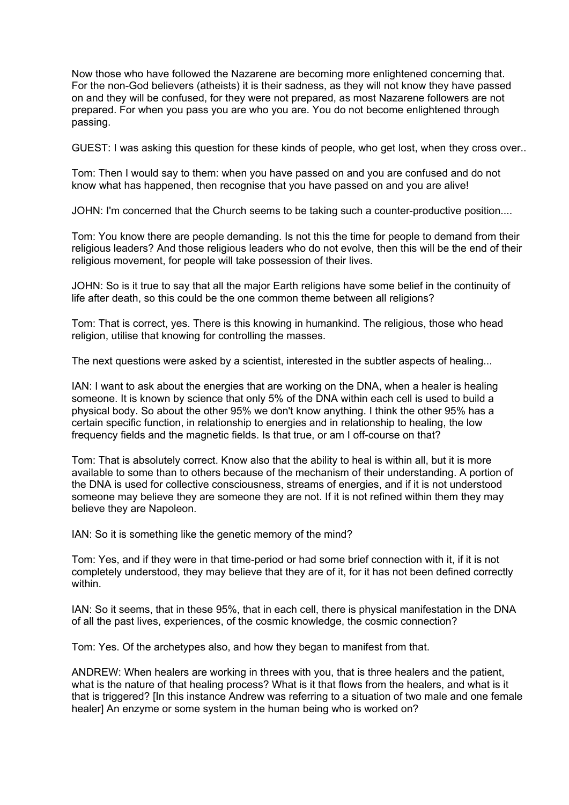Now those who have followed the Nazarene are becoming more enlightened concerning that. For the non-God believers (atheists) it is their sadness, as they will not know they have passed on and they will be confused, for they were not prepared, as most Nazarene followers are not prepared. For when you pass you are who you are. You do not become enlightened through passing.

GUEST: I was asking this question for these kinds of people, who get lost, when they cross over..

Tom: Then I would say to them: when you have passed on and you are confused and do not know what has happened, then recognise that you have passed on and you are alive!

JOHN: I'm concerned that the Church seems to be taking such a counter-productive position....

Tom: You know there are people demanding. Is not this the time for people to demand from their religious leaders? And those religious leaders who do not evolve, then this will be the end of their religious movement, for people will take possession of their lives.

JOHN: So is it true to say that all the major Earth religions have some belief in the continuity of life after death, so this could be the one common theme between all religions?

Tom: That is correct, yes. There is this knowing in humankind. The religious, those who head religion, utilise that knowing for controlling the masses.

The next questions were asked by a scientist, interested in the subtler aspects of healing...

IAN: I want to ask about the energies that are working on the DNA, when a healer is healing someone. It is known by science that only 5% of the DNA within each cell is used to build a physical body. So about the other 95% we don't know anything. I think the other 95% has a certain specific function, in relationship to energies and in relationship to healing, the low frequency fields and the magnetic fields. Is that true, or am I off-course on that?

Tom: That is absolutely correct. Know also that the ability to heal is within all, but it is more available to some than to others because of the mechanism of their understanding. A portion of the DNA is used for collective consciousness, streams of energies, and if it is not understood someone may believe they are someone they are not. If it is not refined within them they may believe they are Napoleon.

IAN: So it is something like the genetic memory of the mind?

Tom: Yes, and if they were in that time-period or had some brief connection with it, if it is not completely understood, they may believe that they are of it, for it has not been defined correctly within.

IAN: So it seems, that in these 95%, that in each cell, there is physical manifestation in the DNA of all the past lives, experiences, of the cosmic knowledge, the cosmic connection?

Tom: Yes. Of the archetypes also, and how they began to manifest from that.

ANDREW: When healers are working in threes with you, that is three healers and the patient, what is the nature of that healing process? What is it that flows from the healers, and what is it that is triggered? [In this instance Andrew was referring to a situation of two male and one female healer] An enzyme or some system in the human being who is worked on?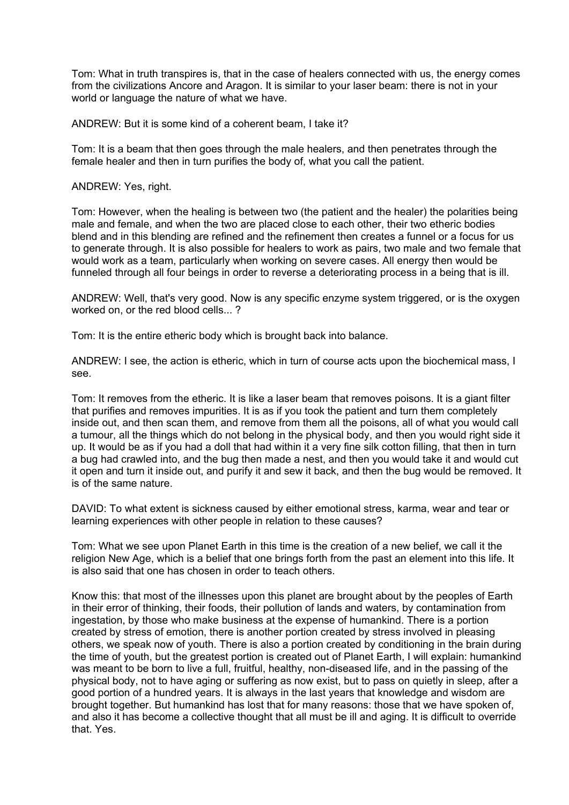Tom: What in truth transpires is, that in the case of healers connected with us, the energy comes from the civilizations Ancore and Aragon. It is similar to your laser beam: there is not in your world or language the nature of what we have.

ANDREW: But it is some kind of a coherent beam, I take it?

Tom: It is a beam that then goes through the male healers, and then penetrates through the female healer and then in turn purifies the body of, what you call the patient.

ANDREW: Yes, right.

Tom: However, when the healing is between two (the patient and the healer) the polarities being male and female, and when the two are placed close to each other, their two etheric bodies blend and in this blending are refined and the refinement then creates a funnel or a focus for us to generate through. It is also possible for healers to work as pairs, two male and two female that would work as a team, particularly when working on severe cases. All energy then would be funneled through all four beings in order to reverse a deteriorating process in a being that is ill.

ANDREW: Well, that's very good. Now is any specific enzyme system triggered, or is the oxygen worked on, or the red blood cells... ?

Tom: It is the entire etheric body which is brought back into balance.

ANDREW: I see, the action is etheric, which in turn of course acts upon the biochemical mass, I see.

Tom: It removes from the etheric. It is like a laser beam that removes poisons. It is a giant filter that purifies and removes impurities. It is as if you took the patient and turn them completely inside out, and then scan them, and remove from them all the poisons, all of what you would call a tumour, all the things which do not belong in the physical body, and then you would right side it up. It would be as if you had a doll that had within it a very fine silk cotton filling, that then in turn a bug had crawled into, and the bug then made a nest, and then you would take it and would cut it open and turn it inside out, and purify it and sew it back, and then the bug would be removed. It is of the same nature.

DAVID: To what extent is sickness caused by either emotional stress, karma, wear and tear or learning experiences with other people in relation to these causes?

Tom: What we see upon Planet Earth in this time is the creation of a new belief, we call it the religion New Age, which is a belief that one brings forth from the past an element into this life. It is also said that one has chosen in order to teach others.

Know this: that most of the illnesses upon this planet are brought about by the peoples of Earth in their error of thinking, their foods, their pollution of lands and waters, by contamination from ingestation, by those who make business at the expense of humankind. There is a portion created by stress of emotion, there is another portion created by stress involved in pleasing others, we speak now of youth. There is also a portion created by conditioning in the brain during the time of youth, but the greatest portion is created out of Planet Earth, I will explain: humankind was meant to be born to live a full, fruitful, healthy, non-diseased life, and in the passing of the physical body, not to have aging or suffering as now exist, but to pass on quietly in sleep, after a good portion of a hundred years. It is always in the last years that knowledge and wisdom are brought together. But humankind has lost that for many reasons: those that we have spoken of, and also it has become a collective thought that all must be ill and aging. It is difficult to override that. Yes.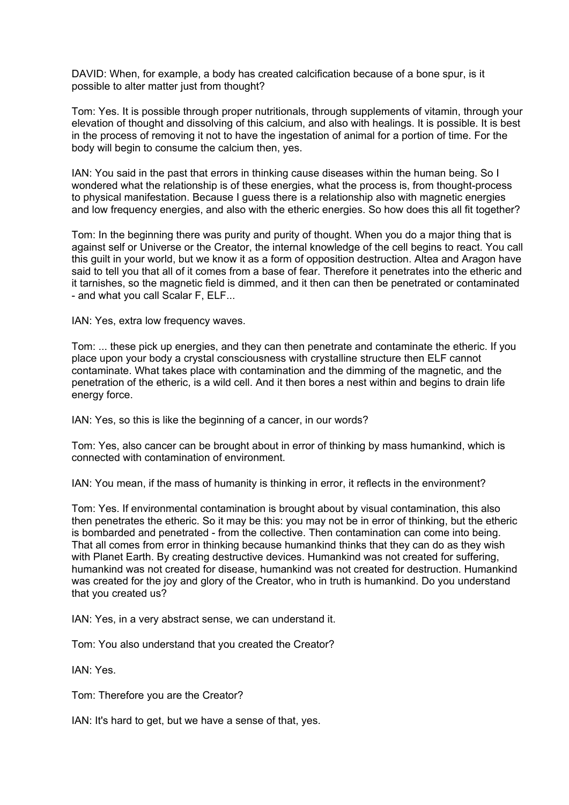DAVID: When, for example, a body has created calcification because of a bone spur, is it possible to alter matter just from thought?

Tom: Yes. It is possible through proper nutritionals, through supplements of vitamin, through your elevation of thought and dissolving of this calcium, and also with healings. It is possible. It is best in the process of removing it not to have the ingestation of animal for a portion of time. For the body will begin to consume the calcium then, yes.

IAN: You said in the past that errors in thinking cause diseases within the human being. So I wondered what the relationship is of these energies, what the process is, from thought-process to physical manifestation. Because I guess there is a relationship also with magnetic energies and low frequency energies, and also with the etheric energies. So how does this all fit together?

Tom: In the beginning there was purity and purity of thought. When you do a major thing that is against self or Universe or the Creator, the internal knowledge of the cell begins to react. You call this guilt in your world, but we know it as a form of opposition destruction. Altea and Aragon have said to tell you that all of it comes from a base of fear. Therefore it penetrates into the etheric and it tarnishes, so the magnetic field is dimmed, and it then can then be penetrated or contaminated - and what you call Scalar F, ELF...

IAN: Yes, extra low frequency waves.

Tom: ... these pick up energies, and they can then penetrate and contaminate the etheric. If you place upon your body a crystal consciousness with crystalline structure then ELF cannot contaminate. What takes place with contamination and the dimming of the magnetic, and the penetration of the etheric, is a wild cell. And it then bores a nest within and begins to drain life energy force.

IAN: Yes, so this is like the beginning of a cancer, in our words?

Tom: Yes, also cancer can be brought about in error of thinking by mass humankind, which is connected with contamination of environment.

IAN: You mean, if the mass of humanity is thinking in error, it reflects in the environment?

Tom: Yes. If environmental contamination is brought about by visual contamination, this also then penetrates the etheric. So it may be this: you may not be in error of thinking, but the etheric is bombarded and penetrated - from the collective. Then contamination can come into being. That all comes from error in thinking because humankind thinks that they can do as they wish with Planet Earth. By creating destructive devices. Humankind was not created for suffering, humankind was not created for disease, humankind was not created for destruction. Humankind was created for the joy and glory of the Creator, who in truth is humankind. Do you understand that you created us?

IAN: Yes, in a very abstract sense, we can understand it.

Tom: You also understand that you created the Creator?

IAN: Yes.

Tom: Therefore you are the Creator?

IAN: It's hard to get, but we have a sense of that, yes.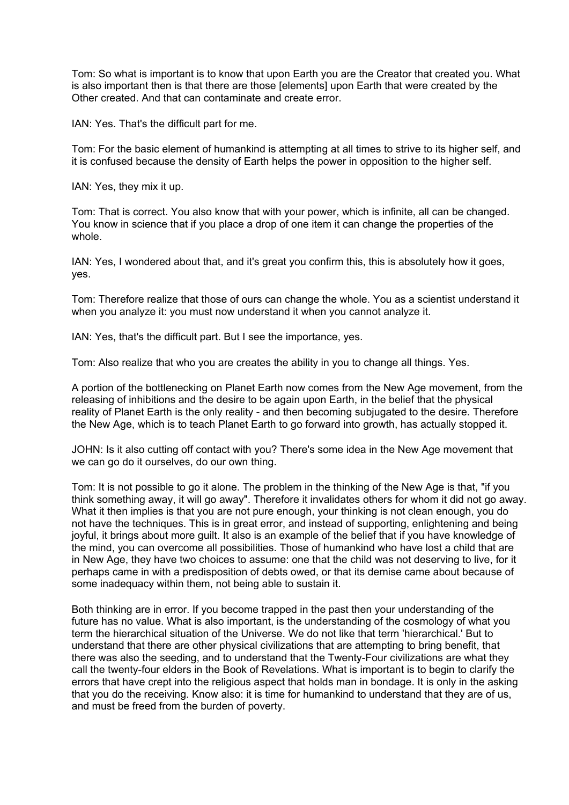Tom: So what is important is to know that upon Earth you are the Creator that created you. What is also important then is that there are those [elements] upon Earth that were created by the Other created. And that can contaminate and create error.

IAN: Yes. That's the difficult part for me.

Tom: For the basic element of humankind is attempting at all times to strive to its higher self, and it is confused because the density of Earth helps the power in opposition to the higher self.

IAN: Yes, they mix it up.

Tom: That is correct. You also know that with your power, which is infinite, all can be changed. You know in science that if you place a drop of one item it can change the properties of the whole.

IAN: Yes, I wondered about that, and it's great you confirm this, this is absolutely how it goes, yes.

Tom: Therefore realize that those of ours can change the whole. You as a scientist understand it when you analyze it: you must now understand it when you cannot analyze it.

IAN: Yes, that's the difficult part. But I see the importance, yes.

Tom: Also realize that who you are creates the ability in you to change all things. Yes.

A portion of the bottlenecking on Planet Earth now comes from the New Age movement, from the releasing of inhibitions and the desire to be again upon Earth, in the belief that the physical reality of Planet Earth is the only reality - and then becoming subjugated to the desire. Therefore the New Age, which is to teach Planet Earth to go forward into growth, has actually stopped it.

JOHN: Is it also cutting off contact with you? There's some idea in the New Age movement that we can go do it ourselves, do our own thing.

Tom: It is not possible to go it alone. The problem in the thinking of the New Age is that, "if you think something away, it will go away". Therefore it invalidates others for whom it did not go away. What it then implies is that you are not pure enough, your thinking is not clean enough, you do not have the techniques. This is in great error, and instead of supporting, enlightening and being joyful, it brings about more guilt. It also is an example of the belief that if you have knowledge of the mind, you can overcome all possibilities. Those of humankind who have lost a child that are in New Age, they have two choices to assume: one that the child was not deserving to live, for it perhaps came in with a predisposition of debts owed, or that its demise came about because of some inadequacy within them, not being able to sustain it.

Both thinking are in error. If you become trapped in the past then your understanding of the future has no value. What is also important, is the understanding of the cosmology of what you term the hierarchical situation of the Universe. We do not like that term 'hierarchical.' But to understand that there are other physical civilizations that are attempting to bring benefit, that there was also the seeding, and to understand that the Twenty-Four civilizations are what they call the twenty-four elders in the Book of Revelations. What is important is to begin to clarify the errors that have crept into the religious aspect that holds man in bondage. It is only in the asking that you do the receiving. Know also: it is time for humankind to understand that they are of us, and must be freed from the burden of poverty.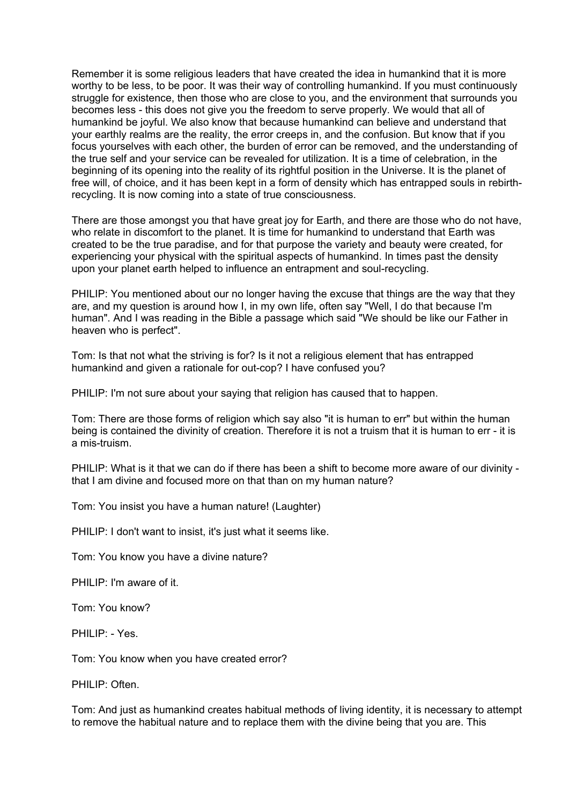Remember it is some religious leaders that have created the idea in humankind that it is more worthy to be less, to be poor. It was their way of controlling humankind. If you must continuously struggle for existence, then those who are close to you, and the environment that surrounds you becomes less - this does not give you the freedom to serve properly. We would that all of humankind be joyful. We also know that because humankind can believe and understand that your earthly realms are the reality, the error creeps in, and the confusion. But know that if you focus yourselves with each other, the burden of error can be removed, and the understanding of the true self and your service can be revealed for utilization. It is a time of celebration, in the beginning of its opening into the reality of its rightful position in the Universe. It is the planet of free will, of choice, and it has been kept in a form of density which has entrapped souls in rebirthrecycling. It is now coming into a state of true consciousness.

There are those amongst you that have great joy for Earth, and there are those who do not have, who relate in discomfort to the planet. It is time for humankind to understand that Earth was created to be the true paradise, and for that purpose the variety and beauty were created, for experiencing your physical with the spiritual aspects of humankind. In times past the density upon your planet earth helped to influence an entrapment and soul-recycling.

PHILIP: You mentioned about our no longer having the excuse that things are the way that they are, and my question is around how I, in my own life, often say "Well, I do that because I'm human". And I was reading in the Bible a passage which said "We should be like our Father in heaven who is perfect".

Tom: Is that not what the striving is for? Is it not a religious element that has entrapped humankind and given a rationale for out-cop? I have confused you?

PHILIP: I'm not sure about your saying that religion has caused that to happen.

Tom: There are those forms of religion which say also "it is human to err" but within the human being is contained the divinity of creation. Therefore it is not a truism that it is human to err - it is a mis-truism.

PHILIP: What is it that we can do if there has been a shift to become more aware of our divinity that I am divine and focused more on that than on my human nature?

Tom: You insist you have a human nature! (Laughter)

PHILIP: I don't want to insist, it's just what it seems like.

Tom: You know you have a divine nature?

PHILIP: I'm aware of it.

Tom: You know?

PHILIP: - Yes.

Tom: You know when you have created error?

PHILIP: Often.

Tom: And just as humankind creates habitual methods of living identity, it is necessary to attempt to remove the habitual nature and to replace them with the divine being that you are. This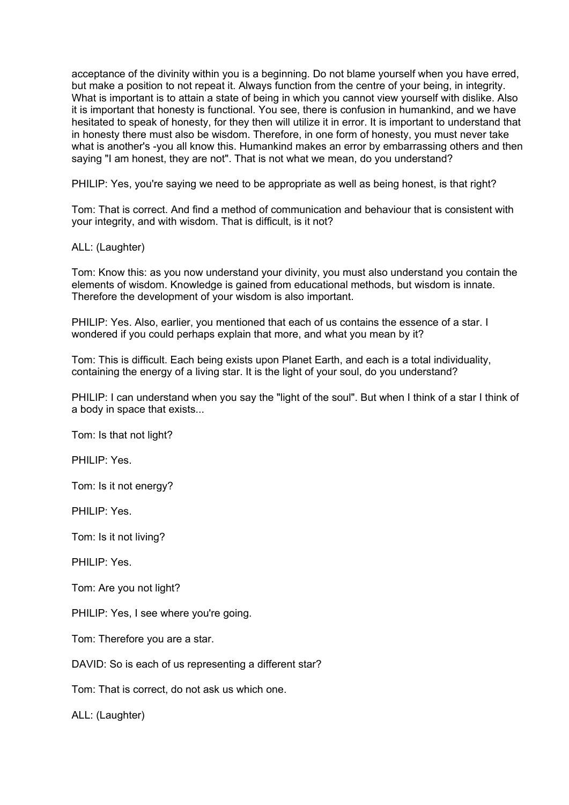acceptance of the divinity within you is a beginning. Do not blame yourself when you have erred, but make a position to not repeat it. Always function from the centre of your being, in integrity. What is important is to attain a state of being in which you cannot view yourself with dislike. Also it is important that honesty is functional. You see, there is confusion in humankind, and we have hesitated to speak of honesty, for they then will utilize it in error. It is important to understand that in honesty there must also be wisdom. Therefore, in one form of honesty, you must never take what is another's -you all know this. Humankind makes an error by embarrassing others and then saying "I am honest, they are not". That is not what we mean, do you understand?

PHILIP: Yes, you're saying we need to be appropriate as well as being honest, is that right?

Tom: That is correct. And find a method of communication and behaviour that is consistent with your integrity, and with wisdom. That is difficult, is it not?

ALL: (Laughter)

Tom: Know this: as you now understand your divinity, you must also understand you contain the elements of wisdom. Knowledge is gained from educational methods, but wisdom is innate. Therefore the development of your wisdom is also important.

PHILIP: Yes. Also, earlier, you mentioned that each of us contains the essence of a star. I wondered if you could perhaps explain that more, and what you mean by it?

Tom: This is difficult. Each being exists upon Planet Earth, and each is a total individuality, containing the energy of a living star. It is the light of your soul, do you understand?

PHILIP: I can understand when you say the "light of the soul". But when I think of a star I think of a body in space that exists...

Tom: Is that not light?

PHILIP: Yes.

Tom: Is it not energy?

PHILIP: Yes.

Tom: Is it not living?

PHILIP: Yes.

Tom: Are you not light?

PHILIP: Yes, I see where you're going.

Tom: Therefore you are a star.

DAVID: So is each of us representing a different star?

Tom: That is correct, do not ask us which one.

ALL: (Laughter)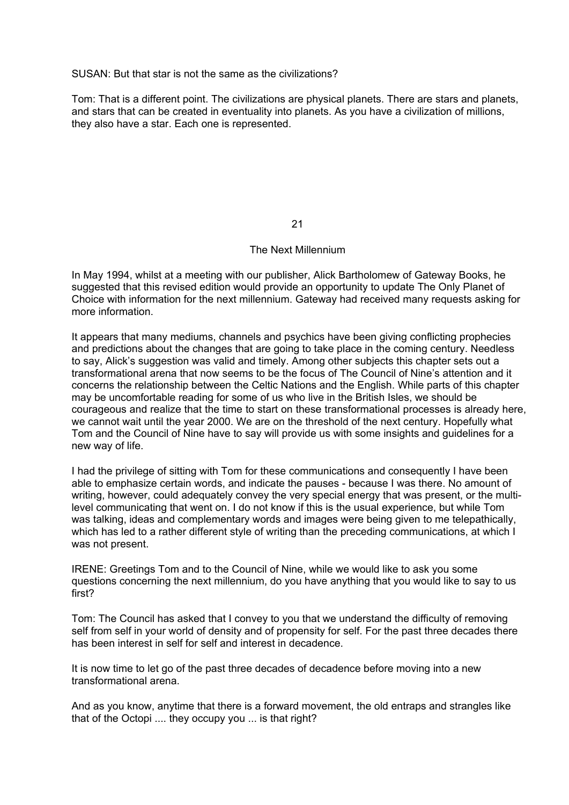SUSAN: But that star is not the same as the civilizations?

Tom: That is a different point. The civilizations are physical planets. There are stars and planets, and stars that can be created in eventuality into planets. As you have a civilization of millions, they also have a star. Each one is represented.

21

## The Next Millennium

In May 1994, whilst at a meeting with our publisher, Alick Bartholomew of Gateway Books, he suggested that this revised edition would provide an opportunity to update The Only Planet of Choice with information for the next millennium. Gateway had received many requests asking for more information.

It appears that many mediums, channels and psychics have been giving conflicting prophecies and predictions about the changes that are going to take place in the coming century. Needless to say, Alick's suggestion was valid and timely. Among other subjects this chapter sets out a transformational arena that now seems to be the focus of The Council of Nine's attention and it concerns the relationship between the Celtic Nations and the English. While parts of this chapter may be uncomfortable reading for some of us who live in the British Isles, we should be courageous and realize that the time to start on these transformational processes is already here, we cannot wait until the year 2000. We are on the threshold of the next century. Hopefully what Tom and the Council of Nine have to say will provide us with some insights and guidelines for a new way of life.

I had the privilege of sitting with Tom for these communications and consequently I have been able to emphasize certain words, and indicate the pauses - because I was there. No amount of writing, however, could adequately convey the very special energy that was present, or the multilevel communicating that went on. I do not know if this is the usual experience, but while Tom was talking, ideas and complementary words and images were being given to me telepathically, which has led to a rather different style of writing than the preceding communications, at which I was not present.

IRENE: Greetings Tom and to the Council of Nine, while we would like to ask you some questions concerning the next millennium, do you have anything that you would like to say to us first?

Tom: The Council has asked that I convey to you that we understand the difficulty of removing self from self in your world of density and of propensity for self. For the past three decades there has been interest in self for self and interest in decadence.

It is now time to let go of the past three decades of decadence before moving into a new transformational arena.

And as you know, anytime that there is a forward movement, the old entraps and strangles like that of the Octopi .... they occupy you ... is that right?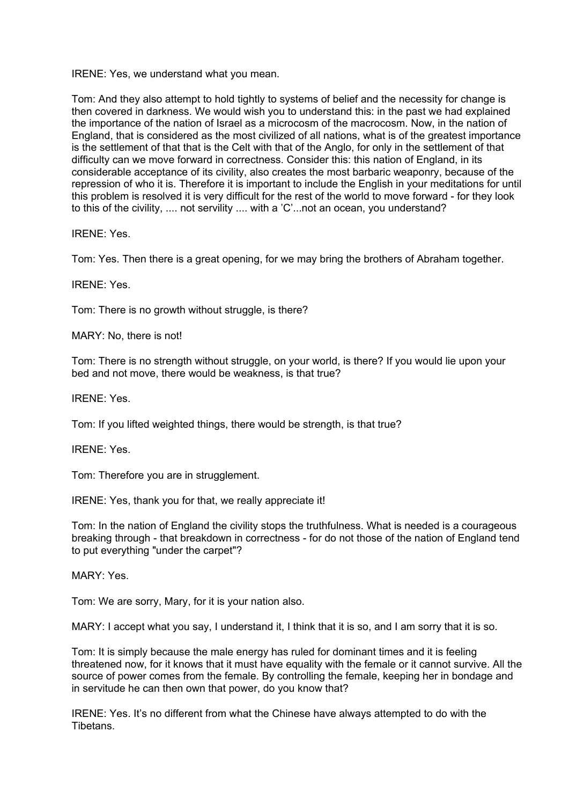IRENE: Yes, we understand what you mean.

Tom: And they also attempt to hold tightly to systems of belief and the necessity for change is then covered in darkness. We would wish you to understand this: in the past we had explained the importance of the nation of Israel as a microcosm of the macrocosm. Now, in the nation of England, that is considered as the most civilized of all nations, what is of the greatest importance is the settlement of that that is the Celt with that of the Anglo, for only in the settlement of that difficulty can we move forward in correctness. Consider this: this nation of England, in its considerable acceptance of its civility, also creates the most barbaric weaponry, because of the repression of who it is. Therefore it is important to include the English in your meditations for until this problem is resolved it is very difficult for the rest of the world to move forward - for they look to this of the civility, .... not servility .... with a 'C'...not an ocean, you understand?

IRENE: Yes.

Tom: Yes. Then there is a great opening, for we may bring the brothers of Abraham together.

IRENE: Yes.

Tom: There is no growth without struggle, is there?

MARY: No, there is not!

Tom: There is no strength without struggle, on your world, is there? If you would lie upon your bed and not move, there would be weakness, is that true?

IRENE: Yes.

Tom: If you lifted weighted things, there would be strength, is that true?

IRENE: Yes.

Tom: Therefore you are in strugglement.

IRENE: Yes, thank you for that, we really appreciate it!

Tom: In the nation of England the civility stops the truthfulness. What is needed is a courageous breaking through - that breakdown in correctness - for do not those of the nation of England tend to put everything "under the carpet"?

MARY: Yes.

Tom: We are sorry, Mary, for it is your nation also.

MARY: I accept what you say, I understand it, I think that it is so, and I am sorry that it is so.

Tom: It is simply because the male energy has ruled for dominant times and it is feeling threatened now, for it knows that it must have equality with the female or it cannot survive. All the source of power comes from the female. By controlling the female, keeping her in bondage and in servitude he can then own that power, do you know that?

IRENE: Yes. It's no different from what the Chinese have always attempted to do with the **Tibetans**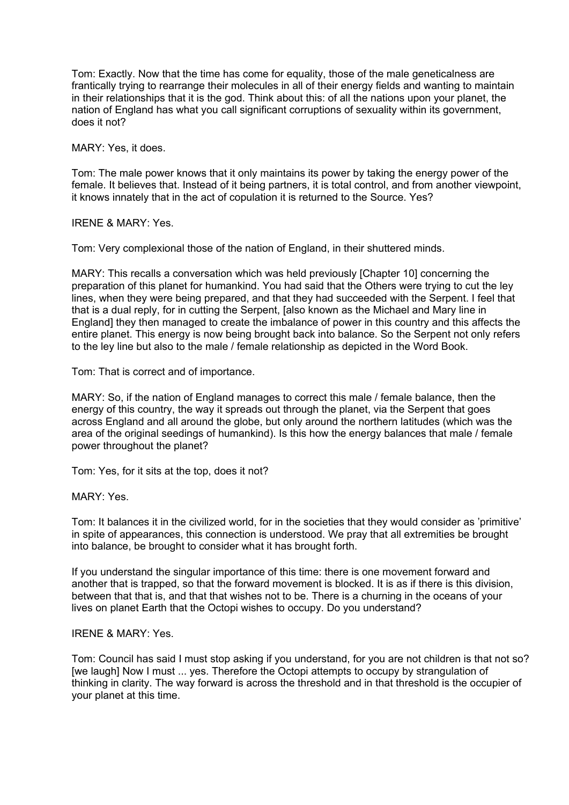Tom: Exactly. Now that the time has come for equality, those of the male geneticalness are frantically trying to rearrange their molecules in all of their energy fields and wanting to maintain in their relationships that it is the god. Think about this: of all the nations upon your planet, the nation of England has what you call significant corruptions of sexuality within its government, does it not?

MARY: Yes, it does.

Tom: The male power knows that it only maintains its power by taking the energy power of the female. It believes that. Instead of it being partners, it is total control, and from another viewpoint, it knows innately that in the act of copulation it is returned to the Source. Yes?

IRENE & MARY: Yes.

Tom: Very complexional those of the nation of England, in their shuttered minds.

MARY: This recalls a conversation which was held previously [Chapter 10] concerning the preparation of this planet for humankind. You had said that the Others were trying to cut the ley lines, when they were being prepared, and that they had succeeded with the Serpent. I feel that that is a dual reply, for in cutting the Serpent, [also known as the Michael and Mary line in England] they then managed to create the imbalance of power in this country and this affects the entire planet. This energy is now being brought back into balance. So the Serpent not only refers to the ley line but also to the male / female relationship as depicted in the Word Book.

Tom: That is correct and of importance.

MARY: So, if the nation of England manages to correct this male / female balance, then the energy of this country, the way it spreads out through the planet, via the Serpent that goes across England and all around the globe, but only around the northern latitudes (which was the area of the original seedings of humankind). Is this how the energy balances that male / female power throughout the planet?

Tom: Yes, for it sits at the top, does it not?

MARY: Yes.

Tom: It balances it in the civilized world, for in the societies that they would consider as 'primitive' in spite of appearances, this connection is understood. We pray that all extremities be brought into balance, be brought to consider what it has brought forth.

If you understand the singular importance of this time: there is one movement forward and another that is trapped, so that the forward movement is blocked. It is as if there is this division, between that that is, and that that wishes not to be. There is a churning in the oceans of your lives on planet Earth that the Octopi wishes to occupy. Do you understand?

# IRENE & MARY: Yes.

Tom: Council has said I must stop asking if you understand, for you are not children is that not so? [we laugh] Now I must ... yes. Therefore the Octopi attempts to occupy by strangulation of thinking in clarity. The way forward is across the threshold and in that threshold is the occupier of your planet at this time.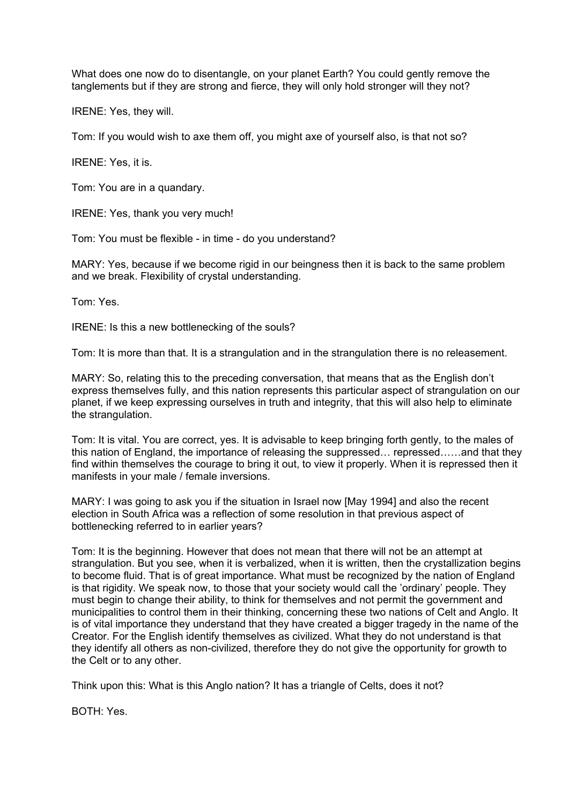What does one now do to disentangle, on your planet Earth? You could gently remove the tanglements but if they are strong and fierce, they will only hold stronger will they not?

IRENE: Yes, they will.

Tom: If you would wish to axe them off, you might axe of yourself also, is that not so?

IRENE: Yes, it is.

Tom: You are in a quandary.

IRENE: Yes, thank you very much!

Tom: You must be flexible - in time - do you understand?

MARY: Yes, because if we become rigid in our beingness then it is back to the same problem and we break. Flexibility of crystal understanding.

Tom: Yes.

IRENE: Is this a new bottlenecking of the souls?

Tom: It is more than that. It is a strangulation and in the strangulation there is no releasement.

MARY: So, relating this to the preceding conversation, that means that as the English don't express themselves fully, and this nation represents this particular aspect of strangulation on our planet, if we keep expressing ourselves in truth and integrity, that this will also help to eliminate the strangulation.

Tom: It is vital. You are correct, yes. It is advisable to keep bringing forth gently, to the males of this nation of England, the importance of releasing the suppressed… repressed……and that they find within themselves the courage to bring it out, to view it properly. When it is repressed then it manifests in your male / female inversions.

MARY: I was going to ask you if the situation in Israel now [May 1994] and also the recent election in South Africa was a reflection of some resolution in that previous aspect of bottlenecking referred to in earlier years?

Tom: It is the beginning. However that does not mean that there will not be an attempt at strangulation. But you see, when it is verbalized, when it is written, then the crystallization begins to become fluid. That is of great importance. What must be recognized by the nation of England is that rigidity. We speak now, to those that your society would call the 'ordinary' people. They must begin to change their ability, to think for themselves and not permit the government and municipalities to control them in their thinking, concerning these two nations of Celt and Anglo. It is of vital importance they understand that they have created a bigger tragedy in the name of the Creator. For the English identify themselves as civilized. What they do not understand is that they identify all others as non-civilized, therefore they do not give the opportunity for growth to the Celt or to any other.

Think upon this: What is this Anglo nation? It has a triangle of Celts, does it not?

BOTH: Yes.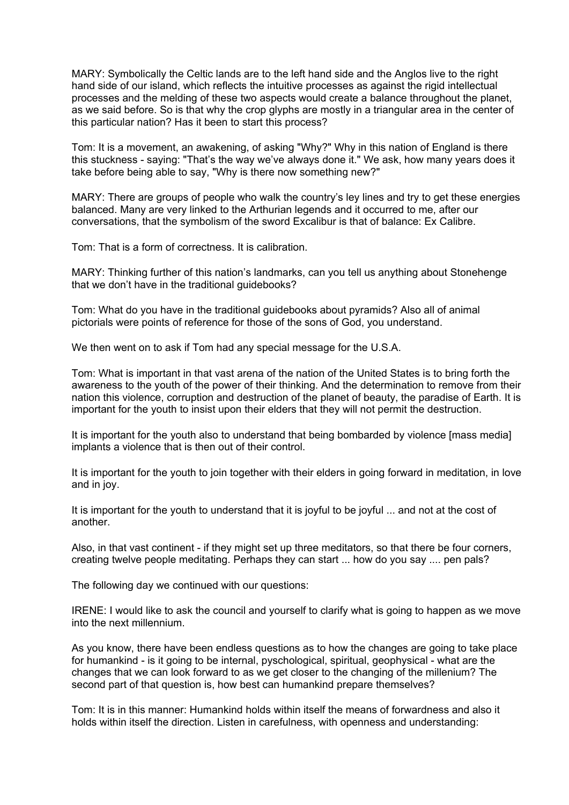MARY: Symbolically the Celtic lands are to the left hand side and the Anglos live to the right hand side of our island, which reflects the intuitive processes as against the rigid intellectual processes and the melding of these two aspects would create a balance throughout the planet, as we said before. So is that why the crop glyphs are mostly in a triangular area in the center of this particular nation? Has it been to start this process?

Tom: It is a movement, an awakening, of asking "Why?" Why in this nation of England is there this stuckness - saying: "That's the way we've always done it." We ask, how many years does it take before being able to say, "Why is there now something new?"

MARY: There are groups of people who walk the country's ley lines and try to get these energies balanced. Many are very linked to the Arthurian legends and it occurred to me, after our conversations, that the symbolism of the sword Excalibur is that of balance: Ex Calibre.

Tom: That is a form of correctness. It is calibration.

MARY: Thinking further of this nation's landmarks, can you tell us anything about Stonehenge that we don't have in the traditional guidebooks?

Tom: What do you have in the traditional guidebooks about pyramids? Also all of animal pictorials were points of reference for those of the sons of God, you understand.

We then went on to ask if Tom had any special message for the U.S.A.

Tom: What is important in that vast arena of the nation of the United States is to bring forth the awareness to the youth of the power of their thinking. And the determination to remove from their nation this violence, corruption and destruction of the planet of beauty, the paradise of Earth. It is important for the youth to insist upon their elders that they will not permit the destruction.

It is important for the youth also to understand that being bombarded by violence [mass media] implants a violence that is then out of their control.

It is important for the youth to join together with their elders in going forward in meditation, in love and in joy.

It is important for the youth to understand that it is joyful to be joyful ... and not at the cost of another.

Also, in that vast continent - if they might set up three meditators, so that there be four corners, creating twelve people meditating. Perhaps they can start ... how do you say .... pen pals?

The following day we continued with our questions:

IRENE: I would like to ask the council and yourself to clarify what is going to happen as we move into the next millennium.

As you know, there have been endless questions as to how the changes are going to take place for humankind - is it going to be internal, pyschological, spiritual, geophysical - what are the changes that we can look forward to as we get closer to the changing of the millenium? The second part of that question is, how best can humankind prepare themselves?

Tom: It is in this manner: Humankind holds within itself the means of forwardness and also it holds within itself the direction. Listen in carefulness, with openness and understanding: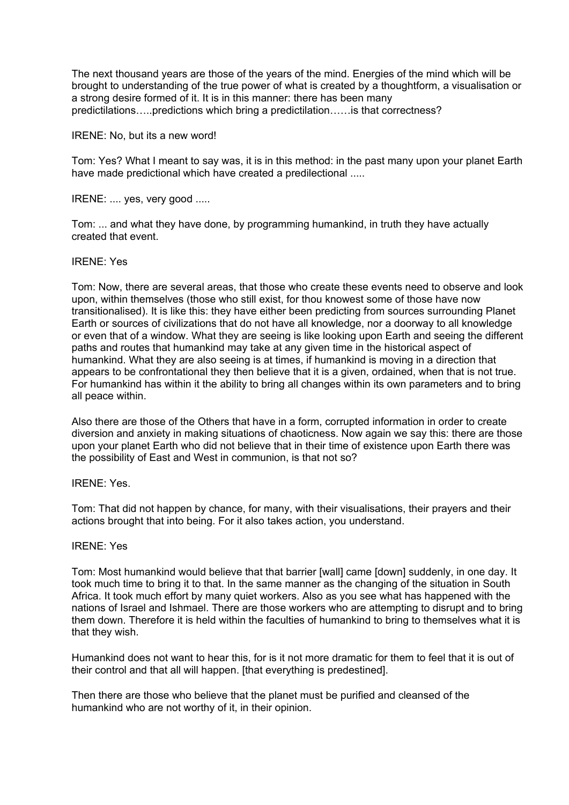The next thousand years are those of the years of the mind. Energies of the mind which will be brought to understanding of the true power of what is created by a thoughtform, a visualisation or a strong desire formed of it. It is in this manner: there has been many predictilations…..predictions which bring a predictilation……is that correctness?

### IRENE: No, but its a new word!

Tom: Yes? What I meant to say was, it is in this method: in the past many upon your planet Earth have made predictional which have created a predilectional .....

IRENE: .... yes, very good .....

Tom: ... and what they have done, by programming humankind, in truth they have actually created that event.

## IRENE: Yes

Tom: Now, there are several areas, that those who create these events need to observe and look upon, within themselves (those who still exist, for thou knowest some of those have now transitionalised). It is like this: they have either been predicting from sources surrounding Planet Earth or sources of civilizations that do not have all knowledge, nor a doorway to all knowledge or even that of a window. What they are seeing is like looking upon Earth and seeing the different paths and routes that humankind may take at any given time in the historical aspect of humankind. What they are also seeing is at times, if humankind is moving in a direction that appears to be confrontational they then believe that it is a given, ordained, when that is not true. For humankind has within it the ability to bring all changes within its own parameters and to bring all peace within.

Also there are those of the Others that have in a form, corrupted information in order to create diversion and anxiety in making situations of chaoticness. Now again we say this: there are those upon your planet Earth who did not believe that in their time of existence upon Earth there was the possibility of East and West in communion, is that not so?

#### IRENE: Yes.

Tom: That did not happen by chance, for many, with their visualisations, their prayers and their actions brought that into being. For it also takes action, you understand.

## IRENE: Yes

Tom: Most humankind would believe that that barrier [wall] came [down] suddenly, in one day. It took much time to bring it to that. In the same manner as the changing of the situation in South Africa. It took much effort by many quiet workers. Also as you see what has happened with the nations of Israel and Ishmael. There are those workers who are attempting to disrupt and to bring them down. Therefore it is held within the faculties of humankind to bring to themselves what it is that they wish.

Humankind does not want to hear this, for is it not more dramatic for them to feel that it is out of their control and that all will happen. [that everything is predestined].

Then there are those who believe that the planet must be purified and cleansed of the humankind who are not worthy of it, in their opinion.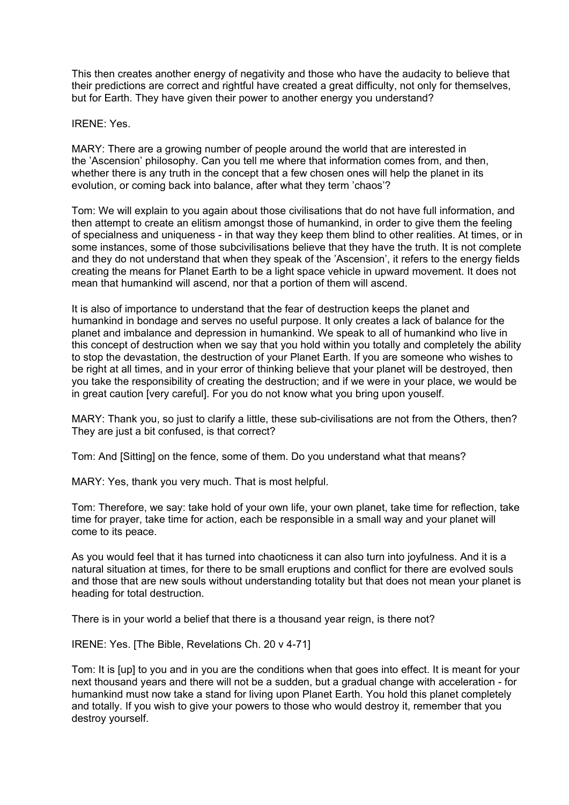This then creates another energy of negativity and those who have the audacity to believe that their predictions are correct and rightful have created a great difficulty, not only for themselves, but for Earth. They have given their power to another energy you understand?

## IRENE: Yes.

MARY: There are a growing number of people around the world that are interested in the 'Ascension' philosophy. Can you tell me where that information comes from, and then, whether there is any truth in the concept that a few chosen ones will help the planet in its evolution, or coming back into balance, after what they term 'chaos'?

Tom: We will explain to you again about those civilisations that do not have full information, and then attempt to create an elitism amongst those of humankind, in order to give them the feeling of specialness and uniqueness - in that way they keep them blind to other realities. At times, or in some instances, some of those subcivilisations believe that they have the truth. It is not complete and they do not understand that when they speak of the 'Ascension', it refers to the energy fields creating the means for Planet Earth to be a light space vehicle in upward movement. It does not mean that humankind will ascend, nor that a portion of them will ascend.

It is also of importance to understand that the fear of destruction keeps the planet and humankind in bondage and serves no useful purpose. It only creates a lack of balance for the planet and imbalance and depression in humankind. We speak to all of humankind who live in this concept of destruction when we say that you hold within you totally and completely the ability to stop the devastation, the destruction of your Planet Earth. If you are someone who wishes to be right at all times, and in your error of thinking believe that your planet will be destroyed, then you take the responsibility of creating the destruction; and if we were in your place, we would be in great caution [very careful]. For you do not know what you bring upon youself.

MARY: Thank you, so just to clarify a little, these sub-civilisations are not from the Others, then? They are just a bit confused, is that correct?

Tom: And [Sitting] on the fence, some of them. Do you understand what that means?

MARY: Yes, thank you very much. That is most helpful.

Tom: Therefore, we say: take hold of your own life, your own planet, take time for reflection, take time for prayer, take time for action, each be responsible in a small way and your planet will come to its peace.

As you would feel that it has turned into chaoticness it can also turn into joyfulness. And it is a natural situation at times, for there to be small eruptions and conflict for there are evolved souls and those that are new souls without understanding totality but that does not mean your planet is heading for total destruction.

There is in your world a belief that there is a thousand year reign, is there not?

IRENE: Yes. [The Bible, Revelations Ch. 20 v 4-71]

Tom: It is [up] to you and in you are the conditions when that goes into effect. It is meant for your next thousand years and there will not be a sudden, but a gradual change with acceleration - for humankind must now take a stand for living upon Planet Earth. You hold this planet completely and totally. If you wish to give your powers to those who would destroy it, remember that you destroy yourself.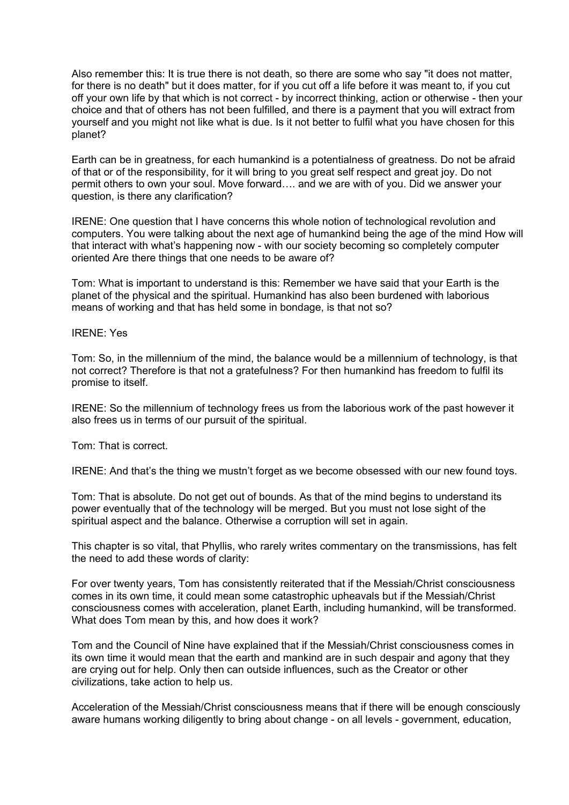Also remember this: It is true there is not death, so there are some who say "it does not matter, for there is no death" but it does matter, for if you cut off a life before it was meant to, if you cut off your own life by that which is not correct - by incorrect thinking, action or otherwise - then your choice and that of others has not been fulfilled, and there is a payment that you will extract from yourself and you might not like what is due. Is it not better to fulfil what you have chosen for this planet?

Earth can be in greatness, for each humankind is a potentialness of greatness. Do not be afraid of that or of the responsibility, for it will bring to you great self respect and great joy. Do not permit others to own your soul. Move forward…. and we are with of you. Did we answer your question, is there any clarification?

IRENE: One question that I have concerns this whole notion of technological revolution and computers. You were talking about the next age of humankind being the age of the mind How will that interact with what's happening now - with our society becoming so completely computer oriented Are there things that one needs to be aware of?

Tom: What is important to understand is this: Remember we have said that your Earth is the planet of the physical and the spiritual. Humankind has also been burdened with laborious means of working and that has held some in bondage, is that not so?

## IRENE: Yes

Tom: So, in the millennium of the mind, the balance would be a millennium of technology, is that not correct? Therefore is that not a gratefulness? For then humankind has freedom to fulfil its promise to itself.

IRENE: So the millennium of technology frees us from the laborious work of the past however it also frees us in terms of our pursuit of the spiritual.

Tom: That is correct.

IRENE: And that's the thing we mustn't forget as we become obsessed with our new found toys.

Tom: That is absolute. Do not get out of bounds. As that of the mind begins to understand its power eventually that of the technology will be merged. But you must not lose sight of the spiritual aspect and the balance. Otherwise a corruption will set in again.

This chapter is so vital, that Phyllis, who rarely writes commentary on the transmissions, has felt the need to add these words of clarity:

For over twenty years, Tom has consistently reiterated that if the Messiah/Christ consciousness comes in its own time, it could mean some catastrophic upheavals but if the Messiah/Christ consciousness comes with acceleration, planet Earth, including humankind, will be transformed. What does Tom mean by this, and how does it work?

Tom and the Council of Nine have explained that if the Messiah/Christ consciousness comes in its own time it would mean that the earth and mankind are in such despair and agony that they are crying out for help. Only then can outside influences, such as the Creator or other civilizations, take action to help us.

Acceleration of the Messiah/Christ consciousness means that if there will be enough consciously aware humans working diligently to bring about change - on all levels - government, education,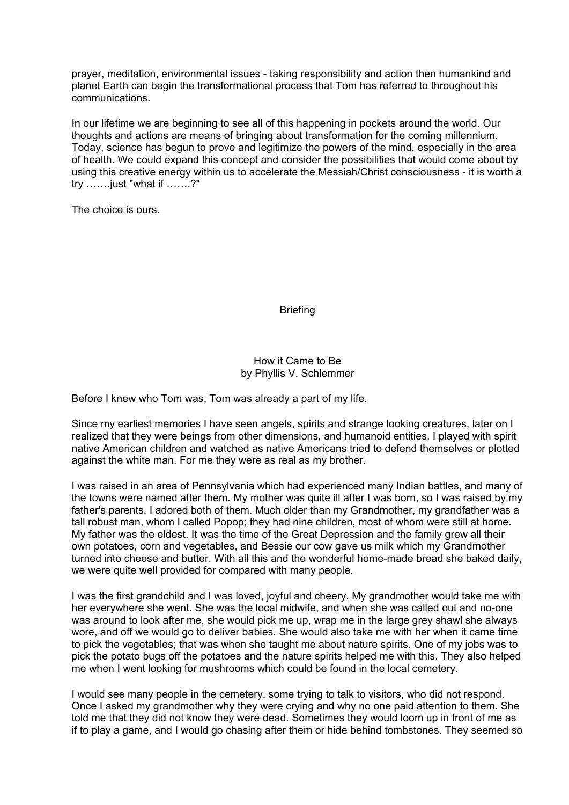prayer, meditation, environmental issues - taking responsibility and action then humankind and planet Earth can begin the transformational process that Tom has referred to throughout his communications.

In our lifetime we are beginning to see all of this happening in pockets around the world. Our thoughts and actions are means of bringing about transformation for the coming millennium. Today, science has begun to prove and legitimize the powers of the mind, especially in the area of health. We could expand this concept and consider the possibilities that would come about by using this creative energy within us to accelerate the Messiah/Christ consciousness - it is worth a try …….just "what if …….?"

The choice is ours.

**Briefing** 

How it Came to Be by Phyllis V. Schlemmer

Before I knew who Tom was, Tom was already a part of my life.

Since my earliest memories I have seen angels, spirits and strange looking creatures, later on I realized that they were beings from other dimensions, and humanoid entities. I played with spirit native American children and watched as native Americans tried to defend themselves or plotted against the white man. For me they were as real as my brother.

I was raised in an area of Pennsylvania which had experienced many Indian battles, and many of the towns were named after them. My mother was quite ill after I was born, so I was raised by my father's parents. I adored both of them. Much older than my Grandmother, my grandfather was a tall robust man, whom I called Popop; they had nine children, most of whom were still at home. My father was the eldest. It was the time of the Great Depression and the family grew all their own potatoes, corn and vegetables, and Bessie our cow gave us milk which my Grandmother turned into cheese and butter. With all this and the wonderful home-made bread she baked daily, we were quite well provided for compared with many people.

I was the first grandchild and I was loved, joyful and cheery. My grandmother would take me with her everywhere she went. She was the local midwife, and when she was called out and no-one was around to look after me, she would pick me up, wrap me in the large grey shawl she always wore, and off we would go to deliver babies. She would also take me with her when it came time to pick the vegetables; that was when she taught me about nature spirits. One of my jobs was to pick the potato bugs off the potatoes and the nature spirits helped me with this. They also helped me when I went looking for mushrooms which could be found in the local cemetery.

I would see many people in the cemetery, some trying to talk to visitors, who did not respond. Once I asked my grandmother why they were crying and why no one paid attention to them. She told me that they did not know they were dead. Sometimes they would loom up in front of me as if to play a game, and I would go chasing after them or hide behind tombstones. They seemed so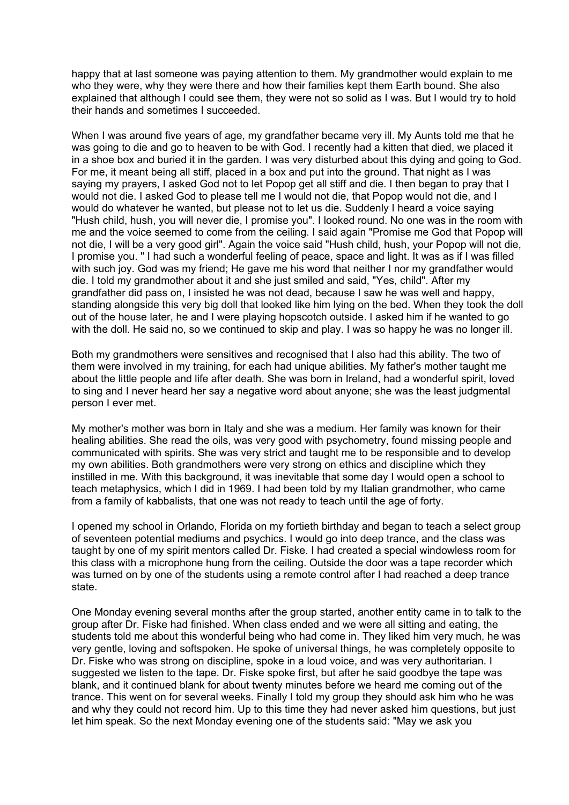happy that at last someone was paying attention to them. My grandmother would explain to me who they were, why they were there and how their families kept them Earth bound. She also explained that although I could see them, they were not so solid as I was. But I would try to hold their hands and sometimes I succeeded.

When I was around five years of age, my grandfather became very ill. My Aunts told me that he was going to die and go to heaven to be with God. I recently had a kitten that died, we placed it in a shoe box and buried it in the garden. I was very disturbed about this dying and going to God. For me, it meant being all stiff, placed in a box and put into the ground. That night as I was saying my prayers, I asked God not to let Popop get all stiff and die. I then began to pray that I would not die. I asked God to please tell me I would not die, that Popop would not die, and I would do whatever he wanted, but please not to let us die. Suddenly I heard a voice saying "Hush child, hush, you will never die, I promise you". I looked round. No one was in the room with me and the voice seemed to come from the ceiling. I said again "Promise me God that Popop will not die, I will be a very good girl". Again the voice said "Hush child, hush, your Popop will not die, I promise you. " I had such a wonderful feeling of peace, space and light. It was as if I was filled with such joy. God was my friend; He gave me his word that neither I nor my grandfather would die. I told my grandmother about it and she just smiled and said, "Yes, child". After my grandfather did pass on, I insisted he was not dead, because I saw he was well and happy, standing alongside this very big doll that looked like him lying on the bed. When they took the doll out of the house later, he and I were playing hopscotch outside. I asked him if he wanted to go with the doll. He said no, so we continued to skip and play. I was so happy he was no longer ill.

Both my grandmothers were sensitives and recognised that I also had this ability. The two of them were involved in my training, for each had unique abilities. My father's mother taught me about the little people and life after death. She was born in Ireland, had a wonderful spirit, loved to sing and I never heard her say a negative word about anyone; she was the least judgmental person I ever met.

My mother's mother was born in Italy and she was a medium. Her family was known for their healing abilities. She read the oils, was very good with psychometry, found missing people and communicated with spirits. She was very strict and taught me to be responsible and to develop my own abilities. Both grandmothers were very strong on ethics and discipline which they instilled in me. With this background, it was inevitable that some day I would open a school to teach metaphysics, which I did in 1969. I had been told by my Italian grandmother, who came from a family of kabbalists, that one was not ready to teach until the age of forty.

I opened my school in Orlando, Florida on my fortieth birthday and began to teach a select group of seventeen potential mediums and psychics. I would go into deep trance, and the class was taught by one of my spirit mentors called Dr. Fiske. I had created a special windowless room for this class with a microphone hung from the ceiling. Outside the door was a tape recorder which was turned on by one of the students using a remote control after I had reached a deep trance state.

One Monday evening several months after the group started, another entity came in to talk to the group after Dr. Fiske had finished. When class ended and we were all sitting and eating, the students told me about this wonderful being who had come in. They liked him very much, he was very gentle, loving and softspoken. He spoke of universal things, he was completely opposite to Dr. Fiske who was strong on discipline, spoke in a loud voice, and was very authoritarian. I suggested we listen to the tape. Dr. Fiske spoke first, but after he said goodbye the tape was blank, and it continued blank for about twenty minutes before we heard me coming out of the trance. This went on for several weeks. Finally I told my group they should ask him who he was and why they could not record him. Up to this time they had never asked him questions, but just let him speak. So the next Monday evening one of the students said: "May we ask you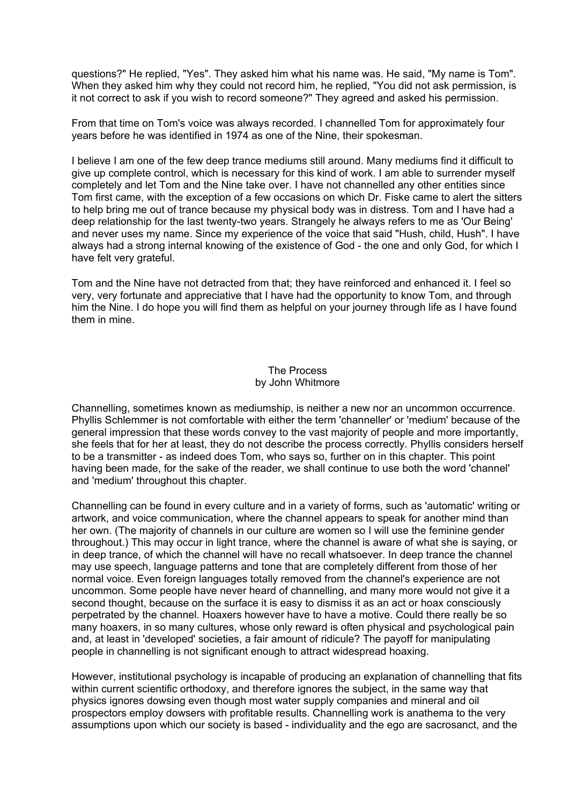questions?" He replied, "Yes". They asked him what his name was. He said, "My name is Tom". When they asked him why they could not record him, he replied, "You did not ask permission, is it not correct to ask if you wish to record someone?" They agreed and asked his permission.

From that time on Tom's voice was always recorded. I channelled Tom for approximately four years before he was identified in 1974 as one of the Nine, their spokesman.

I believe I am one of the few deep trance mediums still around. Many mediums find it difficult to give up complete control, which is necessary for this kind of work. I am able to surrender myself completely and let Tom and the Nine take over. I have not channelled any other entities since Tom first came, with the exception of a few occasions on which Dr. Fiske came to alert the sitters to help bring me out of trance because my physical body was in distress. Tom and I have had a deep relationship for the last twenty-two years. Strangely he always refers to me as 'Our Being' and never uses my name. Since my experience of the voice that said "Hush, child, Hush". I have always had a strong internal knowing of the existence of God - the one and only God, for which I have felt very grateful.

Tom and the Nine have not detracted from that; they have reinforced and enhanced it. I feel so very, very fortunate and appreciative that I have had the opportunity to know Tom, and through him the Nine. I do hope you will find them as helpful on your journey through life as I have found them in mine.

# The Process by John Whitmore

Channelling, sometimes known as mediumship, is neither a new nor an uncommon occurrence. Phyllis Schlemmer is not comfortable with either the term 'channeller' or 'medium' because of the general impression that these words convey to the vast majority of people and more importantly, she feels that for her at least, they do not describe the process correctly. Phyllis considers herself to be a transmitter - as indeed does Tom, who says so, further on in this chapter. This point having been made, for the sake of the reader, we shall continue to use both the word 'channel' and 'medium' throughout this chapter.

Channelling can be found in every culture and in a variety of forms, such as 'automatic' writing or artwork, and voice communication, where the channel appears to speak for another mind than her own. (The majority of channels in our culture are women so I will use the feminine gender throughout.) This may occur in light trance, where the channel is aware of what she is saying, or in deep trance, of which the channel will have no recall whatsoever. In deep trance the channel may use speech, language patterns and tone that are completely different from those of her normal voice. Even foreign languages totally removed from the channel's experience are not uncommon. Some people have never heard of channelling, and many more would not give it a second thought, because on the surface it is easy to dismiss it as an act or hoax consciously perpetrated by the channel. Hoaxers however have to have a motive. Could there really be so many hoaxers, in so many cultures, whose only reward is often physical and psychological pain and, at least in 'developed' societies, a fair amount of ridicule? The payoff for manipulating people in channelling is not significant enough to attract widespread hoaxing.

However, institutional psychology is incapable of producing an explanation of channelling that fits within current scientific orthodoxy, and therefore ignores the subject, in the same way that physics ignores dowsing even though most water supply companies and mineral and oil prospectors employ dowsers with profitable results. Channelling work is anathema to the very assumptions upon which our society is based - individuality and the ego are sacrosanct, and the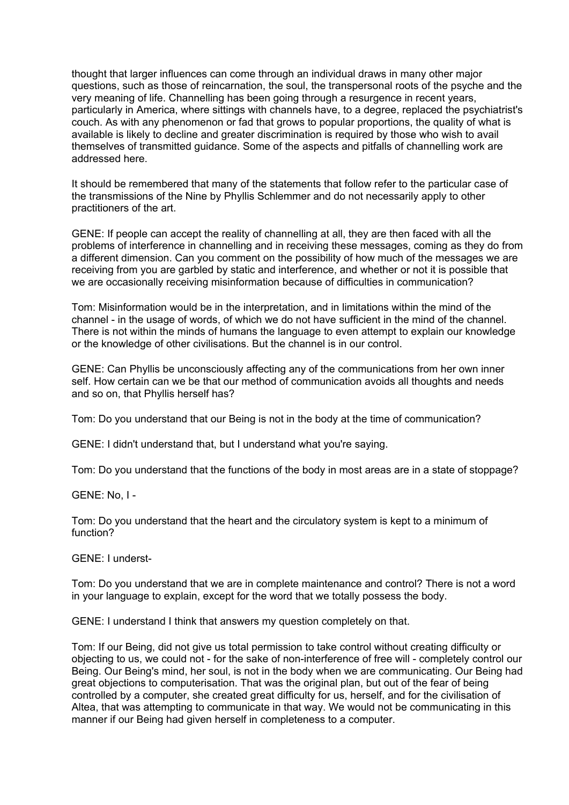thought that larger influences can come through an individual draws in many other major questions, such as those of reincarnation, the soul, the transpersonal roots of the psyche and the very meaning of life. Channelling has been going through a resurgence in recent years, particularly in America, where sittings with channels have, to a degree, replaced the psychiatrist's couch. As with any phenomenon or fad that grows to popular proportions, the quality of what is available is likely to decline and greater discrimination is required by those who wish to avail themselves of transmitted guidance. Some of the aspects and pitfalls of channelling work are addressed here.

It should be remembered that many of the statements that follow refer to the particular case of the transmissions of the Nine by Phyllis Schlemmer and do not necessarily apply to other practitioners of the art.

GENE: If people can accept the reality of channelling at all, they are then faced with all the problems of interference in channelling and in receiving these messages, coming as they do from a different dimension. Can you comment on the possibility of how much of the messages we are receiving from you are garbled by static and interference, and whether or not it is possible that we are occasionally receiving misinformation because of difficulties in communication?

Tom: Misinformation would be in the interpretation, and in limitations within the mind of the channel - in the usage of words, of which we do not have sufficient in the mind of the channel. There is not within the minds of humans the language to even attempt to explain our knowledge or the knowledge of other civilisations. But the channel is in our control.

GENE: Can Phyllis be unconsciously affecting any of the communications from her own inner self. How certain can we be that our method of communication avoids all thoughts and needs and so on, that Phyllis herself has?

Tom: Do you understand that our Being is not in the body at the time of communication?

GENE: I didn't understand that, but I understand what you're saying.

Tom: Do you understand that the functions of the body in most areas are in a state of stoppage?

GENE: No, I -

Tom: Do you understand that the heart and the circulatory system is kept to a minimum of function?

GENE: I underst-

Tom: Do you understand that we are in complete maintenance and control? There is not a word in your language to explain, except for the word that we totally possess the body.

GENE: I understand I think that answers my question completely on that.

Tom: If our Being, did not give us total permission to take control without creating difficulty or objecting to us, we could not - for the sake of non-interference of free will - completely control our Being. Our Being's mind, her soul, is not in the body when we are communicating. Our Being had great objections to computerisation. That was the original plan, but out of the fear of being controlled by a computer, she created great difficulty for us, herself, and for the civilisation of Altea, that was attempting to communicate in that way. We would not be communicating in this manner if our Being had given herself in completeness to a computer.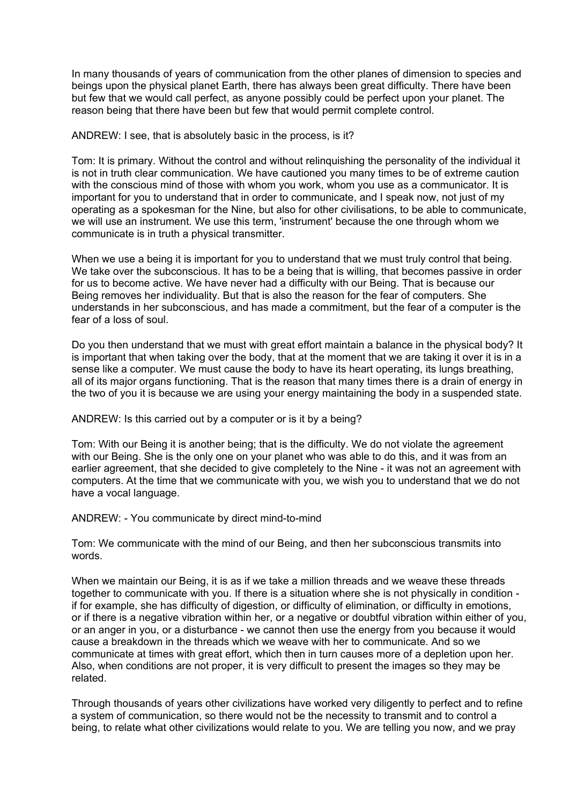In many thousands of years of communication from the other planes of dimension to species and beings upon the physical planet Earth, there has always been great difficulty. There have been but few that we would call perfect, as anyone possibly could be perfect upon your planet. The reason being that there have been but few that would permit complete control.

## ANDREW: I see, that is absolutely basic in the process, is it?

Tom: It is primary. Without the control and without relinquishing the personality of the individual it is not in truth clear communication. We have cautioned you many times to be of extreme caution with the conscious mind of those with whom you work, whom you use as a communicator. It is important for you to understand that in order to communicate, and I speak now, not just of my operating as a spokesman for the Nine, but also for other civilisations, to be able to communicate, we will use an instrument. We use this term, 'instrument' because the one through whom we communicate is in truth a physical transmitter.

When we use a being it is important for you to understand that we must truly control that being. We take over the subconscious. It has to be a being that is willing, that becomes passive in order for us to become active. We have never had a difficulty with our Being. That is because our Being removes her individuality. But that is also the reason for the fear of computers. She understands in her subconscious, and has made a commitment, but the fear of a computer is the fear of a loss of soul.

Do you then understand that we must with great effort maintain a balance in the physical body? It is important that when taking over the body, that at the moment that we are taking it over it is in a sense like a computer. We must cause the body to have its heart operating, its lungs breathing, all of its major organs functioning. That is the reason that many times there is a drain of energy in the two of you it is because we are using your energy maintaining the body in a suspended state.

#### ANDREW: Is this carried out by a computer or is it by a being?

Tom: With our Being it is another being; that is the difficulty. We do not violate the agreement with our Being. She is the only one on your planet who was able to do this, and it was from an earlier agreement, that she decided to give completely to the Nine - it was not an agreement with computers. At the time that we communicate with you, we wish you to understand that we do not have a vocal language.

#### ANDREW: - You communicate by direct mind-to-mind

Tom: We communicate with the mind of our Being, and then her subconscious transmits into words.

When we maintain our Being, it is as if we take a million threads and we weave these threads together to communicate with you. If there is a situation where she is not physically in condition if for example, she has difficulty of digestion, or difficulty of elimination, or difficulty in emotions, or if there is a negative vibration within her, or a negative or doubtful vibration within either of you, or an anger in you, or a disturbance - we cannot then use the energy from you because it would cause a breakdown in the threads which we weave with her to communicate. And so we communicate at times with great effort, which then in turn causes more of a depletion upon her. Also, when conditions are not proper, it is very difficult to present the images so they may be related.

Through thousands of years other civilizations have worked very diligently to perfect and to refine a system of communication, so there would not be the necessity to transmit and to control a being, to relate what other civilizations would relate to you. We are telling you now, and we pray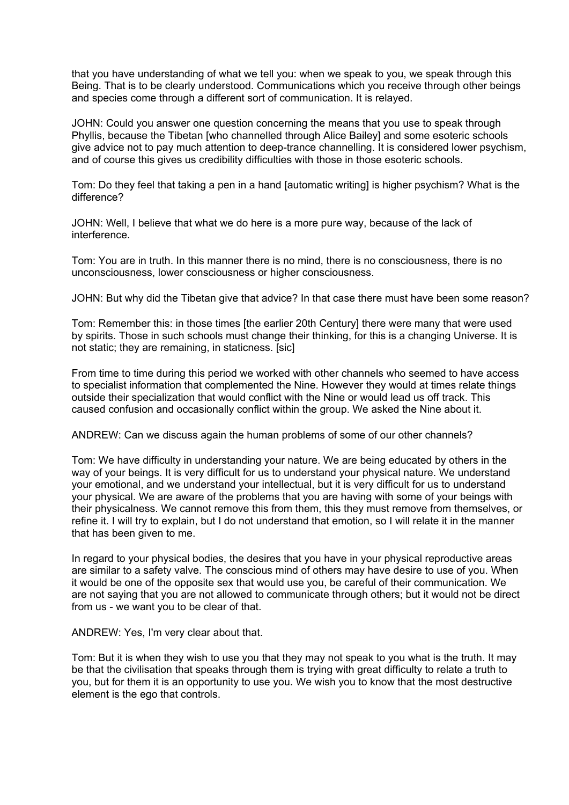that you have understanding of what we tell you: when we speak to you, we speak through this Being. That is to be clearly understood. Communications which you receive through other beings and species come through a different sort of communication. It is relayed.

JOHN: Could you answer one question concerning the means that you use to speak through Phyllis, because the Tibetan [who channelled through Alice Bailey] and some esoteric schools give advice not to pay much attention to deep-trance channelling. It is considered lower psychism, and of course this gives us credibility difficulties with those in those esoteric schools.

Tom: Do they feel that taking a pen in a hand [automatic writing] is higher psychism? What is the difference?

JOHN: Well, I believe that what we do here is a more pure way, because of the lack of interference.

Tom: You are in truth. In this manner there is no mind, there is no consciousness, there is no unconsciousness, lower consciousness or higher consciousness.

JOHN: But why did the Tibetan give that advice? In that case there must have been some reason?

Tom: Remember this: in those times [the earlier 20th Century] there were many that were used by spirits. Those in such schools must change their thinking, for this is a changing Universe. It is not static; they are remaining, in staticness. [sic]

From time to time during this period we worked with other channels who seemed to have access to specialist information that complemented the Nine. However they would at times relate things outside their specialization that would conflict with the Nine or would lead us off track. This caused confusion and occasionally conflict within the group. We asked the Nine about it.

ANDREW: Can we discuss again the human problems of some of our other channels?

Tom: We have difficulty in understanding your nature. We are being educated by others in the way of your beings. It is very difficult for us to understand your physical nature. We understand your emotional, and we understand your intellectual, but it is very difficult for us to understand your physical. We are aware of the problems that you are having with some of your beings with their physicalness. We cannot remove this from them, this they must remove from themselves, or refine it. I will try to explain, but I do not understand that emotion, so I will relate it in the manner that has been given to me.

In regard to your physical bodies, the desires that you have in your physical reproductive areas are similar to a safety valve. The conscious mind of others may have desire to use of you. When it would be one of the opposite sex that would use you, be careful of their communication. We are not saying that you are not allowed to communicate through others; but it would not be direct from us - we want you to be clear of that.

ANDREW: Yes, I'm very clear about that.

Tom: But it is when they wish to use you that they may not speak to you what is the truth. It may be that the civilisation that speaks through them is trying with great difficulty to relate a truth to you, but for them it is an opportunity to use you. We wish you to know that the most destructive element is the ego that controls.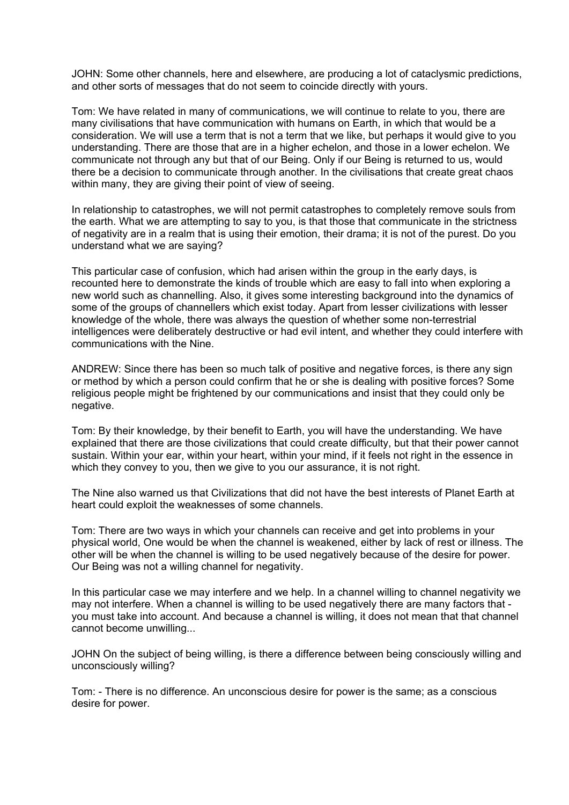JOHN: Some other channels, here and elsewhere, are producing a lot of cataclysmic predictions, and other sorts of messages that do not seem to coincide directly with yours.

Tom: We have related in many of communications, we will continue to relate to you, there are many civilisations that have communication with humans on Earth, in which that would be a consideration. We will use a term that is not a term that we like, but perhaps it would give to you understanding. There are those that are in a higher echelon, and those in a lower echelon. We communicate not through any but that of our Being. Only if our Being is returned to us, would there be a decision to communicate through another. In the civilisations that create great chaos within many, they are giving their point of view of seeing.

In relationship to catastrophes, we will not permit catastrophes to completely remove souls from the earth. What we are attempting to say to you, is that those that communicate in the strictness of negativity are in a realm that is using their emotion, their drama; it is not of the purest. Do you understand what we are saying?

This particular case of confusion, which had arisen within the group in the early days, is recounted here to demonstrate the kinds of trouble which are easy to fall into when exploring a new world such as channelling. Also, it gives some interesting background into the dynamics of some of the groups of channellers which exist today. Apart from lesser civilizations with lesser knowledge of the whole, there was always the question of whether some non-terrestrial intelligences were deliberately destructive or had evil intent, and whether they could interfere with communications with the Nine.

ANDREW: Since there has been so much talk of positive and negative forces, is there any sign or method by which a person could confirm that he or she is dealing with positive forces? Some religious people might be frightened by our communications and insist that they could only be negative.

Tom: By their knowledge, by their benefit to Earth, you will have the understanding. We have explained that there are those civilizations that could create difficulty, but that their power cannot sustain. Within your ear, within your heart, within your mind, if it feels not right in the essence in which they convey to you, then we give to you our assurance, it is not right.

The Nine also warned us that Civilizations that did not have the best interests of Planet Earth at heart could exploit the weaknesses of some channels.

Tom: There are two ways in which your channels can receive and get into problems in your physical world, One would be when the channel is weakened, either by lack of rest or illness. The other will be when the channel is willing to be used negatively because of the desire for power. Our Being was not a willing channel for negativity.

In this particular case we may interfere and we help. In a channel willing to channel negativity we may not interfere. When a channel is willing to be used negatively there are many factors that you must take into account. And because a channel is willing, it does not mean that that channel cannot become unwilling...

JOHN On the subject of being willing, is there a difference between being consciously willing and unconsciously willing?

Tom: - There is no difference. An unconscious desire for power is the same; as a conscious desire for power.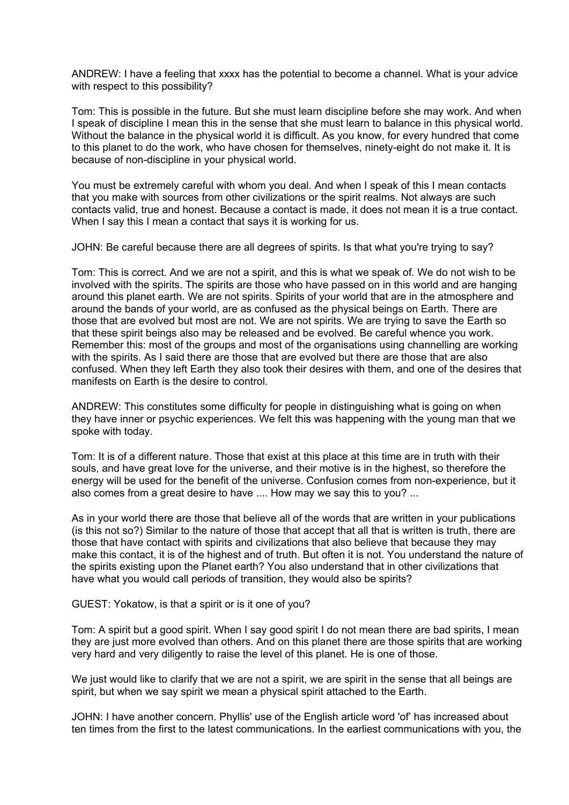ANDREW: I have a feeling that xxxx has the potential to become a channel. What is your advice with respect to this possibility?

Tom: This is possible in the future. But she must learn discipline before she may work. And when I speak of discipline I mean this in the sense that she must learn to balance in this physical world. Without the balance in the physical world it is difficult. As you know, for every hundred that come to this planet to do the work, who have chosen for themselves, ninety-eight do not make it. It is because of non-discipline in your physical world.

You must be extremely careful with whom you deal. And when I speak of this I mean contacts that you make with sources from other civilizations or the spirit realms. Not always are such contacts valid, true and honest. Because a contact is made, it does not mean it is a true contact. When I say this I mean a contact that says it is working for us.

JOHN: Be careful because there are all degrees of spirits. Is that what you're trying to say?

Tom: This is correct. And we are not a spirit, and this is what we speak of. We do not wish to be involved with the spirits. The spirits are those who have passed on in this world and are hanging around this planet earth. We are not spirits. Spirits of your world that are in the atmosphere and around the bands of your world, are as confused as the physical beings on Earth. There are those that are evolved but most are not. We are not spirits. We are trying to save the Earth so that these spirit beings also may be released and be evolved. Be careful whence you work. Remember this: most of the groups and most of the organisations using channelling are working with the spirits. As I said there are those that are evolved but there are those that are also confused. When they left Earth they also took their desires with them, and one of the desires that manifests on Earth is the desire to control.

ANDREW: This constitutes some difficulty for people in distinguishing what is going on when they have inner or psychic experiences. We felt this was happening with the young man that we spoke with today.

Tom: It is of a different nature. Those that exist at this place at this time are in truth with their souls, and have great love for the universe, and their motive is in the highest, so therefore the energy will be used for the benefit of the universe. Confusion comes from non-experience, but it also comes from a great desire to have .... How may we say this to you? ...

As in your world there are those that believe all of the words that are written in your publications (is this not so?) Similar to the nature of those that accept that all that is written is truth, there are those that have contact with spirits and civilizations that also believe that because they may make this contact, it is of the highest and of truth. But often it is not. You understand the nature of the spirits existing upon the Planet earth? You also understand that in other civilizations that have what you would call periods of transition, they would also be spirits?

GUEST: Yokatow, is that a spirit or is it one of you?

Tom: A spirit but a good spirit. When I say good spirit I do not mean there are bad spirits, I mean they are just more evolved than others. And on this planet there are those spirits that are working very hard and very diligently to raise the level of this planet. He is one of those.

We just would like to clarify that we are not a spirit, we are spirit in the sense that all beings are spirit, but when we say spirit we mean a physical spirit attached to the Earth.

JOHN: I have another concern. Phyllis' use of the English article word 'of' has increased about ten times from the first to the latest communications. In the earliest communications with you, the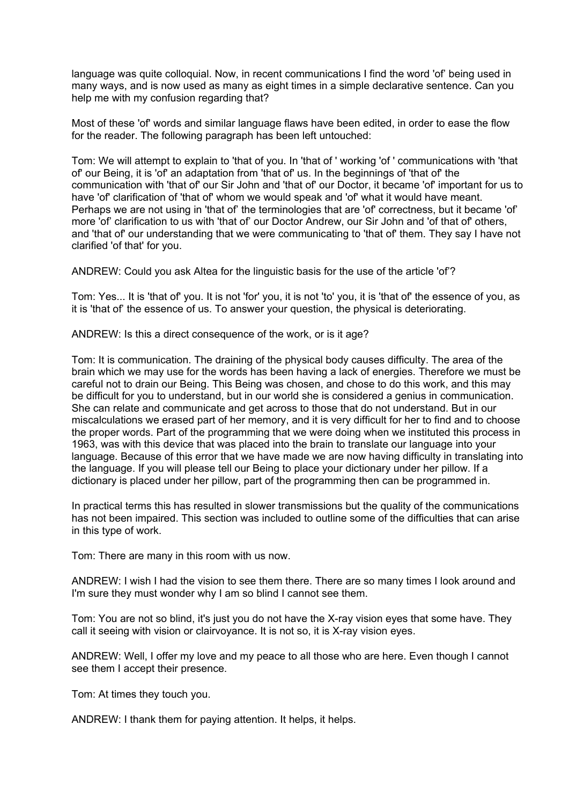language was quite colloquial. Now, in recent communications I find the word 'of' being used in many ways, and is now used as many as eight times in a simple declarative sentence. Can you help me with my confusion regarding that?

Most of these 'of' words and similar language flaws have been edited, in order to ease the flow for the reader. The following paragraph has been left untouched:

Tom: We will attempt to explain to 'that of you. In 'that of ' working 'of ' communications with 'that of' our Being, it is 'of' an adaptation from 'that of' us. In the beginnings of 'that of' the communication with 'that of' our Sir John and 'that of' our Doctor, it became 'of' important for us to have 'of' clarification of 'that of' whom we would speak and 'of' what it would have meant. Perhaps we are not using in 'that of' the terminologies that are 'of' correctness, but it became 'of' more 'of' clarification to us with 'that of' our Doctor Andrew, our Sir John and 'of that of' others, and 'that of' our understanding that we were communicating to 'that of' them. They say I have not clarified 'of that' for you.

ANDREW: Could you ask Altea for the linguistic basis for the use of the article 'of'?

Tom: Yes... It is 'that of' you. It is not 'for' you, it is not 'to' you, it is 'that of' the essence of you, as it is 'that of' the essence of us. To answer your question, the physical is deteriorating.

ANDREW: Is this a direct consequence of the work, or is it age?

Tom: It is communication. The draining of the physical body causes difficulty. The area of the brain which we may use for the words has been having a lack of energies. Therefore we must be careful not to drain our Being. This Being was chosen, and chose to do this work, and this may be difficult for you to understand, but in our world she is considered a genius in communication. She can relate and communicate and get across to those that do not understand. But in our miscalculations we erased part of her memory, and it is very difficult for her to find and to choose the proper words. Part of the programming that we were doing when we instituted this process in 1963, was with this device that was placed into the brain to translate our language into your language. Because of this error that we have made we are now having difficulty in translating into the language. If you will please tell our Being to place your dictionary under her pillow. If a dictionary is placed under her pillow, part of the programming then can be programmed in.

In practical terms this has resulted in slower transmissions but the quality of the communications has not been impaired. This section was included to outline some of the difficulties that can arise in this type of work.

Tom: There are many in this room with us now.

ANDREW: I wish I had the vision to see them there. There are so many times I look around and I'm sure they must wonder why I am so blind I cannot see them.

Tom: You are not so blind, it's just you do not have the X-ray vision eyes that some have. They call it seeing with vision or clairvoyance. It is not so, it is X-ray vision eyes.

ANDREW: Well, I offer my love and my peace to all those who are here. Even though I cannot see them I accept their presence.

Tom: At times they touch you.

ANDREW: I thank them for paying attention. It helps, it helps.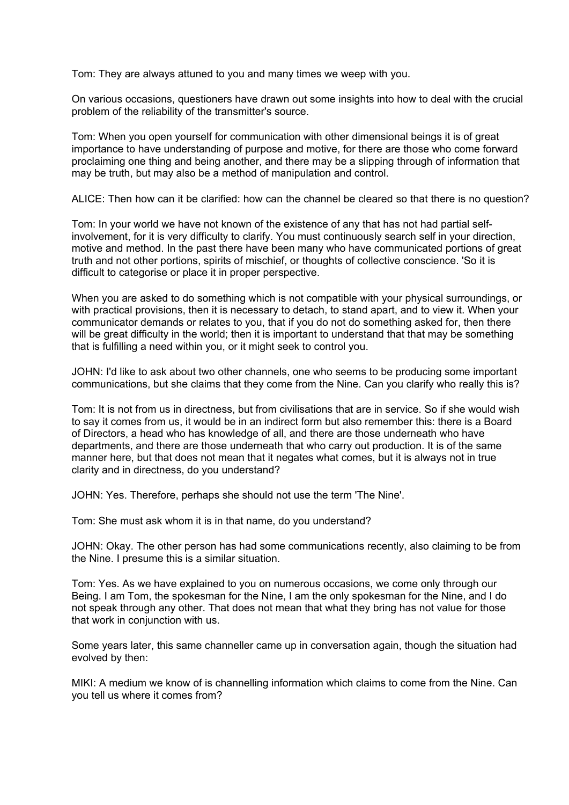Tom: They are always attuned to you and many times we weep with you.

On various occasions, questioners have drawn out some insights into how to deal with the crucial problem of the reliability of the transmitter's source.

Tom: When you open yourself for communication with other dimensional beings it is of great importance to have understanding of purpose and motive, for there are those who come forward proclaiming one thing and being another, and there may be a slipping through of information that may be truth, but may also be a method of manipulation and control.

ALICE: Then how can it be clarified: how can the channel be cleared so that there is no question?

Tom: In your world we have not known of the existence of any that has not had partial selfinvolvement, for it is very difficulty to clarify. You must continuously search self in your direction, motive and method. In the past there have been many who have communicated portions of great truth and not other portions, spirits of mischief, or thoughts of collective conscience. 'So it is difficult to categorise or place it in proper perspective.

When you are asked to do something which is not compatible with your physical surroundings, or with practical provisions, then it is necessary to detach, to stand apart, and to view it. When your communicator demands or relates to you, that if you do not do something asked for, then there will be great difficulty in the world; then it is important to understand that that may be something that is fulfilling a need within you, or it might seek to control you.

JOHN: I'd like to ask about two other channels, one who seems to be producing some important communications, but she claims that they come from the Nine. Can you clarify who really this is?

Tom: It is not from us in directness, but from civilisations that are in service. So if she would wish to say it comes from us, it would be in an indirect form but also remember this: there is a Board of Directors, a head who has knowledge of all, and there are those underneath who have departments, and there are those underneath that who carry out production. It is of the same manner here, but that does not mean that it negates what comes, but it is always not in true clarity and in directness, do you understand?

JOHN: Yes. Therefore, perhaps she should not use the term 'The Nine'.

Tom: She must ask whom it is in that name, do you understand?

JOHN: Okay. The other person has had some communications recently, also claiming to be from the Nine. I presume this is a similar situation.

Tom: Yes. As we have explained to you on numerous occasions, we come only through our Being. I am Tom, the spokesman for the Nine, I am the only spokesman for the Nine, and I do not speak through any other. That does not mean that what they bring has not value for those that work in conjunction with us.

Some years later, this same channeller came up in conversation again, though the situation had evolved by then:

MIKI: A medium we know of is channelling information which claims to come from the Nine. Can you tell us where it comes from?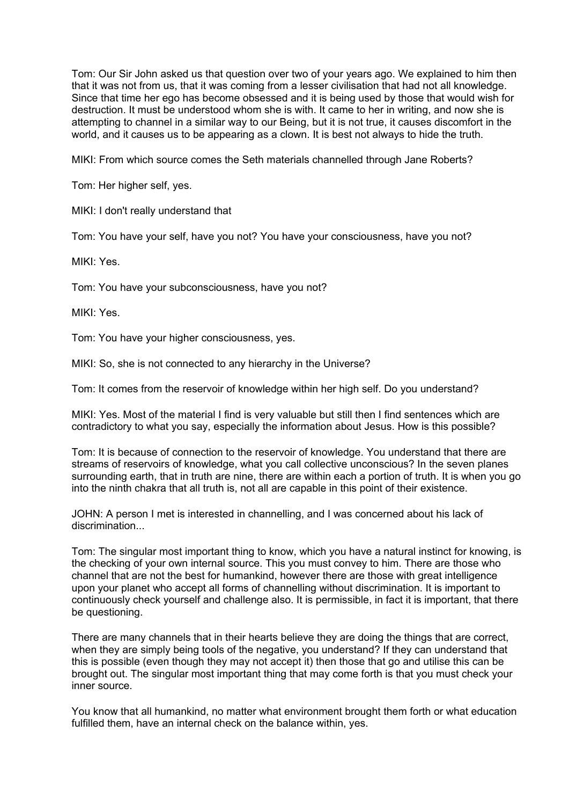Tom: Our Sir John asked us that question over two of your years ago. We explained to him then that it was not from us, that it was coming from a lesser civilisation that had not all knowledge. Since that time her ego has become obsessed and it is being used by those that would wish for destruction. It must be understood whom she is with. It came to her in writing, and now she is attempting to channel in a similar way to our Being, but it is not true, it causes discomfort in the world, and it causes us to be appearing as a clown. It is best not always to hide the truth.

MIKI: From which source comes the Seth materials channelled through Jane Roberts?

Tom: Her higher self, yes.

MIKI: I don't really understand that

Tom: You have your self, have you not? You have your consciousness, have you not?

MIKI: Yes.

Tom: You have your subconsciousness, have you not?

MIKI: Yes.

Tom: You have your higher consciousness, yes.

MIKI: So, she is not connected to any hierarchy in the Universe?

Tom: It comes from the reservoir of knowledge within her high self. Do you understand?

MIKI: Yes. Most of the material I find is very valuable but still then I find sentences which are contradictory to what you say, especially the information about Jesus. How is this possible?

Tom: It is because of connection to the reservoir of knowledge. You understand that there are streams of reservoirs of knowledge, what you call collective unconscious? In the seven planes surrounding earth, that in truth are nine, there are within each a portion of truth. It is when you go into the ninth chakra that all truth is, not all are capable in this point of their existence.

JOHN: A person I met is interested in channelling, and I was concerned about his lack of discrimination...

Tom: The singular most important thing to know, which you have a natural instinct for knowing, is the checking of your own internal source. This you must convey to him. There are those who channel that are not the best for humankind, however there are those with great intelligence upon your planet who accept all forms of channelling without discrimination. It is important to continuously check yourself and challenge also. It is permissible, in fact it is important, that there be questioning.

There are many channels that in their hearts believe they are doing the things that are correct, when they are simply being tools of the negative, you understand? If they can understand that this is possible (even though they may not accept it) then those that go and utilise this can be brought out. The singular most important thing that may come forth is that you must check your inner source.

You know that all humankind, no matter what environment brought them forth or what education fulfilled them, have an internal check on the balance within, yes.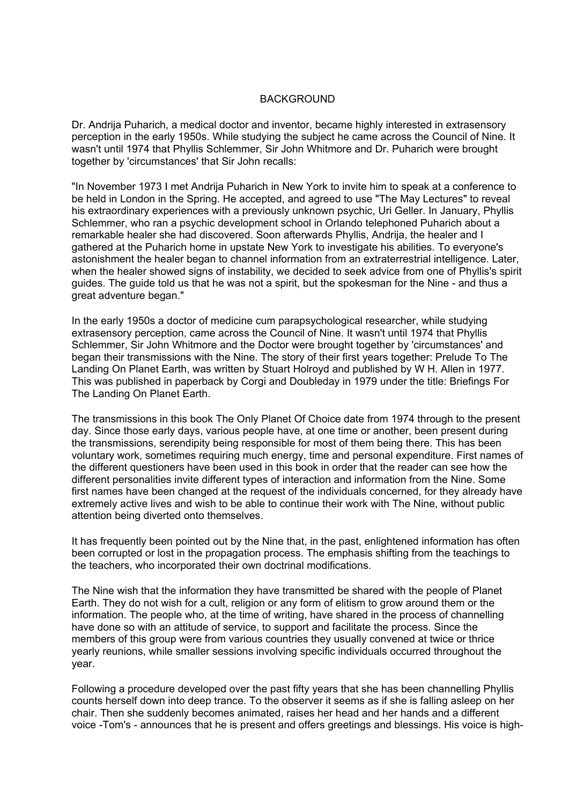### BACKGROUND

Dr. Andrija Puharich, a medical doctor and inventor, became highly interested in extrasensory perception in the early 1950s. While studying the subject he came across the Council of Nine. It wasn't until 1974 that Phyllis Schlemmer, Sir John Whitmore and Dr. Puharich were brought together by 'circumstances' that Sir John recalls:

"In November 1973 I met Andrija Puharich in New York to invite him to speak at a conference to be held in London in the Spring. He accepted, and agreed to use "The May Lectures" to reveal his extraordinary experiences with a previously unknown psychic, Uri Geller. In January, Phyllis Schlemmer, who ran a psychic development school in Orlando telephoned Puharich about a remarkable healer she had discovered. Soon afterwards Phyllis, Andrija, the healer and I gathered at the Puharich home in upstate New York to investigate his abilities. To everyone's astonishment the healer began to channel information from an extraterrestrial intelligence. Later, when the healer showed signs of instability, we decided to seek advice from one of Phyllis's spirit guides. The guide told us that he was not a spirit, but the spokesman for the Nine - and thus a great adventure began."

In the early 1950s a doctor of medicine cum parapsychological researcher, while studying extrasensory perception, came across the Council of Nine. It wasn't until 1974 that Phyllis Schlemmer, Sir John Whitmore and the Doctor were brought together by 'circumstances' and began their transmissions with the Nine. The story of their first years together: Prelude To The Landing On Planet Earth, was written by Stuart Holroyd and published by W H. Allen in 1977. This was published in paperback by Corgi and Doubleday in 1979 under the title: Briefings For The Landing On Planet Earth.

The transmissions in this book The Only Planet Of Choice date from 1974 through to the present day. Since those early days, various people have, at one time or another, been present during the transmissions, serendipity being responsible for most of them being there. This has been voluntary work, sometimes requiring much energy, time and personal expenditure. First names of the different questioners have been used in this book in order that the reader can see how the different personalities invite different types of interaction and information from the Nine. Some first names have been changed at the request of the individuals concerned, for they already have extremely active lives and wish to be able to continue their work with The Nine, without public attention being diverted onto themselves.

It has frequently been pointed out by the Nine that, in the past, enlightened information has often been corrupted or lost in the propagation process. The emphasis shifting from the teachings to the teachers, who incorporated their own doctrinal modifications.

The Nine wish that the information they have transmitted be shared with the people of Planet Earth. They do not wish for a cult, religion or any form of elitism to grow around them or the information. The people who, at the time of writing, have shared in the process of channelling have done so with an attitude of service, to support and facilitate the process. Since the members of this group were from various countries they usually convened at twice or thrice yearly reunions, while smaller sessions involving specific individuals occurred throughout the year.

Following a procedure developed over the past fifty years that she has been channelling Phyllis counts herself down into deep trance. To the observer it seems as if she is falling asleep on her chair. Then she suddenly becomes animated, raises her head and her hands and a different voice -Tom's - announces that he is present and offers greetings and blessings. His voice is high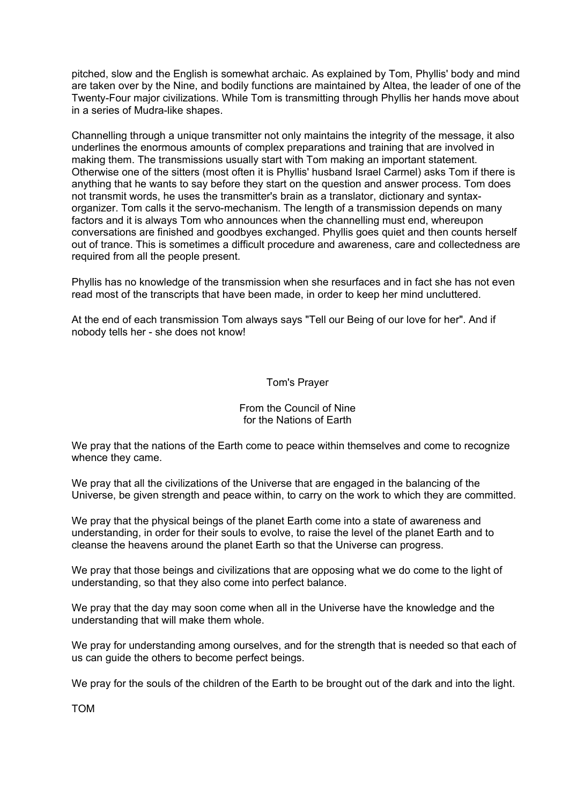pitched, slow and the English is somewhat archaic. As explained by Tom, Phyllis' body and mind are taken over by the Nine, and bodily functions are maintained by Altea, the leader of one of the Twenty-Four major civilizations. While Tom is transmitting through Phyllis her hands move about in a series of Mudra-like shapes.

Channelling through a unique transmitter not only maintains the integrity of the message, it also underlines the enormous amounts of complex preparations and training that are involved in making them. The transmissions usually start with Tom making an important statement. Otherwise one of the sitters (most often it is Phyllis' husband Israel Carmel) asks Tom if there is anything that he wants to say before they start on the question and answer process. Tom does not transmit words, he uses the transmitter's brain as a translator, dictionary and syntaxorganizer. Tom calls it the servo-mechanism. The length of a transmission depends on many factors and it is always Tom who announces when the channelling must end, whereupon conversations are finished and goodbyes exchanged. Phyllis goes quiet and then counts herself out of trance. This is sometimes a difficult procedure and awareness, care and collectedness are required from all the people present.

Phyllis has no knowledge of the transmission when she resurfaces and in fact she has not even read most of the transcripts that have been made, in order to keep her mind uncluttered.

At the end of each transmission Tom always says "Tell our Being of our love for her". And if nobody tells her - she does not know!

## Tom's Prayer

## From the Council of Nine for the Nations of Earth

We pray that the nations of the Earth come to peace within themselves and come to recognize whence they came.

We pray that all the civilizations of the Universe that are engaged in the balancing of the Universe, be given strength and peace within, to carry on the work to which they are committed.

We pray that the physical beings of the planet Earth come into a state of awareness and understanding, in order for their souls to evolve, to raise the level of the planet Earth and to cleanse the heavens around the planet Earth so that the Universe can progress.

We pray that those beings and civilizations that are opposing what we do come to the light of understanding, so that they also come into perfect balance.

We pray that the day may soon come when all in the Universe have the knowledge and the understanding that will make them whole.

We pray for understanding among ourselves, and for the strength that is needed so that each of us can guide the others to become perfect beings.

We pray for the souls of the children of the Earth to be brought out of the dark and into the light.

TOM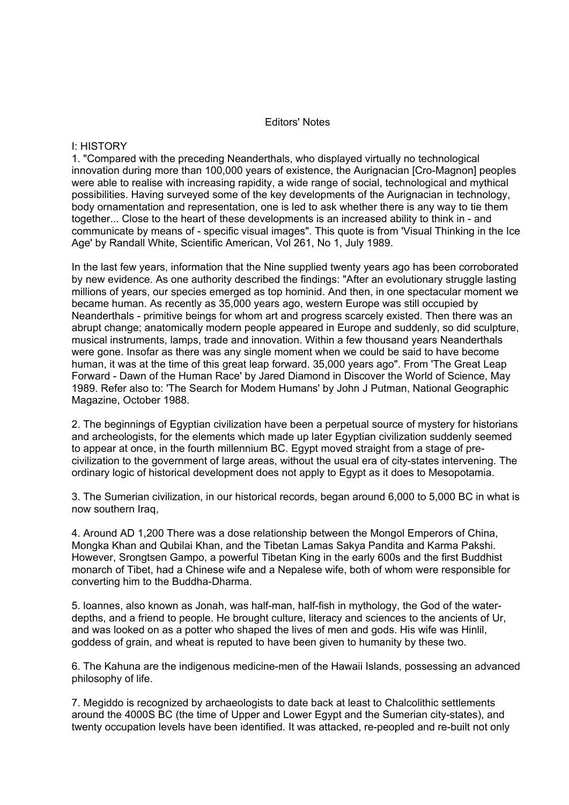## Editors' Notes

#### I: HISTORY

1. "Compared with the preceding Neanderthals, who displayed virtually no technological innovation during more than 100,000 years of existence, the Aurignacian [Cro-Magnon] peoples were able to realise with increasing rapidity, a wide range of social, technological and mythical possibilities. Having surveyed some of the key developments of the Aurignacian in technology, body ornamentation and representation, one is led to ask whether there is any way to tie them together... Close to the heart of these developments is an increased ability to think in - and communicate by means of - specific visual images". This quote is from 'Visual Thinking in the Ice Age' by Randall White, Scientific American, Vol 261, No 1, July 1989.

In the last few years, information that the Nine supplied twenty years ago has been corroborated by new evidence. As one authority described the findings: "After an evolutionary struggle lasting millions of years, our species emerged as top hominid. And then, in one spectacular moment we became human. As recently as 35,000 years ago, western Europe was still occupied by Neanderthals - primitive beings for whom art and progress scarcely existed. Then there was an abrupt change; anatomically modern people appeared in Europe and suddenly, so did sculpture, musical instruments, lamps, trade and innovation. Within a few thousand years Neanderthals were gone. Insofar as there was any single moment when we could be said to have become human, it was at the time of this great leap forward. 35,000 years ago". From 'The Great Leap Forward - Dawn of the Human Race' by Jared Diamond in Discover the World of Science, May 1989. Refer also to: 'The Search for Modem Humans' by John J Putman, National Geographic Magazine, October 1988.

2. The beginnings of Egyptian civilization have been a perpetual source of mystery for historians and archeologists, for the elements which made up later Egyptian civilization suddenly seemed to appear at once, in the fourth millennium BC. Egypt moved straight from a stage of precivilization to the government of large areas, without the usual era of city-states intervening. The ordinary logic of historical development does not apply to Egypt as it does to Mesopotamia.

3. The Sumerian civilization, in our historical records, began around 6,000 to 5,000 BC in what is now southern Iraq,

4. Around AD 1,200 There was a dose relationship between the Mongol Emperors of China, Mongka Khan and Qubilai Khan, and the Tibetan Lamas Sakya Pandita and Karma Pakshi. However, Srongtsen Gampo, a powerful Tibetan King in the early 600s and the first Buddhist monarch of Tibet, had a Chinese wife and a Nepalese wife, both of whom were responsible for converting him to the Buddha-Dharma.

5. loannes, also known as Jonah, was half-man, half-fish in mythology, the God of the waterdepths, and a friend to people. He brought culture, literacy and sciences to the ancients of Ur, and was looked on as a potter who shaped the lives of men and gods. His wife was Hinlil, goddess of grain, and wheat is reputed to have been given to humanity by these two.

6. The Kahuna are the indigenous medicine-men of the Hawaii Islands, possessing an advanced philosophy of life.

7. Megiddo is recognized by archaeologists to date back at least to Chalcolithic settlements around the 4000S BC (the time of Upper and Lower Egypt and the Sumerian city-states), and twenty occupation levels have been identified. It was attacked, re-peopled and re-built not only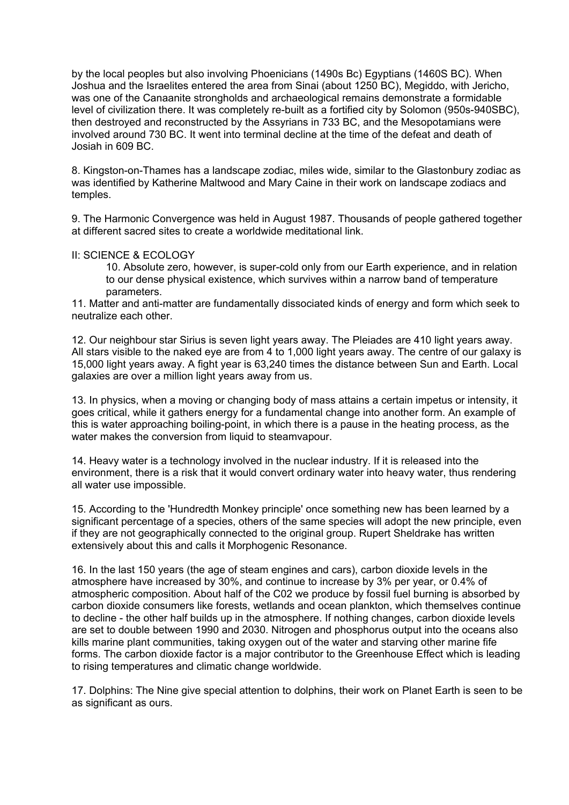by the local peoples but also involving Phoenicians (1490s Bc) Egyptians (1460S BC). When Joshua and the Israelites entered the area from Sinai (about 1250 BC), Megiddo, with Jericho, was one of the Canaanite strongholds and archaeological remains demonstrate a formidable level of civilization there. It was completely re-built as a fortified city by Solomon (950s-940SBC), then destroyed and reconstructed by the Assyrians in 733 BC, and the Mesopotamians were involved around 730 BC. It went into terminal decline at the time of the defeat and death of Josiah in 609 BC.

8. Kingston-on-Thames has a landscape zodiac, miles wide, similar to the Glastonbury zodiac as was identified by Katherine Maltwood and Mary Caine in their work on landscape zodiacs and temples.

9. The Harmonic Convergence was held in August 1987. Thousands of people gathered together at different sacred sites to create a worldwide meditational link.

#### II: SCIENCE & ECOLOGY

10. Absolute zero, however, is super-cold only from our Earth experience, and in relation to our dense physical existence, which survives within a narrow band of temperature parameters.

11. Matter and anti-matter are fundamentally dissociated kinds of energy and form which seek to neutralize each other.

12. Our neighbour star Sirius is seven light years away. The Pleiades are 410 light years away. All stars visible to the naked eye are from 4 to 1,000 light years away. The centre of our galaxy is 15,000 light years away. A fight year is 63,240 times the distance between Sun and Earth. Local galaxies are over a million light years away from us.

13. In physics, when a moving or changing body of mass attains a certain impetus or intensity, it goes critical, while it gathers energy for a fundamental change into another form. An example of this is water approaching boiling-point, in which there is a pause in the heating process, as the water makes the conversion from liquid to steamvapour.

14. Heavy water is a technology involved in the nuclear industry. If it is released into the environment, there is a risk that it would convert ordinary water into heavy water, thus rendering all water use impossible.

15. According to the 'Hundredth Monkey principle' once something new has been learned by a significant percentage of a species, others of the same species will adopt the new principle, even if they are not geographically connected to the original group. Rupert Sheldrake has written extensively about this and calls it Morphogenic Resonance.

16. In the last 150 years (the age of steam engines and cars), carbon dioxide levels in the atmosphere have increased by 30%, and continue to increase by 3% per year, or 0.4% of atmospheric composition. About half of the C02 we produce by fossil fuel burning is absorbed by carbon dioxide consumers like forests, wetlands and ocean plankton, which themselves continue to decline - the other half builds up in the atmosphere. If nothing changes, carbon dioxide levels are set to double between 1990 and 2030. Nitrogen and phosphorus output into the oceans also kills marine plant communities, taking oxygen out of the water and starving other marine fife forms. The carbon dioxide factor is a major contributor to the Greenhouse Effect which is leading to rising temperatures and climatic change worldwide.

17. Dolphins: The Nine give special attention to dolphins, their work on Planet Earth is seen to be as significant as ours.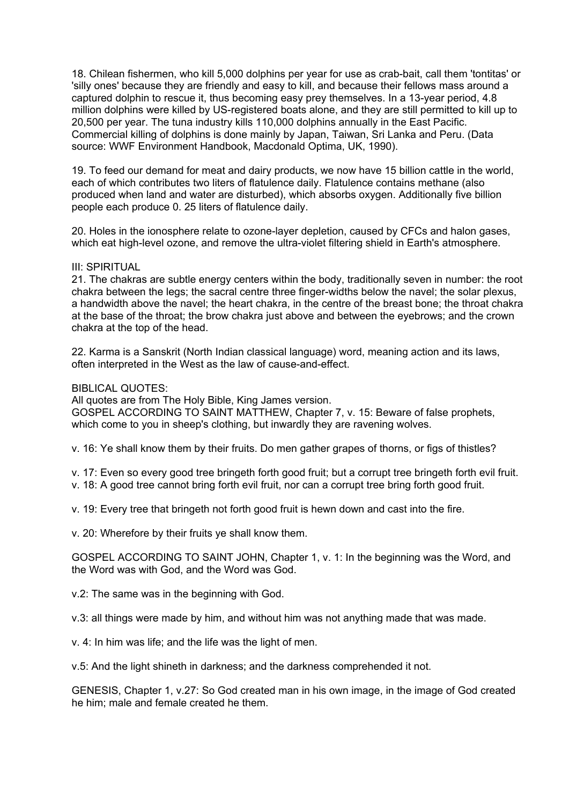18. Chilean fishermen, who kill 5,000 dolphins per year for use as crab-bait, call them 'tontitas' or 'silly ones' because they are friendly and easy to kill, and because their fellows mass around a captured dolphin to rescue it, thus becoming easy prey themselves. In a 13-year period, 4.8 million dolphins were killed by US-registered boats alone, and they are still permitted to kill up to 20,500 per year. The tuna industry kills 110,000 dolphins annually in the East Pacific. Commercial killing of dolphins is done mainly by Japan, Taiwan, Sri Lanka and Peru. (Data source: WWF Environment Handbook, Macdonald Optima, UK, 1990).

19. To feed our demand for meat and dairy products, we now have 15 billion cattle in the world, each of which contributes two liters of flatulence daily. Flatulence contains methane (also produced when land and water are disturbed), which absorbs oxygen. Additionally five billion people each produce 0. 25 liters of flatulence daily.

20. Holes in the ionosphere relate to ozone-layer depletion, caused by CFCs and halon gases, which eat high-level ozone, and remove the ultra-violet filtering shield in Earth's atmosphere.

## III: SPIRITUAL

21. The chakras are subtle energy centers within the body, traditionally seven in number: the root chakra between the legs; the sacral centre three finger-widths below the navel; the solar plexus, a handwidth above the navel; the heart chakra, in the centre of the breast bone; the throat chakra at the base of the throat; the brow chakra just above and between the eyebrows; and the crown chakra at the top of the head.

22. Karma is a Sanskrit (North Indian classical language) word, meaning action and its laws, often interpreted in the West as the law of cause-and-effect.

#### BIBLICAL QUOTES:

All quotes are from The Holy Bible, King James version. GOSPEL ACCORDING TO SAINT MATTHEW, Chapter 7, v. 15: Beware of false prophets, which come to you in sheep's clothing, but inwardly they are ravening wolves.

v. 16: Ye shall know them by their fruits. Do men gather grapes of thorns, or figs of thistles?

v. 17: Even so every good tree bringeth forth good fruit; but a corrupt tree bringeth forth evil fruit. v. 18: A good tree cannot bring forth evil fruit, nor can a corrupt tree bring forth good fruit.

v. 19: Every tree that bringeth not forth good fruit is hewn down and cast into the fire.

v. 20: Wherefore by their fruits ye shall know them.

GOSPEL ACCORDING TO SAINT JOHN, Chapter 1, v. 1: In the beginning was the Word, and the Word was with God, and the Word was God.

v.2: The same was in the beginning with God.

v.3: all things were made by him, and without him was not anything made that was made.

v. 4: In him was life; and the life was the light of men.

v.5: And the light shineth in darkness; and the darkness comprehended it not.

GENESIS, Chapter 1, v.27: So God created man in his own image, in the image of God created he him; male and female created he them.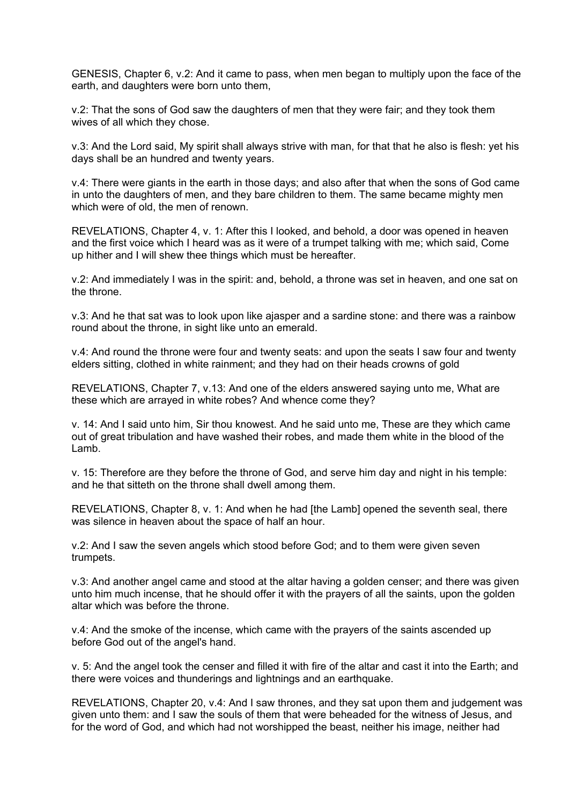GENESIS, Chapter 6, v.2: And it came to pass, when men began to multiply upon the face of the earth, and daughters were born unto them,

v.2: That the sons of God saw the daughters of men that they were fair; and they took them wives of all which they chose.

v.3: And the Lord said, My spirit shall always strive with man, for that that he also is flesh: yet his days shall be an hundred and twenty years.

v.4: There were giants in the earth in those days; and also after that when the sons of God came in unto the daughters of men, and they bare children to them. The same became mighty men which were of old, the men of renown.

REVELATIONS, Chapter 4, v. 1: After this I looked, and behold, a door was opened in heaven and the first voice which I heard was as it were of a trumpet talking with me; which said, Come up hither and I will shew thee things which must be hereafter.

v.2: And immediately I was in the spirit: and, behold, a throne was set in heaven, and one sat on the throne.

v.3: And he that sat was to look upon like ajasper and a sardine stone: and there was a rainbow round about the throne, in sight like unto an emerald.

v.4: And round the throne were four and twenty seats: and upon the seats I saw four and twenty elders sitting, clothed in white rainment; and they had on their heads crowns of gold

REVELATIONS, Chapter 7, v.13: And one of the elders answered saying unto me, What are these which are arrayed in white robes? And whence come they?

v. 14: And I said unto him, Sir thou knowest. And he said unto me, These are they which came out of great tribulation and have washed their robes, and made them white in the blood of the Lamb.

v. 15: Therefore are they before the throne of God, and serve him day and night in his temple: and he that sitteth on the throne shall dwell among them.

REVELATIONS, Chapter 8, v. 1: And when he had [the Lamb] opened the seventh seal, there was silence in heaven about the space of half an hour.

v.2: And I saw the seven angels which stood before God; and to them were given seven trumpets.

v.3: And another angel came and stood at the altar having a golden censer; and there was given unto him much incense, that he should offer it with the prayers of all the saints, upon the golden altar which was before the throne.

v.4: And the smoke of the incense, which came with the prayers of the saints ascended up before God out of the angel's hand.

v. 5: And the angel took the censer and filled it with fire of the altar and cast it into the Earth; and there were voices and thunderings and lightnings and an earthquake.

REVELATIONS, Chapter 20, v.4: And I saw thrones, and they sat upon them and judgement was given unto them: and I saw the souls of them that were beheaded for the witness of Jesus, and for the word of God, and which had not worshipped the beast, neither his image, neither had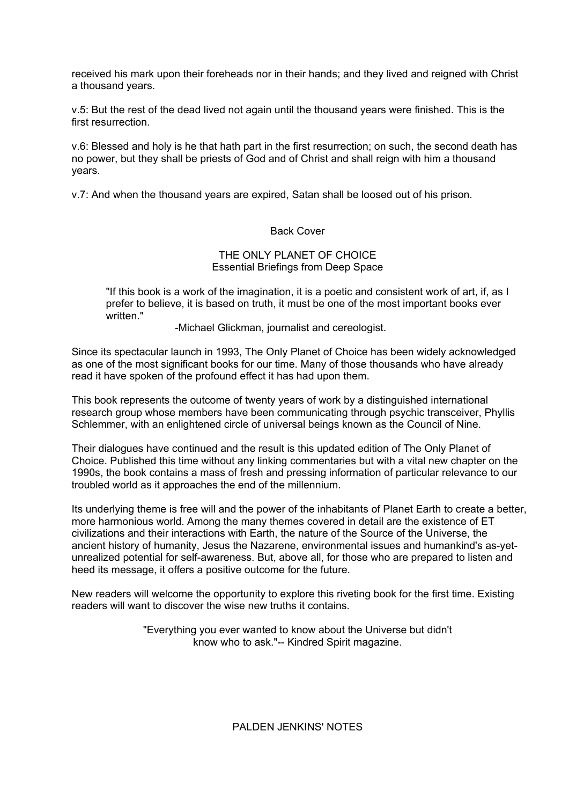received his mark upon their foreheads nor in their hands; and they lived and reigned with Christ a thousand years.

v.5: But the rest of the dead lived not again until the thousand years were finished. This is the first resurrection.

v.6: Blessed and holy is he that hath part in the first resurrection; on such, the second death has no power, but they shall be priests of God and of Christ and shall reign with him a thousand years.

v.7: And when the thousand years are expired, Satan shall be loosed out of his prison.

## Back Cover

## THE ONLY PLANET OF CHOICE Essential Briefings from Deep Space

"If this book is a work of the imagination, it is a poetic and consistent work of art, if, as I prefer to believe, it is based on truth, it must be one of the most important books ever written."

-Michael Glickman, journalist and cereologist.

Since its spectacular launch in 1993, The Only Planet of Choice has been widely acknowledged as one of the most significant books for our time. Many of those thousands who have already read it have spoken of the profound effect it has had upon them.

This book represents the outcome of twenty years of work by a distinguished international research group whose members have been communicating through psychic transceiver, Phyllis Schlemmer, with an enlightened circle of universal beings known as the Council of Nine.

Their dialogues have continued and the result is this updated edition of The Only Planet of Choice. Published this time without any linking commentaries but with a vital new chapter on the 1990s, the book contains a mass of fresh and pressing information of particular relevance to our troubled world as it approaches the end of the millennium.

Its underlying theme is free will and the power of the inhabitants of Planet Earth to create a better, more harmonious world. Among the many themes covered in detail are the existence of ET civilizations and their interactions with Earth, the nature of the Source of the Universe, the ancient history of humanity, Jesus the Nazarene, environmental issues and humankind's as-yetunrealized potential for self-awareness. But, above all, for those who are prepared to listen and heed its message, it offers a positive outcome for the future.

New readers will welcome the opportunity to explore this riveting book for the first time. Existing readers will want to discover the wise new truths it contains.

> "Everything you ever wanted to know about the Universe but didn't know who to ask."-- Kindred Spirit magazine.

> > PALDEN JENKINS' NOTES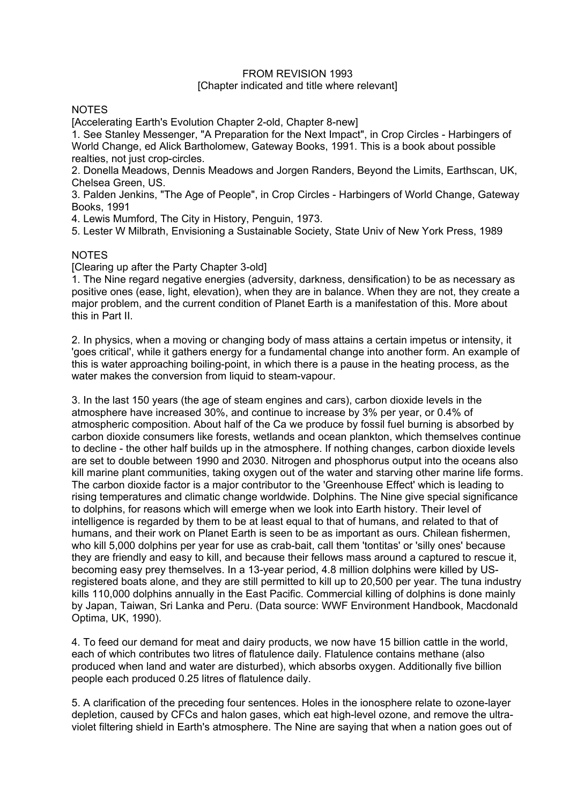## FROM REVISION 1993 [Chapter indicated and title where relevant]

### **NOTES**

[Accelerating Earth's Evolution Chapter 2-old, Chapter 8-new]

1. See Stanley Messenger, "A Preparation for the Next Impact", in Crop Circles - Harbingers of World Change, ed Alick Bartholomew, Gateway Books, 1991. This is a book about possible realties, not just crop-circles.

2. Donella Meadows, Dennis Meadows and Jorgen Randers, Beyond the Limits, Earthscan, UK, Chelsea Green, US.

3. Palden Jenkins, "The Age of People", in Crop Circles - Harbingers of World Change, Gateway Books, 1991

4. Lewis Mumford, The City in History, Penguin, 1973.

5. Lester W Milbrath, Envisioning a Sustainable Society, State Univ of New York Press, 1989

## NOTES

[Clearing up after the Party Chapter 3-old]

1. The Nine regard negative energies (adversity, darkness, densification) to be as necessary as positive ones (ease, light, elevation), when they are in balance. When they are not, they create a major problem, and the current condition of Planet Earth is a manifestation of this. More about this in Part II.

2. In physics, when a moving or changing body of mass attains a certain impetus or intensity, it 'goes critical', while it gathers energy for a fundamental change into another form. An example of this is water approaching boiling-point, in which there is a pause in the heating process, as the water makes the conversion from liquid to steam-vapour.

3. In the last 150 years (the age of steam engines and cars), carbon dioxide levels in the atmosphere have increased 30%, and continue to increase by 3% per year, or 0.4% of atmospheric composition. About half of the Ca we produce by fossil fuel burning is absorbed by carbon dioxide consumers like forests, wetlands and ocean plankton, which themselves continue to decline - the other half builds up in the atmosphere. If nothing changes, carbon dioxide levels are set to double between 1990 and 2030. Nitrogen and phosphorus output into the oceans also kill marine plant communities, taking oxygen out of the water and starving other marine life forms. The carbon dioxide factor is a major contributor to the 'Greenhouse Effect' which is leading to rising temperatures and climatic change worldwide. Dolphins. The Nine give special significance to dolphins, for reasons which will emerge when we look into Earth history. Their level of intelligence is regarded by them to be at least equal to that of humans, and related to that of humans, and their work on Planet Earth is seen to be as important as ours. Chilean fishermen, who kill 5,000 dolphins per year for use as crab-bait, call them 'tontitas' or 'silly ones' because they are friendly and easy to kill, and because their fellows mass around a captured to rescue it, becoming easy prey themselves. In a 13-year period, 4.8 million dolphins were killed by USregistered boats alone, and they are still permitted to kill up to 20,500 per year. The tuna industry kills 110,000 dolphins annually in the East Pacific. Commercial killing of dolphins is done mainly by Japan, Taiwan, Sri Lanka and Peru. (Data source: WWF Environment Handbook, Macdonald Optima, UK, 1990).

4. To feed our demand for meat and dairy products, we now have 15 billion cattle in the world, each of which contributes two litres of flatulence daily. Flatulence contains methane (also produced when land and water are disturbed), which absorbs oxygen. Additionally five billion people each produced 0.25 litres of flatulence daily.

5. A clarification of the preceding four sentences. Holes in the ionosphere relate to ozone-layer depletion, caused by CFCs and halon gases, which eat high-level ozone, and remove the ultraviolet filtering shield in Earth's atmosphere. The Nine are saying that when a nation goes out of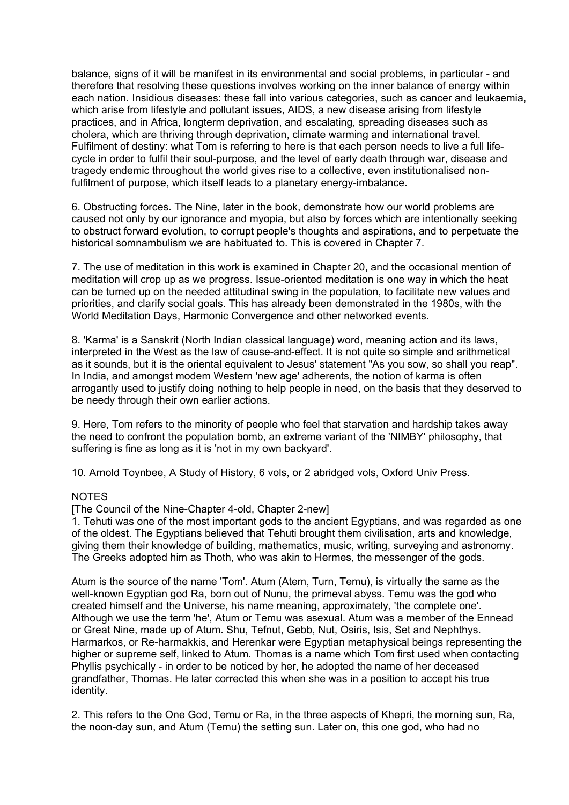balance, signs of it will be manifest in its environmental and social problems, in particular - and therefore that resolving these questions involves working on the inner balance of energy within each nation. Insidious diseases: these fall into various categories, such as cancer and leukaemia, which arise from lifestyle and pollutant issues, AIDS, a new disease arising from lifestyle practices, and in Africa, longterm deprivation, and escalating, spreading diseases such as cholera, which are thriving through deprivation, climate warming and international travel. Fulfilment of destiny: what Tom is referring to here is that each person needs to live a full lifecycle in order to fulfil their soul-purpose, and the level of early death through war, disease and tragedy endemic throughout the world gives rise to a collective, even institutionalised nonfulfilment of purpose, which itself leads to a planetary energy-imbalance.

6. Obstructing forces. The Nine, later in the book, demonstrate how our world problems are caused not only by our ignorance and myopia, but also by forces which are intentionally seeking to obstruct forward evolution, to corrupt people's thoughts and aspirations, and to perpetuate the historical somnambulism we are habituated to. This is covered in Chapter 7.

7. The use of meditation in this work is examined in Chapter 20, and the occasional mention of meditation will crop up as we progress. Issue-oriented meditation is one way in which the heat can be turned up on the needed attitudinal swing in the population, to facilitate new values and priorities, and clarify social goals. This has already been demonstrated in the 1980s, with the World Meditation Days, Harmonic Convergence and other networked events.

8. 'Karma' is a Sanskrit (North Indian classical language) word, meaning action and its laws, interpreted in the West as the law of cause-and-effect. It is not quite so simple and arithmetical as it sounds, but it is the oriental equivalent to Jesus' statement "As you sow, so shall you reap". In India, and amongst modem Western 'new age' adherents, the notion of karma is often arrogantly used to justify doing nothing to help people in need, on the basis that they deserved to be needy through their own earlier actions.

9. Here, Tom refers to the minority of people who feel that starvation and hardship takes away the need to confront the population bomb, an extreme variant of the 'NIMBY' philosophy, that suffering is fine as long as it is 'not in my own backyard'.

10. Arnold Toynbee, A Study of History, 6 vols, or 2 abridged vols, Oxford Univ Press.

#### **NOTES**

[The Council of the Nine-Chapter 4-old, Chapter 2-new]

1. Tehuti was one of the most important gods to the ancient Egyptians, and was regarded as one of the oldest. The Egyptians believed that Tehuti brought them civilisation, arts and knowledge, giving them their knowledge of building, mathematics, music, writing, surveying and astronomy. The Greeks adopted him as Thoth, who was akin to Hermes, the messenger of the gods.

Atum is the source of the name 'Tom'. Atum (Atem, Turn, Temu), is virtually the same as the well-known Egyptian god Ra, born out of Nunu, the primeval abyss. Temu was the god who created himself and the Universe, his name meaning, approximately, 'the complete one'. Although we use the term 'he', Atum or Temu was asexual. Atum was a member of the Ennead or Great Nine, made up of Atum. Shu, Tefnut, Gebb, Nut, Osiris, Isis, Set and Nephthys. Harmarkos, or Re-harmakkis, and Herenkar were Egyptian metaphysical beings representing the higher or supreme self, linked to Atum. Thomas is a name which Tom first used when contacting Phyllis psychically - in order to be noticed by her, he adopted the name of her deceased grandfather, Thomas. He later corrected this when she was in a position to accept his true identity.

2. This refers to the One God, Temu or Ra, in the three aspects of Khepri, the morning sun, Ra, the noon-day sun, and Atum (Temu) the setting sun. Later on, this one god, who had no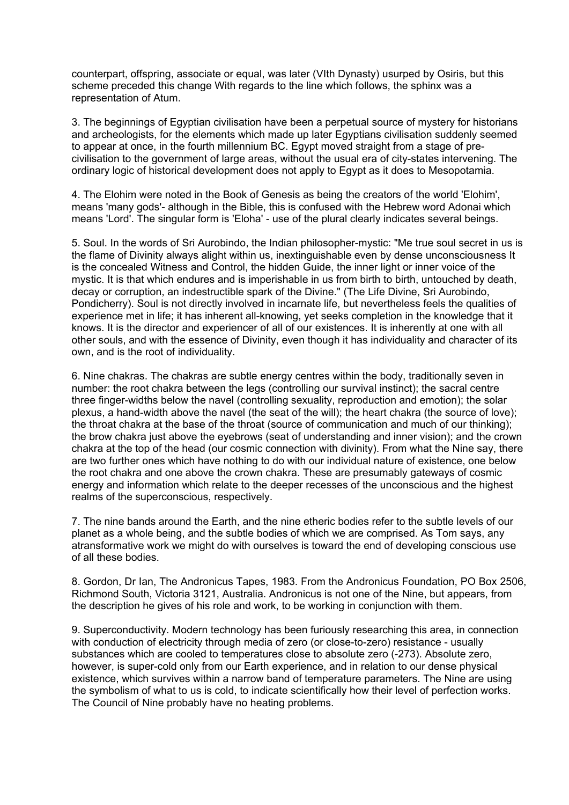counterpart, offspring, associate or equal, was later (VIth Dynasty) usurped by Osiris, but this scheme preceded this change With regards to the line which follows, the sphinx was a representation of Atum.

3. The beginnings of Egyptian civilisation have been a perpetual source of mystery for historians and archeologists, for the elements which made up later Egyptians civilisation suddenly seemed to appear at once, in the fourth millennium BC. Egypt moved straight from a stage of precivilisation to the government of large areas, without the usual era of city-states intervening. The ordinary logic of historical development does not apply to Egypt as it does to Mesopotamia.

4. The Elohim were noted in the Book of Genesis as being the creators of the world 'Elohim', means 'many gods'- although in the Bible, this is confused with the Hebrew word Adonai which means 'Lord'. The singular form is 'Eloha' - use of the plural clearly indicates several beings.

5. Soul. In the words of Sri Aurobindo, the Indian philosopher-mystic: "Me true soul secret in us is the flame of Divinity always alight within us, inextinguishable even by dense unconsciousness It is the concealed Witness and Control, the hidden Guide, the inner light or inner voice of the mystic. It is that which endures and is imperishable in us from birth to birth, untouched by death, decay or corruption, an indestructible spark of the Divine." (The Life Divine, Sri Aurobindo, Pondicherry). Soul is not directly involved in incarnate life, but nevertheless feels the qualities of experience met in life; it has inherent all-knowing, yet seeks completion in the knowledge that it knows. It is the director and experiencer of all of our existences. It is inherently at one with all other souls, and with the essence of Divinity, even though it has individuality and character of its own, and is the root of individuality.

6. Nine chakras. The chakras are subtle energy centres within the body, traditionally seven in number: the root chakra between the legs (controlling our survival instinct); the sacral centre three finger-widths below the navel (controlling sexuality, reproduction and emotion); the solar plexus, a hand-width above the navel (the seat of the will); the heart chakra (the source of love); the throat chakra at the base of the throat (source of communication and much of our thinking); the brow chakra just above the eyebrows (seat of understanding and inner vision); and the crown chakra at the top of the head (our cosmic connection with divinity). From what the Nine say, there are two further ones which have nothing to do with our individual nature of existence, one below the root chakra and one above the crown chakra. These are presumably gateways of cosmic energy and information which relate to the deeper recesses of the unconscious and the highest realms of the superconscious, respectively.

7. The nine bands around the Earth, and the nine etheric bodies refer to the subtle levels of our planet as a whole being, and the subtle bodies of which we are comprised. As Tom says, any atransformative work we might do with ourselves is toward the end of developing conscious use of all these bodies.

8. Gordon, Dr Ian, The Andronicus Tapes, 1983. From the Andronicus Foundation, PO Box 2506, Richmond South, Victoria 3121, Australia. Andronicus is not one of the Nine, but appears, from the description he gives of his role and work, to be working in conjunction with them.

9. Superconductivity. Modern technology has been furiously researching this area, in connection with conduction of electricity through media of zero (or close-to-zero) resistance - usually substances which are cooled to temperatures close to absolute zero (-273). Absolute zero, however, is super-cold only from our Earth experience, and in relation to our dense physical existence, which survives within a narrow band of temperature parameters. The Nine are using the symbolism of what to us is cold, to indicate scientifically how their level of perfection works. The Council of Nine probably have no heating problems.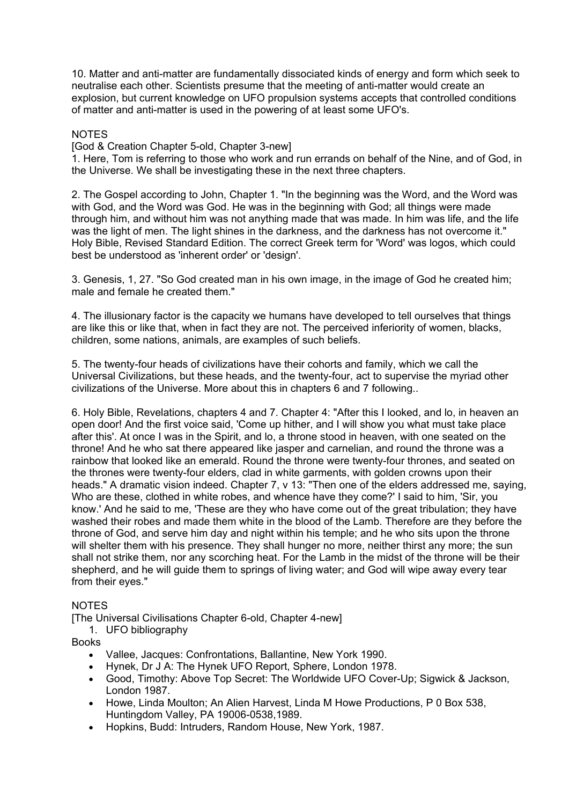10. Matter and anti-matter are fundamentally dissociated kinds of energy and form which seek to neutralise each other. Scientists presume that the meeting of anti-matter would create an explosion, but current knowledge on UFO propulsion systems accepts that controlled conditions of matter and anti-matter is used in the powering of at least some UFO's.

## **NOTES**

[God & Creation Chapter 5-old, Chapter 3-new]

1. Here, Tom is referring to those who work and run errands on behalf of the Nine, and of God, in the Universe. We shall be investigating these in the next three chapters.

2. The Gospel according to John, Chapter 1. "In the beginning was the Word, and the Word was with God, and the Word was God. He was in the beginning with God; all things were made through him, and without him was not anything made that was made. In him was life, and the life was the light of men. The light shines in the darkness, and the darkness has not overcome it." Holy Bible, Revised Standard Edition. The correct Greek term for 'Word' was logos, which could best be understood as 'inherent order' or 'design'.

3. Genesis, 1, 27. "So God created man in his own image, in the image of God he created him; male and female he created them."

4. The illusionary factor is the capacity we humans have developed to tell ourselves that things are like this or like that, when in fact they are not. The perceived inferiority of women, blacks, children, some nations, animals, are examples of such beliefs.

5. The twenty-four heads of civilizations have their cohorts and family, which we call the Universal Civilizations, but these heads, and the twenty-four, act to supervise the myriad other civilizations of the Universe. More about this in chapters 6 and 7 following..

6. Holy Bible, Revelations, chapters 4 and 7. Chapter 4: "After this I looked, and lo, in heaven an open door! And the first voice said, 'Come up hither, and I will show you what must take place after this'. At once I was in the Spirit, and lo, a throne stood in heaven, with one seated on the throne! And he who sat there appeared like jasper and carnelian, and round the throne was a rainbow that looked like an emerald. Round the throne were twenty-four thrones, and seated on the thrones were twenty-four elders, clad in white garments, with golden crowns upon their heads." A dramatic vision indeed. Chapter 7, v 13: "Then one of the elders addressed me, saying, Who are these, clothed in white robes, and whence have they come?' I said to him, 'Sir, you know.' And he said to me, 'These are they who have come out of the great tribulation; they have washed their robes and made them white in the blood of the Lamb. Therefore are they before the throne of God, and serve him day and night within his temple; and he who sits upon the throne will shelter them with his presence. They shall hunger no more, neither thirst any more; the sun shall not strike them, nor any scorching heat. For the Lamb in the midst of the throne will be their shepherd, and he will guide them to springs of living water; and God will wipe away every tear from their eyes."

## **NOTES**

[The Universal Civilisations Chapter 6-old, Chapter 4-new]

1. UFO bibliography

#### **Books**

- Vallee, Jacques: Confrontations, Ballantine, New York 1990.
- Hynek, Dr J A: The Hynek UFO Report, Sphere, London 1978.
- Good, Timothy: Above Top Secret: The Worldwide UFO Cover-Up; Sigwick & Jackson, London 1987.
- Howe, Linda Moulton; An Alien Harvest, Linda M Howe Productions, P 0 Box 538, Huntingdom Valley, PA 19006-0538,1989.
- Hopkins, Budd: Intruders, Random House, New York, 1987.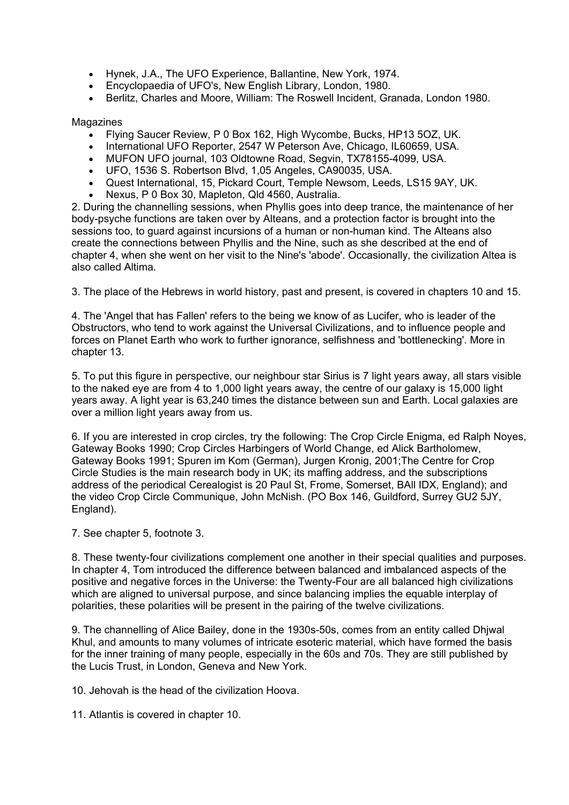- Hynek, J.A., The UFO Experience, Ballantine, New York, 1974.
- Encyclopaedia of UFO's, New English Library, London, 1980.
- Berlitz, Charles and Moore, William: The Roswell Incident, Granada, London 1980.

### **Magazines**

- Flying Saucer Review, P 0 Box 162, High Wycombe, Bucks, HP13 5OZ, UK.
- International UFO Reporter, 2547 W Peterson Ave, Chicago, IL60659, USA.
- MUFON UFO journal, 103 Oldtowne Road, Segvin, TX78155-4099, USA.
- UFO, 1536 S. Robertson Blvd, 1,05 Angeles, CA90035, USA.
- Quest International, 15, Pickard Court, Temple Newsom, Leeds, LS15 9AY, UK.
- Nexus, P 0 Box 30, Mapleton, Qld 4560, Australia.

2. During the channelling sessions, when Phyllis goes into deep trance, the maintenance of her body-psyche functions are taken over by Alteans, and a protection factor is brought into the sessions too, to guard against incursions of a human or non-human kind. The Alteans also create the connections between Phyllis and the Nine, such as she described at the end of chapter 4, when she went on her visit to the Nine's 'abode'. Occasionally, the civilization Altea is also called Altima.

3. The place of the Hebrews in world history, past and present, is covered in chapters 10 and 15.

4. The 'Angel that has Fallen' refers to the being we know of as Lucifer, who is leader of the Obstructors, who tend to work against the Universal Civilizations, and to influence people and forces on Planet Earth who work to further ignorance, selfishness and 'bottlenecking'. More in chapter 13.

5. To put this figure in perspective, our neighbour star Sirius is 7 light years away, all stars visible to the naked eye are from 4 to 1,000 light years away, the centre of our galaxy is 15,000 light years away. A light year is 63,240 times the distance between sun and Earth. Local galaxies are over a million light years away from us.

6. If you are interested in crop circles, try the following: The Crop Circle Enigma, ed Ralph Noyes, Gateway Books 1990; Crop Circles Harbingers of World Change, ed Alick Bartholomew, Gateway Books 1991; Spuren im Kom (German), Jurgen Kronig, 2001;The Centre for Crop Circle Studies is the main research body in UK; its maffing address, and the subscriptions address of the periodical Cerealogist is 20 Paul St, Frome, Somerset, BAll IDX, England); and the video Crop Circle Communique, John McNish. (PO Box 146, Guildford, Surrey GU2 5JY, England).

7. See chapter 5, footnote 3.

8. These twenty-four civilizations complement one another in their special qualities and purposes. In chapter 4, Tom introduced the difference between balanced and imbalanced aspects of the positive and negative forces in the Universe: the Twenty-Four are all balanced high civilizations which are aligned to universal purpose, and since balancing implies the equable interplay of polarities, these polarities will be present in the pairing of the twelve civilizations.

9. The channelling of Alice Bailey, done in the 1930s-50s, comes from an entity called Dhjwal Khul, and amounts to many volumes of intricate esoteric material, which have formed the basis for the inner training of many people, especially in the 60s and 70s. They are still published by the Lucis Trust, in London, Geneva and New York.

10. Jehovah is the head of the civilization Hoova.

11. Atlantis is covered in chapter 10.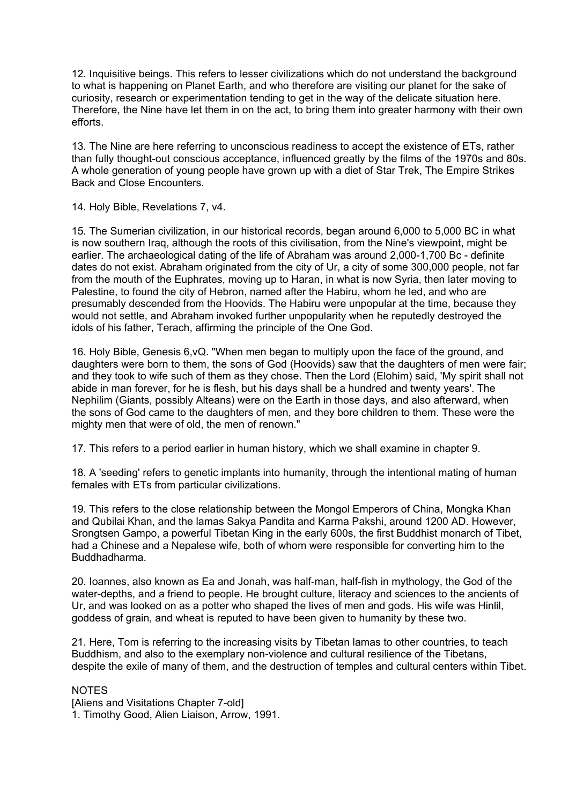12. Inquisitive beings. This refers to lesser civilizations which do not understand the background to what is happening on Planet Earth, and who therefore are visiting our planet for the sake of curiosity, research or experimentation tending to get in the way of the delicate situation here. Therefore, the Nine have let them in on the act, to bring them into greater harmony with their own efforts.

13. The Nine are here referring to unconscious readiness to accept the existence of ETs, rather than fully thought-out conscious acceptance, influenced greatly by the films of the 1970s and 80s. A whole generation of young people have grown up with a diet of Star Trek, The Empire Strikes Back and Close Encounters.

14. Holy Bible, Revelations 7, v4.

15. The Sumerian civilization, in our historical records, began around 6,000 to 5,000 BC in what is now southern Iraq, although the roots of this civilisation, from the Nine's viewpoint, might be earlier. The archaeological dating of the life of Abraham was around 2,000-1,700 Bc - definite dates do not exist. Abraham originated from the city of Ur, a city of some 300,000 people, not far from the mouth of the Euphrates, moving up to Haran, in what is now Syria, then later moving to Palestine, to found the city of Hebron, named after the Habiru, whom he led, and who are presumably descended from the Hoovids. The Habiru were unpopular at the time, because they would not settle, and Abraham invoked further unpopularity when he reputedly destroyed the idols of his father, Terach, affirming the principle of the One God.

16. Holy Bible, Genesis 6,vQ. "When men began to multiply upon the face of the ground, and daughters were born to them, the sons of God (Hoovids) saw that the daughters of men were fair; and they took to wife such of them as they chose. Then the Lord (Elohim) said, 'My spirit shall not abide in man forever, for he is flesh, but his days shall be a hundred and twenty years'. The Nephilim (Giants, possibly Alteans) were on the Earth in those days, and also afterward, when the sons of God came to the daughters of men, and they bore children to them. These were the mighty men that were of old, the men of renown."

17. This refers to a period earlier in human history, which we shall examine in chapter 9.

18. A 'seeding' refers to genetic implants into humanity, through the intentional mating of human females with ETs from particular civilizations.

19. This refers to the close relationship between the Mongol Emperors of China, Mongka Khan and Qubilai Khan, and the lamas Sakya Pandita and Karma Pakshi, around 1200 AD. However, Srongtsen Gampo, a powerful Tibetan King in the early 600s, the first Buddhist monarch of Tibet, had a Chinese and a Nepalese wife, both of whom were responsible for converting him to the Buddhadharma.

20. Ioannes, also known as Ea and Jonah, was half-man, half-fish in mythology, the God of the water-depths, and a friend to people. He brought culture, literacy and sciences to the ancients of Ur, and was looked on as a potter who shaped the lives of men and gods. His wife was Hinlil, goddess of grain, and wheat is reputed to have been given to humanity by these two.

21. Here, Tom is referring to the increasing visits by Tibetan lamas to other countries, to teach Buddhism, and also to the exemplary non-violence and cultural resilience of the Tibetans, despite the exile of many of them, and the destruction of temples and cultural centers within Tibet.

## **NOTES**

[Aliens and Visitations Chapter 7-old] 1. Timothy Good, Alien Liaison, Arrow, 1991.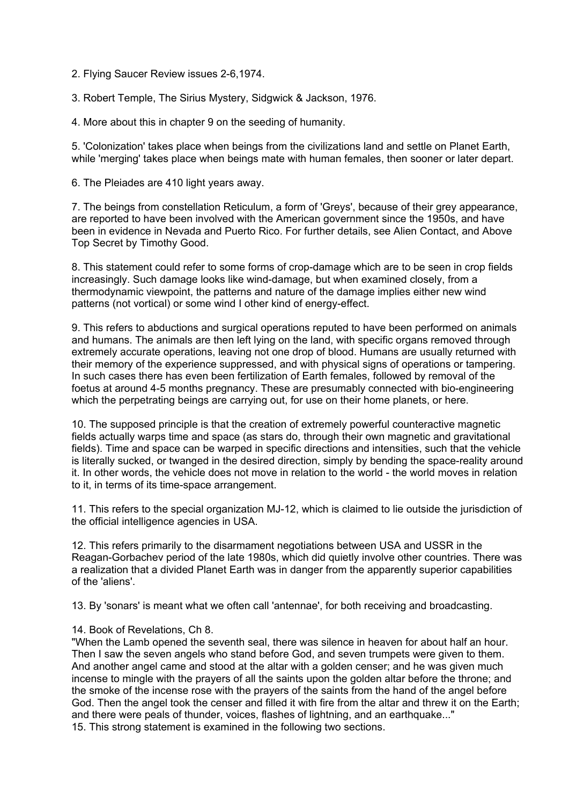2. Flying Saucer Review issues 2-6,1974.

3. Robert Temple, The Sirius Mystery, Sidgwick & Jackson, 1976.

4. More about this in chapter 9 on the seeding of humanity.

5. 'Colonization' takes place when beings from the civilizations land and settle on Planet Earth, while 'merging' takes place when beings mate with human females, then sooner or later depart.

6. The Pleiades are 410 light years away.

7. The beings from constellation Reticulum, a form of 'Greys', because of their grey appearance, are reported to have been involved with the American government since the 1950s, and have been in evidence in Nevada and Puerto Rico. For further details, see [Alien Contact](http://www.amazon.com/exec/obidos/tg/detail/-/0688135102/qid=1124648229/sr=2-1/ref=pd_bbs_b_2_1/102-9221500-6215357?v=glance&s=books), and [Above](http://www.amazon.com/exec/obidos/tg/detail/-/0688092020/qid=1124648229/sr=2-2/ref=pd_bbs_b_2_2/102-9221500-6215357?v=glance&s=books)  [Top Secret](http://www.amazon.com/exec/obidos/tg/detail/-/0688092020/qid=1124648229/sr=2-2/ref=pd_bbs_b_2_2/102-9221500-6215357?v=glance&s=books) by Timothy Good.

8. This statement could refer to some forms of crop-damage which are to be seen in crop fields increasingly. Such damage looks like wind-damage, but when examined closely, from a thermodynamic viewpoint, the patterns and nature of the damage implies either new wind patterns (not vortical) or some wind I other kind of energy-effect.

9. This refers to abductions and surgical operations reputed to have been performed on animals and humans. The animals are then left lying on the land, with specific organs removed through extremely accurate operations, leaving not one drop of blood. Humans are usually returned with their memory of the experience suppressed, and with physical signs of operations or tampering. In such cases there has even been fertilization of Earth females, followed by removal of the foetus at around 4-5 months pregnancy. These are presumably connected with bio-engineering which the perpetrating beings are carrying out, for use on their home planets, or here.

10. The supposed principle is that the creation of extremely powerful counteractive magnetic fields actually warps time and space (as stars do, through their own magnetic and gravitational fields). Time and space can be warped in specific directions and intensities, such that the vehicle is literally sucked, or twanged in the desired direction, simply by bending the space-reality around it. In other words, the vehicle does not move in relation to the world - the world moves in relation to it, in terms of its time-space arrangement.

11. This refers to the special organization MJ-12, which is claimed to lie outside the jurisdiction of the official intelligence agencies in USA.

12. This refers primarily to the disarmament negotiations between USA and USSR in the Reagan-Gorbachev period of the late 1980s, which did quietly involve other countries. There was a realization that a divided Planet Earth was in danger from the apparently superior capabilities of the 'aliens'.

13. By 'sonars' is meant what we often call 'antennae', for both receiving and broadcasting.

#### 14. Book of Revelations, Ch 8.

"When the Lamb opened the seventh seal, there was silence in heaven for about half an hour. Then I saw the seven angels who stand before God, and seven trumpets were given to them. And another angel came and stood at the altar with a golden censer; and he was given much incense to mingle with the prayers of all the saints upon the golden altar before the throne; and the smoke of the incense rose with the prayers of the saints from the hand of the angel before God. Then the angel took the censer and filled it with fire from the altar and threw it on the Earth; and there were peals of thunder, voices, flashes of lightning, and an earthquake..." 15. This strong statement is examined in the following two sections.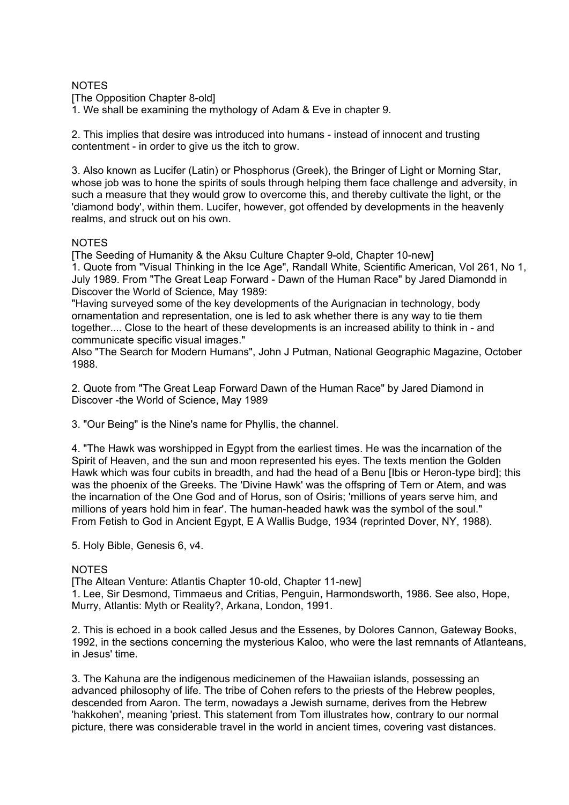## **NOTES**

[The Opposition Chapter 8-old]

1. We shall be examining the mythology of Adam & Eve in chapter 9.

2. This implies that desire was introduced into humans - instead of innocent and trusting contentment - in order to give us the itch to grow.

3. Also known as Lucifer (Latin) or Phosphorus (Greek), the Bringer of Light or Morning Star, whose job was to hone the spirits of souls through helping them face challenge and adversity, in such a measure that they would grow to overcome this, and thereby cultivate the light, or the 'diamond body', within them. Lucifer, however, got offended by developments in the heavenly realms, and struck out on his own.

## **NOTES**

[The Seeding of Humanity & the Aksu Culture Chapter 9-old, Chapter 10-new] 1. Quote from "Visual Thinking in the Ice Age", Randall White, Scientific American, Vol 261, No 1, July 1989. From "The Great Leap Forward - Dawn of the Human Race" by Jared Diamondd in Discover the World of Science, May 1989:

"Having surveyed some of the key developments of the Aurignacian in technology, body ornamentation and representation, one is led to ask whether there is any way to tie them together.... Close to the heart of these developments is an increased ability to think in - and communicate specific visual images."

Also "The Search for Modern Humans", John J Putman, National Geographic Magazine, October 1988.

2. Quote from "The Great Leap Forward Dawn of the Human Race" by Jared Diamond in Discover -the World of Science, May 1989

3. "Our Being" is the Nine's name for Phyllis, the channel.

4. "The Hawk was worshipped in Egypt from the earliest times. He was the incarnation of the Spirit of Heaven, and the sun and moon represented his eyes. The texts mention the Golden Hawk which was four cubits in breadth, and had the head of a Benu [Ibis or Heron-type bird]; this was the phoenix of the Greeks. The 'Divine Hawk' was the offspring of Tern or Atem, and was the incarnation of the One God and of Horus, son of Osiris; 'millions of years serve him, and millions of years hold him in fear'. The human-headed hawk was the symbol of the soul." [From Fetish to God in Ancient Egypt](http://www.amazon.com/exec/obidos/tg/detail/-/0486258033/qid=1124648485/sr=1-1/ref=sr_1_1/102-9221500-6215357?v=glance&s=books), E A Wallis Budge, 1934 (reprinted Dover, NY, 1988).

5. Holy Bible, Genesis 6, v4.

## **NOTES**

[The Altean Venture: Atlantis Chapter 10-old, Chapter 11-new] 1. Lee, Sir Desmond, Timmaeus and Critias, Penguin, Harmondsworth, 1986. See also, Hope, Murry, Atlantis: Myth or Reality?, Arkana, London, 1991.

2. This is echoed in a book called [Jesus and the Essenes](http://www.amazon.com/exec/obidos/tg/detail/-/1886940088/qid=1124648564/sr=2-1/ref=pd_bbs_b_2_1/102-9221500-6215357?v=glance&s=books), by Dolores Cannon, Gateway Books, 1992, in the sections concerning the mysterious Kaloo, who were the last remnants of Atlanteans, in Jesus' time.

3. The Kahuna are the indigenous medicinemen of the Hawaiian islands, possessing an advanced philosophy of life. The tribe of Cohen refers to the priests of the Hebrew peoples, descended from Aaron. The term, nowadays a Jewish surname, derives from the Hebrew 'hakkohen', meaning 'priest. This statement from Tom illustrates how, contrary to our normal picture, there was considerable travel in the world in ancient times, covering vast distances.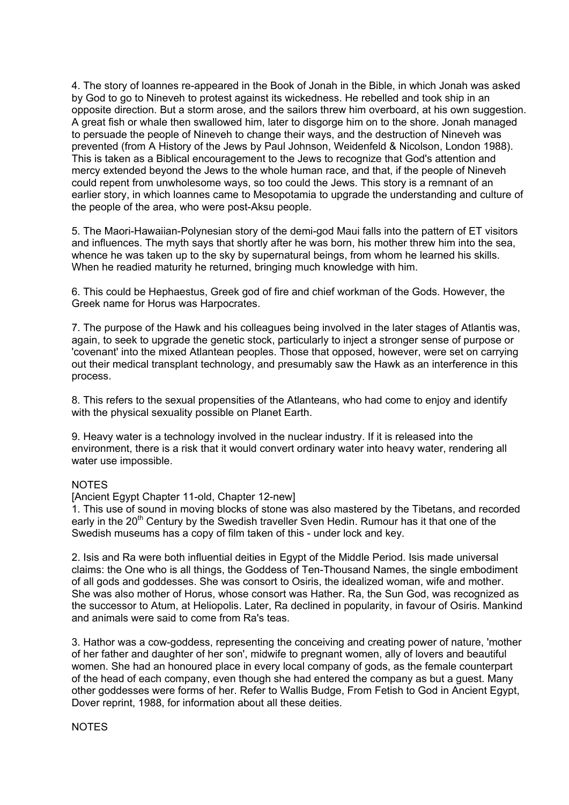4. The story of loannes re-appeared in the Book of Jonah in the Bible, in which Jonah was asked by God to go to Nineveh to protest against its wickedness. He rebelled and took ship in an opposite direction. But a storm arose, and the sailors threw him overboard, at his own suggestion. A great fish or whale then swallowed him, later to disgorge him on to the shore. Jonah managed to persuade the people of Nineveh to change their ways, and the destruction of Nineveh was prevented (from [A History of the Jews](http://www.amazon.com/exec/obidos/tg/detail/-/0060915331/qid=1124648620/sr=2-1/ref=pd_bbs_b_2_1/102-9221500-6215357?v=glance&s=books) by Paul Johnson, Weidenfeld & Nicolson, London 1988). This is taken as a Biblical encouragement to the Jews to recognize that God's attention and mercy extended beyond the Jews to the whole human race, and that, if the people of Nineveh could repent from unwholesome ways, so too could the Jews. This story is a remnant of an earlier story, in which loannes came to Mesopotamia to upgrade the understanding and culture of the people of the area, who were post-Aksu people.

5. The Maori-Hawaiian-Polynesian story of the demi-god Maui falls into the pattern of ET visitors and influences. The myth says that shortly after he was born, his mother threw him into the sea, whence he was taken up to the sky by supernatural beings, from whom he learned his skills. When he readied maturity he returned, bringing much knowledge with him.

6. This could be Hephaestus, Greek god of fire and chief workman of the Gods. However, the Greek name for Horus was Harpocrates.

7. The purpose of the Hawk and his colleagues being involved in the later stages of Atlantis was, again, to seek to upgrade the genetic stock, particularly to inject a stronger sense of purpose or 'covenant' into the mixed Atlantean peoples. Those that opposed, however, were set on carrying out their medical transplant technology, and presumably saw the Hawk as an interference in this process.

8. This refers to the sexual propensities of the Atlanteans, who had come to enjoy and identify with the physical sexuality possible on Planet Earth.

9. Heavy water is a technology involved in the nuclear industry. If it is released into the environment, there is a risk that it would convert ordinary water into heavy water, rendering all water use impossible.

#### **NOTES**

[Ancient Egypt Chapter 11-old, Chapter 12-new]

1. This use of sound in moving blocks of stone was also mastered by the Tibetans, and recorded early in the 20<sup>th</sup> Century by the Swedish traveller Syen Hedin. Rumour has it that one of the Swedish museums has a copy of film taken of this - under lock and key.

2. Isis and Ra were both influential deities in Egypt of the Middle Period. Isis made universal claims: the One who is all things, the Goddess of Ten-Thousand Names, the single embodiment of all gods and goddesses. She was consort to Osiris, the idealized woman, wife and mother. She was also mother of Horus, whose consort was Hather. Ra, the Sun God, was recognized as the successor to Atum, at Heliopolis. Later, Ra declined in popularity, in favour of Osiris. Mankind and animals were said to come from Ra's teas.

3. Hathor was a cow-goddess, representing the conceiving and creating power of nature, 'mother of her father and daughter of her son', midwife to pregnant women, ally of lovers and beautiful women. She had an honoured place in every local company of gods, as the female counterpart of the head of each company, even though she had entered the company as but a guest. Many other goddesses were forms of her. Refer to Wallis Budge, From Fetish to God in Ancient Egypt, Dover reprint, 1988, for information about all these deities.

**NOTES**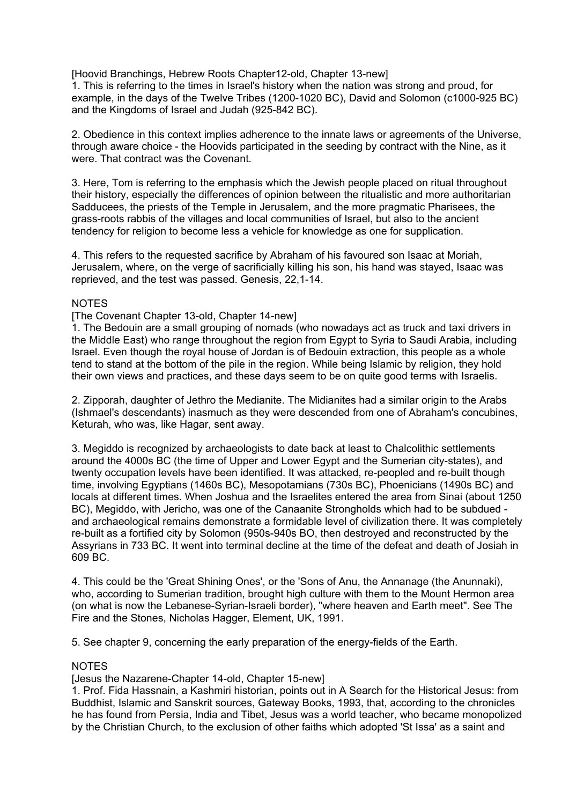[Hoovid Branchings, Hebrew Roots Chapter12-old, Chapter 13-new]

1. This is referring to the times in Israel's history when the nation was strong and proud, for example, in the days of the Twelve Tribes (1200-1020 BC), David and Solomon (c1000-925 BC) and the Kingdoms of Israel and Judah (925-842 BC).

2. Obedience in this context implies adherence to the innate laws or agreements of the Universe, through aware choice - the Hoovids participated in the seeding by contract with the Nine, as it were. That contract was the Covenant.

3. Here, Tom is referring to the emphasis which the Jewish people placed on ritual throughout their history, especially the differences of opinion between the ritualistic and more authoritarian Sadducees, the priests of the Temple in Jerusalem, and the more pragmatic Pharisees, the grass-roots rabbis of the villages and local communities of Israel, but also to the ancient tendency for religion to become less a vehicle for knowledge as one for supplication.

4. This refers to the requested sacrifice by Abraham of his favoured son Isaac at Moriah, Jerusalem, where, on the verge of sacrificially killing his son, his hand was stayed, Isaac was reprieved, and the test was passed. Genesis, 22,1-14.

## NOTES

[The Covenant Chapter 13-old, Chapter 14-new]

1. The Bedouin are a small grouping of nomads (who nowadays act as truck and taxi drivers in the Middle East) who range throughout the region from Egypt to Syria to Saudi Arabia, including Israel. Even though the royal house of Jordan is of Bedouin extraction, this people as a whole tend to stand at the bottom of the pile in the region. While being Islamic by religion, they hold their own views and practices, and these days seem to be on quite good terms with Israelis.

2. Zipporah, daughter of Jethro the Medianite. The Midianites had a similar origin to the Arabs (Ishmael's descendants) inasmuch as they were descended from one of Abraham's concubines, Keturah, who was, like Hagar, sent away.

3. Megiddo is recognized by archaeologists to date back at least to Chalcolithic settlements around the 4000s BC (the time of Upper and Lower Egypt and the Sumerian city-states), and twenty occupation levels have been identified. It was attacked, re-peopled and re-built though time, involving Egyptians (1460s BC), Mesopotamians (730s BC), Phoenicians (1490s BC) and locals at different times. When Joshua and the Israelites entered the area from Sinai (about 1250 BC), Megiddo, with Jericho, was one of the Canaanite Strongholds which had to be subdued and archaeological remains demonstrate a formidable level of civilization there. It was completely re-built as a fortified city by Solomon (950s-940s BO, then destroyed and reconstructed by the Assyrians in 733 BC. It went into terminal decline at the time of the defeat and death of Josiah in 609 BC.

4. This could be the 'Great Shining Ones', or the 'Sons of Anu, the Annanage (the Anunnaki), who, according to Sumerian tradition, brought high culture with them to the Mount Hermon area (on what is now the Lebanese-Syrian-Israeli border), "where heaven and Earth meet". See [The](http://www.amazon.com/exec/obidos/tg/detail/-/1852302240/qid=1124649067/sr=1-11/ref=sr_1_11/102-9221500-6215357?v=glance&s=books)  [Fire and the Stones,](http://www.amazon.com/exec/obidos/tg/detail/-/1852302240/qid=1124649067/sr=1-11/ref=sr_1_11/102-9221500-6215357?v=glance&s=books) Nicholas Hagger, Element, UK, 1991.

5. See chapter 9, concerning the early preparation of the energy-fields of the Earth.

#### NOTES

[Jesus the Nazarene-Chapter 14-old, Chapter 15-new]

1. Prof. Fida Hassnain, a Kashmiri historian, points out in [A Search for the Historical Jesus: from](http://www.amazon.com/exec/obidos/tg/detail/-/1878115170/qid=1124649192/sr=1-1/ref=sr_1_1/102-9221500-6215357?v=glance&s=books)  [Buddhist, Islamic and Sanskrit sources,](http://www.amazon.com/exec/obidos/tg/detail/-/1878115170/qid=1124649192/sr=1-1/ref=sr_1_1/102-9221500-6215357?v=glance&s=books) Gateway Books, 1993, that, according to the chronicles he has found from Persia, India and Tibet, Jesus was a world teacher, who became monopolized by the Christian Church, to the exclusion of other faiths which adopted 'St Issa' as a saint and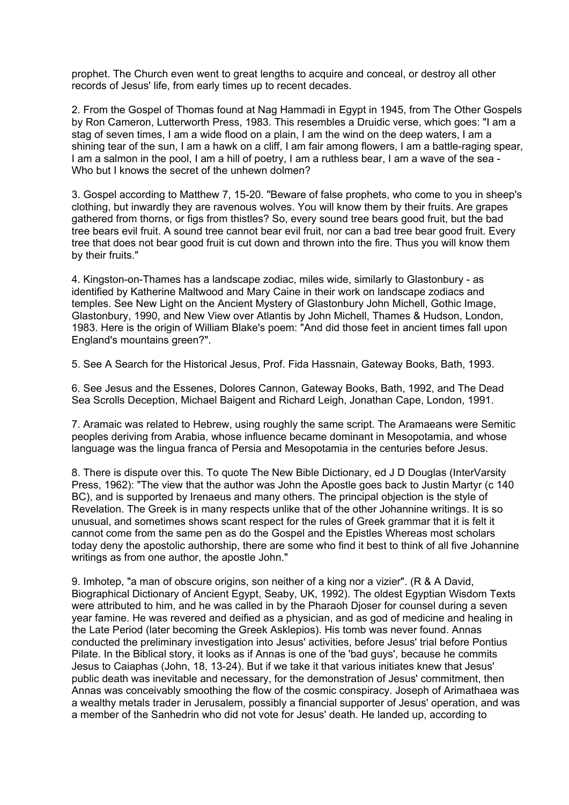prophet. The Church even went to great lengths to acquire and conceal, or destroy all other records of Jesus' life, from early times up to recent decades.

2. From the Gospel of Thomas found at Nag Hammadi in Egypt in 1945, from [The Other Gospels](http://www.amazon.com/exec/obidos/tg/detail/-/0664244289/qid=1124649249/sr=1-1/ref=sr_1_1/102-9221500-6215357?v=glance&s=books) by Ron Cameron, Lutterworth Press, 1983. This resembles a Druidic verse, which goes: "I am a stag of seven times, I am a wide flood on a plain, I am the wind on the deep waters, I am a shining tear of the sun, I am a hawk on a cliff, I am fair among flowers, I am a battle-raging spear, I am a salmon in the pool, I am a hill of poetry, I am a ruthless bear, I am a wave of the sea - Who but I knows the secret of the unhewn dolmen?

3. Gospel according to Matthew 7, 15-20. "Beware of false prophets, who come to you in sheep's clothing, but inwardly they are ravenous wolves. You will know them by their fruits. Are grapes gathered from thorns, or figs from thistles? So, every sound tree bears good fruit, but the bad tree bears evil fruit. A sound tree cannot bear evil fruit, nor can a bad tree bear good fruit. Every tree that does not bear good fruit is cut down and thrown into the fire. Thus you will know them by their fruits."

4. Kingston-on-Thames has a landscape zodiac, miles wide, similarly to Glastonbury - as identified by Katherine Maltwood and Mary Caine in their work on landscape zodiacs and temples. See [New Light on the Ancient Mystery of Glastonbury](http://www.amazon.com/exec/obidos/tg/detail/-/0906362156/qid=1124649365/sr=1-1/ref=sr_1_1/102-9221500-6215357?v=glance&s=books) John Michell, Gothic Image, Glastonbury, 1990, and [New View over Atlantis](http://www.amazon.com/exec/obidos/tg/detail/-/050027312X/qid=1124649314/sr=1-1/ref=sr_1_1/102-9221500-6215357?v=glance&s=books) by John Michell, Thames & Hudson, London, 1983. Here is the origin of William Blake's poem: "And did those feet in ancient times fall upon England's mountains green?".

5. See A Search for the Historical Jesus, Prof. Fida Hassnain, Gateway Books, Bath, 1993.

6. See Jesus and the Essenes, Dolores Cannon, Gateway Books, Bath, 1992, and The Dead Sea Scrolls Deception, Michael Baigent and Richard Leigh, Jonathan Cape, London, 1991.

7. Aramaic was related to Hebrew, using roughly the same script. The Aramaeans were Semitic peoples deriving from Arabia, whose influence became dominant in Mesopotamia, and whose language was the lingua franca of Persia and Mesopotamia in the centuries before Jesus.

8. There is dispute over this. To quote The New Bible Dictionary, ed J D Douglas (InterVarsity Press, 1962): "The view that the author was John the Apostle goes back to Justin Martyr (c 140 BC), and is supported by Irenaeus and many others. The principal objection is the style of Revelation. The Greek is in many respects unlike that of the other Johannine writings. It is so unusual, and sometimes shows scant respect for the rules of Greek grammar that it is felt it cannot come from the same pen as do the Gospel and the Epistles Whereas most scholars today deny the apostolic authorship, there are some who find it best to think of all five Johannine writings as from one author, the apostle John."

9. Imhotep, "a man of obscure origins, son neither of a king nor a vizier". (R & A David, [Biographical Dictionary of Ancient Egypt,](http://www.amazon.com/exec/obidos/tg/detail/-/0806128224/qid=1124649441/sr=1-1/ref=sr_1_1/102-9221500-6215357?v=glance&s=books) Seaby, UK, 1992). The oldest Egyptian Wisdom Texts were attributed to him, and he was called in by the Pharaoh Djoser for counsel during a seven year famine. He was revered and deified as a physician, and as god of medicine and healing in the Late Period (later becoming the Greek Asklepios). His tomb was never found. Annas conducted the preliminary investigation into Jesus' activities, before Jesus' trial before Pontius Pilate. In the Biblical story, it looks as if Annas is one of the 'bad guys', because he commits Jesus to Caiaphas (John, 18, 13-24). But if we take it that various initiates knew that Jesus' public death was inevitable and necessary, for the demonstration of Jesus' commitment, then Annas was conceivably smoothing the flow of the cosmic conspiracy. Joseph of Arimathaea was a wealthy metals trader in Jerusalem, possibly a financial supporter of Jesus' operation, and was a member of the Sanhedrin who did not vote for Jesus' death. He landed up, according to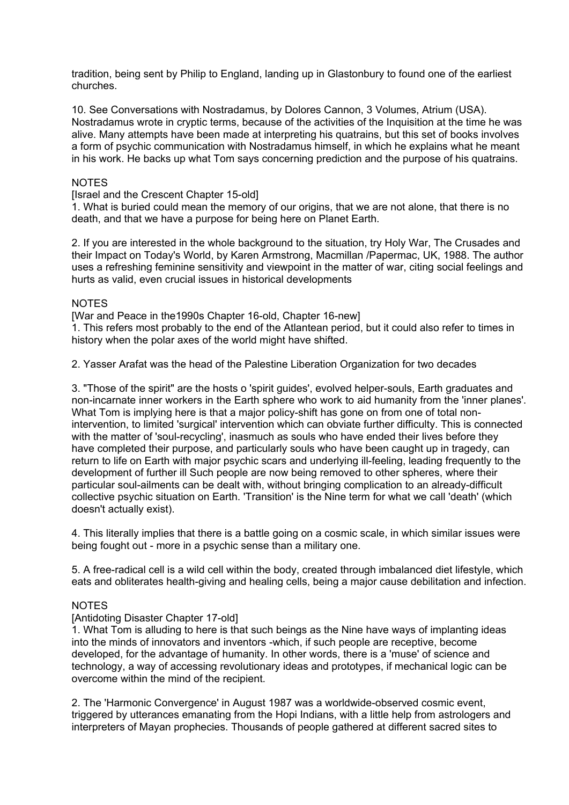tradition, being sent by Philip to England, landing up in Glastonbury to found one of the earliest churches.

10. See [Conversations with Nostradamus](http://www.amazon.com/exec/obidos/tg/detail/-/0963277634/qid=1124649493/sr=2-2/ref=pd_bbs_b_2_2/102-9221500-6215357?v=glance&s=books), by Dolores Cannon, 3 Volumes, Atrium (USA). Nostradamus wrote in cryptic terms, because of the activities of the Inquisition at the time he was alive. Many attempts have been made at interpreting his quatrains, but this set of books involves a form of psychic communication with Nostradamus himself, in which he explains what he meant in his work. He backs up what Tom says concerning prediction and the purpose of his quatrains.

## NOTES

[Israel and the Crescent Chapter 15-old]

1. What is buried could mean the memory of our origins, that we are not alone, that there is no death, and that we have a purpose for being here on Planet Earth.

2. If you are interested in the whole background to the situation, try Holy War, The Crusades and their Impact on Today's World, by Karen Armstrong, Macmillan /Papermac, UK, 1988. The author uses a refreshing feminine sensitivity and viewpoint in the matter of war, citing social feelings and hurts as valid, even crucial issues in historical developments

## NOTES

[War and Peace in the1990s Chapter 16-old, Chapter 16-new]

1. This refers most probably to the end of the Atlantean period, but it could also refer to times in history when the polar axes of the world might have shifted.

2. Yasser Arafat was the head of the Palestine Liberation Organization for two decades

3. "Those of the spirit" are the hosts o 'spirit guides', evolved helper-souls, Earth graduates and non-incarnate inner workers in the Earth sphere who work to aid humanity from the 'inner planes'. What Tom is implying here is that a major policy-shift has gone on from one of total nonintervention, to limited 'surgical' intervention which can obviate further difficulty. This is connected with the matter of 'soul-recycling', inasmuch as souls who have ended their lives before they have completed their purpose, and particularly souls who have been caught up in tragedy, can return to life on Earth with major psychic scars and underlying ill-feeling, leading frequently to the development of further ill Such people are now being removed to other spheres, where their particular soul-ailments can be dealt with, without bringing complication to an already-difficult collective psychic situation on Earth. 'Transition' is the Nine term for what we call 'death' (which doesn't actually exist).

4. This literally implies that there is a battle going on a cosmic scale, in which similar issues were being fought out - more in a psychic sense than a military one.

5. A free-radical cell is a wild cell within the body, created through imbalanced diet lifestyle, which eats and obliterates health-giving and healing cells, being a major cause debilitation and infection.

# **NOTES**

### [Antidoting Disaster Chapter 17-old]

1. What Tom is alluding to here is that such beings as the Nine have ways of implanting ideas into the minds of innovators and inventors -which, if such people are receptive, become developed, for the advantage of humanity. In other words, there is a 'muse' of science and technology, a way of accessing revolutionary ideas and prototypes, if mechanical logic can be overcome within the mind of the recipient.

2. The 'Harmonic Convergence' in August 1987 was a worldwide-observed cosmic event, triggered by utterances emanating from the Hopi Indians, with a little help from astrologers and interpreters of Mayan prophecies. Thousands of people gathered at different sacred sites to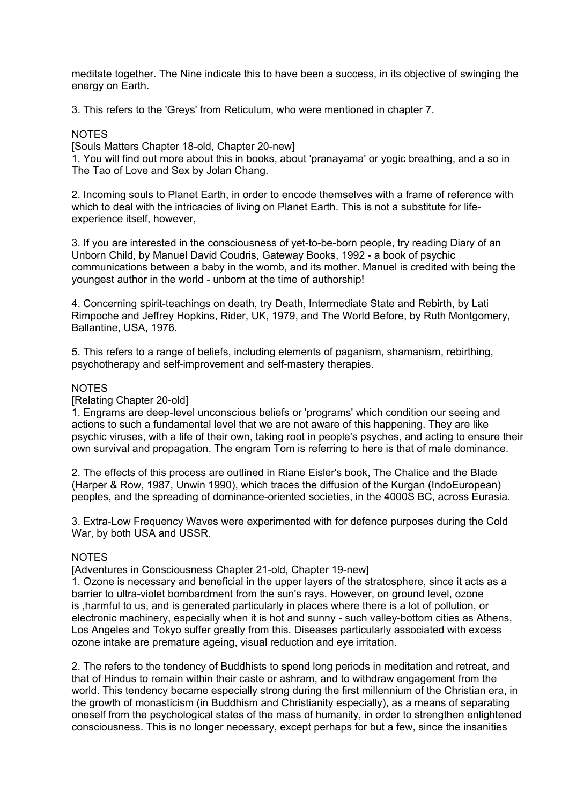meditate together. The Nine indicate this to have been a success, in its objective of swinging the energy on Earth.

3. This refers to the 'Greys' from Reticulum, who were mentioned in chapter 7.

### **NOTES**

[Souls Matters Chapter 18-old, Chapter 20-new]

1. You will find out more about this in books, about 'pranayama' or yogic breathing, and a so in [The Tao of Love and Sex](http://www.amazon.com/exec/obidos/tg/detail/-/0140193383/qid=1124649564/sr=2-1/ref=pd_bbs_b_2_1/102-9221500-6215357?v=glance&s=books) by Jolan Chang.

2. Incoming souls to Planet Earth, in order to encode themselves with a frame of reference with which to deal with the intricacies of living on Planet Earth. This is not a substitute for lifeexperience itself, however,

3. If you are interested in the consciousness of yet-to-be-born people, try reading [Diary of an](http://www.amazon.com/exec/obidos/tg/detail/-/0946551804/qid=1124649605/sr=1-1/ref=sr_1_1/102-9221500-6215357?v=glance&s=books)  [Unborn Child](http://www.amazon.com/exec/obidos/tg/detail/-/0946551804/qid=1124649605/sr=1-1/ref=sr_1_1/102-9221500-6215357?v=glance&s=books), by Manuel David Coudris, Gateway Books, 1992 - a book of psychic communications between a baby in the womb, and its mother. Manuel is credited with being the youngest author in the world - unborn at the time of authorship!

4. Concerning spirit-teachings on death, try [Death, Intermediate State and Rebirth](http://www.amazon.com/exec/obidos/tg/detail/-/0937938009/qid=1124649643/sr=1-1/ref=sr_1_1/102-9221500-6215357?v=glance&s=books), by Lati Rimpoche and Jeffrey Hopkins, Rider, UK, 1979, and The World Before, by Ruth Montgomery, Ballantine, USA, 1976.

5. This refers to a range of beliefs, including elements of paganism, shamanism, rebirthing, psychotherapy and self-improvement and self-mastery therapies.

#### NOTES

[Relating Chapter 20-old]

1. Engrams are deep-level unconscious beliefs or 'programs' which condition our seeing and actions to such a fundamental level that we are not aware of this happening. They are like psychic viruses, with a life of their own, taking root in people's psyches, and acting to ensure their own survival and propagation. The engram Tom is referring to here is that of male dominance.

2. The effects of this process are outlined in Riane Eisler's book, [The Chalice and the Blade](http://www.amazon.com/exec/obidos/tg/detail/-/0062502891/qid=1124649704/sr=2-1/ref=pd_bbs_b_2_1/102-9221500-6215357?v=glance&s=books) (Harper & Row, 1987, Unwin 1990), which traces the diffusion of the Kurgan (IndoEuropean) peoples, and the spreading of dominance-oriented societies, in the 4000S BC, across Eurasia.

3. Extra-Low Frequency Waves were experimented with for defence purposes during the Cold War, by both USA and USSR.

#### **NOTES**

[Adventures in Consciousness Chapter 21-old, Chapter 19-new]

1. Ozone is necessary and beneficial in the upper layers of the stratosphere, since it acts as a barrier to ultra-violet bombardment from the sun's rays. However, on ground level, ozone is ,harmful to us, and is generated particularly in places where there is a lot of pollution, or electronic machinery, especially when it is hot and sunny - such valley-bottom cities as Athens, Los Angeles and Tokyo suffer greatly from this. Diseases particularly associated with excess ozone intake are premature ageing, visual reduction and eye irritation.

2. The refers to the tendency of Buddhists to spend long periods in meditation and retreat, and that of Hindus to remain within their caste or ashram, and to withdraw engagement from the world. This tendency became especially strong during the first millennium of the Christian era, in the growth of monasticism (in Buddhism and Christianity especially), as a means of separating oneself from the psychological states of the mass of humanity, in order to strengthen enlightened consciousness. This is no longer necessary, except perhaps for but a few, since the insanities